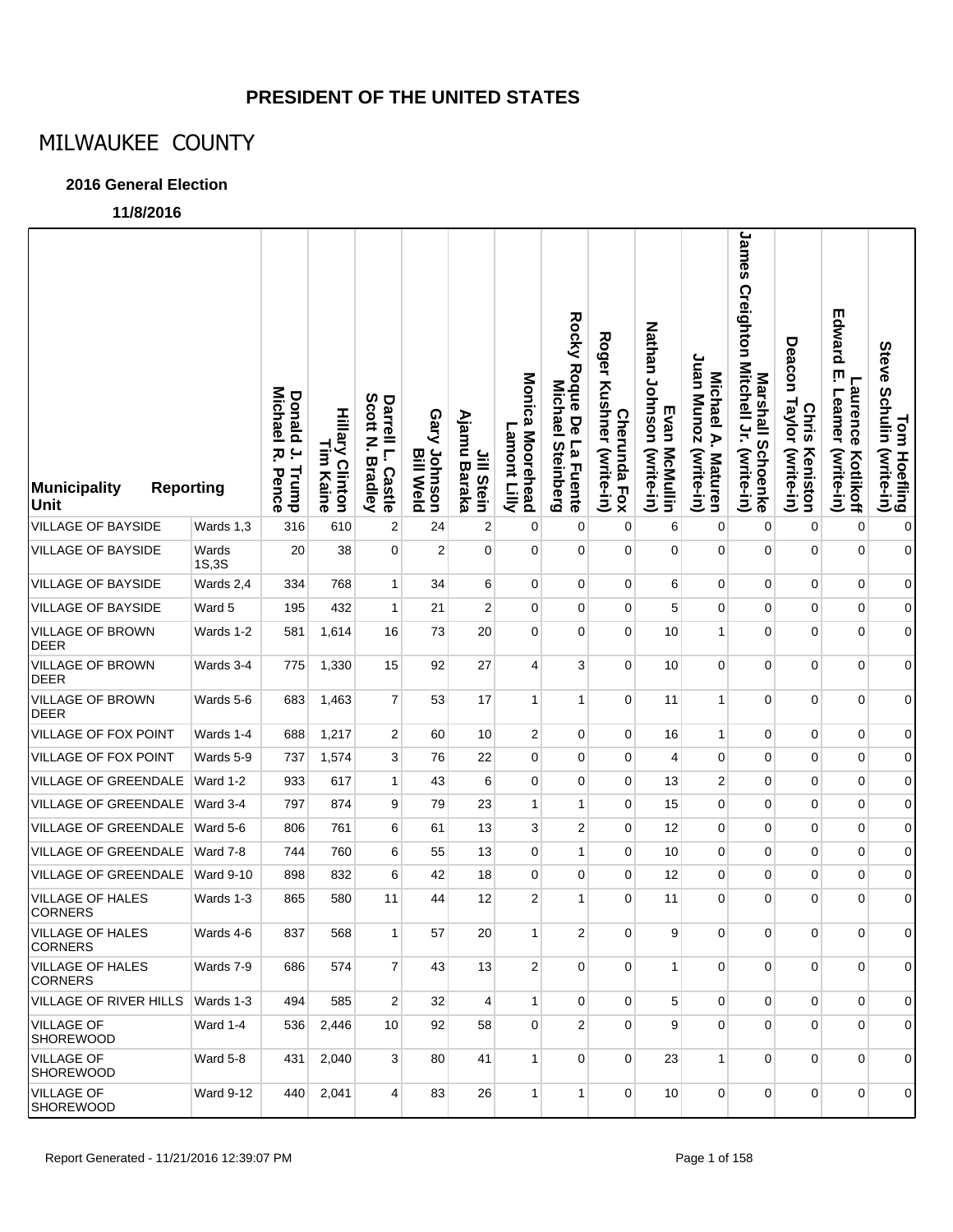### **PRESIDENT OF THE UNITED STATES**

## MILWAUKEE COUNTY

### **2016 General Election**

**11/8/2016**

| <b>Municipality</b><br><b>Reporting</b><br>Unit |                  | <b>Michael</b><br>Donald J.<br>ᅎ<br>Trump<br>Pence | <b>Hillary Clinton</b><br>$\Xi$<br>Kaine | Scott<br>Darrell L.<br>P<br><b>Bradley</b><br><b>Castle</b> | Gary Johnson<br><b>Bill Weld</b> | Ajamu Baraka<br>Jill Stein | Monica Moorehead<br>Lamont<br><b>Ciliy</b> | Rocky Roque De<br>Michael<br>La Fuente<br><b>Steinberg</b> | <b>Roger</b><br>Kushner (write-in)<br><b>Cherunda Fox</b> | Nathan Johnson (write-in)<br>Evan McMullin | Juan Munoz<br>Michael A.<br>(write-in)<br><b>Maturen</b> | James Creighton Mitchell Jr. (write-in)<br>Marshall Schoenke | Deacon Taylor (write-in)<br><b>Chris</b><br>Keniston | Edward<br>Ţ<br><b>Laurence</b><br>Leamer<br>(write-in)<br>Kotlikoff | Tom Hoefling<br>Steve Schulin (write-in) |
|-------------------------------------------------|------------------|----------------------------------------------------|------------------------------------------|-------------------------------------------------------------|----------------------------------|----------------------------|--------------------------------------------|------------------------------------------------------------|-----------------------------------------------------------|--------------------------------------------|----------------------------------------------------------|--------------------------------------------------------------|------------------------------------------------------|---------------------------------------------------------------------|------------------------------------------|
| <b>VILLAGE OF BAYSIDE</b>                       | Wards 1,3        | 316                                                | 610                                      | 2                                                           | 24                               | $\overline{2}$             | 0                                          | 0                                                          | 0                                                         | 6                                          | 0                                                        | 0                                                            | 0                                                    | 0                                                                   | $\pmb{0}$                                |
| VILLAGE OF BAYSIDE                              | Wards<br>1S,3S   | 20                                                 | 38                                       | 0                                                           | $\overline{2}$                   | $\mathbf 0$                | $\mathbf 0$                                | $\mathbf 0$                                                | $\mathbf 0$                                               | 0                                          | 0                                                        | $\mathbf 0$                                                  | 0                                                    | 0                                                                   | $\overline{0}$                           |
| <b>VILLAGE OF BAYSIDE</b>                       | Wards 2,4        | 334                                                | 768                                      | $\mathbf{1}$                                                | 34                               | 6                          | $\mathbf 0$                                | $\mathbf 0$                                                | $\mathbf 0$                                               | 6                                          | 0                                                        | $\mathbf 0$                                                  | 0                                                    | 0                                                                   | $\overline{0}$                           |
| <b>VILLAGE OF BAYSIDE</b>                       | Ward 5           | 195                                                | 432                                      | $\mathbf{1}$                                                | 21                               | $\overline{c}$             | $\mathbf 0$                                | $\mathbf 0$                                                | $\mathbf 0$                                               | 5                                          | 0                                                        | $\mathbf 0$                                                  | 0                                                    | 0                                                                   | $\overline{0}$                           |
| VILLAGE OF BROWN<br><b>DEER</b>                 | Wards 1-2        | 581                                                | 1,614                                    | 16                                                          | 73                               | 20                         | 0                                          | $\mathbf 0$                                                | $\mathbf 0$                                               | 10                                         | $\mathbf{1}$                                             | 0                                                            | 0                                                    | $\overline{0}$                                                      | $\overline{0}$                           |
| <b>VILLAGE OF BROWN</b><br><b>DEER</b>          | Wards 3-4        | 775                                                | 1,330                                    | 15                                                          | 92                               | 27                         | 4                                          | 3                                                          | $\mathbf 0$                                               | 10                                         | $\overline{0}$                                           | $\mathbf 0$                                                  | 0                                                    | $\overline{0}$                                                      | $\overline{0}$                           |
| <b>VILLAGE OF BROWN</b><br><b>DEER</b>          | Wards 5-6        | 683                                                | 1,463                                    | 7                                                           | 53                               | 17                         | $\mathbf{1}$                               | 1                                                          | $\mathbf 0$                                               | 11                                         | 1                                                        | $\mathbf 0$                                                  | 0                                                    | 0                                                                   | $\Omega$                                 |
| <b>VILLAGE OF FOX POINT</b>                     | Wards 1-4        | 688                                                | 1,217                                    | $\overline{\mathbf{c}}$                                     | 60                               | 10                         | $\overline{\mathbf{c}}$                    | $\mathbf 0$                                                | $\mathbf 0$                                               | 16                                         | 1                                                        | 0                                                            | 0                                                    | 0                                                                   | $\overline{0}$                           |
| <b>VILLAGE OF FOX POINT</b>                     | Wards 5-9        | 737                                                | 1,574                                    | 3                                                           | 76                               | 22                         | 0                                          | $\mathbf 0$                                                | $\mathbf 0$                                               | 4                                          | 0                                                        | $\mathbf 0$                                                  | 0                                                    | 0                                                                   | 0                                        |
| VILLAGE OF GREENDALE                            | Ward 1-2         | 933                                                | 617                                      | $\mathbf{1}$                                                | 43                               | 6                          | 0                                          | $\mathbf 0$                                                | $\mathbf 0$                                               | 13                                         | 2                                                        | $\mathbf 0$                                                  | 0                                                    | 0                                                                   | $\overline{0}$                           |
| VILLAGE OF GREENDALE                            | Ward 3-4         | 797                                                | 874                                      | 9                                                           | 79                               | 23                         | 1                                          | 1                                                          | 0                                                         | 15                                         | 0                                                        | 0                                                            | 0                                                    | 0                                                                   | 0                                        |
| VILLAGE OF GREENDALE                            | Ward 5-6         | 806                                                | 761                                      | 6                                                           | 61                               | 13                         | 3                                          | 2                                                          | $\mathbf 0$                                               | 12                                         | 0                                                        | $\pmb{0}$                                                    | 0                                                    | 0                                                                   | $\overline{0}$                           |
| VILLAGE OF GREENDALE                            | Ward 7-8         | 744                                                | 760                                      | 6                                                           | 55                               | 13                         | 0                                          | 1                                                          | 0                                                         | 10                                         | 0                                                        | 0                                                            | 0                                                    | 0                                                                   | 0                                        |
| VILLAGE OF GREENDALE                            | <b>Ward 9-10</b> | 898                                                | 832                                      | 6                                                           | 42                               | 18                         | 0                                          | 0                                                          | $\mathbf{0}$                                              | 12                                         | $\mathbf 0$                                              | $\mathbf 0$                                                  | 0                                                    | 0                                                                   | $\overline{0}$                           |
| VILLAGE OF HALES<br><b>CORNERS</b>              | Wards 1-3        | 865                                                | 580                                      | 11                                                          | 44                               | 12                         | 2                                          | 1                                                          | 0                                                         | 11                                         | $\overline{0}$                                           | $\mathbf 0$                                                  | $\overline{0}$                                       | $\overline{0}$                                                      | $\overline{0}$                           |
| VILLAGE OF HALES<br><b>CORNERS</b>              | Wards 4-6        | 837                                                | 568                                      | 1                                                           | 57                               | 20                         | 1                                          | 2                                                          | $\mathbf{0}$                                              | 9                                          | 0                                                        | $\overline{0}$                                               | 0                                                    | 0                                                                   | 01                                       |
| <b>VILLAGE OF HALES</b><br><b>CORNERS</b>       | Wards 7-9        | 686                                                | 574                                      | $\overline{7}$                                              | 43                               | 13                         | $\overline{2}$                             | $\mathbf 0$                                                | $\Omega$                                                  | $\mathbf{1}$                               | $\mathbf{0}$                                             | $\overline{0}$                                               | $\mathbf{0}$                                         | $\overline{0}$                                                      | $\overline{0}$                           |
| VILLAGE OF RIVER HILLS                          | Wards 1-3        | 494                                                | 585                                      | $\overline{2}$                                              | 32                               | 4                          | $\mathbf{1}$                               | $\mathbf 0$                                                | $\mathbf{0}$                                              | 5                                          | $\mathbf{0}$                                             | $\mathbf 0$                                                  | 0                                                    | 0                                                                   | $\overline{0}$                           |
| <b>VILLAGE OF</b><br><b>SHOREWOOD</b>           | Ward 1-4         | 536                                                | 2,446                                    | 10                                                          | 92                               | 58                         | $\mathbf 0$                                | $\overline{2}$                                             | $\mathbf{0}$                                              | 9                                          | $\mathbf{0}$                                             | $\overline{0}$                                               | $\overline{0}$                                       | $\overline{0}$                                                      | $\overline{0}$                           |
| <b>VILLAGE OF</b><br><b>SHOREWOOD</b>           | Ward 5-8         | 431                                                | 2,040                                    | 3 <sup>1</sup>                                              | 80                               | 41                         | $\mathbf{1}$                               | $\mathbf 0$                                                | $\mathbf{0}$                                              | 23                                         | $\mathbf{1}$                                             | $\mathbf 0$                                                  | $\overline{0}$                                       | $\overline{0}$                                                      | $\overline{0}$                           |
| <b>VILLAGE OF</b><br>SHOREWOOD                  | <b>Ward 9-12</b> | 440                                                | 2,041                                    | $\vert$                                                     | 83                               | 26                         | $\mathbf{1}$                               | 1                                                          | $\mathbf{0}$                                              | 10                                         | $\mathbf 0$                                              | $\mathbf 0$                                                  | $\mathbf 0$                                          | 0                                                                   | 0                                        |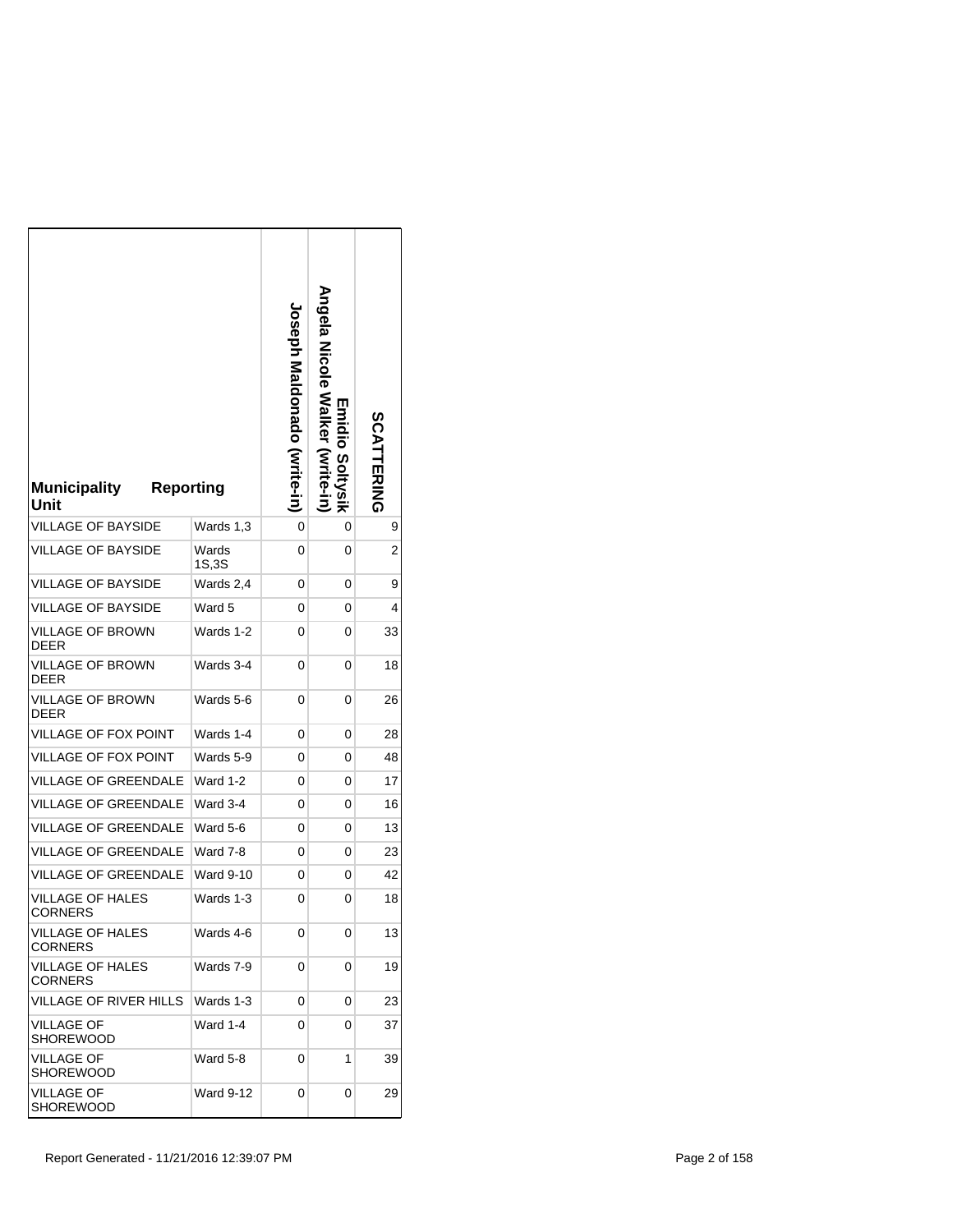| <b>Municipality</b><br><b>Reporting</b><br>Unit |                | <b>Joseph Maldonado (Write-in)</b> | Angela Nicole Walker<br>◫<br>piidio<br><b>Solty</b><br>$\overline{5}$<br>.<br>동 | <b>SCATTERING</b> |
|-------------------------------------------------|----------------|------------------------------------|---------------------------------------------------------------------------------|-------------------|
| <b>VILLAGE OF BAYSIDE</b>                       | Wards 1,3      | 0                                  | 0                                                                               | 9                 |
| <b>VILLAGE OF BAYSIDE</b>                       | Wards<br>1S,3S | 0                                  | 0                                                                               | 2                 |
| <b>VILLAGE OF BAYSIDE</b>                       | Wards 2,4      | 0                                  | 0                                                                               | 9                 |
| <b>VILLAGE OF BAYSIDE</b>                       | Ward 5         | 0                                  | 0                                                                               | 4                 |
| <b>VILLAGE OF BROWN</b><br><b>DEER</b>          | Wards 1-2      | 0                                  | 0                                                                               | 33                |
| VILLAGE OF BROWN<br>DEER                        | Wards 3-4      | 0                                  | 0                                                                               | 18                |
| VILLAGE OF BROWN<br><b>DEER</b>                 | Wards 5-6      | 0                                  | 0                                                                               | 26                |
| VILLAGE OF FOX POINT                            | Wards 1-4      | 0                                  | 0                                                                               | 28                |
| <b>VILLAGE OF FOX POINT</b>                     | Wards 5-9      | 0                                  | 0                                                                               | 48                |
| VILLAGE OF GREENDALE                            | Ward 1-2       | 0                                  | 0                                                                               | 17                |
| <b>VILLAGE OF GREENDALE</b>                     | Ward 3-4       | 0                                  | 0                                                                               | 16                |
| <b>VILLAGE OF GREENDALE</b>                     | Ward 5-6       | 0                                  | 0                                                                               | 13                |
| <b>VILLAGE OF GREENDALE</b>                     | Ward 7-8       | 0                                  | 0                                                                               | 23                |
| <b>VILLAGE OF GREENDALE</b>                     | Ward 9-10      | 0                                  | 0                                                                               | 42                |
| <b>VILLAGE OF HALES</b><br><b>CORNERS</b>       | Wards 1-3      | 0                                  | 0                                                                               | 18                |
| VILLAGE OF HALES<br>CORNERS                     | Wards 4-6      | 0                                  | 0                                                                               | 13                |
| <b>VILLAGE OF HALES</b><br><b>CORNERS</b>       | Wards 7-9      | 0                                  | 0                                                                               | 19                |
| VILLAGE OF RIVER HILLS                          | Wards 1-3      | 0                                  | 0                                                                               | 23                |
| <b>VILLAGE OF</b><br><b>SHOREWOOD</b>           | Ward 1-4       | 0                                  | 0                                                                               | 37                |
| <b>VILLAGE OF</b><br>SHOREWOOD                  | Ward 5-8       | 0                                  | 1                                                                               | 39                |
| <b>VILLAGE OF</b><br>SHOREWOOD                  | Ward 9-12      | 0                                  | 0                                                                               | 29                |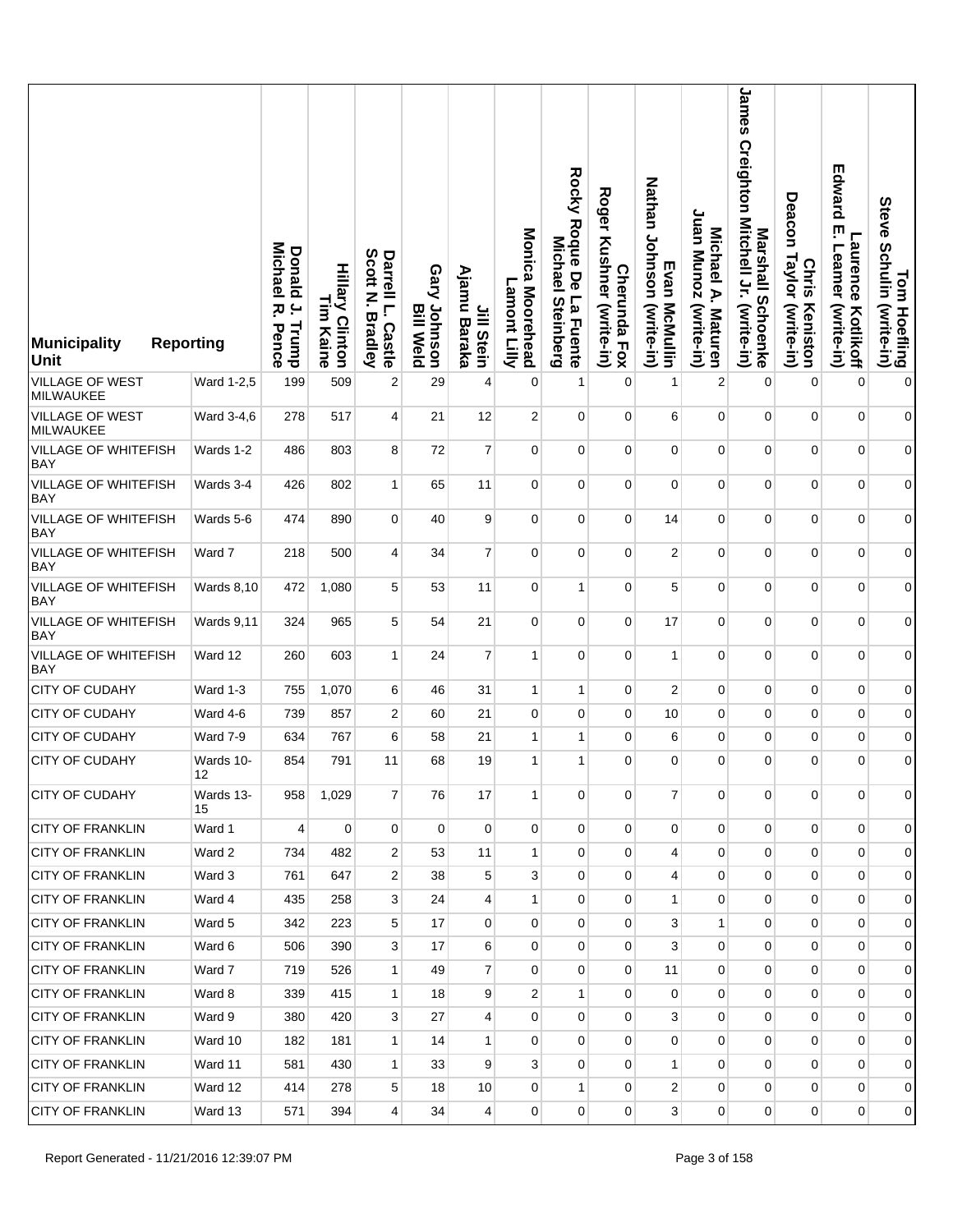| <b>Municipality</b><br><b>Unit</b>        | <b>Reporting</b>  | <b>Donald</b><br>Michael<br>$\overline{a}$<br>ᄍ.<br>Trump<br>Pence | <b>Hillary Clinton</b><br>I<br>E<br>Kaine | Darrell L.<br>Scott N. B<br><b>Bradley</b><br>Castle | Gary Johnson<br>Meld Weld | Ajamu<br>Jill Stein<br>Baraka | Monica Moorehead<br>Lamont<br><b>Elly</b> | Rocky Roque De La Fuente<br><b>Michae</b><br><b>Steinberg</b> | <b>Roger</b><br>Kushner (write-in)<br><b>Cherunda Fox</b> | Nathan Johnson (write-in)<br>Evan McMullin | Juan Munoz (write-in)<br>Michael A. Maturen | James Creighton Mitchell Jr. (write-in)<br>Marshall Schoenke | Deacon<br>Taylor (write-in)<br><b>Chris</b><br>Keniston | Edward<br>ŗm<br>-aurence<br>Leamer<br>(write-in)<br>Kotlikoff | Tom Hoefling<br>Steve Schulin (write-in) |
|-------------------------------------------|-------------------|--------------------------------------------------------------------|-------------------------------------------|------------------------------------------------------|---------------------------|-------------------------------|-------------------------------------------|---------------------------------------------------------------|-----------------------------------------------------------|--------------------------------------------|---------------------------------------------|--------------------------------------------------------------|---------------------------------------------------------|---------------------------------------------------------------|------------------------------------------|
| <b>VILLAGE OF WEST</b><br>MILWAUKEE       | Ward 1-2,5        | 199                                                                | 509                                       | $\overline{c}$                                       | 29                        | 4                             | 0                                         | 1                                                             | $\mathbf 0$                                               | $\mathbf{1}$                               | $\boldsymbol{2}$                            | $\mathbf 0$                                                  | $\mathbf 0$                                             | $\mathbf 0$                                                   | $\boldsymbol{0}$                         |
| VILLAGE OF WEST<br>MILWAUKEE              | Ward 3-4,6        | 278                                                                | 517                                       | 4                                                    | 21                        | 12                            | $\overline{2}$                            | $\mathbf 0$                                                   | $\mathbf 0$                                               | 6                                          | $\mathbf 0$                                 | $\mathbf 0$                                                  | $\mathbf{0}$                                            | $\mathbf{0}$                                                  | $\overline{0}$                           |
| <b>VILLAGE OF WHITEFISH</b><br><b>BAY</b> | Wards 1-2         | 486                                                                | 803                                       | 8                                                    | 72                        | $\overline{7}$                | $\mathbf 0$                               | $\mathbf 0$                                                   | $\mathbf 0$                                               | $\mathbf 0$                                | $\mathbf 0$                                 | $\pmb{0}$                                                    | 0                                                       | $\mathbf 0$                                                   | $\overline{0}$                           |
| VILLAGE OF WHITEFISH<br><b>BAY</b>        | Wards 3-4         | 426                                                                | 802                                       | $\mathbf{1}$                                         | 65                        | 11                            | 0                                         | 0                                                             | 0                                                         | $\mathbf 0$                                | $\pmb{0}$                                   | $\mathbf 0$                                                  | 0                                                       | $\mathbf 0$                                                   | $\boldsymbol{0}$                         |
| <b>VILLAGE OF WHITEFISH</b><br><b>BAY</b> | Wards 5-6         | 474                                                                | 890                                       | $\mathbf 0$                                          | 40                        | 9                             | $\mathbf 0$                               | $\mathbf 0$                                                   | $\mathbf 0$                                               | 14                                         | $\mathbf 0$                                 | $\mathbf 0$                                                  | $\overline{0}$                                          | $\mathbf 0$                                                   | $\overline{0}$                           |
| <b>VILLAGE OF WHITEFISH</b><br><b>BAY</b> | Ward 7            | 218                                                                | 500                                       | 4                                                    | 34                        | $\overline{7}$                | $\mathbf 0$                               | $\mathbf 0$                                                   | $\mathbf 0$                                               | $\sqrt{2}$                                 | $\mathbf 0$                                 | 0                                                            | $\mathbf 0$                                             | $\mathbf 0$                                                   | $\overline{0}$                           |
| <b>VILLAGE OF WHITEFISH</b><br><b>BAY</b> | <b>Wards 8,10</b> | 472                                                                | 1,080                                     | 5                                                    | 53                        | 11                            | 0                                         | $\mathbf{1}$                                                  | 0                                                         | 5                                          | $\pmb{0}$                                   | $\pmb{0}$                                                    | $\overline{0}$                                          | $\mathbf 0$                                                   | $\boldsymbol{0}$                         |
| VILLAGE OF WHITEFISH<br><b>BAY</b>        | <b>Wards 9,11</b> | 324                                                                | 965                                       | 5                                                    | 54                        | 21                            | $\mathbf 0$                               | $\mathbf 0$                                                   | 0                                                         | 17                                         | 0                                           | $\mathbf 0$                                                  | $\overline{0}$                                          | $\mathbf{0}$                                                  | $\overline{0}$                           |
| VILLAGE OF WHITEFISH<br><b>BAY</b>        | Ward 12           | 260                                                                | 603                                       | $\mathbf{1}$                                         | 24                        | $\overline{7}$                | $\mathbf{1}$                              | $\mathbf 0$                                                   | $\mathbf 0$                                               | $\mathbf{1}$                               | $\mathbf 0$                                 | $\pmb{0}$                                                    | 0                                                       | $\mathbf 0$                                                   | $\overline{0}$                           |
| <b>CITY OF CUDAHY</b>                     | Ward 1-3          | 755                                                                | 1,070                                     | 6                                                    | 46                        | 31                            | $\mathbf{1}$                              | $\mathbf{1}$                                                  | $\mathbf{0}$                                              | $\overline{2}$                             | $\pmb{0}$                                   | $\pmb{0}$                                                    | 0                                                       | $\mathbf 0$                                                   | $\boldsymbol{0}$                         |
| <b>CITY OF CUDAHY</b>                     | Ward 4-6          | 739                                                                | 857                                       | $\overline{c}$                                       | 60                        | 21                            | 0                                         | 0                                                             | 0                                                         | 10                                         | 0                                           | 0                                                            | 0                                                       | $\mathbf 0$                                                   | $\boldsymbol{0}$                         |
| CITY OF CUDAHY                            | Ward 7-9          | 634                                                                | 767                                       | 6                                                    | 58                        | 21                            | $\mathbf{1}$                              | $\mathbf{1}$                                                  | 0                                                         | 6                                          | $\pmb{0}$                                   | $\pmb{0}$                                                    | $\mathbf 0$                                             | $\mathbf 0$                                                   | $\overline{0}$                           |
| <b>CITY OF CUDAHY</b>                     | Wards 10-<br>12   | 854                                                                | 791                                       | 11                                                   | 68                        | 19                            | 1                                         | 1                                                             | 0                                                         | $\mathbf 0$                                | $\mathbf 0$                                 | $\mathbf 0$                                                  | 0                                                       | $\mathbf 0$                                                   | $\boldsymbol{0}$                         |
| CITY OF CUDAHY                            | Wards 13-<br>15   | 958                                                                | 1,029                                     | 7                                                    | 76                        | 17                            | 1                                         | 0                                                             | 0                                                         | $\overline{7}$                             | 0                                           | 0                                                            | $\mathbf 0$                                             | $\mathbf 0$                                                   | $\overline{0}$                           |
| <b>CITY OF FRANKLIN</b>                   | Ward 1            | $\overline{\mathbf{4}}$                                            | $\mathbf 0$                               | $\mathbf 0$                                          | $\Omega$                  | $\mathbf{0}$                  | $\mathbf 0$                               | $\Omega$                                                      | $\Omega$                                                  | $\mathbf 0$                                | $\mathbf 0$                                 | $\mathbf 0$                                                  | $\overline{0}$                                          | $\mathbf 0$                                                   | $\overline{0}$                           |
| <b>CITY OF FRANKLIN</b>                   | Ward 2            | 734                                                                | 482                                       | 2                                                    | 53                        | 11                            | $\mathbf{1}$                              | 0                                                             | 0                                                         | 4                                          | 0                                           | 0                                                            | 0                                                       | $\mathbf 0$                                                   | $\overline{0}$                           |
| <b>CITY OF FRANKLIN</b>                   | Ward 3            | 761                                                                | 647                                       | 2                                                    | 38                        | 5                             | 3                                         | $\overline{0}$                                                | $\overline{0}$                                            | $\overline{4}$                             | $\mathbf 0$                                 | $\mathbf 0$                                                  | $\mathbf 0$                                             | $\mathbf{0}$                                                  | $\overline{0}$                           |
| <b>CITY OF FRANKLIN</b>                   | Ward 4            | 435                                                                | 258                                       | 3                                                    | 24                        | $\overline{4}$                | $\mathbf{1}$                              | 0                                                             | $\mathbf 0$                                               | $\mathbf{1}$                               | 0                                           | 0                                                            | $\mathbf 0$                                             | $\mathbf 0$                                                   | 0                                        |
| <b>CITY OF FRANKLIN</b>                   | Ward 5            | 342                                                                | 223                                       | 5                                                    | 17                        | $\overline{0}$                | $\mathbf 0$                               | $\overline{0}$                                                | $\overline{0}$                                            | 3                                          | $\mathbf{1}$                                | 0                                                            | 0                                                       | $\mathbf 0$                                                   | $\overline{0}$                           |
| <b>CITY OF FRANKLIN</b>                   | Ward 6            | 506                                                                | 390                                       | 3                                                    | 17                        | 6                             | 0                                         | 0                                                             | 0                                                         | 3                                          | 0                                           | 0                                                            | $\mathbf 0$                                             | $\mathbf 0$                                                   | 0                                        |
| <b>CITY OF FRANKLIN</b>                   | Ward 7            | 719                                                                | 526                                       | 1                                                    | 49                        | $\overline{7}$                | 0                                         | $\overline{0}$                                                | $\mathbf 0$                                               | 11                                         | 0                                           | $\overline{0}$                                               | $\mathbf 0$                                             | $\mathbf 0$                                                   | $\overline{0}$                           |
| <b>CITY OF FRANKLIN</b>                   | Ward 8            | 339                                                                | 415                                       | $\mathbf{1}$                                         | 18                        | 9                             | 2                                         | $\mathbf{1}$                                                  | 0                                                         | 0                                          | 0                                           | 0                                                            | $\mathbf 0$                                             | $\mathbf 0$                                                   | $\overline{0}$                           |
| <b>CITY OF FRANKLIN</b>                   | Ward 9            | 380                                                                | 420                                       | 3                                                    | 27                        | $\overline{4}$                | $\mathbf 0$                               | $\overline{0}$                                                | $\overline{0}$                                            | 3                                          | $\mathbf 0$                                 | $\overline{0}$                                               | $\mathbf 0$                                             | $\mathbf 0$                                                   | $\overline{0}$                           |
| <b>CITY OF FRANKLIN</b>                   | Ward 10           | 182                                                                | 181                                       | $\mathbf{1}$                                         | 14                        | 1                             | 0                                         | 0                                                             | $\mathbf{0}$                                              | 0                                          | 0                                           | $\overline{0}$                                               | $\mathbf 0$                                             | $\mathbf 0$                                                   | $\overline{0}$                           |
| <b>CITY OF FRANKLIN</b>                   | Ward 11           | 581                                                                | 430                                       | $\mathbf{1}$                                         | 33                        | 9                             | 3                                         | $\overline{0}$                                                | $\overline{0}$                                            | $\mathbf{1}$                               | 0                                           | $\overline{0}$                                               | $\overline{0}$                                          | $\mathbf{0}$                                                  | $\overline{0}$                           |
| <b>CITY OF FRANKLIN</b>                   | Ward 12           | 414                                                                | 278                                       | 5                                                    | 18                        | 10                            | 0                                         | $\mathbf{1}$                                                  | $\mathbf{0}$                                              | 2                                          | 0                                           | $\overline{0}$                                               | $\mathbf 0$                                             | $\mathbf 0$                                                   | $\overline{0}$                           |
| <b>CITY OF FRANKLIN</b>                   | Ward 13           | 571                                                                | 394                                       | $\overline{4}$                                       | 34                        | $\vert 4 \vert$               | $\mathbf{0}$                              | 0                                                             | 0                                                         | 3 <sup>1</sup>                             | 0                                           | $\overline{0}$                                               | $\overline{0}$                                          | $\overline{0}$                                                | $\overline{0}$                           |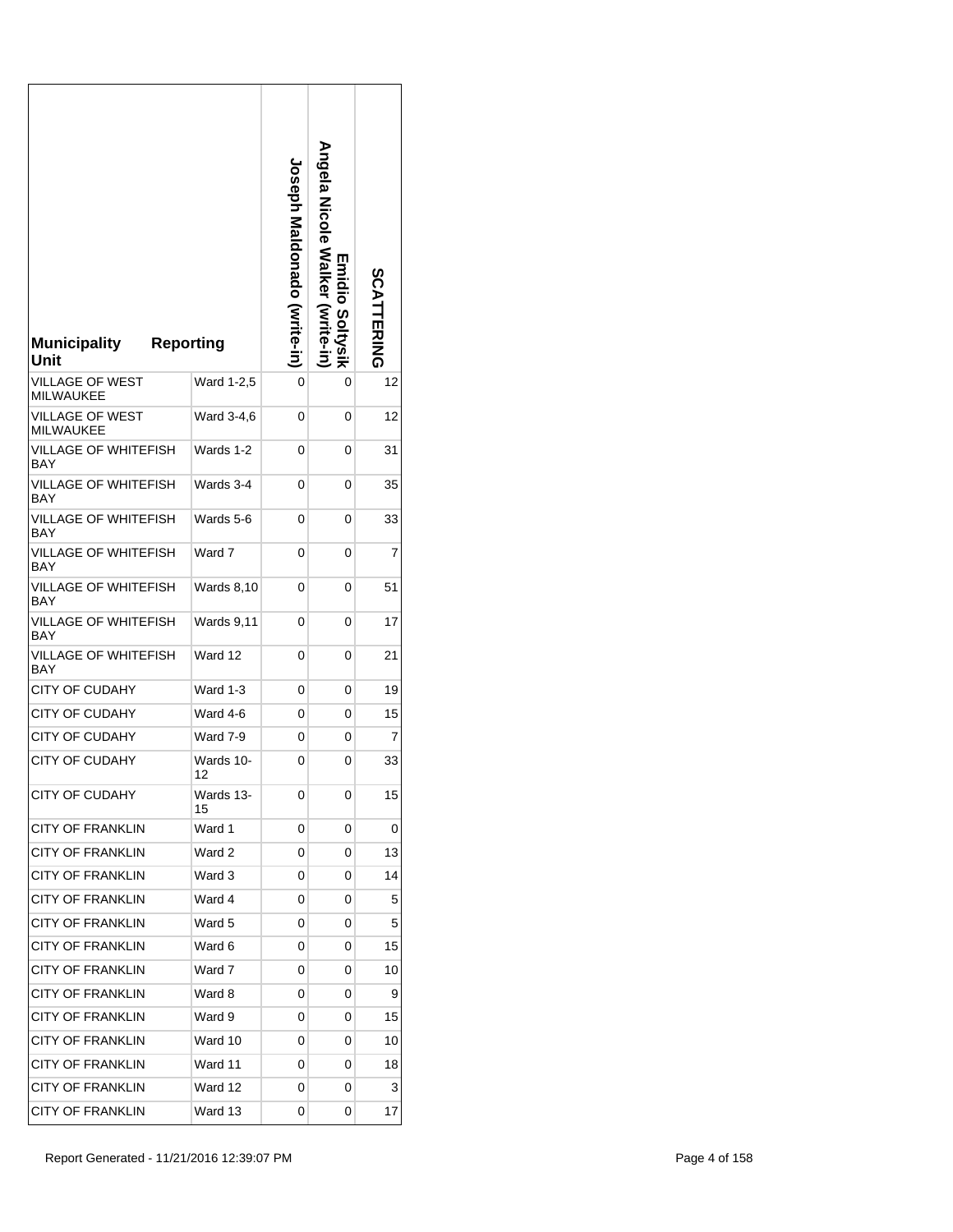| <b>Reporting</b><br><b>Municipality</b><br>Unit |                   | <b>Joseph Maldonado (write-in</b> | <b>Angela Nicole Salker</b><br>Emidio<br>Soltvsik | <b>SCATTERING</b> |
|-------------------------------------------------|-------------------|-----------------------------------|---------------------------------------------------|-------------------|
| <b>VILLAGE OF WEST</b><br><b>MILWAUKEE</b>      | Ward 1-2,5        | 0                                 | 0                                                 | 12                |
| <b>VILLAGE OF WEST</b><br><b>MILWAUKEE</b>      | Ward 3-4,6        | 0                                 | 0                                                 | 12                |
| VILLAGE OF WHITEFISH<br><b>BAY</b>              | Wards 1-2         | 0                                 | 0                                                 | 31                |
| <b>VILLAGE OF WHITEFISH</b><br><b>BAY</b>       | Wards 3-4         | 0                                 | 0                                                 | 35                |
| VILLAGE OF WHITEFISH<br><b>BAY</b>              | Wards 5-6         | 0                                 | 0                                                 | 33                |
| VILLAGE OF WHITEFISH<br>BAY                     | Ward 7            | 0                                 | 0                                                 | 7                 |
| VILLAGE OF WHITEFISH<br>BAY                     | <b>Wards 8,10</b> | 0                                 | 0                                                 | 51                |
| VILLAGE OF WHITEFISH<br>BAY                     | Wards 9,11        | 0                                 | 0                                                 | 17                |
| VILLAGE OF WHITEFISH<br>BAY                     | Ward 12           | 0                                 | 0                                                 | 21                |
| <b>CITY OF CUDAHY</b>                           | Ward 1-3          | 0                                 | 0                                                 | 19                |
| <b>CITY OF CUDAHY</b>                           | Ward 4-6          | 0                                 | 0                                                 | 15                |
| <b>CITY OF CUDAHY</b>                           | Ward 7-9          | 0                                 | 0                                                 | $\overline{7}$    |
| <b>CITY OF CUDAHY</b>                           | Wards 10-<br>12   | 0                                 | 0                                                 | 33                |
| <b>CITY OF CUDAHY</b>                           | Wards 13-<br>15   | 0                                 | 0                                                 | 15                |
| <b>CITY OF FRANKLIN</b>                         | Ward 1            | 0                                 | 0                                                 | 0                 |
| <b>CITY OF FRANKLIN</b>                         | Ward 2            | 0                                 | 0                                                 | 13                |
| <b>CITY OF FRANKLIN</b>                         | Ward 3            | 0                                 | 0                                                 | 14                |
| <b>CITY OF FRANKLIN</b>                         | Ward 4            | 0                                 | 0                                                 | 5                 |
| <b>CITY OF FRANKLIN</b>                         | Ward 5            | 0                                 | 0                                                 | 5                 |
| <b>CITY OF FRANKLIN</b>                         | Ward 6            | 0                                 | 0                                                 | 15                |
| <b>CITY OF FRANKLIN</b>                         | Ward 7            | 0                                 | 0                                                 | 10                |
| <b>CITY OF FRANKLIN</b>                         | Ward 8            | 0                                 | 0                                                 | 9                 |
| <b>CITY OF FRANKLIN</b>                         | Ward 9            | 0                                 | 0                                                 | 15                |
| <b>CITY OF FRANKLIN</b>                         | Ward 10           | 0                                 | 0                                                 | 10                |
| <b>CITY OF FRANKLIN</b>                         | Ward 11           | 0                                 | 0                                                 | 18                |
| <b>CITY OF FRANKLIN</b>                         | Ward 12           | 0                                 | 0                                                 | 3                 |
| <b>CITY OF FRANKLIN</b>                         | Ward 13           | 0                                 | 0                                                 | 17                |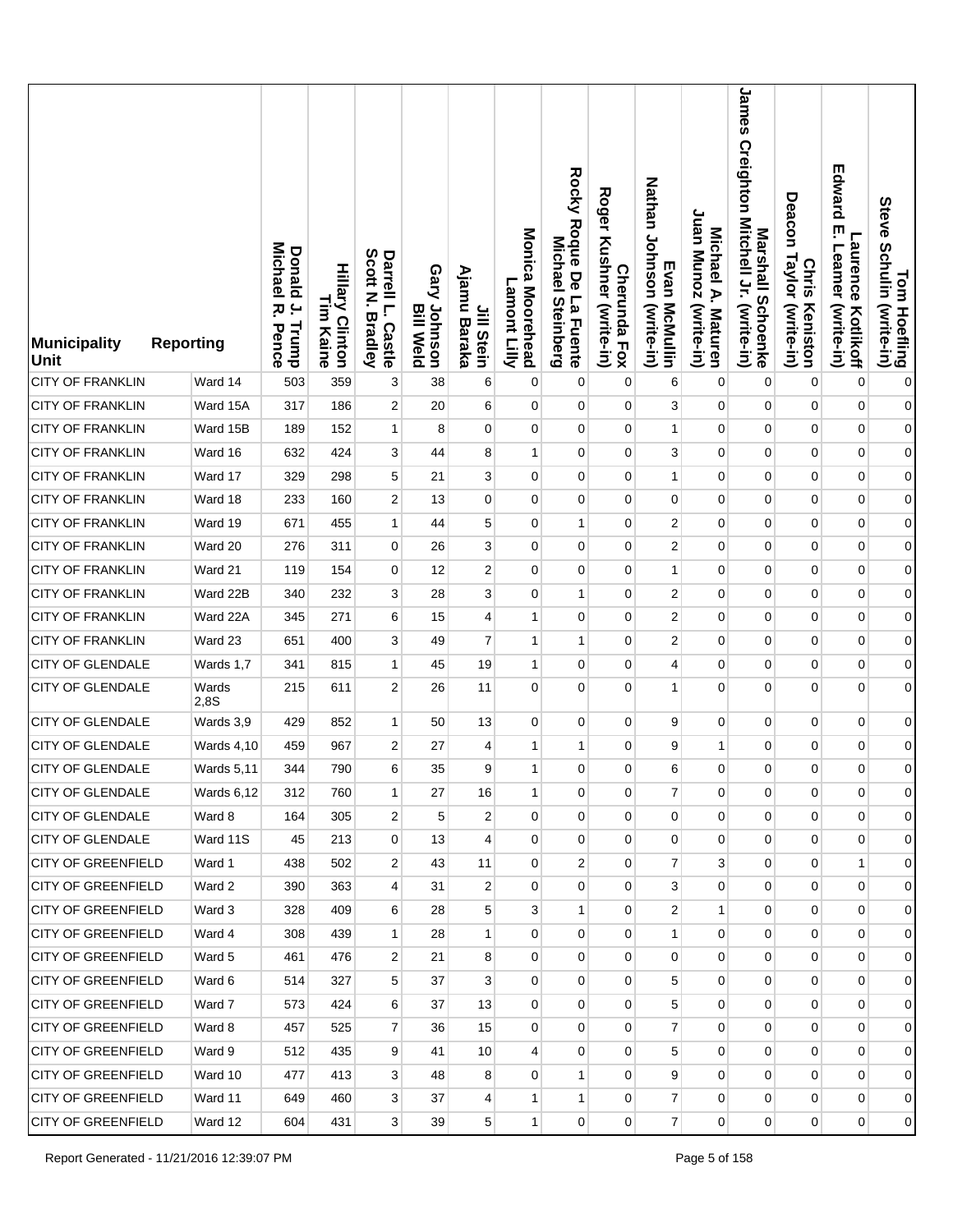| <b>Municipality</b><br><b>Unit</b> | <b>Reporting</b> | <b>Michael</b><br>Donald<br>$\cdot$<br>ᄍ<br>Trump<br>Pence | <b>Hillary Clinton</b><br>L<br>3<br>Kaine | Scott<br>Darrell L.<br>P<br><b>Bradley</b><br><b>Castle</b> | Gary Johnson<br><b>Bill Weld</b> | Ajamu<br>Jill Stein<br>Baraka | Monica Moorehead<br>Lamont<br><b>Zilily</b> | Rocky Roque De<br>Michael<br>La Fuente<br><b>Steinberg</b> | <b>Roger</b><br>Kushner (write-in)<br><b>Cherunda Fox</b> | Nathan Johnson (write-in)<br>Evan McMullin | Juan Munoz (write-in)<br>Michael A. Maturen | James<br>Creighton Mitchell Jr. (write-in)<br>Marshall Schoenke | Deacon<br>Taylor (write-in)<br><b>Chris</b><br>Keniston | Edward<br>ŗm<br>aurence.<br>Leamer<br>(write-in)<br>Kotlikoff | Tom Hoefling<br>Steve Schulin (write-in) |
|------------------------------------|------------------|------------------------------------------------------------|-------------------------------------------|-------------------------------------------------------------|----------------------------------|-------------------------------|---------------------------------------------|------------------------------------------------------------|-----------------------------------------------------------|--------------------------------------------|---------------------------------------------|-----------------------------------------------------------------|---------------------------------------------------------|---------------------------------------------------------------|------------------------------------------|
| <b>CITY OF FRANKLIN</b>            | Ward 14          | 503                                                        | 359                                       | 3                                                           | 38                               | 6                             | 0                                           | 0                                                          | 0                                                         | 6                                          | $\pmb{0}$                                   | $\pmb{0}$                                                       | $\pmb{0}$                                               | $\mathbf 0$                                                   | $\mathbf{0}$                             |
| <b>CITY OF FRANKLIN</b>            | Ward 15A         | 317                                                        | 186                                       | $\overline{c}$                                              | 20                               | 6                             | 0                                           | 0                                                          | 0                                                         | 3                                          | $\mathbf 0$                                 | 0                                                               | $\pmb{0}$                                               | $\mathbf 0$                                                   | $\boldsymbol{0}$                         |
| <b>CITY OF FRANKLIN</b>            | Ward 15B         | 189                                                        | 152                                       | $\mathbf{1}$                                                | 8                                | $\mathbf 0$                   | 0                                           | 0                                                          | 0                                                         | $\mathbf{1}$                               | $\pmb{0}$                                   | $\pmb{0}$                                                       | $\mathbf 0$                                             | $\mathbf 0$                                                   | $\boldsymbol{0}$                         |
| <b>CITY OF FRANKLIN</b>            | Ward 16          | 632                                                        | 424                                       | 3                                                           | 44                               | 8                             | 1                                           | 0                                                          | 0                                                         | 3                                          | $\mathbf 0$                                 | 0                                                               | $\pmb{0}$                                               | $\pmb{0}$                                                     | $\boldsymbol{0}$                         |
| <b>CITY OF FRANKLIN</b>            | Ward 17          | 329                                                        | 298                                       | 5                                                           | 21                               | 3                             | 0                                           | 0                                                          | 0                                                         | $\mathbf{1}$                               | 0                                           | $\pmb{0}$                                                       | $\mathbf 0$                                             | $\mathbf 0$                                                   | $\boldsymbol{0}$                         |
| <b>CITY OF FRANKLIN</b>            | Ward 18          | 233                                                        | 160                                       | $\overline{c}$                                              | 13                               | 0                             | 0                                           | 0                                                          | 0                                                         | 0                                          | $\mathbf 0$                                 | 0                                                               | 0                                                       | $\mathbf 0$                                                   | $\boldsymbol{0}$                         |
| <b>CITY OF FRANKLIN</b>            | Ward 19          | 671                                                        | 455                                       | $\mathbf{1}$                                                | 44                               | 5                             | 0                                           | $\mathbf{1}$                                               | 0                                                         | $\overline{c}$                             | 0                                           | $\pmb{0}$                                                       | $\mathbf 0$                                             | $\mathbf 0$                                                   | $\boldsymbol{0}$                         |
| <b>CITY OF FRANKLIN</b>            | Ward 20          | 276                                                        | 311                                       | 0                                                           | 26                               | 3                             | 0                                           | 0                                                          | 0                                                         | $\overline{c}$                             | $\mathbf 0$                                 | 0                                                               | 0                                                       | $\mathbf 0$                                                   | $\boldsymbol{0}$                         |
| <b>CITY OF FRANKLIN</b>            | Ward 21          | 119                                                        | 154                                       | 0                                                           | 12                               | 2                             | $\mathbf 0$                                 | 0                                                          | 0                                                         | $\mathbf{1}$                               | 0                                           | 0                                                               | $\mathbf 0$                                             | $\mathbf 0$                                                   | $\boldsymbol{0}$                         |
| <b>CITY OF FRANKLIN</b>            | Ward 22B         | 340                                                        | 232                                       | 3                                                           | 28                               | 3                             | 0                                           | 1                                                          | 0                                                         | $\overline{c}$                             | $\mathbf 0$                                 | 0                                                               | 0                                                       | $\mathbf 0$                                                   | $\boldsymbol{0}$                         |
| <b>CITY OF FRANKLIN</b>            | Ward 22A         | 345                                                        | 271                                       | 6                                                           | 15                               | 4                             | 1                                           | 0                                                          | 0                                                         | $\boldsymbol{2}$                           | $\mathbf 0$                                 | 0                                                               | $\mathbf 0$                                             | $\mathbf 0$                                                   | $\boldsymbol{0}$                         |
| <b>CITY OF FRANKLIN</b>            | Ward 23          | 651                                                        | 400                                       | 3                                                           | 49                               | $\overline{7}$                | $\mathbf{1}$                                | 1                                                          | 0                                                         | $\overline{c}$                             | $\mathbf 0$                                 | 0                                                               | 0                                                       | 0                                                             | $\boldsymbol{0}$                         |
| <b>CITY OF GLENDALE</b>            | Wards 1,7        | 341                                                        | 815                                       | $\mathbf{1}$                                                | 45                               | 19                            | $\mathbf{1}$                                | 0                                                          | 0                                                         | 4                                          | $\mathbf 0$                                 | $\pmb{0}$                                                       | $\mathbf 0$                                             | $\mathbf 0$                                                   | $\boldsymbol{0}$                         |
| <b>CITY OF GLENDALE</b>            | Wards<br>2,8S    | 215                                                        | 611                                       | $\overline{2}$                                              | 26                               | 11                            | $\mathbf 0$                                 | 0                                                          | 0                                                         | $\mathbf{1}$                               | $\mathbf 0$                                 | 0                                                               | $\overline{0}$                                          | $\mathbf 0$                                                   | $\boldsymbol{0}$                         |
| <b>CITY OF GLENDALE</b>            | Wards 3,9        | 429                                                        | 852                                       | $\mathbf{1}$                                                | 50                               | 13                            | 0                                           | 0                                                          | 0                                                         | 9                                          | $\pmb{0}$                                   | 0                                                               | $\pmb{0}$                                               | $\mathbf 0$                                                   | $\boldsymbol{0}$                         |
| <b>CITY OF GLENDALE</b>            | Wards 4,10       | 459                                                        | 967                                       | $\boldsymbol{2}$                                            | 27                               | 4                             | $\mathbf{1}$                                | 1                                                          | 0                                                         | 9                                          | $\mathbf{1}$                                | $\pmb{0}$                                                       | 0                                                       | $\pmb{0}$                                                     | $\boldsymbol{0}$                         |
| <b>CITY OF GLENDALE</b>            | Wards 5,11       | 344                                                        | 790                                       | 6                                                           | 35                               | 9                             | $\mathbf{1}$                                | 0                                                          | 0                                                         | 6                                          | $\mathbf 0$                                 | $\pmb{0}$                                                       | 0                                                       | 0                                                             | $\boldsymbol{0}$                         |
| <b>CITY OF GLENDALE</b>            | Wards 6,12       | 312                                                        | 760                                       | $\mathbf{1}$                                                | 27                               | 16                            | 1                                           | 0                                                          | 0                                                         | $\overline{7}$                             | 0                                           | 0                                                               | 0                                                       | $\overline{0}$                                                | $\overline{0}$                           |
| <b>CITY OF GLENDALE</b>            | Ward 8           | 164                                                        | 305                                       | 2                                                           | 5                                | $\overline{2}$                | 0                                           | 0                                                          | $\overline{0}$                                            | 0                                          | 0                                           | 0                                                               | $\mathbf 0$                                             | $\mathbf 0$                                                   | $\overline{0}$                           |
| <b>CITY OF GLENDALE</b>            | Ward 11S         | 45                                                         | 213                                       | 0                                                           | 13                               | $\overline{4}$                | $\overline{0}$                              | $\mathbf{0}$                                               | $\overline{0}$                                            | $\mathbf 0$                                | 0                                           | $\overline{0}$                                                  | $\mathbf 0$                                             | $\mathbf 0$                                                   | $\overline{0}$                           |
| <b>CITY OF GREENFIELD</b>          | Ward 1           | 438                                                        | 502                                       | 2                                                           | 43                               | 11                            | 0                                           | 2                                                          | 0                                                         | 7                                          | 3                                           | 0                                                               | $\mathbf 0$                                             | 1                                                             | $\overline{0}$                           |
| <b>CITY OF GREENFIELD</b>          | Ward 2           | 390                                                        | 363                                       | 4                                                           | 31                               | $\overline{2}$                | $\Omega$                                    | $\overline{0}$                                             | $\overline{0}$                                            | 3                                          | 0                                           | $\overline{0}$                                                  | $\overline{0}$                                          | $\overline{0}$                                                | $\overline{0}$                           |
| <b>CITY OF GREENFIELD</b>          | Ward 3           | 328                                                        | 409                                       | 6                                                           | 28                               | 5                             | 3                                           | 1                                                          | $\mathbf{0}$                                              | 2                                          | 1                                           | $\overline{0}$                                                  | $\mathbf 0$                                             | $\mathbf 0$                                                   | $\overline{0}$                           |
| <b>CITY OF GREENFIELD</b>          | Ward 4           | 308                                                        | 439                                       | $\mathbf{1}$                                                | 28                               | 1                             | 0                                           | $\mathbf{0}$                                               | $\mathbf{0}$                                              | $\mathbf{1}$                               | 0                                           | $\overline{0}$                                                  | $\overline{0}$                                          | $\overline{0}$                                                | $\overline{0}$                           |
| <b>CITY OF GREENFIELD</b>          | Ward 5           | 461                                                        | 476                                       | 2                                                           | 21                               | 8                             | 0                                           | 0                                                          | $\mathbf{0}$                                              | 0                                          | 0                                           | $\overline{0}$                                                  | $\mathbf 0$                                             | $\mathbf 0$                                                   | $\overline{0}$                           |
| <b>CITY OF GREENFIELD</b>          | Ward 6           | 514                                                        | 327                                       | 5                                                           | 37                               | 3                             | $\Omega$                                    | $\Omega$                                                   | $\Omega$                                                  | 5                                          | 0                                           | $\overline{0}$                                                  | $\overline{0}$                                          | $\overline{0}$                                                | $\overline{0}$                           |
| <b>CITY OF GREENFIELD</b>          | Ward 7           | 573                                                        | 424                                       | 6                                                           | 37                               | 13                            | 0                                           | 0                                                          | $\overline{0}$                                            | 5                                          | 0                                           | $\overline{0}$                                                  | $\mathbf 0$                                             | $\mathbf 0$                                                   | $\overline{0}$                           |
| <b>CITY OF GREENFIELD</b>          | Ward 8           | 457                                                        | 525                                       | 7                                                           | 36                               | 15                            | $\overline{0}$                              | $\mathbf{0}$                                               | $\overline{0}$                                            | $\overline{7}$                             | 0                                           | $\overline{0}$                                                  | $\overline{0}$                                          | $\overline{0}$                                                | $\overline{0}$                           |
| <b>CITY OF GREENFIELD</b>          | Ward 9           | 512                                                        | 435                                       | 9                                                           | 41                               | 10 <sup>1</sup>               | 4                                           | 0                                                          | 0                                                         | 5                                          | 0                                           | 0                                                               | 0                                                       | $\mathbf 0$                                                   | $\overline{0}$                           |
| <b>CITY OF GREENFIELD</b>          | Ward 10          | 477                                                        | 413                                       | 3                                                           | 48                               | 8                             | $\Omega$                                    | 1                                                          | $\Omega$                                                  | 9                                          | 0                                           | $\overline{0}$                                                  | $\overline{0}$                                          | $\mathbf{0}$                                                  | $\overline{0}$                           |
| <b>CITY OF GREENFIELD</b>          | Ward 11          | 649                                                        | 460                                       | 3                                                           | 37                               | 4                             | 1                                           | 1                                                          | 0                                                         | $\overline{7}$                             | 0                                           | $\overline{0}$                                                  | 0                                                       | $\mathbf{0}$                                                  | $\overline{0}$                           |
| <b>CITY OF GREENFIELD</b>          | Ward 12          | 604                                                        | 431                                       | 3 <sup>1</sup>                                              | 39                               | 5 <sup>5</sup>                | 1                                           | $\mathbf 0$                                                | $\mathbf 0$                                               | $\overline{7}$                             | 0                                           | $\overline{0}$                                                  | $\overline{0}$                                          | $\overline{0}$                                                | $\overline{0}$                           |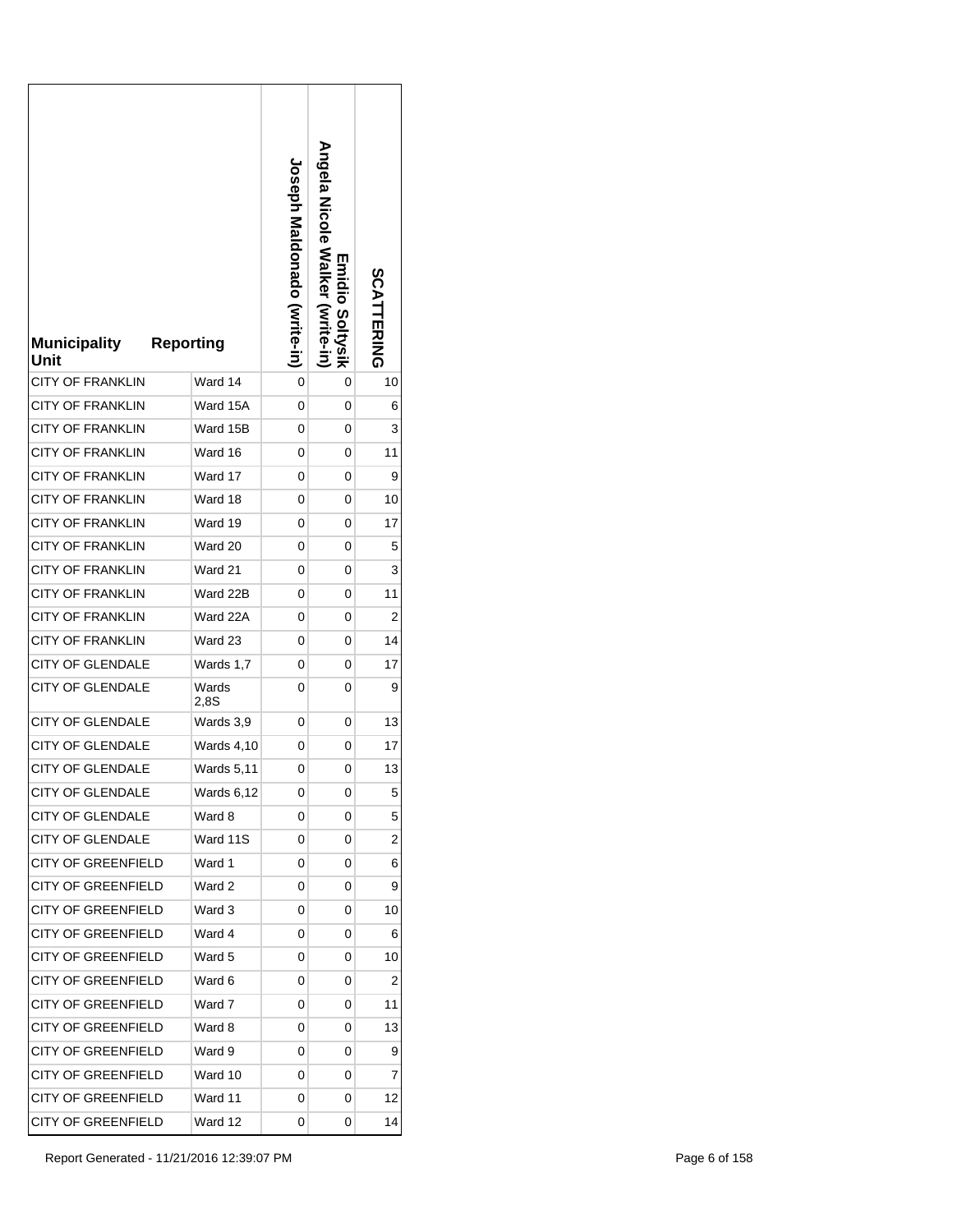| <b>Municipality</b><br>Unit                        | <b>Reporting</b>  | <b>Joseph Maldonado (Svrite-in)</b> | Angela Nicole Walker<br><b>Emidio Soltysik</b><br>(Write-in | <b>SCATTERING</b> |
|----------------------------------------------------|-------------------|-------------------------------------|-------------------------------------------------------------|-------------------|
| <b>CITY OF FRANKLIN</b>                            | Ward 14           | 0                                   | 0                                                           | 10                |
| <b>CITY OF FRANKLIN</b>                            | Ward 15A          | 0                                   | 0                                                           | 6                 |
| <b>CITY OF FRANKLIN</b>                            | Ward 15B          | 0                                   | 0                                                           | 3                 |
| <b>CITY OF FRANKLIN</b>                            | Ward 16           | 0                                   | 0                                                           | 11                |
| <b>CITY OF FRANKLIN</b>                            | Ward 17           | 0                                   | 0                                                           | 9                 |
| <b>CITY OF FRANKLIN</b>                            | Ward 18           | 0                                   | 0                                                           | 10                |
| <b>CITY OF FRANKLIN</b>                            | Ward 19           | 0                                   | 0                                                           | 17                |
| <b>CITY OF FRANKLIN</b>                            | Ward 20           | 0                                   | 0                                                           | 5                 |
| <b>CITY OF FRANKLIN</b>                            | Ward 21           | 0                                   | 0                                                           | 3                 |
| <b>CITY OF FRANKLIN</b>                            | Ward 22B          | 0                                   | 0                                                           | 11                |
| <b>CITY OF FRANKLIN</b>                            | Ward 22A          | 0                                   | 0                                                           | 2                 |
| <b>CITY OF FRANKLIN</b>                            | Ward 23           | 0                                   | 0                                                           | 14                |
| <b>CITY OF GLENDALE</b><br><b>CITY OF GLENDALE</b> | Wards 1,7         | 0                                   | 0                                                           | 17                |
|                                                    | Wards<br>2,8S     | 0                                   | 0                                                           | 9                 |
| <b>CITY OF GLENDALE</b>                            | Wards 3,9         | 0                                   | 0                                                           | 13                |
| CITY OF GLENDALE                                   | Wards 4,10        | 0                                   | 0                                                           | 17                |
| <b>CITY OF GLENDALE</b>                            | <b>Wards 5,11</b> | 0                                   | 0                                                           | 13                |
| CITY OF GLENDALE                                   | Wards 6,12        | 0                                   | 0                                                           | 5                 |
| <b>CITY OF GLENDALE</b>                            | Ward 8            | 0                                   | 0                                                           | 5                 |
| <b>CITY OF GLENDALE</b>                            | Ward 11S          | 0                                   | 0                                                           | 2                 |
| <b>CITY OF GREENFIELD</b>                          | Ward 1            | 0                                   | 0                                                           | 6                 |
| <b>CITY OF GREENFIELD</b>                          | Ward 2            | 0                                   | 0                                                           | 9                 |
| <b>CITY OF GREENFIELD</b>                          | Ward 3            | 0                                   | 0                                                           | 10                |
| <b>CITY OF GREENFIELD</b>                          | Ward 4            | 0                                   | 0                                                           | 6                 |
| CITY OF GREENFIELD                                 | Ward 5            | 0                                   | 0                                                           | 10                |
| <b>CITY OF GREENFIELD</b>                          | Ward 6            | 0                                   | 0                                                           | 2                 |
| <b>CITY OF GREENFIELD</b>                          | Ward 7            | 0                                   | 0                                                           | 11                |
| <b>CITY OF GREENFIELD</b>                          | Ward 8            | 0                                   | 0                                                           | 13                |
| <b>CITY OF GREENFIELD</b>                          | Ward 9            | 0                                   | 0                                                           | 9                 |
| <b>CITY OF GREENFIELD</b>                          | Ward 10           | 0                                   | 0                                                           | 7                 |
| <b>CITY OF GREENFIELD</b>                          | Ward 11           | 0                                   | 0                                                           | 12                |
| <b>CITY OF GREENFIELD</b>                          | Ward 12           | 0                                   | 0                                                           | 14                |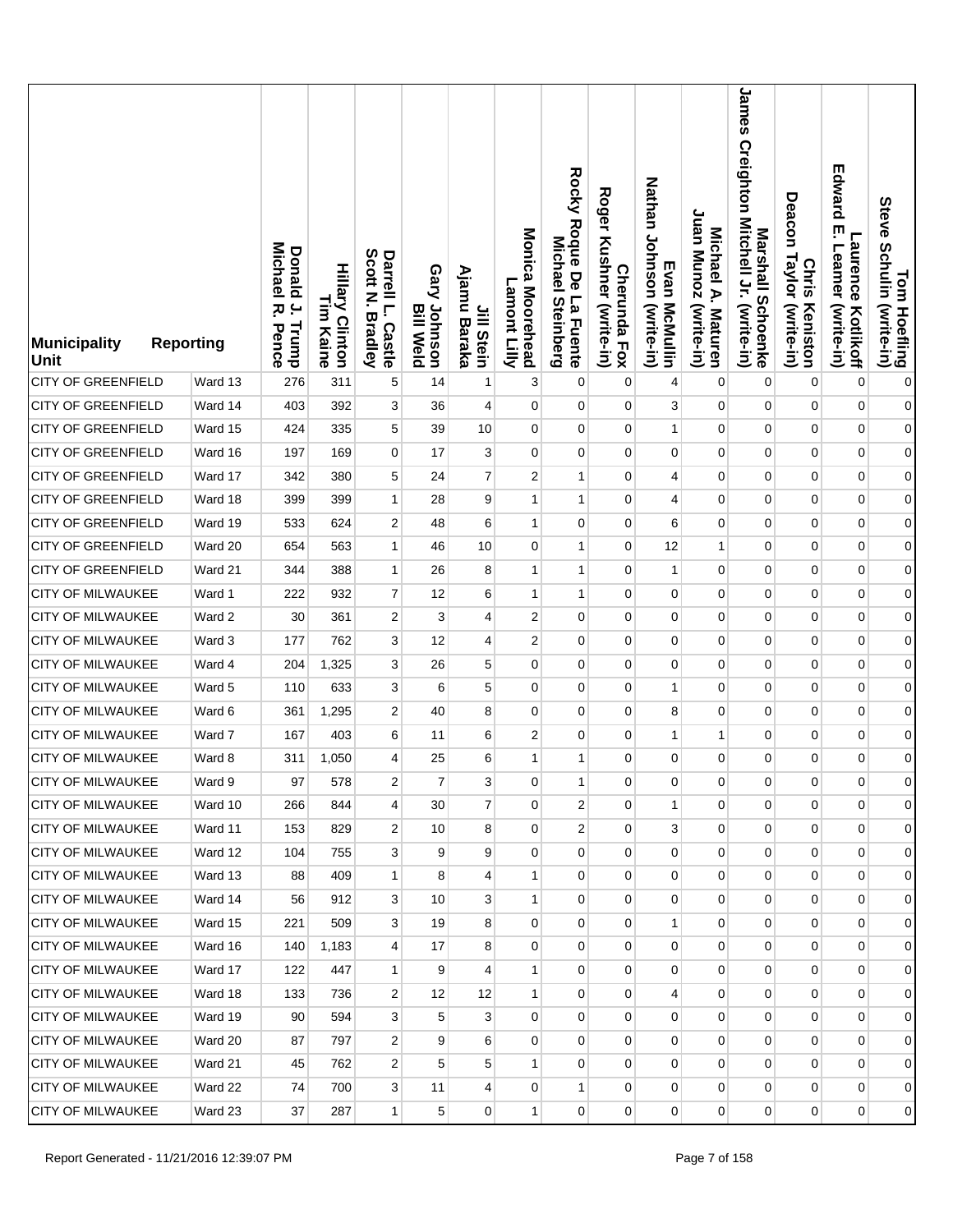| Municipality<br>Unit      | <b>Reporting</b> | <b>Donald</b><br>Michael<br>$\overline{a}$<br>ᄍ<br>Trump<br>Pence | <b>Hillary Clinton</b><br>L<br>E<br>Kaine | Scott<br>Darrell L.<br>Z<br><b>Bradley</b><br><b>Castle</b> | Gary Johnson<br><b>Bill Weld</b> | Ajamu<br>Jill Stein<br>Baraka | Monica Moorehead<br>Lamont Lilly | Rocky Roque De La Fuente<br>Michael<br><b>Steinberg</b> | <b>Roger</b><br>Kushner (write-in)<br><b>Cherunda Fox</b> | Nathan Johnson (write-in)<br>Evan McMullin | Juan Munoz (write-in)<br>Michael A. Maturen | James Creighton Mitchell Jr. (write-in)<br>Marshall Schoenke | Deacon<br>Taylor (write-in)<br><b>Chris</b><br>Keniston | Edward<br>ŗ<br><b>Laurence</b><br>Leamer<br>(write-in)<br>Kotlikoff | Tom Hoefling<br>Steve Schulin (write-in) |
|---------------------------|------------------|-------------------------------------------------------------------|-------------------------------------------|-------------------------------------------------------------|----------------------------------|-------------------------------|----------------------------------|---------------------------------------------------------|-----------------------------------------------------------|--------------------------------------------|---------------------------------------------|--------------------------------------------------------------|---------------------------------------------------------|---------------------------------------------------------------------|------------------------------------------|
| <b>CITY OF GREENFIELD</b> | Ward 13          | 276                                                               | 311                                       | 5                                                           | 14                               | 1                             | 3                                | 0                                                       | $\mathbf 0$                                               | $\overline{4}$                             | 0                                           | $\mathbf 0$                                                  | 0                                                       | $\mathbf 0$                                                         | $\pmb{0}$                                |
| <b>CITY OF GREENFIELD</b> | Ward 14          | 403                                                               | 392                                       | 3                                                           | 36                               | $\overline{4}$                | 0                                | 0                                                       | $\mathbf 0$                                               | 3                                          | 0                                           | 0                                                            | $\mathbf 0$                                             | $\pmb{0}$                                                           | $\mathbf{0}$                             |
| <b>CITY OF GREENFIELD</b> | Ward 15          | 424                                                               | 335                                       | 5                                                           | 39                               | 10                            | $\mathbf 0$                      | $\mathbf 0$                                             | 0                                                         | $\mathbf{1}$                               | 0                                           | $\pmb{0}$                                                    | 0                                                       | $\pmb{0}$                                                           | $\mathbf{0}$                             |
| <b>CITY OF GREENFIELD</b> | Ward 16          | 197                                                               | 169                                       | 0                                                           | 17                               | 3                             | $\mathbf 0$                      | 0                                                       | 0                                                         | 0                                          | 0                                           | 0                                                            | 0                                                       | $\pmb{0}$                                                           | $\mathbf{0}$                             |
| <b>CITY OF GREENFIELD</b> | Ward 17          | 342                                                               | 380                                       | 5                                                           | 24                               | $\overline{7}$                | $\overline{2}$                   | $\mathbf{1}$                                            | 0                                                         | 4                                          | 0                                           | $\mathbf 0$                                                  | $\mathbf 0$                                             | $\pmb{0}$                                                           | $\mathbf{0}$                             |
| <b>CITY OF GREENFIELD</b> | Ward 18          | 399                                                               | 399                                       | $\mathbf{1}$                                                | 28                               | 9                             | 1                                | 1                                                       | 0                                                         | 4                                          | 0                                           | 0                                                            | 0                                                       | $\mathbf 0$                                                         | $\mathbf{0}$                             |
| <b>CITY OF GREENFIELD</b> | Ward 19          | 533                                                               | 624                                       | 2                                                           | 48                               | 6                             | $\mathbf{1}$                     | $\mathbf 0$                                             | 0                                                         | 6                                          | 0                                           | $\mathbf{0}$                                                 | $\mathbf 0$                                             | $\pmb{0}$                                                           | $\mathbf{0}$                             |
| <b>CITY OF GREENFIELD</b> | Ward 20          | 654                                                               | 563                                       | 1                                                           | 46                               | 10                            | $\mathbf 0$                      | 1                                                       | $\mathbf 0$                                               | 12                                         | 1                                           | 0                                                            | 0                                                       | $\mathbf 0$                                                         | $\boldsymbol{0}$                         |
| CITY OF GREENFIELD        | Ward 21          | 344                                                               | 388                                       | $\mathbf{1}$                                                | 26                               | 8                             | 1                                | 1                                                       | $\mathbf 0$                                               | $\mathbf{1}$                               | 0                                           | $\mathbf 0$                                                  | $\mathbf 0$                                             | $\pmb{0}$                                                           | $\mathbf{0}$                             |
| <b>CITY OF MILWAUKEE</b>  | Ward 1           | 222                                                               | 932                                       | 7                                                           | 12                               | 6                             | 1                                | 1                                                       | 0                                                         | $\mathbf 0$                                | 0                                           | 0                                                            | 0                                                       | $\mathbf 0$                                                         | $\mathbf{0}$                             |
| <b>CITY OF MILWAUKEE</b>  | Ward 2           | 30                                                                | 361                                       | 2                                                           | 3                                | 4                             | $\overline{2}$                   | $\mathbf 0$                                             | $\mathbf 0$                                               | 0                                          | 0                                           | 0                                                            | 0                                                       | $\pmb{0}$                                                           | $\mathbf{0}$                             |
| CITY OF MILWAUKEE         | Ward 3           | 177                                                               | 762                                       | 3                                                           | 12                               | 4                             | $\overline{2}$                   | $\mathbf 0$                                             | 0                                                         | 0                                          | 0                                           | 0                                                            | 0                                                       | $\mathbf 0$                                                         | $\mathbf{0}$                             |
| CITY OF MILWAUKEE         | Ward 4           | 204                                                               | 1,325                                     | 3                                                           | 26                               | 5                             | $\mathbf 0$                      | $\mathbf 0$                                             | $\mathbf 0$                                               | $\mathbf 0$                                | 0                                           | $\pmb{0}$                                                    | $\mathbf 0$                                             | $\pmb{0}$                                                           | $\boldsymbol{0}$                         |
| <b>CITY OF MILWAUKEE</b>  | Ward 5           | 110                                                               | 633                                       | 3                                                           | 6                                | 5                             | $\mathbf 0$                      | $\mathbf 0$                                             | 0                                                         | $\mathbf{1}$                               | 0                                           | 0                                                            | $\mathbf 0$                                             | $\mathbf 0$                                                         | $\overline{0}$                           |
| <b>CITY OF MILWAUKEE</b>  | Ward 6           | 361                                                               | 1,295                                     | 2                                                           | 40                               | 8                             | 0                                | 0                                                       | 0                                                         | 8                                          | 0                                           | 0                                                            | 0                                                       | $\mathbf 0$                                                         | $\boldsymbol{0}$                         |
| CITY OF MILWAUKEE         | Ward 7           | 167                                                               | 403                                       | 6                                                           | 11                               | 6                             | $\overline{2}$                   | 0                                                       | 0                                                         | $\mathbf{1}$                               | 1                                           | 0                                                            | 0                                                       | $\mathbf 0$                                                         | $\overline{0}$                           |
| CITY OF MILWAUKEE         | Ward 8           | 311                                                               | 1,050                                     | 4                                                           | 25                               | 6                             | 1                                | 1                                                       | 0                                                         | 0                                          | 0                                           | 0                                                            | 0                                                       | $\mathbf 0$                                                         | $\boldsymbol{0}$                         |
| <b>CITY OF MILWAUKEE</b>  | Ward 9           | 97                                                                | 578                                       | $\overline{\mathbf{c}}$                                     | $\overline{7}$                   | 3                             | 0                                | 1                                                       | 0                                                         | 0                                          | 0                                           | 0                                                            | 0                                                       | 0                                                                   | $\overline{0}$                           |
| <b>CITY OF MILWAUKEE</b>  | Ward 10          | 266                                                               | 844                                       | 4                                                           | 30                               | $\overline{7}$                | 0                                | 2                                                       | 0                                                         | $\mathbf{1}$                               | 0                                           | $\mathbf{0}$                                                 | 0                                                       | $\mathbf 0$                                                         | $\overline{0}$                           |
| CITY OF MILWAUKEE         | Ward 11          | 153                                                               | 829                                       | 2                                                           | 10 <sup>1</sup>                  | 8                             | 0                                | 2                                                       | 0                                                         | 3                                          | 0                                           | $\overline{0}$                                               | $\mathbf 0$                                             | $\mathbf 0$                                                         | $\overline{0}$                           |
| <b>CITY OF MILWAUKEE</b>  | Ward 12          | 104                                                               | 755                                       | 3                                                           | 9                                | 9                             | 0                                | 0                                                       | $\mathbf 0$                                               | $\mathbf 0$                                | $\mathbf 0$                                 | $\mathbf 0$                                                  | 0                                                       | 0                                                                   | $\overline{0}$                           |
| <b>CITY OF MILWAUKEE</b>  | Ward 13          | 88                                                                | 409                                       | 1                                                           | 8                                | $\overline{4}$                | $\mathbf{1}$                     | $\mathbf 0$                                             | 0                                                         | $\mathbf 0$                                | 0                                           | $\overline{0}$                                               | $\mathbf 0$                                             | $\pmb{0}$                                                           | $\overline{0}$                           |
| CITY OF MILWAUKEE         | Ward 14          | 56                                                                | 912                                       | 3                                                           | 10 <sup>1</sup>                  | 3                             | $\mathbf{1}$                     | 0                                                       | $\mathbf 0$                                               | $\mathbf 0$                                | 0                                           | $\mathbf 0$                                                  | 0                                                       | 0                                                                   | $\overline{0}$                           |
| <b>CITY OF MILWAUKEE</b>  | Ward 15          | 221                                                               | 509                                       | 3                                                           | 19                               | 8                             | $\mathbf 0$                      | $\mathbf 0$                                             | 0                                                         | 1                                          | 0                                           | 0                                                            | $\overline{0}$                                          | 0                                                                   | $\overline{0}$                           |
| CITY OF MILWAUKEE         | Ward 16          | 140                                                               | 1,183                                     | $\overline{4}$                                              | 17                               | 8                             | 0                                | 0                                                       | 0                                                         | $\mathbf 0$                                | 0                                           | 0                                                            | 0                                                       | 0                                                                   | $\overline{0}$                           |
| <b>CITY OF MILWAUKEE</b>  | Ward 17          | 122                                                               | 447                                       | $\mathbf{1}$                                                | 9                                | $\overline{4}$                | $\mathbf{1}$                     | $\overline{0}$                                          | $\overline{0}$                                            | 0                                          | 0                                           | $\mathbf 0$                                                  | $\overline{0}$                                          | $\pmb{0}$                                                           | $\overline{0}$                           |
| <b>CITY OF MILWAUKEE</b>  | Ward 18          | 133                                                               | 736                                       | 2                                                           | 12                               | 12                            | 1                                | 0                                                       | 0                                                         | 4                                          | 0                                           | $\mathbf 0$                                                  | 0                                                       | 0                                                                   | $\overline{0}$                           |
| <b>CITY OF MILWAUKEE</b>  | Ward 19          | 90                                                                | 594                                       | 3                                                           | 5                                | 3                             | $\mathbf 0$                      | $\overline{0}$                                          | $\overline{0}$                                            | $\mathbf 0$                                | 0                                           | 0                                                            | $\overline{0}$                                          | 0                                                                   | $\overline{0}$                           |
| <b>CITY OF MILWAUKEE</b>  | Ward 20          | 87                                                                | 797                                       | 2                                                           | 9                                | 6                             | 0                                | 0                                                       | 0                                                         | 0                                          | 0                                           | $\mathbf 0$                                                  | 0                                                       | 0                                                                   | $\overline{0}$                           |
| CITY OF MILWAUKEE         | Ward 21          | 45                                                                | 762                                       | 2                                                           | 5                                | 5                             | $\mathbf{1}$                     | 0                                                       | $\overline{0}$                                            | 0                                          | $\overline{0}$                              | $\mathbf{0}$                                                 | $\overline{0}$                                          | 0                                                                   | $\overline{0}$                           |
| CITY OF MILWAUKEE         | Ward 22          | 74                                                                | 700                                       | 3                                                           | 11                               | $\overline{4}$                | 0                                | $\mathbf{1}$                                            | $\mathbf{0}$                                              | 0                                          | $\mathbf{0}$                                | $\mathbf 0$                                                  | $\overline{0}$                                          | 0                                                                   | $\overline{0}$                           |
| <b>CITY OF MILWAUKEE</b>  | Ward 23          | 37                                                                | 287                                       | $\mathbf{1}$                                                | 5                                | $\overline{0}$                | $\mathbf{1}$                     | $\overline{0}$                                          | 0                                                         | 0                                          | 0                                           | $\overline{0}$                                               | $\overline{0}$                                          | 0                                                                   | $\overline{0}$                           |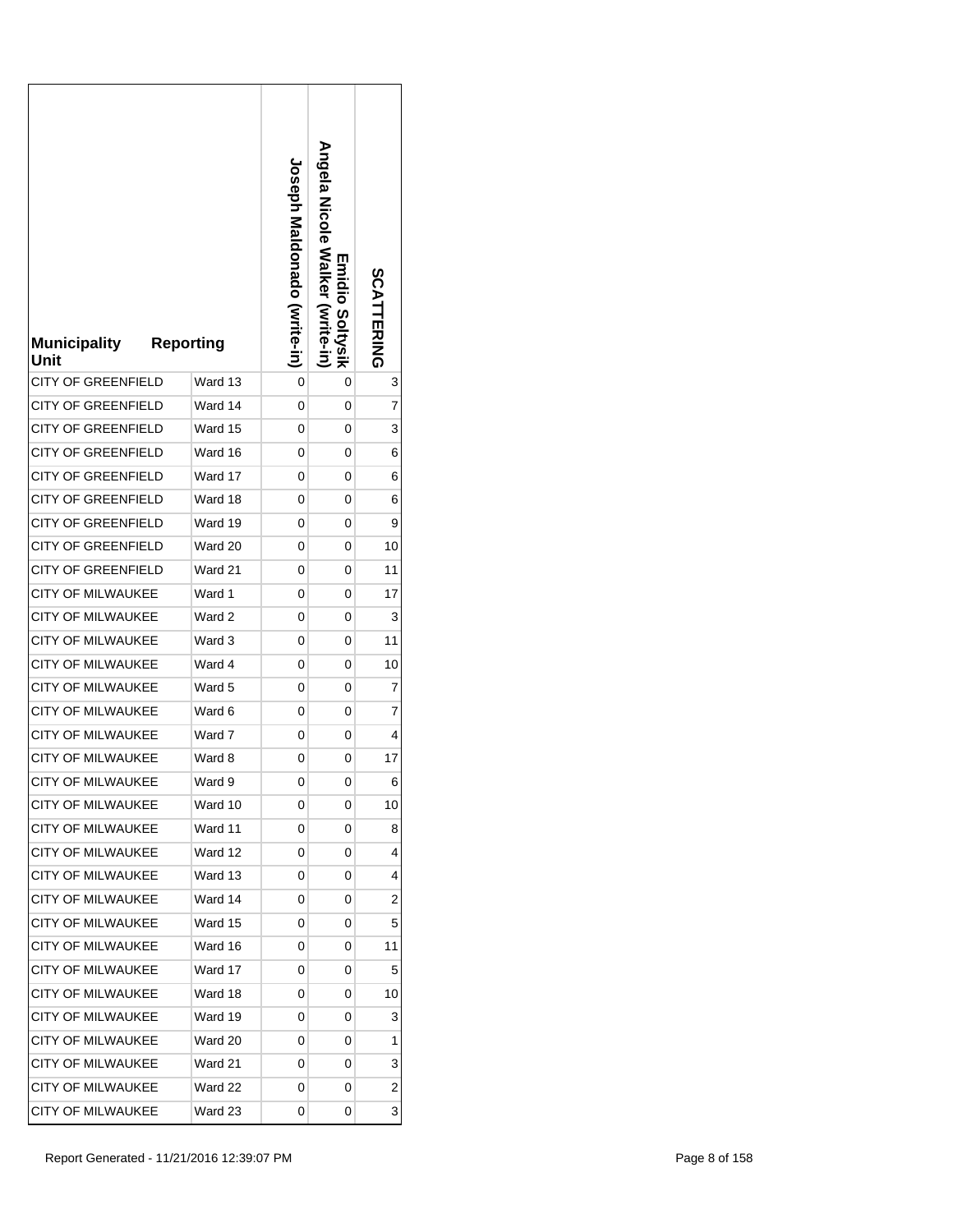| <b>Municipality</b><br>Unit | <b>Reporting</b> | <b>Joseph Maldonado (vrite-in)</b> | <b>Angela Nicole Walker</b><br>Emidio Soltysik<br>(Write-in | SCATTERING |
|-----------------------------|------------------|------------------------------------|-------------------------------------------------------------|------------|
| <b>CITY OF GREENFIELD</b>   | Ward 13          | 0                                  | 0                                                           | 3          |
| <b>CITY OF GREENFIELD</b>   | Ward 14          | 0                                  | 0                                                           | 7          |
| <b>CITY OF GREENFIELD</b>   | Ward 15          | 0                                  | 0                                                           | 3          |
| <b>CITY OF GREENFIELD</b>   | Ward 16          | 0                                  | 0                                                           | 6          |
| <b>CITY OF GREENFIELD</b>   | Ward 17          | 0                                  | 0                                                           | 6          |
| <b>CITY OF GREENFIELD</b>   | Ward 18          | 0                                  | 0                                                           | 6          |
| <b>CITY OF GREENFIELD</b>   | Ward 19          | 0                                  | 0                                                           | 9          |
| <b>CITY OF GREENFIELD</b>   | Ward 20          | 0                                  | 0                                                           | 10         |
| <b>CITY OF GREENFIELD</b>   | Ward 21          | 0                                  | 0                                                           | 11         |
| <b>CITY OF MILWAUKEE</b>    | Ward 1           | 0                                  | 0                                                           | 17         |
| <b>CITY OF MILWAUKEE</b>    | Ward 2           | 0                                  | 0                                                           | 3          |
| <b>CITY OF MILWAUKEE</b>    | Ward 3           | 0                                  | 0                                                           | 11         |
| CITY OF MILWAUKEE           | Ward 4           | 0                                  | 0                                                           | 10         |
| <b>CITY OF MILWAUKEE</b>    | Ward 5           | 0                                  | 0                                                           | 7          |
| <b>CITY OF MILWAUKEE</b>    | Ward 6           | 0                                  | 0                                                           | 7          |
| <b>CITY OF MILWAUKEE</b>    | Ward 7           | 0                                  | 0                                                           | 4          |
| <b>CITY OF MILWAUKEE</b>    | Ward 8           | 0                                  | 0                                                           | 17         |
| CITY OF MILWAUKEE           | Ward 9           | 0                                  | 0                                                           | 6          |
| <b>CITY OF MILWAUKEE</b>    | Ward 10          | 0                                  | 0                                                           | 10         |
| <b>CITY OF MILWAUKEE</b>    | Ward 11          | 0                                  | 0                                                           | 8          |
| <b>CITY OF MILWAUKEE</b>    | Ward 12          | 0                                  | 0                                                           | 4          |
| <b>CITY OF MILWAUKEE</b>    | Ward 13          | 0                                  | 0                                                           | 4          |
| <b>CITY OF MILWAUKEE</b>    | Ward 14          | 0                                  | 0                                                           | 2          |
| <b>CITY OF MILWAUKEE</b>    | Ward 15          | 0                                  | 0                                                           | 5          |
| <b>CITY OF MILWAUKEE</b>    | Ward 16          | 0                                  | 0                                                           | 11         |
| CITY OF MILWAUKEE           | Ward 17          | 0                                  | 0                                                           | 5          |
| <b>CITY OF MILWAUKEE</b>    | Ward 18          | 0                                  | 0                                                           | 10         |
| <b>CITY OF MILWAUKEE</b>    | Ward 19          | 0                                  | 0                                                           | 3          |
| <b>CITY OF MILWAUKEE</b>    | Ward 20          | 0                                  | 0                                                           | 1          |
| <b>CITY OF MILWAUKEE</b>    | Ward 21          | 0                                  | 0                                                           | 3          |
| <b>CITY OF MILWAUKEE</b>    | Ward 22          | 0                                  | 0                                                           | 2          |
| CITY OF MILWAUKEE           | Ward 23          | 0                                  | 0                                                           | 3          |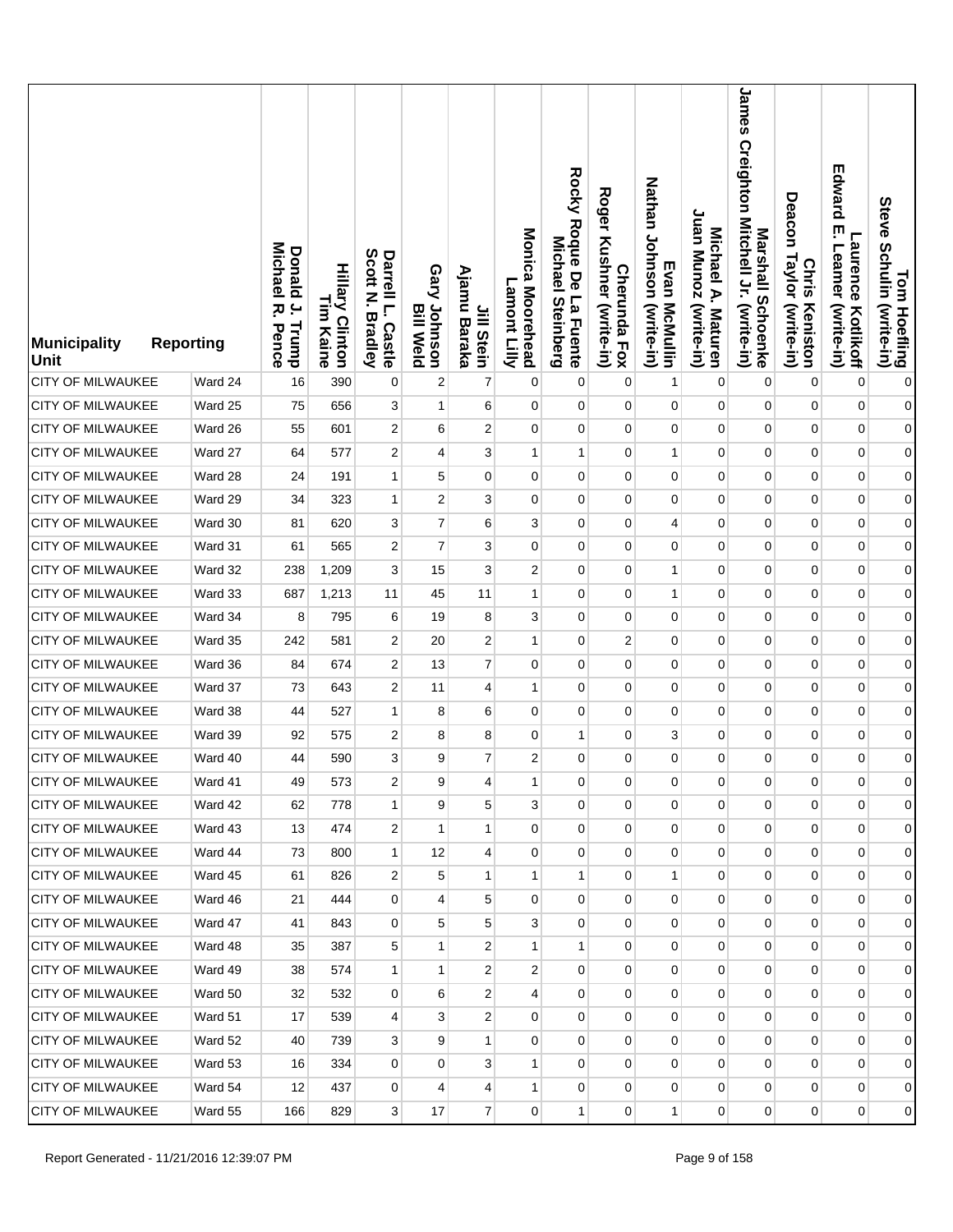| <b>Municipality</b><br><b>Unit</b> | <b>Reporting</b> | <b>Donald</b><br>Michael<br>$\overline{a}$<br>ᅎ<br>Trump<br>Pence | <b>Hillary Clinton</b><br>L<br>E<br>Kaine | Scott<br>Darrell L.<br>Z<br><b>Bradley</b><br>Castle | Gary Johnson<br><b>Bill Weld</b> | Ajamu<br>Jill Stein<br>Baraka | Monica Moorehead<br>Lamont Lilly | Rocky Roque De La Fuente<br><b>Michael</b><br><b>Steinberg</b> | <b>Roger</b><br>Kushner (write-in)<br><b>Cherunda Fox</b> | Nathan Johnson (write-in)<br>Evan McMullin | Juan Munoz (write-in)<br>Michael A. Maturen | James Creighton Mitchell Jr. (write-in)<br>Marshall Schoenke | Deacon<br>Taylor (write-in)<br><b>Chris</b><br>Keniston | Edward<br>ŗ<br><b>Laurence</b><br>Leamer<br>(write-in)<br>Kotlikoff | Tom Hoefling<br>Steve Schulin (write-in) |
|------------------------------------|------------------|-------------------------------------------------------------------|-------------------------------------------|------------------------------------------------------|----------------------------------|-------------------------------|----------------------------------|----------------------------------------------------------------|-----------------------------------------------------------|--------------------------------------------|---------------------------------------------|--------------------------------------------------------------|---------------------------------------------------------|---------------------------------------------------------------------|------------------------------------------|
| <b>CITY OF MILWAUKEE</b>           | Ward 24          | 16                                                                | 390                                       | 0                                                    | $\overline{\mathbf{c}}$          | $\overline{7}$                | 0                                | 0                                                              | $\mathbf 0$                                               | $\mathbf{1}$                               | 0                                           | $\mathbf 0$                                                  | 0                                                       | $\mathbf 0$                                                         | $\pmb{0}$                                |
| CITY OF MILWAUKEE                  | Ward 25          | 75                                                                | 656                                       | 3                                                    | 1                                | 6                             | 0                                | 0                                                              | $\mathbf 0$                                               | 0                                          | 0                                           | $\mathbf 0$                                                  | $\mathbf 0$                                             | $\pmb{0}$                                                           | $\mathbf{0}$                             |
| <b>CITY OF MILWAUKEE</b>           | Ward 26          | 55                                                                | 601                                       | 2                                                    | 6                                | $\overline{2}$                | $\mathbf 0$                      | $\mathbf 0$                                                    | 0                                                         | $\mathbf 0$                                | $\pmb{0}$                                   | $\pmb{0}$                                                    | $\mathbf 0$                                             | $\pmb{0}$                                                           | $\mathbf{0}$                             |
| <b>CITY OF MILWAUKEE</b>           | Ward 27          | 64                                                                | 577                                       | 2                                                    | 4                                | 3                             | 1                                | 1                                                              | $\mathbf 0$                                               | $\mathbf{1}$                               | 0                                           | 0                                                            | 0                                                       | $\pmb{0}$                                                           | $\mathbf{0}$                             |
| <b>CITY OF MILWAUKEE</b>           | Ward 28          | 24                                                                | 191                                       | $\mathbf{1}$                                         | 5                                | $\mathbf 0$                   | $\mathbf 0$                      | $\mathbf 0$                                                    | 0                                                         | $\mathbf 0$                                | 0                                           | $\mathbf 0$                                                  | $\mathbf 0$                                             | $\pmb{0}$                                                           | $\overline{0}$                           |
| <b>CITY OF MILWAUKEE</b>           | Ward 29          | 34                                                                | 323                                       | $\mathbf{1}$                                         | 2                                | 3                             | 0                                | 0                                                              | 0                                                         | 0                                          | 0                                           | $\mathbf 0$                                                  | 0                                                       | $\mathbf 0$                                                         | $\mathbf{0}$                             |
| <b>CITY OF MILWAUKEE</b>           | Ward 30          | 81                                                                | 620                                       | 3                                                    | $\overline{7}$                   | 6                             | 3                                | $\mathbf 0$                                                    | 0                                                         | 4                                          | 0                                           | $\mathbf{0}$                                                 | $\mathbf 0$                                             | $\pmb{0}$                                                           | $\mathbf{0}$                             |
| <b>CITY OF MILWAUKEE</b>           | Ward 31          | 61                                                                | 565                                       | 2                                                    | $\overline{7}$                   | 3                             | $\mathbf 0$                      | $\mathbf 0$                                                    | $\mathbf 0$                                               | $\mathbf 0$                                | 0                                           | 0                                                            | 0                                                       | 0                                                                   | $\mathbf{0}$                             |
| CITY OF MILWAUKEE                  | Ward 32          | 238                                                               | 1,209                                     | 3                                                    | 15                               | 3                             | $\overline{c}$                   | $\mathbf 0$                                                    | $\mathbf 0$                                               | $\mathbf{1}$                               | 0                                           | $\mathbf 0$                                                  | $\mathbf 0$                                             | $\pmb{0}$                                                           | $\boldsymbol{0}$                         |
| <b>CITY OF MILWAUKEE</b>           | Ward 33          | 687                                                               | 1,213                                     | 11                                                   | 45                               | 11                            | $\mathbf{1}$                     | $\mathbf 0$                                                    | $\mathbf 0$                                               | $\mathbf{1}$                               | 0                                           | 0                                                            | 0                                                       | $\mathbf 0$                                                         | $\boldsymbol{0}$                         |
| <b>CITY OF MILWAUKEE</b>           | Ward 34          | 8                                                                 | 795                                       | 6                                                    | 19                               | 8                             | 3                                | $\mathbf 0$                                                    | $\mathbf 0$                                               | 0                                          | 0                                           | 0                                                            | $\mathbf 0$                                             | $\pmb{0}$                                                           | $\boldsymbol{0}$                         |
| CITY OF MILWAUKEE                  | Ward 35          | 242                                                               | 581                                       | 2                                                    | 20                               | $\overline{2}$                | 1                                | $\mathbf 0$                                                    | 2                                                         | 0                                          | 0                                           | 0                                                            | 0                                                       | $\mathbf 0$                                                         | $\boldsymbol{0}$                         |
| CITY OF MILWAUKEE                  | Ward 36          | 84                                                                | 674                                       | 2                                                    | 13                               | $\overline{7}$                | $\mathbf 0$                      | $\mathbf 0$                                                    | $\mathbf 0$                                               | $\mathbf 0$                                | 0                                           | $\mathbf 0$                                                  | $\mathbf 0$                                             | $\pmb{0}$                                                           | $\boldsymbol{0}$                         |
| <b>CITY OF MILWAUKEE</b>           | Ward 37          | 73                                                                | 643                                       | 2                                                    | 11                               | 4                             | $\mathbf{1}$                     | $\mathbf 0$                                                    | 0                                                         | 0                                          | 0                                           | 0                                                            | 0                                                       | $\mathbf 0$                                                         | $\boldsymbol{0}$                         |
| <b>CITY OF MILWAUKEE</b>           | Ward 38          | 44                                                                | 527                                       | $\mathbf{1}$                                         | 8                                | 6                             | 0                                | $\mathbf 0$                                                    | $\mathbf 0$                                               | 0                                          | 0                                           | 0                                                            | 0                                                       | $\pmb{0}$                                                           | $\boldsymbol{0}$                         |
| CITY OF MILWAUKEE                  | Ward 39          | 92                                                                | 575                                       | 2                                                    | 8                                | 8                             | $\mathbf 0$                      | 1                                                              | 0                                                         | 3                                          | 0                                           | 0                                                            | 0                                                       | $\mathbf 0$                                                         | $\overline{0}$                           |
| <b>CITY OF MILWAUKEE</b>           | Ward 40          | 44                                                                | 590                                       | 3                                                    | 9                                | $\overline{7}$                | $\overline{c}$                   | $\mathbf 0$                                                    | 0                                                         | 0                                          | 0                                           | 0                                                            | 0                                                       | $\mathbf 0$                                                         | $\boldsymbol{0}$                         |
| <b>CITY OF MILWAUKEE</b>           | Ward 41          | 49                                                                | 573                                       | $\overline{\mathbf{c}}$                              | 9 <sup>°</sup>                   | 4                             | $\mathbf{1}$                     | 0                                                              | $\pmb{0}$                                                 | 0                                          | 0                                           | 0                                                            | 0                                                       | 0                                                                   | $\overline{0}$                           |
| <b>CITY OF MILWAUKEE</b>           | Ward 42          | 62                                                                | 778                                       | $\mathbf{1}$                                         | 9                                | 5                             | 3                                | 0                                                              | 0                                                         | 0                                          | 0                                           | $\mathbf{0}$                                                 | 0                                                       | $\mathbf 0$                                                         | $\overline{0}$                           |
| <b>CITY OF MILWAUKEE</b>           | Ward 43          | 13                                                                | 474                                       | $\overline{2}$                                       | 1                                | 1                             | 0                                | 0                                                              | 0                                                         | 0                                          | 0                                           | $\overline{0}$                                               | $\mathbf 0$                                             | $\mathbf 0$                                                         | $\overline{0}$                           |
| <b>CITY OF MILWAUKEE</b>           | Ward 44          | 73                                                                | 800                                       | $\mathbf{1}$                                         | 12                               | 4                             | 0                                | 0                                                              | $\mathbf 0$                                               | $\mathbf 0$                                | 0                                           | 0                                                            | 0                                                       | 0                                                                   | $\overline{0}$                           |
| <b>CITY OF MILWAUKEE</b>           | Ward 45          | 61                                                                | 826                                       | 2                                                    | 5                                | $\mathbf{1}$                  | $\mathbf{1}$                     | 1                                                              | 0                                                         | $\mathbf{1}$                               | 0                                           | $\overline{0}$                                               | $\mathbf 0$                                             | $\pmb{0}$                                                           | $\overline{0}$                           |
| CITY OF MILWAUKEE                  | Ward 46          | 21                                                                | 444                                       | $\overline{0}$                                       | 4                                | 5                             | 0                                | 0                                                              | $\mathbf 0$                                               | $\mathbf 0$                                | 0                                           | $\mathbf 0$                                                  | 0                                                       | 0                                                                   | $\overline{0}$                           |
| <b>CITY OF MILWAUKEE</b>           | Ward 47          | 41                                                                | 843                                       | 0                                                    | 5                                | 5                             | 3                                | $\mathbf 0$                                                    | 0                                                         | $\mathbf 0$                                | 0                                           | 0                                                            | 0                                                       | 0                                                                   | $\overline{0}$                           |
| CITY OF MILWAUKEE                  | Ward 48          | 35                                                                | 387                                       | 5                                                    | 1                                | $\overline{2}$                | 1                                | 1                                                              | 0                                                         | 0                                          | 0                                           | 0                                                            | 0                                                       | 0                                                                   | $\overline{0}$                           |
| <b>CITY OF MILWAUKEE</b>           | Ward 49          | 38                                                                | 574                                       | $\mathbf{1}$                                         | $\mathbf{1}$                     | $\overline{2}$                | 2                                | 0                                                              | 0                                                         | $\mathbf 0$                                | 0                                           | $\mathbf 0$                                                  | $\overline{0}$                                          | $\pmb{0}$                                                           | $\overline{0}$                           |
| <b>CITY OF MILWAUKEE</b>           | Ward 50          | 32                                                                | 532                                       | 0                                                    | 6                                | $\overline{2}$                | 4                                | 0                                                              | 0                                                         | 0                                          | 0                                           | $\mathbf 0$                                                  | 0                                                       | 0                                                                   | $\overline{0}$                           |
| <b>CITY OF MILWAUKEE</b>           | Ward 51          | 17                                                                | 539                                       | $\overline{4}$                                       | 3                                | $\overline{2}$                | $\mathbf 0$                      | $\overline{0}$                                                 | $\overline{0}$                                            | $\mathbf 0$                                | 0                                           | 0                                                            | $\overline{0}$                                          | 0                                                                   | $\overline{0}$                           |
| <b>CITY OF MILWAUKEE</b>           | Ward 52          | 40                                                                | 739                                       | 3                                                    | 9                                | 1                             | 0                                | 0                                                              | 0                                                         | 0                                          | 0                                           | $\mathbf 0$                                                  | 0                                                       | 0                                                                   | $\overline{0}$                           |
| CITY OF MILWAUKEE                  | Ward 53          | 16                                                                | 334                                       | $\overline{0}$                                       | $\overline{0}$                   | 3                             | $\mathbf{1}$                     | 0                                                              | $\overline{0}$                                            | 0                                          | $\overline{0}$                              | $\mathbf{0}$                                                 | $\overline{0}$                                          | 0                                                                   | $\overline{0}$                           |
| CITY OF MILWAUKEE                  | Ward 54          | 12                                                                | 437                                       | $\mathbf{0}$                                         | 4                                | $\overline{4}$                | 1                                | 0                                                              | 0                                                         | 0                                          | $\mathbf 0$                                 | $\mathbf 0$                                                  | $\overline{0}$                                          | 0                                                                   | $\overline{0}$                           |
| <b>CITY OF MILWAUKEE</b>           | Ward 55          | 166                                                               | 829                                       | 3                                                    | 17                               | $\overline{7}$                | 0                                | 1                                                              | $\mathbf 0$                                               | $\mathbf{1}$                               | 0                                           | 0                                                            | $\overline{0}$                                          | 0                                                                   | $\overline{0}$                           |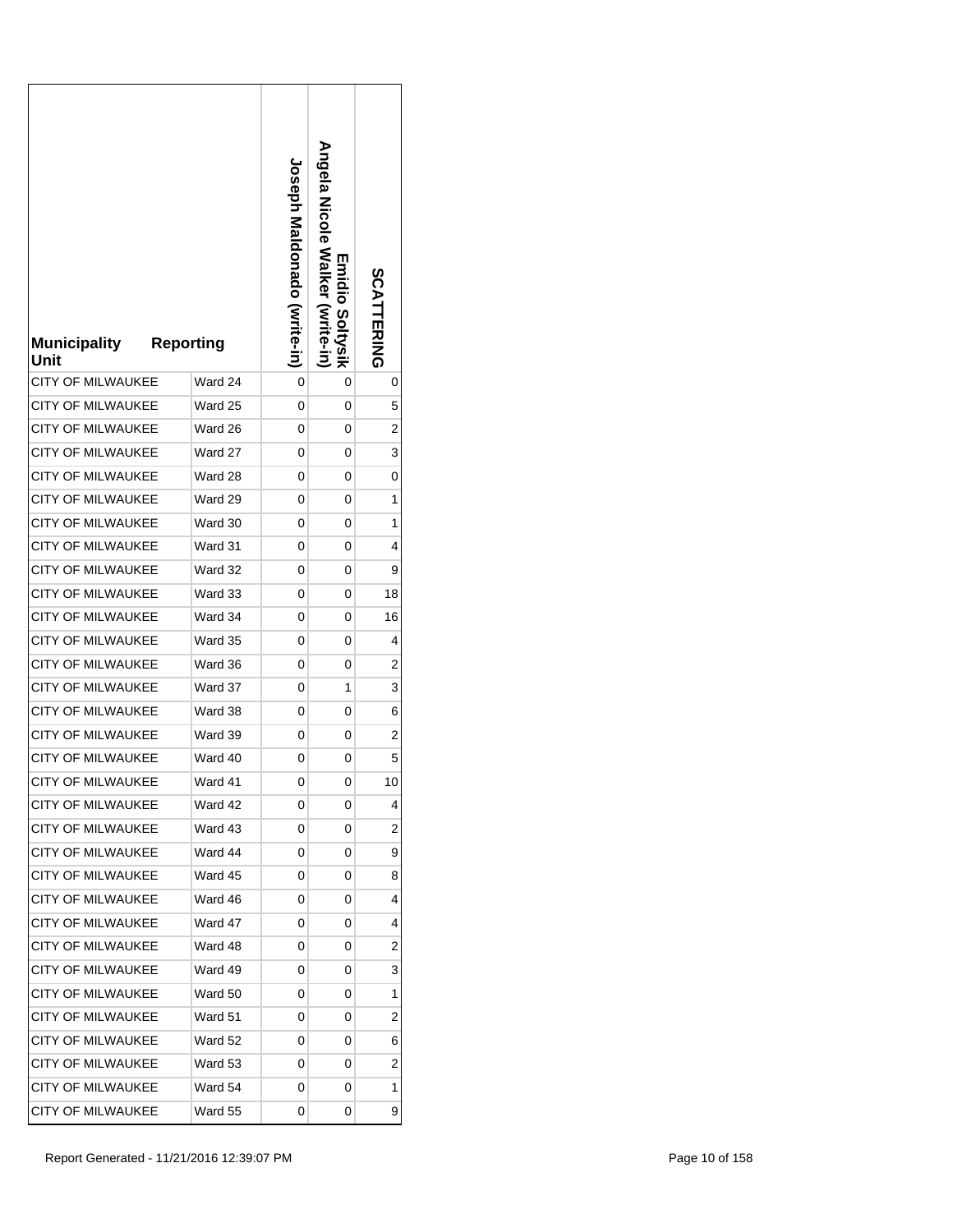| <b>Municipality</b><br>Unit | <b>Reporting</b> | <b>Joseph Maldonado (Svrite-in)</b> | Angela Nicole Walker (write-in)<br><b>Emidio Soltysik</b> | SCATTERING     |
|-----------------------------|------------------|-------------------------------------|-----------------------------------------------------------|----------------|
| <b>CITY OF MILWAUKEE</b>    | Ward 24          | 0                                   | 0                                                         | 0              |
| <b>CITY OF MILWAUKEE</b>    | Ward 25          | 0                                   | 0                                                         | 5              |
| <b>CITY OF MILWAUKEE</b>    | Ward 26          | 0                                   | 0                                                         | 2              |
| <b>CITY OF MILWAUKEE</b>    | Ward 27          | 0                                   | 0                                                         | 3              |
| CITY OF MILWAUKEE           | Ward 28          | 0                                   | 0                                                         | 0              |
| CITY OF MILWAUKEE           | Ward 29          | 0                                   | 0                                                         | 1              |
| <b>CITY OF MILWAUKEE</b>    | Ward 30          | 0                                   | 0                                                         | 1              |
| <b>CITY OF MILWAUKEE</b>    | Ward 31          | 0                                   | 0                                                         | 4              |
| <b>CITY OF MILWAUKEE</b>    | Ward 32          | 0                                   | 0                                                         | 9              |
| <b>CITY OF MILWAUKEE</b>    | Ward 33          | 0                                   | 0                                                         | 18             |
| <b>CITY OF MILWAUKEE</b>    | Ward 34          | 0                                   | 0                                                         | 16             |
| CITY OF MILWAUKEE           | Ward 35          | 0                                   | 0                                                         | 4              |
| CITY OF MILWAUKEE           | Ward 36          | 0                                   | 0                                                         | 2              |
| <b>CITY OF MILWAUKEE</b>    | Ward 37          | 0                                   | 1                                                         | 3              |
| <b>CITY OF MILWAUKEE</b>    | Ward 38          | 0                                   | 0                                                         | 6              |
| <b>CITY OF MILWAUKEE</b>    | Ward 39          | 0                                   | 0                                                         | 2              |
| <b>CITY OF MILWAUKEE</b>    | Ward 40          | 0                                   | 0                                                         | 5              |
| <b>CITY OF MILWAUKEE</b>    | Ward 41          | 0                                   | 0                                                         | 10             |
| <b>CITY OF MILWAUKEE</b>    | Ward 42          | 0                                   | 0                                                         | 4              |
| <b>CITY OF MILWAUKEE</b>    | Ward 43          | 0                                   | 0                                                         | 2              |
| <b>CITY OF MILWAUKEE</b>    | Ward 44          | 0                                   | 0                                                         | 9              |
| <b>CITY OF MILWAUKEE</b>    | Ward 45          | 0                                   | 0                                                         | 8              |
| <b>CITY OF MILWAUKEE</b>    | Ward 46          | 0                                   | 0                                                         | 4              |
| <b>CITY OF MILWAUKEE</b>    | Ward 47          | 0                                   | 0                                                         | 4              |
| <b>CITY OF MILWAUKEE</b>    | Ward 48          | 0                                   | 0                                                         | 2              |
| <b>CITY OF MILWAUKEE</b>    | Ward 49          | 0                                   | 0                                                         | 3              |
| CITY OF MILWAUKEE           | Ward 50          | 0                                   | 0                                                         | 1              |
| CITY OF MILWAUKEE           | Ward 51          | 0                                   | 0                                                         | 2              |
| <b>CITY OF MILWAUKEE</b>    | Ward 52          | 0                                   | 0                                                         | 6              |
| <b>CITY OF MILWAUKEE</b>    | Ward 53          | 0                                   | 0                                                         | $\overline{c}$ |
| <b>CITY OF MILWAUKEE</b>    | Ward 54          | 0                                   | 0                                                         | 1              |
| CITY OF MILWAUKEE           | Ward 55          | 0                                   | 0                                                         | 9              |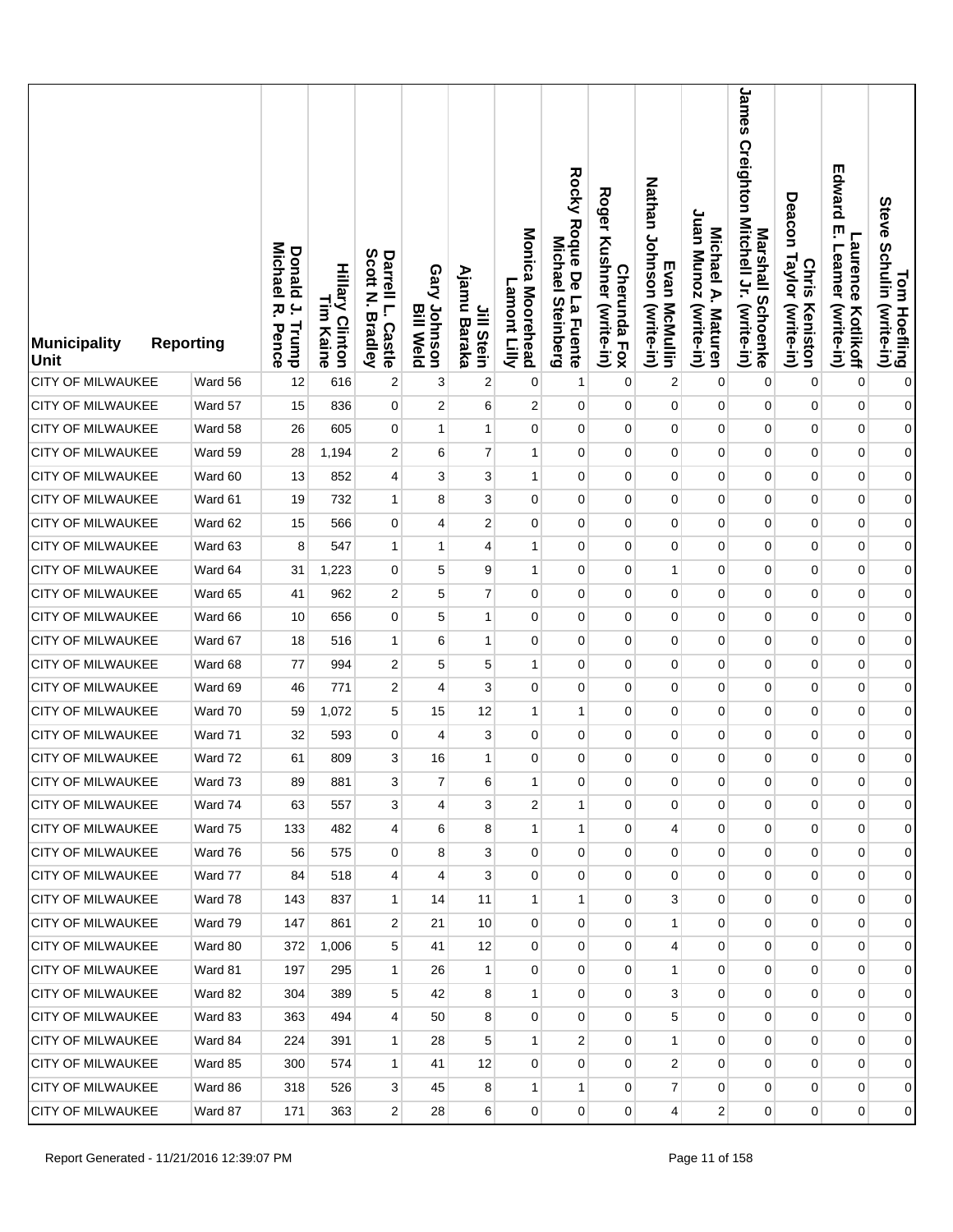| <b>Municipality</b><br><b>Unit</b> | <b>Reporting</b> | <b>Michael</b><br>Donald<br>$\overline{a}$<br>ᅎ<br>Trump<br>Pence | <b>Hillary Clinton</b><br>L<br>E<br>Kaine | Scott<br>Darrell L.<br>Z<br><b>Bradley</b><br><b>Castle</b> | Gary Johnson<br><b>Bill Weld</b> | Ajamu<br>Jill Stein<br>Baraka | Monica Moorehead<br>Lamont Lilly | Rocky Roque De La Fuente<br>Michael<br><b>Steinberg</b> | <b>Roger</b><br>Kushner (write-in)<br><b>Cherunda Fox</b> | Nathan Johnson (write-in)<br>Evan McMullin | Juan Munoz (write-in)<br>Michael A. Maturen | James Creighton Mitchell Jr. (write-in)<br>Marshall Schoenke | Deacon<br>Taylor (write-in)<br><b>Chris</b><br>Keniston | Edward<br>ŗ<br><b>Laurence</b><br>Leamer<br>(write-in)<br>Kotlikoff | Tom Hoefling<br>Steve Schulin (write-in) |
|------------------------------------|------------------|-------------------------------------------------------------------|-------------------------------------------|-------------------------------------------------------------|----------------------------------|-------------------------------|----------------------------------|---------------------------------------------------------|-----------------------------------------------------------|--------------------------------------------|---------------------------------------------|--------------------------------------------------------------|---------------------------------------------------------|---------------------------------------------------------------------|------------------------------------------|
| <b>CITY OF MILWAUKEE</b>           | Ward 56          | 12                                                                | 616                                       | 2                                                           | 3                                | $\boldsymbol{2}$              | 0                                | 1                                                       | $\mathbf 0$                                               | $\boldsymbol{2}$                           | 0                                           | $\mathbf 0$                                                  | 0                                                       | $\mathbf 0$                                                         | $\pmb{0}$                                |
| CITY OF MILWAUKEE                  | Ward 57          | 15                                                                | 836                                       | $\overline{0}$                                              | 2                                | 6                             | $\overline{2}$                   | 0                                                       | $\mathbf 0$                                               | $\mathbf 0$                                | 0                                           | 0                                                            | $\mathbf 0$                                             | $\pmb{0}$                                                           | $\mathbf{0}$                             |
| <b>CITY OF MILWAUKEE</b>           | Ward 58          | 26                                                                | 605                                       | $\mathbf 0$                                                 | 1                                | $\mathbf{1}$                  | $\mathbf 0$                      | 0                                                       | 0                                                         | 0                                          | $\pmb{0}$                                   | $\pmb{0}$                                                    | $\mathbf 0$                                             | $\pmb{0}$                                                           | $\mathbf{0}$                             |
| <b>CITY OF MILWAUKEE</b>           | Ward 59          | 28                                                                | 1,194                                     | 2                                                           | 6                                | $\overline{7}$                | 1                                | 0                                                       | 0                                                         | 0                                          | 0                                           | 0                                                            | 0                                                       | $\pmb{0}$                                                           | $\mathbf{0}$                             |
| <b>CITY OF MILWAUKEE</b>           | Ward 60          | 13                                                                | 852                                       | 4                                                           | 3                                | 3                             | $\mathbf{1}$                     | $\mathbf 0$                                             | 0                                                         | 0                                          | 0                                           | $\mathbf 0$                                                  | $\mathbf 0$                                             | $\pmb{0}$                                                           | $\mathbf{0}$                             |
| <b>CITY OF MILWAUKEE</b>           | Ward 61          | 19                                                                | 732                                       | $\mathbf{1}$                                                | 8                                | 3                             | 0                                | 0                                                       | 0                                                         | 0                                          | 0                                           | $\mathbf 0$                                                  | 0                                                       | $\mathbf 0$                                                         | $\mathbf{0}$                             |
| <b>CITY OF MILWAUKEE</b>           | Ward 62          | 15                                                                | 566                                       | $\overline{0}$                                              | 4                                | $\overline{2}$                | $\mathbf 0$                      | $\mathbf 0$                                             | 0                                                         | $\mathbf 0$                                | 0                                           | $\mathbf{0}$                                                 | $\mathbf 0$                                             | $\pmb{0}$                                                           | $\mathbf{0}$                             |
| <b>CITY OF MILWAUKEE</b>           | Ward 63          | 8                                                                 | 547                                       | $\mathbf{1}$                                                | 1                                | 4                             | 1                                | 0                                                       | $\mathbf 0$                                               | 0                                          | 0                                           | 0                                                            | 0                                                       | $\mathbf 0$                                                         | $\mathbf{0}$                             |
| CITY OF MILWAUKEE                  | Ward 64          | 31                                                                | 1,223                                     | 0                                                           | 5                                | 9                             | $\mathbf{1}$                     | $\mathbf 0$                                             | $\mathbf 0$                                               | $\mathbf{1}$                               | 0                                           | $\mathbf 0$                                                  | $\mathbf 0$                                             | $\pmb{0}$                                                           | $\boldsymbol{0}$                         |
| <b>CITY OF MILWAUKEE</b>           | Ward 65          | 41                                                                | 962                                       | 2                                                           | 5                                | $\overline{7}$                | $\mathbf 0$                      | $\mathbf 0$                                             | 0                                                         | 0                                          | 0                                           | 0                                                            | 0                                                       | $\mathbf 0$                                                         | $\boldsymbol{0}$                         |
| <b>CITY OF MILWAUKEE</b>           | Ward 66          | 10                                                                | 656                                       | 0                                                           | 5                                | $\mathbf{1}$                  | $\mathbf 0$                      | $\mathbf 0$                                             | $\mathbf 0$                                               | 0                                          | 0                                           | 0                                                            | $\mathbf 0$                                             | $\pmb{0}$                                                           | $\boldsymbol{0}$                         |
| CITY OF MILWAUKEE                  | Ward 67          | 18                                                                | 516                                       | 1                                                           | 6                                | 1                             | 0                                | $\mathbf 0$                                             | 0                                                         | 0                                          | 0                                           | 0                                                            | 0                                                       | $\mathbf 0$                                                         | $\boldsymbol{0}$                         |
| CITY OF MILWAUKEE                  | Ward 68          | 77                                                                | 994                                       | 2                                                           | 5                                | 5                             | 1                                | $\mathbf 0$                                             | $\mathbf 0$                                               | $\mathbf 0$                                | 0                                           | $\mathbf 0$                                                  | $\mathbf 0$                                             | $\pmb{0}$                                                           | $\boldsymbol{0}$                         |
| <b>CITY OF MILWAUKEE</b>           | Ward 69          | 46                                                                | 771                                       | 2                                                           | 4                                | 3                             | $\mathbf 0$                      | $\mathbf 0$                                             | 0                                                         | 0                                          | 0                                           | 0                                                            | 0                                                       | $\mathbf 0$                                                         | $\boldsymbol{0}$                         |
| <b>CITY OF MILWAUKEE</b>           | Ward 70          | 59                                                                | 1,072                                     | 5                                                           | 15                               | 12                            | 1                                | 1                                                       | $\mathbf 0$                                               | 0                                          | 0                                           | 0                                                            | 0                                                       | $\pmb{0}$                                                           | $\boldsymbol{0}$                         |
| CITY OF MILWAUKEE                  | Ward 71          | 32                                                                | 593                                       | 0                                                           | 4                                | 3                             | $\mathbf 0$                      | $\mathbf 0$                                             | 0                                                         | 0                                          | 0                                           | 0                                                            | 0                                                       | $\mathbf 0$                                                         | $\overline{0}$                           |
| <b>CITY OF MILWAUKEE</b>           | Ward 72          | 61                                                                | 809                                       | 3                                                           | 16                               | 1                             | $\mathbf 0$                      | $\mathbf 0$                                             | 0                                                         | 0                                          | 0                                           | 0                                                            | 0                                                       | $\mathbf 0$                                                         | $\boldsymbol{0}$                         |
| <b>CITY OF MILWAUKEE</b>           | Ward 73          | 89                                                                | 881                                       | $\mathbf{3}$                                                | $\overline{7}$                   | 6                             | 1                                | 0                                                       | 0                                                         | 0                                          | 0                                           | 0                                                            | 0                                                       | 0                                                                   | $\overline{0}$                           |
| <b>CITY OF MILWAUKEE</b>           | Ward 74          | 63                                                                | 557                                       | 3                                                           | 4                                | 3                             | 2                                | $\mathbf{1}$                                            | $\mathbf 0$                                               | 0                                          | 0                                           | $\mathbf{0}$                                                 | 0                                                       | $\mathbf 0$                                                         | $\overline{0}$                           |
| CITY OF MILWAUKEE                  | Ward 75          | 133                                                               | 482                                       | $\overline{4}$                                              | 6                                | 8                             | $\mathbf{1}$                     | $\mathbf{1}$                                            | 0                                                         | 4                                          | 0                                           | $\overline{0}$                                               | $\mathbf 0$                                             | $\mathbf 0$                                                         | $\overline{0}$                           |
| <b>CITY OF MILWAUKEE</b>           | Ward 76          | 56                                                                | 575                                       | $\mathbf 0$                                                 | 8                                | 3                             | 0                                | 0                                                       | $\mathbf 0$                                               | $\mathbf 0$                                | $\mathbf 0$                                 | $\mathbf 0$                                                  | 0                                                       | 0                                                                   | $\overline{0}$                           |
| <b>CITY OF MILWAUKEE</b>           | Ward 77          | 84                                                                | 518                                       | $\overline{\mathbf{4}}$                                     | $\overline{4}$                   | 3                             | $\mathbf 0$                      | $\mathbf 0$                                             | 0                                                         | $\mathbf 0$                                | 0                                           | $\overline{0}$                                               | $\mathbf 0$                                             | $\pmb{0}$                                                           | $\overline{0}$                           |
| CITY OF MILWAUKEE                  | Ward 78          | 143                                                               | 837                                       | $\mathbf{1}$                                                | 14                               | 11                            | $\mathbf{1}$                     | 1                                                       | $\mathbf 0$                                               | 3                                          | 0                                           | $\mathbf 0$                                                  | 0                                                       | 0                                                                   | $\overline{0}$                           |
| <b>CITY OF MILWAUKEE</b>           | Ward 79          | 147                                                               | 861                                       | 2                                                           | 21                               | 10                            | $\mathbf 0$                      | $\mathbf 0$                                             | 0                                                         | 1                                          | 0                                           | $\mathbf 0$                                                  | $\overline{0}$                                          | 0                                                                   | $\overline{0}$                           |
| CITY OF MILWAUKEE                  | Ward 80          | 372                                                               | 1,006                                     | 5                                                           | 41                               | 12                            | 0                                | 0                                                       | 0                                                         | 4                                          | 0                                           | 0                                                            | 0                                                       | 0                                                                   | $\overline{0}$                           |
| <b>CITY OF MILWAUKEE</b>           | Ward 81          | 197                                                               | 295                                       | $\mathbf{1}$                                                | 26                               | $\mathbf{1}$                  | $\mathbf 0$                      | 0                                                       | 0                                                         | $\mathbf{1}$                               | 0                                           | $\mathbf 0$                                                  | $\overline{0}$                                          | $\pmb{0}$                                                           | $\overline{0}$                           |
| <b>CITY OF MILWAUKEE</b>           | Ward 82          | 304                                                               | 389                                       | 5                                                           | 42                               | 8                             | 1                                | 0                                                       | 0                                                         | 3                                          | 0                                           | $\mathbf 0$                                                  | 0                                                       | 0                                                                   | $\overline{0}$                           |
| <b>CITY OF MILWAUKEE</b>           | Ward 83          | 363                                                               | 494                                       | $\overline{4}$                                              | 50                               | 8                             | $\mathbf 0$                      | $\mathbf 0$                                             | $\overline{0}$                                            | 5                                          | 0                                           | $\mathbf 0$                                                  | $\overline{0}$                                          | 0                                                                   | $\overline{0}$                           |
| <b>CITY OF MILWAUKEE</b>           | Ward 84          | 224                                                               | 391                                       | 1                                                           | 28                               | 5                             | 1                                | 2                                                       | 0                                                         | 1                                          | 0                                           | $\mathbf 0$                                                  | 0                                                       | 0                                                                   | $\overline{0}$                           |
| CITY OF MILWAUKEE                  | Ward 85          | 300                                                               | 574                                       | $\mathbf{1}$                                                | 41                               | 12                            | 0                                | $\overline{0}$                                          | $\overline{0}$                                            | 2                                          | $\overline{0}$                              | $\mathbf{0}$                                                 | $\overline{0}$                                          | 0                                                                   | $\overline{0}$                           |
| CITY OF MILWAUKEE                  | Ward 86          | 318                                                               | 526                                       | 3                                                           | 45                               | 8                             | 1                                | $\mathbf{1}$                                            | $\mathbf{0}$                                              | $\overline{7}$                             | 0                                           | $\mathbf 0$                                                  | $\overline{0}$                                          | 0                                                                   | $\overline{0}$                           |
| <b>CITY OF MILWAUKEE</b>           | Ward 87          | 171                                                               | 363                                       | $\overline{2}$                                              | 28                               | 6                             | 0                                | $\overline{0}$                                          | $\mathbf 0$                                               | 4                                          | 2                                           | $\overline{0}$                                               | $\overline{0}$                                          | 0                                                                   | $\overline{0}$                           |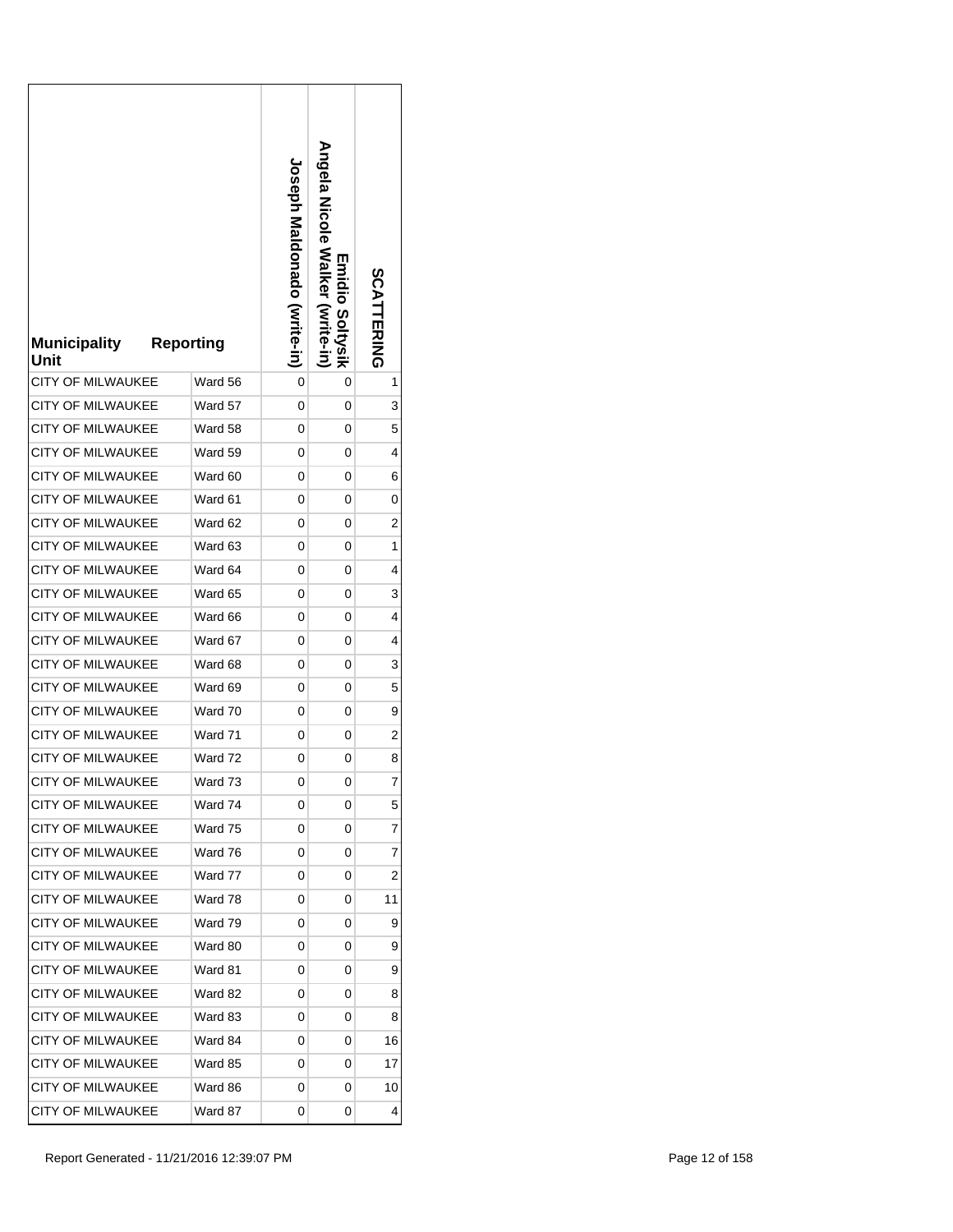| <b>Municipality</b><br>Unit | <b>Reporting</b> | <b>Joseph Maldonado (vrite-in)</b> | Angela Nicole Walker (write-in)<br><b>Emidio Soltysik</b> | SCATTERING     |
|-----------------------------|------------------|------------------------------------|-----------------------------------------------------------|----------------|
| <b>CITY OF MILWAUKEE</b>    | Ward 56          | 0                                  | 0                                                         | 1              |
| <b>CITY OF MILWAUKEE</b>    | Ward 57          | 0                                  | 0                                                         | 3              |
| <b>CITY OF MILWAUKEE</b>    | Ward 58          | 0                                  | 0                                                         | 5              |
| <b>CITY OF MILWAUKEE</b>    | Ward 59          | 0                                  | 0                                                         | 4              |
| CITY OF MILWAUKEE           | Ward 60          | 0                                  | 0                                                         | 6              |
| CITY OF MILWAUKEE           | Ward 61          | 0                                  | 0                                                         | 0              |
| <b>CITY OF MILWAUKEE</b>    | Ward 62          | 0                                  | 0                                                         | 2              |
| <b>CITY OF MILWAUKEE</b>    | Ward 63          | 0                                  | 0                                                         | 1              |
| CITY OF MILWAUKEE           | Ward 64          | 0                                  | 0                                                         | 4              |
| <b>CITY OF MILWAUKEE</b>    | Ward 65          | 0                                  | 0                                                         | 3              |
| <b>CITY OF MILWAUKEE</b>    | Ward 66          | 0                                  | 0                                                         | 4              |
| CITY OF MILWAUKEE           | Ward 67          | 0                                  | 0                                                         | 4              |
| CITY OF MILWAUKEE           | Ward 68          | 0                                  | 0                                                         | 3              |
| <b>CITY OF MILWAUKEE</b>    | Ward 69          | 0                                  | 0                                                         | 5              |
| <b>CITY OF MILWAUKEE</b>    | Ward 70          | 0                                  | 0                                                         | 9              |
| <b>CITY OF MILWAUKEE</b>    | Ward 71          | 0                                  | 0                                                         | 2              |
| <b>CITY OF MILWAUKEE</b>    | Ward 72          | 0                                  | 0                                                         | 8              |
| <b>CITY OF MILWAUKEE</b>    | Ward 73          | 0                                  | 0                                                         | $\overline{7}$ |
| <b>CITY OF MILWAUKEE</b>    | Ward 74          | 0                                  | 0                                                         | 5              |
| <b>CITY OF MILWAUKEE</b>    | Ward 75          | 0                                  | 0                                                         | 7              |
| <b>CITY OF MILWAUKEE</b>    | Ward 76          | 0                                  | 0                                                         | 7              |
| <b>CITY OF MILWAUKEE</b>    | Ward 77          | 0                                  | 0                                                         | 2              |
| <b>CITY OF MILWAUKEE</b>    | Ward 78          | 0                                  | 0                                                         | 11             |
| <b>CITY OF MILWAUKEE</b>    | Ward 79          | 0                                  | 0                                                         | 9              |
| <b>CITY OF MILWAUKEE</b>    | Ward 80          | 0                                  | 0                                                         | 9              |
| CITY OF MILWAUKEE           | Ward 81          | 0                                  | 0                                                         | 9              |
| <b>CITY OF MILWAUKEE</b>    | Ward 82          | 0                                  | 0                                                         | 8              |
| <b>CITY OF MILWAUKEE</b>    | Ward 83          | 0                                  | 0                                                         | 8              |
| <b>CITY OF MILWAUKEE</b>    | Ward 84          | 0                                  | 0                                                         | 16             |
| <b>CITY OF MILWAUKEE</b>    | Ward 85          | 0                                  | 0                                                         | 17             |
| <b>CITY OF MILWAUKEE</b>    | Ward 86          | 0                                  | 0                                                         | 10             |
| CITY OF MILWAUKEE           | Ward 87          | 0                                  | 0                                                         | 4              |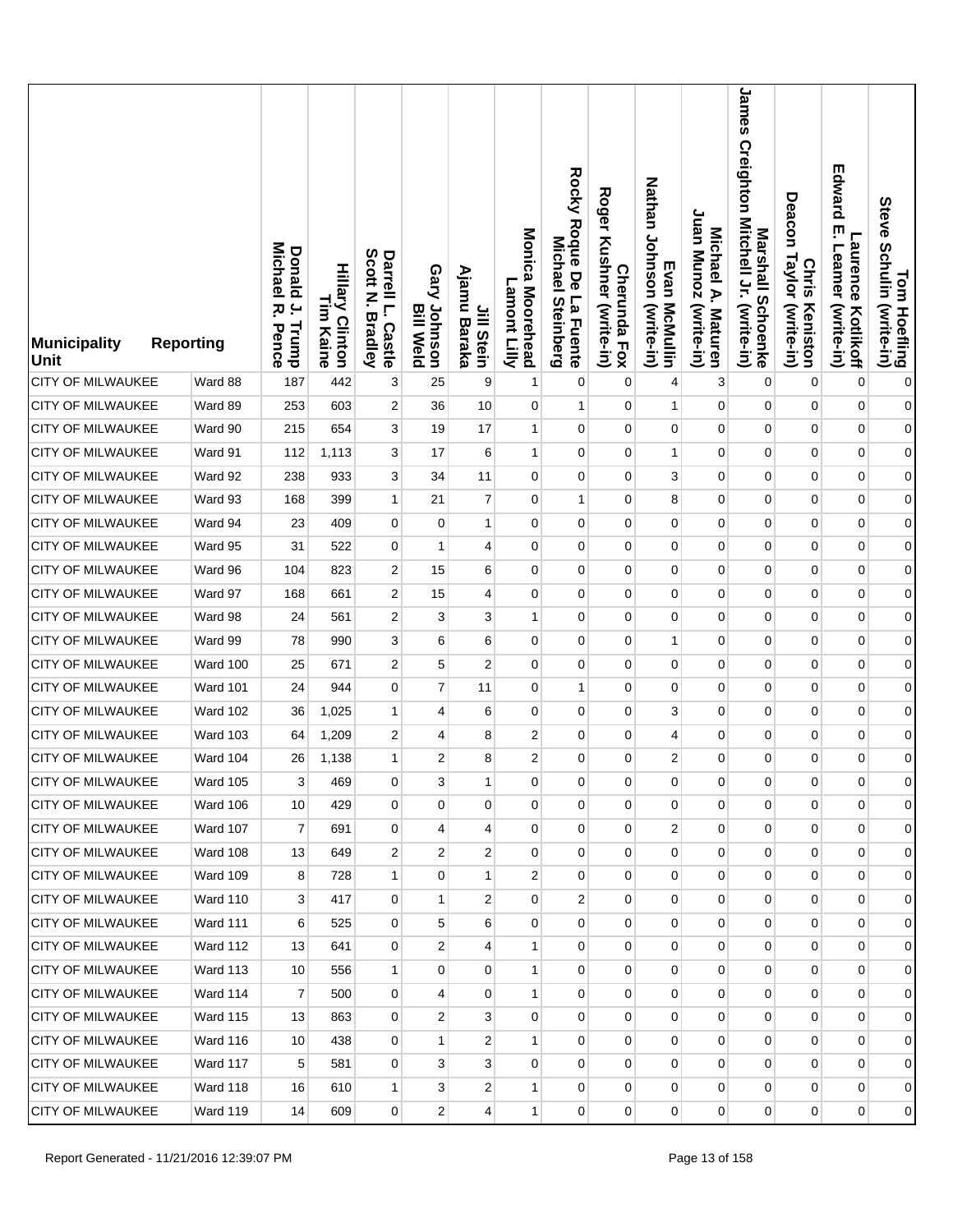| <b>Municipality</b><br><b>Unit</b> | <b>Reporting</b> | <b>Donald</b><br>Michael<br>$\overline{a}$<br>ᄍ<br>Trump<br>Pence | <b>Hillary Clinton</b><br>L<br>E<br>Kaine | Scott<br>Darrell L.<br>Z<br><b>Bradley</b><br><b>Castle</b> | Gary Johnson<br><b>Bill Weld</b> | Ajamu<br>Jill Stein<br>Baraka | Monica Moorehead<br>Lamont Lilly | Rocky Roque De La Fuente<br><b>Michael</b><br><b>Steinberg</b> | <b>Roger</b><br>Kushner (write-in)<br><b>Cherunda Fox</b> | Nathan Johnson (write-in)<br>Evan McMullin | Juan Munoz (write-in)<br>Michael A. Maturen | James Creighton Mitchell Jr. (write-in)<br>Marshall Schoenke | Deacon<br>Taylor (write-in)<br><b>Chris</b><br>Keniston | Edward<br>ŗ<br><b>Laurence</b><br>Leamer<br>(write-in)<br>Kotlikoff | Tom Hoefling<br>Steve Schulin (write-in) |
|------------------------------------|------------------|-------------------------------------------------------------------|-------------------------------------------|-------------------------------------------------------------|----------------------------------|-------------------------------|----------------------------------|----------------------------------------------------------------|-----------------------------------------------------------|--------------------------------------------|---------------------------------------------|--------------------------------------------------------------|---------------------------------------------------------|---------------------------------------------------------------------|------------------------------------------|
| <b>CITY OF MILWAUKEE</b>           | Ward 88          | 187                                                               | 442                                       | 3                                                           | 25                               | 9                             | 1                                | 0                                                              | $\mathbf 0$                                               | $\overline{4}$                             | 3                                           | $\mathbf 0$                                                  | 0                                                       | $\mathbf 0$                                                         | $\pmb{0}$                                |
| CITY OF MILWAUKEE                  | Ward 89          | 253                                                               | 603                                       | 2                                                           | 36                               | 10                            | 0                                | 1                                                              | $\mathbf 0$                                               | $\mathbf{1}$                               | $\pmb{0}$                                   | 0                                                            | $\mathbf 0$                                             | $\pmb{0}$                                                           | $\mathbf{0}$                             |
| <b>CITY OF MILWAUKEE</b>           | Ward 90          | 215                                                               | 654                                       | 3                                                           | 19                               | 17                            | $\mathbf{1}$                     | $\pmb{0}$                                                      | 0                                                         | $\mathbf 0$                                | 0                                           | $\pmb{0}$                                                    | $\mathbf 0$                                             | $\pmb{0}$                                                           | $\mathbf{0}$                             |
| <b>CITY OF MILWAUKEE</b>           | Ward 91          | 112                                                               | 1,113                                     | 3                                                           | 17                               | 6                             | 1                                | 0                                                              | $\mathbf 0$                                               | $\mathbf{1}$                               | 0                                           | 0                                                            | 0                                                       | $\pmb{0}$                                                           | $\mathbf{0}$                             |
| CITY OF MILWAUKEE                  | Ward 92          | 238                                                               | 933                                       | 3                                                           | 34                               | 11                            | $\mathbf 0$                      | $\mathbf 0$                                                    | 0                                                         | 3                                          | 0                                           | $\mathbf 0$                                                  | $\mathbf 0$                                             | $\pmb{0}$                                                           | $\mathbf{0}$                             |
| <b>CITY OF MILWAUKEE</b>           | Ward 93          | 168                                                               | 399                                       | 1                                                           | 21                               | $\overline{7}$                | 0                                | 1                                                              | 0                                                         | 8                                          | 0                                           | $\mathbf 0$                                                  | 0                                                       | $\mathbf 0$                                                         | $\boldsymbol{0}$                         |
| <b>CITY OF MILWAUKEE</b>           | Ward 94          | 23                                                                | 409                                       | $\overline{0}$                                              | $\mathbf{0}$                     | 1                             | $\mathbf 0$                      | $\mathbf 0$                                                    | 0                                                         | $\mathbf 0$                                | 0                                           | $\mathbf{0}$                                                 | $\mathbf 0$                                             | $\pmb{0}$                                                           | $\boldsymbol{0}$                         |
| <b>CITY OF MILWAUKEE</b>           | Ward 95          | 31                                                                | 522                                       | 0                                                           | 1                                | 4                             | $\mathbf 0$                      | $\mathbf 0$                                                    | $\mathbf 0$                                               | 0                                          | 0                                           | 0                                                            | 0                                                       | $\mathbf 0$                                                         | $\boldsymbol{0}$                         |
| CITY OF MILWAUKEE                  | Ward 96          | 104                                                               | 823                                       | 2                                                           | 15                               | 6                             | $\mathbf 0$                      | $\mathbf 0$                                                    | $\mathbf 0$                                               | 0                                          | 0                                           | $\mathbf 0$                                                  | $\mathbf 0$                                             | $\pmb{0}$                                                           | $\boldsymbol{0}$                         |
| <b>CITY OF MILWAUKEE</b>           | Ward 97          | 168                                                               | 661                                       | 2                                                           | 15                               | 4                             | $\mathbf 0$                      | $\mathbf 0$                                                    | 0                                                         | 0                                          | 0                                           | 0                                                            | 0                                                       | $\mathbf 0$                                                         | $\boldsymbol{0}$                         |
| <b>CITY OF MILWAUKEE</b>           | Ward 98          | 24                                                                | 561                                       | 2                                                           | 3                                | 3                             | 1                                | $\mathbf 0$                                                    | $\mathbf 0$                                               | 0                                          | 0                                           | 0                                                            | $\mathbf 0$                                             | $\pmb{0}$                                                           | $\boldsymbol{0}$                         |
| CITY OF MILWAUKEE                  | Ward 99          | 78                                                                | 990                                       | 3                                                           | 6                                | 6                             | 0                                | $\mathbf 0$                                                    | 0                                                         | $\mathbf{1}$                               | 0                                           | 0                                                            | 0                                                       | $\mathbf 0$                                                         | $\boldsymbol{0}$                         |
| CITY OF MILWAUKEE                  | Ward 100         | 25                                                                | 671                                       | 2                                                           | 5                                | $\overline{2}$                | $\mathbf 0$                      | $\mathbf 0$                                                    | $\mathbf 0$                                               | $\mathbf 0$                                | 0                                           | $\mathbf 0$                                                  | $\mathbf 0$                                             | $\pmb{0}$                                                           | $\boldsymbol{0}$                         |
| <b>CITY OF MILWAUKEE</b>           | <b>Ward 101</b>  | 24                                                                | 944                                       | 0                                                           | $\overline{7}$                   | 11                            | $\mathbf 0$                      | 1                                                              | 0                                                         | 0                                          | 0                                           | 0                                                            | 0                                                       | $\mathbf 0$                                                         | $\boldsymbol{0}$                         |
| <b>CITY OF MILWAUKEE</b>           | <b>Ward 102</b>  | 36                                                                | 1,025                                     | $\mathbf{1}$                                                | 4                                | 6                             | 0                                | $\mathbf 0$                                                    | $\mathbf 0$                                               | 3                                          | 0                                           | 0                                                            | 0                                                       | $\pmb{0}$                                                           | $\boldsymbol{0}$                         |
| CITY OF MILWAUKEE                  | <b>Ward 103</b>  | 64                                                                | 1,209                                     | 2                                                           | 4                                | 8                             | $\overline{2}$                   | $\mathbf 0$                                                    | 0                                                         | 4                                          | 0                                           | 0                                                            | 0                                                       | $\mathbf 0$                                                         | $\overline{0}$                           |
| <b>CITY OF MILWAUKEE</b>           | Ward 104         | 26                                                                | 1,138                                     | $\mathbf{1}$                                                | 2                                | 8                             | $\overline{c}$                   | $\mathbf 0$                                                    | 0                                                         | $\boldsymbol{2}$                           | 0                                           | 0                                                            | $\mathbf 0$                                             | $\mathbf 0$                                                         | $\boldsymbol{0}$                         |
| <b>CITY OF MILWAUKEE</b>           | Ward 105         | $\mathbf{3}$                                                      | 469                                       | $\overline{0}$                                              | $\mathbf{3}$                     | 1                             | 0                                | 0                                                              | 0                                                         | 0                                          | 0                                           | 0                                                            | 0                                                       | 0                                                                   | $\overline{0}$                           |
| <b>CITY OF MILWAUKEE</b>           | Ward 106         | 10                                                                | 429                                       | 0                                                           | $\mathbf{0}$                     | 0                             | 0                                | 0                                                              | $\mathbf 0$                                               | 0                                          | 0                                           | $\mathbf{0}$                                                 | 0                                                       | $\mathbf 0$                                                         | $\overline{0}$                           |
| CITY OF MILWAUKEE                  | Ward 107         | $\overline{7}$                                                    | 691                                       | $\overline{0}$                                              | 4                                | $\overline{4}$                | 0                                | 0                                                              | 0                                                         | 2                                          | 0                                           | $\overline{0}$                                               | $\mathbf 0$                                             | $\mathbf 0$                                                         | $\overline{0}$                           |
| CITY OF MILWAUKEE                  | Ward 108         | 13                                                                | 649                                       | 2                                                           | $\overline{2}$                   | 2                             | 0                                | 0                                                              | $\mathbf 0$                                               | $\mathbf 0$                                | $\mathbf 0$                                 | 0                                                            | 0                                                       | $\mathbf 0$                                                         | $\overline{0}$                           |
| <b>CITY OF MILWAUKEE</b>           | Ward 109         | 8                                                                 | 728                                       | 1                                                           | $\Omega$                         | $\mathbf{1}$                  | 2                                | $\mathbf 0$                                                    | 0                                                         | $\mathbf 0$                                | 0                                           | $\overline{0}$                                               | $\mathbf 0$                                             | 0                                                                   | $\overline{0}$                           |
| <b>CITY OF MILWAUKEE</b>           | Ward 110         | 3 <sup>1</sup>                                                    | 417                                       | $\overline{0}$                                              | 1                                | 2                             | $\mathbf 0$                      | $\overline{c}$                                                 | $\mathbf 0$                                               | $\mathbf 0$                                | 0                                           | $\mathbf 0$                                                  | 0                                                       | 0                                                                   | $\overline{0}$                           |
| <b>CITY OF MILWAUKEE</b>           | <b>Ward 111</b>  | 6                                                                 | 525                                       | $\overline{0}$                                              | 5                                | 6                             | $\mathbf 0$                      | $\mathbf 0$                                                    | 0                                                         | $\mathbf 0$                                | 0                                           | $\mathbf 0$                                                  | 0                                                       | 0                                                                   | $\overline{0}$                           |
| <b>CITY OF MILWAUKEE</b>           | <b>Ward 112</b>  | 13                                                                | 641                                       | $\overline{0}$                                              | $\overline{2}$                   | 4                             | 1                                | 0                                                              | 0                                                         | $\mathbf 0$                                | 0                                           | 0                                                            | 0                                                       | 0                                                                   | $\overline{0}$                           |
| <b>CITY OF MILWAUKEE</b>           | <b>Ward 113</b>  | 10 <sup>1</sup>                                                   | 556                                       | $\mathbf{1}$                                                | $\mathbf{0}$                     | $\mathbf{0}$                  | $\mathbf{1}$                     | $\mathbf 0$                                                    | $\overline{0}$                                            | $\mathbf 0$                                | 0                                           | $\mathbf 0$                                                  | $\overline{0}$                                          | $\pmb{0}$                                                           | $\overline{0}$                           |
| <b>CITY OF MILWAUKEE</b>           | Ward 114         | 7                                                                 | 500                                       | $\mathbf 0$                                                 | 4                                | 0                             | 1                                | 0                                                              | 0                                                         | 0                                          | 0                                           | $\mathbf 0$                                                  | 0                                                       | 0                                                                   | $\overline{0}$                           |
| <b>CITY OF MILWAUKEE</b>           | Ward 115         | 13                                                                | 863                                       | $\overline{0}$                                              | $\overline{2}$                   | 3                             | $\mathbf 0$                      | $\mathbf 0$                                                    | $\overline{0}$                                            | $\mathbf 0$                                | 0                                           | $\mathbf 0$                                                  | $\overline{0}$                                          | 0                                                                   | $\overline{0}$                           |
| <b>CITY OF MILWAUKEE</b>           | Ward 116         | 10                                                                | 438                                       | $\overline{0}$                                              | 1                                | 2                             | 1                                | 0                                                              | 0                                                         | 0                                          | 0                                           | $\mathbf 0$                                                  | 0                                                       | 0                                                                   | $\overline{0}$                           |
| CITY OF MILWAUKEE                  | Ward 117         | 5                                                                 | 581                                       | $\overline{0}$                                              | 3                                | 3                             | 0                                | 0                                                              | $\overline{0}$                                            | 0                                          | $\overline{0}$                              | $\mathbf{0}$                                                 | $\overline{0}$                                          | 0                                                                   | $\overline{0}$                           |
| CITY OF MILWAUKEE                  | Ward 118         | 16                                                                | 610                                       | $\mathbf{1}$                                                | 3                                | 2                             | 1                                | 0                                                              | 0                                                         | 0                                          | $\mathbf{0}$                                | $\mathbf 0$                                                  | 0                                                       | 0                                                                   | $\overline{0}$                           |
| <b>CITY OF MILWAUKEE</b>           | Ward 119         | 14                                                                | 609                                       | 0                                                           | $\overline{2}$                   | $\overline{4}$                | 1                                | $\overline{0}$                                                 | $\mathbf 0$                                               | 0                                          | 0                                           | $\overline{0}$                                               | $\overline{0}$                                          | 0                                                                   | $\overline{0}$                           |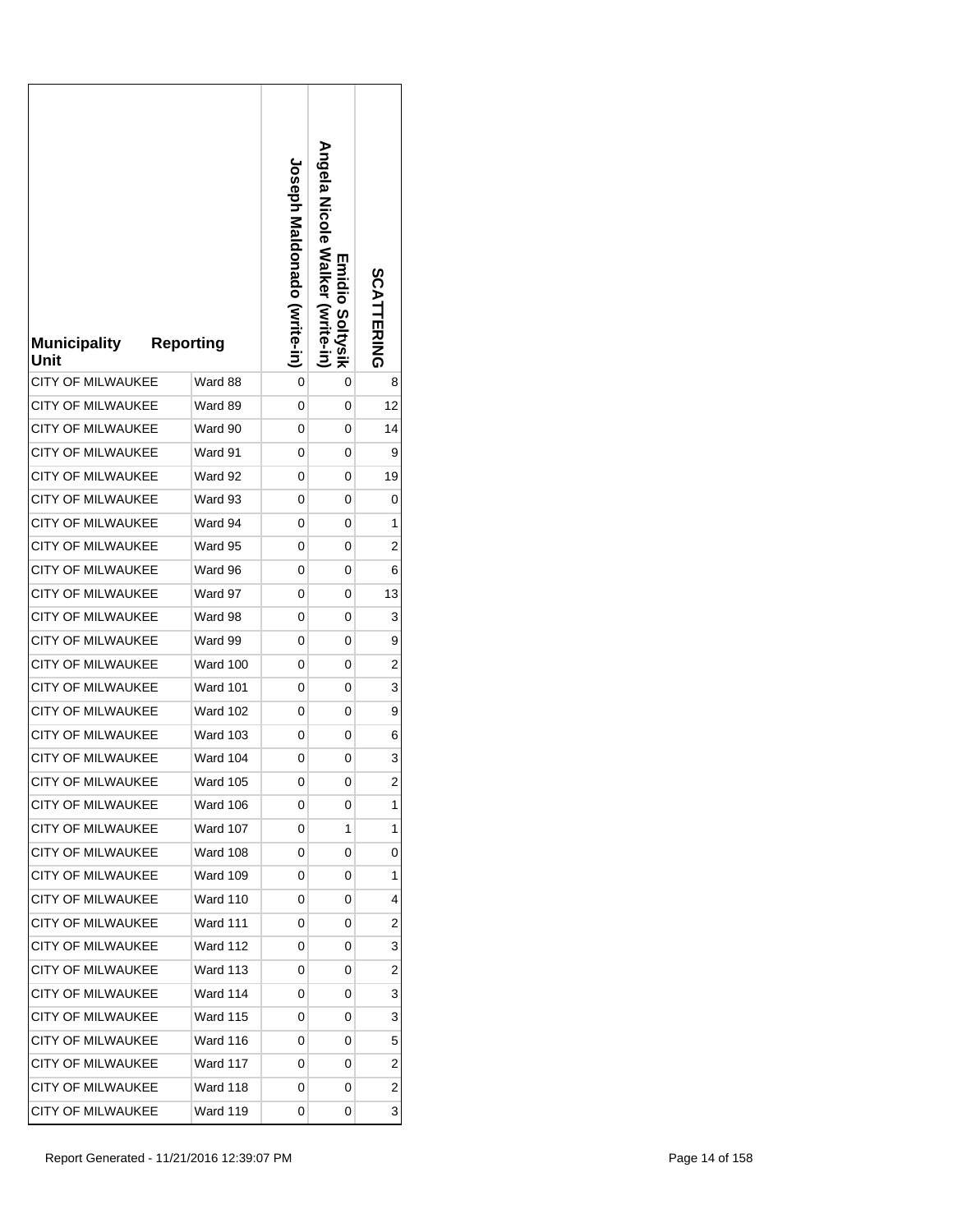| <b>Municipality</b><br>Unit | <b>Reporting</b> | <b>Joseph Maldonado (vrite-in)</b> | <b>Angela Nalker</b><br><b>Emidio Soltysik</b><br>(write-in | SCATTERING     |
|-----------------------------|------------------|------------------------------------|-------------------------------------------------------------|----------------|
| <b>CITY OF MILWAUKEE</b>    | Ward 88          | 0                                  | 0                                                           | 8              |
| <b>CITY OF MILWAUKEE</b>    | Ward 89          | 0                                  | 0                                                           | 12             |
| <b>CITY OF MILWAUKEE</b>    | Ward 90          | 0                                  | 0                                                           | 14             |
| <b>CITY OF MILWAUKEE</b>    | Ward 91          | 0                                  | 0                                                           | 9              |
| CITY OF MILWAUKEE           | Ward 92          | 0                                  | 0                                                           | 19             |
| CITY OF MILWAUKEE           | Ward 93          | 0                                  | 0                                                           | 0              |
| <b>CITY OF MILWAUKEE</b>    | Ward 94          | 0                                  | 0                                                           | 1              |
| <b>CITY OF MILWAUKEE</b>    | Ward 95          | 0                                  | 0                                                           | 2              |
| CITY OF MILWAUKEE           | Ward 96          | 0                                  | 0                                                           | 6              |
| <b>CITY OF MILWAUKEE</b>    | Ward 97          | 0                                  | 0                                                           | 13             |
| <b>CITY OF MILWAUKEE</b>    | Ward 98          | 0                                  | 0                                                           | 3              |
| CITY OF MILWAUKEE           | Ward 99          | 0                                  | 0                                                           | 9              |
| CITY OF MILWAUKEE           | <b>Ward 100</b>  | 0                                  | 0                                                           | 2              |
| <b>CITY OF MILWAUKEE</b>    | <b>Ward 101</b>  | 0                                  | 0                                                           | 3              |
| <b>CITY OF MILWAUKEE</b>    | <b>Ward 102</b>  | 0                                  | 0                                                           | 9              |
| <b>CITY OF MILWAUKEE</b>    | <b>Ward 103</b>  | 0                                  | 0                                                           | 6              |
| CITY OF MILWAUKEE           | Ward 104         | 0                                  | 0                                                           | 3              |
| <b>CITY OF MILWAUKEE</b>    | Ward 105         | 0                                  | 0                                                           | $\overline{c}$ |
| <b>CITY OF MILWAUKEE</b>    | Ward 106         | 0                                  | 0                                                           | 1              |
| <b>CITY OF MILWAUKEE</b>    | Ward 107         | 0                                  | 1                                                           | 1              |
| <b>CITY OF MILWAUKEE</b>    | Ward 108         | 0                                  | 0                                                           | 0              |
| CITY OF MILWAUKEE           | <b>Ward 109</b>  | 0                                  | 0                                                           | 1              |
| <b>CITY OF MILWAUKEE</b>    | Ward 110         | 0                                  | 0                                                           | 4              |
| <b>CITY OF MILWAUKEE</b>    | <b>Ward 111</b>  | 0                                  | 0                                                           | 2              |
| <b>CITY OF MILWAUKEE</b>    | <b>Ward 112</b>  | 0                                  | 0                                                           | 3              |
| CITY OF MILWAUKEE           | Ward 113         | 0                                  | 0                                                           | 2              |
| <b>CITY OF MILWAUKEE</b>    | Ward 114         | 0                                  | 0                                                           | 3              |
| <b>CITY OF MILWAUKEE</b>    | <b>Ward 115</b>  | 0                                  | 0                                                           | 3              |
| CITY OF MILWAUKEE           | Ward 116         | 0                                  | 0                                                           | 5              |
| <b>CITY OF MILWAUKEE</b>    | <b>Ward 117</b>  | 0                                  | 0                                                           | $\overline{c}$ |
| <b>CITY OF MILWAUKEE</b>    | Ward 118         | 0                                  | 0                                                           | 2              |
| CITY OF MILWAUKEE           | <b>Ward 119</b>  | 0                                  | 0                                                           | 3              |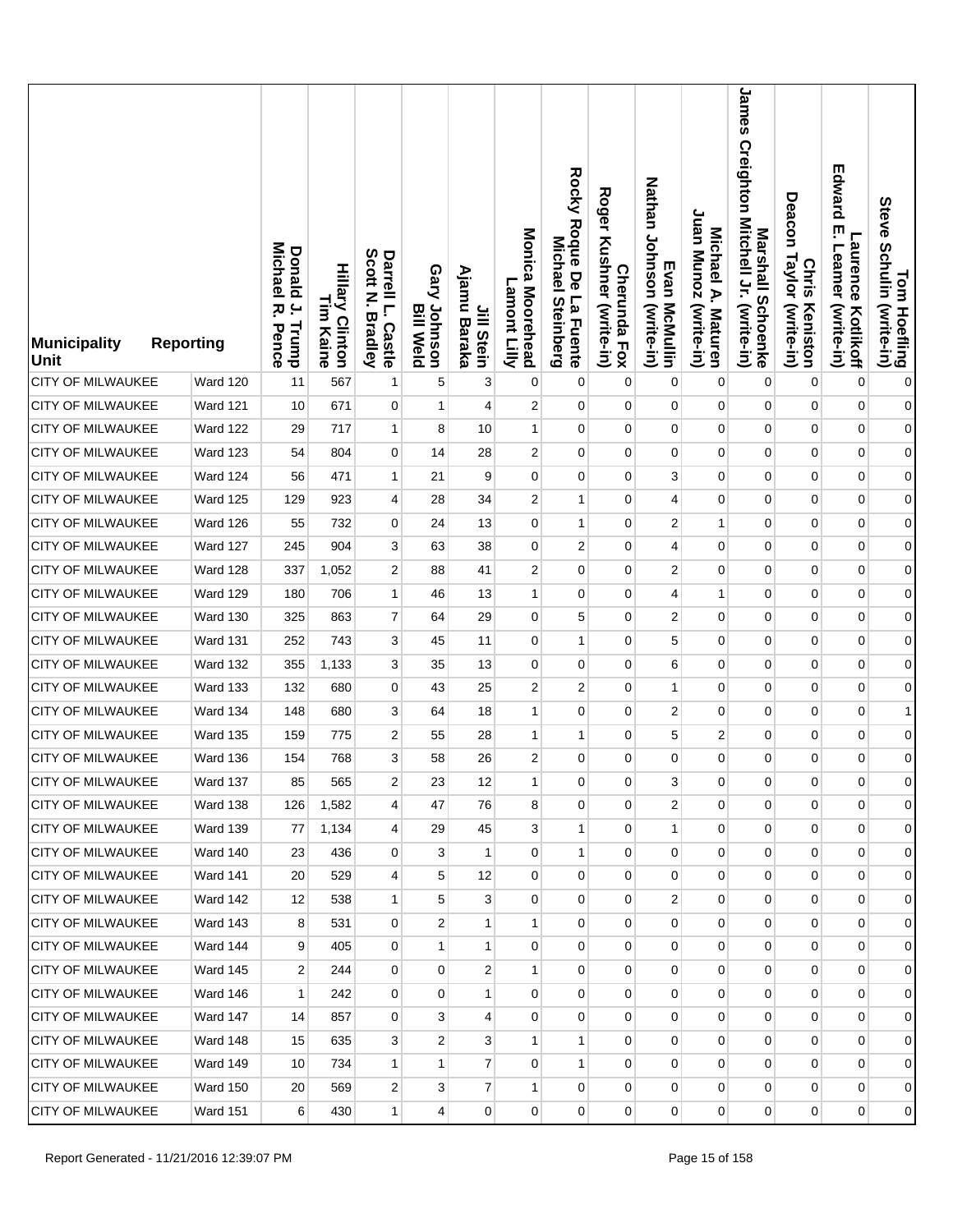| <b>Municipality</b><br><b>Unit</b> | <b>Reporting</b> | <b>Donald</b><br>Michael<br>$\overline{a}$<br>ᅎ<br>Trump<br>Pence | <b>Hillary Clinton</b><br>L<br>E<br>Kaine | Scott<br>Darrell L.<br>Z<br><b>Bradley</b><br>Castle | Gary Johnson<br><b>Bill Weld</b> | Ajamu<br>Jill Stein<br>Baraka | Monica Moorehead<br>Lamont Lilly | Rocky Roque De La Fuente<br><b>Michael</b><br><b>Steinberg</b> | <b>Roger</b><br>Kushner (write-in)<br><b>Cherunda Fox</b> | Nathan Johnson (write-in)<br>Evan McMullin | Juan Munoz (write-in)<br>Michael A. Maturen | James Creighton Mitchell Jr. (write-in)<br>Marshall Schoenke | Deacon<br>Taylor (write-in)<br><b>Chris</b><br>Keniston | Edward<br>ŗ<br>Laurence<br>Leamer<br>(write-in)<br>Kotlikoff | Tom Hoefling<br>Steve Schulin (write-in) |
|------------------------------------|------------------|-------------------------------------------------------------------|-------------------------------------------|------------------------------------------------------|----------------------------------|-------------------------------|----------------------------------|----------------------------------------------------------------|-----------------------------------------------------------|--------------------------------------------|---------------------------------------------|--------------------------------------------------------------|---------------------------------------------------------|--------------------------------------------------------------|------------------------------------------|
| <b>CITY OF MILWAUKEE</b>           | Ward 120         | 11                                                                | 567                                       | 1                                                    | 5                                | 3                             | $\pmb{0}$                        | 0                                                              | $\mathbf 0$                                               | 0                                          | 0                                           | $\mathbf 0$                                                  | 0                                                       | $\mathbf 0$                                                  | $\pmb{0}$                                |
| CITY OF MILWAUKEE                  | <b>Ward 121</b>  | 10                                                                | 671                                       | 0                                                    | 1                                | 4                             | $\overline{2}$                   | 0                                                              | $\mathbf 0$                                               | 0                                          | 0                                           | 0                                                            | $\mathbf 0$                                             | $\pmb{0}$                                                    | $\boldsymbol{0}$                         |
| <b>CITY OF MILWAUKEE</b>           | Ward 122         | 29                                                                | 717                                       | $\mathbf{1}$                                         | 8                                | 10                            | $\mathbf{1}$                     | $\mathbf 0$                                                    | 0                                                         | $\mathbf 0$                                | $\pmb{0}$                                   | $\pmb{0}$                                                    | $\mathbf 0$                                             | $\pmb{0}$                                                    | $\boldsymbol{0}$                         |
| <b>CITY OF MILWAUKEE</b>           | Ward 123         | 54                                                                | 804                                       | 0                                                    | 14                               | 28                            | $\overline{c}$                   | 0                                                              | $\mathbf 0$                                               | 0                                          | 0                                           | 0                                                            | 0                                                       | $\pmb{0}$                                                    | $\boldsymbol{0}$                         |
| <b>CITY OF MILWAUKEE</b>           | Ward 124         | 56                                                                | 471                                       | $\mathbf{1}$                                         | 21                               | 9                             | $\mathbf 0$                      | $\mathbf 0$                                                    | 0                                                         | 3                                          | 0                                           | $\mathbf 0$                                                  | $\mathbf 0$                                             | $\pmb{0}$                                                    | $\boldsymbol{0}$                         |
| <b>CITY OF MILWAUKEE</b>           | Ward 125         | 129                                                               | 923                                       | 4                                                    | 28                               | 34                            | $\overline{c}$                   | 1                                                              | 0                                                         | 4                                          | 0                                           | $\mathbf 0$                                                  | 0                                                       | $\mathbf 0$                                                  | $\boldsymbol{0}$                         |
| <b>CITY OF MILWAUKEE</b>           | Ward 126         | 55                                                                | 732                                       | $\overline{0}$                                       | 24                               | 13                            | $\mathbf 0$                      | $\mathbf{1}$                                                   | 0                                                         | 2                                          | $\mathbf{1}$                                | $\mathbf{0}$                                                 | $\mathbf 0$                                             | $\pmb{0}$                                                    | $\boldsymbol{0}$                         |
| <b>CITY OF MILWAUKEE</b>           | Ward 127         | 245                                                               | 904                                       | 3                                                    | 63                               | 38                            | $\mathbf 0$                      | $\overline{c}$                                                 | $\mathbf 0$                                               | 4                                          | 0                                           | 0                                                            | 0                                                       | $\mathbf 0$                                                  | $\boldsymbol{0}$                         |
| CITY OF MILWAUKEE                  | Ward 128         | 337                                                               | 1,052                                     | 2                                                    | 88                               | 41                            | $\overline{c}$                   | $\mathbf 0$                                                    | $\mathbf 0$                                               | $\boldsymbol{2}$                           | 0                                           | $\mathbf 0$                                                  | $\mathbf 0$                                             | $\pmb{0}$                                                    | $\boldsymbol{0}$                         |
| <b>CITY OF MILWAUKEE</b>           | Ward 129         | 180                                                               | 706                                       | 1                                                    | 46                               | 13                            | $\mathbf{1}$                     | $\mathbf 0$                                                    | $\mathbf 0$                                               | 4                                          | 1                                           | 0                                                            | 0                                                       | $\mathbf 0$                                                  | $\boldsymbol{0}$                         |
| <b>CITY OF MILWAUKEE</b>           | <b>Ward 130</b>  | 325                                                               | 863                                       | 7                                                    | 64                               | 29                            | 0                                | 5                                                              | $\mathbf 0$                                               | $\boldsymbol{2}$                           | 0                                           | $\mathbf 0$                                                  | $\mathbf 0$                                             | $\pmb{0}$                                                    | $\boldsymbol{0}$                         |
| CITY OF MILWAUKEE                  | <b>Ward 131</b>  | 252                                                               | 743                                       | 3                                                    | 45                               | 11                            | 0                                | 1                                                              | 0                                                         | 5                                          | 0                                           | 0                                                            | 0                                                       | $\mathbf 0$                                                  | $\boldsymbol{0}$                         |
| CITY OF MILWAUKEE                  | <b>Ward 132</b>  | 355                                                               | 1,133                                     | 3                                                    | 35                               | 13                            | 0                                | 0                                                              | $\mathbf 0$                                               | 6                                          | 0                                           | $\mathbf 0$                                                  | $\mathbf 0$                                             | $\pmb{0}$                                                    | $\boldsymbol{0}$                         |
| <b>CITY OF MILWAUKEE</b>           | Ward 133         | 132                                                               | 680                                       | 0                                                    | 43                               | 25                            | $\overline{2}$                   | 2                                                              | 0                                                         | $\mathbf{1}$                               | 0                                           | 0                                                            | 0                                                       | $\mathbf 0$                                                  | $\overline{0}$                           |
| CITY OF MILWAUKEE                  | <b>Ward 134</b>  | 148                                                               | 680                                       | 3                                                    | 64                               | 18                            | 1                                | $\mathbf 0$                                                    | $\mathbf 0$                                               | $\overline{c}$                             | 0                                           | 0                                                            | 0                                                       | $\pmb{0}$                                                    | 1                                        |
| CITY OF MILWAUKEE                  | Ward 135         | 159                                                               | 775                                       | 2                                                    | 55                               | 28                            | $\mathbf{1}$                     | 1                                                              | 0                                                         | 5                                          | 2                                           | 0                                                            | 0                                                       | $\mathbf 0$                                                  | $\overline{0}$                           |
| <b>CITY OF MILWAUKEE</b>           | <b>Ward 136</b>  | 154                                                               | 768                                       | 3                                                    | 58                               | 26                            | $\overline{c}$                   | $\mathbf 0$                                                    | 0                                                         | $\mathbf 0$                                | 0                                           | 0                                                            | $\mathbf 0$                                             | $\mathbf 0$                                                  | $\boldsymbol{0}$                         |
| <b>CITY OF MILWAUKEE</b>           | Ward 137         | 85                                                                | 565                                       | $\overline{\mathbf{c}}$                              | 23                               | 12                            | $\mathbf{1}$                     | 0                                                              | 0                                                         | 3                                          | 0                                           | 0                                                            | 0                                                       | 0                                                            | $\overline{0}$                           |
| <b>CITY OF MILWAUKEE</b>           | Ward 138         | 126                                                               | 1,582                                     | 4                                                    | 47                               | 76                            | 8                                | 0                                                              | $\mathbf 0$                                               | 2                                          | 0                                           | $\mathbf{0}$                                                 | 0                                                       | $\mathbf 0$                                                  | $\overline{0}$                           |
| CITY OF MILWAUKEE                  | <b>Ward 139</b>  | 77                                                                | 1,134                                     | 4                                                    | 29                               | 45                            | 3                                | $\mathbf{1}$                                                   | 0                                                         | $\mathbf{1}$                               | 0                                           | $\overline{0}$                                               | $\mathbf 0$                                             | $\mathbf 0$                                                  | $\overline{0}$                           |
| <b>CITY OF MILWAUKEE</b>           | Ward 140         | 23                                                                | 436                                       | 0                                                    | 3                                | 1                             | 0                                | 1                                                              | $\mathbf 0$                                               | 0                                          | 0                                           | 0                                                            | 0                                                       | $\mathbf 0$                                                  | $\overline{0}$                           |
| <b>CITY OF MILWAUKEE</b>           | Ward 141         | 20                                                                | 529                                       | $\overline{\mathbf{4}}$                              | 5                                | 12                            | $\mathbf 0$                      | $\mathbf 0$                                                    | 0                                                         | $\mathbf 0$                                | 0                                           | $\overline{0}$                                               | $\mathbf 0$                                             | $\mathbf 0$                                                  | $\overline{0}$                           |
| CITY OF MILWAUKEE                  | Ward 142         | 12                                                                | 538                                       | $\mathbf{1}$                                         | 5                                | 3                             | 0                                | 0                                                              | $\mathbf 0$                                               | $\overline{c}$                             | 0                                           | $\mathbf 0$                                                  | 0                                                       | 0                                                            | $\overline{0}$                           |
| <b>CITY OF MILWAUKEE</b>           | <b>Ward 143</b>  | 8                                                                 | 531                                       | $\overline{0}$                                       | $\overline{2}$                   | $\mathbf{1}$                  | $\mathbf{1}$                     | $\mathbf 0$                                                    | 0                                                         | $\mathbf 0$                                | 0                                           | 0                                                            | 0                                                       | 0                                                            | $\overline{0}$                           |
| CITY OF MILWAUKEE                  | Ward 144         | 9                                                                 | 405                                       | $\overline{0}$                                       | 1                                | 1                             | 0                                | 0                                                              | 0                                                         | 0                                          | 0                                           | 0                                                            | 0                                                       | 0                                                            | $\overline{0}$                           |
| <b>CITY OF MILWAUKEE</b>           | Ward 145         | 2                                                                 | 244                                       | $\overline{0}$                                       | $\mathbf{0}$                     | $\boldsymbol{2}$              | $\mathbf{1}$                     | $\mathbf 0$                                                    | 0                                                         | 0                                          | 0                                           | $\mathbf 0$                                                  | $\overline{0}$                                          | $\pmb{0}$                                                    | $\overline{0}$                           |
| <b>CITY OF MILWAUKEE</b>           | Ward 146         | 1                                                                 | 242                                       | $\mathbf 0$                                          | $\mathbf{0}$                     | 1                             | 0                                | 0                                                              | 0                                                         | 0                                          | 0                                           | $\mathbf 0$                                                  | 0                                                       | 0                                                            | $\overline{0}$                           |
| <b>CITY OF MILWAUKEE</b>           | Ward 147         | 14                                                                | 857                                       | $\overline{0}$                                       | 3                                | $\overline{4}$                | 0                                | $\mathbf 0$                                                    | $\overline{0}$                                            | $\mathbf 0$                                | 0                                           | 0                                                            | 0                                                       | 0                                                            | $\overline{0}$                           |
| <b>CITY OF MILWAUKEE</b>           | <b>Ward 148</b>  | 15                                                                | 635                                       | 3                                                    | 2                                | 3                             | 1                                | 1                                                              | 0                                                         | 0                                          | 0                                           | $\mathbf 0$                                                  | 0                                                       | 0                                                            | $\overline{0}$                           |
| CITY OF MILWAUKEE                  | Ward 149         | 10                                                                | 734                                       | $\mathbf{1}$                                         | 1                                | $\overline{7}$                | 0                                | $\mathbf{1}$                                                   | $\overline{0}$                                            | 0                                          | $\overline{0}$                              | $\mathbf{0}$                                                 | $\overline{0}$                                          | 0                                                            | $\overline{0}$                           |
| CITY OF MILWAUKEE                  | <b>Ward 150</b>  | 20                                                                | 569                                       | 2                                                    | 3                                | $\overline{7}$                | 1                                | 0                                                              | 0                                                         | 0                                          | 0                                           | $\mathbf 0$                                                  | 0                                                       | 0                                                            | $\overline{0}$                           |
| <b>CITY OF MILWAUKEE</b>           | <b>Ward 151</b>  | 6                                                                 | 430                                       | $\mathbf{1}$                                         | 4                                | $\overline{0}$                | 0                                | 0                                                              | 0                                                         | 0                                          | 0                                           | 0                                                            | $\overline{0}$                                          | 0                                                            | $\overline{0}$                           |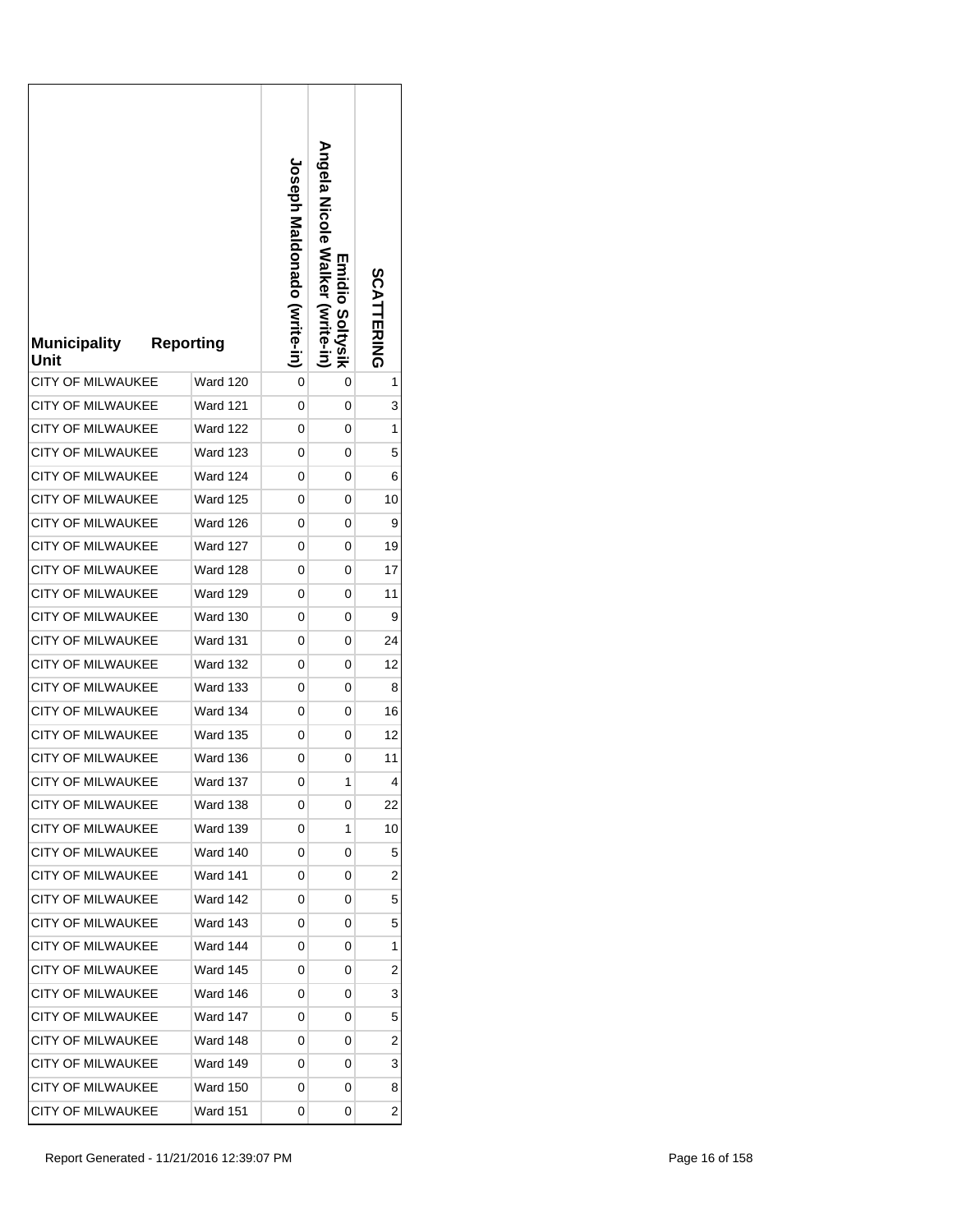| <b>Municipality</b><br>Unit | <b>Reporting</b> | <b>Joseph Maldonado (Vrite-in)</b> | Angela Nicole Walker (write-in)<br>Emidio Soltysik | SCATTERING     |
|-----------------------------|------------------|------------------------------------|----------------------------------------------------|----------------|
| <b>CITY OF MILWAUKEE</b>    | Ward 120         | 0                                  | 0                                                  | 1              |
| CITY OF MILWAUKEE           | Ward 121         | 0                                  | 0                                                  | 3              |
| CITY OF MILWAUKEE           | Ward 122         | 0                                  | 0                                                  | 1              |
| <b>CITY OF MILWAUKEE</b>    | <b>Ward 123</b>  | 0                                  | 0                                                  | 5              |
| <b>CITY OF MILWAUKEE</b>    | Ward 124         | 0                                  | 0                                                  | 6              |
| <b>CITY OF MILWAUKEE</b>    | <b>Ward 125</b>  | 0                                  | 0                                                  | 10             |
| <b>CITY OF MILWAUKEE</b>    | <b>Ward 126</b>  | 0                                  | 0                                                  | 9              |
| <b>CITY OF MILWAUKEE</b>    | Ward 127         | 0                                  | 0                                                  | 19             |
| <b>CITY OF MILWAUKEE</b>    | <b>Ward 128</b>  | 0                                  | 0                                                  | 17             |
| <b>CITY OF MILWAUKEE</b>    | <b>Ward 129</b>  | 0                                  | 0                                                  | 11             |
| <b>CITY OF MILWAUKEE</b>    | <b>Ward 130</b>  | 0                                  | 0                                                  | 9              |
| <b>CITY OF MILWAUKEE</b>    | Ward 131         | 0                                  | 0                                                  | 24             |
| CITY OF MILWAUKEE           | <b>Ward 132</b>  | 0                                  | 0                                                  | 12             |
| <b>CITY OF MILWAUKEE</b>    | <b>Ward 133</b>  | 0                                  | 0                                                  | 8              |
| <b>CITY OF MILWAUKEE</b>    | <b>Ward 134</b>  | 0                                  | 0                                                  | 16             |
| <b>CITY OF MILWAUKEE</b>    | <b>Ward 135</b>  | 0                                  | 0                                                  | 12             |
| <b>CITY OF MILWAUKEE</b>    | <b>Ward 136</b>  | 0                                  | 0                                                  | 11             |
| CITY OF MILWAUKEE           | Ward 137         | 0                                  | 1                                                  | 4              |
| <b>CITY OF MILWAUKEE</b>    | Ward 138         | 0                                  | 0                                                  | 22             |
| CITY OF MILWAUKEE           | Ward 139         | 0                                  | 1                                                  | 10             |
| <b>CITY OF MILWAUKEE</b>    | <b>Ward 140</b>  | 0                                  | 0                                                  | 5              |
| CITY OF MILWAUKEE           | <b>Ward 141</b>  | 0                                  | 0                                                  | 2              |
| <b>CITY OF MILWAUKEE</b>    | Ward 142         | 0                                  | 0                                                  | 5              |
| <b>CITY OF MILWAUKEE</b>    | <b>Ward 143</b>  | 0                                  | 0                                                  | 5              |
| <b>CITY OF MILWAUKEE</b>    | Ward 144         | 0                                  | 0                                                  | 1              |
| CITY OF MILWAUKEE           | <b>Ward 145</b>  | 0                                  | 0                                                  | $\overline{c}$ |
| <b>CITY OF MILWAUKEE</b>    | Ward 146         | 0                                  | 0                                                  | 3              |
| <b>CITY OF MILWAUKEE</b>    | <b>Ward 147</b>  | 0                                  | 0                                                  | 5              |
| <b>CITY OF MILWAUKEE</b>    | Ward 148         | 0                                  | 0                                                  | 2              |
| <b>CITY OF MILWAUKEE</b>    | <b>Ward 149</b>  | 0                                  | 0                                                  | 3              |
| <b>CITY OF MILWAUKEE</b>    | Ward 150         | 0                                  | 0                                                  | 8              |
| CITY OF MILWAUKEE           | <b>Ward 151</b>  | 0                                  | 0                                                  | 2              |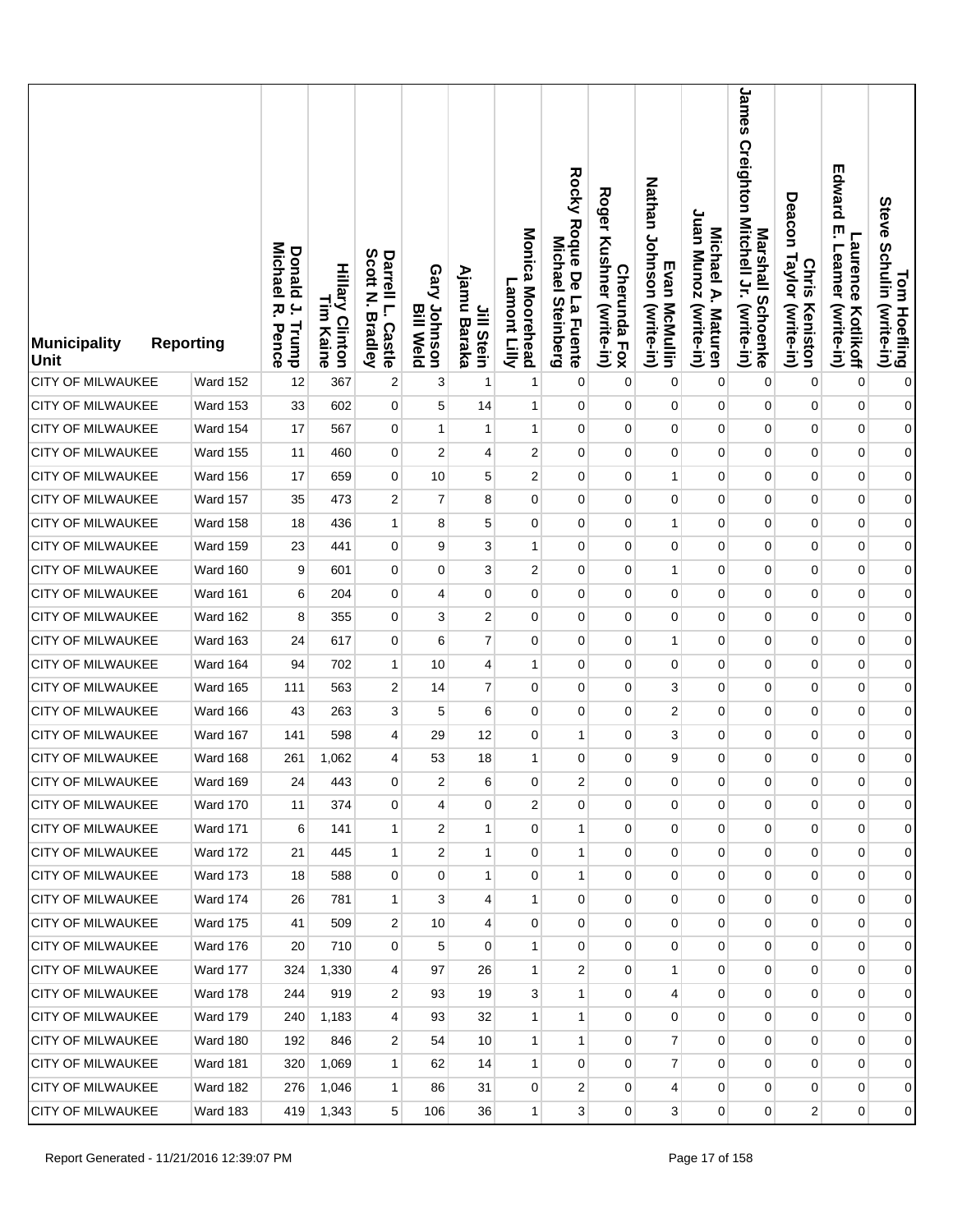| <b>Municipality</b><br><b>Unit</b> | <b>Reporting</b> | <b>Donald</b><br>Michael<br>$\overline{a}$<br>ᅎ<br>Trump<br>Pence | <b>Hillary Clinton</b><br>L<br>E<br>Kaine | Scott<br>Darrell L.<br>Z<br><b>Bradley</b><br>Castle | Gary Johnson<br><b>Bill Weld</b> | Ajamu<br>Jill Stein<br>Baraka | Monica Moorehead<br>Lamont Lilly | Rocky Roque De La Fuente<br>Michael<br><b>Steinberg</b> | <b>Roger</b><br>Kushner (write-in)<br><b>Cherunda Fox</b> | Nathan Johnson (write-in)<br>Evan McMullin | Juan Munoz (write-in)<br>Michael A. Maturen | James<br>Creighton Mitchell Jr. (write-in)<br>Marshall Schoenke | Deacon<br>Taylor (write-in)<br><b>Chris</b><br>Keniston | Edward<br>ŗ<br><b>Laurence</b><br>Leamer<br>(write-in)<br>Kotlikoff | Tom Hoefling<br>Steve Schulin (write-in) |
|------------------------------------|------------------|-------------------------------------------------------------------|-------------------------------------------|------------------------------------------------------|----------------------------------|-------------------------------|----------------------------------|---------------------------------------------------------|-----------------------------------------------------------|--------------------------------------------|---------------------------------------------|-----------------------------------------------------------------|---------------------------------------------------------|---------------------------------------------------------------------|------------------------------------------|
| <b>CITY OF MILWAUKEE</b>           | Ward 152         | 12                                                                | 367                                       | 2                                                    | 3                                | $\mathbf{1}$                  | 1                                | 0                                                       | $\mathbf 0$                                               | 0                                          | 0                                           | $\mathbf 0$                                                     | 0                                                       | $\mathbf 0$                                                         | $\pmb{0}$                                |
| CITY OF MILWAUKEE                  | Ward 153         | 33                                                                | 602                                       | $\overline{0}$                                       | 5                                | 14                            | 1                                | 0                                                       | $\mathbf 0$                                               | 0                                          | 0                                           | 0                                                               | $\mathbf 0$                                             | $\pmb{0}$                                                           | $\boldsymbol{0}$                         |
| <b>CITY OF MILWAUKEE</b>           | Ward 154         | 17                                                                | 567                                       | 0                                                    | 1                                | 1                             | $\mathbf{1}$                     | 0                                                       | 0                                                         | $\mathbf 0$                                | 0                                           | $\pmb{0}$                                                       | $\mathbf 0$                                             | $\pmb{0}$                                                           | $\mathbf{0}$                             |
| <b>CITY OF MILWAUKEE</b>           | <b>Ward 155</b>  | 11                                                                | 460                                       | 0                                                    | 2                                | 4                             | $\overline{c}$                   | 0                                                       | $\mathbf 0$                                               | 0                                          | 0                                           | 0                                                               | 0                                                       | $\pmb{0}$                                                           | $\mathbf{0}$                             |
| <b>CITY OF MILWAUKEE</b>           | Ward 156         | 17                                                                | 659                                       | $\overline{0}$                                       | 10                               | 5                             | $\overline{2}$                   | $\mathbf 0$                                             | 0                                                         | $\mathbf{1}$                               | 0                                           | $\mathbf 0$                                                     | $\mathbf 0$                                             | $\pmb{0}$                                                           | $\overline{0}$                           |
| <b>CITY OF MILWAUKEE</b>           | Ward 157         | 35                                                                | 473                                       | 2                                                    | $\overline{7}$                   | 8                             | 0                                | $\mathbf 0$                                             | 0                                                         | 0                                          | 0                                           | $\mathbf 0$                                                     | 0                                                       | $\mathbf 0$                                                         | $\mathbf{0}$                             |
| <b>CITY OF MILWAUKEE</b>           | Ward 158         | 18                                                                | 436                                       | $\mathbf{1}$                                         | 8                                | 5                             | $\mathbf 0$                      | $\mathbf 0$                                             | 0                                                         | $\mathbf{1}$                               | 0                                           | $\mathbf{0}$                                                    | $\mathbf 0$                                             | $\pmb{0}$                                                           | $\mathbf{0}$                             |
| <b>CITY OF MILWAUKEE</b>           | Ward 159         | 23                                                                | 441                                       | $\mathbf 0$                                          | 9                                | 3                             | 1                                | 0                                                       | $\mathbf 0$                                               | 0                                          | 0                                           | 0                                                               | 0                                                       | $\mathbf 0$                                                         | $\boldsymbol{0}$                         |
| CITY OF MILWAUKEE                  | Ward 160         | 9                                                                 | 601                                       | 0                                                    | $\mathbf{0}$                     | 3                             | $\overline{c}$                   | $\mathbf 0$                                             | $\mathbf 0$                                               | $\mathbf{1}$                               | 0                                           | $\mathbf 0$                                                     | $\mathbf 0$                                             | $\pmb{0}$                                                           | $\boldsymbol{0}$                         |
| <b>CITY OF MILWAUKEE</b>           | Ward 161         | 6                                                                 | 204                                       | 0                                                    | 4                                | $\mathbf 0$                   | $\mathbf 0$                      | $\mathbf 0$                                             | 0                                                         | $\mathbf 0$                                | 0                                           | 0                                                               | 0                                                       | $\mathbf 0$                                                         | $\boldsymbol{0}$                         |
| <b>CITY OF MILWAUKEE</b>           | <b>Ward 162</b>  | 8                                                                 | 355                                       | 0                                                    | 3                                | $\overline{2}$                | $\mathbf 0$                      | $\mathbf 0$                                             | $\mathbf 0$                                               | 0                                          | 0                                           | 0                                                               | $\mathbf 0$                                             | $\pmb{0}$                                                           | $\boldsymbol{0}$                         |
| CITY OF MILWAUKEE                  | Ward 163         | 24                                                                | 617                                       | 0                                                    | 6                                | $\overline{7}$                | $\mathbf 0$                      | $\mathbf 0$                                             | 0                                                         | $\mathbf{1}$                               | 0                                           | 0                                                               | 0                                                       | $\mathbf 0$                                                         | $\boldsymbol{0}$                         |
| CITY OF MILWAUKEE                  | <b>Ward 164</b>  | 94                                                                | 702                                       | $\mathbf{1}$                                         | 10                               | $\overline{4}$                | 1                                | $\mathbf 0$                                             | $\mathbf 0$                                               | $\mathbf 0$                                | 0                                           | $\mathbf 0$                                                     | $\mathbf 0$                                             | $\pmb{0}$                                                           | $\boldsymbol{0}$                         |
| <b>CITY OF MILWAUKEE</b>           | Ward 165         | 111                                                               | 563                                       | 2                                                    | 14                               | $\overline{7}$                | $\mathbf 0$                      | $\mathbf 0$                                             | 0                                                         | 3                                          | 0                                           | 0                                                               | 0                                                       | $\mathbf 0$                                                         | $\boldsymbol{0}$                         |
| <b>CITY OF MILWAUKEE</b>           | <b>Ward 166</b>  | 43                                                                | 263                                       | 3                                                    | 5                                | 6                             | 0                                | $\mathbf 0$                                             | $\mathbf 0$                                               | $\overline{c}$                             | 0                                           | 0                                                               | 0                                                       | $\pmb{0}$                                                           | $\boldsymbol{0}$                         |
| CITY OF MILWAUKEE                  | Ward 167         | 141                                                               | 598                                       | 4                                                    | 29                               | 12                            | $\mathbf 0$                      | 1                                                       | 0                                                         | 3                                          | 0                                           | 0                                                               | 0                                                       | $\mathbf 0$                                                         | $\overline{0}$                           |
| <b>CITY OF MILWAUKEE</b>           | <b>Ward 168</b>  | 261                                                               | 1,062                                     | 4                                                    | 53                               | 18                            | 1                                | $\mathbf 0$                                             | 0                                                         | 9                                          | 0                                           | 0                                                               | 0                                                       | $\mathbf 0$                                                         | $\boldsymbol{0}$                         |
| <b>CITY OF MILWAUKEE</b>           | Ward 169         | 24                                                                | 443                                       | $\sigma$                                             | 2                                | 6                             | 0                                | 2                                                       | 0                                                         | 0                                          | 0                                           | 0                                                               | 0                                                       | 0                                                                   | $\overline{0}$                           |
| <b>CITY OF MILWAUKEE</b>           | <b>Ward 170</b>  | 11                                                                | 374                                       | 0                                                    | 4                                | 0                             | 2                                | $\mathbf 0$                                             | 0                                                         | 0                                          | 0                                           | $\mathbf{0}$                                                    | 0                                                       | $\mathbf 0$                                                         | $\overline{0}$                           |
| <b>CITY OF MILWAUKEE</b>           | <b>Ward 171</b>  | 6                                                                 | 141                                       | $\mathbf{1}$                                         | 2                                | $\mathbf{1}$                  | $\mathbf 0$                      | $\mathbf{1}$                                            | 0                                                         | 0                                          | 0                                           | $\overline{0}$                                                  | $\mathbf 0$                                             | $\mathbf 0$                                                         | $\overline{0}$                           |
| <b>CITY OF MILWAUKEE</b>           | Ward 172         | 21                                                                | 445                                       | $\mathbf{1}$                                         | $\overline{2}$                   | 1                             | 0                                | 1                                                       | $\mathbf 0$                                               | $\mathbf 0$                                | $\mathbf 0$                                 | 0                                                               | 0                                                       | $\mathbf 0$                                                         | $\overline{0}$                           |
| <b>CITY OF MILWAUKEE</b>           | <b>Ward 173</b>  | 18                                                                | 588                                       | $\overline{0}$                                       | $\mathbf{0}$                     | $\mathbf{1}$                  | $\mathbf 0$                      | 1                                                       | 0                                                         | $\mathbf 0$                                | 0                                           | $\overline{0}$                                                  | $\mathbf 0$                                             | $\pmb{0}$                                                           | $\overline{0}$                           |
| <b>CITY OF MILWAUKEE</b>           | Ward 174         | 26                                                                | 781                                       | $\mathbf{1}$                                         | 3                                | 4                             | $\mathbf{1}$                     | $\mathbf 0$                                             | $\mathbf 0$                                               | $\mathbf 0$                                | 0                                           | $\mathbf 0$                                                     | 0                                                       | 0                                                                   | $\overline{0}$                           |
| <b>CITY OF MILWAUKEE</b>           | <b>Ward 175</b>  | 41                                                                | 509                                       | 2                                                    | 10                               | $\overline{4}$                | $\mathbf 0$                      | $\mathbf 0$                                             | 0                                                         | $\mathbf 0$                                | 0                                           | $\mathbf 0$                                                     | 0                                                       | 0                                                                   | $\overline{0}$                           |
| CITY OF MILWAUKEE                  | Ward 176         | 20                                                                | 710                                       | 0                                                    | 5                                | $\Omega$                      | 1                                | $\mathbf 0$                                             | 0                                                         | 0                                          | 0                                           | 0                                                               | 0                                                       | 0                                                                   | $\overline{0}$                           |
| <b>CITY OF MILWAUKEE</b>           | Ward 177         | 324                                                               | 1,330                                     | $\overline{4}$                                       | 97                               | 26                            | $\mathbf{1}$                     | 2                                                       | 0                                                         | $\mathbf{1}$                               | 0                                           | $\mathbf 0$                                                     | $\overline{0}$                                          | $\pmb{0}$                                                           | $\overline{0}$                           |
| <b>CITY OF MILWAUKEE</b>           | <b>Ward 178</b>  | 244                                                               | 919                                       | 2                                                    | 93                               | 19                            | 3                                | 1                                                       | 0                                                         | 4                                          | 0                                           | $\mathbf 0$                                                     | 0                                                       | 0                                                                   | $\overline{0}$                           |
| <b>CITY OF MILWAUKEE</b>           | <b>Ward 179</b>  | 240                                                               | 1,183                                     | $\overline{4}$                                       | 93                               | 32                            | $\mathbf{1}$                     | $\mathbf{1}$                                            | 0                                                         | $\mathbf 0$                                | 0                                           | $\mathbf 0$                                                     | $\overline{0}$                                          | 0                                                                   | $\overline{0}$                           |
| <b>CITY OF MILWAUKEE</b>           | <b>Ward 180</b>  | 192                                                               | 846                                       | 2                                                    | 54                               | 10                            | 1                                | 1                                                       | 0                                                         | 7                                          | 0                                           | $\mathbf 0$                                                     | 0                                                       | 0                                                                   | $\overline{0}$                           |
| CITY OF MILWAUKEE                  | <b>Ward 181</b>  | 320                                                               | 1,069                                     | $\mathbf{1}$                                         | 62                               | 14                            | $\mathbf{1}$                     | 0                                                       | $\overline{0}$                                            | $\overline{7}$                             | $\overline{0}$                              | $\mathbf{0}$                                                    | $\overline{0}$                                          | 0                                                                   | $\overline{0}$                           |
| CITY OF MILWAUKEE                  | <b>Ward 182</b>  | 276                                                               | 1,046                                     | $\mathbf{1}$                                         | 86                               | 31                            | 0                                | 2                                                       | 0                                                         | 4                                          | 0                                           | $\mathbf 0$                                                     | 0                                                       | 0                                                                   | $\overline{0}$                           |
| <b>CITY OF MILWAUKEE</b>           | Ward 183         | 419                                                               | 1,343                                     | 5                                                    | 106                              | 36                            | $\mathbf{1}$                     | $\mathbf{3}$                                            | 0                                                         | 3                                          | $\mathbf 0$                                 | $\overline{0}$                                                  | $\overline{2}$                                          | 0                                                                   | $\overline{0}$                           |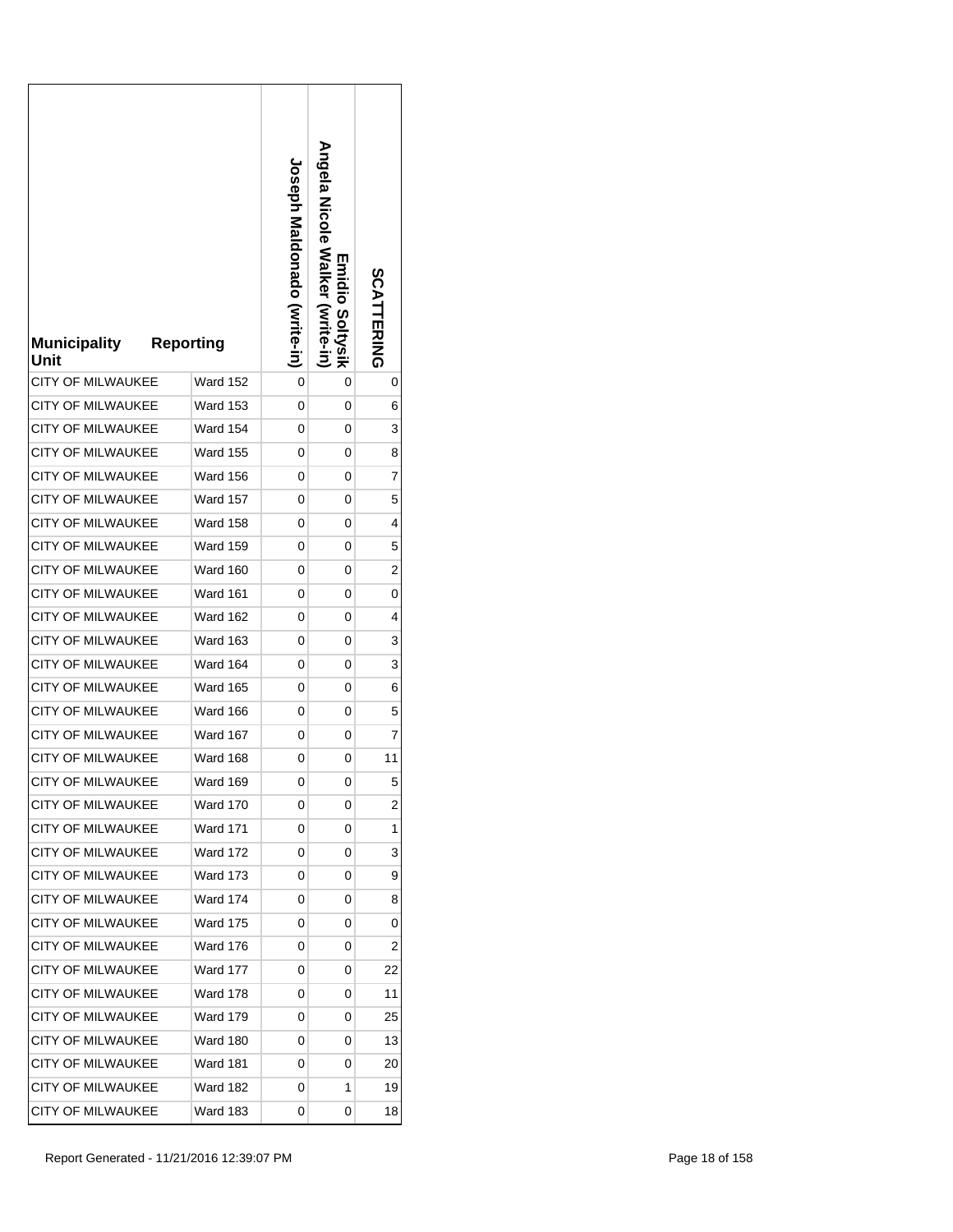| <b>Municipality</b><br>Unit | <b>Reporting</b> | <b>Joseph Maldonado (Vrite-in)</b> | Angela Nicole Walker (write-in)<br>Emidio Soltysik | SCATTERING |
|-----------------------------|------------------|------------------------------------|----------------------------------------------------|------------|
| <b>CITY OF MILWAUKEE</b>    | Ward 152         | 0                                  | 0                                                  | 0          |
| <b>CITY OF MILWAUKEE</b>    | <b>Ward 153</b>  | 0                                  | 0                                                  | 6          |
| CITY OF MILWAUKEE           | <b>Ward 154</b>  | 0                                  | 0                                                  | 3          |
| <b>CITY OF MILWAUKEE</b>    | Ward 155         | 0                                  | 0                                                  | 8          |
| <b>CITY OF MILWAUKEE</b>    | Ward 156         | 0                                  | 0                                                  | 7          |
| <b>CITY OF MILWAUKEE</b>    | <b>Ward 157</b>  | 0                                  | 0                                                  | 5          |
| <b>CITY OF MILWAUKEE</b>    | <b>Ward 158</b>  | 0                                  | 0                                                  | 4          |
| <b>CITY OF MILWAUKEE</b>    | Ward 159         | 0                                  | 0                                                  | 5          |
| <b>CITY OF MILWAUKEE</b>    | Ward 160         | 0                                  | 0                                                  | 2          |
| <b>CITY OF MILWAUKEE</b>    | <b>Ward 161</b>  | 0                                  | 0                                                  | 0          |
| <b>CITY OF MILWAUKEE</b>    | <b>Ward 162</b>  | 0                                  | 0                                                  | 4          |
| <b>CITY OF MILWAUKEE</b>    | Ward 163         | 0                                  | 0                                                  | 3          |
| CITY OF MILWAUKEE           | Ward 164         | 0                                  | 0                                                  | 3          |
| <b>CITY OF MILWAUKEE</b>    | Ward 165         | 0                                  | 0                                                  | 6          |
| <b>CITY OF MILWAUKEE</b>    | Ward 166         | 0                                  | 0                                                  | 5          |
| <b>CITY OF MILWAUKEE</b>    | Ward 167         | 0                                  | 0                                                  | 7          |
| <b>CITY OF MILWAUKEE</b>    | <b>Ward 168</b>  | 0                                  | 0                                                  | 11         |
| <b>CITY OF MILWAUKEE</b>    | Ward 169         | 0                                  | 0                                                  | 5          |
| <b>CITY OF MILWAUKEE</b>    | Ward 170         | 0                                  | 0                                                  | 2          |
| <b>CITY OF MILWAUKEE</b>    | Ward 171         | 0                                  | 0                                                  | 1          |
| <b>CITY OF MILWAUKEE</b>    | <b>Ward 172</b>  | 0                                  | 0                                                  | 3          |
| CITY OF MILWAUKEE           | Ward 173         | 0                                  | 0                                                  | 9          |
| <b>CITY OF MILWAUKEE</b>    | Ward 174         | 0                                  | 0                                                  | 8          |
| <b>CITY OF MILWAUKEE</b>    | <b>Ward 175</b>  | 0                                  | 0                                                  | 0          |
| <b>CITY OF MILWAUKEE</b>    | <b>Ward 176</b>  | 0                                  | 0                                                  | 2          |
| CITY OF MILWAUKEE           | <b>Ward 177</b>  | 0                                  | 0                                                  | 22         |
| <b>CITY OF MILWAUKEE</b>    | <b>Ward 178</b>  | 0                                  | 0                                                  | 11         |
| <b>CITY OF MILWAUKEE</b>    | <b>Ward 179</b>  | 0                                  | 0                                                  | 25         |
| <b>CITY OF MILWAUKEE</b>    | Ward 180         | 0                                  | 0                                                  | 13         |
| <b>CITY OF MILWAUKEE</b>    | <b>Ward 181</b>  | 0                                  | 0                                                  | 20         |
| <b>CITY OF MILWAUKEE</b>    | <b>Ward 182</b>  | 0                                  | 1                                                  | 19         |
| CITY OF MILWAUKEE           | Ward 183         | 0                                  | 0                                                  | 18         |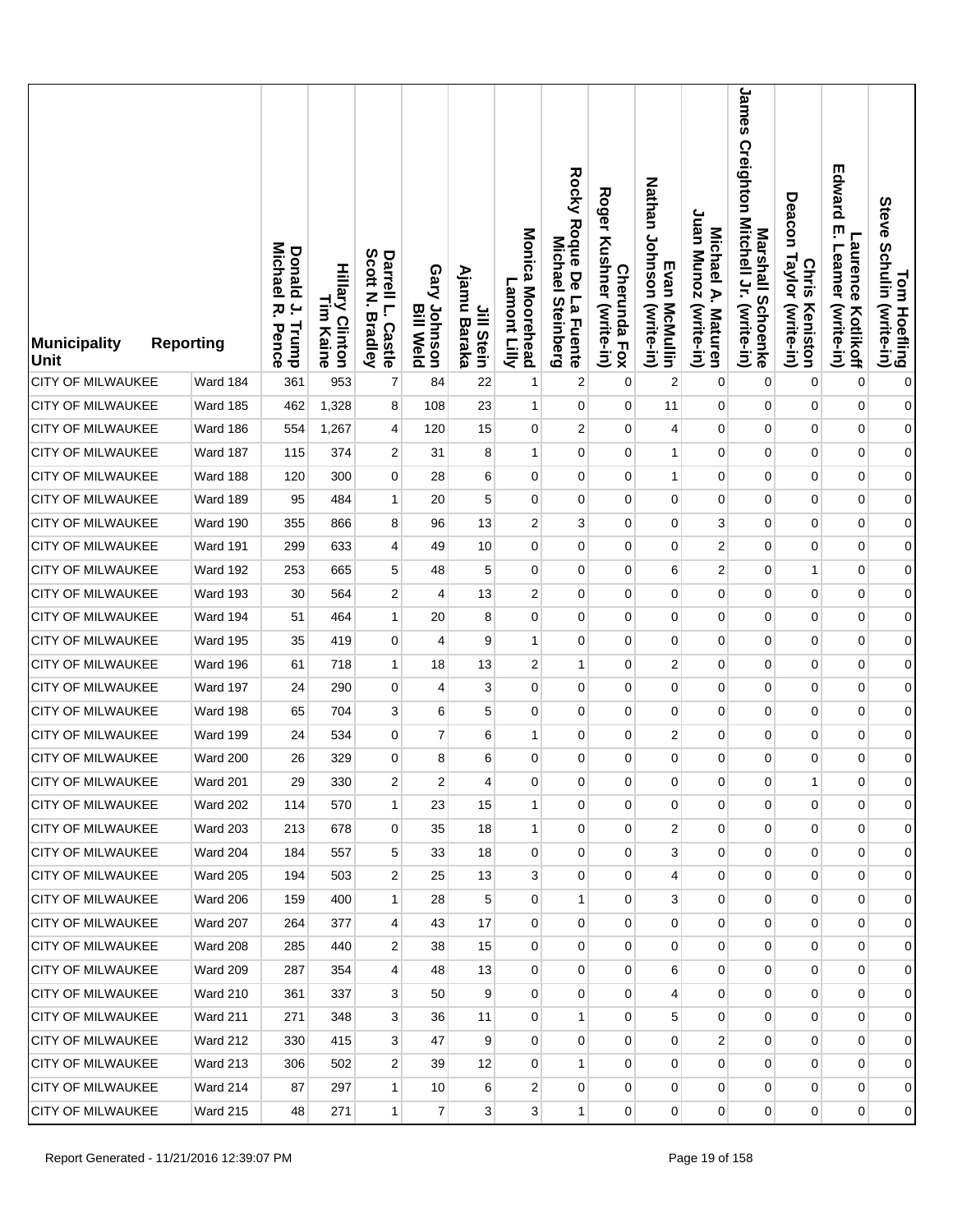| <b>Municipality</b><br>Unit | <b>Reporting</b> | <b>Donald</b><br>Michael<br>$\overline{a}$<br>ᅎ<br>Trump<br>Pence | <b>Hillary Clinton</b><br>L<br>E<br>Kaine | Scott<br>Darrell L.<br>Z<br><b>Bradley</b><br><b>Castle</b> | Gary Johnson<br><b>Bill Weld</b> | Ajamu<br>Jill Stein<br>Baraka | Monica Moorehead<br>Lamont Lilly | Rocky Rodue De La Huente<br>Michael<br><b>Steinberg</b> | <b>Roger</b><br>Kushner (write-in)<br><b>Cherunda Fox</b> | Nathan Johnson (write-in)<br>Evan McMullin | Juan Munoz (write-in)<br>Michael A. Maturen | James Creighton Mitchell Jr. (write-in)<br>Marshall Schoenke | Deacon<br>Taylor (write-in)<br><b>Chris</b><br>Keniston | Edward<br>ŗ<br>Laurence<br>Leamer<br>(write-in)<br>Kotlikoff | Tom Hoefling<br>Steve Schulin (write-in) |
|-----------------------------|------------------|-------------------------------------------------------------------|-------------------------------------------|-------------------------------------------------------------|----------------------------------|-------------------------------|----------------------------------|---------------------------------------------------------|-----------------------------------------------------------|--------------------------------------------|---------------------------------------------|--------------------------------------------------------------|---------------------------------------------------------|--------------------------------------------------------------|------------------------------------------|
| <b>CITY OF MILWAUKEE</b>    | Ward 184         | 361                                                               | 953                                       | 7                                                           | 84                               | 22                            | 1                                | $\overline{c}$                                          | $\mathbf 0$                                               | $\overline{c}$                             | 0                                           | $\mathbf 0$                                                  | 0                                                       | $\mathbf 0$                                                  | $\pmb{0}$                                |
| CITY OF MILWAUKEE           | Ward 185         | 462                                                               | 1,328                                     | 8                                                           | 108                              | 23                            | 1                                | 0                                                       | $\mathbf 0$                                               | 11                                         | 0                                           | 0                                                            | $\mathbf 0$                                             | $\pmb{0}$                                                    | $\mathbf{0}$                             |
| <b>CITY OF MILWAUKEE</b>    | Ward 186         | 554                                                               | 1,267                                     | $\overline{\mathbf{r}}$                                     | 120                              | 15                            | 0                                | $\overline{2}$                                          | 0                                                         | $\overline{4}$                             | 0                                           | $\pmb{0}$                                                    | $\mathbf 0$                                             | $\pmb{0}$                                                    | $\mathbf{0}$                             |
| <b>CITY OF MILWAUKEE</b>    | Ward 187         | 115                                                               | 374                                       | 2                                                           | 31                               | 8                             | 1                                | 0                                                       | $\mathbf 0$                                               | $\mathbf{1}$                               | 0                                           | 0                                                            | 0                                                       | $\pmb{0}$                                                    | $\mathbf{0}$                             |
| <b>CITY OF MILWAUKEE</b>    | Ward 188         | 120                                                               | 300                                       | $\overline{0}$                                              | 28                               | 6                             | $\mathbf 0$                      | $\mathbf 0$                                             | 0                                                         | $\mathbf{1}$                               | 0                                           | $\mathbf 0$                                                  | $\mathbf 0$                                             | $\pmb{0}$                                                    | $\mathbf{0}$                             |
| <b>CITY OF MILWAUKEE</b>    | Ward 189         | 95                                                                | 484                                       | 1                                                           | 20                               | 5                             | $\mathbf 0$                      | 0                                                       | 0                                                         | 0                                          | 0                                           | 0                                                            | 0                                                       | $\mathbf 0$                                                  | $\mathbf{0}$                             |
| <b>CITY OF MILWAUKEE</b>    | Ward 190         | 355                                                               | 866                                       | 8                                                           | 96                               | 13                            | $\overline{2}$                   | 3 <sup>1</sup>                                          | 0                                                         | $\mathbf 0$                                | 3                                           | $\mathbf{0}$                                                 | $\mathbf 0$                                             | $\pmb{0}$                                                    | $\mathbf{0}$                             |
| <b>CITY OF MILWAUKEE</b>    | <b>Ward 191</b>  | 299                                                               | 633                                       | 4                                                           | 49                               | 10                            | 0                                | $\mathbf 0$                                             | $\mathbf 0$                                               | 0                                          | 2                                           | 0                                                            | 0                                                       | $\mathbf 0$                                                  | $\mathbf{0}$                             |
| CITY OF MILWAUKEE           | Ward 192         | 253                                                               | 665                                       | 5                                                           | 48                               | 5                             | $\mathbf 0$                      | $\mathbf 0$                                             | $\mathbf 0$                                               | 6                                          | 2                                           | $\mathbf 0$                                                  | $\mathbf{1}$                                            | $\pmb{0}$                                                    | $\mathbf{0}$                             |
| <b>CITY OF MILWAUKEE</b>    | Ward 193         | 30                                                                | 564                                       | 2                                                           | 4                                | 13                            | $\overline{2}$                   | $\mathbf 0$                                             | 0                                                         | $\mathbf 0$                                | 0                                           | 0                                                            | 0                                                       | $\mathbf 0$                                                  | $\boldsymbol{0}$                         |
| <b>CITY OF MILWAUKEE</b>    | Ward 194         | 51                                                                | 464                                       | $\mathbf{1}$                                                | 20                               | 8                             | $\mathbf 0$                      | $\mathbf 0$                                             | $\mathbf 0$                                               | 0                                          | 0                                           | 0                                                            | $\mathbf 0$                                             | $\pmb{0}$                                                    | $\boldsymbol{0}$                         |
| <b>CITY OF MILWAUKEE</b>    | Ward 195         | 35                                                                | 419                                       | 0                                                           | 4                                | 9                             | 1                                | $\mathbf 0$                                             | 0                                                         | 0                                          | 0                                           | 0                                                            | 0                                                       | $\mathbf 0$                                                  | $\boldsymbol{0}$                         |
| CITY OF MILWAUKEE           | Ward 196         | 61                                                                | 718                                       | $\mathbf{1}$                                                | 18                               | 13                            | $\overline{2}$                   | 1                                                       | $\mathbf 0$                                               | $\boldsymbol{2}$                           | 0                                           | $\mathbf 0$                                                  | $\mathbf 0$                                             | $\pmb{0}$                                                    | $\boldsymbol{0}$                         |
| <b>CITY OF MILWAUKEE</b>    | Ward 197         | 24                                                                | 290                                       | 0                                                           | 4                                | 3                             | $\mathbf 0$                      | $\mathbf 0$                                             | 0                                                         | 0                                          | 0                                           | 0                                                            | 0                                                       | $\mathbf 0$                                                  | $\overline{0}$                           |
| <b>CITY OF MILWAUKEE</b>    | Ward 198         | 65                                                                | 704                                       | 3                                                           | 6                                | 5                             | 0                                | 0                                                       | $\mathbf 0$                                               | 0                                          | 0                                           | 0                                                            | 0                                                       | $\pmb{0}$                                                    | $\boldsymbol{0}$                         |
| CITY OF MILWAUKEE           | Ward 199         | 24                                                                | 534                                       | 0                                                           | $\overline{7}$                   | 6                             | 1                                | $\mathbf 0$                                             | 0                                                         | 2                                          | 0                                           | 0                                                            | $\mathbf 0$                                             | $\mathbf 0$                                                  | $\overline{0}$                           |
| CITY OF MILWAUKEE           | Ward 200         | 26                                                                | 329                                       | 0                                                           | 8                                | 6                             | $\mathbf 0$                      | $\mathbf 0$                                             | 0                                                         | 0                                          | 0                                           | 0                                                            | 0                                                       | $\mathbf 0$                                                  | $\boldsymbol{0}$                         |
| <b>CITY OF MILWAUKEE</b>    | Ward 201         | 29                                                                | 330                                       | $\overline{\mathbf{c}}$                                     | $\overline{\mathbf{c}}$          | 4                             | 0                                | 0                                                       | 0                                                         | 0                                          | 0                                           | 0                                                            | $\mathbf{1}$                                            | 0                                                            | $\overline{0}$                           |
| <b>CITY OF MILWAUKEE</b>    | <b>Ward 202</b>  | 114                                                               | 570                                       | $\mathbf{1}$                                                | 23                               | 15                            | $\mathbf{1}$                     | 0                                                       | $\mathbf 0$                                               | 0                                          | 0                                           | $\mathbf{0}$                                                 | 0                                                       | $\mathbf 0$                                                  | $\overline{0}$                           |
| <b>CITY OF MILWAUKEE</b>    | <b>Ward 203</b>  | 213                                                               | 678                                       | 0                                                           | 35                               | 18                            | $\mathbf{1}$                     | 0                                                       | 0                                                         | 2                                          | 0                                           | $\overline{0}$                                               | $\mathbf 0$                                             | $\mathbf 0$                                                  | $\overline{0}$                           |
| <b>CITY OF MILWAUKEE</b>    | <b>Ward 204</b>  | 184                                                               | 557                                       | 5                                                           | 33                               | 18                            | 0                                | 0                                                       | $\mathbf 0$                                               | 3                                          | 0                                           | $\mathbf 0$                                                  | 0                                                       | 0                                                            | $\overline{0}$                           |
| <b>CITY OF MILWAUKEE</b>    | <b>Ward 205</b>  | 194                                                               | 503                                       | $\overline{2}$                                              | 25                               | 13                            | 3                                | $\mathbf 0$                                             | 0                                                         | 4                                          | 0                                           | $\overline{0}$                                               | $\mathbf 0$                                             | $\mathbf 0$                                                  | $\overline{0}$                           |
| CITY OF MILWAUKEE           | <b>Ward 206</b>  | 159                                                               | 400                                       | $\mathbf{1}$                                                | 28                               | 5                             | $\mathbf 0$                      | 1                                                       | $\mathbf 0$                                               | 3                                          | $\mathbf 0$                                 | $\mathbf 0$                                                  | 0                                                       | 0                                                            | $\overline{0}$                           |
| <b>CITY OF MILWAUKEE</b>    | Ward 207         | 264                                                               | 377                                       | $\overline{4}$                                              | 43                               | 17                            | $\mathbf 0$                      | $\mathbf 0$                                             | 0                                                         | $\mathbf 0$                                | 0                                           | 0                                                            | $\overline{0}$                                          | 0                                                            | $\overline{0}$                           |
| CITY OF MILWAUKEE           | Ward 208         | 285                                                               | 440                                       | 2                                                           | 38                               | 15                            | 0                                | 0                                                       | 0                                                         | $\mathbf 0$                                | 0                                           | 0                                                            | 0                                                       | 0                                                            | $\overline{0}$                           |
| <b>CITY OF MILWAUKEE</b>    | Ward 209         | 287                                                               | 354                                       | $\overline{4}$                                              | 48                               | 13                            | 0                                | $\overline{0}$                                          | $\overline{0}$                                            | 6                                          | 0                                           | $\mathbf 0$                                                  | $\overline{0}$                                          | $\pmb{0}$                                                    | $\overline{0}$                           |
| <b>CITY OF MILWAUKEE</b>    | Ward 210         | 361                                                               | 337                                       | 3                                                           | 50                               | 9                             | 0                                | 0                                                       | 0                                                         | 4                                          | 0                                           | $\mathbf 0$                                                  | 0                                                       | 0                                                            | $\overline{0}$                           |
| <b>CITY OF MILWAUKEE</b>    | Ward 211         | 271                                                               | 348                                       | 3                                                           | 36                               | 11                            | $\mathbf 0$                      | 1                                                       | $\overline{0}$                                            | 5                                          | 0                                           | 0                                                            | $\overline{0}$                                          | $\pmb{0}$                                                    | $\overline{0}$                           |
| <b>CITY OF MILWAUKEE</b>    | <b>Ward 212</b>  | 330                                                               | 415                                       | 3                                                           | 47                               | 9                             | 0                                | 0                                                       | 0                                                         | 0                                          | 2                                           | $\mathbf 0$                                                  | 0                                                       | 0                                                            | $\overline{0}$                           |
| CITY OF MILWAUKEE           | <b>Ward 213</b>  | 306                                                               | 502                                       | 2                                                           | 39                               | 12                            | 0                                | $\mathbf{1}$                                            | $\overline{0}$                                            | 0                                          | $\overline{0}$                              | $\mathbf{0}$                                                 | $\overline{0}$                                          | 0                                                            | $\overline{0}$                           |
| CITY OF MILWAUKEE           | Ward 214         | 87                                                                | 297                                       | $\mathbf{1}$                                                | 10                               | 6                             | 2                                | 0                                                       | 0                                                         | 0                                          | $\mathbf{0}$                                | $\mathbf 0$                                                  | $\overline{0}$                                          | 0                                                            | $\overline{0}$                           |
| <b>CITY OF MILWAUKEE</b>    | <b>Ward 215</b>  | 48                                                                | 271                                       | $\mathbf{1}$                                                | $\overline{7}$                   | 3 <sup>1</sup>                | 3                                | 1                                                       | $\mathbf 0$                                               | $\mathbf 0$                                | 0                                           | $\overline{0}$                                               | $\overline{0}$                                          | 0                                                            | $\overline{0}$                           |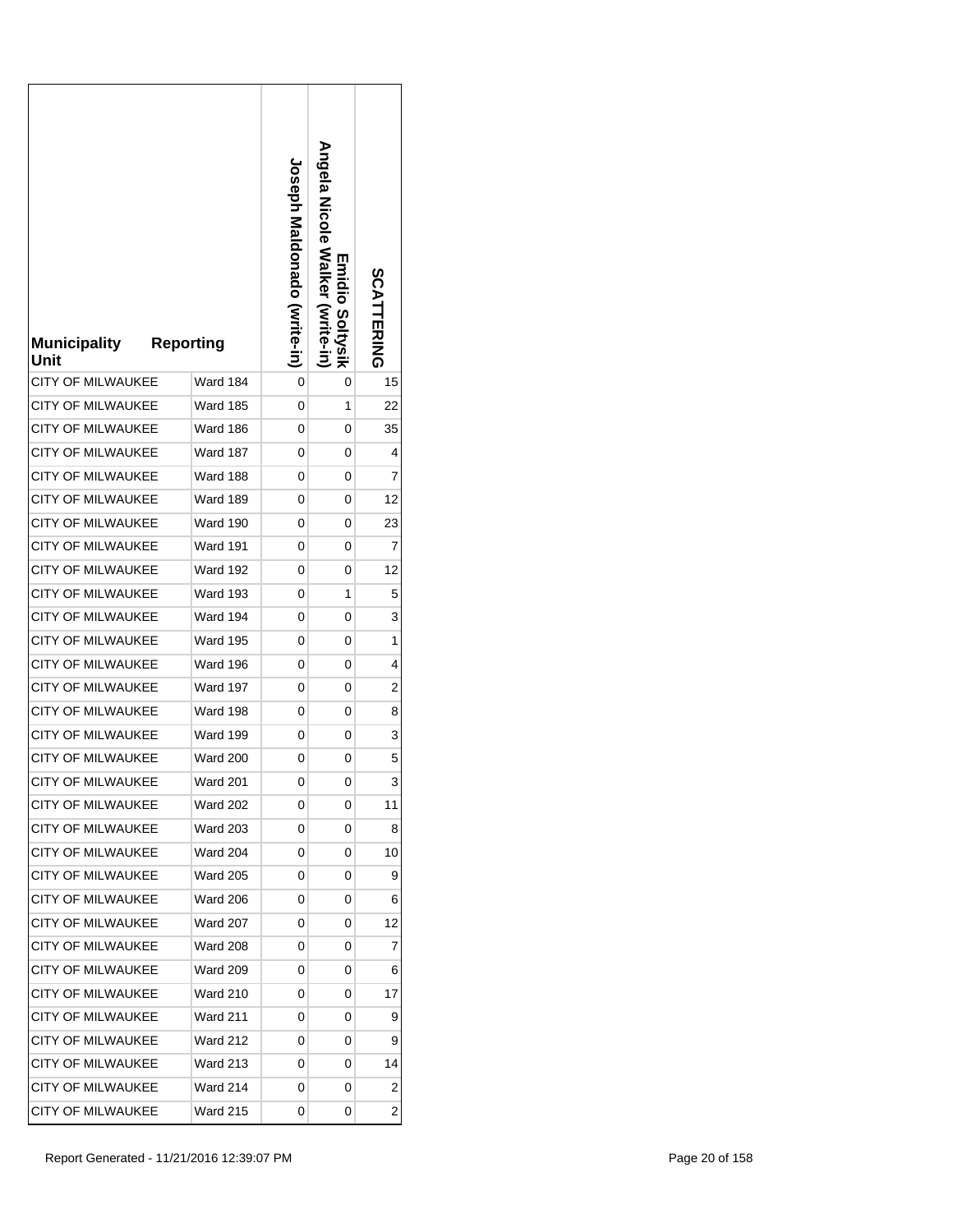| <b>Municipality</b><br>Unit | <b>Reporting</b> | <b>Joseph Maldonado (Write-in)</b> | <b>Angela Nalker</b><br>Emidio Soltysik<br>(Write-in | SCATTERING |
|-----------------------------|------------------|------------------------------------|------------------------------------------------------|------------|
| <b>CITY OF MILWAUKEE</b>    | Ward 184         | 0                                  | 0                                                    | 15         |
| CITY OF MILWAUKEE           | Ward 185         | 0                                  | 1                                                    | 22         |
| <b>CITY OF MILWAUKEE</b>    | Ward 186         | 0                                  | 0                                                    | 35         |
| <b>CITY OF MILWAUKEE</b>    | Ward 187         | 0                                  | 0                                                    | 4          |
| <b>CITY OF MILWAUKEE</b>    | Ward 188         | 0                                  | 0                                                    | 7          |
| <b>CITY OF MILWAUKEE</b>    | <b>Ward 189</b>  | 0                                  | 0                                                    | 12         |
| <b>CITY OF MILWAUKEE</b>    | Ward 190         | 0                                  | 0                                                    | 23         |
| <b>CITY OF MILWAUKEE</b>    | <b>Ward 191</b>  | 0                                  | 0                                                    | 7          |
| <b>CITY OF MILWAUKEE</b>    | Ward 192         | 0                                  | 0                                                    | 12         |
| <b>CITY OF MILWAUKEE</b>    | <b>Ward 193</b>  | 0                                  | 1                                                    | 5          |
| <b>CITY OF MILWAUKEE</b>    | Ward 194         | 0                                  | 0                                                    | 3          |
| <b>CITY OF MILWAUKEE</b>    | Ward 195         | 0                                  | 0                                                    | 1          |
| <b>CITY OF MILWAUKEE</b>    | Ward 196         | 0                                  | 0                                                    | 4          |
| CITY OF MILWAUKEE           | <b>Ward 197</b>  | 0                                  | 0                                                    | 2          |
| <b>CITY OF MILWAUKEE</b>    | <b>Ward 198</b>  | 0                                  | 0                                                    | 8          |
| <b>CITY OF MILWAUKEE</b>    | <b>Ward 199</b>  | 0                                  | 0                                                    | 3          |
| <b>CITY OF MILWAUKEE</b>    | <b>Ward 200</b>  | 0                                  | 0                                                    | 5          |
| <b>CITY OF MILWAUKEE</b>    | <b>Ward 201</b>  | 0                                  | 0                                                    | 3          |
| <b>CITY OF MILWAUKEE</b>    | Ward 202         | 0                                  | 0                                                    | 11         |
| <b>CITY OF MILWAUKEE</b>    | Ward 203         | 0                                  | 0                                                    | 8          |
| <b>CITY OF MILWAUKEE</b>    | <b>Ward 204</b>  | 0                                  | 0                                                    | 10         |
| CITY OF MILWAUKEE           | Ward 205         | 0                                  | 0                                                    | 9          |
| <b>CITY OF MILWAUKEE</b>    | Ward 206         | 0                                  | 0                                                    | 6          |
| CITY OF MILWAUKEE           | <b>Ward 207</b>  | 0                                  | 0                                                    | 12         |
| CITY OF MILWAUKEE           | <b>Ward 208</b>  | 0                                  | 0                                                    | 7          |
| CITY OF MILWAUKEE           | <b>Ward 209</b>  | 0                                  | 0                                                    | 6          |
| <b>CITY OF MILWAUKEE</b>    | Ward 210         | 0                                  | 0                                                    | 17         |
| CITY OF MILWAUKEE           | <b>Ward 211</b>  | 0                                  | 0                                                    | 9          |
| CITY OF MILWAUKEE           | Ward 212         | 0                                  | 0                                                    | 9          |
| CITY OF MILWAUKEE           | <b>Ward 213</b>  | 0                                  | 0                                                    | 14         |
| CITY OF MILWAUKEE           | Ward 214         | 0                                  | 0                                                    | 2          |
| CITY OF MILWAUKEE           | Ward 215         | 0                                  | 0                                                    | 2          |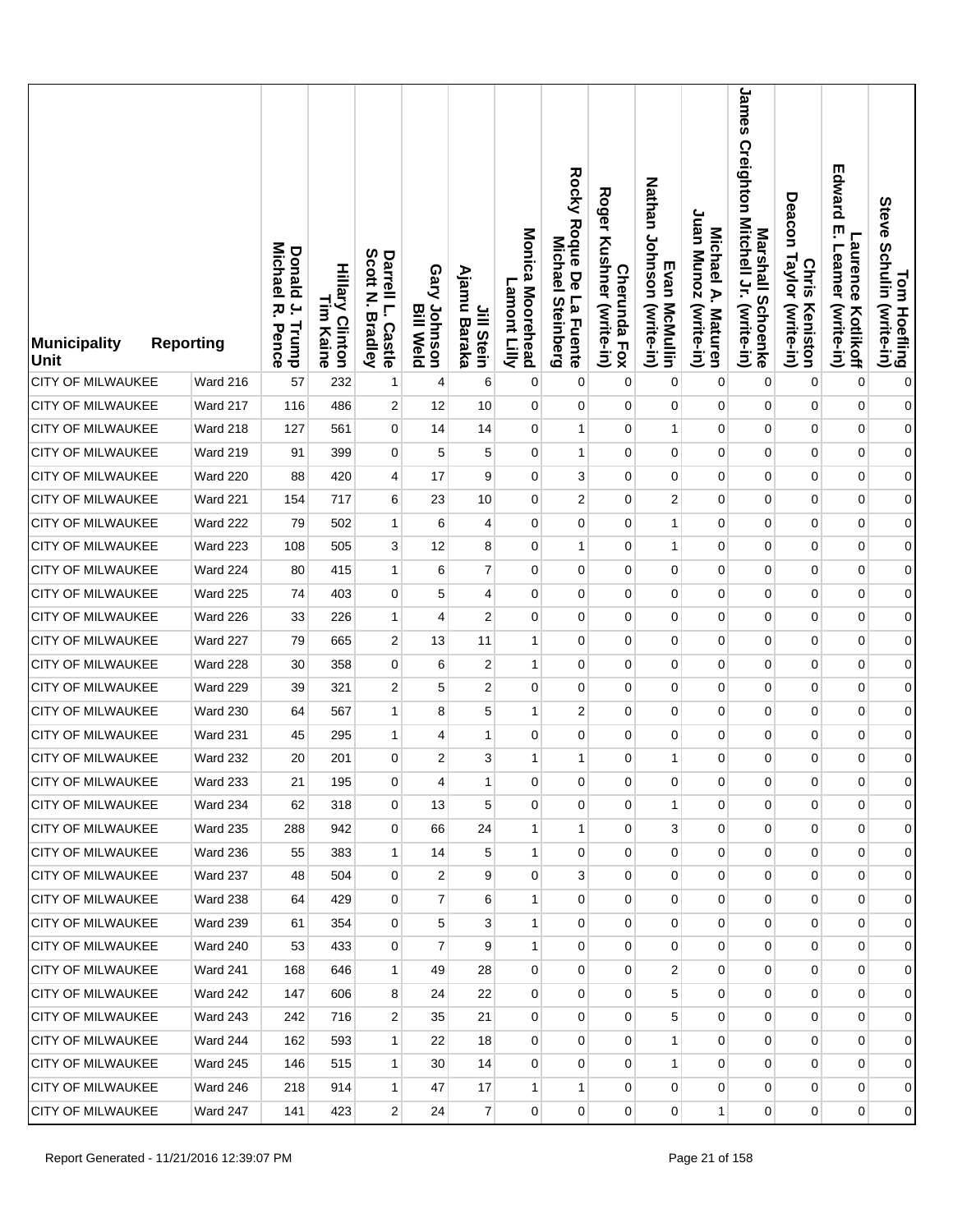| <b>Municipality</b><br><b>Unit</b> | <b>Reporting</b> | <b>Donald</b><br>Michael<br>$\overline{a}$<br>ᅎ<br>Trump<br>Pence | <b>Hillary Clinton</b><br>L<br>E<br>Kaine | Scott<br>Darrell L.<br>Z<br><b>Bradley</b><br>Castle | Gary Johnson<br><b>Bill Weld</b> | Ajamu<br>Jill Stein<br>Baraka | Monica Moorehead<br>Lamont Lilly | Rocky Roque De La Fuente<br><b>Michael</b><br><b>Steinberg</b> | <b>Roger</b><br>Kushner (write-in)<br><b>Cherunda Fox</b> | Nathan Johnson (write-in)<br>Evan McMullin | Juan Munoz (write-in)<br>Michael A. Maturen | James<br>Creighton Mitchell Jr. (write-in)<br>Marshall Schoenke | Deacon<br>Taylor (write-in)<br><b>Chris</b><br>Keniston | Edward<br>ŗ<br><b>Laurence</b><br>Leamer<br>(write-in)<br>Kotlikoff | Tom Hoefling<br>Steve Schulin (write-in) |
|------------------------------------|------------------|-------------------------------------------------------------------|-------------------------------------------|------------------------------------------------------|----------------------------------|-------------------------------|----------------------------------|----------------------------------------------------------------|-----------------------------------------------------------|--------------------------------------------|---------------------------------------------|-----------------------------------------------------------------|---------------------------------------------------------|---------------------------------------------------------------------|------------------------------------------|
| <b>CITY OF MILWAUKEE</b>           | Ward 216         | 57                                                                | 232                                       | 1                                                    | 4                                | 6                             | $\pmb{0}$                        | 0                                                              | $\mathbf 0$                                               | 0                                          | 0                                           | $\mathbf 0$                                                     | 0                                                       | $\mathbf 0$                                                         | $\pmb{0}$                                |
| CITY OF MILWAUKEE                  | Ward 217         | 116                                                               | 486                                       | 2                                                    | 12                               | 10                            | 0                                | 0                                                              | $\mathbf 0$                                               | 0                                          | 0                                           | $\mathbf 0$                                                     | $\mathbf 0$                                             | $\pmb{0}$                                                           | $\boldsymbol{0}$                         |
| <b>CITY OF MILWAUKEE</b>           | Ward 218         | 127                                                               | 561                                       | $\overline{0}$                                       | 14                               | 14                            | 0                                | $\mathbf{1}$                                                   | $\mathbf 0$                                               | $\mathbf{1}$                               | 0                                           | $\pmb{0}$                                                       | $\mathbf 0$                                             | $\pmb{0}$                                                           | $\boldsymbol{0}$                         |
| <b>CITY OF MILWAUKEE</b>           | Ward 219         | 91                                                                | 399                                       | 0                                                    | 5                                | 5                             | 0                                | 1                                                              | 0                                                         | 0                                          | 0                                           | 0                                                               | 0                                                       | $\pmb{0}$                                                           | $\boldsymbol{0}$                         |
| <b>CITY OF MILWAUKEE</b>           | Ward 220         | 88                                                                | 420                                       | $\overline{4}$                                       | 17                               | 9                             | $\mathbf 0$                      | 3                                                              | 0                                                         | 0                                          | 0                                           | $\mathbf 0$                                                     | $\mathbf 0$                                             | $\pmb{0}$                                                           | $\overline{0}$                           |
| <b>CITY OF MILWAUKEE</b>           | Ward 221         | 154                                                               | 717                                       | 6                                                    | 23                               | 10                            | 0                                | $\overline{c}$                                                 | 0                                                         | 2                                          | 0                                           | $\mathbf 0$                                                     | 0                                                       | $\mathbf 0$                                                         | $\boldsymbol{0}$                         |
| <b>CITY OF MILWAUKEE</b>           | <b>Ward 222</b>  | 79                                                                | 502                                       | $\mathbf{1}$                                         | 6                                | $\overline{4}$                | $\mathbf 0$                      | $\mathbf 0$                                                    | 0                                                         | $\mathbf{1}$                               | 0                                           | $\mathbf{0}$                                                    | $\mathbf 0$                                             | $\pmb{0}$                                                           | $\boldsymbol{0}$                         |
| <b>CITY OF MILWAUKEE</b>           | <b>Ward 223</b>  | 108                                                               | 505                                       | 3                                                    | 12                               | 8                             | $\mathbf 0$                      | 1                                                              | $\mathbf 0$                                               | $\mathbf{1}$                               | 0                                           | 0                                                               | 0                                                       | $\mathbf 0$                                                         | $\boldsymbol{0}$                         |
| CITY OF MILWAUKEE                  | Ward 224         | 80                                                                | 415                                       | $\mathbf{1}$                                         | 6                                | $\overline{7}$                | $\mathbf 0$                      | $\mathbf 0$                                                    | $\mathbf 0$                                               | 0                                          | 0                                           | $\mathbf 0$                                                     | $\mathbf 0$                                             | $\pmb{0}$                                                           | $\boldsymbol{0}$                         |
| <b>CITY OF MILWAUKEE</b>           | Ward 225         | 74                                                                | 403                                       | 0                                                    | 5                                | 4                             | $\mathbf 0$                      | $\mathbf 0$                                                    | 0                                                         | 0                                          | 0                                           | 0                                                               | 0                                                       | $\mathbf 0$                                                         | $\boldsymbol{0}$                         |
| <b>CITY OF MILWAUKEE</b>           | Ward 226         | 33                                                                | 226                                       | $\mathbf{1}$                                         | 4                                | $\overline{2}$                | $\mathbf 0$                      | $\mathbf 0$                                                    | $\mathbf 0$                                               | 0                                          | 0                                           | 0                                                               | $\mathbf 0$                                             | $\pmb{0}$                                                           | $\boldsymbol{0}$                         |
| CITY OF MILWAUKEE                  | Ward 227         | 79                                                                | 665                                       | 2                                                    | 13                               | 11                            | 1                                | $\mathbf 0$                                                    | 0                                                         | 0                                          | 0                                           | 0                                                               | 0                                                       | $\mathbf 0$                                                         | $\boldsymbol{0}$                         |
| CITY OF MILWAUKEE                  | Ward 228         | 30                                                                | 358                                       | 0                                                    | 6                                | $\overline{2}$                | 1                                | $\mathbf 0$                                                    | $\mathbf 0$                                               | $\mathbf 0$                                | 0                                           | $\mathbf 0$                                                     | $\mathbf 0$                                             | $\pmb{0}$                                                           | $\boldsymbol{0}$                         |
| <b>CITY OF MILWAUKEE</b>           | Ward 229         | 39                                                                | 321                                       | 2                                                    | 5                                | $\overline{2}$                | $\mathbf 0$                      | $\mathbf 0$                                                    | 0                                                         | 0                                          | 0                                           | 0                                                               | 0                                                       | $\mathbf 0$                                                         | $\boldsymbol{0}$                         |
| <b>CITY OF MILWAUKEE</b>           | <b>Ward 230</b>  | 64                                                                | 567                                       | $\mathbf{1}$                                         | 8                                | 5                             | 1                                | $\overline{2}$                                                 | $\mathbf 0$                                               | 0                                          | 0                                           | 0                                                               | 0                                                       | $\pmb{0}$                                                           | $\boldsymbol{0}$                         |
| CITY OF MILWAUKEE                  | <b>Ward 231</b>  | 45                                                                | 295                                       | $\mathbf{1}$                                         | 4                                | $\mathbf{1}$                  | $\mathbf 0$                      | 0                                                              | 0                                                         | $\mathbf 0$                                | 0                                           | 0                                                               | 0                                                       | $\mathbf 0$                                                         | $\overline{0}$                           |
| <b>CITY OF MILWAUKEE</b>           | <b>Ward 232</b>  | 20                                                                | 201                                       | 0                                                    | 2                                | 3                             | 1                                | 1                                                              | 0                                                         | $\mathbf{1}$                               | 0                                           | 0                                                               | 0                                                       | $\mathbf 0$                                                         | $\boldsymbol{0}$                         |
| <b>CITY OF MILWAUKEE</b>           | Ward 233         | 21                                                                | 195                                       | $\overline{0}$                                       | $\overline{4}$                   | 1                             | 0                                | 0                                                              | 0                                                         | 0                                          | 0                                           | 0                                                               | 0                                                       | 0                                                                   | $\overline{0}$                           |
| <b>CITY OF MILWAUKEE</b>           | <b>Ward 234</b>  | 62                                                                | 318                                       | $\overline{0}$                                       | 13                               | 5                             | 0                                | 0                                                              | 0                                                         | $\mathbf{1}$                               | 0                                           | $\mathbf{0}$                                                    | 0                                                       | $\mathbf 0$                                                         | $\overline{0}$                           |
| <b>CITY OF MILWAUKEE</b>           | <b>Ward 235</b>  | 288                                                               | 942                                       | $\overline{0}$                                       | 66                               | 24                            | $\mathbf{1}$                     | 1                                                              | 0                                                         | 3                                          | 0                                           | $\overline{0}$                                                  | $\mathbf 0$                                             | $\mathbf 0$                                                         | $\overline{0}$                           |
| <b>CITY OF MILWAUKEE</b>           | <b>Ward 236</b>  | 55                                                                | 383                                       | $\mathbf{1}$                                         | 14                               | 5                             | $\mathbf{1}$                     | 0                                                              | $\mathbf 0$                                               | $\mathbf 0$                                | $\mathbf 0$                                 | $\mathbf 0$                                                     | 0                                                       | 0                                                                   | $\overline{0}$                           |
| <b>CITY OF MILWAUKEE</b>           | <b>Ward 237</b>  | 48                                                                | 504                                       | $\overline{0}$                                       | $\overline{2}$                   | 9                             | $\mathbf 0$                      | $\mathbf{3}$                                                   | 0                                                         | $\mathbf 0$                                | 0                                           | $\overline{0}$                                                  | $\mathbf 0$                                             | $\pmb{0}$                                                           | $\overline{0}$                           |
| CITY OF MILWAUKEE                  | <b>Ward 238</b>  | 64                                                                | 429                                       | $\overline{0}$                                       | $\overline{7}$                   | 6                             | $\mathbf{1}$                     | $\mathbf 0$                                                    | $\mathbf 0$                                               | $\mathbf 0$                                | 0                                           | $\mathbf 0$                                                     | 0                                                       | 0                                                                   | $\overline{0}$                           |
| <b>CITY OF MILWAUKEE</b>           | Ward 239         | 61                                                                | 354                                       | $\overline{0}$                                       | 5                                | 3                             | $\mathbf{1}$                     | $\mathbf 0$                                                    | 0                                                         | $\mathbf 0$                                | 0                                           | 0                                                               | $\overline{0}$                                          | 0                                                                   | $\overline{0}$                           |
| CITY OF MILWAUKEE                  | <b>Ward 240</b>  | 53                                                                | 433                                       | 0                                                    | $\overline{7}$                   | 9                             | 1                                | 0                                                              | 0                                                         | 0                                          | 0                                           | 0                                                               | 0                                                       | 0                                                                   | $\overline{0}$                           |
| <b>CITY OF MILWAUKEE</b>           | Ward 241         | 168                                                               | 646                                       | 1                                                    | 49                               | 28                            | 0                                | $\mathbf 0$                                                    | $\overline{0}$                                            | $\boldsymbol{2}$                           | 0                                           | $\mathbf 0$                                                     | $\overline{0}$                                          | $\pmb{0}$                                                           | $\overline{0}$                           |
| <b>CITY OF MILWAUKEE</b>           | <b>Ward 242</b>  | 147                                                               | 606                                       | 8                                                    | 24                               | 22                            | 0                                | 0                                                              | 0                                                         | 5                                          | 0                                           | $\mathbf 0$                                                     | 0                                                       | 0                                                                   | $\overline{0}$                           |
| <b>CITY OF MILWAUKEE</b>           | Ward 243         | 242                                                               | 716                                       | 2                                                    | 35                               | 21                            | $\mathbf 0$                      | $\overline{0}$                                                 | $\overline{0}$                                            | 5                                          | 0                                           | 0                                                               | $\overline{0}$                                          | $\pmb{0}$                                                           | $\overline{0}$                           |
| <b>CITY OF MILWAUKEE</b>           | Ward 244         | 162                                                               | 593                                       | 1                                                    | 22                               | 18                            | 0                                | 0                                                              | 0                                                         | 1                                          | 0                                           | $\mathbf 0$                                                     | 0                                                       | 0                                                                   | $\overline{0}$                           |
| CITY OF MILWAUKEE                  | Ward 245         | 146                                                               | 515                                       | $\mathbf{1}$                                         | 30                               | 14                            | 0                                | 0                                                              | $\overline{0}$                                            | $\mathbf{1}$                               | $\overline{0}$                              | $\mathbf{0}$                                                    | $\overline{0}$                                          | 0                                                                   | $\overline{0}$                           |
| CITY OF MILWAUKEE                  | Ward 246         | 218                                                               | 914                                       | $\mathbf{1}$                                         | 47                               | 17                            | $\mathbf{1}$                     | $\mathbf{1}$                                                   | $\mathbf 0$                                               | 0                                          | 0                                           | $\mathbf 0$                                                     | 0                                                       | 0                                                                   | $\overline{0}$                           |
| <b>CITY OF MILWAUKEE</b>           | <b>Ward 247</b>  | 141                                                               | 423                                       | 2                                                    | 24                               | $\overline{7}$                | 0                                | $\overline{0}$                                                 | 0                                                         | 0                                          | $\mathbf{1}$                                | 0                                                               | $\overline{0}$                                          | 0                                                                   | $\overline{0}$                           |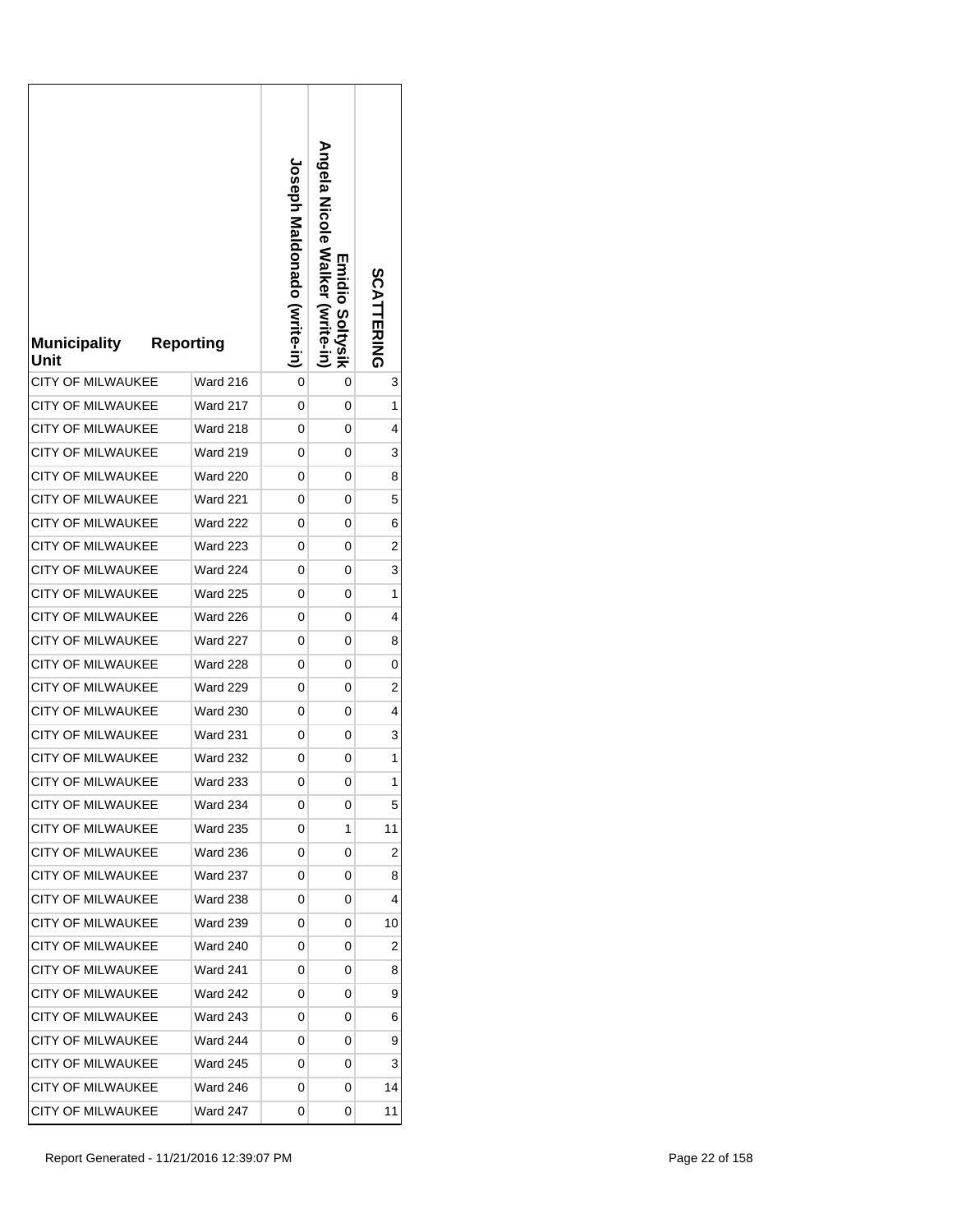| <b>Municipality</b><br>Unit | <b>Reporting</b> | <b>Joseph Maldonado (vrite-in)</b> | <b>Angela Nalker</b><br><b>Emidio Soltysik</b><br>(write-in | SCATTERING |
|-----------------------------|------------------|------------------------------------|-------------------------------------------------------------|------------|
| <b>CITY OF MILWAUKEE</b>    | Ward 216         | 0                                  | 0                                                           | 3          |
| <b>CITY OF MILWAUKEE</b>    | Ward 217         | 0                                  | 0                                                           | 1          |
| <b>CITY OF MILWAUKEE</b>    | Ward 218         | 0                                  | 0                                                           | 4          |
| <b>CITY OF MILWAUKEE</b>    | Ward 219         | 0                                  | 0                                                           | 3          |
| <b>CITY OF MILWAUKEE</b>    | <b>Ward 220</b>  | 0                                  | 0                                                           | 8          |
| CITY OF MILWAUKEE           | <b>Ward 221</b>  | 0                                  | 0                                                           | 5          |
| <b>CITY OF MILWAUKEE</b>    | <b>Ward 222</b>  | 0                                  | 0                                                           | 6          |
| <b>CITY OF MILWAUKEE</b>    | <b>Ward 223</b>  | 0                                  | 0                                                           | 2          |
| CITY OF MILWAUKEE           | Ward 224         | 0                                  | 0                                                           | 3          |
| <b>CITY OF MILWAUKEE</b>    | <b>Ward 225</b>  | 0                                  | 0                                                           | 1          |
| <b>CITY OF MILWAUKEE</b>    | <b>Ward 226</b>  | 0                                  | 0                                                           | 4          |
| <b>CITY OF MILWAUKEE</b>    | <b>Ward 227</b>  | 0                                  | 0                                                           | 8          |
| CITY OF MILWAUKEE           | Ward 228         | 0                                  | 0                                                           | 0          |
| <b>CITY OF MILWAUKEE</b>    | <b>Ward 229</b>  | 0                                  | 0                                                           | 2          |
| <b>CITY OF MILWAUKEE</b>    | <b>Ward 230</b>  | 0                                  | 0                                                           | 4          |
| <b>CITY OF MILWAUKEE</b>    | <b>Ward 231</b>  | 0                                  | 0                                                           | 3          |
| CITY OF MILWAUKEE           | <b>Ward 232</b>  | 0                                  | 0                                                           | 1          |
| <b>CITY OF MILWAUKEE</b>    | Ward 233         | 0                                  | 0                                                           | 1          |
| <b>CITY OF MILWAUKEE</b>    | Ward 234         | 0                                  | 0                                                           | 5          |
| <b>CITY OF MILWAUKEE</b>    | <b>Ward 235</b>  | 0                                  | 1                                                           | 11         |
| <b>CITY OF MILWAUKEE</b>    | Ward 236         | 0                                  | 0                                                           | 2          |
| <b>CITY OF MILWAUKEE</b>    | Ward 237         | 0                                  | 0                                                           | 8          |
| <b>CITY OF MILWAUKEE</b>    | Ward 238         | 0                                  | 0                                                           | 4          |
| <b>CITY OF MILWAUKEE</b>    | <b>Ward 239</b>  | 0                                  | 0                                                           | 10         |
| <b>CITY OF MILWAUKEE</b>    | Ward 240         | 0                                  | 0                                                           | 2          |
| CITY OF MILWAUKEE           | Ward 241         | 0                                  | 0                                                           | 8          |
| <b>CITY OF MILWAUKEE</b>    | <b>Ward 242</b>  | 0                                  | 0                                                           | 9          |
| <b>CITY OF MILWAUKEE</b>    | <b>Ward 243</b>  | 0                                  | 0                                                           | 6          |
| CITY OF MILWAUKEE           | Ward 244         | 0                                  | 0                                                           | 9          |
| <b>CITY OF MILWAUKEE</b>    | <b>Ward 245</b>  | 0                                  | 0                                                           | 3          |
| <b>CITY OF MILWAUKEE</b>    | <b>Ward 246</b>  | 0                                  | 0                                                           | 14         |
| CITY OF MILWAUKEE           | Ward 247         | 0                                  | 0                                                           | 11         |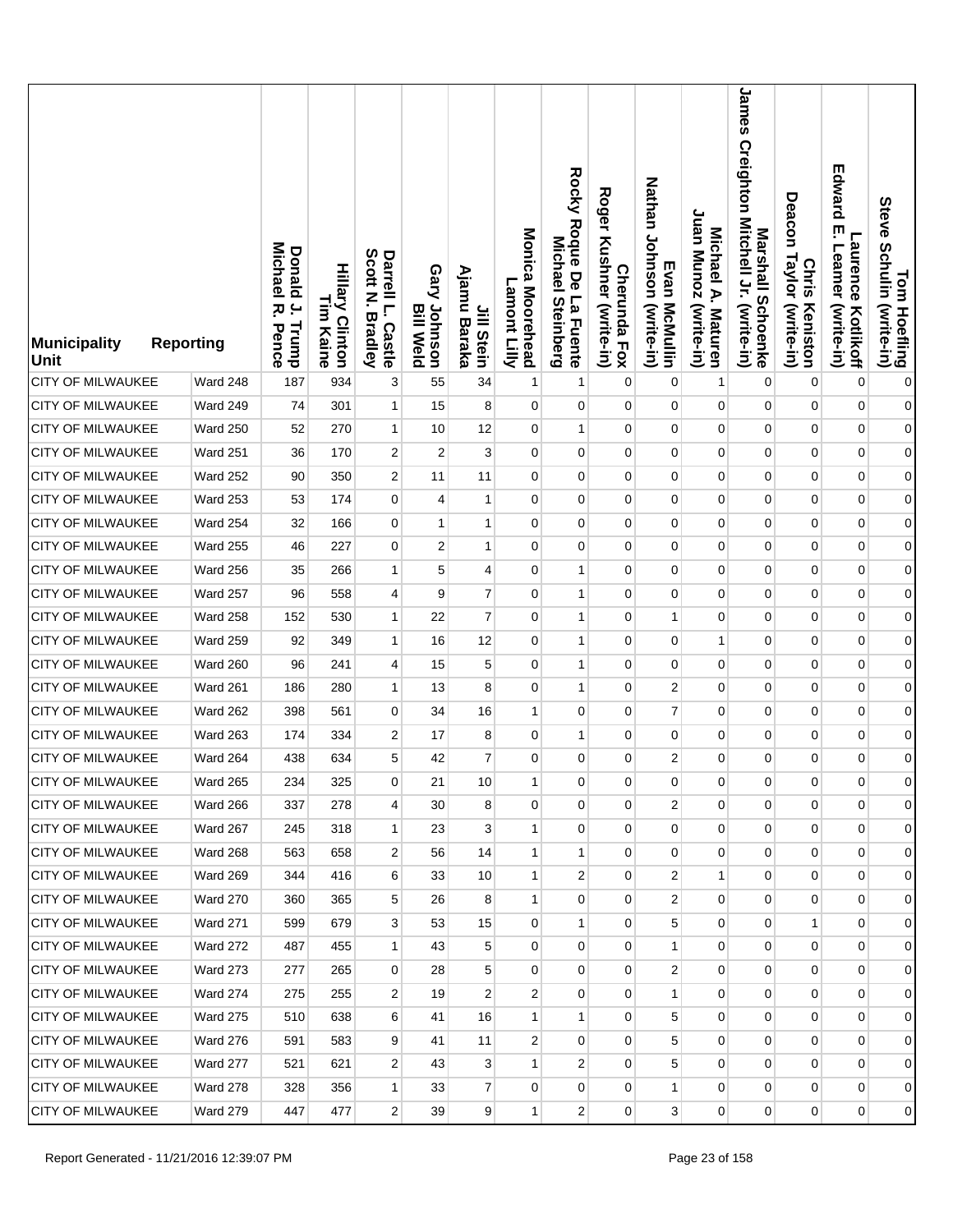| <b>Municipality</b><br><b>Unit</b> | <b>Reporting</b> | <b>Donald</b><br>Michael<br>$\overline{a}$<br>ᅎ<br>Trump<br>Pence | <b>Hillary Clinton</b><br>L<br>E<br>Kaine | Scott<br>Darrell L.<br>Z<br><b>Bradley</b><br><b>Castle</b> | Gary Johnson<br><b>Bill Weld</b> | Ajamu<br>Jill Stein<br>Baraka | Monica Moorehead<br>Lamont Lilly | Rocky Roque De La Fuente<br>Michael<br><b>Steinberg</b> | <b>Roger</b><br>Kushner (write-in)<br><b>Cherunda Fox</b> | Nathan Johnson (write-in)<br>Evan McMullin | Juan Munoz (write-in)<br>Michael A. Maturen | James<br>Creighton Mitchell Jr. (write-in)<br>Marshall Schoenke | Deacon<br>Taylor (write-in)<br><b>Chris</b><br>Keniston | Edward<br>ŗ<br><b>Laurence</b><br>Leamer<br>(write-in)<br>Kotlikoff | Tom Hoefling<br>Steve Schulin (write-in) |
|------------------------------------|------------------|-------------------------------------------------------------------|-------------------------------------------|-------------------------------------------------------------|----------------------------------|-------------------------------|----------------------------------|---------------------------------------------------------|-----------------------------------------------------------|--------------------------------------------|---------------------------------------------|-----------------------------------------------------------------|---------------------------------------------------------|---------------------------------------------------------------------|------------------------------------------|
| <b>CITY OF MILWAUKEE</b>           | Ward 248         | 187                                                               | 934                                       | 3                                                           | 55                               | 34                            | 1                                | 1                                                       | $\mathbf 0$                                               | 0                                          | 1                                           | $\mathbf 0$                                                     | 0                                                       | $\mathbf 0$                                                         | $\pmb{0}$                                |
| CITY OF MILWAUKEE                  | Ward 249         | 74                                                                | 301                                       | $\mathbf{1}$                                                | 15                               | 8                             | 0                                | 0                                                       | $\mathbf 0$                                               | 0                                          | $\pmb{0}$                                   | 0                                                               | $\mathbf 0$                                             | $\pmb{0}$                                                           | $\mathbf{0}$                             |
| <b>CITY OF MILWAUKEE</b>           | <b>Ward 250</b>  | 52                                                                | 270                                       | $\mathbf{1}$                                                | 10                               | 12                            | 0                                | $\mathbf{1}$                                            | 0                                                         | $\mathbf 0$                                | 0                                           | $\pmb{0}$                                                       | $\mathbf 0$                                             | $\pmb{0}$                                                           | $\mathbf{0}$                             |
| <b>CITY OF MILWAUKEE</b>           | <b>Ward 251</b>  | 36                                                                | 170                                       | 2                                                           | 2                                | 3                             | 0                                | 0                                                       | 0                                                         | 0                                          | 0                                           | 0                                                               | 0                                                       | $\pmb{0}$                                                           | $\mathbf{0}$                             |
| <b>CITY OF MILWAUKEE</b>           | Ward 252         | 90                                                                | 350                                       | 2                                                           | 11                               | 11                            | $\mathbf 0$                      | $\mathbf 0$                                             | 0                                                         | 0                                          | 0                                           | $\mathbf 0$                                                     | $\mathbf 0$                                             | $\pmb{0}$                                                           | $\mathbf{0}$                             |
| <b>CITY OF MILWAUKEE</b>           | Ward 253         | 53                                                                | 174                                       | 0                                                           | 4                                | 1                             | 0                                | 0                                                       | 0                                                         | 0                                          | 0                                           | $\mathbf 0$                                                     | 0                                                       | $\mathbf 0$                                                         | $\mathbf{0}$                             |
| <b>CITY OF MILWAUKEE</b>           | Ward 254         | 32                                                                | 166                                       | $\overline{0}$                                              | 1                                | $\mathbf{1}$                  | $\mathbf 0$                      | $\mathbf 0$                                             | 0                                                         | $\mathbf 0$                                | 0                                           | $\mathbf{0}$                                                    | $\mathbf 0$                                             | $\pmb{0}$                                                           | $\boldsymbol{0}$                         |
| <b>CITY OF MILWAUKEE</b>           | <b>Ward 255</b>  | 46                                                                | 227                                       | $\overline{0}$                                              | 2                                | 1                             | $\mathbf 0$                      | $\mathbf 0$                                             | $\mathbf 0$                                               | 0                                          | 0                                           | 0                                                               | 0                                                       | $\mathbf 0$                                                         | $\boldsymbol{0}$                         |
| CITY OF MILWAUKEE                  | Ward 256         | 35                                                                | 266                                       | $\mathbf{1}$                                                | 5                                | $\overline{4}$                | $\mathbf 0$                      | $\mathbf{1}$                                            | $\mathbf 0$                                               | 0                                          | 0                                           | $\mathbf 0$                                                     | $\mathbf 0$                                             | $\pmb{0}$                                                           | $\boldsymbol{0}$                         |
| <b>CITY OF MILWAUKEE</b>           | Ward 257         | 96                                                                | 558                                       | 4                                                           | 9                                | $\overline{7}$                | $\mathbf 0$                      | 1                                                       | 0                                                         | $\mathbf 0$                                | 0                                           | 0                                                               | 0                                                       | $\mathbf 0$                                                         | $\boldsymbol{0}$                         |
| <b>CITY OF MILWAUKEE</b>           | Ward 258         | 152                                                               | 530                                       | $\mathbf{1}$                                                | 22                               | $\overline{7}$                | $\mathbf 0$                      | 1                                                       | $\mathbf 0$                                               | $\mathbf{1}$                               | 0                                           | 0                                                               | $\mathbf 0$                                             | $\pmb{0}$                                                           | $\boldsymbol{0}$                         |
| <b>CITY OF MILWAUKEE</b>           | Ward 259         | 92                                                                | 349                                       | 1                                                           | 16                               | 12                            | 0                                | 1                                                       | 0                                                         | 0                                          | 1                                           | 0                                                               | 0                                                       | $\mathbf 0$                                                         | $\boldsymbol{0}$                         |
| CITY OF MILWAUKEE                  | <b>Ward 260</b>  | 96                                                                | 241                                       | 4                                                           | 15                               | 5                             | 0                                | 1                                                       | $\mathbf 0$                                               | $\mathbf 0$                                | 0                                           | $\mathbf 0$                                                     | $\mathbf 0$                                             | $\pmb{0}$                                                           | $\boldsymbol{0}$                         |
| <b>CITY OF MILWAUKEE</b>           | Ward 261         | 186                                                               | 280                                       | $\mathbf{1}$                                                | 13                               | 8                             | $\mathbf 0$                      | 1                                                       | 0                                                         | $\overline{2}$                             | 0                                           | 0                                                               | 0                                                       | $\mathbf 0$                                                         | $\boldsymbol{0}$                         |
| CITY OF MILWAUKEE                  | <b>Ward 262</b>  | 398                                                               | 561                                       | 0                                                           | 34                               | 16                            | 1                                | $\mathbf 0$                                             | $\mathbf 0$                                               | $\overline{7}$                             | 0                                           | 0                                                               | 0                                                       | $\pmb{0}$                                                           | $\boldsymbol{0}$                         |
| CITY OF MILWAUKEE                  | Ward 263         | 174                                                               | 334                                       | 2                                                           | 17                               | 8                             | $\mathbf 0$                      | 1                                                       | 0                                                         | 0                                          | 0                                           | 0                                                               | 0                                                       | $\mathbf 0$                                                         | $\overline{0}$                           |
| <b>CITY OF MILWAUKEE</b>           | <b>Ward 264</b>  | 438                                                               | 634                                       | 5                                                           | 42                               | $\overline{7}$                | 0                                | $\mathbf 0$                                             | 0                                                         | $\boldsymbol{2}$                           | 0                                           | 0                                                               | 0                                                       | $\mathbf 0$                                                         | $\boldsymbol{0}$                         |
| <b>CITY OF MILWAUKEE</b>           | Ward 265         | 234                                                               | 325                                       | $\boldsymbol{0}$                                            | 21                               | $10$                          | $\mathbf{1}$                     | 0                                                       | 0                                                         | 0                                          | 0                                           | 0                                                               | 0                                                       | 0                                                                   | $\overline{0}$                           |
| <b>CITY OF MILWAUKEE</b>           | <b>Ward 266</b>  | 337                                                               | 278                                       | 4                                                           | 30                               | 8                             | 0                                | 0                                                       | $\mathbf 0$                                               | 2                                          | 0                                           | $\mathbf{0}$                                                    | 0                                                       | $\mathbf 0$                                                         | $\overline{0}$                           |
| CITY OF MILWAUKEE                  | Ward 267         | 245                                                               | 318                                       | $\mathbf{1}$                                                | 23                               | 3 <sup>1</sup>                | $\mathbf{1}$                     | $\mathbf 0$                                             | 0                                                         | 0                                          | 0                                           | $\overline{0}$                                                  | $\mathbf 0$                                             | $\mathbf 0$                                                         | $\overline{0}$                           |
| <b>CITY OF MILWAUKEE</b>           | <b>Ward 268</b>  | 563                                                               | 658                                       | 2                                                           | 56                               | 14                            | $\mathbf{1}$                     | 1                                                       | $\mathbf 0$                                               | 0                                          | 0                                           | $\mathbf 0$                                                     | 0                                                       | 0                                                                   | $\overline{0}$                           |
| <b>CITY OF MILWAUKEE</b>           | <b>Ward 269</b>  | 344                                                               | 416                                       | 6                                                           | 33                               | 10                            | $\mathbf{1}$                     | $\overline{2}$                                          | 0                                                         | 2                                          | $\mathbf{1}$                                | $\overline{0}$                                                  | $\mathbf 0$                                             | $\pmb{0}$                                                           | $\overline{0}$                           |
| <b>CITY OF MILWAUKEE</b>           | <b>Ward 270</b>  | 360                                                               | 365                                       | 5                                                           | 26                               | 8                             | $\mathbf{1}$                     | $\mathbf 0$                                             | $\mathbf 0$                                               | $\overline{c}$                             | $\mathbf 0$                                 | $\mathbf 0$                                                     | 0                                                       | 0                                                                   | $\overline{0}$                           |
| <b>CITY OF MILWAUKEE</b>           | <b>Ward 271</b>  | 599                                                               | 679                                       | 3                                                           | 53                               | 15                            | 0                                | 1                                                       | $\overline{0}$                                            | 5                                          | 0                                           | $\mathbf 0$                                                     | $\mathbf{1}$                                            | 0                                                                   | $\overline{0}$                           |
| CITY OF MILWAUKEE                  | <b>Ward 272</b>  | 487                                                               | 455                                       | $\mathbf{1}$                                                | 43                               | 5                             | 0                                | 0                                                       | 0                                                         | $\mathbf{1}$                               | 0                                           | 0                                                               | 0                                                       | 0                                                                   | $\overline{0}$                           |
| <b>CITY OF MILWAUKEE</b>           | <b>Ward 273</b>  | 277                                                               | 265                                       | 0                                                           | 28                               | 5                             | 0                                | $\overline{0}$                                          | $\overline{0}$                                            | $\boldsymbol{2}$                           | 0                                           | $\mathbf 0$                                                     | $\overline{0}$                                          | $\pmb{0}$                                                           | $\overline{0}$                           |
| <b>CITY OF MILWAUKEE</b>           | Ward 274         | 275                                                               | 255                                       | 2                                                           | 19                               | 2                             | 2                                | 0                                                       | 0                                                         | $\mathbf{1}$                               | 0                                           | $\mathbf 0$                                                     | 0                                                       | 0                                                                   | $\overline{0}$                           |
| <b>CITY OF MILWAUKEE</b>           | Ward 275         | 510                                                               | 638                                       | 6                                                           | 41                               | 16                            | $\mathbf{1}$                     | 1                                                       | $\overline{0}$                                            | 5                                          | 0                                           | 0                                                               | $\overline{0}$                                          | 0                                                                   | $\overline{0}$                           |
| <b>CITY OF MILWAUKEE</b>           | <b>Ward 276</b>  | 591                                                               | 583                                       | 9                                                           | 41                               | 11                            | 2                                | 0                                                       | 0                                                         | 5                                          | 0                                           | $\mathbf 0$                                                     | 0                                                       | 0                                                                   | $\overline{0}$                           |
| CITY OF MILWAUKEE                  | Ward 277         | 521                                                               | 621                                       | 2                                                           | 43                               | 3                             | $\mathbf{1}$                     | 2                                                       | $\overline{0}$                                            | 5                                          | $\overline{0}$                              | $\mathbf{0}$                                                    | $\overline{0}$                                          | $\mathbf 0$                                                         | $\overline{0}$                           |
| CITY OF MILWAUKEE                  | Ward 278         | 328                                                               | 356                                       | $\mathbf{1}$                                                | 33                               | $\overline{7}$                | 0                                | 0                                                       | 0                                                         | $\mathbf{1}$                               | $\mathbf 0$                                 | $\mathbf 0$                                                     | 0                                                       | 0                                                                   | $\overline{0}$                           |
| <b>CITY OF MILWAUKEE</b>           | Ward 279         | 447                                                               | 477                                       | 2                                                           | 39                               | 9 <sup>°</sup>                | 1                                | $\mathbf{2}$                                            | 0                                                         | 3                                          | $\mathbf 0$                                 | $\overline{0}$                                                  | $\overline{0}$                                          | 0                                                                   | $\overline{0}$                           |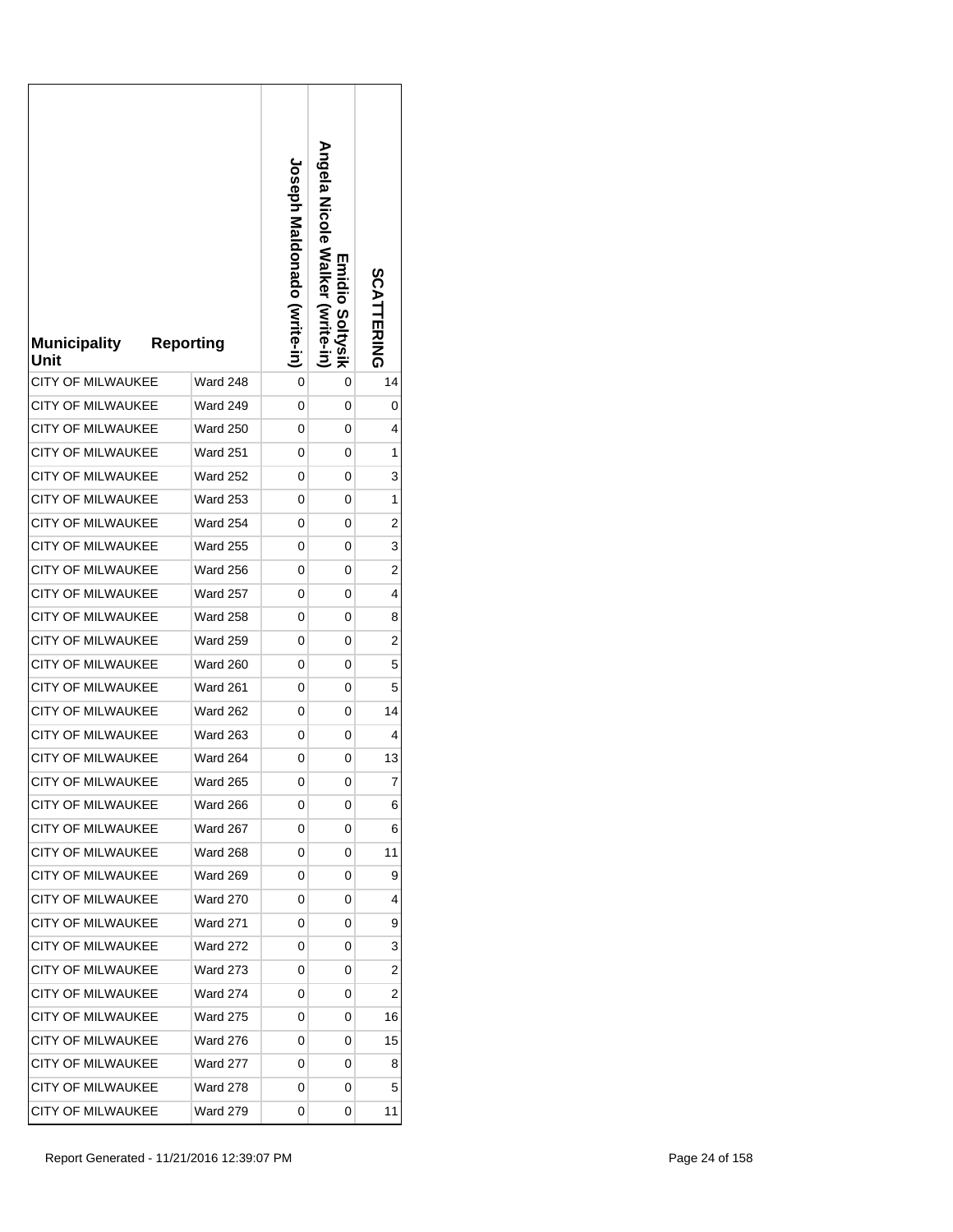| <b>Municipality</b><br>Unit | <b>Reporting</b> | <b>Loseph Maldonado (Write-in)</b> | <b>Angela Nalker</b><br>Emidio Soltysik<br>(Write-in | SCATTERING     |
|-----------------------------|------------------|------------------------------------|------------------------------------------------------|----------------|
| <b>CITY OF MILWAUKEE</b>    | Ward 248         | 0                                  | 0                                                    | 14             |
| CITY OF MILWAUKEE           | Ward 249         | 0                                  | 0                                                    | 0              |
| <b>CITY OF MILWAUKEE</b>    | <b>Ward 250</b>  | 0                                  | 0                                                    | 4              |
| <b>CITY OF MILWAUKEE</b>    | <b>Ward 251</b>  | 0                                  | 0                                                    | 1              |
| <b>CITY OF MILWAUKEE</b>    | <b>Ward 252</b>  | 0                                  | 0                                                    | 3              |
| <b>CITY OF MILWAUKEE</b>    | <b>Ward 253</b>  | 0                                  | 0                                                    | 1              |
| <b>CITY OF MILWAUKEE</b>    | Ward 254         | 0                                  | 0                                                    | 2              |
| <b>CITY OF MILWAUKEE</b>    | <b>Ward 255</b>  | 0                                  | 0                                                    | 3              |
| <b>CITY OF MILWAUKEE</b>    | <b>Ward 256</b>  | 0                                  | 0                                                    | 2              |
| <b>CITY OF MILWAUKEE</b>    | <b>Ward 257</b>  | 0                                  | 0                                                    | 4              |
| <b>CITY OF MILWAUKEE</b>    | <b>Ward 258</b>  | 0                                  | 0                                                    | 8              |
| <b>CITY OF MILWAUKEE</b>    | <b>Ward 259</b>  | 0                                  | 0                                                    | 2              |
| CITY OF MILWAUKEE           | <b>Ward 260</b>  | 0                                  | 0                                                    | 5              |
| CITY OF MILWAUKEE           | <b>Ward 261</b>  | 0                                  | 0                                                    | 5              |
| <b>CITY OF MILWAUKEE</b>    | <b>Ward 262</b>  | 0                                  | 0                                                    | 14             |
| <b>CITY OF MILWAUKEE</b>    | <b>Ward 263</b>  | 0                                  | 0                                                    | 4              |
| <b>CITY OF MILWAUKEE</b>    | <b>Ward 264</b>  | 0                                  | 0                                                    | 13             |
| <b>CITY OF MILWAUKEE</b>    | Ward 265         | 0                                  | 0                                                    | 7              |
| <b>CITY OF MILWAUKEE</b>    | Ward 266         | 0                                  | 0                                                    | 6              |
| <b>CITY OF MILWAUKEE</b>    | <b>Ward 267</b>  | 0                                  | 0                                                    | 6              |
| <b>CITY OF MILWAUKEE</b>    | <b>Ward 268</b>  | 0                                  | 0                                                    | 11             |
| <b>CITY OF MILWAUKEE</b>    | <b>Ward 269</b>  | 0                                  | 0                                                    | 9              |
| <b>CITY OF MILWAUKEE</b>    | <b>Ward 270</b>  | 0                                  | 0                                                    | 4              |
| <b>CITY OF MILWAUKEE</b>    | <b>Ward 271</b>  | 0                                  | 0                                                    | 9              |
| <b>CITY OF MILWAUKEE</b>    | Ward 272         | 0                                  | 0                                                    | 3              |
| <b>CITY OF MILWAUKEE</b>    | <b>Ward 273</b>  | 0                                  | 0                                                    | $\overline{c}$ |
| <b>CITY OF MILWAUKEE</b>    | <b>Ward 274</b>  | 0                                  | 0                                                    | 2              |
| <b>CITY OF MILWAUKEE</b>    | <b>Ward 275</b>  | 0                                  | 0                                                    | 16             |
| CITY OF MILWAUKEE           | Ward 276         | 0                                  | 0                                                    | 15             |
| CITY OF MILWAUKEE           | Ward 277         | 0                                  | 0                                                    | 8              |
| <b>CITY OF MILWAUKEE</b>    | <b>Ward 278</b>  | 0                                  | 0                                                    | 5              |
| CITY OF MILWAUKEE           | Ward 279         | 0                                  | 0                                                    | 11             |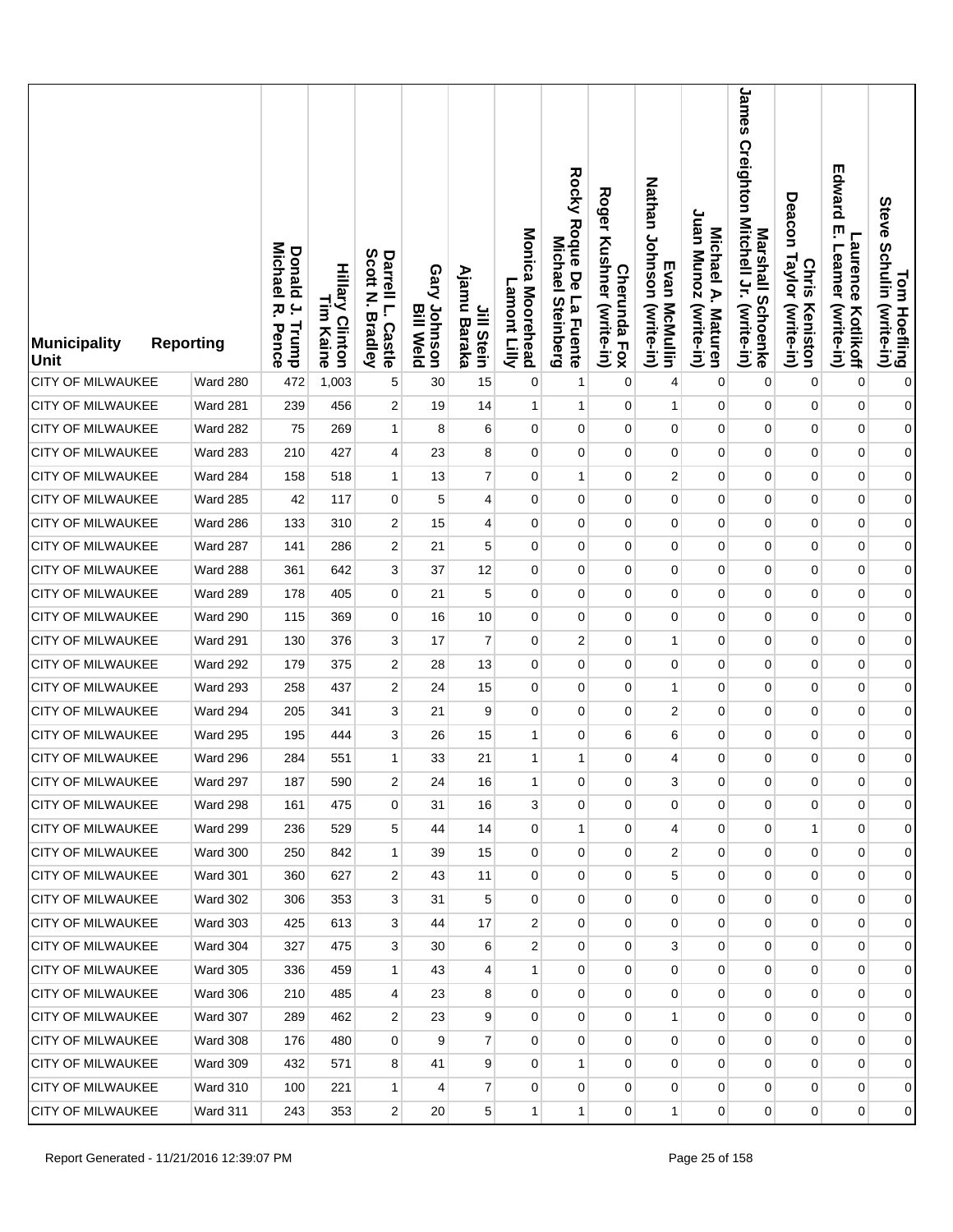| <b>Municipality</b><br><b>Unit</b> | <b>Reporting</b> | <b>Donald</b><br>Michael<br>$\overline{a}$<br>ᅎ<br>Trump<br>Pence | <b>Hillary Clinton</b><br>L<br>E<br>Kaine | Scott<br>Darrell L.<br>Z<br><b>Bradley</b><br><b>Castle</b> | Gary Johnson<br><b>Bill Weld</b> | Ajamu<br>Jill Stein<br>Baraka | Monica Moorehead<br>Lamont Lilly | Rocky Roque De La Fuente<br>Michael<br><b>Steinberg</b> | <b>Roger</b><br>Kushner (write-in)<br><b>Cherunda Fox</b> | Nathan Johnson (write-in)<br>Evan McMullin | Juan Munoz (write-in)<br>Michael A. Maturen | James<br>Creighton Mitchell Jr. (write-in)<br>Marshall Schoenke | Deacon<br>Taylor (write-in)<br><b>Chris</b><br>Keniston | Edward<br>ŗ<br>Laurence<br>Leamer<br>(write-in)<br>Kotlikoff | Tom Hoefling<br>Steve Schulin (write-in) |
|------------------------------------|------------------|-------------------------------------------------------------------|-------------------------------------------|-------------------------------------------------------------|----------------------------------|-------------------------------|----------------------------------|---------------------------------------------------------|-----------------------------------------------------------|--------------------------------------------|---------------------------------------------|-----------------------------------------------------------------|---------------------------------------------------------|--------------------------------------------------------------|------------------------------------------|
| <b>CITY OF MILWAUKEE</b>           | Ward 280         | 472                                                               | 1,003                                     | 5                                                           | 30                               | 15                            | $\pmb{0}$                        | 1                                                       | $\mathbf 0$                                               | $\overline{4}$                             | 0                                           | $\mathbf 0$                                                     | 0                                                       | $\mathbf 0$                                                  | $\pmb{0}$                                |
| CITY OF MILWAUKEE                  | Ward 281         | 239                                                               | 456                                       | 2                                                           | 19                               | 14                            | $\mathbf{1}$                     | 1                                                       | $\mathbf 0$                                               | $\mathbf{1}$                               | 0                                           | $\mathbf 0$                                                     | $\mathbf 0$                                             | $\pmb{0}$                                                    | $\mathbf{0}$                             |
| <b>CITY OF MILWAUKEE</b>           | Ward 282         | 75                                                                | 269                                       | $\mathbf{1}$                                                | 8                                | 6                             | 0                                | $\pmb{0}$                                               | 0                                                         | $\mathbf 0$                                | 0                                           | $\pmb{0}$                                                       | $\mathbf 0$                                             | $\pmb{0}$                                                    | $\mathbf{0}$                             |
| <b>CITY OF MILWAUKEE</b>           | Ward 283         | 210                                                               | 427                                       | 4                                                           | 23                               | 8                             | 0                                | 0                                                       | 0                                                         | 0                                          | 0                                           | 0                                                               | 0                                                       | $\pmb{0}$                                                    | $\mathbf{0}$                             |
| <b>CITY OF MILWAUKEE</b>           | Ward 284         | 158                                                               | 518                                       | $\mathbf{1}$                                                | 13                               | $\overline{7}$                | $\mathbf 0$                      | $\mathbf{1}$                                            | 0                                                         | $\overline{2}$                             | 0                                           | $\mathbf 0$                                                     | $\mathbf 0$                                             | $\pmb{0}$                                                    | $\boldsymbol{0}$                         |
| <b>CITY OF MILWAUKEE</b>           | Ward 285         | 42                                                                | 117                                       | 0                                                           | 5                                | 4                             | 0                                | 0                                                       | 0                                                         | 0                                          | 0                                           | $\mathbf 0$                                                     | 0                                                       | $\mathbf 0$                                                  | $\boldsymbol{0}$                         |
| <b>CITY OF MILWAUKEE</b>           | Ward 286         | 133                                                               | 310                                       | 2                                                           | 15                               | $\overline{4}$                | $\mathbf 0$                      | $\mathbf 0$                                             | 0                                                         | $\mathbf 0$                                | 0                                           | $\mathbf{0}$                                                    | $\mathbf 0$                                             | $\pmb{0}$                                                    | $\boldsymbol{0}$                         |
| <b>CITY OF MILWAUKEE</b>           | Ward 287         | 141                                                               | 286                                       | 2                                                           | 21                               | 5                             | $\mathbf 0$                      | 0                                                       | $\mathbf 0$                                               | 0                                          | 0                                           | 0                                                               | 0                                                       | $\mathbf 0$                                                  | $\boldsymbol{0}$                         |
| CITY OF MILWAUKEE                  | Ward 288         | 361                                                               | 642                                       | 3                                                           | 37                               | 12                            | $\mathbf 0$                      | $\mathbf 0$                                             | $\mathbf 0$                                               | 0                                          | 0                                           | $\mathbf 0$                                                     | $\mathbf 0$                                             | $\pmb{0}$                                                    | $\boldsymbol{0}$                         |
| <b>CITY OF MILWAUKEE</b>           | Ward 289         | 178                                                               | 405                                       | 0                                                           | 21                               | 5                             | $\mathbf 0$                      | $\mathbf 0$                                             | 0                                                         | $\mathbf 0$                                | 0                                           | 0                                                               | 0                                                       | $\mathbf 0$                                                  | $\boldsymbol{0}$                         |
| <b>CITY OF MILWAUKEE</b>           | Ward 290         | 115                                                               | 369                                       | 0                                                           | 16                               | 10                            | 0                                | $\mathbf 0$                                             | $\mathbf 0$                                               | 0                                          | 0                                           | 0                                                               | $\mathbf 0$                                             | $\pmb{0}$                                                    | $\boldsymbol{0}$                         |
| CITY OF MILWAUKEE                  | <b>Ward 291</b>  | 130                                                               | 376                                       | 3                                                           | 17                               | $\overline{7}$                | 0                                | $\overline{c}$                                          | 0                                                         | $\mathbf{1}$                               | 0                                           | 0                                                               | 0                                                       | $\mathbf 0$                                                  | $\boldsymbol{0}$                         |
| CITY OF MILWAUKEE                  | <b>Ward 292</b>  | 179                                                               | 375                                       | 2                                                           | 28                               | 13                            | 0                                | $\mathbf 0$                                             | $\mathbf 0$                                               | $\mathbf 0$                                | 0                                           | $\mathbf 0$                                                     | $\mathbf 0$                                             | $\pmb{0}$                                                    | $\boldsymbol{0}$                         |
| <b>CITY OF MILWAUKEE</b>           | Ward 293         | 258                                                               | 437                                       | 2                                                           | 24                               | 15                            | $\mathbf 0$                      | $\mathbf 0$                                             | 0                                                         | $\mathbf{1}$                               | 0                                           | 0                                                               | 0                                                       | $\mathbf 0$                                                  | $\boldsymbol{0}$                         |
| <b>CITY OF MILWAUKEE</b>           | <b>Ward 294</b>  | 205                                                               | 341                                       | 3                                                           | 21                               | 9                             | 0                                | $\mathbf 0$                                             | $\mathbf 0$                                               | $\overline{c}$                             | 0                                           | 0                                                               | 0                                                       | $\pmb{0}$                                                    | $\boldsymbol{0}$                         |
| CITY OF MILWAUKEE                  | Ward 295         | 195                                                               | 444                                       | 3                                                           | 26                               | 15                            | $\mathbf{1}$                     | $\mathbf 0$                                             | 6                                                         | 6                                          | 0                                           | 0                                                               | 0                                                       | $\mathbf 0$                                                  | $\overline{0}$                           |
| <b>CITY OF MILWAUKEE</b>           | Ward 296         | 284                                                               | 551                                       | $\mathbf{1}$                                                | 33                               | 21                            | $\mathbf{1}$                     | 1                                                       | 0                                                         | $\overline{4}$                             | 0                                           | 0                                                               | $\mathbf 0$                                             | $\mathbf 0$                                                  | $\boldsymbol{0}$                         |
| <b>CITY OF MILWAUKEE</b>           | Ward 297         | 187                                                               | 590                                       | $\overline{\mathbf{c}}$                                     | 24                               | 16                            | $\mathbf{1}$                     | 0                                                       | 0                                                         | 3                                          | 0                                           | 0                                                               | 0                                                       | 0                                                            | $\overline{0}$                           |
| <b>CITY OF MILWAUKEE</b>           | <b>Ward 298</b>  | 161                                                               | 475                                       | 0                                                           | 31                               | 16                            | 3                                | 0                                                       | 0                                                         | 0                                          | 0                                           | $\mathbf{0}$                                                    | 0                                                       | $\mathbf 0$                                                  | $\overline{0}$                           |
| <b>CITY OF MILWAUKEE</b>           | <b>Ward 299</b>  | 236                                                               | 529                                       | 5                                                           | 44                               | 14                            | $\mathbf 0$                      | 1                                                       | 0                                                         | 4                                          | 0                                           | $\overline{0}$                                                  | $\mathbf{1}$                                            | $\mathbf 0$                                                  | $\overline{0}$                           |
| <b>CITY OF MILWAUKEE</b>           | <b>Ward 300</b>  | 250                                                               | 842                                       | $\mathbf{1}$                                                | 39                               | 15                            | 0                                | 0                                                       | $\mathbf 0$                                               | $\overline{c}$                             | 0                                           | $\mathbf 0$                                                     | 0                                                       | $\mathbf 0$                                                  | $\overline{0}$                           |
| <b>CITY OF MILWAUKEE</b>           | <b>Ward 301</b>  | 360                                                               | 627                                       | 2                                                           | 43                               | 11                            | $\mathbf 0$                      | $\mathbf 0$                                             | 0                                                         | 5                                          | 0                                           | $\overline{0}$                                                  | $\mathbf 0$                                             | $\pmb{0}$                                                    | $\overline{0}$                           |
| CITY OF MILWAUKEE                  | <b>Ward 302</b>  | 306                                                               | 353                                       | 3                                                           | 31                               | 5                             | 0                                | 0                                                       | $\mathbf 0$                                               | $\mathbf 0$                                | $\mathbf 0$                                 | $\mathbf 0$                                                     | 0                                                       | 0                                                            | $\overline{0}$                           |
| <b>CITY OF MILWAUKEE</b>           | <b>Ward 303</b>  | 425                                                               | 613                                       | 3                                                           | 44                               | 17                            | $\overline{\mathbf{c}}$          | 0                                                       | 0                                                         | $\mathbf 0$                                | 0                                           | 0                                                               | 0                                                       | 0                                                            | $\overline{0}$                           |
| CITY OF MILWAUKEE                  | <b>Ward 304</b>  | 327                                                               | 475                                       | 3                                                           | 30                               | 6                             | 2                                | 0                                                       | 0                                                         | 3                                          | 0                                           | 0                                                               | 0                                                       | 0                                                            | $\overline{0}$                           |
| <b>CITY OF MILWAUKEE</b>           | Ward 305         | 336                                                               | 459                                       | $\mathbf{1}$                                                | 43                               | $\overline{4}$                | $\mathbf{1}$                     | $\overline{0}$                                          | 0                                                         | $\mathbf 0$                                | 0                                           | $\mathbf 0$                                                     | $\overline{0}$                                          | $\pmb{0}$                                                    | $\overline{0}$                           |
| <b>CITY OF MILWAUKEE</b>           | <b>Ward 306</b>  | 210                                                               | 485                                       | 4                                                           | 23                               | 8                             | 0                                | 0                                                       | 0                                                         | 0                                          | 0                                           | $\mathbf 0$                                                     | 0                                                       | 0                                                            | $\overline{0}$                           |
| <b>CITY OF MILWAUKEE</b>           | Ward 307         | 289                                                               | 462                                       | 2                                                           | 23                               | 9                             | $\mathbf 0$                      | $\overline{0}$                                          | $\overline{0}$                                            | $\mathbf{1}$                               | 0                                           | 0                                                               | $\overline{0}$                                          | 0                                                            | $\overline{0}$                           |
| <b>CITY OF MILWAUKEE</b>           | Ward 308         | 176                                                               | 480                                       | 0                                                           | 9                                | $\overline{7}$                | 0                                | 0                                                       | 0                                                         | 0                                          | 0                                           | $\mathbf 0$                                                     | 0                                                       | 0                                                            | $\overline{0}$                           |
| CITY OF MILWAUKEE                  | Ward 309         | 432                                                               | 571                                       | 8                                                           | 41                               | 9                             | 0                                | $\mathbf{1}$                                            | $\overline{0}$                                            | 0                                          | $\overline{0}$                              | $\mathbf{0}$                                                    | $\overline{0}$                                          | 0                                                            | $\overline{0}$                           |
| CITY OF MILWAUKEE                  | <b>Ward 310</b>  | 100                                                               | 221                                       | $\mathbf{1}$                                                | 4                                | $\overline{7}$                | 0                                | 0                                                       | 0                                                         | 0                                          | $\mathbf{0}$                                | $\mathbf 0$                                                     | 0                                                       | 0                                                            | $\overline{0}$                           |
| <b>CITY OF MILWAUKEE</b>           | Ward 311         | 243                                                               | 353                                       | 2                                                           | 20                               | 5                             | 1                                | 1                                                       | $\mathbf 0$                                               | $\mathbf{1}$                               | 0                                           | $\overline{0}$                                                  | $\overline{0}$                                          | 0                                                            | $\overline{0}$                           |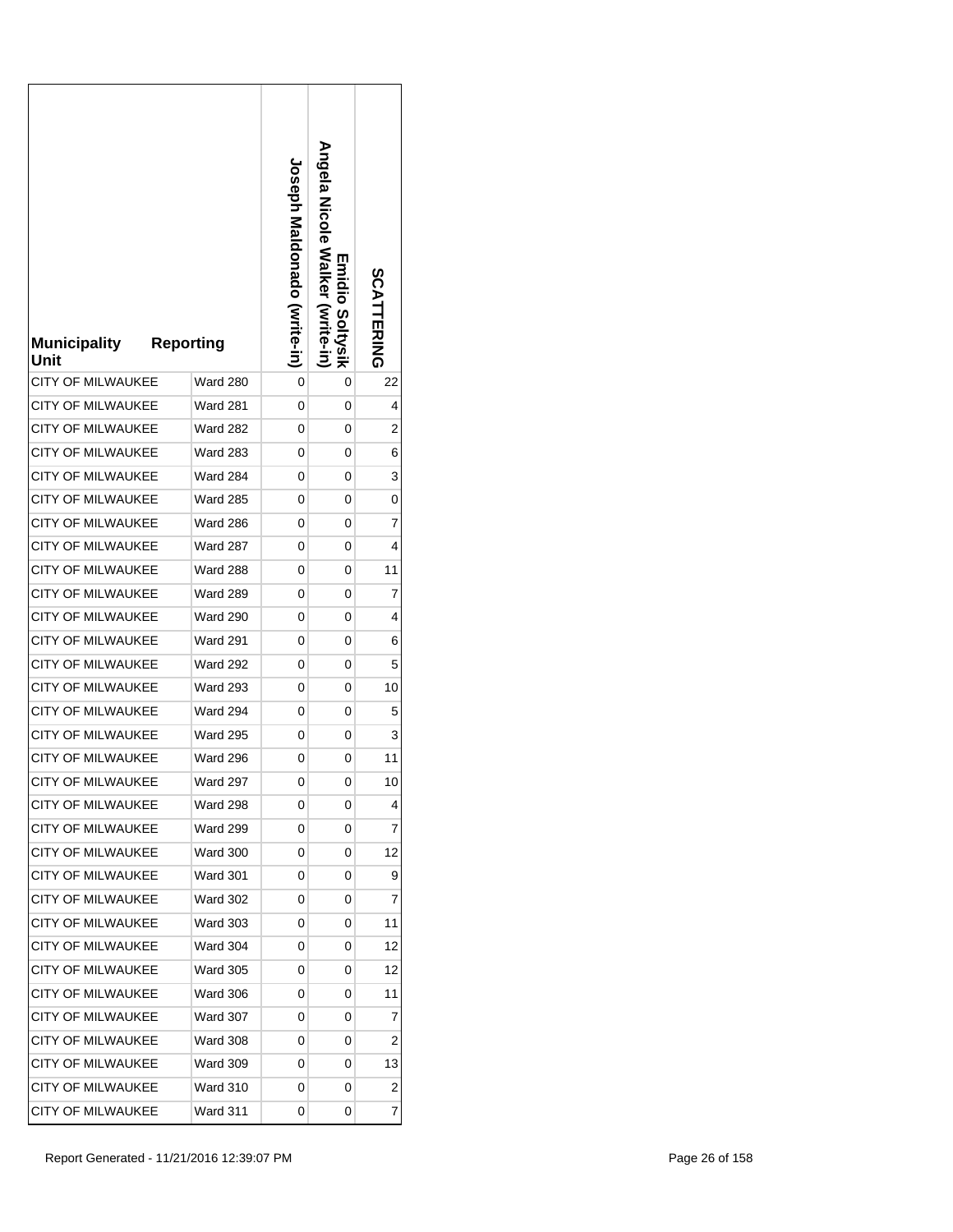| <b>Municipality</b><br>Unit | <b>Reporting</b> | <b>Loseph Maldonado (Write-in)</b> | <b>Angela Nalker</b><br>Emidio Soltysik<br>(Write-in | SCATTERING |
|-----------------------------|------------------|------------------------------------|------------------------------------------------------|------------|
| <b>CITY OF MILWAUKEE</b>    | Ward 280         | 0                                  | 0                                                    | 22         |
| CITY OF MILWAUKEE           | Ward 281         | 0                                  | 0                                                    | 4          |
| <b>CITY OF MILWAUKEE</b>    | <b>Ward 282</b>  | 0                                  | 0                                                    | 2          |
| <b>CITY OF MILWAUKEE</b>    | <b>Ward 283</b>  | 0                                  | 0                                                    | 6          |
| CITY OF MILWAUKEE           | Ward 284         | 0                                  | 0                                                    | 3          |
| <b>CITY OF MILWAUKEE</b>    | <b>Ward 285</b>  | 0                                  | 0                                                    | 0          |
| <b>CITY OF MILWAUKEE</b>    | Ward 286         | 0                                  | 0                                                    | 7          |
| <b>CITY OF MILWAUKEE</b>    | <b>Ward 287</b>  | 0                                  | 0                                                    | 4          |
| <b>CITY OF MILWAUKEE</b>    | <b>Ward 288</b>  | 0                                  | 0                                                    | 11         |
| <b>CITY OF MILWAUKEE</b>    | <b>Ward 289</b>  | 0                                  | 0                                                    | 7          |
| <b>CITY OF MILWAUKEE</b>    | <b>Ward 290</b>  | 0                                  | 0                                                    | 4          |
| <b>CITY OF MILWAUKEE</b>    | <b>Ward 291</b>  | 0                                  | 0                                                    | 6          |
| CITY OF MILWAUKEE           | <b>Ward 292</b>  | 0                                  | 0                                                    | 5          |
| CITY OF MILWAUKEE           | <b>Ward 293</b>  | 0                                  | 0                                                    | 10         |
| <b>CITY OF MILWAUKEE</b>    | <b>Ward 294</b>  | 0                                  | 0                                                    | 5          |
| <b>CITY OF MILWAUKEE</b>    | <b>Ward 295</b>  | 0                                  | 0                                                    | 3          |
| <b>CITY OF MILWAUKEE</b>    | <b>Ward 296</b>  | 0                                  | 0                                                    | 11         |
| <b>CITY OF MILWAUKEE</b>    | Ward 297         | 0                                  | 0                                                    | 10         |
| <b>CITY OF MILWAUKEE</b>    | Ward 298         | 0                                  | 0                                                    | 4          |
| CITY OF MILWAUKEE           | <b>Ward 299</b>  | 0                                  | 0                                                    | 7          |
| <b>CITY OF MILWAUKEE</b>    | <b>Ward 300</b>  | 0                                  | 0                                                    | 12         |
| CITY OF MILWAUKEE           | Ward 301         | 0                                  | 0                                                    | 9          |
| <b>CITY OF MILWAUKEE</b>    | Ward 302         | 0                                  | 0                                                    | 7          |
| <b>CITY OF MILWAUKEE</b>    | <b>Ward 303</b>  | 0                                  | 0                                                    | 11         |
| <b>CITY OF MILWAUKEE</b>    | <b>Ward 304</b>  | 0                                  | 0                                                    | 12         |
| <b>CITY OF MILWAUKEE</b>    | <b>Ward 305</b>  | 0                                  | 0                                                    | 12         |
| <b>CITY OF MILWAUKEE</b>    | <b>Ward 306</b>  | 0                                  | 0                                                    | 11         |
| <b>CITY OF MILWAUKEE</b>    | <b>Ward 307</b>  | 0                                  | 0                                                    | 7          |
| CITY OF MILWAUKEE           | Ward 308         | 0                                  | 0                                                    | 2          |
| CITY OF MILWAUKEE           | <b>Ward 309</b>  | 0                                  | 0                                                    | 13         |
| <b>CITY OF MILWAUKEE</b>    | <b>Ward 310</b>  | 0                                  | 0                                                    | 2          |
| CITY OF MILWAUKEE           | Ward 311         | 0                                  | 0                                                    | 7          |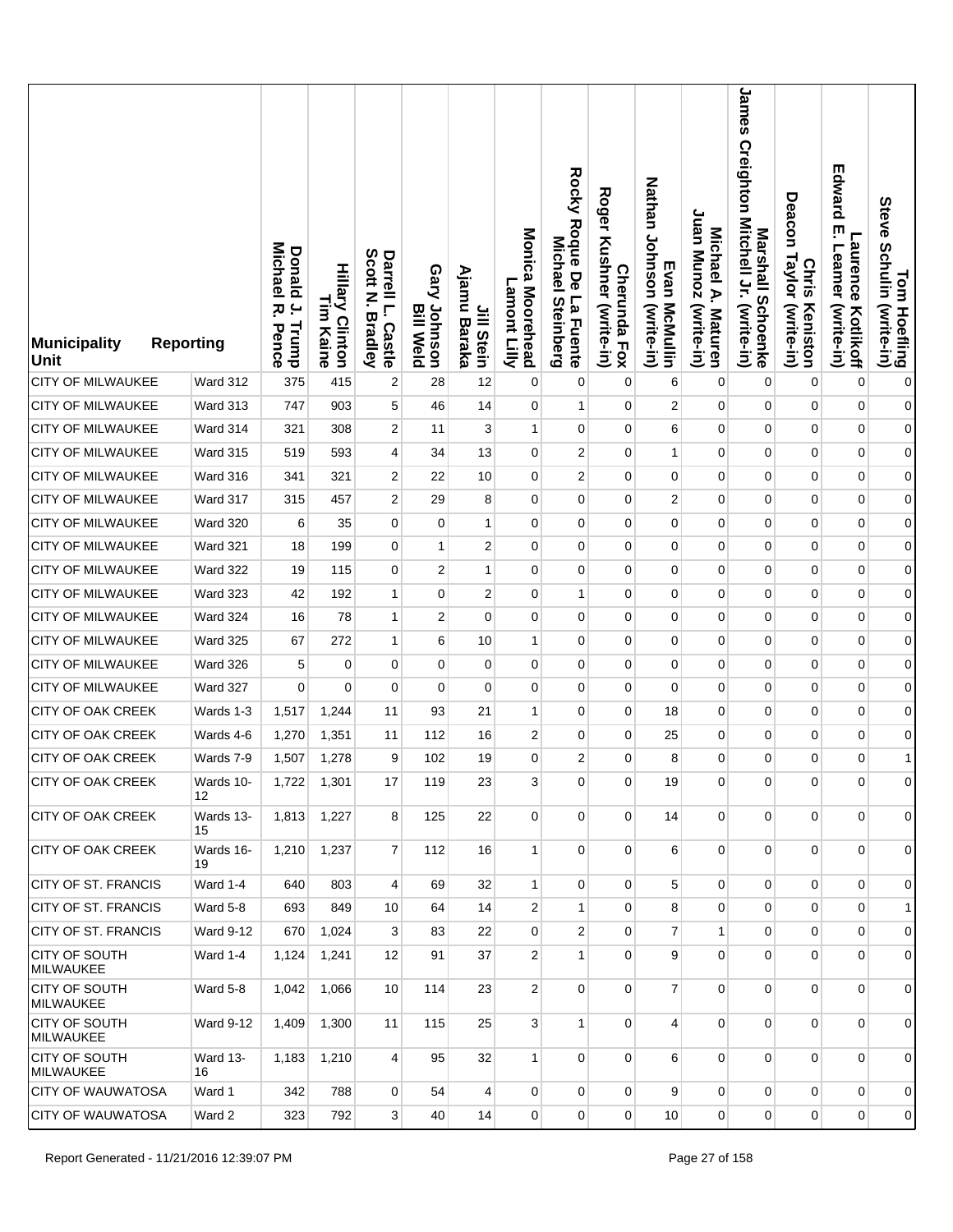| Municipality<br><b>Unit</b>              | <b>Reporting</b> | <b>Donald</b><br>Michael<br>$\overline{a}$<br>ᅎ<br>Trump<br>Pence | <b>Hillary Clinton</b><br>L<br>E<br>Kaine | Scott<br>Darrell L.<br>Z<br><b>Bradley</b><br><b>Castle</b> | Gary Johnson<br><b>Bill Weld</b> | Ajamu<br>Jill Stein<br>Baraka | Monica Moorehead<br>Lamont Lilly | Rocky Roque De La Fuente<br>Michael<br><b>Steinberg</b> | <b>Roger</b><br>Kushner (write-in)<br><b>Cherunda Fox</b> | Nathan Johnson (write-in)<br>Evan McMullin | Juan Munoz (write-in)<br>Michael A. Maturen | James Creighton Mitchell Jr. (write-in)<br>Marshall Schoenke | Deacon<br>Taylor (write-in)<br><b>Chris</b><br>Keniston | Edward<br>ŗ<br><b>Laurence</b><br>Leamer<br>(write-in)<br>Kotlikoff | Tom Hoefling<br>Steve Schulin (write-in) |
|------------------------------------------|------------------|-------------------------------------------------------------------|-------------------------------------------|-------------------------------------------------------------|----------------------------------|-------------------------------|----------------------------------|---------------------------------------------------------|-----------------------------------------------------------|--------------------------------------------|---------------------------------------------|--------------------------------------------------------------|---------------------------------------------------------|---------------------------------------------------------------------|------------------------------------------|
| <b>CITY OF MILWAUKEE</b>                 | Ward 312         | 375                                                               | 415                                       | 2                                                           | 28                               | 12                            | $\pmb{0}$                        | 0                                                       | $\mathbf 0$                                               | 6                                          | 0                                           | $\mathbf 0$                                                  | 0                                                       | $\mathbf 0$                                                         | $\pmb{0}$                                |
| CITY OF MILWAUKEE                        | Ward 313         | 747                                                               | 903                                       | 5                                                           | 46                               | 14                            | 0                                | $\mathbf{1}$                                            | $\mathbf 0$                                               | $\boldsymbol{2}$                           | 0                                           | 0                                                            | $\mathbf 0$                                             | $\pmb{0}$                                                           | $\boldsymbol{0}$                         |
| <b>CITY OF MILWAUKEE</b>                 | Ward 314         | 321                                                               | 308                                       | 2                                                           | 11                               | 3                             | $\mathbf{1}$                     | $\pmb{0}$                                               | 0                                                         | 6                                          | 0                                           | $\pmb{0}$                                                    | $\mathbf 0$                                             | $\pmb{0}$                                                           | $\boldsymbol{0}$                         |
| <b>CITY OF MILWAUKEE</b>                 | Ward 315         | 519                                                               | 593                                       | 4                                                           | 34                               | 13                            | 0                                | $\overline{c}$                                          | $\mathbf 0$                                               | $\mathbf{1}$                               | 0                                           | 0                                                            | 0                                                       | $\pmb{0}$                                                           | $\mathbf{0}$                             |
| <b>CITY OF MILWAUKEE</b>                 | Ward 316         | 341                                                               | 321                                       | 2                                                           | 22                               | 10                            | $\mathbf 0$                      | $\overline{2}$                                          | 0                                                         | 0                                          | 0                                           | $\mathbf 0$                                                  | $\mathbf 0$                                             | $\pmb{0}$                                                           | $\mathbf{0}$                             |
| <b>CITY OF MILWAUKEE</b>                 | Ward 317         | 315                                                               | 457                                       | 2                                                           | 29                               | 8                             | 0                                | 0                                                       | 0                                                         | $\overline{c}$                             | 0                                           | $\mathbf 0$                                                  | 0                                                       | $\mathbf 0$                                                         | $\mathbf{0}$                             |
| <b>CITY OF MILWAUKEE</b>                 | <b>Ward 320</b>  | 6                                                                 | 35                                        | $\overline{0}$                                              | $\mathbf{0}$                     | 1                             | $\mathbf 0$                      | $\mathbf 0$                                             | 0                                                         | $\mathbf 0$                                | 0                                           | $\mathbf{0}$                                                 | $\mathbf 0$                                             | $\pmb{0}$                                                           | $\mathbf{0}$                             |
| <b>CITY OF MILWAUKEE</b>                 | <b>Ward 321</b>  | 18                                                                | 199                                       | $\overline{0}$                                              | 1                                | $\overline{2}$                | $\mathbf 0$                      | $\mathbf 0$                                             | $\mathbf 0$                                               | 0                                          | 0                                           | 0                                                            | 0                                                       | $\mathbf 0$                                                         | $\mathbf{0}$                             |
| CITY OF MILWAUKEE                        | Ward 322         | 19                                                                | 115                                       | $\overline{0}$                                              | 2                                | 1                             | $\mathbf 0$                      | $\mathbf 0$                                             | $\mathbf 0$                                               | 0                                          | 0                                           | $\mathbf 0$                                                  | $\mathbf 0$                                             | $\pmb{0}$                                                           | $\mathbf{0}$                             |
| <b>CITY OF MILWAUKEE</b>                 | Ward 323         | 42                                                                | 192                                       | $\mathbf{1}$                                                | $\mathbf{0}$                     | $\overline{2}$                | $\mathbf 0$                      | 1                                                       | $\mathbf 0$                                               | 0                                          | 0                                           | 0                                                            | 0                                                       | $\mathbf 0$                                                         | $\boldsymbol{0}$                         |
| <b>CITY OF MILWAUKEE</b>                 | <b>Ward 324</b>  | 16                                                                | 78                                        | $\mathbf{1}$                                                | 2                                | $\Omega$                      | $\mathbf 0$                      | $\mathbf 0$                                             | $\mathbf 0$                                               | 0                                          | 0                                           | $\mathbf 0$                                                  | $\mathbf 0$                                             | $\pmb{0}$                                                           | $\boldsymbol{0}$                         |
| CITY OF MILWAUKEE                        | <b>Ward 325</b>  | 67                                                                | 272                                       | 1                                                           | 6                                | 10                            | 1                                | 0                                                       | 0                                                         | 0                                          | 0                                           | 0                                                            | 0                                                       | $\mathbf 0$                                                         | $\boldsymbol{0}$                         |
| CITY OF MILWAUKEE                        | <b>Ward 326</b>  | 5                                                                 | $\mathbf 0$                               | 0                                                           | $\mathbf{0}$                     | $\mathbf 0$                   | 0                                | $\mathbf 0$                                             | $\mathbf 0$                                               | $\mathbf 0$                                | 0                                           | $\mathbf 0$                                                  | $\mathbf 0$                                             | $\pmb{0}$                                                           | $\boldsymbol{0}$                         |
| <b>CITY OF MILWAUKEE</b>                 | Ward 327         | $\mathbf 0$                                                       | 0                                         | 0                                                           | 0                                | $\mathbf 0$                   | $\mathbf 0$                      | $\mathbf 0$                                             | $\mathbf 0$                                               | $\mathbf 0$                                | 0                                           | 0                                                            | 0                                                       | $\mathbf 0$                                                         | $\boldsymbol{0}$                         |
| <b>CITY OF OAK CREEK</b>                 | Wards 1-3        | 1,517                                                             | 1,244                                     | 11                                                          | 93                               | 21                            | 1                                | $\mathbf 0$                                             | $\mathbf 0$                                               | 18                                         | 0                                           | 0                                                            | 0                                                       | $\pmb{0}$                                                           | $\boldsymbol{0}$                         |
| <b>CITY OF OAK CREEK</b>                 | Wards 4-6        | 1,270                                                             | 1,351                                     | 11                                                          | 112                              | 16                            | $\overline{2}$                   | $\mathbf 0$                                             | $\mathbf 0$                                               | 25                                         | 0                                           | 0                                                            | 0                                                       | $\mathbf 0$                                                         | $\overline{0}$                           |
| <b>CITY OF OAK CREEK</b>                 | Wards 7-9        | 1,507                                                             | 1,278                                     | 9                                                           | 102                              | 19                            | $\mathbf 0$                      | $\overline{c}$                                          | 0                                                         | 8                                          | 0                                           | 0                                                            | $\mathbf 0$                                             | $\mathbf 0$                                                         | 1                                        |
| <b>CITY OF OAK CREEK</b>                 | Wards 10-<br>12  | 1,722                                                             | 1,301                                     | 17                                                          | 119                              | 23                            | 3                                | 0                                                       | 0                                                         | 19                                         | 0                                           | 0                                                            | 0                                                       | 0                                                                   | $\overline{0}$                           |
| CITY OF OAK CREEK                        | Wards 13-<br>15  | 1,813                                                             | 1,227                                     | 8                                                           | 125                              | 22                            | $\mathbf 0$                      | 0                                                       | $\mathbf{0}$                                              | 14                                         | $\mathbf 0$                                 | $\mathbf 0$                                                  | $\mathbf 0$                                             | $\pmb{0}$                                                           | $\overline{0}$                           |
| <b>CITY OF OAK CREEK</b>                 | Wards 16-<br>19  | 1,210                                                             | 1,237                                     | $\overline{7}$                                              | 112                              | 16                            | $\mathbf{1}$                     | $\mathbf 0$                                             | $\mathbf{0}$                                              | 6                                          | $\overline{0}$                              | $\mathbf{0}$                                                 | $\overline{0}$                                          | 0                                                                   | $\overline{0}$                           |
| <b>CITY OF ST. FRANCIS</b>               | Ward 1-4         | 640                                                               | 803                                       | 4                                                           | 69                               | 32                            | $\mathbf{1}$                     | $\Omega$                                                | 0                                                         | 5                                          | 0                                           | $\overline{0}$                                               | $\mathbf 0$                                             | $\mathbf 0$                                                         | $\overline{0}$                           |
| CITY OF ST. FRANCIS                      | <b>Ward 5-8</b>  | 693                                                               | 849                                       | 10                                                          | 64                               | 14                            | $\overline{2}$                   | 1                                                       | 0                                                         | 8                                          | 0                                           | $\mathbf 0$                                                  | $\mathbf 0$                                             | $\mathbf 0$                                                         | 1                                        |
| <b>CITY OF ST. FRANCIS</b>               | Ward 9-12        | 670                                                               | 1,024                                     | 3                                                           | 83                               | 22                            | $\mathbf 0$                      | $\overline{2}$                                          | 0                                                         | $\overline{7}$                             | $\mathbf{1}$                                | 0                                                            | $\mathbf 0$                                             | $\mathbf 0$                                                         | $\overline{0}$                           |
| <b>CITY OF SOUTH</b><br><b>MILWAUKEE</b> | Ward 1-4         | 1,124                                                             | 1,241                                     | 12                                                          | 91                               | 37                            | $\overline{2}$                   | 1                                                       | $\mathbf 0$                                               | 9                                          | 0                                           | $\mathbf 0$                                                  | $\mathbf 0$                                             | 0                                                                   | $\overline{0}$                           |
| CITY OF SOUTH<br><b>MILWAUKEE</b>        | Ward 5-8         | 1,042                                                             | 1,066                                     | 10                                                          | 114                              | 23                            | $\overline{2}$                   | 0                                                       | $\mathbf 0$                                               | $\overline{7}$                             | $\overline{0}$                              | $\mathbf{0}$                                                 | $\mathbf 0$                                             | $\mathbf 0$                                                         | $\overline{0}$                           |
| <b>CITY OF SOUTH</b><br><b>MILWAUKEE</b> | Ward 9-12        | 1,409                                                             | 1,300                                     | 11                                                          | 115                              | 25                            | 3                                | $\mathbf{1}$                                            | $\mathbf 0$                                               | $\overline{4}$                             | 0                                           | $\mathbf{0}$                                                 | $\mathbf 0$                                             | 0                                                                   | $\overline{0}$                           |
| <b>CITY OF SOUTH</b><br><b>MILWAUKEE</b> | Ward 13-<br>16   | 1,183                                                             | 1,210                                     | 4                                                           | 95                               | 32                            | $\mathbf{1}$                     | $\mathbf 0$                                             | $\mathbf 0$                                               | 6                                          | 0                                           | $\overline{0}$                                               | $\mathbf 0$                                             | $\mathbf 0$                                                         | $\overline{0}$                           |
| <b>CITY OF WAUWATOSA</b>                 | Ward 1           | 342                                                               | 788                                       | $\overline{0}$                                              | 54                               | $\overline{4}$                | 0                                | $\mathbf 0$                                             | $\mathbf{0}$                                              | 9                                          | 0                                           | $\overline{0}$                                               | $\mathbf 0$                                             | $\pmb{0}$                                                           | $\overline{0}$                           |
| <b>CITY OF WAUWATOSA</b>                 | Ward 2           | 323                                                               | 792                                       | 3                                                           | 40                               | 14                            | $\mathbf 0$                      | 0                                                       | 0                                                         | 10                                         | 0                                           | $\mathbf 0$                                                  | $\overline{0}$                                          | 0                                                                   | $\overline{0}$                           |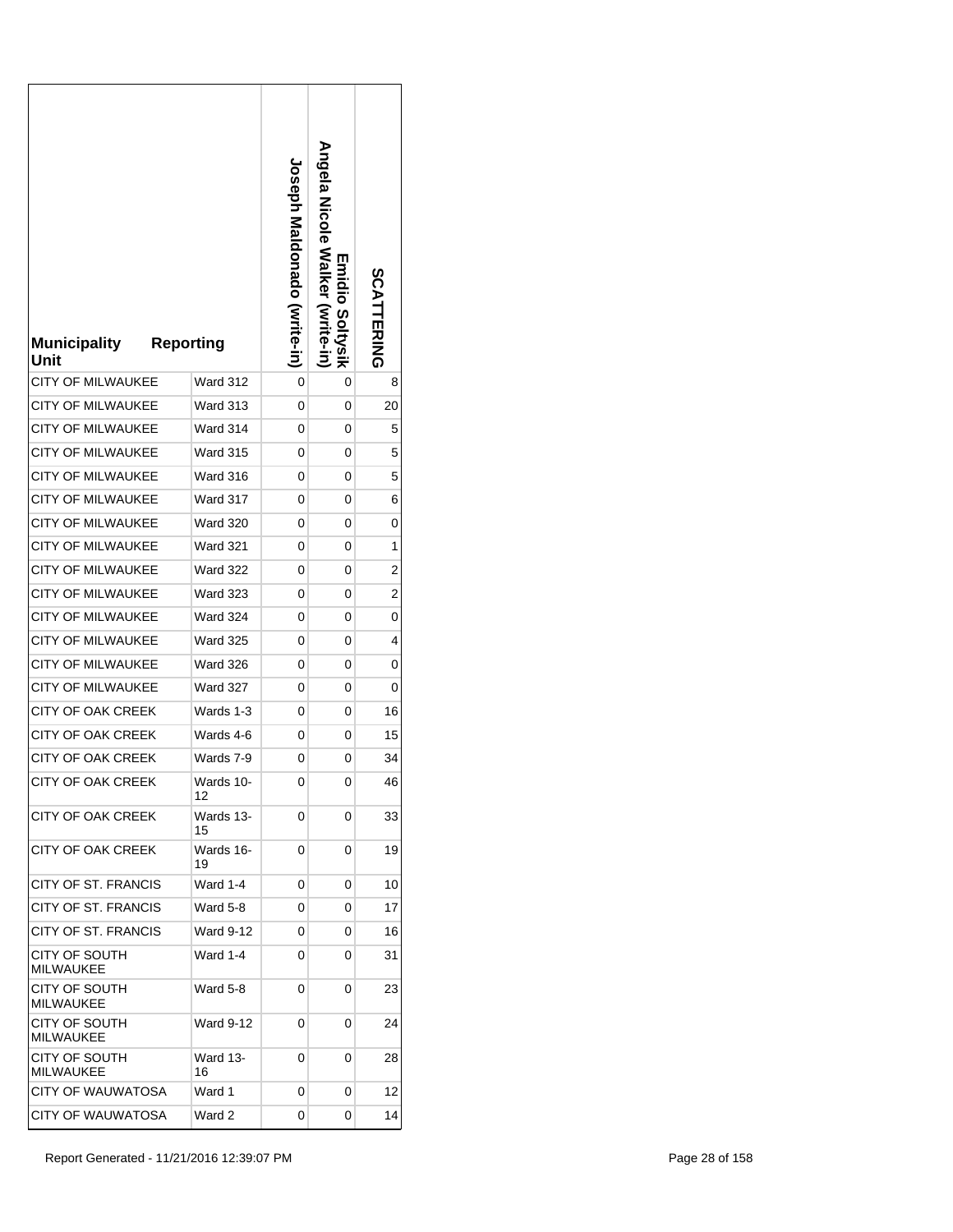| <b>Municipality</b><br>Unit       | <b>Reporting</b> | <b>Loseph Maldonado (vrite-in)</b> | Angela Nicole Walker (write-in)<br>Emidio Soltysik | SCATTERING |
|-----------------------------------|------------------|------------------------------------|----------------------------------------------------|------------|
| <b>CITY OF MILWAUKEE</b>          | Ward 312         | 0                                  | 0                                                  | 8          |
| <b>CITY OF MILWAUKEE</b>          | Ward 313         | 0                                  | 0                                                  | 20         |
| <b>CITY OF MILWAUKEE</b>          | Ward 314         | 0                                  | 0                                                  | 5          |
| CITY OF MILWAUKEE                 | <b>Ward 315</b>  | 0                                  | 0                                                  | 5          |
| <b>CITY OF MILWAUKEE</b>          | Ward 316         | 0                                  | 0                                                  | 5          |
| <b>CITY OF MILWAUKEE</b>          | Ward 317         | 0                                  | 0                                                  | 6          |
| <b>CITY OF MILWAUKEE</b>          | <b>Ward 320</b>  | 0                                  | 0                                                  | 0          |
| <b>CITY OF MILWAUKEE</b>          | <b>Ward 321</b>  | 0                                  | 0                                                  | 1          |
| <b>CITY OF MILWAUKEE</b>          | Ward 322         | 0                                  | 0                                                  | 2          |
| <b>CITY OF MILWAUKEE</b>          | <b>Ward 323</b>  | 0                                  | 0                                                  | 2          |
| <b>CITY OF MILWAUKEE</b>          | <b>Ward 324</b>  | 0                                  | 0                                                  | 0          |
| <b>CITY OF MILWAUKEE</b>          | <b>Ward 325</b>  | 0                                  | 0                                                  | 4          |
| CITY OF MILWAUKEE                 | Ward 326         | 0                                  | 0                                                  | 0          |
| <b>CITY OF MILWAUKEE</b>          | Ward 327         | 0                                  | 0                                                  | 0          |
| <b>CITY OF OAK CREEK</b>          | Wards 1-3        | 0                                  | 0                                                  | 16         |
| <b>CITY OF OAK CREEK</b>          | Wards 4-6        | 0                                  | 0                                                  | 15         |
| <b>CITY OF OAK CREEK</b>          | Wards 7-9        | 0                                  | 0                                                  | 34         |
| CITY OF OAK CREEK                 | Wards 10-<br>12  | 0                                  | 0                                                  | 46         |
| CITY OF OAK CREEK                 | Wards 13-<br>15  | 0                                  | 0                                                  | 33         |
| CITY OF OAK CREEK                 | Wards 16-<br>19  | 0                                  | 0                                                  | 19         |
| CITY OF ST. FRANCIS               | Ward 1-4         | 0                                  | 0                                                  | 10         |
| <b>CITY OF ST. FRANCIS</b>        | Ward 5-8         | 0                                  | 0                                                  | 17         |
| CITY OF ST. FRANCIS               | Ward 9-12        | 0                                  | 0                                                  | 16         |
| CITY OF SOUTH<br><b>MILWAUKEE</b> | Ward 1-4         | 0                                  | 0                                                  | 31         |
| CITY OF SOUTH<br><b>MILWAUKEE</b> | Ward 5-8         | 0                                  | 0                                                  | 23         |
| CITY OF SOUTH<br><b>MILWAUKEE</b> | Ward 9-12        | 0                                  | 0                                                  | 24         |
| CITY OF SOUTH<br><b>MILWAUKEE</b> | Ward 13-<br>16   | 0                                  | 0                                                  | 28         |
| CITY OF WAUWATOSA                 | Ward 1           | 0                                  | 0                                                  | 12         |
| <b>CITY OF WAUWATOSA</b>          | Ward 2           | 0                                  | 0                                                  | 14         |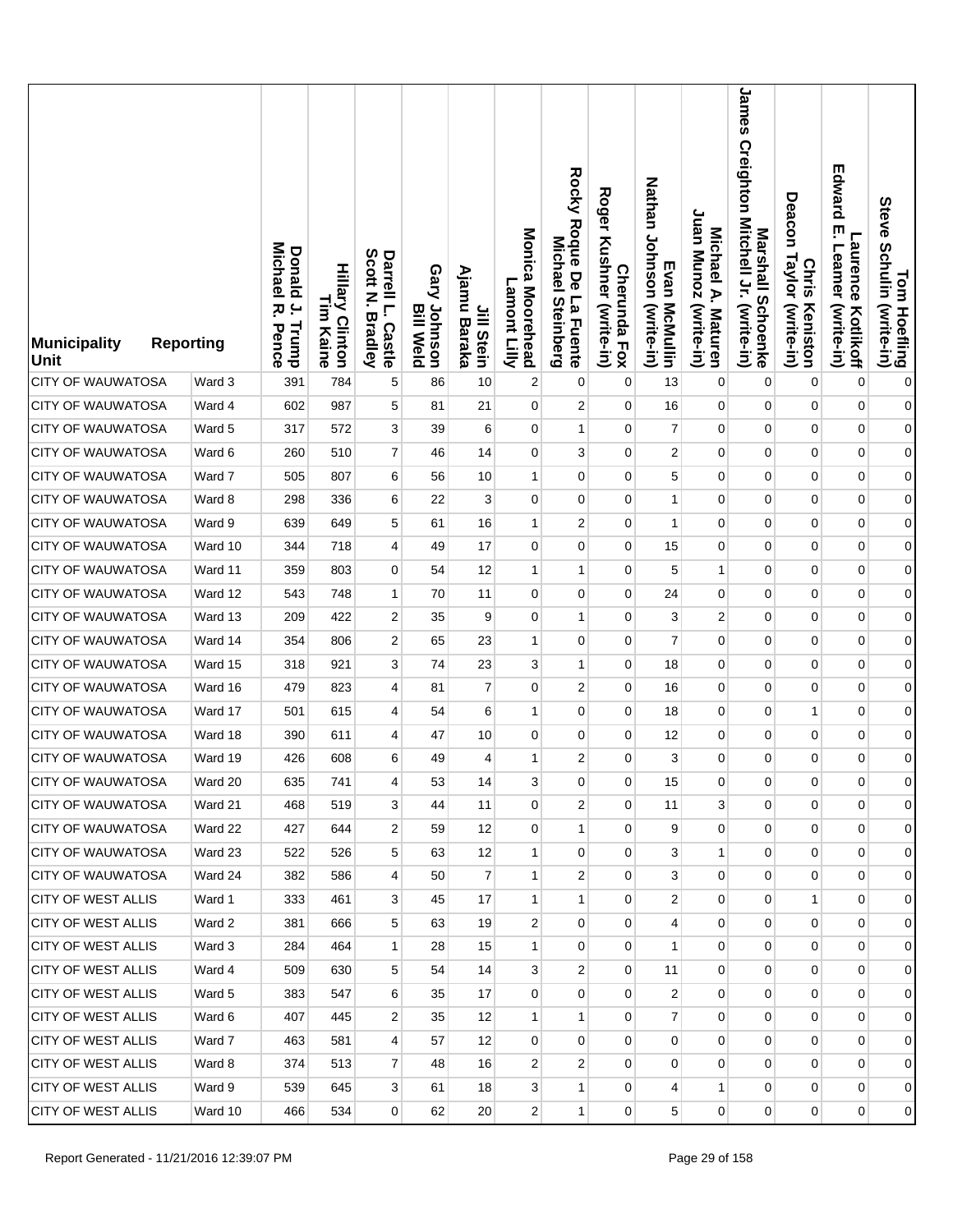| <b>Municipality</b><br>Unit | <b>Reporting</b> | <b>Michael</b><br>Donald<br>$\overline{a}$<br>ᅎ<br>Trump<br>Pence | <b>Hillary Clinton</b><br>L<br>E<br>Kaine | Scott<br>Darrell L.<br>Z<br><b>Bradley</b><br>Castle | Gary Johnson<br><b>Bill Weld</b> | Ajamu<br>Jill Stein<br>Baraka | Monica Moorehead<br>Lamont Lilly | Rocky Roque De La Fuente<br>Michael<br><b>Steinberg</b> | <b>Roger</b><br>Kushner (write-in)<br><b>Cherunda Fox</b> | Nathan Johnson (write-in)<br>Evan McMullin | Juan Munoz (write-in)<br>Michael A. Maturen | James<br>Creighton Mitchell Jr. (write-in)<br>Marshall Schoenke | Deacon<br>Taylor (write-in)<br><b>Chris</b><br>Keniston | Edward<br>ŗ<br>Laurence<br>Leamer<br>(write-in)<br>Kotlikoff | Tom Hoefling<br>Steve Schulin (write-in) |
|-----------------------------|------------------|-------------------------------------------------------------------|-------------------------------------------|------------------------------------------------------|----------------------------------|-------------------------------|----------------------------------|---------------------------------------------------------|-----------------------------------------------------------|--------------------------------------------|---------------------------------------------|-----------------------------------------------------------------|---------------------------------------------------------|--------------------------------------------------------------|------------------------------------------|
| <b>CITY OF WAUWATOSA</b>    | Ward 3           | 391                                                               | 784                                       | 5                                                    | 86                               | 10                            | $\overline{c}$                   | $\pmb{0}$                                               | $\pmb{0}$                                                 | 13                                         | 0                                           | $\mathbf 0$                                                     | 0                                                       | $\mathbf 0$                                                  | $\pmb{0}$                                |
| CITY OF WAUWATOSA           | Ward 4           | 602                                                               | 987                                       | 5                                                    | 81                               | 21                            | 0                                | $\overline{c}$                                          | $\mathbf 0$                                               | 16                                         | 0                                           | $\mathbf 0$                                                     | $\mathbf 0$                                             | $\pmb{0}$                                                    | $\mathbf{0}$                             |
| <b>CITY OF WAUWATOSA</b>    | Ward 5           | 317                                                               | 572                                       | 3                                                    | 39                               | 6                             | 0                                | $\mathbf{1}$                                            | 0                                                         | $\overline{7}$                             | 0                                           | $\pmb{0}$                                                       | $\mathbf 0$                                             | $\pmb{0}$                                                    | $\boldsymbol{0}$                         |
| <b>CITY OF WAUWATOSA</b>    | Ward 6           | 260                                                               | 510                                       | 7                                                    | 46                               | 14                            | 0                                | 3                                                       | 0                                                         | $\overline{c}$                             | 0                                           | 0                                                               | 0                                                       | $\pmb{0}$                                                    | $\boldsymbol{0}$                         |
| CITY OF WAUWATOSA           | Ward 7           | 505                                                               | 807                                       | 6                                                    | 56                               | 10                            | $\mathbf{1}$                     | $\mathbf 0$                                             | 0                                                         | 5                                          | 0                                           | $\mathbf 0$                                                     | $\mathbf 0$                                             | $\pmb{0}$                                                    | $\boldsymbol{0}$                         |
| <b>CITY OF WAUWATOSA</b>    | Ward 8           | 298                                                               | 336                                       | 6                                                    | 22                               | 3                             | 0                                | 0                                                       | $\mathbf 0$                                               | $\mathbf{1}$                               | 0                                           | 0                                                               | 0                                                       | $\mathbf 0$                                                  | $\boldsymbol{0}$                         |
| <b>CITY OF WAUWATOSA</b>    | Ward 9           | 639                                                               | 649                                       | 5                                                    | 61                               | 16                            | $\mathbf{1}$                     | $\overline{2}$                                          | 0                                                         | $\mathbf{1}$                               | 0                                           | $\mathbf{0}$                                                    | $\mathbf 0$                                             | $\pmb{0}$                                                    | $\boldsymbol{0}$                         |
| <b>CITY OF WAUWATOSA</b>    | Ward 10          | 344                                                               | 718                                       | 4                                                    | 49                               | 17                            | 0                                | 0                                                       | $\mathbf 0$                                               | 15                                         | 0                                           | 0                                                               | 0                                                       | $\mathbf 0$                                                  | $\boldsymbol{0}$                         |
| CITY OF WAUWATOSA           | Ward 11          | 359                                                               | 803                                       | 0                                                    | 54                               | 12                            | $\mathbf{1}$                     | 1                                                       | $\mathbf 0$                                               | 5                                          | $\mathbf{1}$                                | $\mathbf 0$                                                     | $\mathbf 0$                                             | $\pmb{0}$                                                    | $\boldsymbol{0}$                         |
| <b>CITY OF WAUWATOSA</b>    | Ward 12          | 543                                                               | 748                                       | 1                                                    | 70                               | 11                            | 0                                | $\mathbf 0$                                             | $\mathbf 0$                                               | 24                                         | 0                                           | 0                                                               | 0                                                       | $\mathbf 0$                                                  | $\boldsymbol{0}$                         |
| <b>CITY OF WAUWATOSA</b>    | Ward 13          | 209                                                               | 422                                       | 2                                                    | 35                               | 9                             | 0                                | 1                                                       | $\mathbf 0$                                               | 3                                          | 2                                           | 0                                                               | $\mathbf 0$                                             | $\pmb{0}$                                                    | $\boldsymbol{0}$                         |
| CITY OF WAUWATOSA           | Ward 14          | 354                                                               | 806                                       | 2                                                    | 65                               | 23                            | 1                                | $\mathbf 0$                                             | $\mathbf 0$                                               | $\overline{7}$                             | 0                                           | 0                                                               | 0                                                       | $\mathbf 0$                                                  | $\boldsymbol{0}$                         |
| CITY OF WAUWATOSA           | Ward 15          | 318                                                               | 921                                       | 3                                                    | 74                               | 23                            | 3                                | 1                                                       | $\mathbf 0$                                               | 18                                         | 0                                           | $\mathbf 0$                                                     | $\mathbf 0$                                             | $\pmb{0}$                                                    | $\boldsymbol{0}$                         |
| <b>CITY OF WAUWATOSA</b>    | Ward 16          | 479                                                               | 823                                       | 4                                                    | 81                               | $\overline{7}$                | $\mathbf 0$                      | $\overline{2}$                                          | $\mathbf 0$                                               | 16                                         | 0                                           | 0                                                               | 0                                                       | $\mathbf 0$                                                  | $\boldsymbol{0}$                         |
| <b>CITY OF WAUWATOSA</b>    | Ward 17          | 501                                                               | 615                                       | 4                                                    | 54                               | 6                             | 1                                | $\mathbf 0$                                             | $\mathbf 0$                                               | 18                                         | 0                                           | 0                                                               | $\mathbf{1}$                                            | $\mathbf 0$                                                  | $\boldsymbol{0}$                         |
| <b>CITY OF WAUWATOSA</b>    | Ward 18          | 390                                                               | 611                                       | 4                                                    | 47                               | 10                            | $\mathbf 0$                      | $\mathbf 0$                                             | 0                                                         | 12                                         | 0                                           | 0                                                               | $\mathbf 0$                                             | $\mathbf 0$                                                  | $\overline{0}$                           |
| <b>CITY OF WAUWATOSA</b>    | Ward 19          | 426                                                               | 608                                       | 6                                                    | 49                               | 4                             | 1                                | $\overline{\mathbf{c}}$                                 | 0                                                         | 3                                          | 0                                           | 0                                                               | $\mathbf 0$                                             | $\mathbf 0$                                                  | $\boldsymbol{0}$                         |
| <b>CITY OF WAUWATOSA</b>    | Ward 20          | 635                                                               | 741                                       | 4                                                    | 53                               | 14                            | 3                                | 0                                                       | 0                                                         | 15                                         | 0                                           | 0                                                               | 0                                                       | 0                                                            | $\overline{0}$                           |
| <b>CITY OF WAUWATOSA</b>    | Ward 21          | 468                                                               | 519                                       | 3                                                    | 44                               | 11                            | 0                                | 2 <sup>1</sup>                                          | $\mathbf 0$                                               | 11                                         | 3                                           | $\mathbf{0}$                                                    | 0                                                       | $\mathbf 0$                                                  | $\overline{0}$                           |
| <b>CITY OF WAUWATOSA</b>    | Ward 22          | 427                                                               | 644                                       | $\overline{2}$                                       | 59                               | 12                            | 0                                | $\mathbf{1}$                                            | 0                                                         | 9                                          | $\overline{0}$                              | $\overline{0}$                                                  | $\mathbf 0$                                             | $\mathbf 0$                                                  | $\overline{0}$                           |
| <b>CITY OF WAUWATOSA</b>    | Ward 23          | 522                                                               | 526                                       | 5                                                    | 63                               | 12                            | $\mathbf{1}$                     | 0                                                       | $\mathbf 0$                                               | 3                                          | 1                                           | $\mathbf 0$                                                     | 0                                                       | 0                                                            | $\overline{0}$                           |
| CITY OF WAUWATOSA           | Ward 24          | 382                                                               | 586                                       | $\overline{\mathbf{4}}$                              | 50                               | $\overline{7}$                | $\mathbf{1}$                     | 2                                                       | $\overline{0}$                                            | 3                                          | 0                                           | $\overline{0}$                                                  | $\mathbf 0$                                             | 0                                                            | $\overline{0}$                           |
| <b>CITY OF WEST ALLIS</b>   | Ward 1           | 333                                                               | 461                                       | 3                                                    | 45                               | 17                            | $\mathbf{1}$                     | 1                                                       | $\mathbf 0$                                               | $\overline{c}$                             | $\mathbf 0$                                 | $\mathbf 0$                                                     | $\mathbf{1}$                                            | 0                                                            | $\overline{0}$                           |
| <b>CITY OF WEST ALLIS</b>   | Ward 2           | 381                                                               | 666                                       | 5                                                    | 63                               | 19                            | 2                                | $\mathbf 0$                                             | $\overline{0}$                                            | 4                                          | 0                                           | $\mathbf 0$                                                     | $\overline{0}$                                          | 0                                                            | $\overline{0}$                           |
| CITY OF WEST ALLIS          | Ward 3           | 284                                                               | 464                                       | $\mathbf{1}$                                         | 28                               | 15                            | 1                                | 0                                                       | 0                                                         | $\mathbf{1}$                               | 0                                           | 0                                                               | 0                                                       | 0                                                            | $\overline{0}$                           |
| <b>CITY OF WEST ALLIS</b>   | Ward 4           | 509                                                               | 630                                       | 5                                                    | 54                               | 14                            | 3                                | $\overline{2}$                                          | $\mathbf{0}$                                              | 11                                         | 0                                           | $\mathbf 0$                                                     | $\overline{0}$                                          | 0                                                            | $\overline{0}$                           |
| <b>CITY OF WEST ALLIS</b>   | Ward 5           | 383                                                               | 547                                       | 6                                                    | 35                               | 17                            | 0                                | $\mathbf 0$                                             | 0                                                         | $\overline{2}$                             | 0                                           | $\mathbf 0$                                                     | 0                                                       | 0                                                            | $\overline{0}$                           |
| CITY OF WEST ALLIS          | Ward 6           | 407                                                               | 445                                       | 2                                                    | 35                               | 12                            | $\mathbf{1}$                     | $\mathbf{1}$                                            | $\overline{0}$                                            | $\overline{7}$                             | $\overline{0}$                              | 0                                                               | $\overline{0}$                                          | 0                                                            | $\overline{0}$                           |
| CITY OF WEST ALLIS          | Ward 7           | 463                                                               | 581                                       | 4                                                    | 57                               | 12                            | 0                                | 0                                                       | 0                                                         | 0                                          | 0                                           | $\mathbf 0$                                                     | 0                                                       | 0                                                            | $\overline{0}$                           |
| CITY OF WEST ALLIS          | Ward 8           | 374                                                               | 513                                       | $\overline{7}$                                       | 48                               | 16                            | 2                                | 2                                                       | $\overline{0}$                                            | 0                                          | $\overline{0}$                              | $\mathbf{0}$                                                    | $\overline{0}$                                          | $\mathbf 0$                                                  | $\overline{0}$                           |
| CITY OF WEST ALLIS          | Ward 9           | 539                                                               | 645                                       | 3                                                    | 61                               | 18                            | 3                                | 1                                                       | $\mathbf{0}$                                              | 4                                          | 1                                           | $\mathbf 0$                                                     | $\overline{0}$                                          | 0                                                            | $\overline{0}$                           |
| <b>CITY OF WEST ALLIS</b>   | Ward 10          | 466                                                               | 534                                       | $\overline{0}$                                       | 62                               | 20                            | 2                                | 1                                                       | $\mathbf 0$                                               | 5                                          | 0                                           | $\overline{0}$                                                  | $\overline{0}$                                          | 0                                                            | $\overline{0}$                           |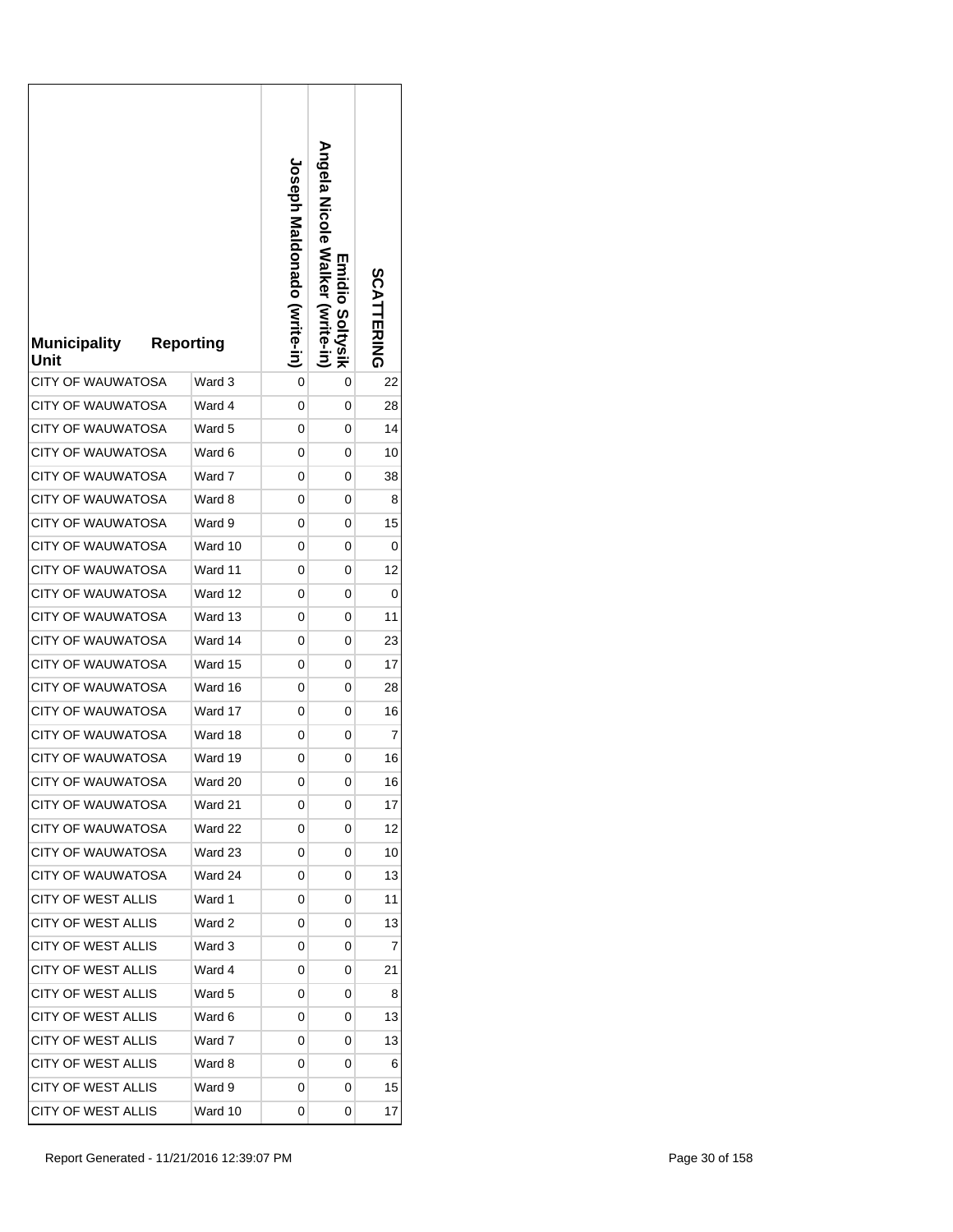| <b>Municipality</b><br>Unit | <b>Reporting</b> | <b>Loseph Maldonado (vrite-in)</b> | <b>Angela Nicole Walker</b><br><b>Emidio Soltysik</b><br>(Write-in | <b>SCATTERING</b> |
|-----------------------------|------------------|------------------------------------|--------------------------------------------------------------------|-------------------|
| <b>CITY OF WAUWATOSA</b>    | Ward 3           | 0                                  | 0                                                                  | 22                |
| <b>CITY OF WAUWATOSA</b>    | Ward 4           | 0                                  | 0                                                                  | 28                |
| <b>CITY OF WAUWATOSA</b>    | Ward 5           | 0                                  | 0                                                                  | 14                |
| <b>CITY OF WAUWATOSA</b>    | Ward 6           | 0                                  | 0                                                                  | 10                |
| <b>CITY OF WAUWATOSA</b>    | Ward 7           | 0                                  | 0                                                                  | 38                |
| CITY OF WAUWATOSA           | Ward 8           | 0                                  | 0                                                                  | 8                 |
| <b>CITY OF WAUWATOSA</b>    | Ward 9           | 0                                  | 0                                                                  | 15                |
| <b>CITY OF WAUWATOSA</b>    | Ward 10          | 0                                  | 0                                                                  | 0                 |
| <b>CITY OF WAUWATOSA</b>    | Ward 11          | 0                                  | 0                                                                  | 12                |
| <b>CITY OF WAUWATOSA</b>    | Ward 12          | 0                                  | 0                                                                  | 0                 |
| <b>CITY OF WAUWATOSA</b>    | Ward 13          | 0                                  | 0                                                                  | 11                |
| <b>CITY OF WAUWATOSA</b>    | Ward 14          | 0                                  | 0                                                                  | 23                |
| <b>CITY OF WAUWATOSA</b>    | Ward 15          | 0                                  | 0                                                                  | 17                |
| <b>CITY OF WAUWATOSA</b>    | Ward 16          | 0                                  | 0                                                                  | 28                |
| <b>CITY OF WAUWATOSA</b>    | Ward 17          | 0                                  | 0                                                                  | 16                |
| <b>CITY OF WAUWATOSA</b>    | Ward 18          | 0                                  | 0                                                                  | 7                 |
| <b>CITY OF WAUWATOSA</b>    | Ward 19          | 0                                  | 0                                                                  | 16                |
| CITY OF WAUWATOSA           | Ward 20          | 0                                  | 0                                                                  | 16                |
| <b>CITY OF WAUWATOSA</b>    | Ward 21          | 0                                  | 0                                                                  | 17                |
| CITY OF WAUWATOSA           | Ward 22          | 0                                  | 0                                                                  | 12                |
| <b>CITY OF WAUWATOSA</b>    | Ward 23          | 0                                  | 0                                                                  | 10                |
| <b>CITY OF WAUWATOSA</b>    | Ward 24          | 0                                  | 0                                                                  | 13                |
| CITY OF WEST ALLIS          | Ward 1           | 0                                  | 0                                                                  | 11                |
| CITY OF WEST ALLIS          | Ward 2           | 0                                  | 0                                                                  | 13                |
| <b>CITY OF WEST ALLIS</b>   | Ward 3           | 0                                  | 0                                                                  | 7                 |
| CITY OF WEST ALLIS          | Ward 4           | 0                                  | 0                                                                  | 21                |
| <b>CITY OF WEST ALLIS</b>   | Ward 5           | 0                                  | 0                                                                  | 8                 |
| CITY OF WEST ALLIS          | Ward 6           | 0                                  | 0                                                                  | 13                |
| CITY OF WEST ALLIS          | Ward 7           | 0                                  | 0                                                                  | 13                |
| <b>CITY OF WEST ALLIS</b>   | Ward 8           | 0                                  | 0                                                                  | 6                 |
| <b>CITY OF WEST ALLIS</b>   | Ward 9           | 0                                  | 0                                                                  | 15                |
| CITY OF WEST ALLIS          | Ward 10          | 0                                  | 0                                                                  | 17                |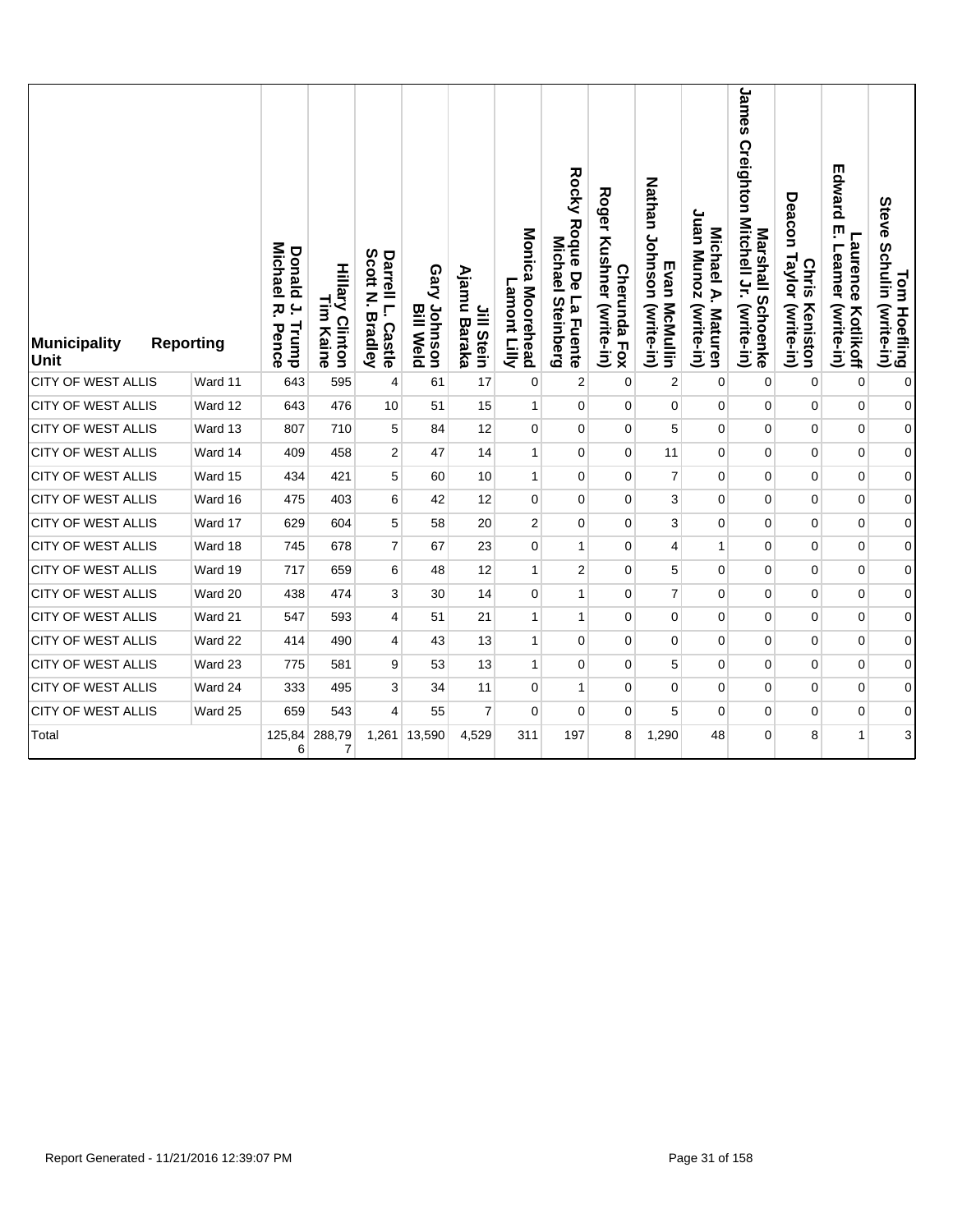| <b>Municipality</b><br>Unit<br><b>CITY OF WEST ALLIS</b> | <b>Reporting</b><br>Ward 11 | <b>Michael</b><br>Donald<br>ب.<br>ᄍ.<br>Trump<br>Pence<br>643 | <b>Hillary Clinton</b><br>Lin<br>Kaine<br>595 | Scott<br>Darrell L.<br>P<br><b>Bradley</b><br>Castle | Gary Johnson<br><b>Bill Weld</b><br>61 | Ajamu Baraka<br>Jill Stein<br>17 | Monica Moorehead<br>Lamont<br><b>Killy</b><br>$\mathbf 0$ | Rocky Roque De<br>Michael<br>La Fuente<br><b>Steinberg</b> | Roger<br>Kushner (write-in)<br>Cherunda Fox | Nathan Johnson (write-in)<br>Evan McMullin | Juan Munoz<br>Michael A.<br>(write-in)<br>Maturen | James Creighton Mitchell Jr. (write-in)<br>Marshall Schoenke | Deacon Taylor (write-in)<br><b>Chris</b><br>Keniston | Edward<br>ŗm<br><b>Laurence</b><br>Leamer<br>(write-in)<br>Kotlikoff<br>$\pmb{0}$ | Tom Hoefling<br>Steve Schulin (write-in) |
|----------------------------------------------------------|-----------------------------|---------------------------------------------------------------|-----------------------------------------------|------------------------------------------------------|----------------------------------------|----------------------------------|-----------------------------------------------------------|------------------------------------------------------------|---------------------------------------------|--------------------------------------------|---------------------------------------------------|--------------------------------------------------------------|------------------------------------------------------|-----------------------------------------------------------------------------------|------------------------------------------|
|                                                          |                             |                                                               |                                               | 4                                                    |                                        |                                  |                                                           | $\boldsymbol{2}$                                           | $\mathbf 0$                                 | 2                                          | 0                                                 | $\mathbf 0$                                                  | 0                                                    |                                                                                   | $\pmb{0}$                                |
| <b>CITY OF WEST ALLIS</b>                                | Ward 12                     | 643                                                           | 476                                           | 10                                                   | 51                                     | 15                               | 1                                                         | $\pmb{0}$                                                  | $\mathbf 0$                                 | $\pmb{0}$                                  | $\pmb{0}$                                         | $\mathbf 0$                                                  | 0                                                    | 0                                                                                 | $\pmb{0}$                                |
| <b>CITY OF WEST ALLIS</b>                                | Ward 13                     | 807                                                           | 710                                           | 5                                                    | 84                                     | 12                               | 0                                                         | 0                                                          | $\pmb{0}$                                   | 5                                          | $\pmb{0}$                                         | $\pmb{0}$                                                    | 0                                                    | $\pmb{0}$                                                                         | $\boldsymbol{0}$                         |
| <b>CITY OF WEST ALLIS</b>                                | Ward 14                     | 409                                                           | 458                                           | 2                                                    | 47                                     | 14                               | 1                                                         | 0                                                          | $\mathbf 0$                                 | 11                                         | 0                                                 | 0                                                            | 0                                                    | 0                                                                                 | 0                                        |
| <b>CITY OF WEST ALLIS</b>                                | Ward 15                     | 434                                                           | 421                                           | 5                                                    | 60                                     | 10                               | $\mathbf{1}$                                              | 0                                                          | $\mathbf 0$                                 | 7                                          | 0                                                 | $\pmb{0}$                                                    | 0                                                    | 0                                                                                 | $\overline{0}$                           |
| <b>CITY OF WEST ALLIS</b>                                | Ward 16                     | 475                                                           | 403                                           | 6                                                    | 42                                     | 12                               | 0                                                         | $\mathbf 0$                                                | $\mathbf 0$                                 | 3                                          | 0                                                 | 0                                                            | 0                                                    | 0                                                                                 | $\overline{0}$                           |
| CITY OF WEST ALLIS                                       | Ward 17                     | 629                                                           | 604                                           | 5                                                    | 58                                     | 20                               | $\overline{\mathbf{c}}$                                   | 0                                                          | $\mathbf 0$                                 | 3                                          | 0                                                 | $\pmb{0}$                                                    | 0                                                    | 0                                                                                 | $\pmb{0}$                                |
| <b>CITY OF WEST ALLIS</b>                                | Ward 18                     | 745                                                           | 678                                           | 7                                                    | 67                                     | 23                               | 0                                                         | $\mathbf{1}$                                               | $\mathbf 0$                                 | 4                                          | 1                                                 | $\pmb{0}$                                                    | 0                                                    | 0                                                                                 | $\overline{0}$                           |
| <b>CITY OF WEST ALLIS</b>                                | Ward 19                     | 717                                                           | 659                                           | 6                                                    | 48                                     | 12                               | 1                                                         | $\boldsymbol{2}$                                           | $\mathbf 0$                                 | 5                                          | 0                                                 | $\pmb{0}$                                                    | 0                                                    | 0                                                                                 | 0                                        |
| <b>CITY OF WEST ALLIS</b>                                | Ward 20                     | 438                                                           | 474                                           | 3                                                    | 30                                     | 14                               | 0                                                         | $\mathbf{1}$                                               | $\mathbf 0$                                 | $\overline{7}$                             | 0                                                 | $\pmb{0}$                                                    | 0                                                    | 0                                                                                 | $\boldsymbol{0}$                         |
| <b>CITY OF WEST ALLIS</b>                                | Ward 21                     | 547                                                           | 593                                           | 4                                                    | 51                                     | 21                               | $\mathbf{1}$                                              | 1                                                          | $\mathbf 0$                                 | 0                                          | 0                                                 | 0                                                            | 0                                                    | 0                                                                                 | $\overline{0}$                           |
| <b>CITY OF WEST ALLIS</b>                                | Ward 22                     | 414                                                           | 490                                           | 4                                                    | 43                                     | 13                               | 1                                                         | 0                                                          | $\mathbf 0$                                 | 0                                          | 0                                                 | $\pmb{0}$                                                    | 0                                                    | 0                                                                                 | $\overline{0}$                           |
| <b>CITY OF WEST ALLIS</b>                                | Ward 23                     | 775                                                           | 581                                           | 9                                                    | 53                                     | 13                               | $\mathbf{1}$                                              | 0                                                          | $\mathbf 0$                                 | 5                                          | 0                                                 | $\pmb{0}$                                                    | 0                                                    | 0                                                                                 | $\overline{0}$                           |
| CITY OF WEST ALLIS                                       | Ward 24                     | 333                                                           | 495                                           | 3                                                    | 34                                     | 11                               | 0                                                         | 1                                                          | $\mathbf 0$                                 | 0                                          | 0                                                 | $\pmb{0}$                                                    | 0                                                    | 0                                                                                 | $\boldsymbol{0}$                         |
| <b>CITY OF WEST ALLIS</b>                                | Ward 25                     | 659                                                           | 543                                           | $\overline{4}$                                       | 55                                     | $\overline{7}$                   | 0                                                         | 0                                                          | $\mathbf 0$                                 | 5                                          | 0                                                 | $\pmb{0}$                                                    | 0                                                    | 0                                                                                 | $\mathbf{0}$                             |
| Total                                                    |                             | 125,84<br>6                                                   | 288,79<br>7                                   | 1,261                                                | 13,590                                 | 4,529                            | 311                                                       | 197                                                        | 8                                           | 1,290                                      | 48                                                | $\overline{0}$                                               | 8                                                    | 1                                                                                 | $\mathbf{3}$                             |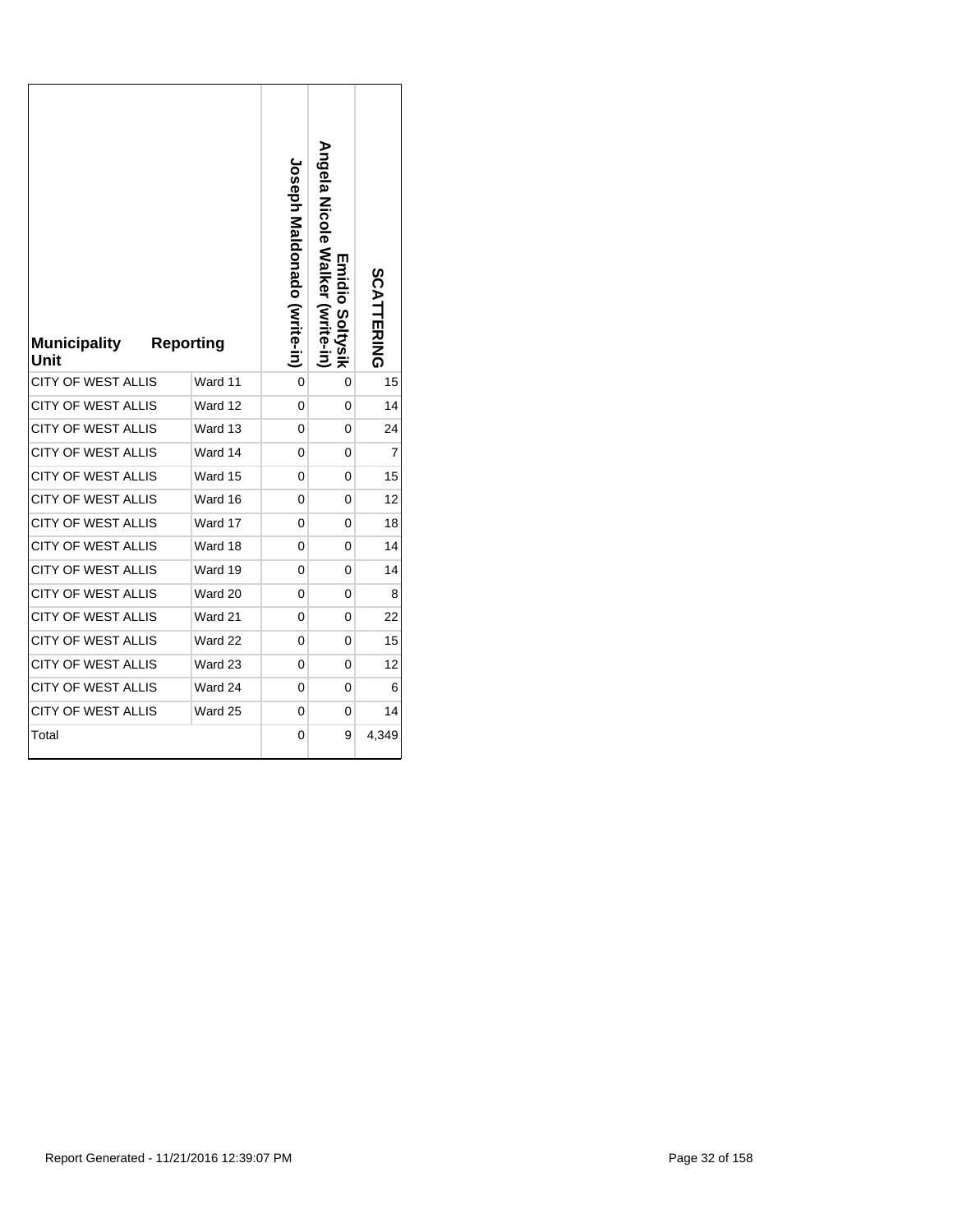| <b>Municipality</b><br>Unit | <b>Reporting</b> | <b>Joseph Maldonado (Write-in)</b> | Angela Nicole Walker (write-in<br><b>Emidio Soltysik</b> | SCATTERING     |
|-----------------------------|------------------|------------------------------------|----------------------------------------------------------|----------------|
| <b>CITY OF WEST ALLIS</b>   | Ward 11          | 0                                  | 0                                                        | 15             |
| CITY OF WEST ALLIS          | Ward 12          | 0                                  | 0                                                        | 14             |
| <b>CITY OF WEST ALLIS</b>   | Ward 13          | 0                                  | 0                                                        | 24             |
| CITY OF WEST ALLIS          | Ward 14          | 0                                  | 0                                                        | $\overline{7}$ |
| <b>CITY OF WEST ALLIS</b>   | Ward 15          | 0                                  | 0                                                        | 15             |
| <b>CITY OF WEST ALLIS</b>   | Ward 16          | 0                                  | 0                                                        | 12             |
| <b>CITY OF WEST ALLIS</b>   | Ward 17          | 0                                  | 0                                                        | 18             |
| <b>CITY OF WEST ALLIS</b>   | Ward 18          | 0                                  | 0                                                        | 14             |
| <b>CITY OF WEST ALLIS</b>   | Ward 19          | 0                                  | 0                                                        | 14             |
| <b>CITY OF WEST ALLIS</b>   | Ward 20          | 0                                  | 0                                                        | 8              |
| <b>CITY OF WEST ALLIS</b>   | Ward 21          | 0                                  | 0                                                        | 22             |
| <b>CITY OF WEST ALLIS</b>   | Ward 22          | 0                                  | 0                                                        | 15             |
| <b>CITY OF WEST ALLIS</b>   | Ward 23          | 0                                  | 0                                                        | 12             |
| <b>CITY OF WEST ALLIS</b>   | Ward 24          | 0                                  | 0                                                        | 6              |
| <b>CITY OF WEST ALLIS</b>   | Ward 25          | 0                                  | 0                                                        | 14             |
| Total                       |                  | 0                                  | 9                                                        | 4,349          |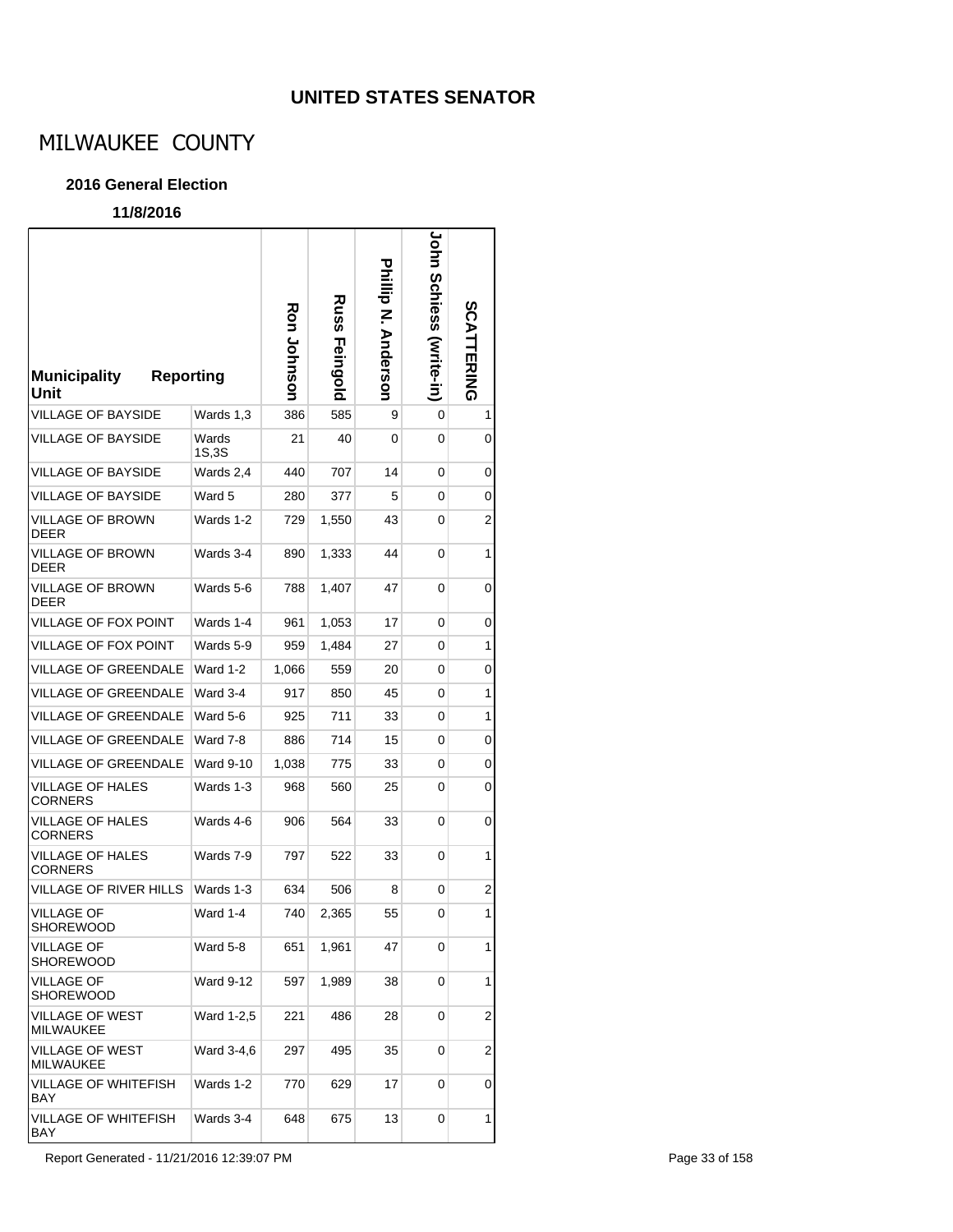### **UNITED STATES SENATOR**

# MILWAUKEE COUNTY

#### **2016 General Election**

### **11/8/2016**

| <b>Reporting</b><br><b>Municipality</b><br>Unit |                  | <b>Ron Johnson</b> | <b>Russ</b><br><b>Feingold</b> | <b>hillip N. Anderson</b> | John<br>Schiess (write-in) | <b>SCATTERING</b>       |
|-------------------------------------------------|------------------|--------------------|--------------------------------|---------------------------|----------------------------|-------------------------|
| <b>VILLAGE OF BAYSIDE</b>                       | Wards 1,3        | 386                | 585                            | 9                         | 0                          | 1                       |
| <b>VILLAGE OF BAYSIDE</b>                       | Wards<br>1S,3S   | 21                 | 40                             | 0                         | 0                          | 0                       |
| VILLAGE OF BAYSIDE                              | Wards 2,4        | 440                | 707                            | 14                        | 0                          | 0                       |
| <b>VILLAGE OF BAYSIDE</b>                       | Ward 5           | 280                | 377                            | 5                         | 0                          | 0                       |
| VILLAGE OF BROWN<br><b>DEER</b>                 | Wards 1-2        | 729                | 1,550                          | 43                        | 0                          | 2                       |
| VILLAGE OF BROWN<br><b>DEER</b>                 | Wards 3-4        | 890                | 1,333                          | 44                        | 0                          | 1                       |
| <b>VILLAGE OF BROWN</b><br>DEER                 | Wards 5-6        | 788                | 1,407                          | 47                        | 0                          | 0                       |
| VILLAGE OF FOX POINT                            | Wards 1-4        | 961                | 1,053                          | 17                        | 0                          | 0                       |
| <b>VILLAGE OF FOX POINT</b>                     | Wards 5-9        | 959                | 1,484                          | 27                        | 0                          | 1                       |
| <b>VILLAGE OF GREENDALE</b>                     | Ward 1-2         | 1,066              | 559                            | 20                        | 0                          | 0                       |
| VILLAGE OF GREENDALE                            | Ward 3-4         | 917                | 850                            | 45                        | 0                          | 1                       |
| VILLAGE OF GREENDALE                            | Ward 5-6         | 925                | 711                            | 33                        | 0                          | 1                       |
| <b>VILLAGE OF GREENDALE</b>                     | Ward 7-8         | 886                | 714                            | 15                        | 0                          | 0                       |
| VILLAGE OF GREENDALE                            | <b>Ward 9-10</b> | 1,038              | 775                            | 33                        | 0                          | 0                       |
| VILLAGE OF HALES<br><b>CORNERS</b>              | Wards 1-3        | 968                | 560                            | 25                        | 0                          | 0                       |
| VILLAGE OF HALES<br>CORNERS                     | Wards 4-6        | 906                | 564                            | 33                        | 0                          | 0                       |
| VILLAGE OF HALES<br><b>CORNERS</b>              | Wards 7-9        | 797                | 522                            | 33                        | 0                          | 1                       |
| <b>VILLAGE OF RIVER HILLS</b>                   | Wards 1-3        | 634                | 506                            | 8                         | 0                          | 2                       |
| VILLAGE OF<br>SHOREWOOD                         | Ward 1-4         | 740                | 2,365                          | 55                        | 0                          | 1                       |
| <b>VILLAGE OF</b><br><b>SHOREWOOD</b>           | Ward 5-8         | 651                | 1,961                          | 47                        | 0                          | 1                       |
| VILLAGE OF<br><b>SHOREWOOD</b>                  | <b>Ward 9-12</b> | 597                | 1,989                          | 38                        | 0                          | 1                       |
| <b>VILLAGE OF WEST</b><br>MILWAUKEE             | Ward 1-2,5       | 221                | 486                            | 28                        | 0                          | $\overline{\mathbf{c}}$ |
| <b>VILLAGE OF WEST</b><br>MILWAUKEE             | Ward 3-4,6       | 297                | 495                            | 35                        | 0                          | $\overline{2}$          |
| VILLAGE OF WHITEFISH<br>BAY                     | Wards 1-2        | 770                | 629                            | 17                        | 0                          | 0                       |
| VILLAGE OF WHITEFISH<br>BAY                     | Wards 3-4        | 648                | 675                            | 13                        | 0                          | 1                       |

Report Generated - 11/21/2016 12:39:07 PM Page 33 of 158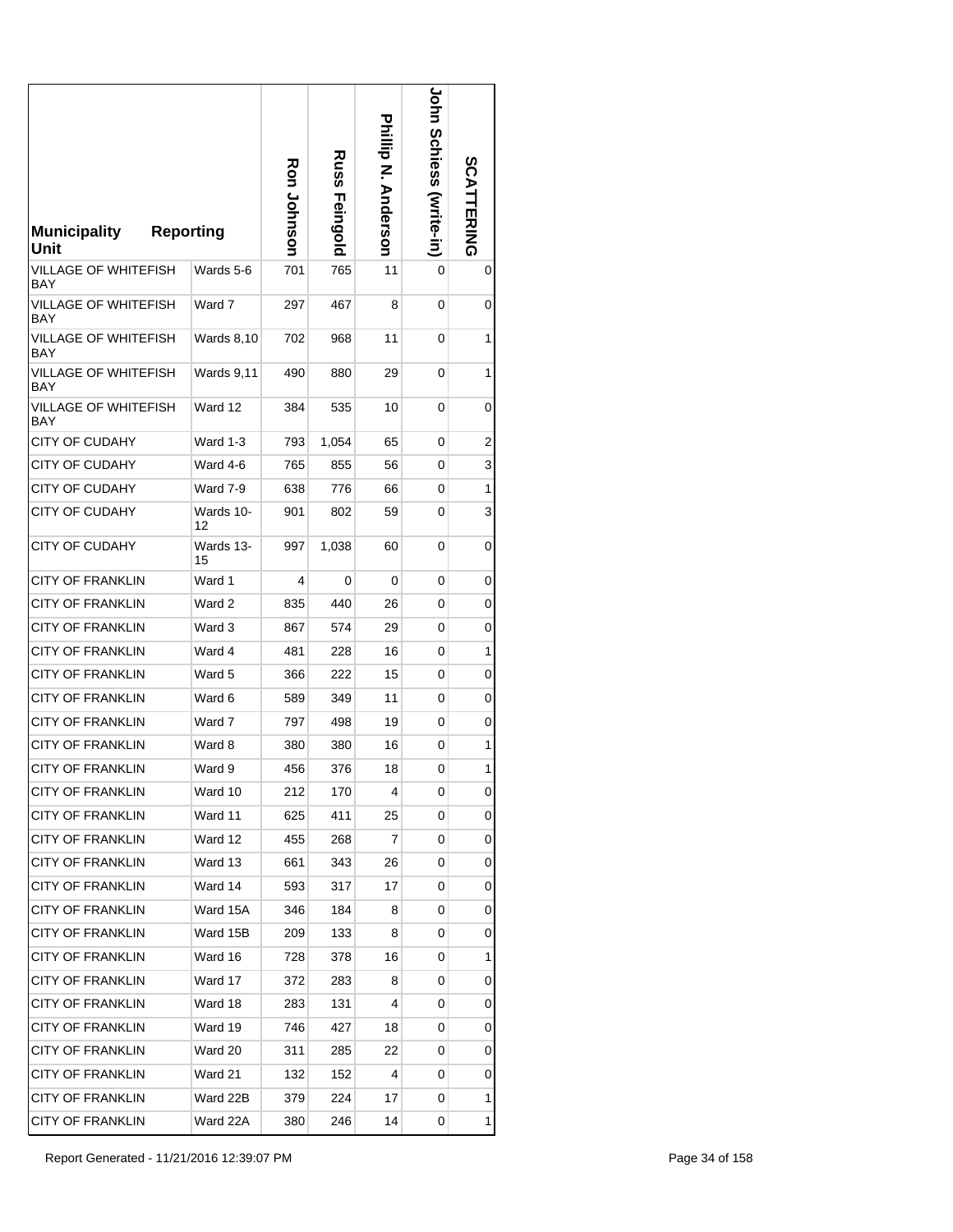| <b>Municipality</b><br>Unit | <b>Reporting</b>  | Ron Johnson | Russ<br>Feingold | <b>hillip N. Anderson</b> | <b>John Schiess (Mrite-in)</b> | <b>SCATTERING</b> |
|-----------------------------|-------------------|-------------|------------------|---------------------------|--------------------------------|-------------------|
| VILLAGE OF WHITEFISH<br>BAY | Wards 5-6         | 701         | 765              | 11                        | 0                              | 0                 |
| VILLAGE OF WHITEFISH<br>BAY | Ward 7            | 297         | 467              | 8                         | 0                              | 0                 |
| VILLAGE OF WHITEFISH<br>BAY | <b>Wards 8,10</b> | 702         | 968              | 11                        | 0                              | 1                 |
| VILLAGE OF WHITEFISH<br>BAY | Wards 9,11        | 490         | 880              | 29                        | 0                              | 1                 |
| VILLAGE OF WHITEFISH<br>BAY | Ward 12           | 384         | 535              | 10                        | 0                              | 0                 |
| CITY OF CUDAHY              | Ward 1-3          | 793         | 1,054            | 65                        | 0                              | 2                 |
| CITY OF CUDAHY              | Ward 4-6          | 765         | 855              | 56                        | 0                              | 3                 |
| CITY OF CUDAHY              | Ward 7-9          | 638         | 776              | 66                        | 0                              | 1                 |
| <b>CITY OF CUDAHY</b>       | Wards 10-<br>12   | 901         | 802              | 59                        | 0                              | 3                 |
| CITY OF CUDAHY              | Wards 13-<br>15   | 997         | 1,038            | 60                        | 0                              | 0                 |
| CITY OF FRANKLIN            | Ward 1            | 4           | 0                | 0                         | 0                              | 0                 |
| CITY OF FRANKLIN            | Ward 2            | 835         | 440              | 26                        | 0                              | 0                 |
| <b>CITY OF FRANKLIN</b>     | Ward 3            | 867         | 574              | 29                        | 0                              | 0                 |
| CITY OF FRANKLIN            | Ward 4            | 481         | 228              | 16                        | 0                              | 1                 |
| CITY OF FRANKLIN            | Ward 5            | 366         | 222              | 15                        | 0                              | 0                 |
| <b>CITY OF FRANKLIN</b>     | Ward 6            | 589         | 349              | 11                        | 0                              | 0                 |
| <b>CITY OF FRANKLIN</b>     | Ward 7            | 797         | 498              | 19                        | 0                              | 0                 |
| CITY OF FRANKLIN            | Ward 8            | 380         | 380              | 16                        | 0                              | 1                 |
| <b>CITY OF FRANKLIN</b>     | Ward 9            | 456         | 376              | 18                        | 0                              | 1                 |
| CITY OF FRANKLIN            | Ward 10           | 212         | 170              | 4                         | 0                              | 0                 |
| <b>CITY OF FRANKLIN</b>     | Ward 11           | 625         | 411              | 25                        | 0                              | 0                 |
| <b>CITY OF FRANKLIN</b>     | Ward 12           | 455         | 268              | 7                         | 0                              | 0                 |
| <b>CITY OF FRANKLIN</b>     | Ward 13           | 661         | 343              | 26                        | 0                              | 0                 |
| <b>CITY OF FRANKLIN</b>     | Ward 14           | 593         | 317              | 17                        | 0                              | 0                 |
| <b>CITY OF FRANKLIN</b>     | Ward 15A          | 346         | 184              | 8                         | 0                              | 0                 |
| <b>CITY OF FRANKLIN</b>     | Ward 15B          | 209         | 133              | 8                         | 0                              | 0                 |
| <b>CITY OF FRANKLIN</b>     | Ward 16           | 728         | 378              | 16                        | 0                              | 1                 |
| <b>CITY OF FRANKLIN</b>     | Ward 17           | 372         | 283              | 8                         | 0                              | 0                 |
| <b>CITY OF FRANKLIN</b>     | Ward 18           | 283         | 131              | 4                         | 0                              | 0                 |
| <b>CITY OF FRANKLIN</b>     | Ward 19           | 746         | 427              | 18                        | 0                              | 0                 |
| CITY OF FRANKLIN            | Ward 20           | 311         | 285              | 22                        | 0                              | 0                 |
| <b>CITY OF FRANKLIN</b>     | Ward 21           | 132         | 152              | 4                         | 0                              | 0                 |
| <b>CITY OF FRANKLIN</b>     | Ward 22B          | 379         | 224              | 17                        | 0                              | 1                 |
| <b>CITY OF FRANKLIN</b>     | Ward 22A          | 380         | 246              | 14                        | 0                              | 1                 |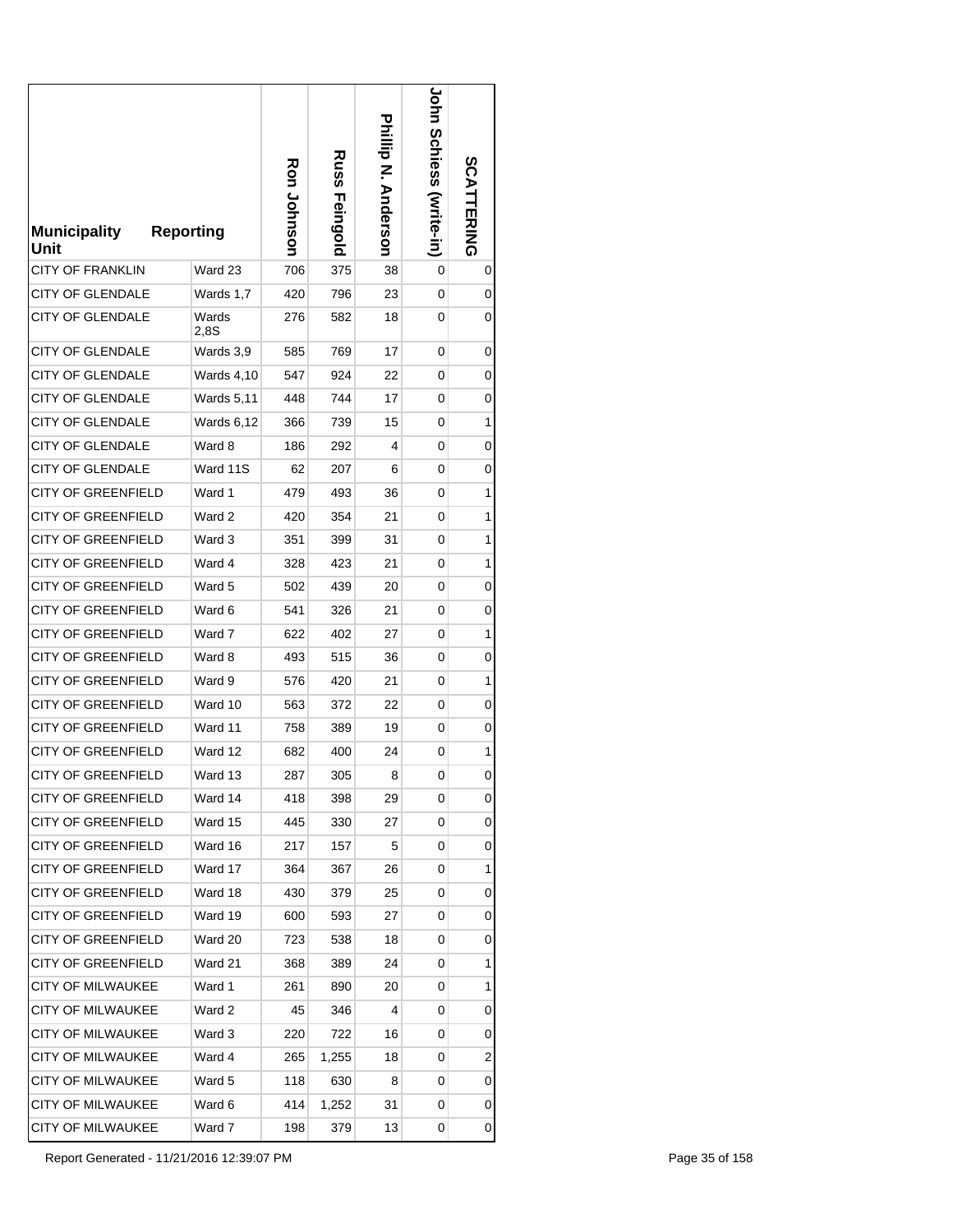| <b>Municipality</b><br>Unit | <b>Reporting</b>  | <b>Ron Johnson</b> | <b>Russ</b><br>Feingold | Prillip N. Anderson | John Schiess<br>(write-in) | SCATT<br><b>TERING</b> |
|-----------------------------|-------------------|--------------------|-------------------------|---------------------|----------------------------|------------------------|
| <b>CITY OF FRANKLIN</b>     | Ward 23           | 706                | 375                     | 38                  | 0                          | 0                      |
| <b>CITY OF GLENDALE</b>     | Wards 1,7         | 420                | 796                     | 23                  | 0                          | 0                      |
| <b>CITY OF GLENDALE</b>     | Wards<br>2.8S     | 276                | 582                     | 18                  | 0                          | 0                      |
| <b>CITY OF GLENDALE</b>     | Wards 3,9         | 585                | 769                     | 17                  | 0                          | 0                      |
| CITY OF GLENDALE            | <b>Wards 4,10</b> | 547                | 924                     | 22                  | 0                          | 0                      |
| <b>CITY OF GLENDALE</b>     | <b>Wards 5,11</b> | 448                | 744                     | 17                  | 0                          | 0                      |
| <b>CITY OF GLENDALE</b>     | Wards 6,12        | 366                | 739                     | 15                  | 0                          | 1                      |
| <b>CITY OF GLENDALE</b>     | Ward 8            | 186                | 292                     | 4                   | 0                          | 0                      |
| CITY OF GLENDALE            | Ward 11S          | 62                 | 207                     | 6                   | 0                          | 0                      |
| <b>CITY OF GREENFIELD</b>   | Ward 1            | 479                | 493                     | 36                  | 0                          | 1                      |
| <b>CITY OF GREENFIELD</b>   | Ward 2            | 420                | 354                     | 21                  | 0                          | 1                      |
| <b>CITY OF GREENFIELD</b>   | Ward 3            | 351                | 399                     | 31                  | 0                          | 1                      |
| <b>CITY OF GREENFIELD</b>   | Ward 4            | 328                | 423                     | 21                  | 0                          | 1                      |
| <b>CITY OF GREENFIELD</b>   | Ward 5            | 502                | 439                     | 20                  | 0                          | 0                      |
| <b>CITY OF GREENFIELD</b>   | Ward 6            | 541                | 326                     | 21                  | 0                          | 0                      |
| <b>CITY OF GREENFIELD</b>   | Ward 7            | 622                | 402                     | 27                  | 0                          | 1                      |
| <b>CITY OF GREENFIELD</b>   | Ward 8            | 493                | 515                     | 36                  | 0                          | 0                      |
| CITY OF GREENFIELD          | Ward 9            | 576                | 420                     | 21                  | 0                          | 1                      |
| <b>CITY OF GREENFIELD</b>   | Ward 10           | 563                | 372                     | 22                  | 0                          | 0                      |
| <b>CITY OF GREENFIELD</b>   | Ward 11           | 758                | 389                     | 19                  | 0                          | 0                      |
| <b>CITY OF GREENFIELD</b>   | Ward 12           | 682                | 400                     | 24                  | 0                          | 1                      |
| <b>CITY OF GREENFIELD</b>   | Ward 13           | 287                | 305                     | 8                   | 0                          | 0                      |
| <b>CITY OF GREENFIELD</b>   | Ward 14           | 418                | 398                     | 29                  | 0                          | 0                      |
| CITY OF GREENFIELD          | Ward 15           | 445                | 330                     | 27                  | 0                          | 0                      |
| CITY OF GREENFIELD          | Ward 16           | 217                | 157                     | 5                   | 0                          | 0                      |
| <b>CITY OF GREENFIELD</b>   | Ward 17           | 364                | 367                     | 26                  | 0                          | 1                      |
| <b>CITY OF GREENFIELD</b>   | Ward 18           | 430                | 379                     | 25                  | 0                          | 0                      |
| <b>CITY OF GREENFIELD</b>   | Ward 19           | 600                | 593                     | 27                  | 0                          | 0                      |
| <b>CITY OF GREENFIELD</b>   | Ward 20           | 723                | 538                     | 18                  | 0                          | 0                      |
| CITY OF GREENFIELD          | Ward 21           | 368                | 389                     | 24                  | 0                          | 1                      |
| CITY OF MILWAUKEE           | Ward 1            | 261                | 890                     | 20                  | 0                          | 1                      |
| CITY OF MILWAUKEE           | Ward 2            | 45                 | 346                     | 4                   | 0                          | 0                      |
| <b>CITY OF MILWAUKEE</b>    | Ward 3            | 220                | 722                     | 16                  | 0                          | 0                      |
| CITY OF MILWAUKEE           | Ward 4            | 265                | 1,255                   | 18                  | 0                          | 2                      |
| CITY OF MILWAUKEE           | Ward 5            | 118                | 630                     | 8                   | 0                          | 0                      |
| CITY OF MILWAUKEE           | Ward 6            | 414                | 1,252                   | 31                  | 0                          | 0                      |
| CITY OF MILWAUKEE           | Ward 7            | 198                | 379                     | 13                  | 0                          | 0                      |

Report Generated - 11/21/2016 12:39:07 PM Page 35 of 158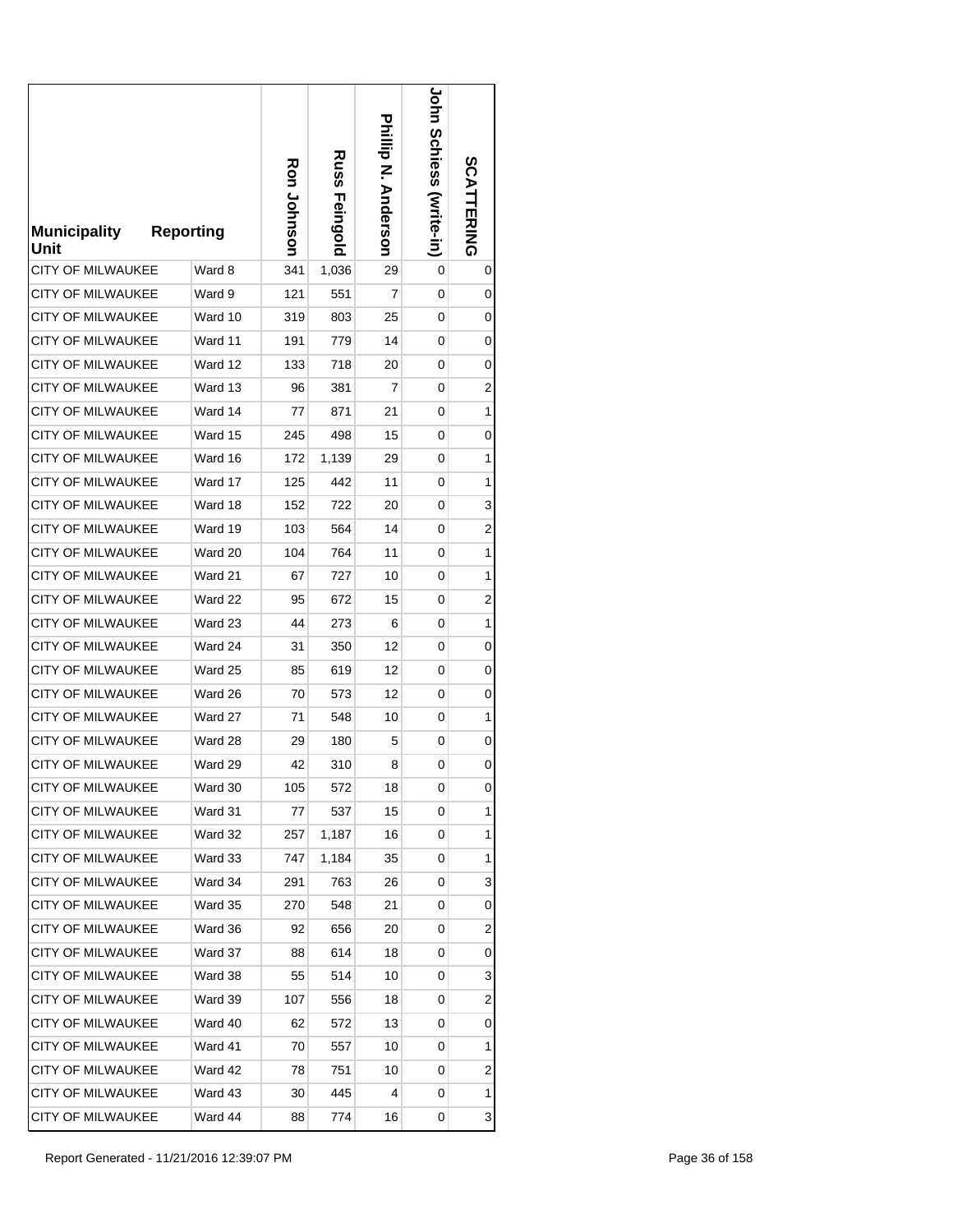| <b>Municipality</b><br>Unit | <b>Reporting</b> | Ron Johnson | <b>Russ</b><br>Feingold | <b>Prilip N. Anderson</b> | <b>Corn Schiess (Mrite-in)</b> | SCATTERING |
|-----------------------------|------------------|-------------|-------------------------|---------------------------|--------------------------------|------------|
| <b>CITY OF MILWAUKEE</b>    | Ward 8           | 341         | 1,036                   | 29                        | 0                              | 0          |
| <b>CITY OF MILWAUKEE</b>    | Ward 9           | 121         | 551                     | 7                         | 0                              | 0          |
| CITY OF MILWAUKEE           | Ward 10          | 319         | 803                     | 25                        | 0                              | 0          |
| <b>CITY OF MILWAUKEE</b>    | Ward 11          | 191         | 779                     | 14                        | 0                              | 0          |
| <b>CITY OF MILWAUKEE</b>    | Ward 12          | 133         | 718                     | 20                        | 0                              | 0          |
| <b>CITY OF MILWAUKEE</b>    | Ward 13          | 96          | 381                     | 7                         | 0                              | 2          |
| CITY OF MILWAUKEE           | Ward 14          | 77          | 871                     | 21                        | 0                              | 1          |
| <b>CITY OF MILWAUKEE</b>    | Ward 15          | 245         | 498                     | 15                        | 0                              | 0          |
| <b>CITY OF MILWAUKEE</b>    | Ward 16          | 172         | 1,139                   | 29                        | 0                              | 1          |
| <b>CITY OF MILWAUKEE</b>    | Ward 17          | 125         | 442                     | 11                        | 0                              | 1          |
| <b>CITY OF MILWAUKEE</b>    | Ward 18          | 152         | 722                     | 20                        | 0                              | 3          |
| <b>CITY OF MILWAUKEE</b>    | Ward 19          | 103         | 564                     | 14                        | 0                              | 2          |
| <b>CITY OF MILWAUKEE</b>    | Ward 20          | 104         | 764                     | 11                        | 0                              | 1          |
| <b>CITY OF MILWAUKEE</b>    | Ward 21          | 67          | 727                     | 10                        | 0                              | 1          |
| CITY OF MILWAUKEE           | Ward 22          | 95          | 672                     | 15                        | 0                              | 2          |
| <b>CITY OF MILWAUKEE</b>    | Ward 23          | 44          | 273                     | 6                         | 0                              | 1          |
| CITY OF MILWAUKEE           | Ward 24          | 31          | 350                     | 12                        | 0                              | 0          |
| CITY OF MILWAUKEE           | Ward 25          | 85          | 619                     | 12                        | 0                              | 0          |
| CITY OF MILWAUKEE           | Ward 26          | 70          | 573                     | 12                        | 0                              | 0          |
| <b>CITY OF MILWAUKEE</b>    | Ward 27          | 71          | 548                     | 10                        | 0                              | 1          |
| <b>CITY OF MILWAUKEE</b>    | Ward 28          | 29          | 180                     | 5                         | 0                              | 0          |
| <b>CITY OF MILWAUKEE</b>    | Ward 29          | 42          | 310                     | 8                         | 0                              | 0          |
| <b>CITY OF MILWAUKEE</b>    | Ward 30          | 105         | 572                     | 18                        | 0                              | 0          |
| CITY OF MILWAUKEE           | Ward 31          | 77          | 537                     | 15                        | 0                              | 1          |
| CITY OF MILWAUKEE           | Ward 32          | 257         | 1,187                   | 16                        | 0                              | 1          |
| CITY OF MILWAUKEE           | Ward 33          | 747         | 1,184                   | 35                        | 0                              | 1          |
| CITY OF MILWAUKEE           | Ward 34          | 291         | 763                     | 26                        | 0                              | 3          |
| CITY OF MILWAUKEE           | Ward 35          | 270         | 548                     | 21                        | 0                              | 0          |
| <b>CITY OF MILWAUKEE</b>    | Ward 36          | 92          | 656                     | 20                        | 0                              | 2          |
| <b>CITY OF MILWAUKEE</b>    | Ward 37          | 88          | 614                     | 18                        | 0                              | 0          |
| <b>CITY OF MILWAUKEE</b>    | Ward 38          | 55          | 514                     | 10                        | 0                              | 3          |
| CITY OF MILWAUKEE           | Ward 39          | 107         | 556                     | 18                        | 0                              | 2          |
| CITY OF MILWAUKEE           | Ward 40          | 62          | 572                     | 13                        | 0                              | 0          |
| CITY OF MILWAUKEE           | Ward 41          | 70          | 557                     | 10                        | 0                              | 1          |
| CITY OF MILWAUKEE           | Ward 42          | 78          | 751                     | 10                        | 0                              | 2          |
| CITY OF MILWAUKEE           | Ward 43          | 30          | 445                     | 4                         | 0                              | 1          |
| CITY OF MILWAUKEE           | Ward 44          | 88          | 774                     | 16                        | 0                              | 3          |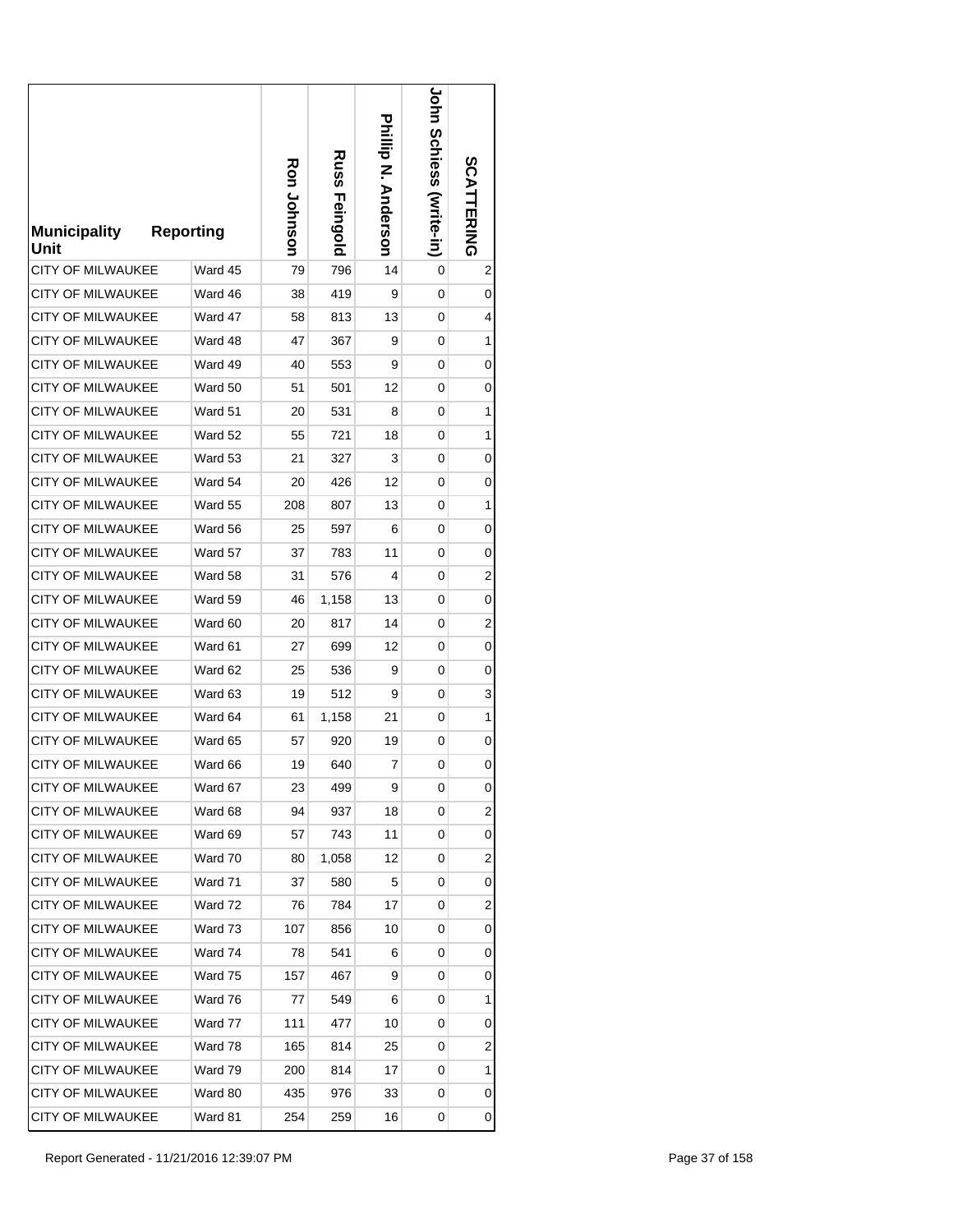| <b>Municipality</b><br>Unit | <b>Reporting</b> | Ron Johnson | Russ<br>Feingold | <b>Prilip N. Anderson</b> | <b>JOHN SCHIGSS (Write-in)</b> | SCATTERING              |
|-----------------------------|------------------|-------------|------------------|---------------------------|--------------------------------|-------------------------|
| <b>CITY OF MILWAUKEE</b>    | Ward 45          | 79          | 796              | 14                        | 0                              | 2                       |
| <b>CITY OF MILWAUKEE</b>    | Ward 46          | 38          | 419              | 9                         | 0                              | 0                       |
| <b>CITY OF MILWAUKEE</b>    | Ward 47          | 58          | 813              | 13                        | 0                              | 4                       |
| <b>CITY OF MILWAUKEE</b>    | Ward 48          | 47          | 367              | 9                         | 0                              | 1                       |
| <b>CITY OF MILWAUKEE</b>    | Ward 49          | 40          | 553              | 9                         | 0                              | 0                       |
| <b>CITY OF MILWAUKEE</b>    | Ward 50          | 51          | 501              | 12                        | 0                              | 0                       |
| CITY OF MILWAUKEE           | Ward 51          | 20          | 531              | 8                         | 0                              | 1                       |
| <b>CITY OF MILWAUKEE</b>    | Ward 52          | 55          | 721              | 18                        | 0                              | 1                       |
| <b>CITY OF MILWAUKEE</b>    | Ward 53          | 21          | 327              | 3                         | 0                              | 0                       |
| <b>CITY OF MILWAUKEE</b>    | Ward 54          | 20          | 426              | 12                        | 0                              | 0                       |
| <b>CITY OF MILWAUKEE</b>    | Ward 55          | 208         | 807              | 13                        | 0                              | 1                       |
| <b>CITY OF MILWAUKEE</b>    | Ward 56          | 25          | 597              | 6                         | 0                              | 0                       |
| <b>CITY OF MILWAUKEE</b>    | Ward 57          | 37          | 783              | 11                        | 0                              | 0                       |
| <b>CITY OF MILWAUKEE</b>    | Ward 58          | 31          | 576              | 4                         | 0                              | 2                       |
| <b>CITY OF MILWAUKEE</b>    | Ward 59          | 46          | 1,158            | 13                        | 0                              | 0                       |
| <b>CITY OF MILWAUKEE</b>    | Ward 60          | 20          | 817              | 14                        | 0                              | 2                       |
| <b>CITY OF MILWAUKEE</b>    | Ward 61          | 27          | 699              | 12                        | 0                              | 0                       |
| CITY OF MILWAUKEE           | Ward 62          | 25          | 536              | 9                         | 0                              | 0                       |
| CITY OF MILWAUKEE           | Ward 63          | 19          | 512              | 9                         | 0                              | 3                       |
| <b>CITY OF MILWAUKEE</b>    | Ward 64          | 61          | 1,158            | 21                        | 0                              | 1                       |
| <b>CITY OF MILWAUKEE</b>    | Ward 65          | 57          | 920              | 19                        | 0                              | 0                       |
| <b>CITY OF MILWAUKEE</b>    | Ward 66          | 19          | 640              | 7                         | 0                              | 0                       |
| CITY OF MILWAUKEE           | Ward 67          | 23          | 499              | 9                         | 0                              | 0                       |
| <b>CITY OF MILWAUKEE</b>    | Ward 68          | 94          | 937              | 18                        | 0                              | 2                       |
| CITY OF MILWAUKEE           | Ward 69          | 57          | 743              | 11                        | 0                              | 0                       |
| CITY OF MILWAUKEE           | Ward 70          | 80          | 1,058            | 12                        | 0                              | 2                       |
| <b>CITY OF MILWAUKEE</b>    | Ward 71          | 37          | 580              | 5                         | 0                              | 0                       |
| <b>CITY OF MILWAUKEE</b>    | Ward 72          | 76          | 784              | 17                        | 0                              | $\overline{\mathbf{c}}$ |
| <b>CITY OF MILWAUKEE</b>    | Ward 73          | 107         | 856              | 10                        | 0                              | 0                       |
| CITY OF MILWAUKEE           | Ward 74          | 78          | 541              | 6                         | 0                              | 0                       |
| CITY OF MILWAUKEE           | Ward 75          | 157         | 467              | 9                         | 0                              | 0                       |
| CITY OF MILWAUKEE           | Ward 76          | 77          | 549              | 6                         | 0                              | 1                       |
| <b>CITY OF MILWAUKEE</b>    | Ward 77          | 111         | 477              | 10                        | 0                              | 0                       |
| CITY OF MILWAUKEE           | Ward 78          | 165         | 814              | 25                        | 0                              | 2                       |
| CITY OF MILWAUKEE           | Ward 79          | 200         | 814              | 17                        | 0                              | 1                       |
| CITY OF MILWAUKEE           | Ward 80          | 435         | 976              | 33                        | 0                              | 0                       |
| CITY OF MILWAUKEE           | Ward 81          | 254         | 259              | 16                        | 0                              | 0                       |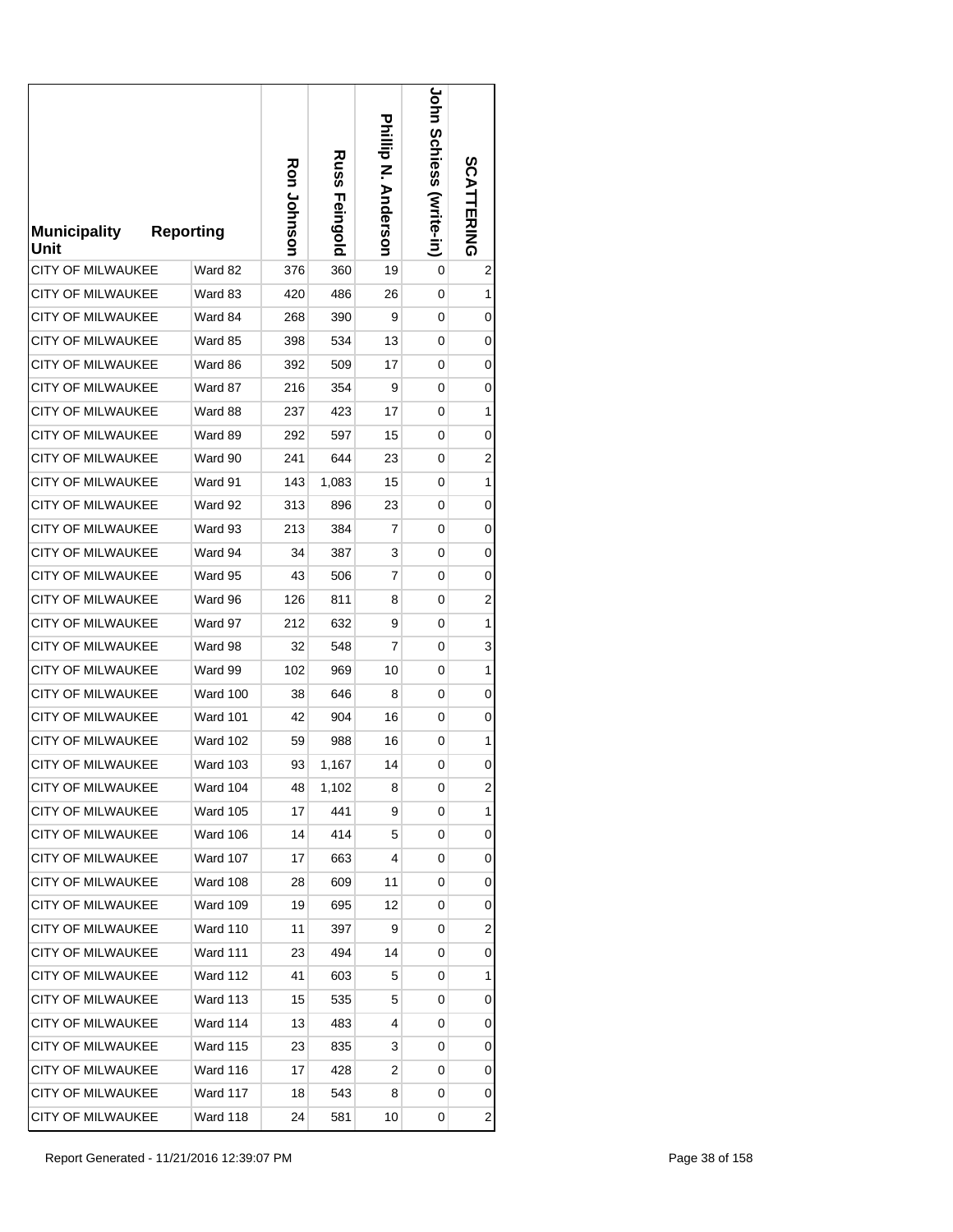| <b>Municipality</b><br>Unit | <b>Reporting</b> | Ron Johnson | Russ<br>Feingold | <b>Philip N. Anderson</b> | <b>JOHN SCHIGSS (Write-In)</b> | SCATTERING              |
|-----------------------------|------------------|-------------|------------------|---------------------------|--------------------------------|-------------------------|
| <b>CITY OF MILWAUKEE</b>    | Ward 82          | 376         | 360              | 19                        | 0                              | 2                       |
| <b>CITY OF MILWAUKEE</b>    | Ward 83          | 420         | 486              | 26                        | 0                              | 1                       |
| <b>CITY OF MILWAUKEE</b>    | Ward 84          | 268         | 390              | 9                         | 0                              | 0                       |
| <b>CITY OF MILWAUKEE</b>    | Ward 85          | 398         | 534              | 13                        | 0                              | 0                       |
| <b>CITY OF MILWAUKEE</b>    | Ward 86          | 392         | 509              | 17                        | 0                              | 0                       |
| <b>CITY OF MILWAUKEE</b>    | Ward 87          | 216         | 354              | 9                         | 0                              | 0                       |
| CITY OF MILWAUKEE           | Ward 88          | 237         | 423              | 17                        | 0                              | 1                       |
| <b>CITY OF MILWAUKEE</b>    | Ward 89          | 292         | 597              | 15                        | 0                              | 0                       |
| <b>CITY OF MILWAUKEE</b>    | Ward 90          | 241         | 644              | 23                        | 0                              | 2                       |
| <b>CITY OF MILWAUKEE</b>    | Ward 91          | 143         | 1,083            | 15                        | 0                              | 1                       |
| <b>CITY OF MILWAUKEE</b>    | Ward 92          | 313         | 896              | 23                        | 0                              | 0                       |
| <b>CITY OF MILWAUKEE</b>    | Ward 93          | 213         | 384              | 7                         | 0                              | 0                       |
| <b>CITY OF MILWAUKEE</b>    | Ward 94          | 34          | 387              | 3                         | 0                              | 0                       |
| <b>CITY OF MILWAUKEE</b>    | Ward 95          | 43          | 506              | 7                         | 0                              | 0                       |
| <b>CITY OF MILWAUKEE</b>    | Ward 96          | 126         | 811              | 8                         | 0                              | 2                       |
| <b>CITY OF MILWAUKEE</b>    | Ward 97          | 212         | 632              | 9                         | 0                              | 1                       |
| <b>CITY OF MILWAUKEE</b>    | Ward 98          | 32          | 548              | 7                         | 0                              | 3                       |
| CITY OF MILWAUKEE           | Ward 99          | 102         | 969              | 10                        | 0                              | 1                       |
| CITY OF MILWAUKEE           | <b>Ward 100</b>  | 38          | 646              | 8                         | 0                              | 0                       |
| <b>CITY OF MILWAUKEE</b>    | <b>Ward 101</b>  | 42          | 904              | 16                        | 0                              | 0                       |
| <b>CITY OF MILWAUKEE</b>    | <b>Ward 102</b>  | 59          | 988              | 16                        | 0                              | 1                       |
| <b>CITY OF MILWAUKEE</b>    | <b>Ward 103</b>  | 93          | 1,167            | 14                        | 0                              | 0                       |
| CITY OF MILWAUKEE           | <b>Ward 104</b>  | 48          | 1,102            | 8                         | 0                              | 2                       |
| <b>CITY OF MILWAUKEE</b>    | <b>Ward 105</b>  | 17          | 441              | 9                         | 0                              | 1                       |
| <b>CITY OF MILWAUKEE</b>    | <b>Ward 106</b>  | 14          | 414              | 5                         | 0                              | 0                       |
| CITY OF MILWAUKEE           | <b>Ward 107</b>  | 17          | 663              | 4                         | 0                              | 0                       |
| CITY OF MILWAUKEE           | <b>Ward 108</b>  | 28          | 609              | 11                        | 0                              | 0                       |
| CITY OF MILWAUKEE           | <b>Ward 109</b>  | 19          | 695              | 12                        | 0                              | 0                       |
| <b>CITY OF MILWAUKEE</b>    | <b>Ward 110</b>  | 11          | 397              | 9                         | 0                              | $\overline{\mathbf{c}}$ |
| CITY OF MILWAUKEE           | Ward 111         | 23          | 494              | 14                        | 0                              | 0                       |
| CITY OF MILWAUKEE           | <b>Ward 112</b>  | 41          | 603              | 5                         | 0                              | 1                       |
| <b>CITY OF MILWAUKEE</b>    | <b>Ward 113</b>  | 15          | 535              | 5                         | 0                              | 0                       |
| <b>CITY OF MILWAUKEE</b>    | Ward 114         | 13          | 483              | 4                         | 0                              | 0                       |
| CITY OF MILWAUKEE           | <b>Ward 115</b>  | 23          | 835              | 3                         | 0                              | 0                       |
| CITY OF MILWAUKEE           | Ward 116         | 17          | 428              | 2                         | 0                              | 0                       |
| <b>CITY OF MILWAUKEE</b>    | Ward 117         | 18          | 543              | 8                         | 0                              | 0                       |
| CITY OF MILWAUKEE           | Ward 118         | 24          | 581              | 10                        | 0                              | $\overline{\mathbf{c}}$ |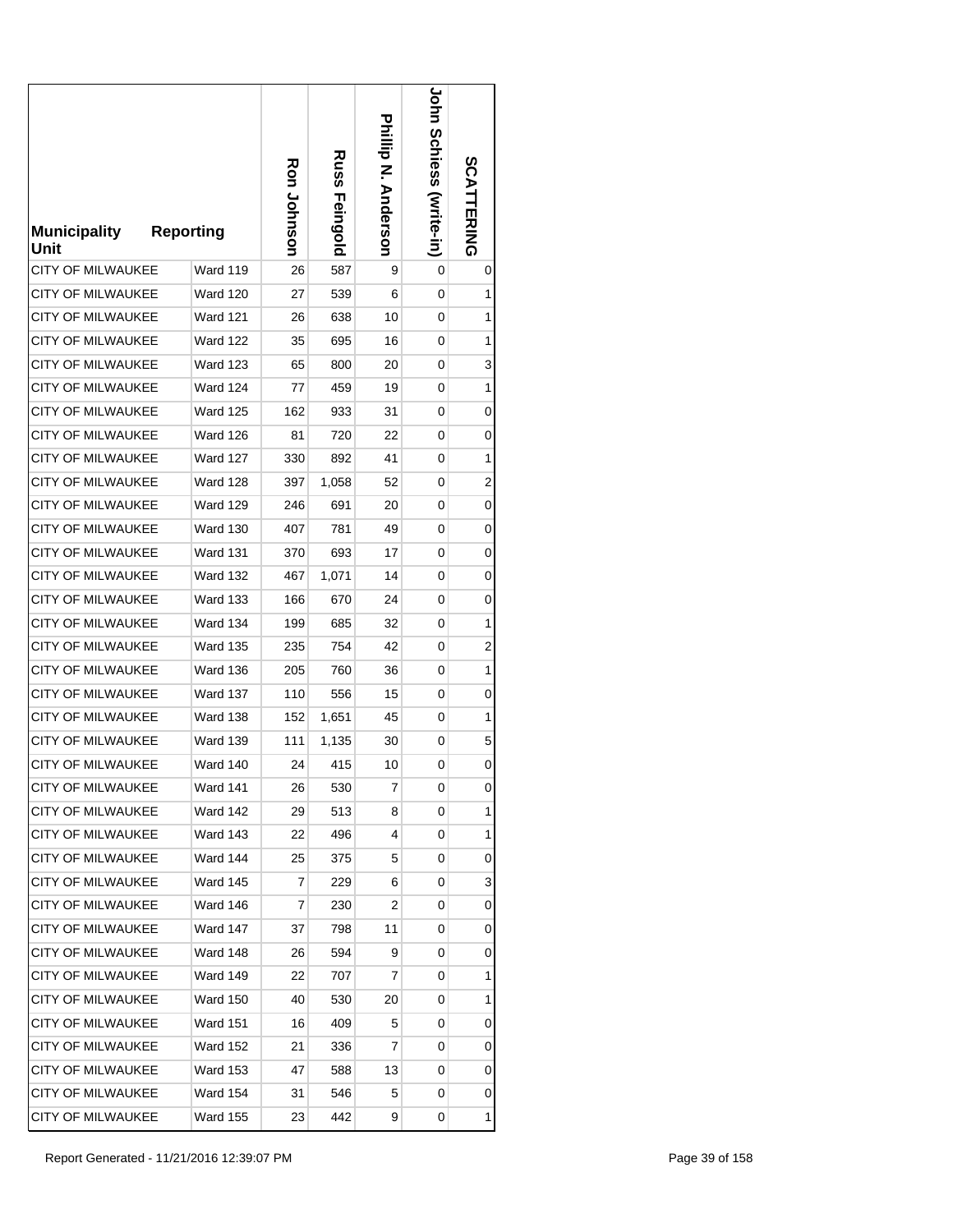| <b>Municipality</b><br>Unit | <b>Reporting</b> | Ron Johnson | <b>Russ</b><br>Feingold | Phillip N. Anderson | <b>John Schiess (vrite-in)</b> | SCATTERING |
|-----------------------------|------------------|-------------|-------------------------|---------------------|--------------------------------|------------|
| <b>CITY OF MILWAUKEE</b>    | Ward 119         | 26          | 587                     | 9                   | 0                              | 0          |
| <b>CITY OF MILWAUKEE</b>    | <b>Ward 120</b>  | 27          | 539                     | 6                   | 0                              | 1          |
| CITY OF MILWAUKEE           | <b>Ward 121</b>  | 26          | 638                     | 10                  | 0                              | 1          |
| CITY OF MILWAUKEE           | <b>Ward 122</b>  | 35          | 695                     | 16                  | 0                              | 1          |
| <b>CITY OF MILWAUKEE</b>    | <b>Ward 123</b>  | 65          | 800                     | 20                  | 0                              | 3          |
| <b>CITY OF MILWAUKEE</b>    | <b>Ward 124</b>  | 77          | 459                     | 19                  | 0                              | 1          |
| <b>CITY OF MILWAUKEE</b>    | <b>Ward 125</b>  | 162         | 933                     | 31                  | 0                              | 0          |
| <b>CITY OF MILWAUKEE</b>    | <b>Ward 126</b>  | 81          | 720                     | 22                  | 0                              | 0          |
| <b>CITY OF MILWAUKEE</b>    | Ward 127         | 330         | 892                     | 41                  | 0                              | 1          |
| <b>CITY OF MILWAUKEE</b>    | <b>Ward 128</b>  | 397         | 1,058                   | 52                  | 0                              | 2          |
| <b>CITY OF MILWAUKEE</b>    | <b>Ward 129</b>  | 246         | 691                     | 20                  | 0                              | 0          |
| <b>CITY OF MILWAUKEE</b>    | <b>Ward 130</b>  | 407         | 781                     | 49                  | 0                              | 0          |
| <b>CITY OF MILWAUKEE</b>    | <b>Ward 131</b>  | 370         | 693                     | 17                  | 0                              | 0          |
| CITY OF MILWAUKEE           | <b>Ward 132</b>  | 467         | 1,071                   | 14                  | 0                              | 0          |
| CITY OF MILWAUKEE           | <b>Ward 133</b>  | 166         | 670                     | 24                  | 0                              | 0          |
| CITY OF MILWAUKEE           | Ward 134         | 199         | 685                     | 32                  | 0                              | 1          |
| CITY OF MILWAUKEE           | <b>Ward 135</b>  | 235         | 754                     | 42                  | 0                              | 2          |
| CITY OF MILWAUKEE           | Ward 136         | 205         | 760                     | 36                  | 0                              | 1          |
| <b>CITY OF MILWAUKEE</b>    | <b>Ward 137</b>  | 110         | 556                     | 15                  | 0                              | 0          |
| <b>CITY OF MILWAUKEE</b>    | Ward 138         | 152         | 1,651                   | 45                  | 0                              | 1          |
| <b>CITY OF MILWAUKEE</b>    | <b>Ward 139</b>  | 111         | 1,135                   | 30                  | 0                              | 5          |
| <b>CITY OF MILWAUKEE</b>    | Ward 140         | 24          | 415                     | 10                  | 0                              | 0          |
| <b>CITY OF MILWAUKEE</b>    | Ward 141         | 26          | 530                     | 7                   | 0                              | 0          |
| <b>CITY OF MILWAUKEE</b>    | Ward 142         | 29          | 513                     | 8                   | 0                              | 1          |
| CITY OF MILWAUKEE           | Ward 143         | 22          | 496                     | 4                   | 0                              | 1          |
| <b>CITY OF MILWAUKEE</b>    | Ward 144         | 25          | 375                     | 5                   | 0                              | 0          |
| CITY OF MILWAUKEE           | Ward 145         | 7           | 229                     | 6                   | 0                              | 3          |
| <b>CITY OF MILWAUKEE</b>    | Ward 146         | 7           | 230                     | 2                   | 0                              | 0          |
| <b>CITY OF MILWAUKEE</b>    | <b>Ward 147</b>  | 37          | 798                     | 11                  | 0                              | 0          |
| <b>CITY OF MILWAUKEE</b>    | Ward 148         | 26          | 594                     | 9                   | 0                              | 0          |
| <b>CITY OF MILWAUKEE</b>    | <b>Ward 149</b>  | 22          | 707                     | 7                   | 0                              | 1          |
| CITY OF MILWAUKEE           | <b>Ward 150</b>  | 40          | 530                     | 20                  | 0                              | 1          |
| CITY OF MILWAUKEE           | <b>Ward 151</b>  | 16          | 409                     | 5                   | 0                              | 0          |
| <b>CITY OF MILWAUKEE</b>    | <b>Ward 152</b>  | 21          | 336                     | 7                   | 0                              | 0          |
| CITY OF MILWAUKEE           | <b>Ward 153</b>  | 47          | 588                     | 13                  | 0                              | 0          |
| <b>CITY OF MILWAUKEE</b>    | <b>Ward 154</b>  | 31          | 546                     | 5                   | 0                              | 0          |
| <b>CITY OF MILWAUKEE</b>    | <b>Ward 155</b>  | 23          | 442                     | 9                   | 0                              | 1          |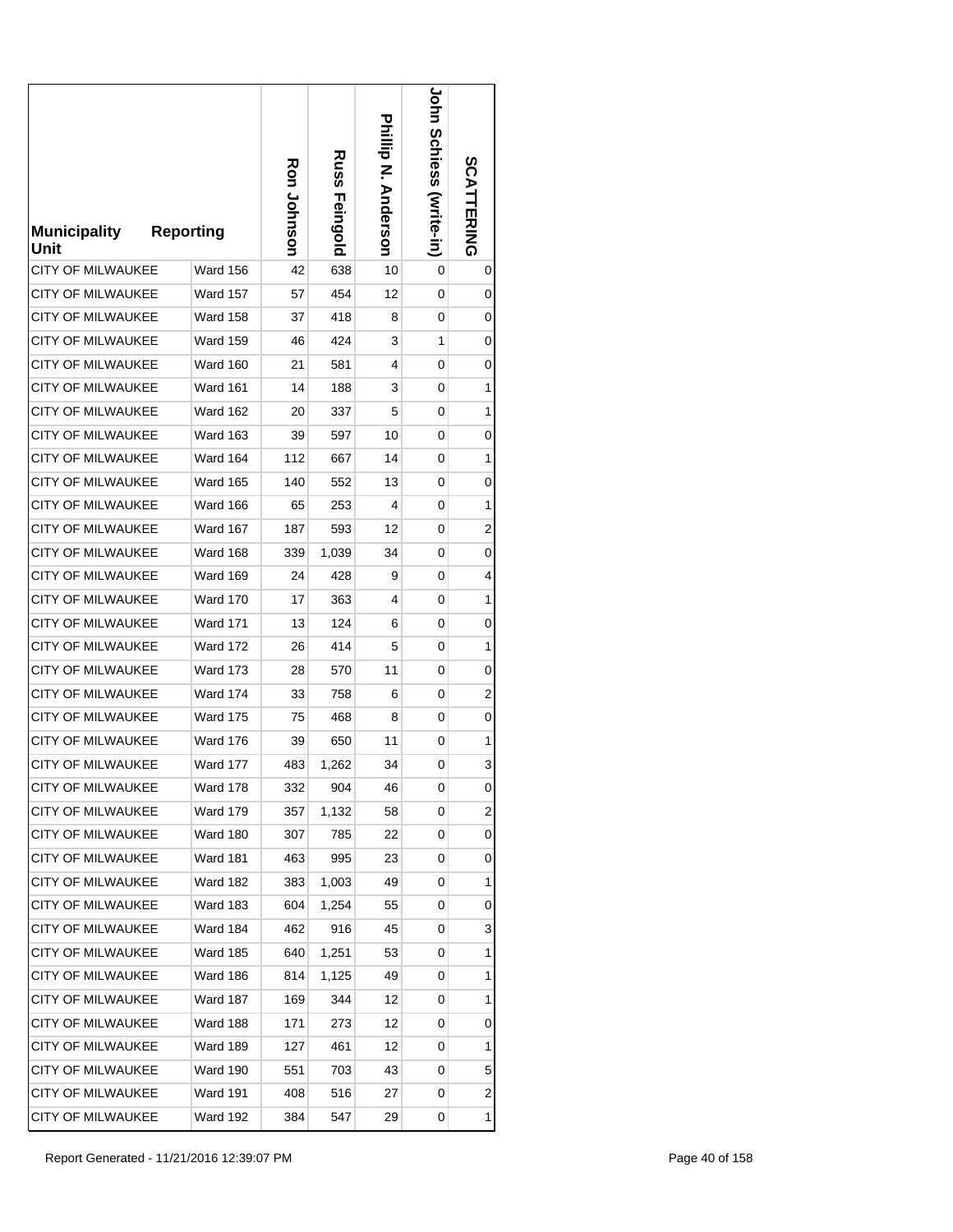| <b>Municipality</b><br>Unit | <b>Reporting</b> | Ron Johnson | Russ<br>Feingold | Phillip N. Anderson | <b>JOHN SCHIGSS (Write-in)</b> | <b>SCATTERING</b> |
|-----------------------------|------------------|-------------|------------------|---------------------|--------------------------------|-------------------|
| <b>CITY OF MILWAUKEE</b>    | Ward 156         | 42          | 638              | 10                  | 0                              | 0                 |
| <b>CITY OF MILWAUKEE</b>    | <b>Ward 157</b>  | 57          | 454              | 12                  | 0                              | 0                 |
| <b>CITY OF MILWAUKEE</b>    | Ward 158         | 37          | 418              | 8                   | 0                              | 0                 |
| <b>CITY OF MILWAUKEE</b>    | Ward 159         | 46          | 424              | 3                   | 1                              | 0                 |
| <b>CITY OF MILWAUKEE</b>    | Ward 160         | 21          | 581              | 4                   | 0                              | 0                 |
| <b>CITY OF MILWAUKEE</b>    | <b>Ward 161</b>  | 14          | 188              | 3                   | 0                              | 1                 |
| CITY OF MILWAUKEE           | <b>Ward 162</b>  | 20          | 337              | 5                   | 0                              | 1                 |
| <b>CITY OF MILWAUKEE</b>    | <b>Ward 163</b>  | 39          | 597              | 10                  | 0                              | 0                 |
| <b>CITY OF MILWAUKEE</b>    | Ward 164         | 112         | 667              | 14                  | 0                              | 1                 |
| <b>CITY OF MILWAUKEE</b>    | <b>Ward 165</b>  | 140         | 552              | 13                  | 0                              | 0                 |
| <b>CITY OF MILWAUKEE</b>    | <b>Ward 166</b>  | 65          | 253              | 4                   | 0                              | 1                 |
| <b>CITY OF MILWAUKEE</b>    | Ward 167         | 187         | 593              | 12                  | 0                              | 2                 |
| <b>CITY OF MILWAUKEE</b>    | Ward 168         | 339         | 1,039            | 34                  | 0                              | 0                 |
| <b>CITY OF MILWAUKEE</b>    | <b>Ward 169</b>  | 24          | 428              | 9                   | 0                              | 4                 |
| <b>CITY OF MILWAUKEE</b>    | <b>Ward 170</b>  | 17          | 363              | 4                   | 0                              | 1                 |
| <b>CITY OF MILWAUKEE</b>    | Ward 171         | 13          | 124              | 6                   | 0                              | 0                 |
| <b>CITY OF MILWAUKEE</b>    | <b>Ward 172</b>  | 26          | 414              | 5                   | 0                              | 1                 |
| CITY OF MILWAUKEE           | <b>Ward 173</b>  | 28          | 570              | 11                  | 0                              | 0                 |
| <b>CITY OF MILWAUKEE</b>    | <b>Ward 174</b>  | 33          | 758              | 6                   | 0                              | 2                 |
| <b>CITY OF MILWAUKEE</b>    | <b>Ward 175</b>  | 75          | 468              | 8                   | 0                              | 0                 |
| <b>CITY OF MILWAUKEE</b>    | <b>Ward 176</b>  | 39          | 650              | 11                  | 0                              | 1                 |
| <b>CITY OF MILWAUKEE</b>    | Ward 177         | 483         | 1,262            | 34                  | 0                              | 3                 |
| CITY OF MILWAUKEE           | <b>Ward 178</b>  | 332         | 904              | 46                  | 0                              | 0                 |
| CITY OF MILWAUKEE           | <b>Ward 179</b>  | 357         | 1,132            | 58                  | 0                              | 2                 |
| CITY OF MILWAUKEE           | Ward 180         | 307         | 785              | 22                  | 0                              | 0                 |
| <b>CITY OF MILWAUKEE</b>    | <b>Ward 181</b>  | 463         | 995              | 23                  | 0                              | 0                 |
| CITY OF MILWAUKEE           | <b>Ward 182</b>  | 383         | 1,003            | 49                  | 0                              | $\mathbf 1$       |
| <b>CITY OF MILWAUKEE</b>    | <b>Ward 183</b>  | 604         | 1,254            | 55                  | 0                              | 0                 |
| <b>CITY OF MILWAUKEE</b>    | Ward 184         | 462         | 916              | 45                  | 0                              | 3                 |
| CITY OF MILWAUKEE           | <b>Ward 185</b>  | 640         | 1,251            | 53                  | 0                              | 1                 |
| <b>CITY OF MILWAUKEE</b>    | Ward 186         | 814         | 1,125            | 49                  | 0                              | 1                 |
| CITY OF MILWAUKEE           | <b>Ward 187</b>  | 169         | 344              | 12                  | 0                              | 1                 |
| <b>CITY OF MILWAUKEE</b>    | Ward 188         | 171         | 273              | 12                  | 0                              | 0                 |
| CITY OF MILWAUKEE           | <b>Ward 189</b>  | 127         | 461              | 12                  | 0                              | 1                 |
| CITY OF MILWAUKEE           | Ward 190         | 551         | 703              | 43                  | 0                              | 5                 |
| CITY OF MILWAUKEE           | <b>Ward 191</b>  | 408         | 516              | 27                  | 0                              | 2                 |
| CITY OF MILWAUKEE           | <b>Ward 192</b>  | 384         | 547              | 29                  | 0                              | 1                 |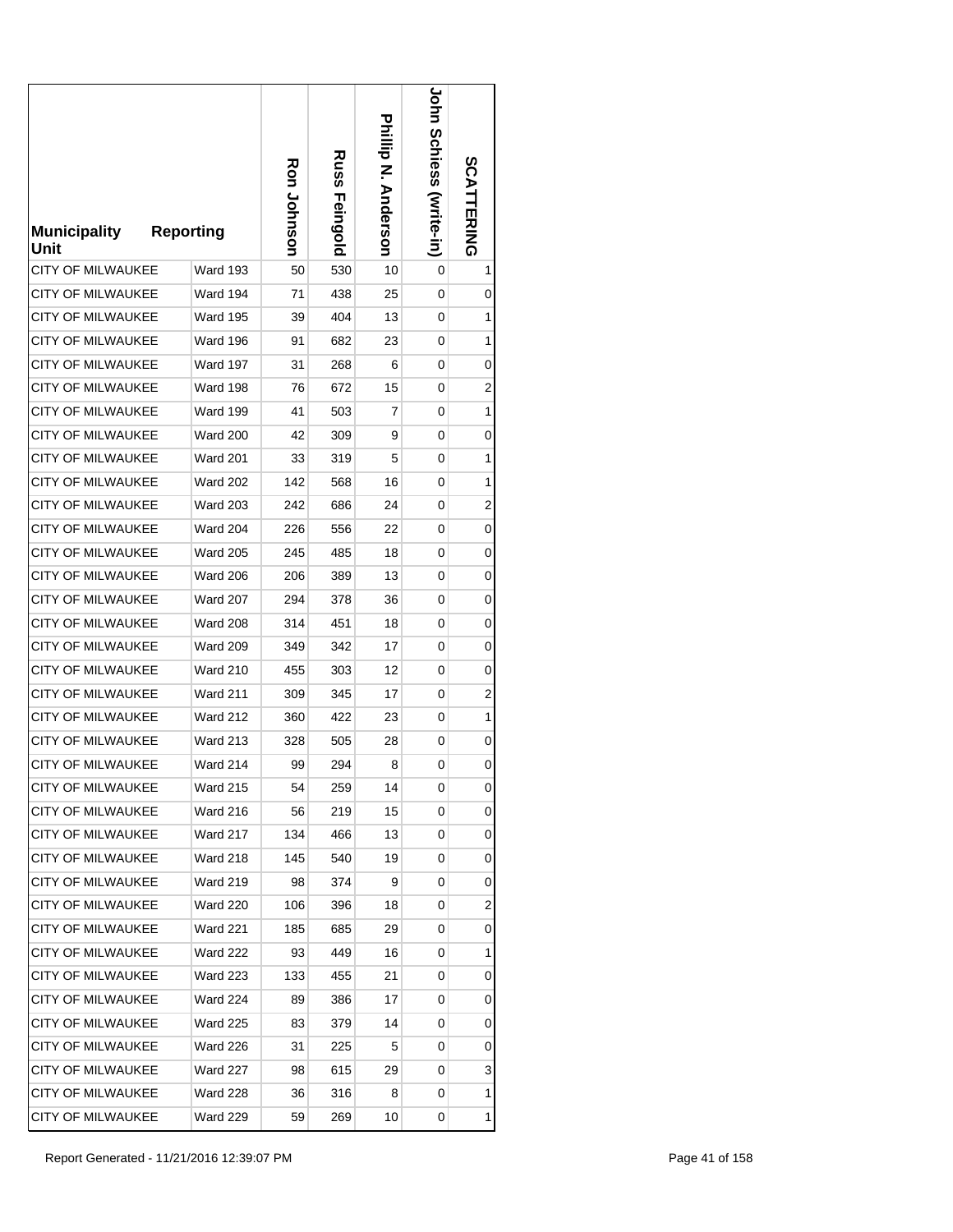| <b>Municipality</b><br>Unit | <b>Reporting</b> | Ron Johnson | Russ<br>Feingold | Prilip N. Anderson | <b>JOHN SCHIGSS (Write-in)</b> | SCATTERING              |
|-----------------------------|------------------|-------------|------------------|--------------------|--------------------------------|-------------------------|
| <b>CITY OF MILWAUKEE</b>    | <b>Ward 193</b>  | 50          | 530              | 10                 | 0                              | 1                       |
| <b>CITY OF MILWAUKEE</b>    | <b>Ward 194</b>  | 71          | 438              | 25                 | 0                              | 0                       |
| <b>CITY OF MILWAUKEE</b>    | Ward 195         | 39          | 404              | 13                 | 0                              | 1                       |
| <b>CITY OF MILWAUKEE</b>    | Ward 196         | 91          | 682              | 23                 | 0                              | 1                       |
| <b>CITY OF MILWAUKEE</b>    | Ward 197         | 31          | 268              | 6                  | 0                              | 0                       |
| <b>CITY OF MILWAUKEE</b>    | <b>Ward 198</b>  | 76          | 672              | 15                 | 0                              | 2                       |
| CITY OF MILWAUKEE           | Ward 199         | 41          | 503              | 7                  | 0                              | 1                       |
| <b>CITY OF MILWAUKEE</b>    | <b>Ward 200</b>  | 42          | 309              | 9                  | 0                              | 0                       |
| <b>CITY OF MILWAUKEE</b>    | Ward 201         | 33          | 319              | 5                  | 0                              | 1                       |
| <b>CITY OF MILWAUKEE</b>    | <b>Ward 202</b>  | 142         | 568              | 16                 | 0                              | 1                       |
| <b>CITY OF MILWAUKEE</b>    | <b>Ward 203</b>  | 242         | 686              | 24                 | 0                              | 2                       |
| <b>CITY OF MILWAUKEE</b>    | <b>Ward 204</b>  | 226         | 556              | 22                 | 0                              | 0                       |
| <b>CITY OF MILWAUKEE</b>    | <b>Ward 205</b>  | 245         | 485              | 18                 | 0                              | 0                       |
| <b>CITY OF MILWAUKEE</b>    | <b>Ward 206</b>  | 206         | 389              | 13                 | 0                              | 0                       |
| <b>CITY OF MILWAUKEE</b>    | <b>Ward 207</b>  | 294         | 378              | 36                 | 0                              | 0                       |
| <b>CITY OF MILWAUKEE</b>    | <b>Ward 208</b>  | 314         | 451              | 18                 | 0                              | 0                       |
| <b>CITY OF MILWAUKEE</b>    | <b>Ward 209</b>  | 349         | 342              | 17                 | 0                              | 0                       |
| CITY OF MILWAUKEE           | <b>Ward 210</b>  | 455         | 303              | 12                 | 0                              | 0                       |
| <b>CITY OF MILWAUKEE</b>    | <b>Ward 211</b>  | 309         | 345              | 17                 | 0                              | 2                       |
| <b>CITY OF MILWAUKEE</b>    | <b>Ward 212</b>  | 360         | 422              | 23                 | 0                              | 1                       |
| <b>CITY OF MILWAUKEE</b>    | <b>Ward 213</b>  | 328         | 505              | 28                 | 0                              | 0                       |
| <b>CITY OF MILWAUKEE</b>    | Ward 214         | 99          | 294              | 8                  | 0                              | 0                       |
| CITY OF MILWAUKEE           | <b>Ward 215</b>  | 54          | 259              | 14                 | 0                              | 0                       |
| <b>CITY OF MILWAUKEE</b>    | <b>Ward 216</b>  | 56          | 219              | 15                 | 0                              | 0                       |
| <b>CITY OF MILWAUKEE</b>    | <b>Ward 217</b>  | 134         | 466              | 13                 | 0                              | 0                       |
| <b>CITY OF MILWAUKEE</b>    | <b>Ward 218</b>  | 145         | 540              | 19                 | 0                              | 0                       |
| <b>CITY OF MILWAUKEE</b>    | <b>Ward 219</b>  | 98          | 374              | 9                  | 0                              | 0                       |
| CITY OF MILWAUKEE           | <b>Ward 220</b>  | 106         | 396              | 18                 | 0                              | $\overline{\mathbf{c}}$ |
| CITY OF MILWAUKEE           | <b>Ward 221</b>  | 185         | 685              | 29                 | 0                              | 0                       |
| <b>CITY OF MILWAUKEE</b>    | <b>Ward 222</b>  | 93          | 449              | 16                 | 0                              | 1                       |
| <b>CITY OF MILWAUKEE</b>    | <b>Ward 223</b>  | 133         | 455              | 21                 | 0                              | 0                       |
| <b>CITY OF MILWAUKEE</b>    | <b>Ward 224</b>  | 89          | 386              | 17                 | 0                              | 0                       |
| <b>CITY OF MILWAUKEE</b>    | Ward 225         | 83          | 379              | 14                 | 0                              | 0                       |
| CITY OF MILWAUKEE           | Ward 226         | 31          | 225              | 5                  | 0                              | 0                       |
| CITY OF MILWAUKEE           | <b>Ward 227</b>  | 98          | 615              | 29                 | 0                              | 3                       |
| <b>CITY OF MILWAUKEE</b>    | <b>Ward 228</b>  | 36          | 316              | 8                  | 0                              | 1                       |
| <b>CITY OF MILWAUKEE</b>    | <b>Ward 229</b>  | 59          | 269              | 10                 | 0                              | 1                       |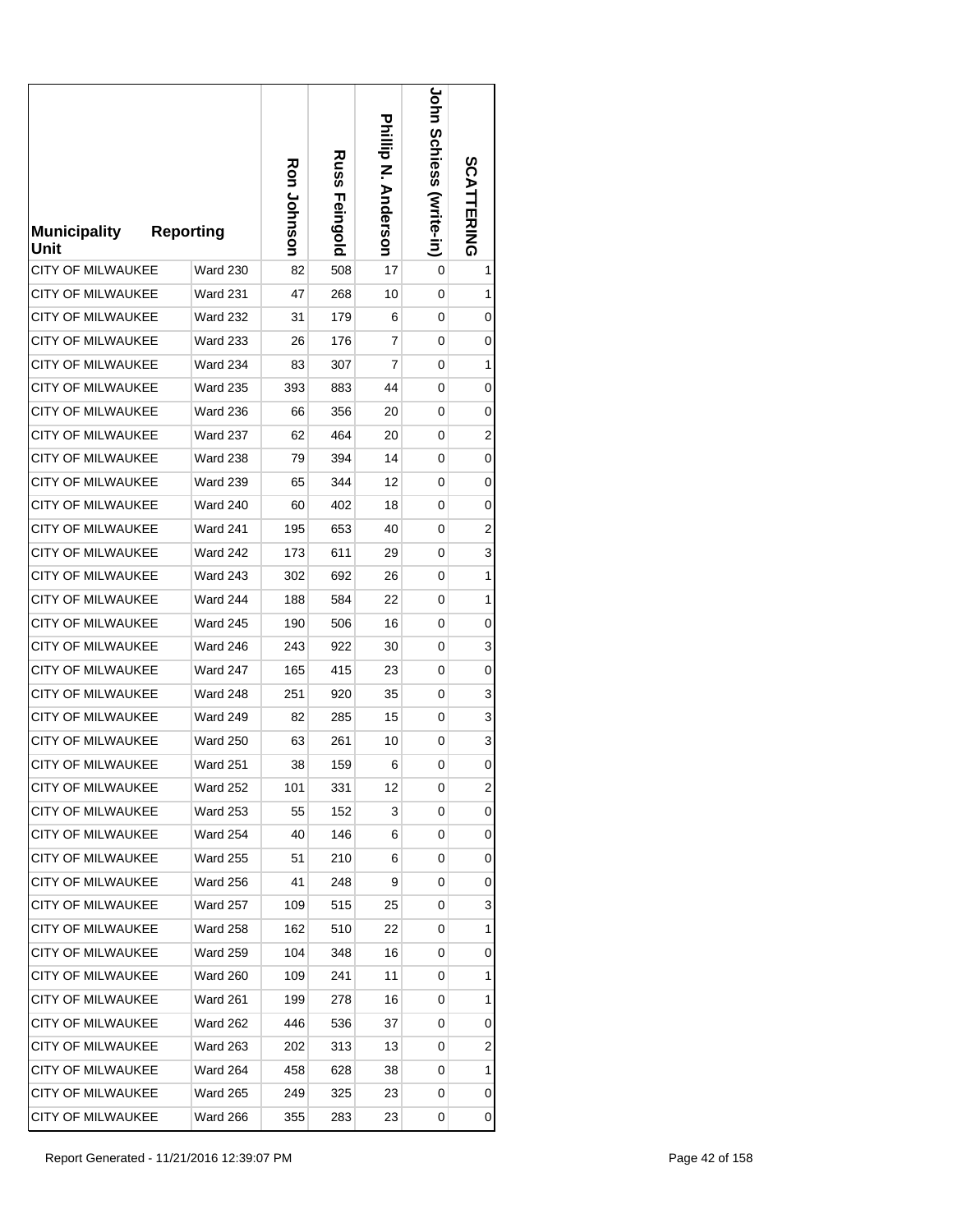| <b>Municipality</b><br>Unit | <b>Reporting</b> | Ron Johnson | <b>Russ</b><br>Feingold | Phillip N. Anderson | <b>John Schiess (virite-in)</b> | SCATTERING |
|-----------------------------|------------------|-------------|-------------------------|---------------------|---------------------------------|------------|
| <b>CITY OF MILWAUKEE</b>    | <b>Ward 230</b>  | 82          | 508                     | 17                  | 0                               | 1          |
| <b>CITY OF MILWAUKEE</b>    | <b>Ward 231</b>  | 47          | 268                     | 10                  | 0                               | 1          |
| CITY OF MILWAUKEE           | <b>Ward 232</b>  | 31          | 179                     | 6                   | 0                               | 0          |
| CITY OF MILWAUKEE           | <b>Ward 233</b>  | 26          | 176                     | 7                   | 0                               | 0          |
| <b>CITY OF MILWAUKEE</b>    | Ward 234         | 83          | 307                     | 7                   | 0                               | 1          |
| <b>CITY OF MILWAUKEE</b>    | <b>Ward 235</b>  | 393         | 883                     | 44                  | 0                               | 0          |
| CITY OF MILWAUKEE           | <b>Ward 236</b>  | 66          | 356                     | 20                  | 0                               | 0          |
| <b>CITY OF MILWAUKEE</b>    | <b>Ward 237</b>  | 62          | 464                     | 20                  | 0                               | 2          |
| <b>CITY OF MILWAUKEE</b>    | <b>Ward 238</b>  | 79          | 394                     | 14                  | 0                               | 0          |
| <b>CITY OF MILWAUKEE</b>    | <b>Ward 239</b>  | 65          | 344                     | 12                  | 0                               | 0          |
| <b>CITY OF MILWAUKEE</b>    | <b>Ward 240</b>  | 60          | 402                     | 18                  | 0                               | 0          |
| <b>CITY OF MILWAUKEE</b>    | Ward 241         | 195         | 653                     | 40                  | 0                               | 2          |
| <b>CITY OF MILWAUKEE</b>    | Ward 242         | 173         | 611                     | 29                  | 0                               | 3          |
| CITY OF MILWAUKEE           | <b>Ward 243</b>  | 302         | 692                     | 26                  | 0                               | 1          |
| CITY OF MILWAUKEE           | Ward 244         | 188         | 584                     | 22                  | 0                               | 1          |
| <b>CITY OF MILWAUKEE</b>    | <b>Ward 245</b>  | 190         | 506                     | 16                  | 0                               | 0          |
| CITY OF MILWAUKEE           | <b>Ward 246</b>  | 243         | 922                     | 30                  | 0                               | 3          |
| CITY OF MILWAUKEE           | <b>Ward 247</b>  | 165         | 415                     | 23                  | 0                               | 0          |
| <b>CITY OF MILWAUKEE</b>    | <b>Ward 248</b>  | 251         | 920                     | 35                  | 0                               | 3          |
| <b>CITY OF MILWAUKEE</b>    | Ward 249         | 82          | 285                     | 15                  | 0                               | 3          |
| <b>CITY OF MILWAUKEE</b>    | <b>Ward 250</b>  | 63          | 261                     | 10                  | 0                               | 3          |
| <b>CITY OF MILWAUKEE</b>    | <b>Ward 251</b>  | 38          | 159                     | 6                   | 0                               | 0          |
| <b>CITY OF MILWAUKEE</b>    | <b>Ward 252</b>  | 101         | 331                     | 12                  | 0                               | 2          |
| CITY OF MILWAUKEE           | <b>Ward 253</b>  | 55          | 152                     | 3                   | 0                               | 0          |
| <b>CITY OF MILWAUKEE</b>    | Ward 254         | 40          | 146                     | 6                   | 0                               | 0          |
| CITY OF MILWAUKEE           | <b>Ward 255</b>  | 51          | 210                     | 6                   | 0                               | 0          |
| CITY OF MILWAUKEE           | <b>Ward 256</b>  | 41          | 248                     | 9                   | 0                               | 0          |
| <b>CITY OF MILWAUKEE</b>    | <b>Ward 257</b>  | 109         | 515                     | 25                  | 0                               | 3          |
| <b>CITY OF MILWAUKEE</b>    | <b>Ward 258</b>  | 162         | 510                     | 22                  | 0                               | 1          |
| <b>CITY OF MILWAUKEE</b>    | <b>Ward 259</b>  | 104         | 348                     | 16                  | 0                               | 0          |
| <b>CITY OF MILWAUKEE</b>    | <b>Ward 260</b>  | 109         | 241                     | 11                  | 0                               | 1          |
| CITY OF MILWAUKEE           | Ward 261         | 199         | 278                     | 16                  | 0                               | 1          |
| CITY OF MILWAUKEE           | <b>Ward 262</b>  | 446         | 536                     | 37                  | 0                               | 0          |
| <b>CITY OF MILWAUKEE</b>    | <b>Ward 263</b>  | 202         | 313                     | 13                  | 0                               | 2          |
| CITY OF MILWAUKEE           | <b>Ward 264</b>  | 458         | 628                     | 38                  | 0                               | 1          |
| CITY OF MILWAUKEE           | <b>Ward 265</b>  | 249         | 325                     | 23                  | 0                               | 0          |
| CITY OF MILWAUKEE           | <b>Ward 266</b>  | 355         | 283                     | 23                  | 0                               | 0          |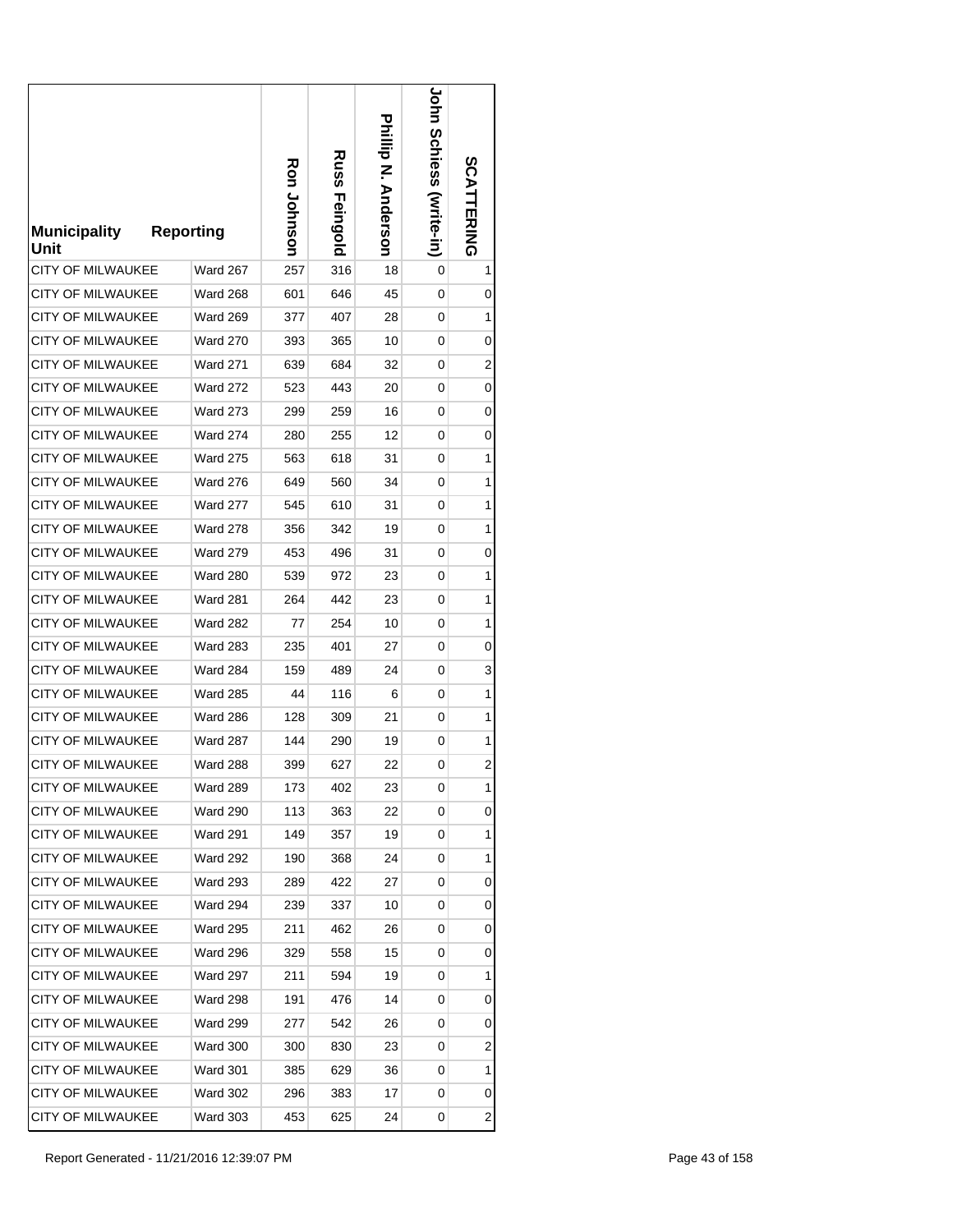| <b>Municipality</b><br>Unit | <b>Reporting</b> | Ron Johnson | Russ<br>Feingold | Prilip N. Anderson | <b>JOHN SCHIGSS (Write-in)</b> | SCATTERING              |
|-----------------------------|------------------|-------------|------------------|--------------------|--------------------------------|-------------------------|
| <b>CITY OF MILWAUKEE</b>    | Ward 267         | 257         | 316              | 18                 | 0                              | 1                       |
| <b>CITY OF MILWAUKEE</b>    | <b>Ward 268</b>  | 601         | 646              | 45                 | 0                              | 0                       |
| <b>CITY OF MILWAUKEE</b>    | Ward 269         | 377         | 407              | 28                 | 0                              | 1                       |
| <b>CITY OF MILWAUKEE</b>    | <b>Ward 270</b>  | 393         | 365              | 10                 | 0                              | 0                       |
| <b>CITY OF MILWAUKEE</b>    | <b>Ward 271</b>  | 639         | 684              | 32                 | 0                              | $\overline{2}$          |
| <b>CITY OF MILWAUKEE</b>    | <b>Ward 272</b>  | 523         | 443              | 20                 | 0                              | 0                       |
| CITY OF MILWAUKEE           | <b>Ward 273</b>  | 299         | 259              | 16                 | 0                              | 0                       |
| <b>CITY OF MILWAUKEE</b>    | <b>Ward 274</b>  | 280         | 255              | 12                 | 0                              | 0                       |
| <b>CITY OF MILWAUKEE</b>    | <b>Ward 275</b>  | 563         | 618              | 31                 | 0                              | 1                       |
| <b>CITY OF MILWAUKEE</b>    | <b>Ward 276</b>  | 649         | 560              | 34                 | 0                              | 1                       |
| CITY OF MILWAUKEE           | <b>Ward 277</b>  | 545         | 610              | 31                 | 0                              | 1                       |
| <b>CITY OF MILWAUKEE</b>    | <b>Ward 278</b>  | 356         | 342              | 19                 | 0                              | 1                       |
| <b>CITY OF MILWAUKEE</b>    | <b>Ward 279</b>  | 453         | 496              | 31                 | 0                              | 0                       |
| <b>CITY OF MILWAUKEE</b>    | <b>Ward 280</b>  | 539         | 972              | 23                 | 0                              | 1                       |
| <b>CITY OF MILWAUKEE</b>    | <b>Ward 281</b>  | 264         | 442              | 23                 | 0                              | 1                       |
| <b>CITY OF MILWAUKEE</b>    | <b>Ward 282</b>  | 77          | 254              | 10                 | 0                              | 1                       |
| <b>CITY OF MILWAUKEE</b>    | <b>Ward 283</b>  | 235         | 401              | 27                 | 0                              | 0                       |
| CITY OF MILWAUKEE           | <b>Ward 284</b>  | 159         | 489              | 24                 | 0                              | 3                       |
| CITY OF MILWAUKEE           | <b>Ward 285</b>  | 44          | 116              | 6                  | 0                              | 1                       |
| <b>CITY OF MILWAUKEE</b>    | <b>Ward 286</b>  | 128         | 309              | 21                 | 0                              | 1                       |
| <b>CITY OF MILWAUKEE</b>    | <b>Ward 287</b>  | 144         | 290              | 19                 | 0                              | 1                       |
| <b>CITY OF MILWAUKEE</b>    | <b>Ward 288</b>  | 399         | 627              | 22                 | 0                              | 2                       |
| CITY OF MILWAUKEE           | <b>Ward 289</b>  | 173         | 402              | 23                 | 0                              | 1                       |
| <b>CITY OF MILWAUKEE</b>    | <b>Ward 290</b>  | 113         | 363              | 22                 | 0                              | 0                       |
| <b>CITY OF MILWAUKEE</b>    | Ward 291         | 149         | 357              | 19                 | 0                              | 1                       |
| <b>CITY OF MILWAUKEE</b>    | <b>Ward 292</b>  | 190         | 368              | 24                 | 0                              | 1                       |
| CITY OF MILWAUKEE           | Ward 293         | 289         | 422              | 27                 | 0                              | 0                       |
| CITY OF MILWAUKEE           | Ward 294         | 239         | 337              | 10                 | 0                              | 0                       |
| CITY OF MILWAUKEE           | <b>Ward 295</b>  | 211         | 462              | 26                 | 0                              | 0                       |
| CITY OF MILWAUKEE           | <b>Ward 296</b>  | 329         | 558              | 15                 | 0                              | 0                       |
| <b>CITY OF MILWAUKEE</b>    | <b>Ward 297</b>  | 211         | 594              | 19                 | 0                              | 1                       |
| <b>CITY OF MILWAUKEE</b>    | Ward 298         | 191         | 476              | 14                 | 0                              | 0                       |
| <b>CITY OF MILWAUKEE</b>    | <b>Ward 299</b>  | 277         | 542              | 26                 | 0                              | 0                       |
| CITY OF MILWAUKEE           | <b>Ward 300</b>  | 300         | 830              | 23                 | 0                              | 2                       |
| CITY OF MILWAUKEE           | <b>Ward 301</b>  | 385         | 629              | 36                 | 0                              | 1                       |
| <b>CITY OF MILWAUKEE</b>    | <b>Ward 302</b>  | 296         | 383              | 17                 | 0                              | 0                       |
| CITY OF MILWAUKEE           | <b>Ward 303</b>  | 453         | 625              | 24                 | 0                              | $\overline{\mathbf{c}}$ |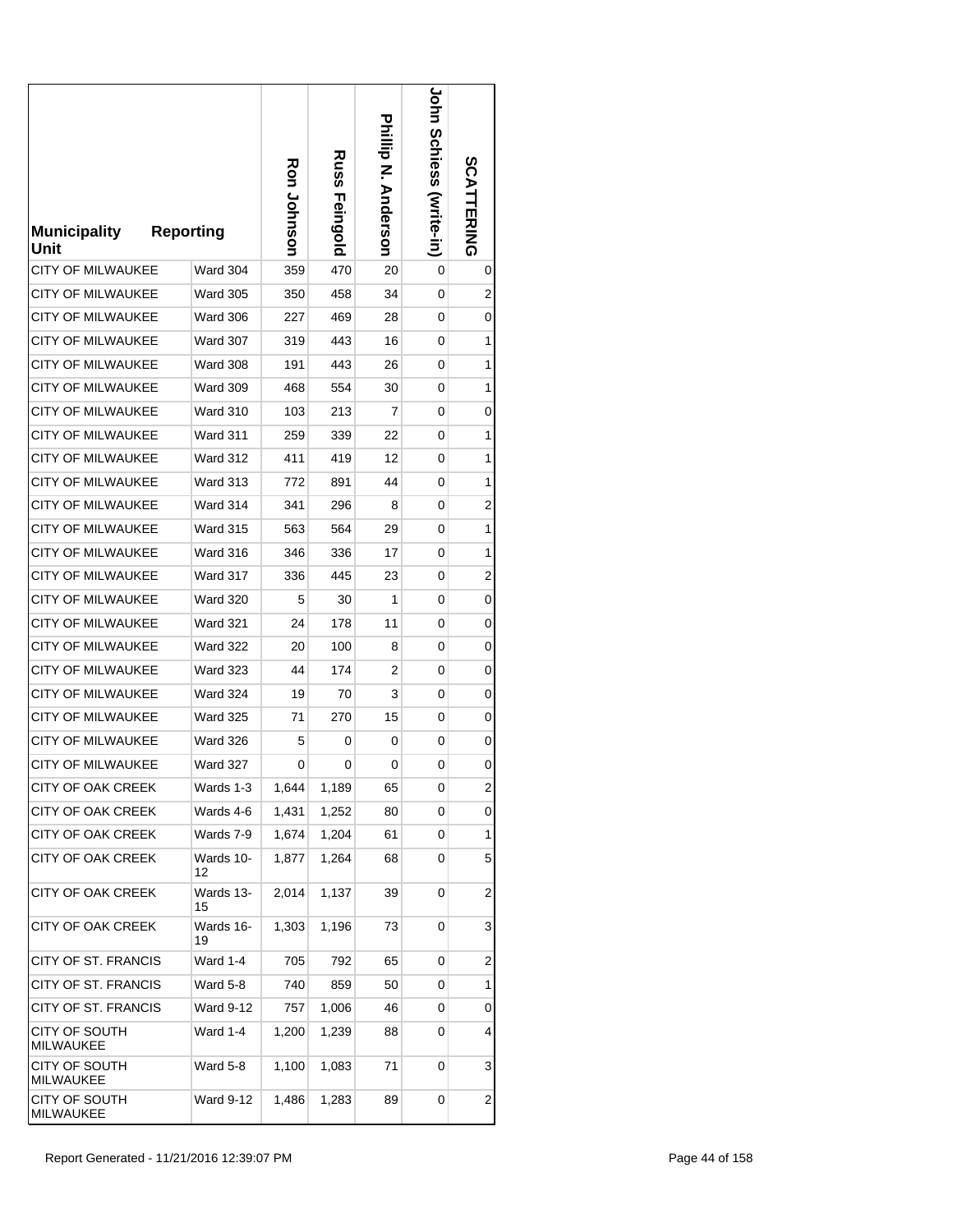| <b>Municipality</b><br>Unit | <b>Reporting</b> | Ron Johnson | Russ<br>Feingold | <b>Prilip N. Anderson</b> | <b>Corn Schiess (surite-in)</b> | <b>SCATTERING</b> |
|-----------------------------|------------------|-------------|------------------|---------------------------|---------------------------------|-------------------|
| <b>CITY OF MILWAUKEE</b>    | Ward 304         | 359         | 470              | 20                        | 0                               | 0                 |
| <b>CITY OF MILWAUKEE</b>    | <b>Ward 305</b>  | 350         | 458              | 34                        | 0                               | $\overline{c}$    |
| <b>CITY OF MILWAUKEE</b>    | <b>Ward 306</b>  | 227         | 469              | 28                        | 0                               | 0                 |
| <b>CITY OF MILWAUKEE</b>    | <b>Ward 307</b>  | 319         | 443              | 16                        | 0                               | 1                 |
| <b>CITY OF MILWAUKEE</b>    | <b>Ward 308</b>  | 191         | 443              | 26                        | 0                               | 1                 |
| <b>CITY OF MILWAUKEE</b>    | <b>Ward 309</b>  | 468         | 554              | 30                        | 0                               | 1                 |
| <b>CITY OF MILWAUKEE</b>    | <b>Ward 310</b>  | 103         | 213              | 7                         | 0                               | 0                 |
| <b>CITY OF MILWAUKEE</b>    | Ward 311         | 259         | 339              | 22                        | 0                               | 1                 |
| <b>CITY OF MILWAUKEE</b>    | <b>Ward 312</b>  | 411         | 419              | 12                        | 0                               | 1                 |
| <b>CITY OF MILWAUKEE</b>    | <b>Ward 313</b>  | 772         | 891              | 44                        | 0                               | 1                 |
| <b>CITY OF MILWAUKEE</b>    | Ward 314         | 341         | 296              | 8                         | 0                               | 2                 |
| <b>CITY OF MILWAUKEE</b>    | <b>Ward 315</b>  | 563         | 564              | 29                        | 0                               | 1                 |
| <b>CITY OF MILWAUKEE</b>    | <b>Ward 316</b>  | 346         | 336              | 17                        | 0                               | 1                 |
| <b>CITY OF MILWAUKEE</b>    | Ward 317         | 336         | 445              | 23                        | 0                               | 2                 |
| <b>CITY OF MILWAUKEE</b>    | <b>Ward 320</b>  | 5           | 30               | 1                         | 0                               | 0                 |
| <b>CITY OF MILWAUKEE</b>    | <b>Ward 321</b>  | 24          | 178              | 11                        | 0                               | 0                 |
| <b>CITY OF MILWAUKEE</b>    | <b>Ward 322</b>  | 20          | 100              | 8                         | 0                               | 0                 |
| <b>CITY OF MILWAUKEE</b>    | <b>Ward 323</b>  | 44          | 174              | 2                         | 0                               | 0                 |
| CITY OF MILWAUKEE           | <b>Ward 324</b>  | 19          | 70               | 3                         | 0                               | 0                 |
| <b>CITY OF MILWAUKEE</b>    | <b>Ward 325</b>  | 71          | 270              | 15                        | 0                               | 0                 |
| <b>CITY OF MILWAUKEE</b>    | <b>Ward 326</b>  | 5           | 0                | 0                         | 0                               | 0                 |
| <b>CITY OF MILWAUKEE</b>    | <b>Ward 327</b>  | 0           | 0                | 0                         | 0                               | 0                 |
| CITY OF OAK CREEK           | Wards 1-3        | 1,644       | 1,189            | 65                        | 0                               | 2                 |
| CITY OF OAK CREEK           | Wards 4-6        | 1,431       | 1,252            | 80                        | 0                               | 0                 |
| <b>CITY OF OAK CREEK</b>    | Wards 7-9        | 1,674       | 1,204            | 61                        | 0                               | 1                 |
| CITY OF OAK CREEK           | Wards 10-<br>12  | 1,877       | 1,264            | 68                        | 0                               | 5                 |
| <b>CITY OF OAK CREEK</b>    | Wards 13-<br>15  | 2,014       | 1,137            | 39                        | 0                               | $\overline{c}$    |
| CITY OF OAK CREEK           | Wards 16-<br>19  | 1,303       | 1,196            | 73                        | 0                               | 3                 |
| CITY OF ST. FRANCIS         | Ward 1-4         | 705         | 792              | 65                        | 0                               | 2                 |
| CITY OF ST. FRANCIS         | Ward 5-8         | 740         | 859              | 50                        | 0                               | 1                 |
| CITY OF ST. FRANCIS         | Ward 9-12        | 757         | 1,006            | 46                        | 0                               | 0                 |
| CITY OF SOUTH<br>MILWAUKEE  | Ward 1-4         | 1,200       | 1,239            | 88                        | 0                               | 4                 |
| CITY OF SOUTH<br>MILWAUKEE  | Ward 5-8         | 1,100       | 1,083            | 71                        | 0                               | 3                 |
| CITY OF SOUTH<br>MILWAUKEE  | Ward 9-12        | 1,486       | 1,283            | 89                        | 0                               | $\overline{c}$    |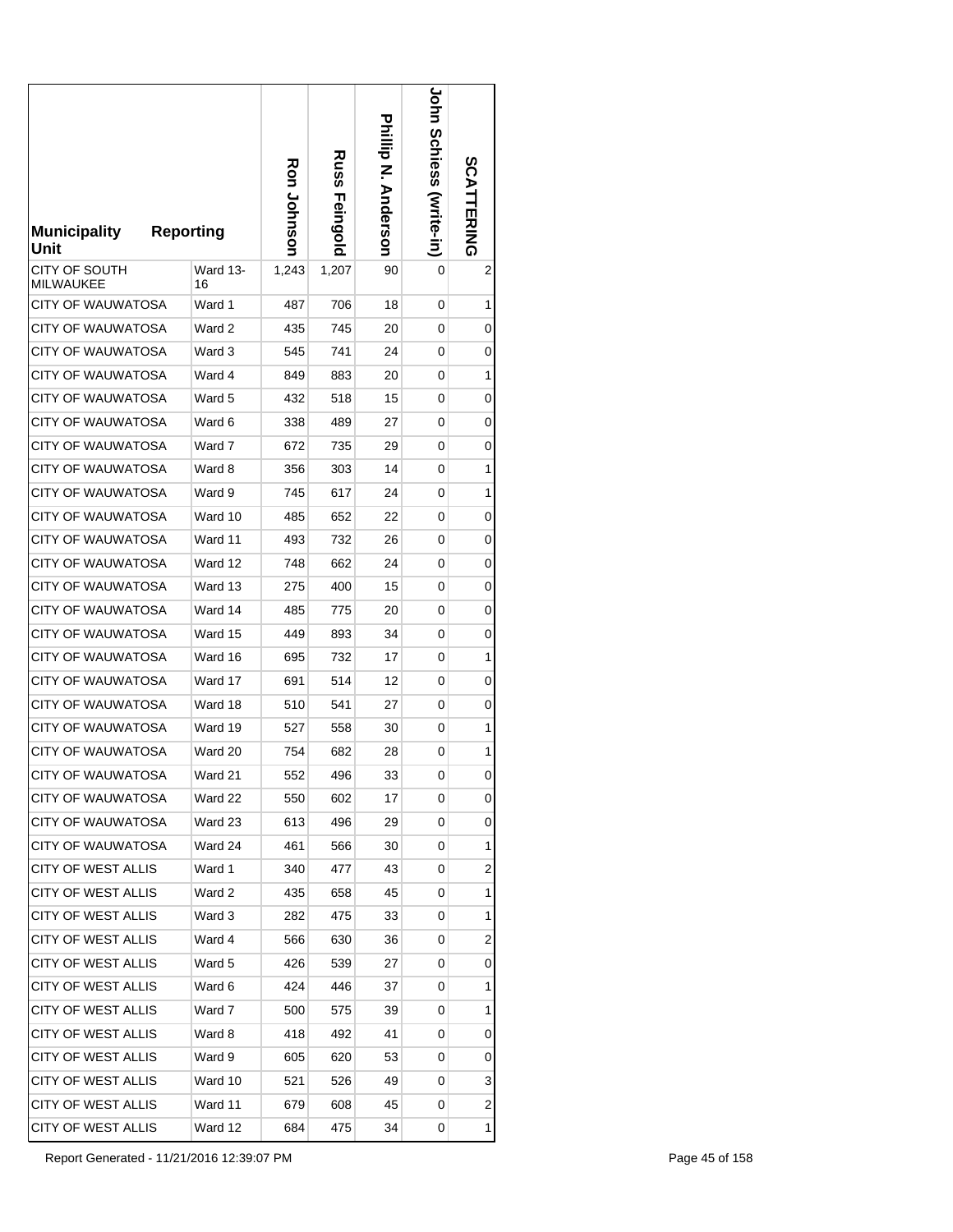| <b>Municipality</b><br>Unit | <b>Reporting</b> | Ron Johnson | <b>Russ</b><br>Feingold | Philip N. Anderson | <b>LOHI SCHIGSS (Write-II)</b> | <b>SCATTERING</b> |
|-----------------------------|------------------|-------------|-------------------------|--------------------|--------------------------------|-------------------|
| CITY OF SOUTH<br>MILWAUKEE  | Ward 13-<br>16   | 1,243       | 1,207                   | 90                 | 0                              | 2                 |
| CITY OF WAUWATOSA           | Ward 1           | 487         | 706                     | 18                 | 0                              | 1                 |
| <b>CITY OF WAUWATOSA</b>    | Ward 2           | 435         | 745                     | 20                 | 0                              | 0                 |
| <b>CITY OF WAUWATOSA</b>    | Ward 3           | 545         | 741                     | 24                 | 0                              | 0                 |
| CITY OF WAUWATOSA           | Ward 4           | 849         | 883                     | 20                 | 0                              | 1                 |
| CITY OF WAUWATOSA           | Ward 5           | 432         | 518                     | 15                 | 0                              | 0                 |
| CITY OF WAUWATOSA           | Ward 6           | 338         | 489                     | 27                 | 0                              | 0                 |
| CITY OF WAUWATOSA           | Ward 7           | 672         | 735                     | 29                 | 0                              | 0                 |
| CITY OF WAUWATOSA           | Ward 8           | 356         | 303                     | 14                 | 0                              | 1                 |
| <b>CITY OF WAUWATOSA</b>    | Ward 9           | 745         | 617                     | 24                 | 0                              | 1                 |
| <b>CITY OF WAUWATOSA</b>    | Ward 10          | 485         | 652                     | 22                 | 0                              | 0                 |
| CITY OF WAUWATOSA           | Ward 11          | 493         | 732                     | 26                 | 0                              | 0                 |
| CITY OF WAUWATOSA           | Ward 12          | 748         | 662                     | 24                 | 0                              | 0                 |
| CITY OF WAUWATOSA           | Ward 13          | 275         | 400                     | 15                 | 0                              | 0                 |
| <b>CITY OF WAUWATOSA</b>    | Ward 14          | 485         | 775                     | 20                 | 0                              | 0                 |
| CITY OF WAUWATOSA           | Ward 15          | 449         | 893                     | 34                 | 0                              | 0                 |
| CITY OF WAUWATOSA           | Ward 16          | 695         | 732                     | 17                 | 0                              | 1                 |
| <b>CITY OF WAUWATOSA</b>    | Ward 17          | 691         | 514                     | 12                 | 0                              | 0                 |
| <b>CITY OF WAUWATOSA</b>    | Ward 18          | 510         | 541                     | 27                 | 0                              | 0                 |
| CITY OF WAUWATOSA           | Ward 19          | 527         | 558                     | 30                 | 0                              | 1                 |
| <b>CITY OF WAUWATOSA</b>    | Ward 20          | 754         | 682                     | 28                 | 0                              | 1                 |
| <b>CITY OF WAUWATOSA</b>    | Ward 21          | 552         | 496                     | 33                 | 0                              | 0                 |
| <b>CITY OF WAUWATOSA</b>    | Ward 22          | 550         | 602                     | 17                 | 0                              | 0                 |
| CITY OF WAUWATOSA           | Ward 23          | 613         | 496                     | 29                 | 0                              | 0                 |
| CITY OF WAUWATOSA           | Ward 24          | 461         | 566                     | 30                 | 0                              | 1                 |
| CITY OF WEST ALLIS          | Ward 1           | 340         | 477                     | 43                 | 0                              | 2                 |
| CITY OF WEST ALLIS          | Ward 2           | 435         | 658                     | 45                 | 0                              | 1                 |
| CITY OF WEST ALLIS          | Ward 3           | 282         | 475                     | 33                 | 0                              | 1                 |
| CITY OF WEST ALLIS          | Ward 4           | 566         | 630                     | 36                 | 0                              | 2                 |
| CITY OF WEST ALLIS          | Ward 5           | 426         | 539                     | 27                 | 0                              | 0                 |
| CITY OF WEST ALLIS          | Ward 6           | 424         | 446                     | 37                 | 0                              | 1                 |
| CITY OF WEST ALLIS          | Ward 7           | 500         | 575                     | 39                 | 0                              | 1                 |
| CITY OF WEST ALLIS          | Ward 8           | 418         | 492                     | 41                 | 0                              | 0                 |
| CITY OF WEST ALLIS          | Ward 9           | 605         | 620                     | 53                 | 0                              | 0                 |
| CITY OF WEST ALLIS          | Ward 10          | 521         | 526                     | 49                 | 0                              | 3                 |
| CITY OF WEST ALLIS          | Ward 11          | 679         | 608                     | 45                 | 0                              | 2                 |
| <b>CITY OF WEST ALLIS</b>   | Ward 12          | 684         | 475                     | 34                 | 0                              | 1                 |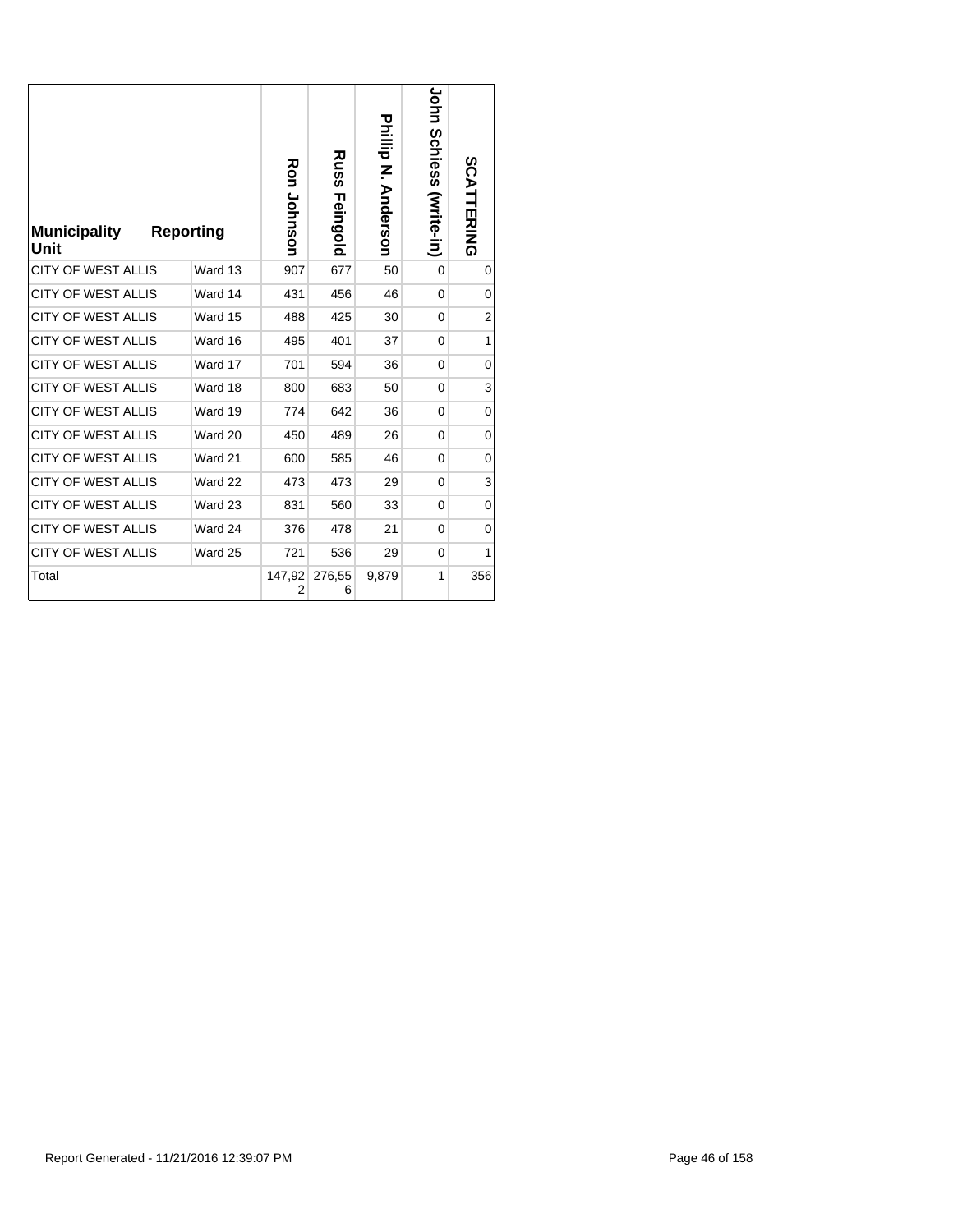| <b>Municipality</b><br>Unit | <b>Reporting</b> | <b>Ron Johnson</b> | <b>Russ</b><br>Feingold | Phillip N. Anderson | <b>Corn Schiess (svite-in)</b> | <b>SCATTERING</b> |
|-----------------------------|------------------|--------------------|-------------------------|---------------------|--------------------------------|-------------------|
| <b>CITY OF WEST ALLIS</b>   | Ward 13          | 907                | 677                     | 50                  | $\Omega$                       | 0                 |
| <b>CITY OF WEST ALLIS</b>   | Ward 14          | 431                | 456                     | 46                  | $\mathbf{0}$                   | 0                 |
| <b>CITY OF WEST ALLIS</b>   | Ward 15          | 488                | 425                     | 30                  | $\Omega$                       | $\overline{2}$    |
| <b>CITY OF WEST ALLIS</b>   | Ward 16          | 495                | 401                     | 37                  | $\Omega$                       | 1                 |
| <b>CITY OF WEST ALLIS</b>   | Ward 17          | 701                | 594                     | 36                  | 0                              | 0                 |
| <b>CITY OF WEST ALLIS</b>   | Ward 18          | 800                | 683                     | 50                  | $\Omega$                       | 3                 |
| <b>CITY OF WEST ALLIS</b>   | Ward 19          | 774                | 642                     | 36                  | $\mathbf 0$                    | 0                 |
| <b>CITY OF WEST ALLIS</b>   | Ward 20          | 450                | 489                     | 26                  | $\Omega$                       | 0                 |
| <b>CITY OF WEST ALLIS</b>   | Ward 21          | 600                | 585                     | 46                  | 0                              | 0                 |
| <b>CITY OF WEST ALLIS</b>   | Ward 22          | 473                | 473                     | 29                  | 0                              | 3                 |
| <b>CITY OF WEST ALLIS</b>   | Ward 23          | 831                | 560                     | 33                  | 0                              | 0                 |
| <b>CITY OF WEST ALLIS</b>   | Ward 24          | 376                | 478                     | 21                  | 0                              | 0                 |
| <b>CITY OF WEST ALLIS</b>   | Ward 25          | 721                | 536                     | 29                  | $\Omega$                       | 1                 |
| Total                       |                  | 2                  | 147,92 276,55<br>6      | 9,879               | 1                              | 356               |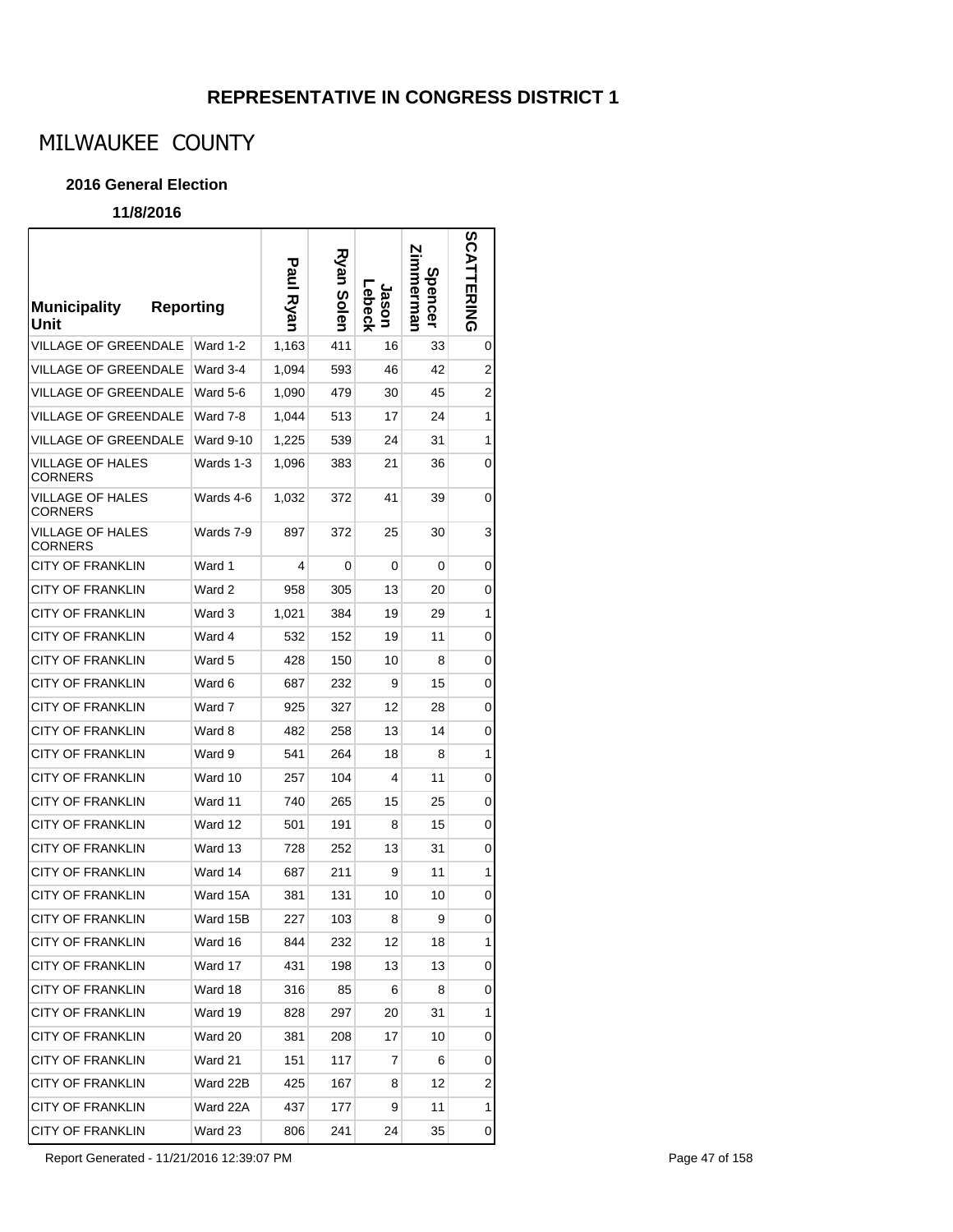# MILWAUKEE COUNTY

### **2016 General Election**

### **11/8/2016**

| <b>Municipality</b><br><b>Reporting</b><br>Unit |           | Paul Ryan | Ryan Solen | Lebeck<br>Jason | mmerman<br><b>Spencer</b> | SCAT<br>뉴저지의 |
|-------------------------------------------------|-----------|-----------|------------|-----------------|---------------------------|--------------|
| <b>VILLAGE OF GREENDALE</b>                     | Ward 1-2  | 1,163     | 411        | 16              | 33                        | 0            |
| VILLAGE OF GREENDALE                            | Ward 3-4  | 1,094     | 593        | 46              | 42                        | 2            |
| <b>VILLAGE OF GREENDALE</b>                     | Ward 5-6  | 1,090     | 479        | 30              | 45                        | 2            |
| <b>VILLAGE OF GREENDALE</b>                     | Ward 7-8  | 1,044     | 513        | 17              | 24                        | 1            |
| <b>VILLAGE OF GREENDALE</b>                     | Ward 9-10 | 1,225     | 539        | 24              | 31                        | 1            |
| VILLAGE OF HALES<br>CORNERS                     | Wards 1-3 | 1,096     | 383        | 21              | 36                        | 0            |
| VILLAGE OF HALES<br>CORNERS                     | Wards 4-6 | 1,032     | 372        | 41              | 39                        | 0            |
| VILLAGE OF HALES<br>CORNERS                     | Wards 7-9 | 897       | 372        | 25              | 30                        | 3            |
| CITY OF FRANKLIN                                | Ward 1    | 4         | 0          | 0               | 0                         | 0            |
| CITY OF FRANKLIN                                | Ward 2    | 958       | 305        | 13              | 20                        | 0            |
| CITY OF FRANKLIN                                | Ward 3    | 1,021     | 384        | 19              | 29                        | 1            |
| CITY OF FRANKLIN                                | Ward 4    | 532       | 152        | 19              | 11                        | 0            |
| CITY OF FRANKLIN                                | Ward 5    | 428       | 150        | 10              | 8                         | 0            |
| <b>CITY OF FRANKLIN</b>                         | Ward 6    | 687       | 232        | 9               | 15                        | 0            |
| CITY OF FRANKLIN                                | Ward 7    | 925       | 327        | 12              | 28                        | 0            |
| CITY OF FRANKLIN                                | Ward 8    | 482       | 258        | 13              | 14                        | 0            |
| <b>CITY OF FRANKLIN</b>                         | Ward 9    | 541       | 264        | 18              | 8                         | 1            |
| CITY OF FRANKLIN                                | Ward 10   | 257       | 104        | 4               | 11                        | 0            |
| CITY OF FRANKLIN                                | Ward 11   | 740       | 265        | 15              | 25                        | 0            |
| CITY OF FRANKLIN                                | Ward 12   | 501       | 191        | 8               | 15                        | 0            |
| <b>CITY OF FRANKLIN</b>                         | Ward 13   | 728       | 252        | 13              | 31                        | 0            |
| CITY OF FRANKLIN                                | Ward 14   | 687       | 211        | 9               | 11                        | 1            |
| CITY OF FRANKLIN                                | Ward 15A  | 381       | 131        | 10              | 10                        | 0            |
| <b>CITY OF FRANKLIN</b>                         | Ward 15B  | 227       | 103        | 8               | 9                         | 0            |
| <b>CITY OF FRANKLIN</b>                         | Ward 16   | 844       | 232        | 12              | 18                        | 1            |
| <b>CITY OF FRANKLIN</b>                         | Ward 17   | 431       | 198        | 13              | 13                        | 0            |
| <b>CITY OF FRANKLIN</b>                         | Ward 18   | 316       | 85         | 6               | 8                         | 0            |
| CITY OF FRANKLIN                                | Ward 19   | 828       | 297        | 20              | 31                        | 1            |
| <b>CITY OF FRANKLIN</b>                         | Ward 20   | 381       | 208        | 17              | 10                        | 0            |
| <b>CITY OF FRANKLIN</b>                         | Ward 21   | 151       | 117        | 7               | 6                         | 0            |
| <b>CITY OF FRANKLIN</b>                         | Ward 22B  | 425       | 167        | 8               | 12                        | 2            |
| <b>CITY OF FRANKLIN</b>                         | Ward 22A  | 437       | 177        | 9               | 11                        | 1            |
| <b>CITY OF FRANKLIN</b>                         | Ward 23   | 806       | 241        | 24              | 35                        | 0            |

Report Generated - 11/21/2016 12:39:07 PM Page 47 of 158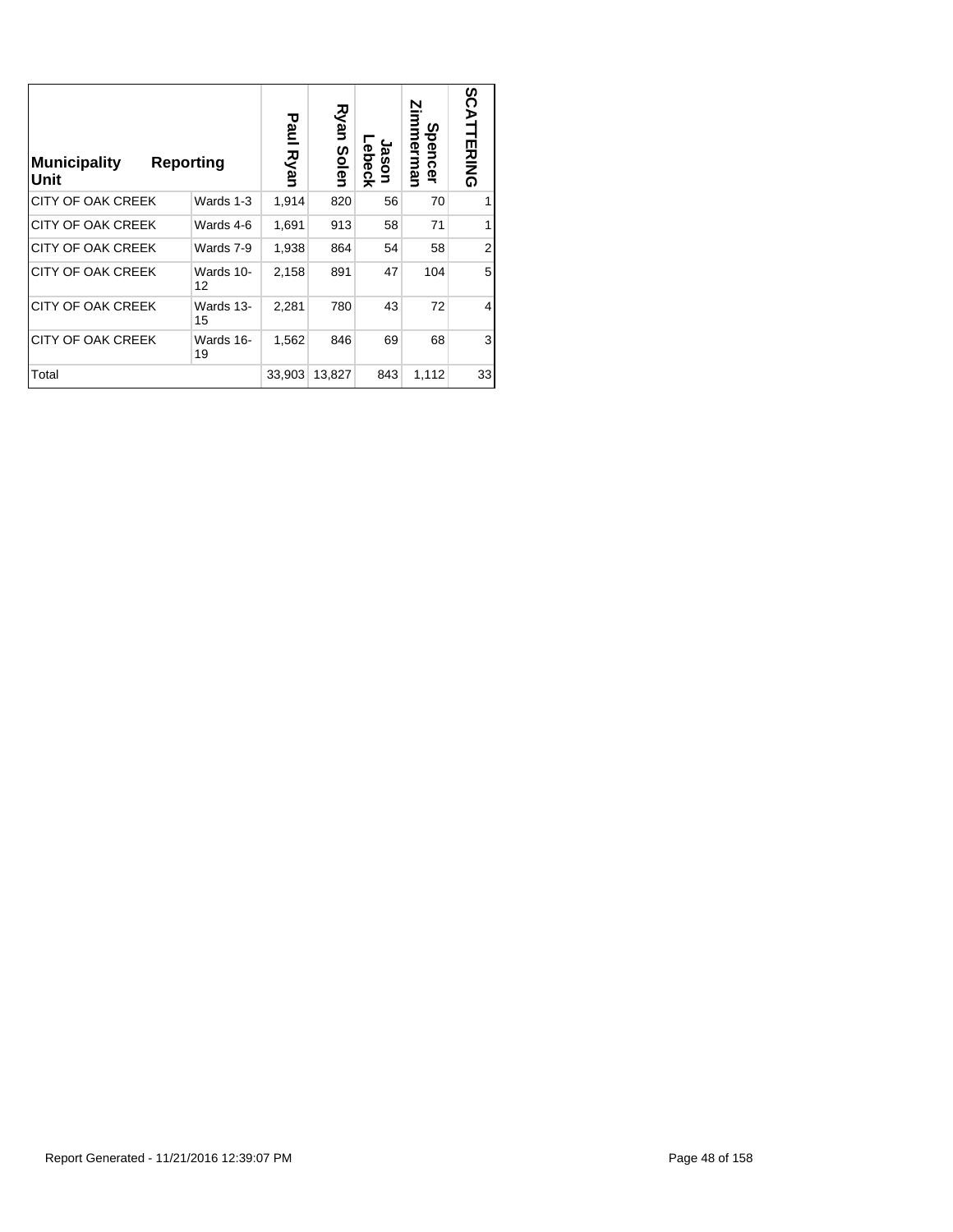| <b>Municipality</b><br>Unit | Reporting       | Paul<br>Ryan | Ryan<br>Solen | ebeck<br>Jason | Zimmerman<br>Spence<br>$\tilde{\mathbf{z}}$ | SCATTERING |
|-----------------------------|-----------------|--------------|---------------|----------------|---------------------------------------------|------------|
| <b>CITY OF OAK CREEK</b>    | Wards 1-3       | 1,914        | 820           | 56             | 70                                          |            |
| <b>CITY OF OAK CREEK</b>    | Wards 4-6       | 1,691        | 913           | 58             | 71                                          | 1          |
| <b>CITY OF OAK CREEK</b>    | Wards 7-9       | 1,938        | 864           | 54             | 58                                          | 2          |
| <b>CITY OF OAK CREEK</b>    | Wards 10-<br>12 | 2,158        | 891           | 47             | 104                                         | 5          |
| <b>CITY OF OAK CREEK</b>    | Wards 13-<br>15 | 2,281        | 780           | 43             | 72                                          | 4          |
| <b>CITY OF OAK CREEK</b>    | Wards 16-<br>19 | 1,562        | 846           | 69             | 68                                          | 3          |
| Total                       |                 | 33,903       | 13,827        | 843            | 1,112                                       | 33         |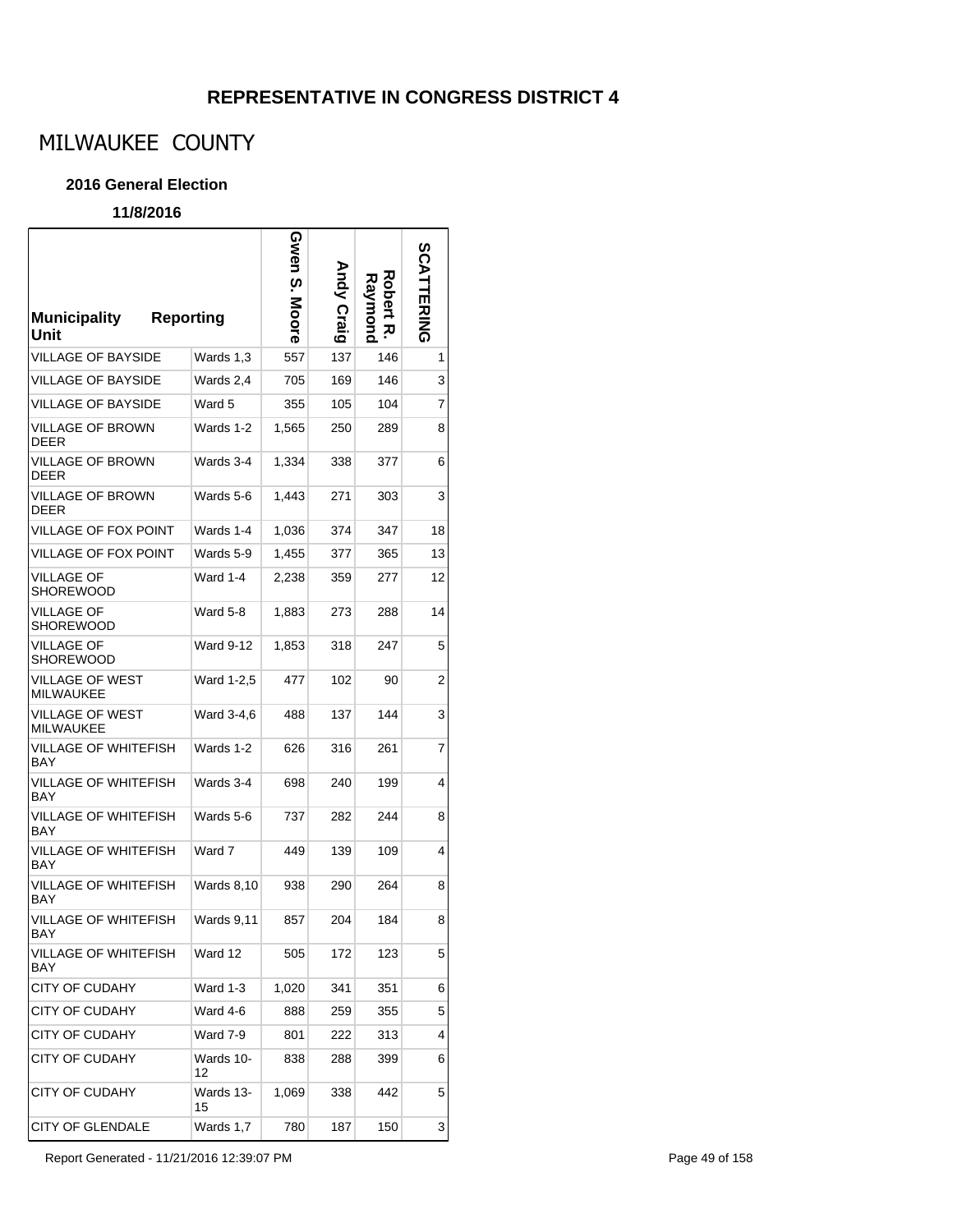# MILWAUKEE COUNTY

### **2016 General Election**

| <b>Municipality</b><br>Unit  | <b>Reporting</b>  | Gwen S.<br>Moore | Andy Craig | Robert<br>kaymond<br>ᅍ | <b>SCATTERING</b> |
|------------------------------|-------------------|------------------|------------|------------------------|-------------------|
| VILLAGE OF BAYSIDE           | Wards 1,3         | 557              | 137        | 146                    | 1                 |
| VILLAGE OF BAYSIDE           | Wards 2,4         | 705              | 169        | 146                    | 3                 |
| VILLAGE OF BAYSIDE           | Ward 5            | 355              | 105        | 104                    | 7                 |
| VILLAGE OF BROWN<br>DEER     | Wards 1-2         | 1,565            | 250        | 289                    | 8                 |
| VILLAGE OF BROWN<br>DEER     | Wards 3-4         | 1,334            | 338        | 377                    | 6                 |
| VILLAGE OF BROWN<br>DEER     | Wards 5-6         | 1,443            | 271        | 303                    | 3                 |
| VILLAGE OF FOX POINT         | Wards 1-4         | 1,036            | 374        | 347                    | 18                |
| VILLAGE OF FOX POINT         | Wards 5-9         | 1.455            | 377        | 365                    | 13                |
| VILLAGE OF<br>SHOREWOOD      | Ward 1-4          | 2,238            | 359        | 277                    | 12                |
| VILLAGE OF<br>SHOREWOOD      | Ward 5-8          | 1,883            | 273        | 288                    | 14                |
| VILLAGE OF<br>SHOREWOOD      | Ward 9-12         | 1,853            | 318        | 247                    | 5                 |
| VILLAGE OF WEST<br>MILWAUKEE | Ward 1-2,5        | 477              | 102        | 90                     | 2                 |
| VILLAGE OF WEST<br>MILWAUKEE | Ward 3-4,6        | 488              | 137        | 144                    | 3                 |
| VILLAGE OF WHITEFISH<br>BAY  | Wards 1-2         | 626              | 316        | 261                    | 7                 |
| VILLAGE OF WHITEFISH<br>BAY  | Wards 3-4         | 698              | 240        | 199                    | 4                 |
| VILLAGE OF WHITEFISH<br>BAY  | Wards 5-6         | 737              | 282        | 244                    | 8                 |
| VILLAGE OF WHITEFISH<br>BAY  | Ward 7            | 449              | 139        | 109                    | 4                 |
| VILLAGE OF WHITEFISH<br>BAY  | <b>Wards 8,10</b> | 938              | 290        | 264                    | 8                 |
| VILLAGE OF WHITEFISH<br>BAY  | <b>Wards 9,11</b> | 857              | 204        | 184                    | 8                 |
| VILLAGE OF WHITEFISH<br>BAY  | Ward 12           | 505              | 172        | 123                    | 5                 |
| <b>CITY OF CUDAHY</b>        | Ward 1-3          | 1,020            | 341        | 351                    | 6                 |
| <b>CITY OF CUDAHY</b>        | Ward 4-6          | 888              | 259        | 355                    | 5                 |
| CITY OF CUDAHY               | Ward 7-9          | 801              | 222        | 313                    | 4                 |
| CITY OF CUDAHY               | Wards 10-<br>12   | 838              | 288        | 399                    | 6                 |
| <b>CITY OF CUDAHY</b>        | Wards 13-<br>15   | 1,069            | 338        | 442                    | 5                 |
| <b>CITY OF GLENDALE</b>      | Wards 1,7         | 780              | 187        | 150                    | 3                 |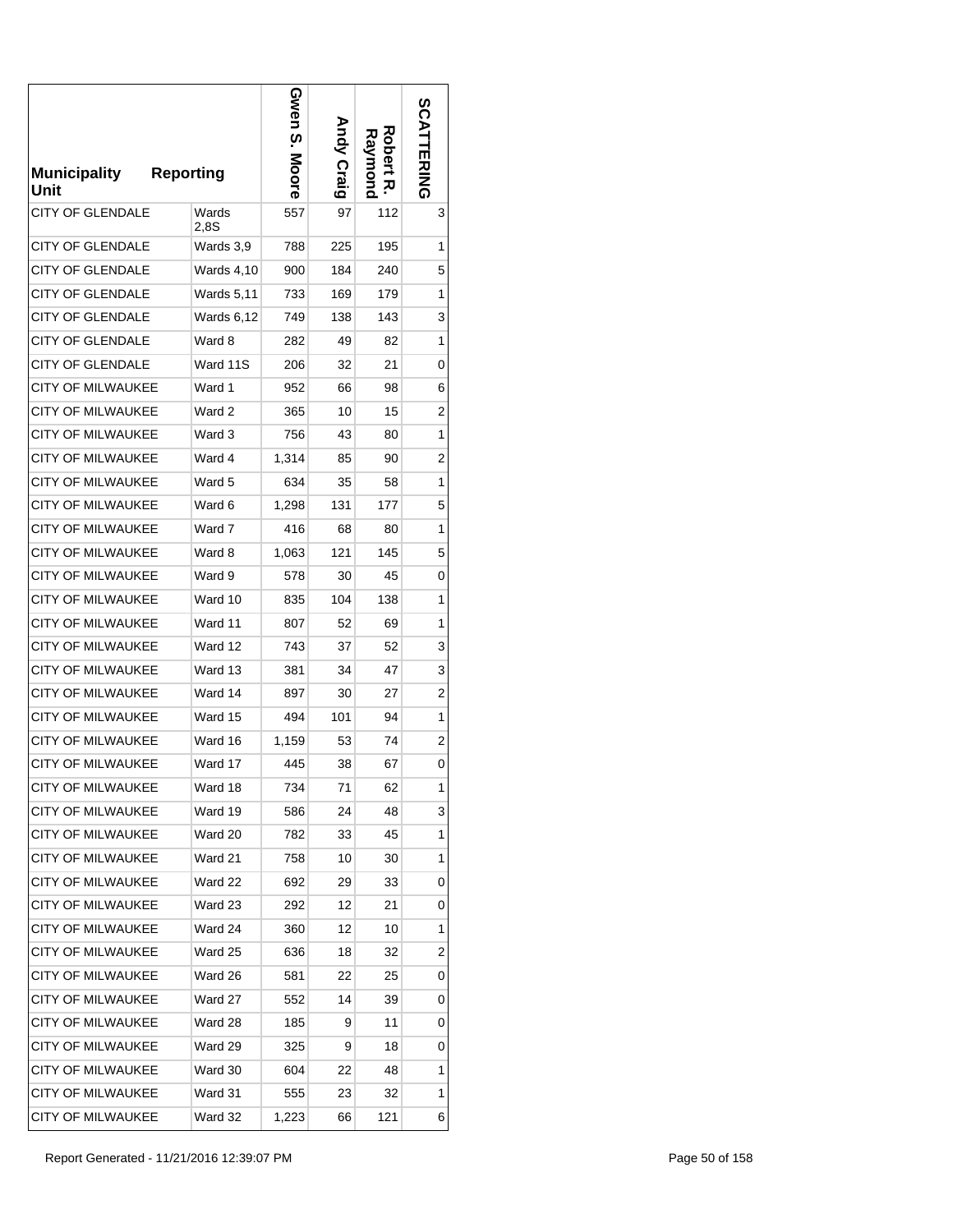| <b>Municipality</b><br>Unit | <b>Reporting</b>  | Gwen S.<br>Moore | Andy Craig | Robert<br>Raymond<br>ᅎ | <b>SCATTERING</b> |
|-----------------------------|-------------------|------------------|------------|------------------------|-------------------|
| <b>CITY OF GLENDALE</b>     | Wards<br>2.8S     | 557              | 97         | 112                    | 3                 |
| <b>CITY OF GLENDALE</b>     | Wards 3,9         | 788              | 225        | 195                    | 1                 |
| <b>CITY OF GLENDALE</b>     | <b>Wards 4,10</b> | 900              | 184        | 240                    | 5                 |
| <b>CITY OF GLENDALE</b>     | Wards 5,11        | 733              | 169        | 179                    | 1                 |
| <b>CITY OF GLENDALE</b>     | Wards 6,12        | 749              | 138        | 143                    | 3                 |
| <b>CITY OF GLENDALE</b>     | Ward 8            | 282              | 49         | 82                     | 1                 |
| <b>CITY OF GLENDALE</b>     | Ward 11S          | 206              | 32         | 21                     | 0                 |
| <b>CITY OF MILWAUKEE</b>    | Ward 1            | 952              | 66         | 98                     | 6                 |
| <b>CITY OF MILWAUKEE</b>    | Ward 2            | 365              | 10         | 15                     | 2                 |
| <b>CITY OF MILWAUKEE</b>    | Ward 3            | 756              | 43         | 80                     | 1                 |
| <b>CITY OF MILWAUKEE</b>    | Ward 4            | 1,314            | 85         | 90                     | 2                 |
| <b>CITY OF MILWAUKEE</b>    | Ward 5            | 634              | 35         | 58                     | 1                 |
| <b>CITY OF MILWAUKEE</b>    | Ward 6            | 1,298            | 131        | 177                    | 5                 |
| <b>CITY OF MILWAUKEE</b>    | Ward 7            | 416              | 68         | 80                     | 1                 |
| <b>CITY OF MILWAUKEE</b>    | Ward 8            | 1,063            | 121        | 145                    | 5                 |
| <b>CITY OF MILWAUKEE</b>    | Ward 9            | 578              | 30         | 45                     | 0                 |
| <b>CITY OF MILWAUKEE</b>    | Ward 10           | 835              | 104        | 138                    | 1                 |
| <b>CITY OF MILWAUKEE</b>    | Ward 11           | 807              | 52         | 69                     | 1                 |
| <b>CITY OF MILWAUKEE</b>    | Ward 12           | 743              | 37         | 52                     | 3                 |
| <b>CITY OF MILWAUKEE</b>    | Ward 13           | 381              | 34         | 47                     | 3                 |
| <b>CITY OF MILWAUKEE</b>    | Ward 14           | 897              | 30         | 27                     | 2                 |
| <b>CITY OF MILWAUKEE</b>    | Ward 15           | 494              | 101        | 94                     | 1                 |
| <b>CITY OF MILWAUKEE</b>    | Ward 16           | 1,159            | 53         | 74                     | 2                 |
| <b>CITY OF MILWAUKEE</b>    | Ward 17           | 445              | 38         | 67                     | 0                 |
| <b>CITY OF MILWAUKEE</b>    | Ward 18           | 734              | 71         | 62                     | 1                 |
| <b>CITY OF MILWAUKEE</b>    | Ward 19           | 586              | 24         | 48                     | 3                 |
| <b>CITY OF MILWAUKEE</b>    | Ward 20           | 782              | 33         | 45                     | 1                 |
| CITY OF MILWAUKEE           | Ward 21           | 758              | 10         | 30                     | 1                 |
| <b>CITY OF MILWAUKEE</b>    | Ward 22           | 692              | 29         | 33                     | 0                 |
| <b>CITY OF MILWAUKEE</b>    | Ward 23           | 292              | 12         | 21                     | 0                 |
| <b>CITY OF MILWAUKEE</b>    | Ward 24           | 360              | 12         | 10                     | 1                 |
| <b>CITY OF MILWAUKEE</b>    | Ward 25           | 636              | 18         | 32                     | 2                 |
| <b>CITY OF MILWAUKEE</b>    | Ward 26           | 581              | 22         | 25                     | 0                 |
| <b>CITY OF MILWAUKEE</b>    | Ward 27           | 552              | 14         | 39                     | 0                 |
| CITY OF MILWAUKEE           | Ward 28           | 185              | 9          | 11                     | 0                 |
| <b>CITY OF MILWAUKEE</b>    | Ward 29           | 325              | 9          | 18                     | 0                 |
| <b>CITY OF MILWAUKEE</b>    | Ward 30           | 604              | 22         | 48                     | 1                 |
| <b>CITY OF MILWAUKEE</b>    | Ward 31           | 555              | 23         | 32                     | 1                 |
| CITY OF MILWAUKEE           | Ward 32           | 1,223            | 66         | 121                    | 6                 |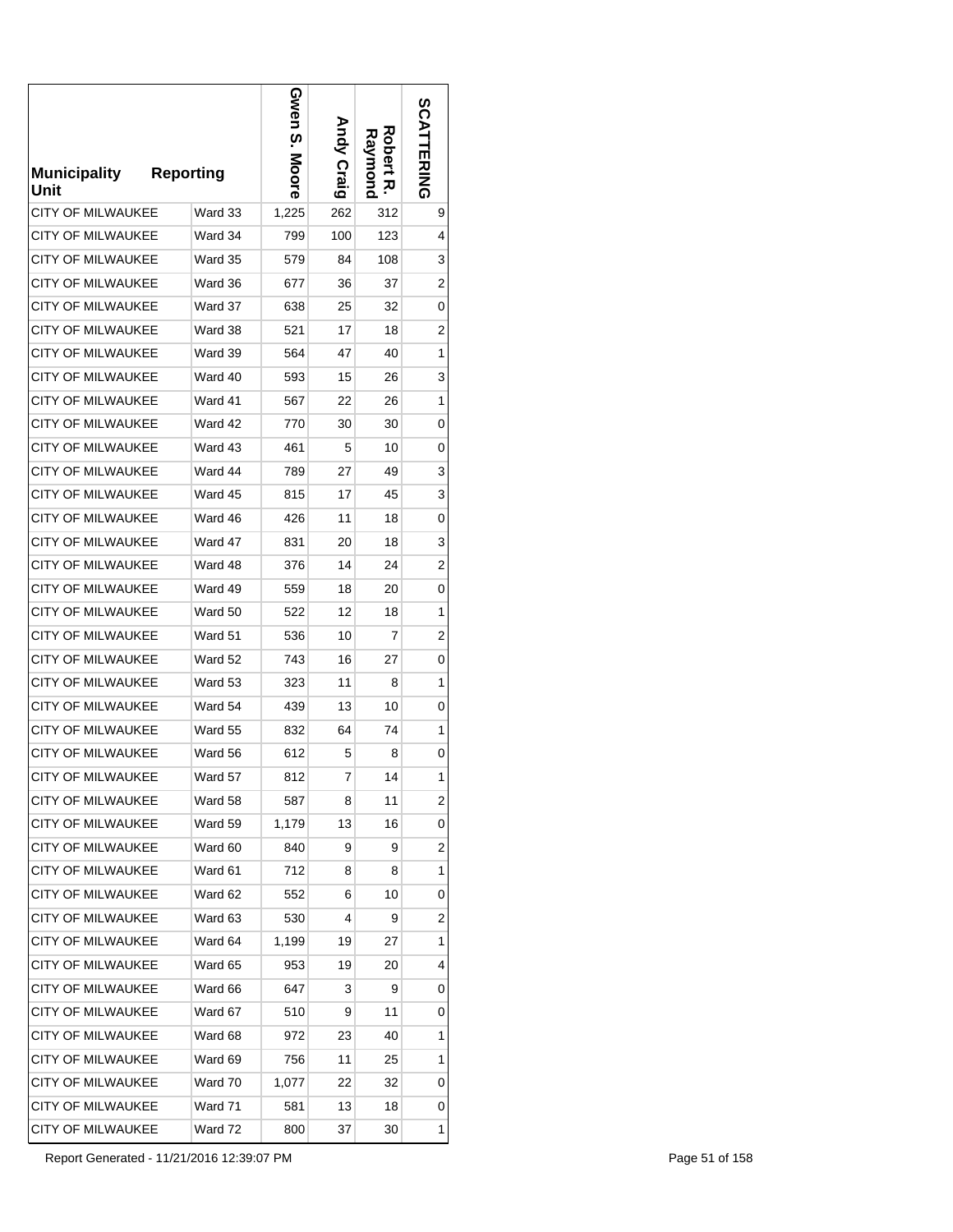| <b>Municipality</b><br>Unit | <b>Reporting</b> | Gwen<br>ო.<br>.<br>Moore | <b>Andy Craig</b> | Robert<br>Raymond<br>ᅎ | <b>SCATTERING</b> |
|-----------------------------|------------------|--------------------------|-------------------|------------------------|-------------------|
| CITY OF MILWAUKEE           | Ward 33          | 1,225                    | 262               | 312                    | 9                 |
| <b>CITY OF MILWAUKEE</b>    | Ward 34          | 799                      | 100               | 123                    | 4                 |
| <b>CITY OF MILWAUKEE</b>    | Ward 35          | 579                      | 84                | 108                    | 3                 |
| CITY OF MILWAUKEE           | Ward 36          | 677                      | 36                | 37                     | 2                 |
| <b>CITY OF MILWAUKEE</b>    | Ward 37          | 638                      | 25                | 32                     | 0                 |
| <b>CITY OF MILWAUKEE</b>    | Ward 38          | 521                      | 17                | 18                     | 2                 |
| CITY OF MILWAUKEE           | Ward 39          | 564                      | 47                | 40                     | 1                 |
| <b>CITY OF MILWAUKEE</b>    | Ward 40          | 593                      | 15                | 26                     | 3                 |
| <b>CITY OF MILWAUKEE</b>    | Ward 41          | 567                      | 22                | 26                     | 1                 |
| <b>CITY OF MILWAUKEE</b>    | Ward 42          | 770                      | 30                | 30                     | 0                 |
| CITY OF MILWAUKEE           | Ward 43          | 461                      | 5                 | 10                     | 0                 |
| <b>CITY OF MILWAUKEE</b>    | Ward 44          | 789                      | 27                | 49                     | 3                 |
| <b>CITY OF MILWAUKEE</b>    | Ward 45          | 815                      | 17                | 45                     | 3                 |
| <b>CITY OF MILWAUKEE</b>    | Ward 46          | 426                      | 11                | 18                     | 0                 |
| CITY OF MILWAUKEE           | Ward 47          | 831                      | 20                | 18                     | 3                 |
| CITY OF MILWAUKEE           | Ward 48          | 376                      | 14                | 24                     | 2                 |
| CITY OF MILWAUKEE           | Ward 49          | 559                      | 18                | 20                     | 0                 |
| CITY OF MILWAUKEE           | Ward 50          | 522                      | 12                | 18                     | 1                 |
| CITY OF MILWAUKEE           | Ward 51          | 536                      | 10                | 7                      | 2                 |
| CITY OF MILWAUKEE           | Ward 52          | 743                      | 16                | 27                     | 0                 |
| CITY OF MILWAUKEE           | Ward 53          | 323                      | 11                | 8                      | 1                 |
| CITY OF MILWAUKEE           | Ward 54          | 439                      | 13                | 10                     | 0                 |
| CITY OF MILWAUKEE           | Ward 55          | 832                      | 64                | 74                     | 1                 |
| <b>CITY OF MILWAUKEE</b>    | Ward 56          | 612                      | 5                 | 8                      | 0                 |
| <b>CITY OF MILWAUKEE</b>    | Ward 57          | 812                      | 7                 | 14                     | 1                 |
| CITY OF MILWAUKEE           | Ward 58          | 587                      | 8                 | 11                     | 2                 |
| <b>CITY OF MILWAUKEE</b>    | Ward 59          | 1,179                    | 13                | 16                     | 0                 |
| CITY OF MILWAUKEE           | Ward 60          | 840                      | 9                 | 9                      | 2                 |
| CITY OF MILWAUKEE           | Ward 61          | 712                      | 8                 | 8                      | 1                 |
| CITY OF MILWAUKEE           | Ward 62          | 552                      | 6                 | 10                     | 0                 |
| CITY OF MILWAUKEE           | Ward 63          | 530                      | 4                 | 9                      | 2                 |
| CITY OF MILWAUKEE           | Ward 64          | 1,199                    | 19                | 27                     | 1                 |
| <b>CITY OF MILWAUKEE</b>    | Ward 65          | 953                      | 19                | 20                     | 4                 |
| CITY OF MILWAUKEE           | Ward 66          | 647                      | 3                 | 9                      | 0                 |
| CITY OF MILWAUKEE           | Ward 67          | 510                      | 9                 | 11                     | 0                 |
| CITY OF MILWAUKEE           | Ward 68          | 972                      | 23                | 40                     | 1                 |
| CITY OF MILWAUKEE           | Ward 69          | 756                      | 11                | 25                     | 1                 |
| CITY OF MILWAUKEE           | Ward 70          | 1,077                    | 22                | 32                     | 0                 |
| CITY OF MILWAUKEE           | Ward 71          | 581                      | 13                | 18                     | 0                 |
| CITY OF MILWAUKEE           | Ward 72          | 800                      | 37                | 30                     | 1                 |

Report Generated - 11/21/2016 12:39:07 PM Page 51 of 158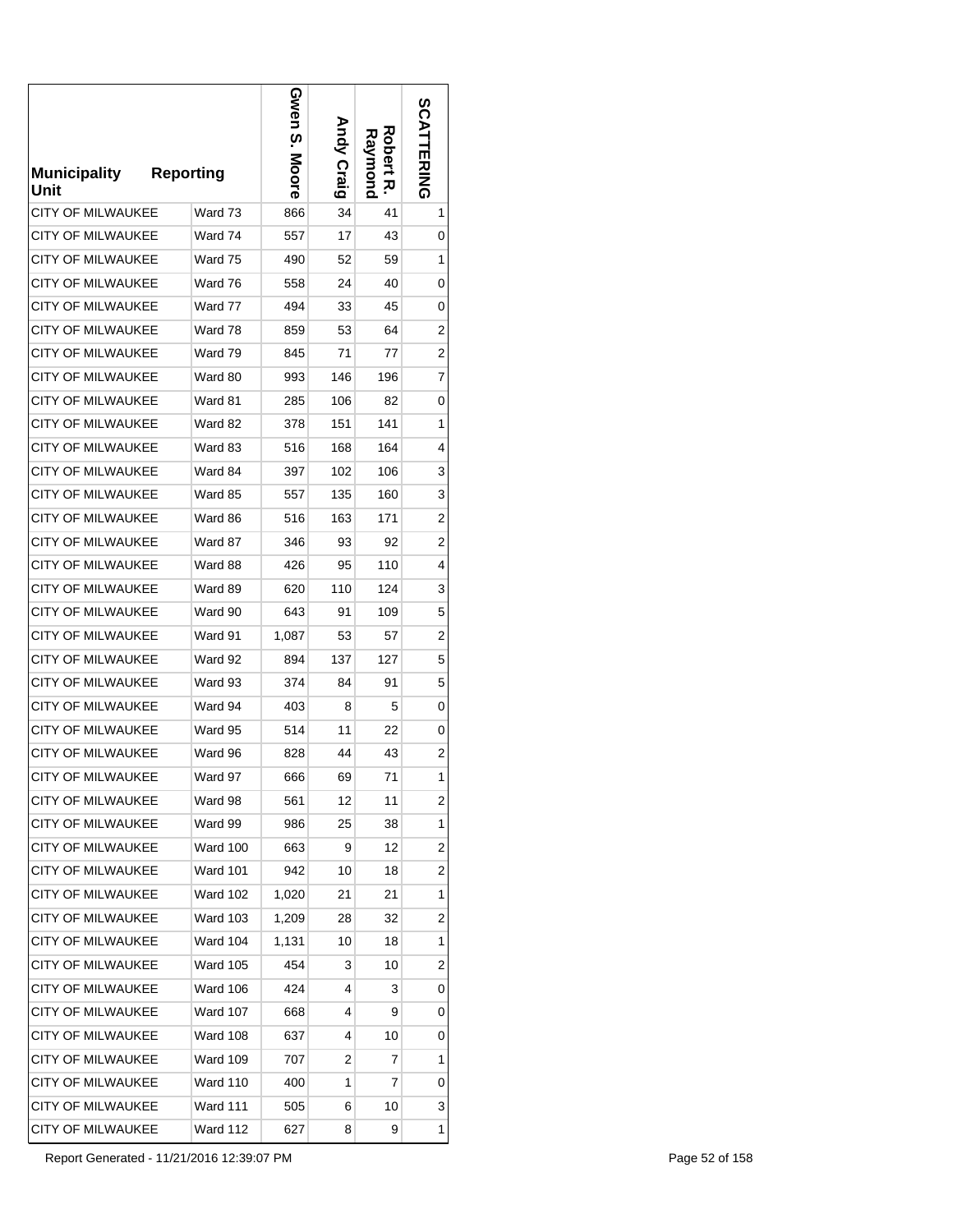| <b>Municipality</b><br>Unit | <b>Reporting</b> | Gwen S.<br>Moore | <b>Andy Craig</b> | Robert<br>Raymond<br>ᅎ | <b>SCATTERING</b> |
|-----------------------------|------------------|------------------|-------------------|------------------------|-------------------|
| CITY OF MILWAUKEE           | Ward 73          | 866              | 34                | 41                     | 1                 |
| <b>CITY OF MILWAUKEE</b>    | Ward 74          | 557              | 17                | 43                     | 0                 |
| CITY OF MILWAUKEE           | Ward 75          | 490              | 52                | 59                     | 1                 |
| CITY OF MILWAUKEE           | Ward 76          | 558              | 24                | 40                     | 0                 |
| <b>CITY OF MILWAUKEE</b>    | Ward 77          | 494              | 33                | 45                     | 0                 |
| <b>CITY OF MILWAUKEE</b>    | Ward 78          | 859              | 53                | 64                     | 2                 |
| CITY OF MILWAUKEE           | Ward 79          | 845              | 71                | 77                     | 2                 |
| <b>CITY OF MILWAUKEE</b>    | Ward 80          | 993              | 146               | 196                    | 7                 |
| <b>CITY OF MILWAUKEE</b>    | Ward 81          | 285              | 106               | 82                     | 0                 |
| <b>CITY OF MILWAUKEE</b>    | Ward 82          | 378              | 151               | 141                    | 1                 |
| CITY OF MILWAUKEE           | Ward 83          | 516              | 168               | 164                    | 4                 |
| <b>CITY OF MILWAUKEE</b>    | Ward 84          | 397              | 102               | 106                    | 3                 |
| CITY OF MILWAUKEE           | Ward 85          | 557              | 135               | 160                    | 3                 |
| <b>CITY OF MILWAUKEE</b>    | Ward 86          | 516              | 163               | 171                    | 2                 |
| CITY OF MILWAUKEE           | Ward 87          | 346              | 93                | 92                     | 2                 |
| CITY OF MILWAUKEE           | Ward 88          | 426              | 95                | 110                    | 4                 |
| CITY OF MILWAUKEE           | Ward 89          | 620              | 110               | 124                    | 3                 |
| CITY OF MILWAUKEE           | Ward 90          | 643              | 91                | 109                    | 5                 |
| CITY OF MILWAUKEE           | Ward 91          | 1,087            | 53                | 57                     | 2                 |
| <b>CITY OF MILWAUKEE</b>    | Ward 92          | 894              | 137               | 127                    | 5                 |
| CITY OF MILWAUKEE           | Ward 93          | 374              | 84                | 91                     | 5                 |
| <b>CITY OF MILWAUKEE</b>    | Ward 94          | 403              | 8                 | 5                      | 0                 |
| <b>CITY OF MILWAUKEE</b>    | Ward 95          | 514              | 11                | 22                     | 0                 |
| <b>CITY OF MILWAUKEE</b>    | Ward 96          | 828              | 44                | 43                     | $\overline{2}$    |
| <b>CITY OF MILWAUKEE</b>    | Ward 97          | 666              | 69                | 71                     | 1                 |
| CITY OF MILWAUKEE           | Ward 98          | 561              | 12                | 11                     | $\overline{c}$    |
| <b>CITY OF MILWAUKEE</b>    | Ward 99          | 986              | 25                | 38                     | 1                 |
| CITY OF MILWAUKEE           | Ward 100         | 663              | 9                 | 12                     | 2                 |
| <b>CITY OF MILWAUKEE</b>    | <b>Ward 101</b>  | 942              | 10                | 18                     | 2                 |
| <b>CITY OF MILWAUKEE</b>    | <b>Ward 102</b>  | 1,020            | 21                | 21                     | 1                 |
| CITY OF MILWAUKEE           | <b>Ward 103</b>  | 1,209            | 28                | 32                     | $\overline{c}$    |
| <b>CITY OF MILWAUKEE</b>    | <b>Ward 104</b>  | 1.131            | 10                | 18                     | 1                 |
| CITY OF MILWAUKEE           | <b>Ward 105</b>  | 454              | 3                 | 10                     | 2                 |
| CITY OF MILWAUKEE           | <b>Ward 106</b>  | 424              | 4                 | 3                      | 0                 |
| CITY OF MILWAUKEE           | <b>Ward 107</b>  | 668              | 4                 | 9                      | 0                 |
| CITY OF MILWAUKEE           | Ward 108         | 637              | 4                 | 10                     | 0                 |
| CITY OF MILWAUKEE           | Ward 109         | 707              | 2                 | 7                      | 1                 |
| <b>CITY OF MILWAUKEE</b>    | Ward 110         | 400              | 1                 | 7                      | 0                 |
| CITY OF MILWAUKEE           | Ward 111         | 505              | 6                 | 10                     | 3                 |
| CITY OF MILWAUKEE           | <b>Ward 112</b>  | 627              | 8                 | 9                      | 1                 |

Report Generated - 11/21/2016 12:39:07 PM Page 52 of 158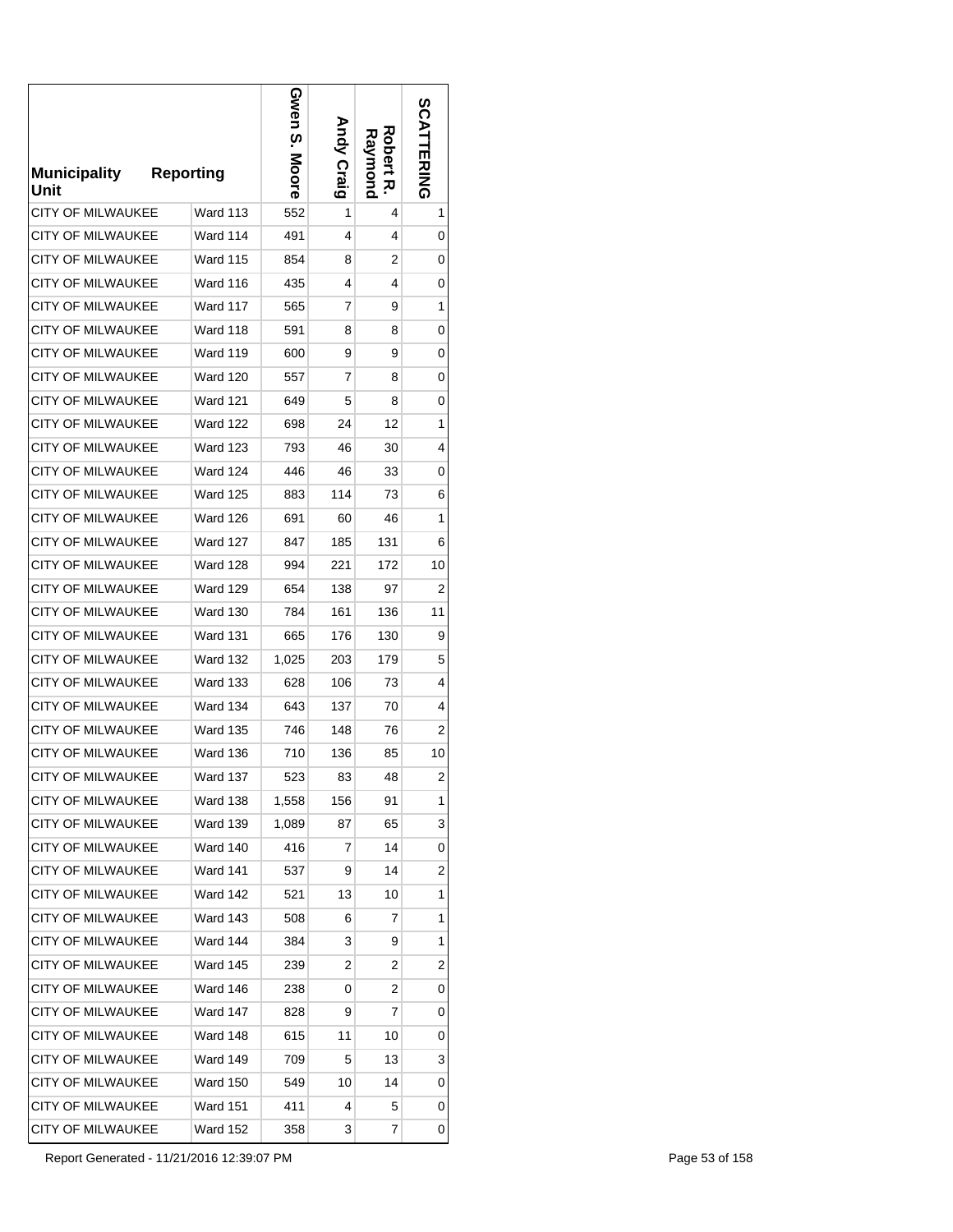| <b>Municipality</b><br>Unit | <b>Reporting</b> |                 | Gwen S.<br>Moore | <b>Andy Craig</b> | Robert<br>Raymond<br>ᅎ | <b>SCATTERING</b> |
|-----------------------------|------------------|-----------------|------------------|-------------------|------------------------|-------------------|
| CITY OF MILWAUKEE           |                  | Ward 113        | 552              | 1                 | 4                      | 1                 |
| <b>CITY OF MILWAUKEE</b>    |                  | Ward 114        | 491              | 4                 | 4                      | 0                 |
| <b>CITY OF MILWAUKEE</b>    |                  | <b>Ward 115</b> | 854              | 8                 | 2                      | 0                 |
| CITY OF MILWAUKEE           |                  | <b>Ward 116</b> | 435              | 4                 | 4                      | 0                 |
| <b>CITY OF MILWAUKEE</b>    |                  | <b>Ward 117</b> | 565              | 7                 | 9                      | 1                 |
| <b>CITY OF MILWAUKEE</b>    |                  | Ward 118        | 591              | 8                 | 8                      | 0                 |
| CITY OF MILWAUKEE           |                  | <b>Ward 119</b> | 600              | 9                 | 9                      | 0                 |
| <b>CITY OF MILWAUKEE</b>    |                  | <b>Ward 120</b> | 557              | 7                 | 8                      | 0                 |
| <b>CITY OF MILWAUKEE</b>    |                  | <b>Ward 121</b> | 649              | 5                 | 8                      | 0                 |
| <b>CITY OF MILWAUKEE</b>    |                  | <b>Ward 122</b> | 698              | 24                | 12                     | 1                 |
| <b>CITY OF MILWAUKEE</b>    |                  | <b>Ward 123</b> | 793              | 46                | 30                     | 4                 |
| <b>CITY OF MILWAUKEE</b>    |                  | <b>Ward 124</b> | 446              | 46                | 33                     | 0                 |
| <b>CITY OF MILWAUKEE</b>    |                  | <b>Ward 125</b> | 883              | 114               | 73                     | 6                 |
| <b>CITY OF MILWAUKEE</b>    |                  | <b>Ward 126</b> | 691              | 60                | 46                     | 1                 |
| CITY OF MILWAUKEE           |                  | Ward 127        | 847              | 185               | 131                    | 6                 |
| CITY OF MILWAUKEE           |                  | <b>Ward 128</b> | 994              | 221               | 172                    | 10                |
| CITY OF MILWAUKEE           |                  | Ward 129        | 654              | 138               | 97                     | 2                 |
| CITY OF MILWAUKEE           |                  | Ward 130        | 784              | 161               | 136                    | 11                |
| CITY OF MILWAUKEE           |                  | <b>Ward 131</b> | 665              | 176               | 130                    | 9                 |
| <b>CITY OF MILWAUKEE</b>    |                  | <b>Ward 132</b> | 1,025            | 203               | 179                    | 5                 |
| CITY OF MILWAUKEE           |                  | <b>Ward 133</b> | 628              | 106               | 73                     | 4                 |
| CITY OF MILWAUKEE           |                  | <b>Ward 134</b> | 643              | 137               | 70                     | 4                 |
| <b>CITY OF MILWAUKEE</b>    |                  | <b>Ward 135</b> | 746              | 148               | 76                     | 2                 |
| <b>CITY OF MILWAUKEE</b>    |                  | <b>Ward 136</b> | 710              | 136               | 85                     | 10                |
| <b>CITY OF MILWAUKEE</b>    |                  | Ward 137        | 523              | 83                | 48                     | $\overline{2}$    |
| CITY OF MILWAUKEE           |                  | Ward 138        | 1,558            | 156               | 91                     | 1                 |
| <b>CITY OF MILWAUKEE</b>    |                  | <b>Ward 139</b> | 1,089            | 87                | 65                     | 3                 |
| CITY OF MILWAUKEE           |                  | <b>Ward 140</b> | 416              | 7                 | 14                     | 0                 |
| CITY OF MILWAUKEE           |                  | Ward 141        | 537              | 9                 | 14                     | 2                 |
| <b>CITY OF MILWAUKEE</b>    |                  | Ward 142        | 521              | 13                | 10                     | 1                 |
| CITY OF MILWAUKEE           |                  | <b>Ward 143</b> | 508              | 6                 | 7                      | 1                 |
| <b>CITY OF MILWAUKEE</b>    |                  | Ward 144        | 384              | 3                 | 9                      | 1                 |
| <b>CITY OF MILWAUKEE</b>    |                  | <b>Ward 145</b> | 239              | 2                 | 2                      | 2                 |
| CITY OF MILWAUKEE           |                  | Ward 146        | 238              | 0                 | 2                      | 0                 |
| CITY OF MILWAUKEE           |                  | <b>Ward 147</b> | 828              | 9                 | 7                      | 0                 |
| CITY OF MILWAUKEE           |                  | Ward 148        | 615              | 11                | 10                     | 0                 |
| CITY OF MILWAUKEE           |                  | Ward 149        | 709              | 5                 | 13                     | 3                 |
| CITY OF MILWAUKEE           |                  | <b>Ward 150</b> | 549              | 10                | 14                     | 0                 |
| CITY OF MILWAUKEE           |                  | <b>Ward 151</b> | 411              | 4                 | 5                      | 0                 |
| CITY OF MILWAUKEE           |                  | Ward 152        | 358              | 3                 | 7                      | 0                 |

Report Generated - 11/21/2016 12:39:07 PM Page 53 of 158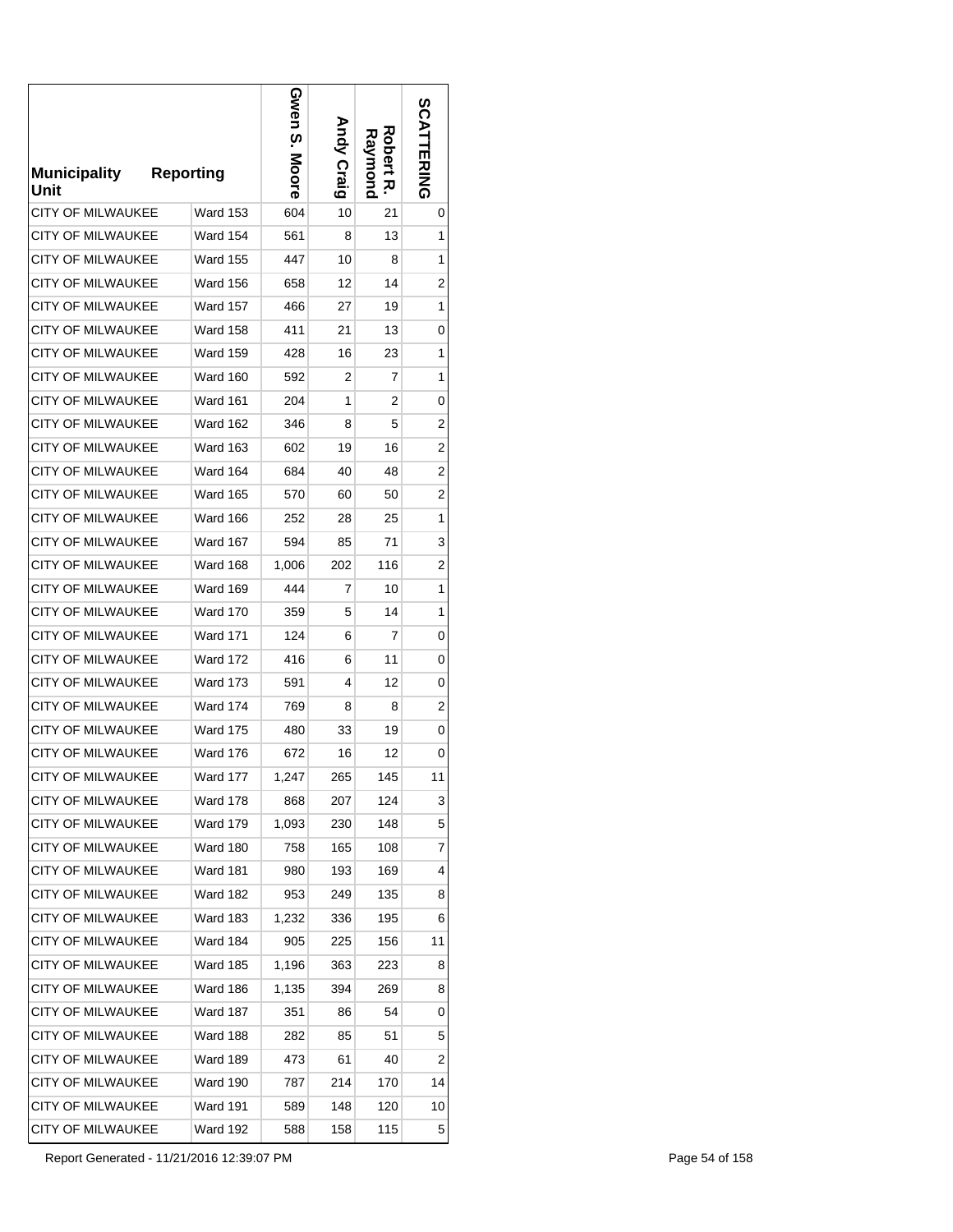| <b>Municipality</b><br>Unit | <b>Reporting</b> |                 | Gwen S.<br>Moore | <b>Andy Craig</b> | Robert<br>Raymond<br>ᅎ | <b>SCATTERING</b> |
|-----------------------------|------------------|-----------------|------------------|-------------------|------------------------|-------------------|
| CITY OF MILWAUKEE           |                  | <b>Ward 153</b> | 604              | 10                | 21                     | 0                 |
| <b>CITY OF MILWAUKEE</b>    |                  | <b>Ward 154</b> | 561              | 8                 | 13                     | 1                 |
| <b>CITY OF MILWAUKEE</b>    |                  | <b>Ward 155</b> | 447              | 10                | 8                      | 1                 |
| CITY OF MILWAUKEE           |                  | <b>Ward 156</b> | 658              | 12                | 14                     | 2                 |
| <b>CITY OF MILWAUKEE</b>    |                  | <b>Ward 157</b> | 466              | 27                | 19                     | 1                 |
| <b>CITY OF MILWAUKEE</b>    |                  | <b>Ward 158</b> | 411              | 21                | 13                     | 0                 |
| <b>CITY OF MILWAUKEE</b>    |                  | <b>Ward 159</b> | 428              | 16                | 23                     | 1                 |
| <b>CITY OF MILWAUKEE</b>    |                  | Ward 160        | 592              | 2                 | 7                      | 1                 |
| <b>CITY OF MILWAUKEE</b>    |                  | <b>Ward 161</b> | 204              | 1                 | 2                      | 0                 |
| <b>CITY OF MILWAUKEE</b>    |                  | <b>Ward 162</b> | 346              | 8                 | 5                      | 2                 |
| <b>CITY OF MILWAUKEE</b>    |                  | <b>Ward 163</b> | 602              | 19                | 16                     | 2                 |
| <b>CITY OF MILWAUKEE</b>    |                  | Ward 164        | 684              | 40                | 48                     | 2                 |
| CITY OF MILWAUKEE           |                  | <b>Ward 165</b> | 570              | 60                | 50                     | $\overline{c}$    |
| <b>CITY OF MILWAUKEE</b>    |                  | Ward 166        | 252              | 28                | 25                     | 1                 |
| CITY OF MILWAUKEE           |                  | <b>Ward 167</b> | 594              | 85                | 71                     | 3                 |
| CITY OF MILWAUKEE           |                  | <b>Ward 168</b> | 1,006            | 202               | 116                    | 2                 |
| CITY OF MILWAUKEE           |                  | <b>Ward 169</b> | 444              | 7                 | 10                     | 1                 |
| CITY OF MILWAUKEE           |                  | Ward 170        | 359              | 5                 | 14                     | 1                 |
| CITY OF MILWAUKEE           |                  | <b>Ward 171</b> | 124              | 6                 | 7                      | 0                 |
| <b>CITY OF MILWAUKEE</b>    |                  | <b>Ward 172</b> | 416              | 6                 | 11                     | 0                 |
| CITY OF MILWAUKEE           |                  | <b>Ward 173</b> | 591              | 4                 | 12                     | 0                 |
| CITY OF MILWAUKEE           |                  | <b>Ward 174</b> | 769              | 8                 | 8                      | 2                 |
| CITY OF MILWAUKEE           |                  | <b>Ward 175</b> | 480              | 33                | 19                     | 0                 |
| <b>CITY OF MILWAUKEE</b>    |                  | Ward 176        | 672              | 16                | 12                     | 0                 |
| <b>CITY OF MILWAUKEE</b>    |                  | Ward 177        | 1,247            | 265               | 145                    | 11                |
| CITY OF MILWAUKEE           |                  | <b>Ward 178</b> | 868              | 207               | 124                    | 3                 |
| <b>CITY OF MILWAUKEE</b>    |                  | <b>Ward 179</b> | 1,093            | 230               | 148                    | 5                 |
| CITY OF MILWAUKEE           |                  | Ward 180        | 758              | 165               | 108                    | 7                 |
| CITY OF MILWAUKEE           |                  | <b>Ward 181</b> | 980              | 193               | 169                    | 4                 |
| CITY OF MILWAUKEE           |                  | <b>Ward 182</b> | 953              | 249               | 135                    | 8                 |
| CITY OF MILWAUKEE           |                  | <b>Ward 183</b> | 1,232            | 336               | 195                    | 6                 |
| <b>CITY OF MILWAUKEE</b>    |                  | Ward 184        | 905              | 225               | 156                    | 11                |
| CITY OF MILWAUKEE           |                  | <b>Ward 185</b> | 1,196            | 363               | 223                    | 8                 |
| CITY OF MILWAUKEE           |                  | Ward 186        | 1,135            | 394               | 269                    | 8                 |
| CITY OF MILWAUKEE           |                  | Ward 187        | 351              | 86                | 54                     | 0                 |
| CITY OF MILWAUKEE           |                  | Ward 188        | 282              | 85                | 51                     | 5                 |
| CITY OF MILWAUKEE           |                  | <b>Ward 189</b> | 473              | 61                | 40                     | $\overline{c}$    |
| CITY OF MILWAUKEE           |                  | <b>Ward 190</b> | 787              | 214               | 170                    | 14                |
| CITY OF MILWAUKEE           |                  | <b>Ward 191</b> | 589              | 148               | 120                    | 10                |
| CITY OF MILWAUKEE           |                  | Ward 192        | 588              | 158               | 115                    | 5                 |

Report Generated - 11/21/2016 12:39:07 PM Page 54 of 158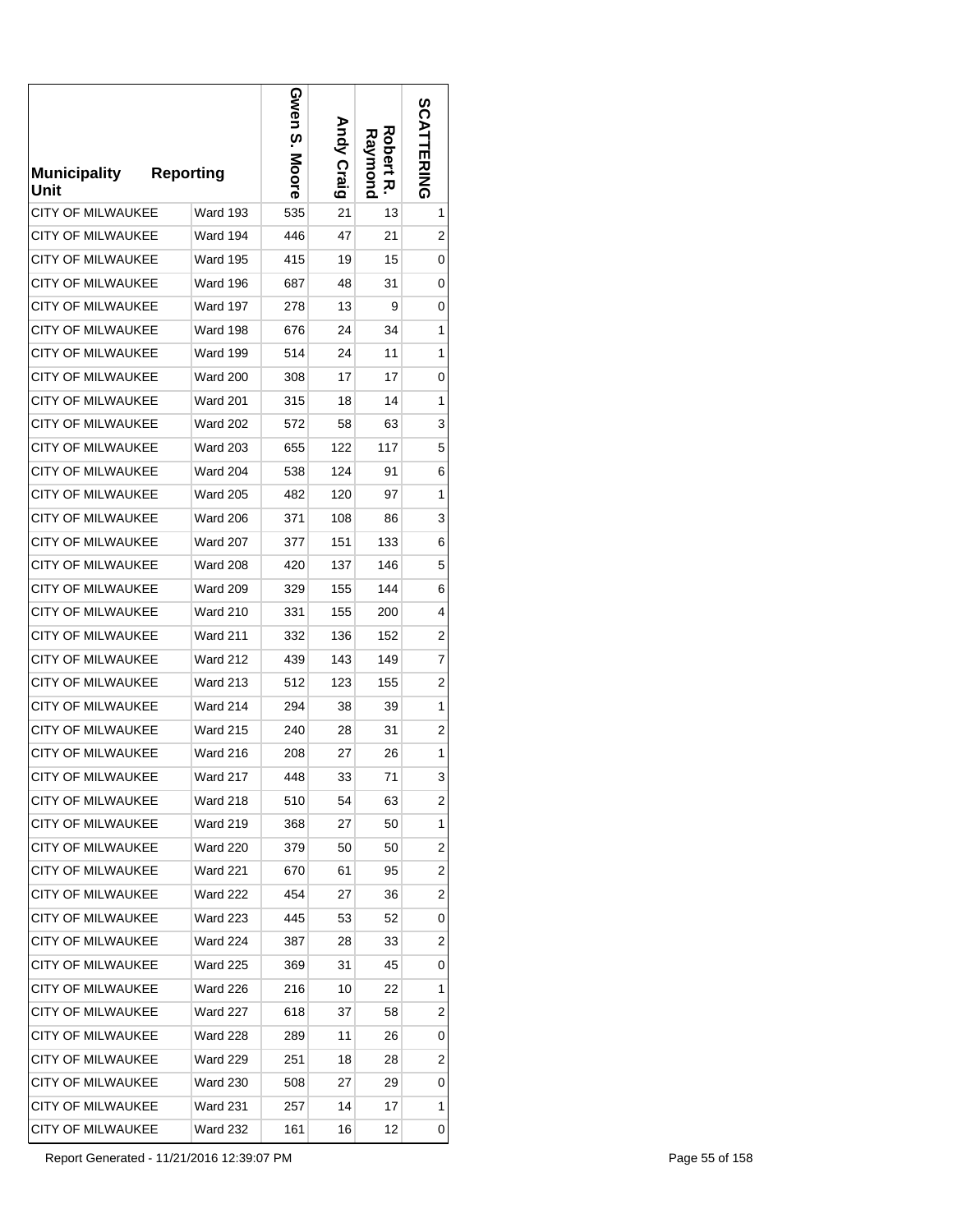| <b>Municipality</b><br>Unit | <b>Reporting</b> | Gwen<br>ო.<br>.<br>Moore | <b>Andy Craig</b> | Robert<br>Raymond<br>ᅎ | <b>SCATTERING</b> |
|-----------------------------|------------------|--------------------------|-------------------|------------------------|-------------------|
| CITY OF MILWAUKEE           | <b>Ward 193</b>  | 535                      | 21                | 13                     | 1                 |
| <b>CITY OF MILWAUKEE</b>    | Ward 194         | 446                      | 47                | 21                     | 2                 |
| CITY OF MILWAUKEE           | <b>Ward 195</b>  | 415                      | 19                | 15                     | 0                 |
| <b>CITY OF MILWAUKEE</b>    | <b>Ward 196</b>  | 687                      | 48                | 31                     | 0                 |
| <b>CITY OF MILWAUKEE</b>    | <b>Ward 197</b>  | 278                      | 13                | 9                      | 0                 |
| <b>CITY OF MILWAUKEE</b>    | <b>Ward 198</b>  | 676                      | 24                | 34                     | 1                 |
| CITY OF MILWAUKEE           | Ward 199         | 514                      | 24                | 11                     | 1                 |
| <b>CITY OF MILWAUKEE</b>    | <b>Ward 200</b>  | 308                      | 17                | 17                     | 0                 |
| <b>CITY OF MILWAUKEE</b>    | <b>Ward 201</b>  | 315                      | 18                | 14                     | 1                 |
| <b>CITY OF MILWAUKEE</b>    | <b>Ward 202</b>  | 572                      | 58                | 63                     | 3                 |
| CITY OF MILWAUKEE           | <b>Ward 203</b>  | 655                      | 122               | 117                    | 5                 |
| <b>CITY OF MILWAUKEE</b>    | <b>Ward 204</b>  | 538                      | 124               | 91                     | 6                 |
| CITY OF MILWAUKEE           | <b>Ward 205</b>  | 482                      | 120               | 97                     | 1                 |
| <b>CITY OF MILWAUKEE</b>    | <b>Ward 206</b>  | 371                      | 108               | 86                     | 3                 |
| CITY OF MILWAUKEE           | Ward 207         | 377                      | 151               | 133                    | 6                 |
| CITY OF MILWAUKEE           | <b>Ward 208</b>  | 420                      | 137               | 146                    | 5                 |
| CITY OF MILWAUKEE           | <b>Ward 209</b>  | 329                      | 155               | 144                    | 6                 |
| CITY OF MILWAUKEE           | <b>Ward 210</b>  | 331                      | 155               | 200                    | 4                 |
| CITY OF MILWAUKEE           | <b>Ward 211</b>  | 332                      | 136               | 152                    | 2                 |
| CITY OF MILWAUKEE           | <b>Ward 212</b>  | 439                      | 143               | 149                    | 7                 |
| CITY OF MILWAUKEE           | <b>Ward 213</b>  | 512                      | 123               | 155                    | $\overline{c}$    |
| CITY OF MILWAUKEE           | <b>Ward 214</b>  | 294                      | 38                | 39                     | 1                 |
| CITY OF MILWAUKEE           | <b>Ward 215</b>  | 240                      | 28                | 31                     | 2                 |
| <b>CITY OF MILWAUKEE</b>    | Ward 216         | 208                      | 27                | 26                     | 1                 |
| <b>CITY OF MILWAUKEE</b>    | <b>Ward 217</b>  | 448                      | 33                | 71                     | 3                 |
| CITY OF MILWAUKEE           | <b>Ward 218</b>  | 510                      | 54                | 63                     | 2                 |
| CITY OF MILWAUKEE           | Ward 219         | 368                      | 27                | 50                     | 1                 |
| CITY OF MILWAUKEE           | <b>Ward 220</b>  | 379                      | 50                | 50                     | 2                 |
| CITY OF MILWAUKEE           | <b>Ward 221</b>  | 670                      | 61                | 95                     | 2                 |
| CITY OF MILWAUKEE           | <b>Ward 222</b>  | 454                      | 27                | 36                     | 2                 |
| CITY OF MILWAUKEE           | <b>Ward 223</b>  | 445                      | 53                | 52                     | 0                 |
| <b>CITY OF MILWAUKEE</b>    | <b>Ward 224</b>  | 387                      | 28                | 33                     | 2                 |
| CITY OF MILWAUKEE           | <b>Ward 225</b>  | 369                      | 31                | 45                     | 0                 |
| CITY OF MILWAUKEE           | <b>Ward 226</b>  | 216                      | 10                | 22                     | 1                 |
| CITY OF MILWAUKEE           | <b>Ward 227</b>  | 618                      | 37                | 58                     | 2                 |
| CITY OF MILWAUKEE           | <b>Ward 228</b>  | 289                      | 11                | 26                     | 0                 |
| CITY OF MILWAUKEE           | <b>Ward 229</b>  | 251                      | 18                | 28                     | 2                 |
| CITY OF MILWAUKEE           | <b>Ward 230</b>  | 508                      | 27                | 29                     | 0                 |
| CITY OF MILWAUKEE           | <b>Ward 231</b>  | 257                      | 14                | 17                     | 1                 |
| CITY OF MILWAUKEE           | Ward 232         | 161                      | 16                | 12                     | 0                 |

Report Generated - 11/21/2016 12:39:07 PM Page 55 of 158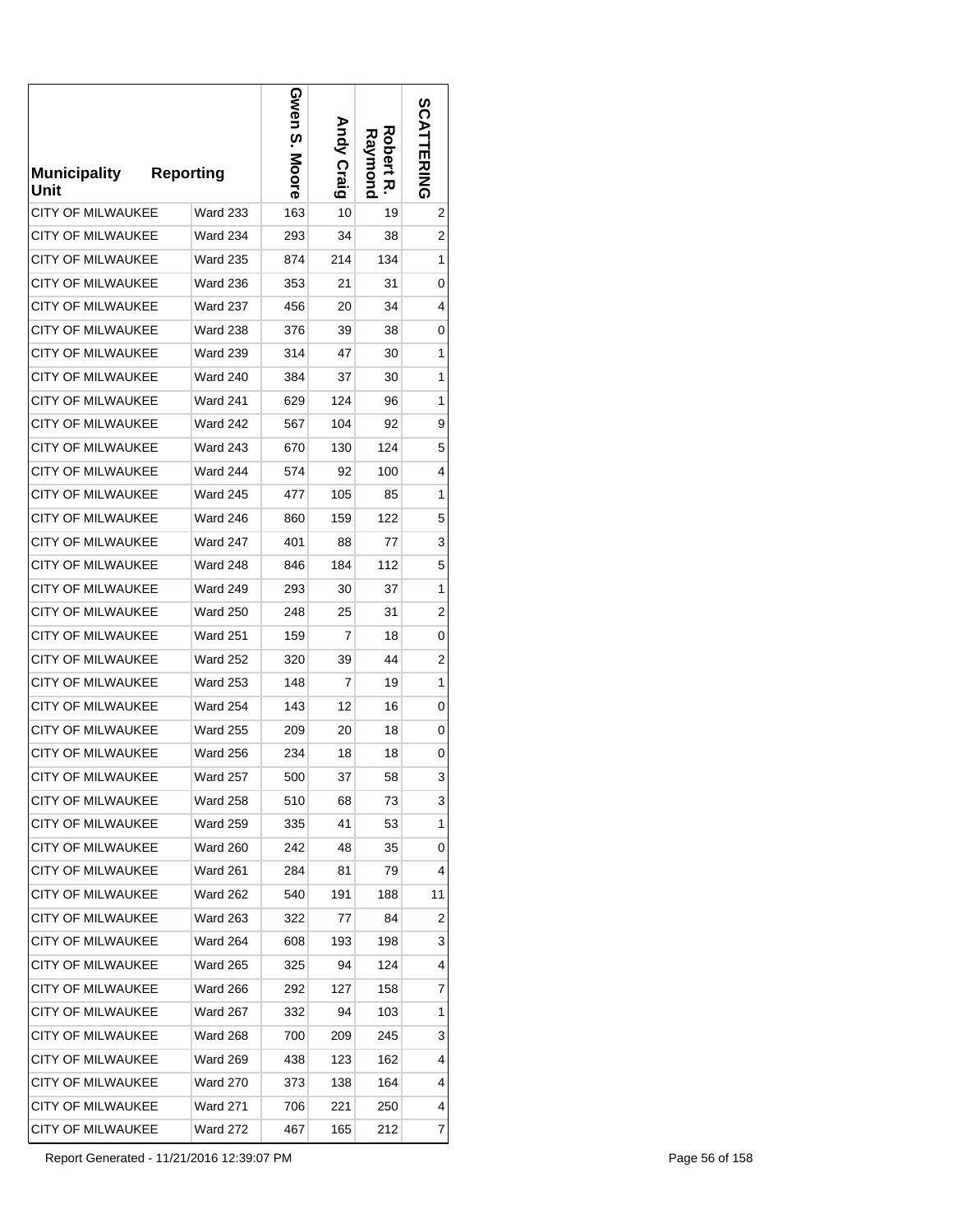| <b>Municipality</b><br>Unit | <b>Reporting</b> | Gwen<br>.<br>:<br>Moore | <b>Andy Craig</b> | Robert<br>Raymond<br>ᅎ | <b>SCATTERING</b> |
|-----------------------------|------------------|-------------------------|-------------------|------------------------|-------------------|
| CITY OF MILWAUKEE           | <b>Ward 233</b>  | 163                     | 10                | 19                     | 2                 |
| <b>CITY OF MILWAUKEE</b>    | <b>Ward 234</b>  | 293                     | 34                | 38                     | 2                 |
| <b>CITY OF MILWAUKEE</b>    | <b>Ward 235</b>  | 874                     | 214               | 134                    | 1                 |
| CITY OF MILWAUKEE           | <b>Ward 236</b>  | 353                     | 21                | 31                     | 0                 |
| <b>CITY OF MILWAUKEE</b>    | <b>Ward 237</b>  | 456                     | 20                | 34                     | 4                 |
| <b>CITY OF MILWAUKEE</b>    | <b>Ward 238</b>  | 376                     | 39                | 38                     | 0                 |
| CITY OF MILWAUKEE           | <b>Ward 239</b>  | 314                     | 47                | 30                     | 1                 |
| <b>CITY OF MILWAUKEE</b>    | <b>Ward 240</b>  | 384                     | 37                | 30                     | 1                 |
| <b>CITY OF MILWAUKEE</b>    | <b>Ward 241</b>  | 629                     | 124               | 96                     | 1                 |
| <b>CITY OF MILWAUKEE</b>    | <b>Ward 242</b>  | 567                     | 104               | 92                     | 9                 |
| <b>CITY OF MILWAUKEE</b>    | <b>Ward 243</b>  | 670                     | 130               | 124                    | 5                 |
| <b>CITY OF MILWAUKEE</b>    | <b>Ward 244</b>  | 574                     | 92                | 100                    | 4                 |
| CITY OF MILWAUKEE           | <b>Ward 245</b>  | 477                     | 105               | 85                     | 1                 |
| <b>CITY OF MILWAUKEE</b>    | <b>Ward 246</b>  | 860                     | 159               | 122                    | 5                 |
| CITY OF MILWAUKEE           | Ward 247         | 401                     | 88                | 77                     | 3                 |
| CITY OF MILWAUKEE           | <b>Ward 248</b>  | 846                     | 184               | 112                    | 5                 |
| CITY OF MILWAUKEE           | Ward 249         | 293                     | 30                | 37                     | 1                 |
| CITY OF MILWAUKEE           | Ward 250         | 248                     | 25                | 31                     | 2                 |
| CITY OF MILWAUKEE           | <b>Ward 251</b>  | 159                     | 7                 | 18                     | 0                 |
| CITY OF MILWAUKEE           | <b>Ward 252</b>  | 320                     | 39                | 44                     | 2                 |
| CITY OF MILWAUKEE           | <b>Ward 253</b>  | 148                     | 7                 | 19                     | 1                 |
| CITY OF MILWAUKEE           | <b>Ward 254</b>  | 143                     | 12                | 16                     | 0                 |
| <b>CITY OF MILWAUKEE</b>    | <b>Ward 255</b>  | 209                     | 20                | 18                     | 0                 |
| <b>CITY OF MILWAUKEE</b>    | Ward 256         | 234                     | 18                | 18                     | 0                 |
| <b>CITY OF MILWAUKEE</b>    | <b>Ward 257</b>  | 500                     | 37                | 58                     | 3                 |
| CITY OF MILWAUKEE           | <b>Ward 258</b>  | 510                     | 68                | 73                     | 3                 |
| CITY OF MILWAUKEE           | Ward 259         | 335                     | 41                | 53                     | 1                 |
| CITY OF MILWAUKEE           | <b>Ward 260</b>  | 242                     | 48                | 35                     | 0                 |
| CITY OF MILWAUKEE           | <b>Ward 261</b>  | 284                     | 81                | 79                     | 4                 |
| CITY OF MILWAUKEE           | <b>Ward 262</b>  | 540                     | 191               | 188                    | 11                |
| CITY OF MILWAUKEE           | <b>Ward 263</b>  | 322                     | 77                | 84                     | 2                 |
| CITY OF MILWAUKEE           | <b>Ward 264</b>  | 608                     | 193               | 198                    | 3                 |
| CITY OF MILWAUKEE           | <b>Ward 265</b>  | 325                     | 94                | 124                    | 4                 |
| CITY OF MILWAUKEE           | <b>Ward 266</b>  | 292                     | 127               | 158                    | 7                 |
| CITY OF MILWAUKEE           | <b>Ward 267</b>  | 332                     | 94                | 103                    | 1                 |
| CITY OF MILWAUKEE           | <b>Ward 268</b>  | 700                     | 209               | 245                    | 3                 |
| CITY OF MILWAUKEE           | Ward 269         | 438                     | 123               | 162                    | 4                 |
| CITY OF MILWAUKEE           | <b>Ward 270</b>  | 373                     | 138               | 164                    | 4                 |
| CITY OF MILWAUKEE           | <b>Ward 271</b>  | 706                     | 221               | 250                    | 4                 |
| CITY OF MILWAUKEE           | Ward 272         | 467                     | 165               | 212                    | 7                 |

Report Generated - 11/21/2016 12:39:07 PM Page 56 of 158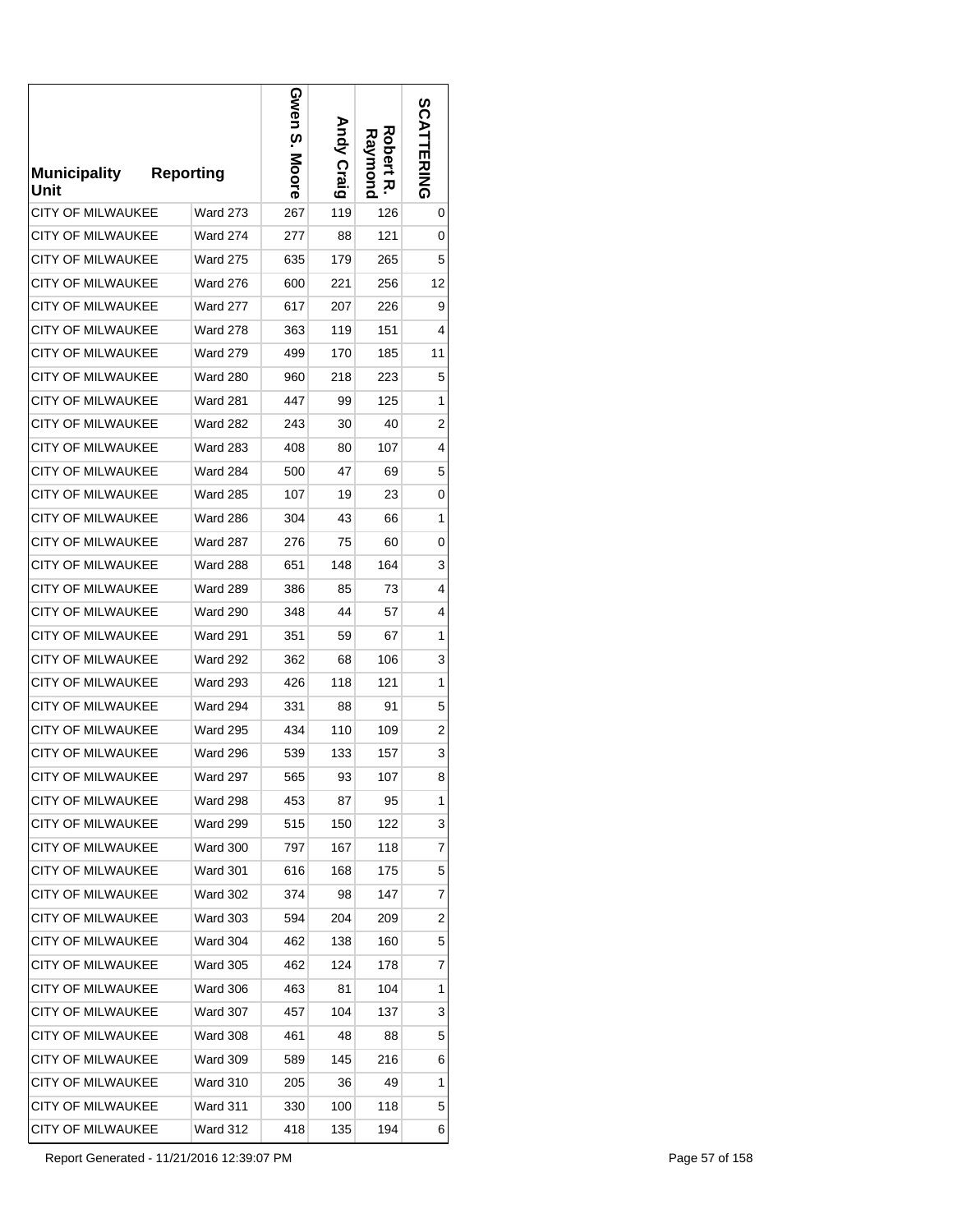| <b>Municipality</b><br>Unit | Reporting       | Gwen<br>თ.<br>Moore | <b>Andy Craig</b> | Robert<br>Raymond<br>ᅎ | <b>SCATTERING</b>       |
|-----------------------------|-----------------|---------------------|-------------------|------------------------|-------------------------|
| CITY OF MILWAUKEE           | <b>Ward 273</b> | 267                 | 119               | 126                    | 0                       |
| <b>CITY OF MILWAUKEE</b>    | <b>Ward 274</b> | 277                 | 88                | 121                    | 0                       |
| <b>CITY OF MILWAUKEE</b>    | <b>Ward 275</b> | 635                 | 179               | 265                    | 5                       |
| <b>CITY OF MILWAUKEE</b>    | <b>Ward 276</b> | 600                 | 221               | 256                    | 12                      |
| <b>CITY OF MILWAUKEE</b>    | <b>Ward 277</b> | 617                 | 207               | 226                    | 9                       |
| <b>CITY OF MILWAUKEE</b>    | <b>Ward 278</b> | 363                 | 119               | 151                    | 4                       |
| CITY OF MILWAUKEE           | <b>Ward 279</b> | 499                 | 170               | 185                    | 11                      |
| <b>CITY OF MILWAUKEE</b>    | <b>Ward 280</b> | 960                 | 218               | 223                    | 5                       |
| <b>CITY OF MILWAUKEE</b>    | <b>Ward 281</b> | 447                 | 99                | 125                    | 1                       |
| <b>CITY OF MILWAUKEE</b>    | <b>Ward 282</b> | 243                 | 30                | 40                     | 2                       |
| CITY OF MILWAUKEE           | <b>Ward 283</b> | 408                 | 80                | 107                    | 4                       |
| <b>CITY OF MILWAUKEE</b>    | <b>Ward 284</b> | 500                 | 47                | 69                     | 5                       |
| CITY OF MILWAUKEE           | <b>Ward 285</b> | 107                 | 19                | 23                     | 0                       |
| <b>CITY OF MILWAUKEE</b>    | <b>Ward 286</b> | 304                 | 43                | 66                     | 1                       |
| CITY OF MILWAUKEE           | Ward 287        | 276                 | 75                | 60                     | 0                       |
| CITY OF MILWAUKEE           | <b>Ward 288</b> | 651                 | 148               | 164                    | 3                       |
| CITY OF MILWAUKEE           | Ward 289        | 386                 | 85                | 73                     | 4                       |
| CITY OF MILWAUKEE           | Ward 290        | 348                 | 44                | 57                     | 4                       |
| CITY OF MILWAUKEE           | <b>Ward 291</b> | 351                 | 59                | 67                     | 1                       |
| CITY OF MILWAUKEE           | <b>Ward 292</b> | 362                 | 68                | 106                    | 3                       |
| CITY OF MILWAUKEE           | <b>Ward 293</b> | 426                 | 118               | 121                    | 1                       |
| CITY OF MILWAUKEE           | <b>Ward 294</b> | 331                 | 88                | 91                     | 5                       |
| CITY OF MILWAUKEE           | <b>Ward 295</b> | 434                 | 110               | 109                    | $\overline{\mathbf{c}}$ |
| <b>CITY OF MILWAUKEE</b>    | Ward 296        | 539                 | 133               | 157                    | 3                       |
| <b>CITY OF MILWAUKEE</b>    | Ward 297        | 565                 | 93                | 107                    | 8                       |
| <b>CITY OF MILWAUKEE</b>    | <b>Ward 298</b> | 453                 | 87                | 95                     | 1                       |
| <b>CITY OF MILWAUKEE</b>    | <b>Ward 299</b> | 515                 | 150               | 122                    | 3                       |
| CITY OF MILWAUKEE           | <b>Ward 300</b> | 797                 | 167               | 118                    | 7                       |
| CITY OF MILWAUKEE           | <b>Ward 301</b> | 616                 | 168               | 175                    | 5                       |
| <b>CITY OF MILWAUKEE</b>    | <b>Ward 302</b> | 374                 | 98                | 147                    | 7                       |
| CITY OF MILWAUKEE           | <b>Ward 303</b> | 594                 | 204               | 209                    | 2                       |
| CITY OF MILWAUKEE           | <b>Ward 304</b> | 462                 | 138               | 160                    | 5                       |
| CITY OF MILWAUKEE           | <b>Ward 305</b> | 462                 | 124               | 178                    | 7                       |
| CITY OF MILWAUKEE           | <b>Ward 306</b> | 463                 | 81                | 104                    | 1                       |
| CITY OF MILWAUKEE           | <b>Ward 307</b> | 457                 | 104               | 137                    | 3                       |
| CITY OF MILWAUKEE           | <b>Ward 308</b> | 461                 | 48                | 88                     | 5                       |
| CITY OF MILWAUKEE           | <b>Ward 309</b> | 589                 | 145               | 216                    | 6                       |
| CITY OF MILWAUKEE           | <b>Ward 310</b> | 205                 | 36                | 49                     | 1                       |
| CITY OF MILWAUKEE           | Ward 311        | 330                 | 100               | 118                    | 5                       |
| CITY OF MILWAUKEE           | Ward 312        | 418                 | 135               | 194                    | 6                       |

Report Generated - 11/21/2016 12:39:07 PM Page 57 of 158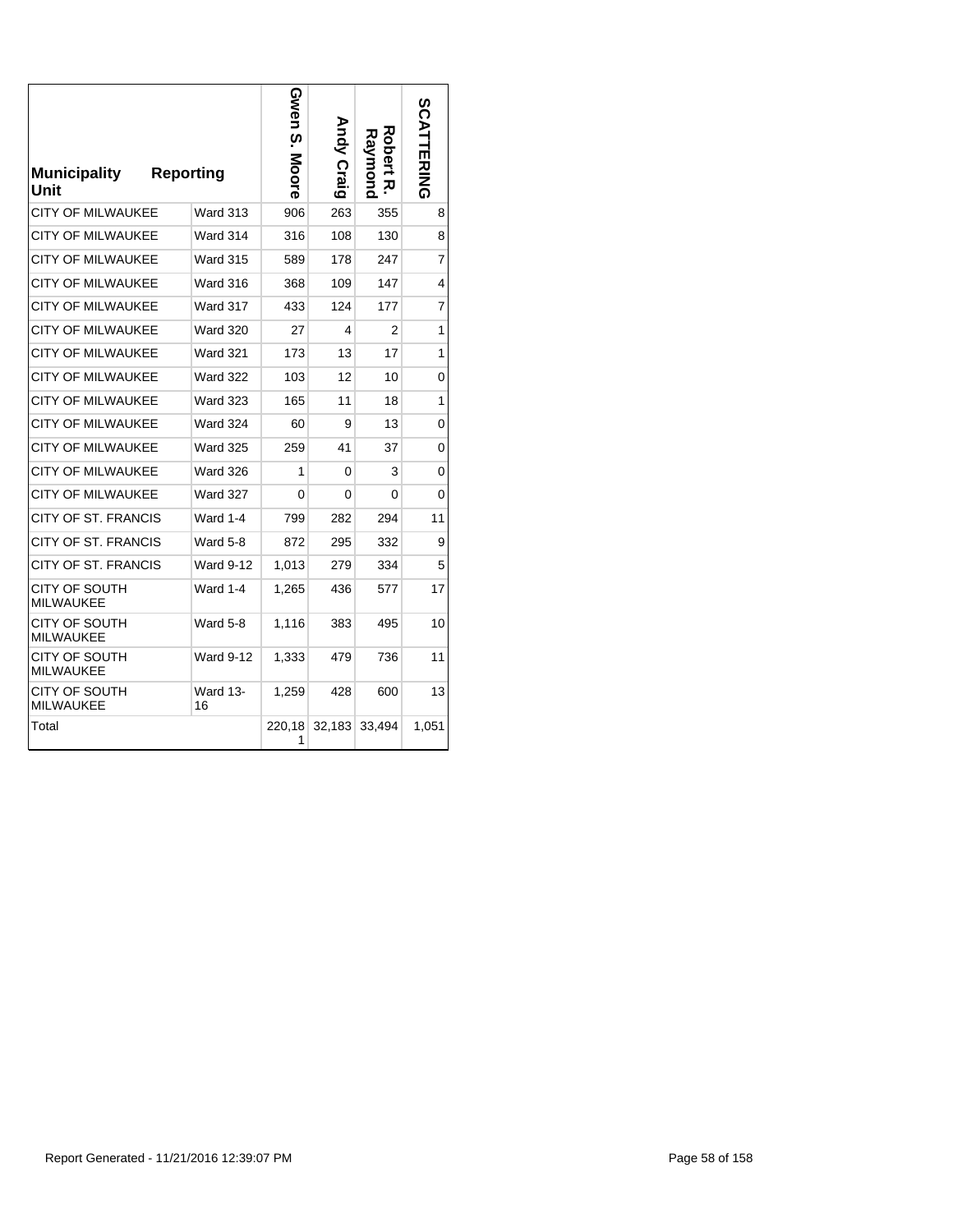| <b>Municipality</b><br>Unit       | <b>Reporting</b> | Gwen S.<br>Moore | Andy Craig | Robert<br>Raymond<br>ᅎ | <b>SCATTERING</b> |
|-----------------------------------|------------------|------------------|------------|------------------------|-------------------|
| CITY OF MILWAUKEE                 | <b>Ward 313</b>  | 906              | 263        | 355                    | 8                 |
| CITY OF MILWAUKEE                 | Ward 314         | 316              | 108        | 130                    | 8                 |
| <b>CITY OF MILWAUKEE</b>          | <b>Ward 315</b>  | 589              | 178        | 247                    | 7                 |
| <b>CITY OF MILWAUKEE</b>          | Ward 316         | 368              | 109        | 147                    | 4                 |
| <b>CITY OF MILWAUKEE</b>          | Ward 317         | 433              | 124        | 177                    | 7                 |
| <b>CITY OF MILWAUKEE</b>          | <b>Ward 320</b>  | 27               | 4          | 2                      | 1                 |
| <b>CITY OF MILWAUKEE</b>          | <b>Ward 321</b>  | 173              | 13         | 17                     | 1                 |
| <b>CITY OF MILWAUKEE</b>          | <b>Ward 322</b>  | 103              | 12         | 10                     | 0                 |
| CITY OF MILWAUKEE                 | <b>Ward 323</b>  | 165              | 11         | 18                     | 1                 |
| <b>CITY OF MILWAUKEE</b>          | <b>Ward 324</b>  | 60               | 9          | 13                     | 0                 |
| CITY OF MILWAUKEE                 | <b>Ward 325</b>  | 259              | 41         | 37                     | 0                 |
| CITY OF MILWAUKEE                 | <b>Ward 326</b>  | 1                | 0          | 3                      | 0                 |
| CITY OF MILWAUKEE                 | <b>Ward 327</b>  | 0                | 0          | 0                      | 0                 |
| CITY OF ST. FRANCIS               | Ward 1-4         | 799              | 282        | 294                    | 11                |
| CITY OF ST. FRANCIS               | Ward 5-8         | 872              | 295        | 332                    | 9                 |
| CITY OF ST. FRANCIS               | <b>Ward 9-12</b> | 1,013            | 279        | 334                    | 5                 |
| <b>CITY OF SOUTH</b><br>MILWAUKEE | <b>Ward 1-4</b>  | 1,265            | 436        | 577                    | 17                |
| CITY OF SOUTH<br>MILWAUKEE        | Ward 5-8         | 1,116            | 383        | 495                    | 10                |
| CITY OF SOUTH<br>MILWAUKEE        | <b>Ward 9-12</b> | 1,333            | 479        | 736                    | 11                |
| CITY OF SOUTH<br>MILWAUKEE        | Ward 13-<br>16   | 1,259            | 428        | 600                    | 13                |
| Total                             |                  | 220,18<br>1      | 32,183     | 33,494                 | 1,051             |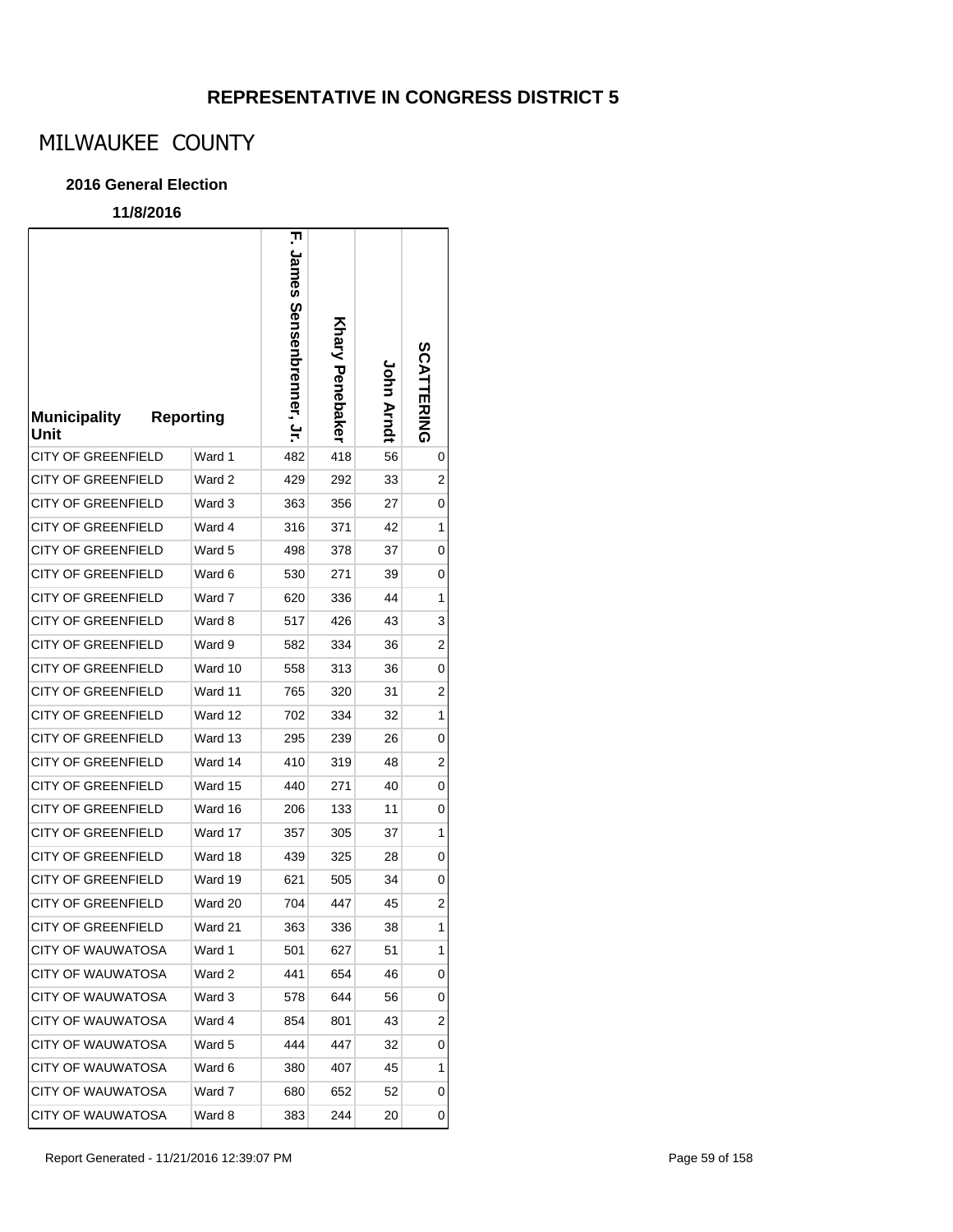# MILWAUKEE COUNTY

### **2016 General Election**

| <b>Municipality</b><br>Unit | <b>Reporting</b> | ᄁ<br>James<br><b>Sensenbrenner</b> , Jr. | Khary Penebaker | John Arndt | SCATTERING |
|-----------------------------|------------------|------------------------------------------|-----------------|------------|------------|
| <b>CITY OF GREENFIELD</b>   | Ward 1           | 482                                      | 418             | 56         | 0          |
| <b>CITY OF GREENFIELD</b>   | Ward 2           | 429                                      | 292             | 33         | 2          |
| <b>CITY OF GREENFIELD</b>   | Ward 3           | 363                                      | 356             | 27         | 0          |
| <b>CITY OF GREENFIELD</b>   | Ward 4           | 316                                      | 371             | 42         | 1          |
| <b>CITY OF GREENFIELD</b>   | Ward 5           | 498                                      | 378             | 37         | 0          |
| <b>CITY OF GREENFIELD</b>   | Ward 6           | 530                                      | 271             | 39         | 0          |
| <b>CITY OF GREENFIELD</b>   | Ward 7           | 620                                      | 336             | 44         | 1          |
| <b>CITY OF GREENFIELD</b>   | Ward 8           | 517                                      | 426             | 43         | 3          |
| <b>CITY OF GREENFIELD</b>   | Ward 9           | 582                                      | 334             | 36         | 2          |
| <b>CITY OF GREENFIELD</b>   | Ward 10          | 558                                      | 313             | 36         | 0          |
| <b>CITY OF GREENFIELD</b>   | Ward 11          | 765                                      | 320             | 31         | 2          |
| <b>CITY OF GREENFIELD</b>   | Ward 12          | 702                                      | 334             | 32         | 1          |
| <b>CITY OF GREENFIELD</b>   | Ward 13          | 295                                      | 239             | 26         | 0          |
| <b>CITY OF GREENFIELD</b>   | Ward 14          | 410                                      | 319             | 48         | 2          |
| <b>CITY OF GREENFIELD</b>   | Ward 15          | 440                                      | 271             | 40         | 0          |
| <b>CITY OF GREENFIELD</b>   | Ward 16          | 206                                      | 133             | 11         | 0          |
| <b>CITY OF GREENFIELD</b>   | Ward 17          | 357                                      | 305             | 37         | 1          |
| <b>CITY OF GREENFIELD</b>   | Ward 18          | 439                                      | 325             | 28         | 0          |
| <b>CITY OF GREENFIELD</b>   | Ward 19          | 621                                      | 505             | 34         | 0          |
| <b>CITY OF GREENFIELD</b>   | Ward 20          | 704                                      | 447             | 45         | 2          |
| <b>CITY OF GREENFIELD</b>   | Ward 21          | 363                                      | 336             | 38         | 1          |
| CITY OF WAUWATOSA           | Ward 1           | 501                                      | 627             | 51         | 1          |
| <b>CITY OF WAUWATOSA</b>    | Ward 2           | 441                                      | 654             | 46         | 0          |
| CITY OF WAUWATOSA           | Ward 3           | 578                                      | 644             | 56         | 0          |
| <b>CITY OF WAUWATOSA</b>    | Ward 4           | 854                                      | 801             | 43         | 2          |
| <b>CITY OF WAUWATOSA</b>    | Ward 5           | 444                                      | 447             | 32         | 0          |
| <b>CITY OF WAUWATOSA</b>    | Ward 6           | 380                                      | 407             | 45         | 1          |
| <b>CITY OF WAUWATOSA</b>    | Ward 7           | 680                                      | 652             | 52         | 0          |
| <b>CITY OF WAUWATOSA</b>    | Ward 8           | 383                                      | 244             | 20         | 0          |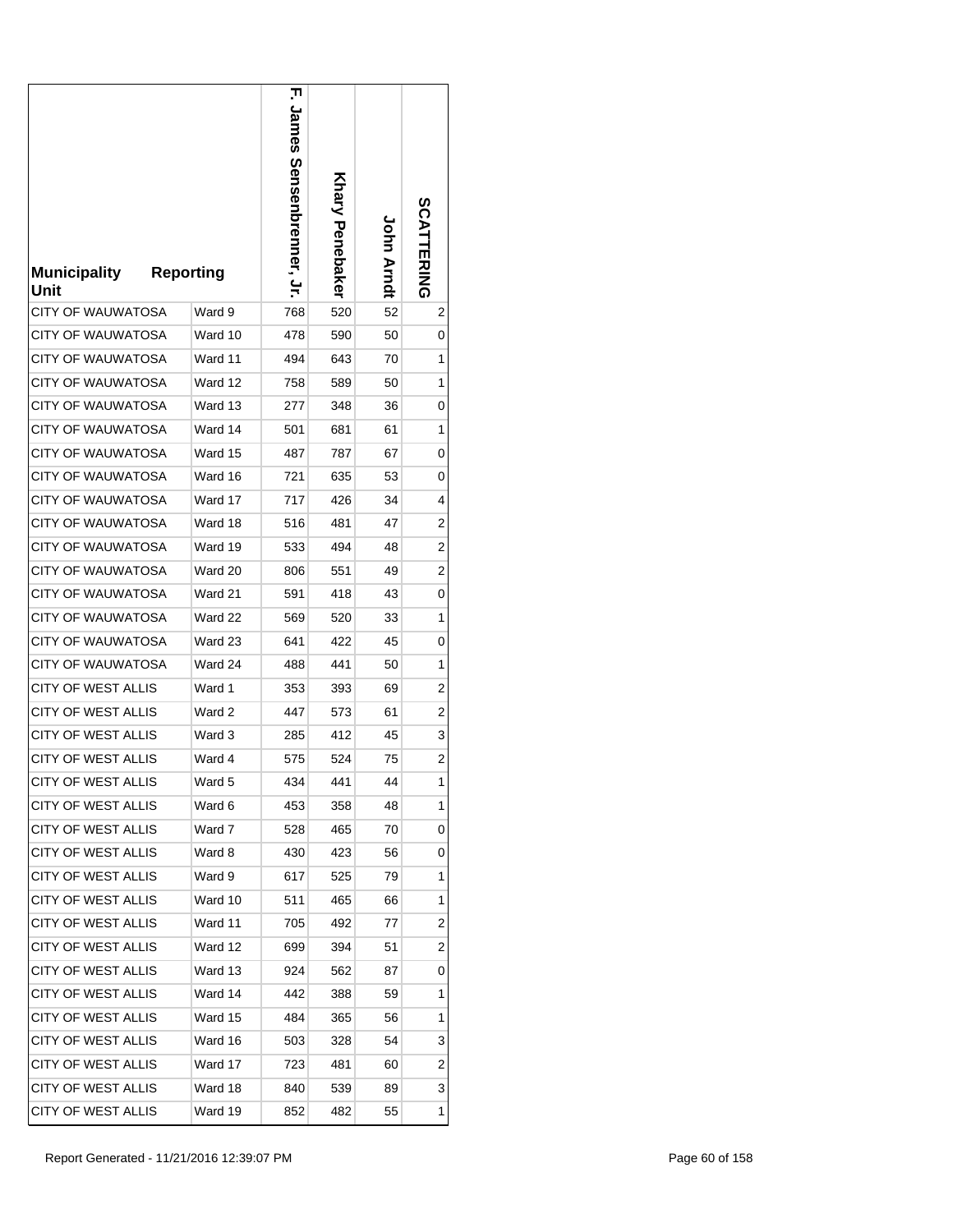| <b>Municipality</b><br>Unit | <b>Reporting</b> |         | 고<br>James Sensenbrenner, Jr. | Khary Penebaker | John Arndt | <b>SCATTERING</b> |
|-----------------------------|------------------|---------|-------------------------------|-----------------|------------|-------------------|
| <b>CITY OF WAUWATOSA</b>    |                  | Ward 9  | 768                           | 520             | 52         | 2                 |
| CITY OF WAUWATOSA           |                  | Ward 10 | 478                           | 590             | 50         | 0                 |
| CITY OF WAUWATOSA           |                  | Ward 11 | 494                           | 643             | 70         | 1                 |
| <b>CITY OF WAUWATOSA</b>    |                  | Ward 12 | 758                           | 589             | 50         | 1                 |
| <b>CITY OF WAUWATOSA</b>    |                  | Ward 13 | 277                           | 348             | 36         | 0                 |
| CITY OF WAUWATOSA           |                  | Ward 14 | 501                           | 681             | 61         | 1                 |
| <b>CITY OF WAUWATOSA</b>    |                  | Ward 15 | 487                           | 787             | 67         | 0                 |
| <b>CITY OF WAUWATOSA</b>    |                  | Ward 16 | 721                           | 635             | 53         | 0                 |
| CITY OF WAUWATOSA           |                  | Ward 17 | 717                           | 426             | 34         | 4                 |
| CITY OF WAUWATOSA           |                  | Ward 18 | 516                           | 481             | 47         | 2                 |
| CITY OF WAUWATOSA           |                  | Ward 19 | 533                           | 494             | 48         | 2                 |
| <b>CITY OF WAUWATOSA</b>    |                  | Ward 20 | 806                           | 551             | 49         | 2                 |
| CITY OF WAUWATOSA           |                  | Ward 21 | 591                           | 418             | 43         | 0                 |
| <b>CITY OF WAUWATOSA</b>    |                  | Ward 22 | 569                           | 520             | 33         | 1                 |
| <b>CITY OF WAUWATOSA</b>    |                  | Ward 23 | 641                           | 422             | 45         | 0                 |
| <b>CITY OF WAUWATOSA</b>    |                  | Ward 24 | 488                           | 441             | 50         | 1                 |
| <b>CITY OF WEST ALLIS</b>   |                  | Ward 1  | 353                           | 393             | 69         | 2                 |
| <b>CITY OF WEST ALLIS</b>   |                  | Ward 2  | 447                           | 573             | 61         | 2                 |
| <b>CITY OF WEST ALLIS</b>   |                  | Ward 3  | 285                           | 412             | 45         | 3                 |
| <b>CITY OF WEST ALLIS</b>   |                  | Ward 4  | 575                           | 524             | 75         | 2                 |
| CITY OF WEST ALLIS          |                  | Ward 5  | 434                           | 441             | 44         | 1                 |
| <b>CITY OF WEST ALLIS</b>   |                  | Ward 6  | 453                           | 358             | 48         | 1                 |
| <b>CITY OF WEST ALLIS</b>   |                  | Ward 7  | 528                           | 465             | 70         | 0                 |
| CITY OF WEST ALLIS          |                  | Ward 8  | 430                           | 423             | 56         | 0                 |
| <b>CITY OF WEST ALLIS</b>   |                  | Ward 9  | 617                           | 525             | 79         | 1                 |
| <b>CITY OF WEST ALLIS</b>   |                  | Ward 10 | 511                           | 465             | 66         | 1                 |
| CITY OF WEST ALLIS          |                  | Ward 11 | 705                           | 492             | 77         | 2                 |
| <b>CITY OF WEST ALLIS</b>   |                  | Ward 12 | 699                           | 394             | 51         | 2                 |
| <b>CITY OF WEST ALLIS</b>   |                  | Ward 13 | 924                           | 562             | 87         | 0                 |
| <b>CITY OF WEST ALLIS</b>   |                  | Ward 14 | 442                           | 388             | 59         | 1                 |
| <b>CITY OF WEST ALLIS</b>   |                  | Ward 15 | 484                           | 365             | 56         | 1                 |
| CITY OF WEST ALLIS          |                  | Ward 16 | 503                           | 328             | 54         | 3                 |
| CITY OF WEST ALLIS          |                  | Ward 17 | 723                           | 481             | 60         | 2                 |
| <b>CITY OF WEST ALLIS</b>   |                  | Ward 18 | 840                           | 539             | 89         | 3                 |
| <b>CITY OF WEST ALLIS</b>   |                  | Ward 19 | 852                           | 482             | 55         | 1                 |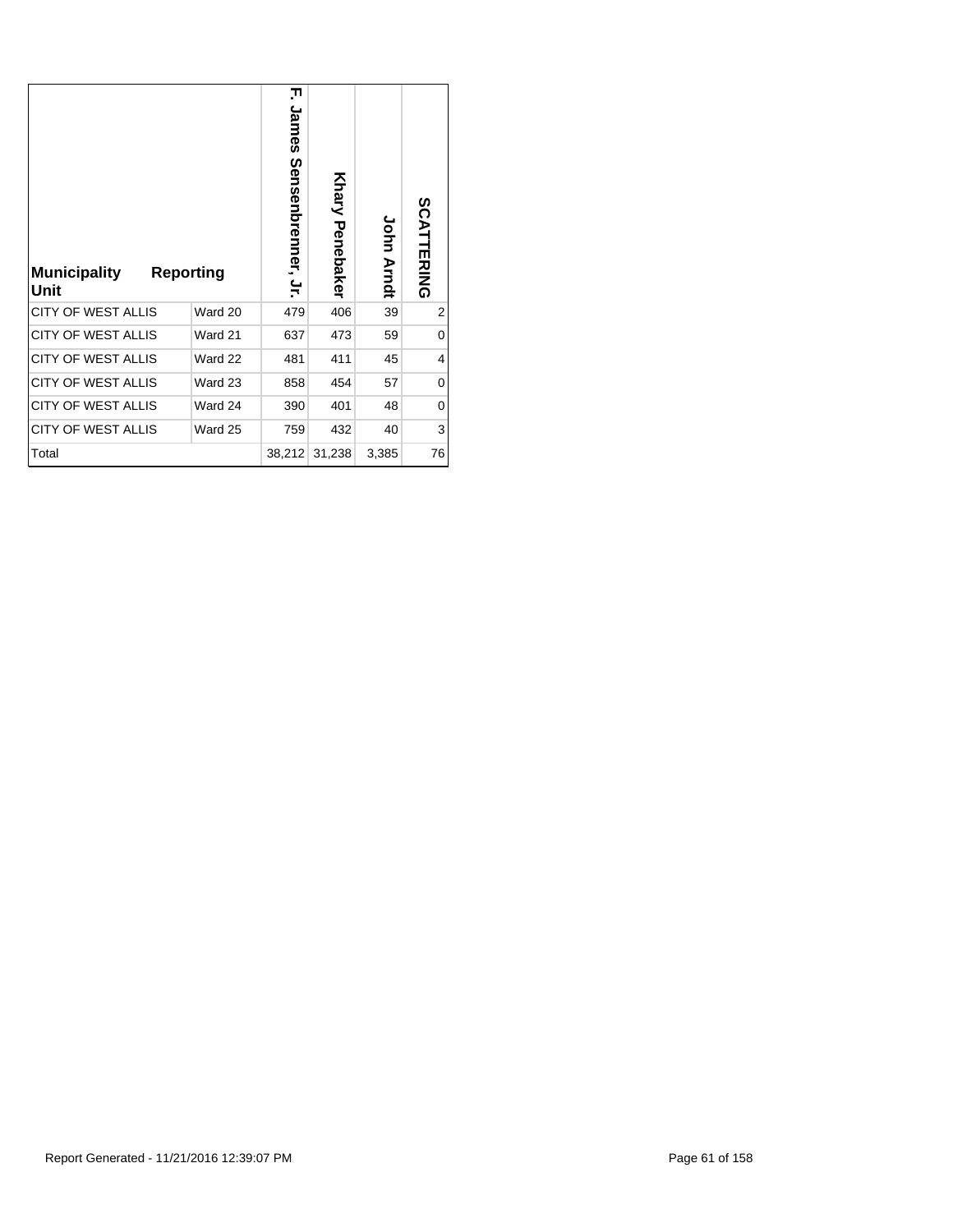| <b>Municipality</b><br>Unit | Reporting | ᆩ<br>James<br>Sensenbrenner, Jr. | <b>Khary Penebaker</b> | <b>John Arndt</b> | SCATTERING |
|-----------------------------|-----------|----------------------------------|------------------------|-------------------|------------|
| CITY OF WEST ALLIS          | Ward 20   | 479                              | 406                    | 39                | 2          |
| <b>CITY OF WEST ALLIS</b>   | Ward 21   | 637                              | 473                    | 59                | 0          |
| <b>CITY OF WEST ALLIS</b>   | Ward 22   | 481                              | 411                    | 45                | 4          |
| CITY OF WEST ALLIS          | Ward 23   | 858                              | 454                    | 57                | 0          |
| <b>CITY OF WEST ALLIS</b>   | Ward 24   | 390                              | 401                    | 48                | 0          |
|                             |           |                                  |                        |                   |            |
| <b>CITY OF WEST ALLIS</b>   | Ward 25   | 759                              | 432                    | 40                | 3          |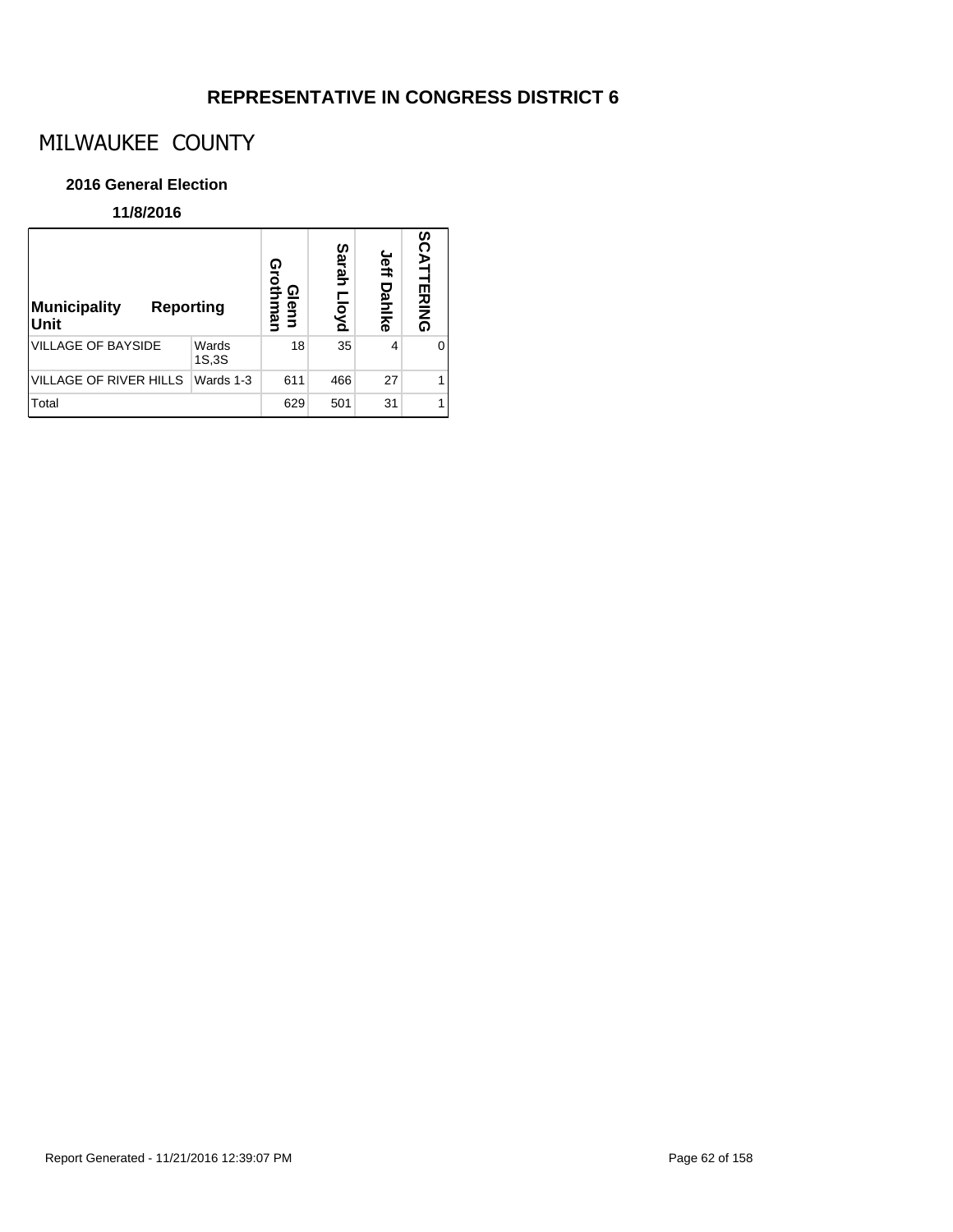# MILWAUKEE COUNTY

### **2016 General Election**

| <b>Municipality</b><br><b>Reporting</b><br>Unit |                | ດ<br>rothi<br>Glenn<br>mal | Sarah<br>pyd | <b>Jeff Dahlke</b> | n<br>ČAT<br><b>TERING</b> |
|-------------------------------------------------|----------------|----------------------------|--------------|--------------------|---------------------------|
| <b>VILLAGE OF BAYSIDE</b>                       | Wards<br>1S,3S | 18                         | 35           | 4                  | O                         |
| <b>VILLAGE OF RIVER HILLS</b>                   | Wards 1-3      | 611                        | 466          | 27                 |                           |
| Total                                           |                | 629                        | 501          | 31                 |                           |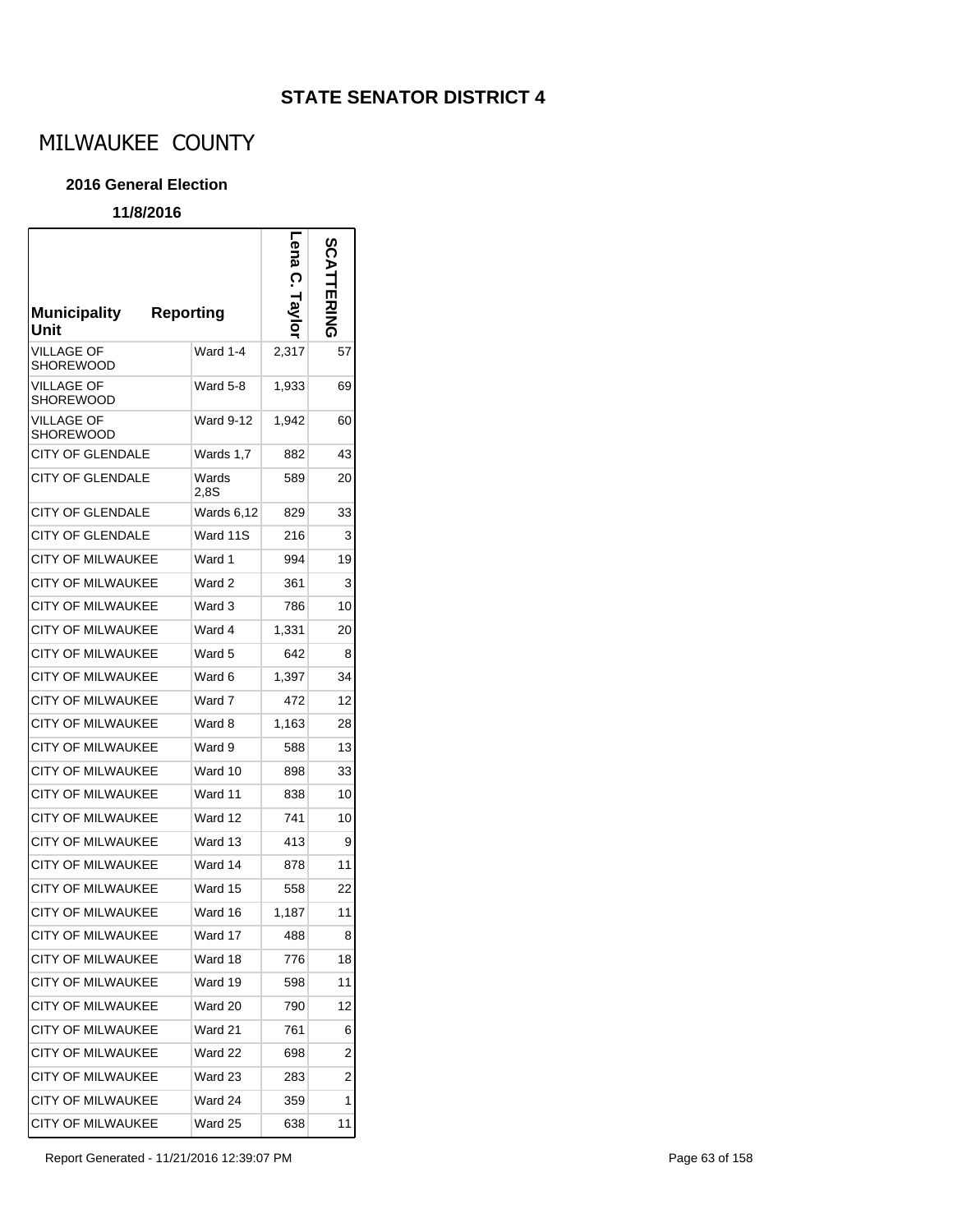# MILWAUKEE COUNTY

### **2016 General Election**

### **11/8/2016**

 $\mathsf{r}$ 

| <b>Municipality</b><br>Unit    | <b>Reporting</b> | ena<br>B<br>$\sigma$<br>Tay | <b>FRING</b> |
|--------------------------------|------------------|-----------------------------|--------------|
| VILLAGE OF<br><b>SHOREWOOD</b> | Ward 1-4         | 2,317                       | 57           |
| <b>VILLAGE OF</b><br>SHOREWOOD | Ward 5-8         | 1,933                       | 69           |
| VILLAGE OF<br><b>SHOREWOOD</b> | <b>Ward 9-12</b> | 1,942                       | 60           |
| CITY OF GLENDALE               | Wards 1,7        | 882                         | 43           |
| CITY OF GLENDALE               | Wards<br>2.8S    | 589                         | 20           |
| <b>CITY OF GLENDALE</b>        | Wards 6,12       | 829                         | 33           |
| CITY OF GLENDALE               | Ward 11S         | 216                         | 3            |
| <b>CITY OF MILWAUKEE</b>       | Ward 1           | 994                         | 19           |
| <b>CITY OF MILWAUKEE</b>       | Ward 2           | 361                         | 3            |
| <b>CITY OF MILWAUKEE</b>       | Ward 3           | 786                         | 10           |
| <b>CITY OF MILWAUKEE</b>       | Ward 4           | 1.331                       | 20           |
| <b>CITY OF MILWAUKEE</b>       | Ward 5           | 642                         | 8            |
| <b>CITY OF MILWAUKEE</b>       | Ward 6           | 1,397                       | 34           |
| <b>CITY OF MILWAUKEE</b>       | Ward 7           | 472                         | 12           |
| <b>CITY OF MILWAUKEE</b>       | Ward 8           | 1,163                       | 28           |
| <b>CITY OF MILWAUKEE</b>       | Ward 9           | 588                         | 13           |
| <b>CITY OF MILWAUKEE</b>       | Ward 10          | 898                         | 33           |
| <b>CITY OF MILWAUKEE</b>       | Ward 11          | 838                         | 10           |
| <b>CITY OF MILWAUKEE</b>       | Ward 12          | 741                         | 10           |
| <b>CITY OF MILWAUKEE</b>       | Ward 13          | 413                         | 9            |
| <b>CITY OF MILWAUKEE</b>       | Ward 14          | 878                         | 11           |
| CITY OF MILWAUKEE              | Ward 15          | 558                         | 22           |
| <b>CITY OF MILWAUKEE</b>       | Ward 16          | 1,187                       | 11           |
| <b>CITY OF MILWAUKEE</b>       | Ward 17          | 488                         | 8            |
| <b>CITY OF MILWAUKEE</b>       | Ward 18          | 776                         | 18           |
| <b>CITY OF MILWAUKEE</b>       | Ward 19          | 598                         | 11           |
| <b>CITY OF MILWAUKEE</b>       | Ward 20          | 790                         | 12           |
| <b>CITY OF MILWAUKEE</b>       | Ward 21          | 761                         | 6            |
| <b>CITY OF MILWAUKEE</b>       | Ward 22          | 698                         | 2            |
| <b>CITY OF MILWAUKEE</b>       | Ward 23          | 283                         | 2            |
| <b>CITY OF MILWAUKEE</b>       | Ward 24          | 359                         | 1            |
| <b>CITY OF MILWAUKEE</b>       | Ward 25          | 638                         | 11           |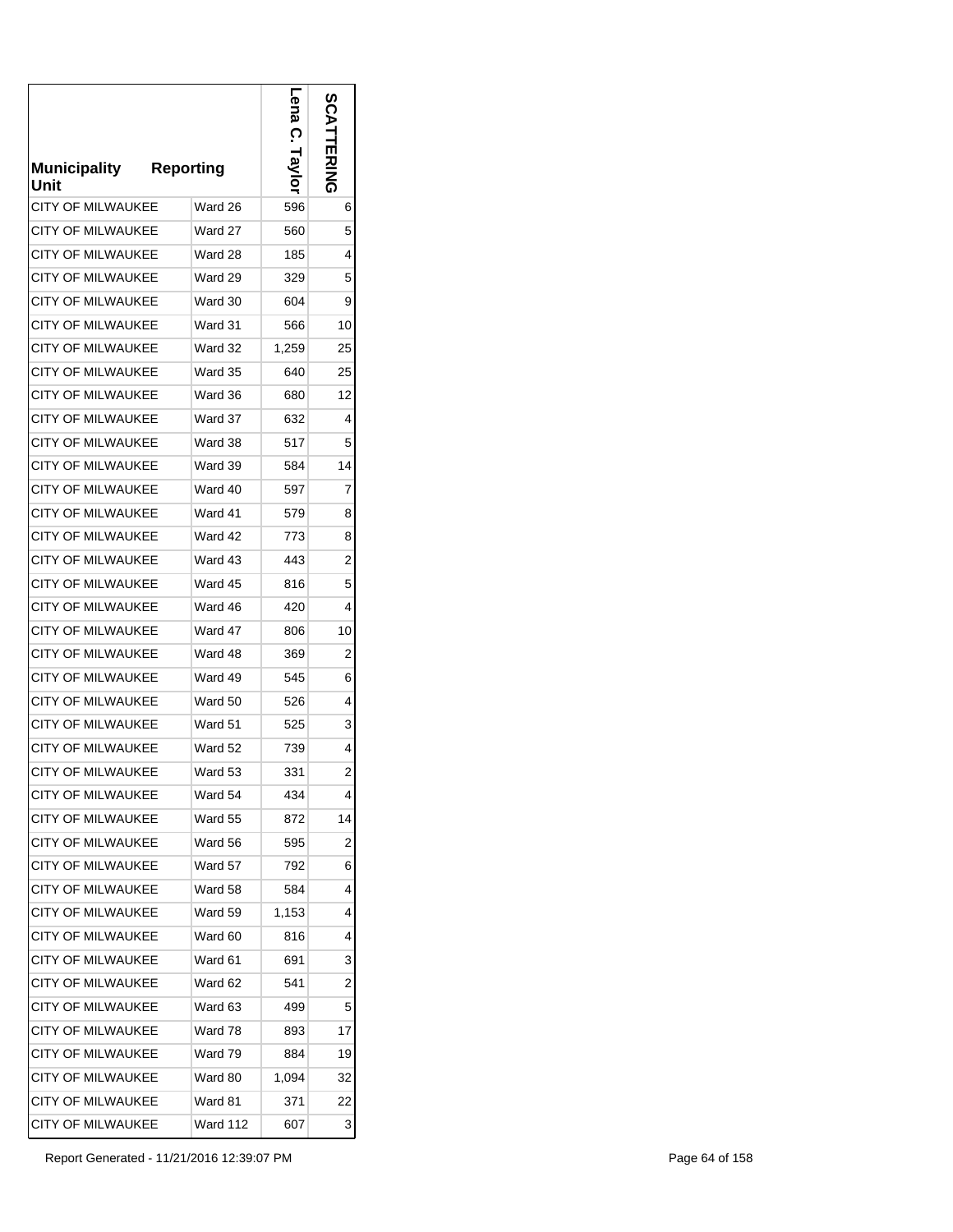| <b>Municipality</b><br>Unit | <b>Reporting</b> | ena<br>ဂု<br>VS I | SCATTERING     |
|-----------------------------|------------------|-------------------|----------------|
| <b>CITY OF MILWAUKEE</b>    | Ward 26          | 596               | 6              |
| <b>CITY OF MILWAUKEE</b>    | Ward 27          | 560               | 5              |
| <b>CITY OF MILWAUKEE</b>    | Ward 28          | 185               | 4              |
| <b>CITY OF MILWAUKEE</b>    | Ward 29          | 329               | 5              |
| <b>CITY OF MILWAUKEE</b>    | Ward 30          | 604               | 9              |
| <b>CITY OF MILWAUKEE</b>    | Ward 31          | 566               | 10             |
| <b>CITY OF MILWAUKEE</b>    | Ward 32          | 1,259             | 25             |
| <b>CITY OF MILWAUKEE</b>    | Ward 35          | 640               | 25             |
| <b>CITY OF MILWAUKEE</b>    | Ward 36          | 680               | 12             |
| <b>CITY OF MILWAUKEE</b>    | Ward 37          | 632               | 4              |
| <b>CITY OF MILWAUKEE</b>    | Ward 38          | 517               | 5              |
| <b>CITY OF MILWAUKEE</b>    | Ward 39          | 584               | 14             |
| <b>CITY OF MILWAUKEE</b>    | Ward 40          | 597               | 7              |
| <b>CITY OF MILWAUKEE</b>    | Ward 41          | 579               | 8              |
| <b>CITY OF MILWAUKEE</b>    | Ward 42          | 773               | 8              |
| CITY OF MILWAUKEE           | Ward 43          | 443               | 2              |
| <b>CITY OF MILWAUKEE</b>    | Ward 45          | 816               | 5              |
| <b>CITY OF MILWAUKEE</b>    | Ward 46          | 420               | 4              |
| <b>CITY OF MILWAUKEE</b>    | Ward 47          | 806               | 10             |
| CITY OF MILWAUKEE           | Ward 48          | 369               | 2              |
| <b>CITY OF MILWAUKEE</b>    | Ward 49          | 545               | 6              |
| CITY OF MILWAUKEE           | Ward 50          | 526               | 4              |
| <b>CITY OF MILWAUKEE</b>    | Ward 51          | 525               | 3              |
| <b>CITY OF MILWAUKEE</b>    | Ward 52          | 739               | 4              |
| <b>CITY OF MILWAUKEE</b>    | Ward 53          | 331               | $\overline{2}$ |
| <b>CITY OF MILWAUKEE</b>    | Ward 54          | 434               | 4              |
| <b>CITY OF MILWAUKEE</b>    | Ward 55          | 872               | 14             |
| <b>CITY OF MILWAUKEE</b>    | Ward 56          | 595               | 2              |
| <b>CITY OF MILWAUKEE</b>    | Ward 57          | 792               | 6              |
| <b>CITY OF MILWAUKEE</b>    | Ward 58          | 584               | 4              |
| <b>CITY OF MILWAUKEE</b>    | Ward 59          | 1,153             | 4              |
| <b>CITY OF MILWAUKEE</b>    | Ward 60          | 816               | 4              |
| <b>CITY OF MILWAUKEE</b>    | Ward 61          | 691               | 3              |
| <b>CITY OF MILWAUKEE</b>    | Ward 62          | 541               | 2              |
| <b>CITY OF MILWAUKEE</b>    | Ward 63          | 499               | 5              |
| <b>CITY OF MILWAUKEE</b>    | Ward 78          | 893               | 17             |
| <b>CITY OF MILWAUKEE</b>    | Ward 79          | 884               | 19             |
| <b>CITY OF MILWAUKEE</b>    | Ward 80          | 1,094             | 32             |
| <b>CITY OF MILWAUKEE</b>    | Ward 81          | 371               | 22             |
| CITY OF MILWAUKEE           | Ward 112         | 607               | 3              |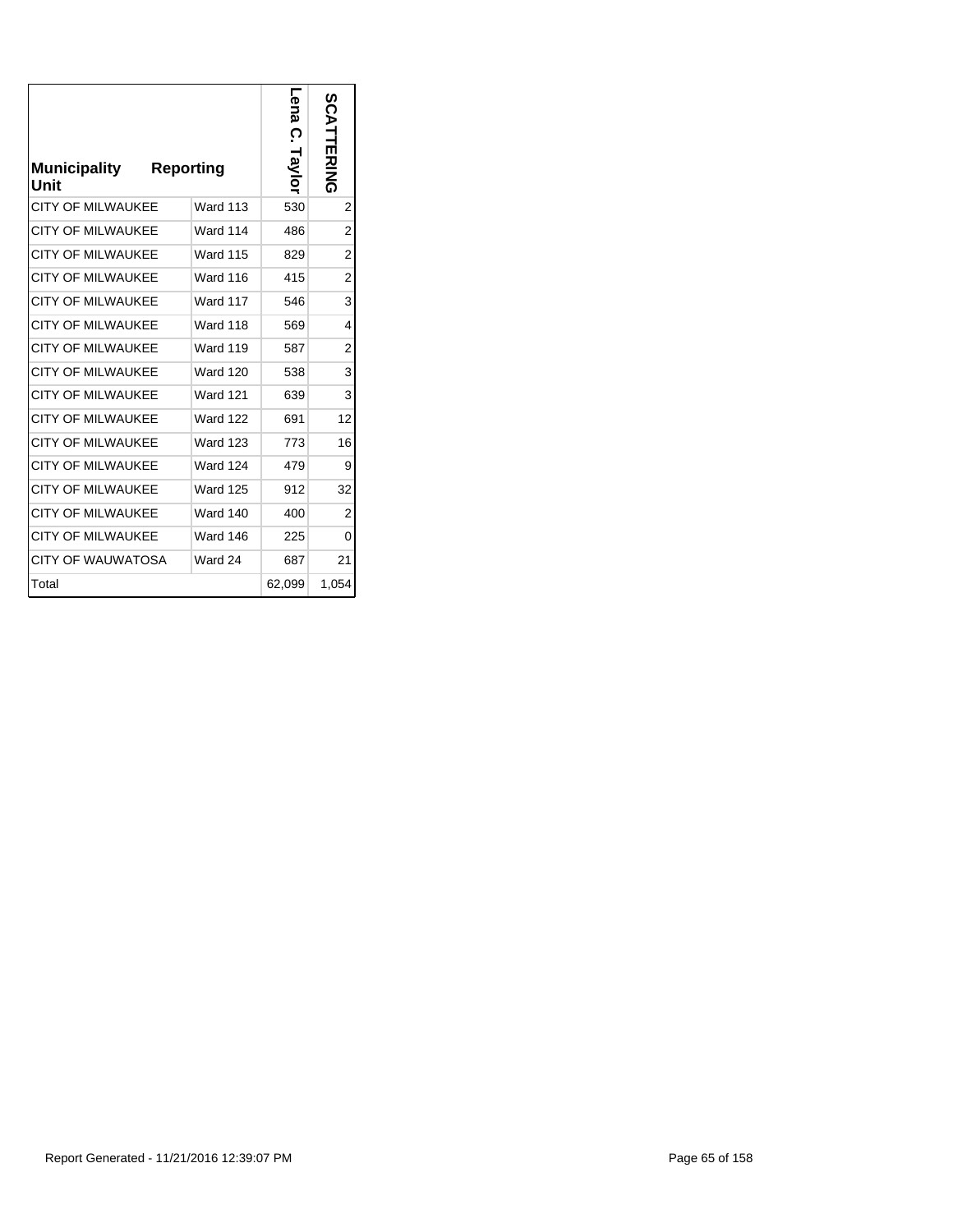| <b>Municipality</b><br>Unit | <b>Reporting</b> | г<br>ena C.<br>Taylor | <b>SCATTERING</b> |
|-----------------------------|------------------|-----------------------|-------------------|
| CITY OF MII WAUKFF          | <b>Ward 113</b>  | 530                   | $\overline{2}$    |
| <b>CITY OF MILWAUKEE</b>    | Ward 114         | 486                   | $\overline{2}$    |
| <b>CITY OF MILWAUKEE</b>    | <b>Ward 115</b>  | 829                   | $\overline{2}$    |
| <b>CITY OF MILWAUKEE</b>    | <b>Ward 116</b>  | 415                   | $\overline{2}$    |
| <b>CITY OF MILWAUKEE</b>    | <b>Ward 117</b>  | 546                   | 3                 |
| <b>CITY OF MILWAUKEE</b>    | <b>Ward 118</b>  | 569                   | 4                 |
| <b>CITY OF MILWAUKEE</b>    | <b>Ward 119</b>  | 587                   | $\overline{2}$    |
| <b>CITY OF MILWAUKEE</b>    | <b>Ward 120</b>  | 538                   | 3                 |
| <b>CITY OF MILWAUKEE</b>    | <b>Ward 121</b>  | 639                   | 3                 |
| <b>CITY OF MILWAUKEE</b>    | <b>Ward 122</b>  | 691                   | 12                |
| <b>CITY OF MILWAUKEE</b>    | <b>Ward 123</b>  | 773                   | 16                |
| <b>CITY OF MILWAUKEE</b>    | <b>Ward 124</b>  | 479                   | 9                 |
| <b>CITY OF MILWAUKEE</b>    | <b>Ward 125</b>  | 912                   | 32                |
| <b>CITY OF MILWAUKEE</b>    | <b>Ward 140</b>  | 400                   | $\overline{2}$    |
| <b>CITY OF MILWAUKEE</b>    | <b>Ward 146</b>  | 225                   | 0                 |
| CITY OF WAUWATOSA           | Ward 24          | 687                   | 21                |
| Total                       |                  | 62,099                | 1,054             |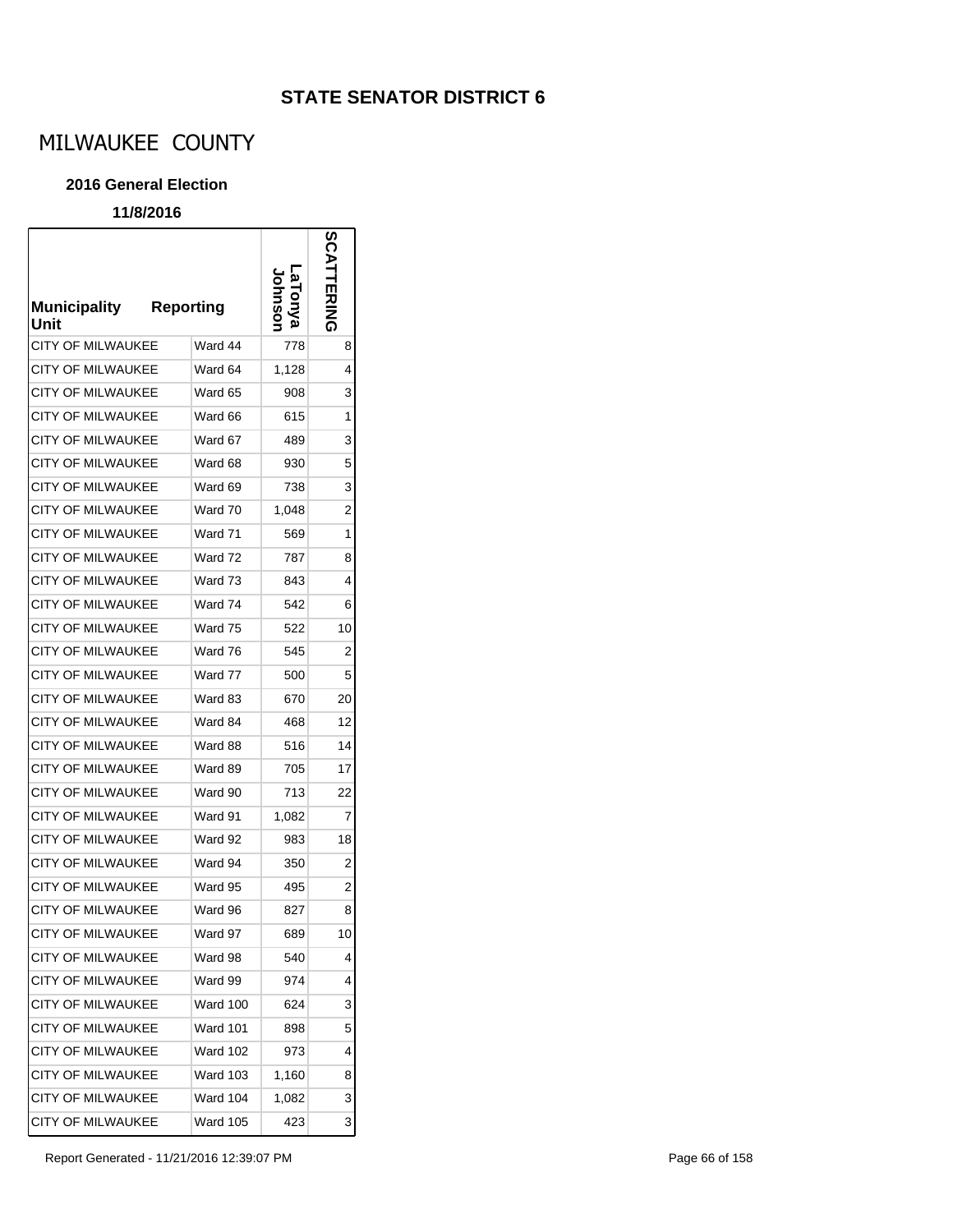# MILWAUKEE COUNTY

### **2016 General Election**

### **11/8/2016**

r

| <b>Municipality</b><br>Unit | <b>Reporting</b> | <u>മ</u> | <b>SCATTERING</b> |
|-----------------------------|------------------|----------|-------------------|
| CITY OF MILWAUKEE           | Ward 44          | 778      | 8                 |
| CITY OF MILWAUKEE           | Ward 64          | 1,128    | 4                 |
| <b>CITY OF MILWAUKEE</b>    | Ward 65          | 908      | 3                 |
| <b>CITY OF MILWAUKEE</b>    | Ward 66          | 615      | 1                 |
| <b>CITY OF MILWAUKEE</b>    | Ward 67          | 489      | 3                 |
| CITY OF MILWAUKEE           | Ward 68          | 930      | 5                 |
| <b>CITY OF MILWAUKEE</b>    | Ward 69          | 738      | 3                 |
| <b>CITY OF MILWAUKEE</b>    | Ward 70          | 1,048    | 2                 |
| <b>CITY OF MILWAUKEE</b>    | Ward 71          | 569      | 1                 |
| <b>CITY OF MILWAUKEE</b>    | Ward 72          | 787      | 8                 |
| <b>CITY OF MILWAUKEE</b>    | Ward 73          | 843      | 4                 |
| <b>CITY OF MILWAUKEE</b>    | Ward 74          | 542      | 6                 |
| <b>CITY OF MILWAUKEE</b>    | Ward 75          | 522      | 10                |
| <b>CITY OF MILWAUKEE</b>    | Ward 76          | 545      | $\overline{c}$    |
| <b>CITY OF MILWAUKEE</b>    | Ward 77          | 500      | 5                 |
| <b>CITY OF MILWAUKEE</b>    | Ward 83          | 670      | 20                |
| <b>CITY OF MILWAUKEE</b>    | Ward 84          | 468      | 12                |
| <b>CITY OF MILWAUKEE</b>    | Ward 88          | 516      | 14                |
| CITY OF MILWAUKEE           | Ward 89          | 705      | 17                |
| CITY OF MILWAUKEE           | Ward 90          | 713      | 22                |
| CITY OF MILWAUKEE           | Ward 91          | 1,082    | 7                 |
| CITY OF MILWAUKEE           | Ward 92          | 983      | 18                |
| <b>CITY OF MILWAUKEE</b>    | Ward 94          | 350      | 2                 |
| CITY OF MILWAUKEE           | Ward 95          | 495      | $\overline{2}$    |
| CITY OF MILWAUKEE           | Ward 96          | 827      | 8                 |
| CITY OF MILWAUKEE           | Ward 97          | 689      | 10                |
| CITY OF MILWAUKEE           | Ward 98          | 540      | 4                 |
| CITY OF MILWAUKEE           | Ward 99          | 974      | 4                 |
| CITY OF MILWAUKEE           | Ward 100         | 624      | 3                 |
| <b>CITY OF MILWAUKEE</b>    | <b>Ward 101</b>  | 898      | 5                 |
| CITY OF MILWAUKEE           | Ward 102         | 973      | 4                 |
| CITY OF MILWAUKEE           | <b>Ward 103</b>  | 1,160    | 8                 |
| <b>CITY OF MILWAUKEE</b>    | <b>Ward 104</b>  | 1,082    | 3                 |
| CITY OF MILWAUKEE           | <b>Ward 105</b>  | 423      | 3                 |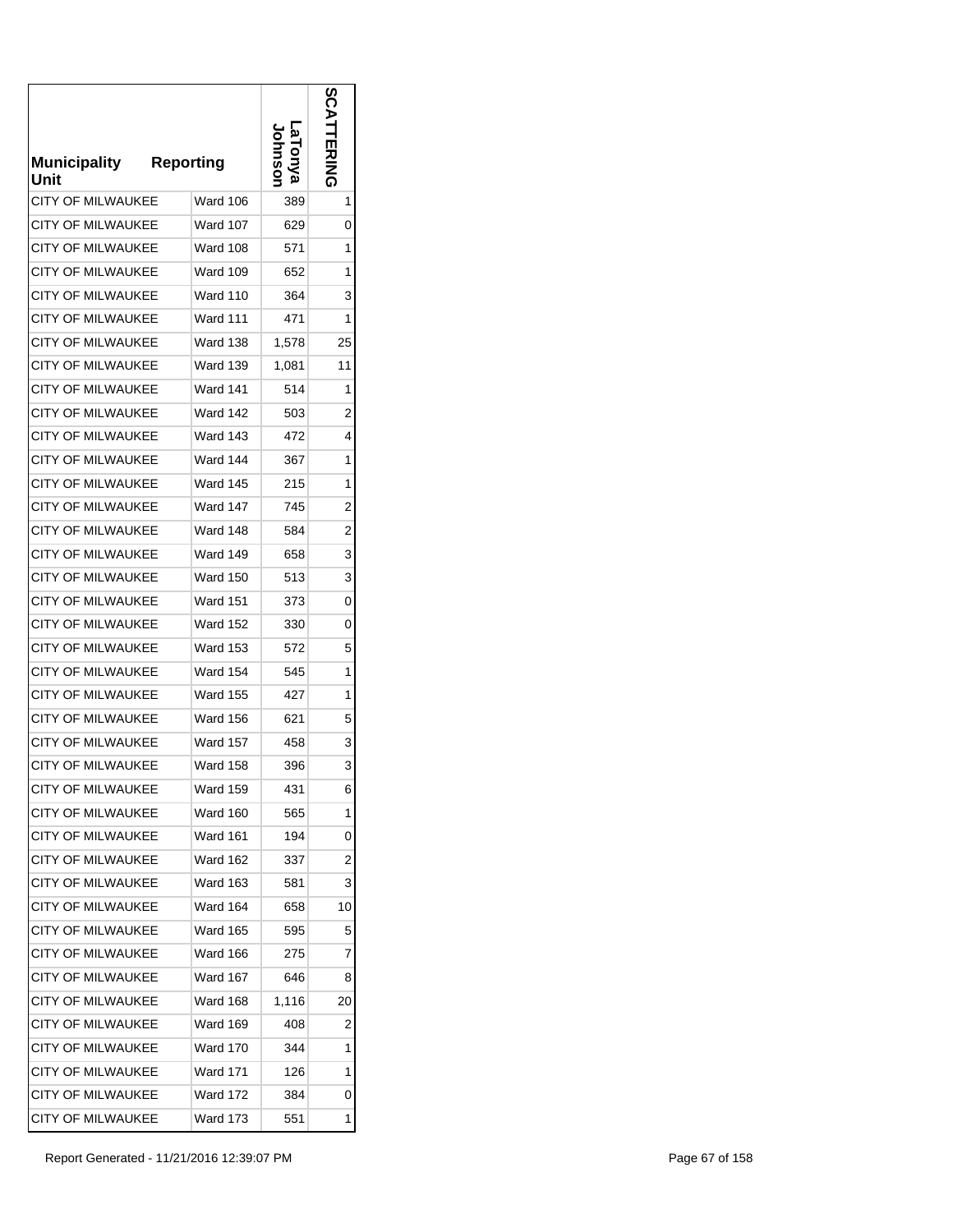| <b>Municipality</b><br>Unit | <b>Reporting</b> |       | ທ<br>교<br>주문 |
|-----------------------------|------------------|-------|--------------|
| <b>CITY OF MILWAUKEE</b>    | Ward 106         | 389   | 1            |
| <b>CITY OF MILWAUKEE</b>    | Ward 107         | 629   | 0            |
| <b>CITY OF MILWAUKEE</b>    | Ward 108         | 571   | 1            |
| <b>CITY OF MILWAUKEE</b>    | <b>Ward 109</b>  | 652   | 1            |
| <b>CITY OF MILWAUKEE</b>    | Ward 110         | 364   | 3            |
| <b>CITY OF MILWAUKEE</b>    | Ward 111         | 471   | 1            |
| <b>CITY OF MILWAUKEE</b>    | Ward 138         | 1,578 | 25           |
| <b>CITY OF MILWAUKEE</b>    | Ward 139         | 1,081 | 11           |
| <b>CITY OF MILWAUKEE</b>    | <b>Ward 141</b>  | 514   | 1            |
| <b>CITY OF MILWAUKEE</b>    | Ward 142         | 503   | 2            |
| <b>CITY OF MILWAUKEE</b>    | <b>Ward 143</b>  | 472   | 4            |
| <b>CITY OF MILWAUKEE</b>    | Ward 144         | 367   | 1            |
| <b>CITY OF MILWAUKEE</b>    | <b>Ward 145</b>  | 215   | 1            |
| <b>CITY OF MILWAUKEE</b>    | <b>Ward 147</b>  | 745   | 2            |
| <b>CITY OF MILWAUKEE</b>    | <b>Ward 148</b>  | 584   | 2            |
| <b>CITY OF MILWAUKEE</b>    | Ward 149         | 658   | 3            |
| <b>CITY OF MILWAUKEE</b>    | <b>Ward 150</b>  | 513   | 3            |
| <b>CITY OF MILWAUKEE</b>    | Ward 151         | 373   | 0            |
| <b>CITY OF MILWAUKEE</b>    | <b>Ward 152</b>  | 330   | 0            |
| <b>CITY OF MILWAUKEE</b>    | <b>Ward 153</b>  | 572   | 5            |
| <b>CITY OF MILWAUKEE</b>    | <b>Ward 154</b>  | 545   | 1            |
| <b>CITY OF MILWAUKEE</b>    | Ward 155         | 427   | 1            |
| <b>CITY OF MILWAUKEE</b>    | <b>Ward 156</b>  | 621   | 5            |
| <b>CITY OF MILWAUKEE</b>    | <b>Ward 157</b>  | 458   | 3            |
| <b>CITY OF MILWAUKEE</b>    | <b>Ward 158</b>  | 396   | 3            |
| <b>CITY OF MILWAUKEE</b>    | Ward 159         | 431   | 6            |
| <b>CITY OF MILWAUKEE</b>    | Ward 160         | 565   | 1            |
| <b>CITY OF MILWAUKEE</b>    | <b>Ward 161</b>  | 194   | 0            |
| <b>CITY OF MILWAUKEE</b>    | <b>Ward 162</b>  | 337   | 2            |
| <b>CITY OF MILWAUKEE</b>    | Ward 163         | 581   | 3            |
| <b>CITY OF MILWAUKEE</b>    | Ward 164         | 658   | 10           |
| <b>CITY OF MILWAUKEE</b>    | Ward 165         | 595   | 5            |
| <b>CITY OF MILWAUKEE</b>    | Ward 166         | 275   | 7            |
| <b>CITY OF MILWAUKEE</b>    | Ward 167         | 646   | 8            |
| <b>CITY OF MILWAUKEE</b>    | Ward 168         | 1,116 | 20           |
| CITY OF MILWAUKEE           | Ward 169         | 408   | 2            |
| CITY OF MILWAUKEE           | Ward 170         | 344   | 1            |
| <b>CITY OF MILWAUKEE</b>    | Ward 171         | 126   | 1            |
| <b>CITY OF MILWAUKEE</b>    | Ward 172         | 384   | 0            |
| CITY OF MILWAUKEE           | Ward 173         | 551   | 1            |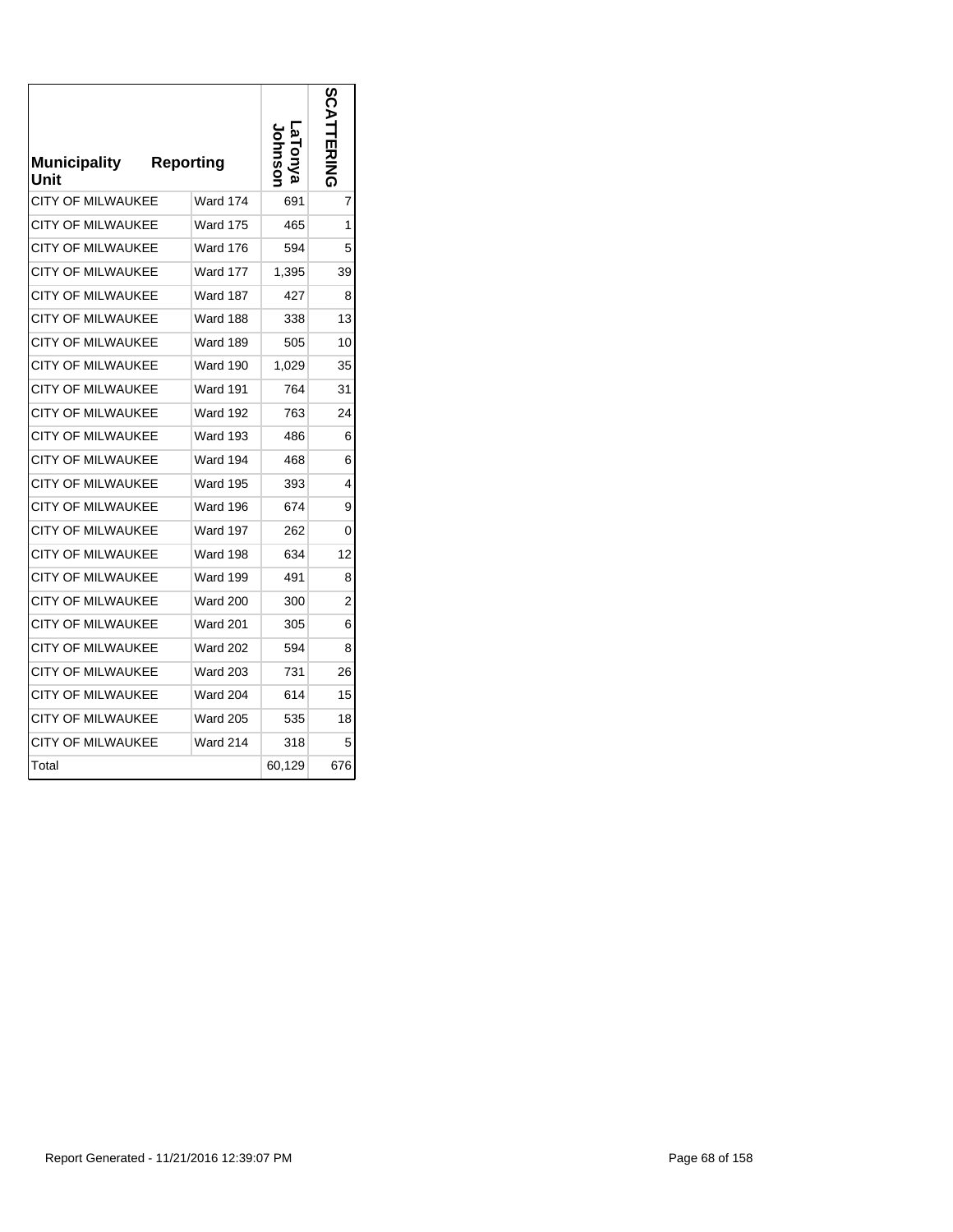| <b>Municipality</b><br>Unit | <b>Reporting</b> |        | ပ္လ<br>TERING  |
|-----------------------------|------------------|--------|----------------|
| <b>CITY OF MILWAUKEE</b>    | <b>Ward 174</b>  | 691    | 7              |
| CITY OF MILWAUKEE           | Ward 175         | 465    | 1              |
| <b>CITY OF MILWAUKEE</b>    | <b>Ward 176</b>  | 594    | 5              |
| <b>CITY OF MILWAUKEE</b>    | <b>Ward 177</b>  | 1,395  | 39             |
| <b>CITY OF MILWAUKEE</b>    | <b>Ward 187</b>  | 427    | 8              |
| CITY OF MILWAUKEE           | Ward 188         | 338    | 13             |
| <b>CITY OF MILWAUKEE</b>    | <b>Ward 189</b>  | 505    | 10             |
| <b>CITY OF MILWAUKEE</b>    | <b>Ward 190</b>  | 1,029  | 35             |
| <b>CITY OF MILWAUKEE</b>    | <b>Ward 191</b>  | 764    | 31             |
| <b>CITY OF MILWAUKEE</b>    | <b>Ward 192</b>  | 763    | 24             |
| <b>CITY OF MILWAUKEE</b>    | <b>Ward 193</b>  | 486    | 6              |
| <b>CITY OF MILWAUKEE</b>    | Ward 194         | 468    | 6              |
| <b>CITY OF MILWAUKEE</b>    | <b>Ward 195</b>  | 393    | 4              |
| <b>CITY OF MILWAUKEE</b>    | Ward 196         | 674    | 9              |
| <b>CITY OF MILWAUKEE</b>    | Ward 197         | 262    | 0              |
| <b>CITY OF MILWAUKEE</b>    | Ward 198         | 634    | 12             |
| <b>CITY OF MILWAUKEE</b>    | <b>Ward 199</b>  | 491    | 8              |
| <b>CITY OF MILWAUKEE</b>    | <b>Ward 200</b>  | 300    | $\overline{2}$ |
| <b>CITY OF MILWAUKEE</b>    | <b>Ward 201</b>  | 305    | 6              |
| <b>CITY OF MILWAUKEE</b>    | <b>Ward 202</b>  | 594    | 8              |
| <b>CITY OF MILWAUKEE</b>    | <b>Ward 203</b>  | 731    | 26             |
| <b>CITY OF MILWAUKEE</b>    | <b>Ward 204</b>  | 614    | 15             |
| <b>CITY OF MILWAUKEE</b>    | <b>Ward 205</b>  | 535    | 18             |
| CITY OF MILWAUKEE           | <b>Ward 214</b>  | 318    | 5              |
| Total                       |                  | 60,129 | 676            |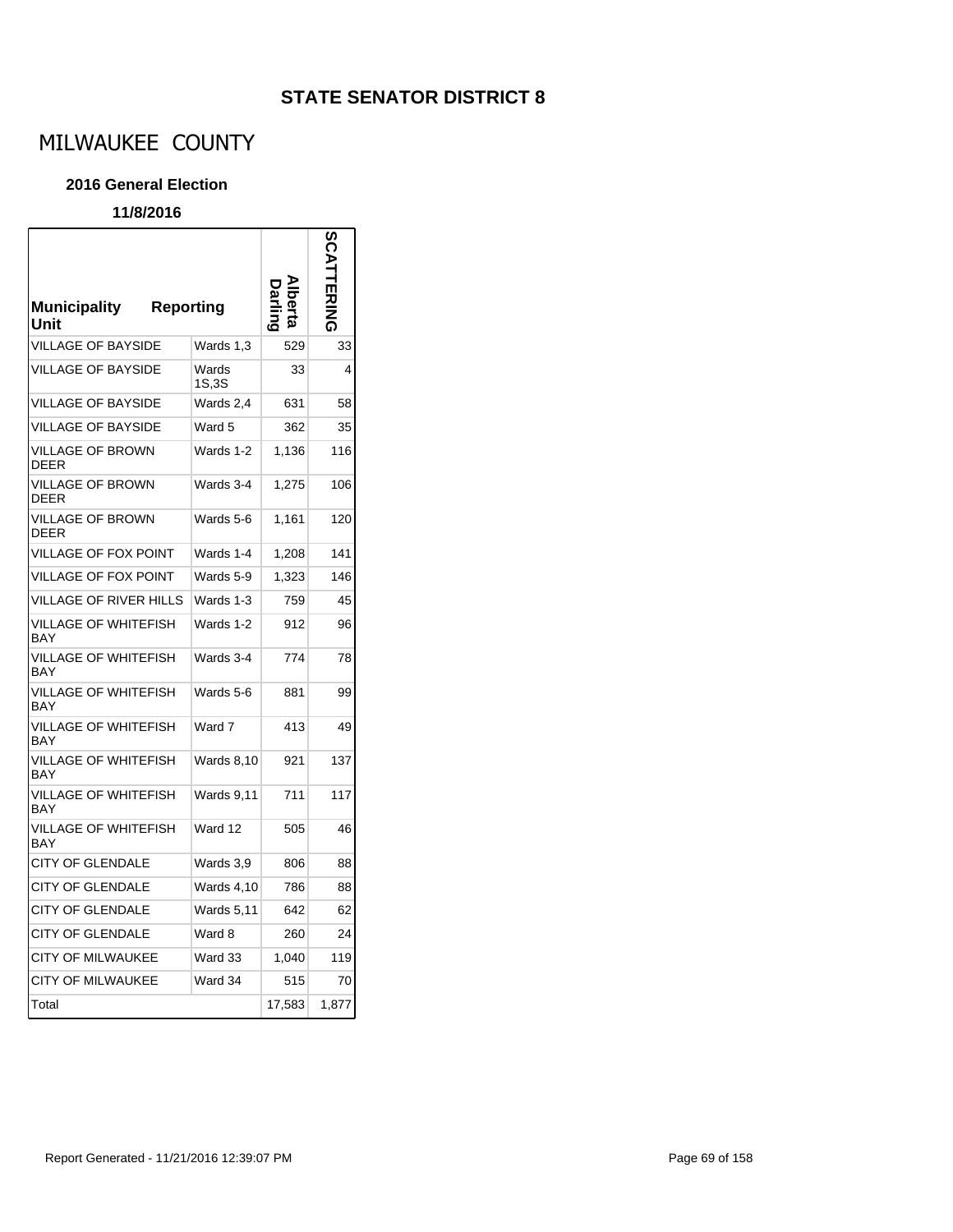# MILWAUKEE COUNTY

#### **2016 General Election**

| <b>Municipality</b><br><b>Reporting</b><br>Unit |                   |        |       |
|-------------------------------------------------|-------------------|--------|-------|
| <b>VILLAGE OF BAYSIDE</b>                       | Wards 1.3         | 529    | 33    |
| <b>VILLAGE OF BAYSIDE</b>                       | Wards<br>1S,3S    | 33     | 4     |
| <b>VILLAGE OF BAYSIDE</b>                       | Wards 2,4         | 631    | 58    |
| <b>VILLAGE OF BAYSIDE</b>                       | Ward 5            | 362    | 35    |
| <b>VILLAGE OF BROWN</b><br>DEER                 | Wards 1-2         | 1,136  | 116   |
| <b>VILLAGE OF BROWN</b><br>DEER                 | Wards 3-4         | 1,275  | 106   |
| <b>VILLAGE OF BROWN</b><br><b>DEER</b>          | Wards 5-6         | 1,161  | 120   |
| <b>VILLAGE OF FOX POINT</b>                     | Wards 1-4         | 1,208  | 141   |
| <b>VILLAGE OF FOX POINT</b>                     | Wards 5-9         | 1,323  | 146   |
| VILLAGE OF RIVER HILLS                          | Wards 1-3         | 759    | 45    |
| VILLAGE OF WHITEFISH<br>BAY                     | Wards 1-2         | 912    | 96    |
| VILLAGE OF WHITEFISH<br>BAY                     | Wards 3-4         | 774    | 78    |
| VILLAGE OF WHITEFISH<br>BAY                     | Wards 5-6         | 881    | 99    |
| VILLAGE OF WHITEFISH<br>BAY                     | Ward 7            | 413    | 49    |
| VILLAGE OF WHITEFISH<br>BAY                     | <b>Wards 8,10</b> | 921    | 137   |
| VILLAGE OF WHITEFISH<br>BAY                     | <b>Wards 9,11</b> | 711    | 117   |
| VILLAGE OF WHITEFISH<br><b>BAY</b>              | Ward 12           | 505    | 46    |
| <b>CITY OF GLENDALE</b>                         | Wards 3,9         | 806    | 88    |
| CITY OF GLENDALE                                | Wards 4,10        | 786    | 88    |
| CITY OF GLENDALE                                | <b>Wards 5,11</b> | 642    | 62    |
| <b>CITY OF GLENDALE</b>                         | Ward 8            | 260    | 24    |
| CITY OF MILWAUKEE                               | Ward 33           | 1,040  | 119   |
| <b>CITY OF MILWAUKEE</b>                        | Ward 34           | 515    | 70    |
| Total                                           |                   | 17,583 | 1,877 |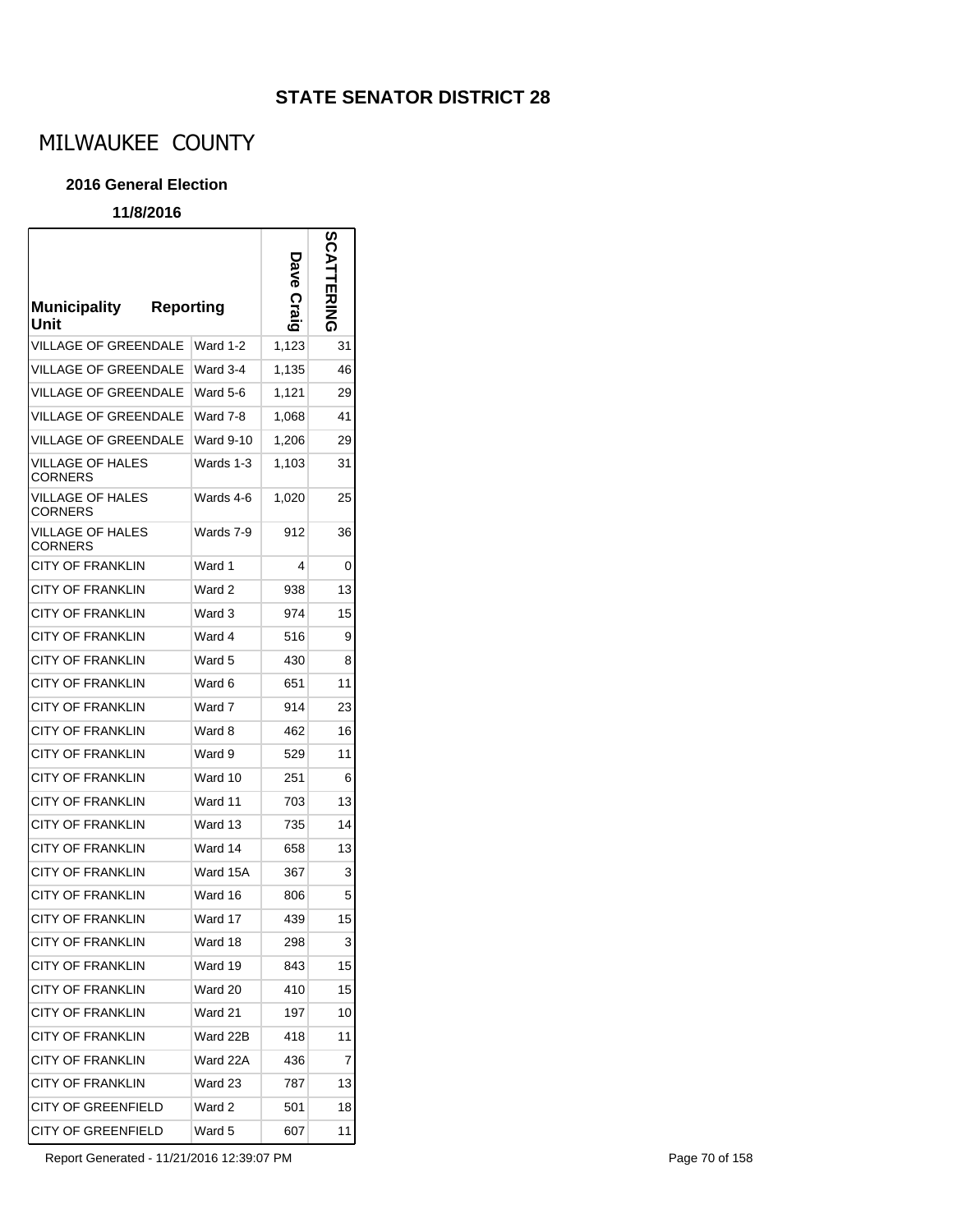# MILWAUKEE COUNTY

#### **2016 General Election**

### **11/8/2016**

 $\mathsf{r}$ 

| <b>Municipality</b><br>Unit        | <b>Reporting</b> | Dave Craig | SCATTERING |
|------------------------------------|------------------|------------|------------|
| VILLAGE OF GREENDALE               | Ward 1-2         | 1,123      | 31         |
| VILLAGE OF GREENDALE               | Ward 3-4         | 1,135      | 46         |
| <b>VILLAGE OF GREENDALE</b>        | Ward 5-6         | 1,121      | 29         |
| <b>VILLAGE OF GREENDALE</b>        | Ward 7-8         | 1,068      | 41         |
| VILLAGE OF GREENDALE               | Ward 9-10        | 1,206      | 29         |
| VILLAGE OF HALES<br><b>CORNERS</b> | Wards 1-3        | 1,103      | 31         |
| VILLAGE OF HALES<br><b>CORNERS</b> | Wards 4-6        | 1,020      | 25         |
| VILLAGE OF HALES<br>CORNERS        | Wards 7-9        | 912        | 36         |
| <b>CITY OF FRANKLIN</b>            | Ward 1           | 4          | 0          |
| <b>CITY OF FRANKLIN</b>            | Ward 2           | 938        | 13         |
| CITY OF FRANKLIN                   | Ward 3           | 974        | 15         |
| CITY OF FRANKLIN                   | Ward 4           | 516        | 9          |
| <b>CITY OF FRANKLIN</b>            | Ward 5           | 430        | 8          |
| CITY OF FRANKLIN                   | Ward 6           | 651        | 11         |
| CITY OF FRANKLIN                   | Ward 7           | 914        | 23         |
| CITY OF FRANKLIN                   | Ward 8           | 462        | 16         |
| CITY OF FRANKLIN                   | Ward 9           | 529        | 11         |
| CITY OF FRANKLIN                   | Ward 10          | 251        | 6          |
| CITY OF FRANKLIN                   | Ward 11          | 703        | 13         |
| <b>CITY OF FRANKLIN</b>            | Ward 13          | 735        | 14         |
| <b>CITY OF FRANKLIN</b>            | Ward 14          | 658        | 13         |
| <b>CITY OF FRANKLIN</b>            | Ward 15A         | 367        | 3          |
| <b>CITY OF FRANKLIN</b>            | Ward 16          | 806        | 5          |
| <b>CITY OF FRANKLIN</b>            | Ward 17          | 439        | 15         |
| CITY OF FRANKLIN                   | Ward 18          | 298        | 3          |
| CITY OF FRANKLIN                   | Ward 19          | 843        | 15         |
| <b>CITY OF FRANKLIN</b>            | Ward 20          | 410        | 15         |
| <b>CITY OF FRANKLIN</b>            | Ward 21          | 197        | 10         |
| CITY OF FRANKLIN                   | Ward 22B         | 418        | 11         |
| CITY OF FRANKLIN                   | Ward 22A         | 436        | 7          |
| <b>CITY OF FRANKLIN</b>            | Ward 23          | 787        | 13         |
| <b>CITY OF GREENFIELD</b>          | Ward 2           | 501        | 18         |
| CITY OF GREENFIELD                 | Ward 5           | 607        | 11         |

Report Generated - 11/21/2016 12:39:07 PM Page 70 of 158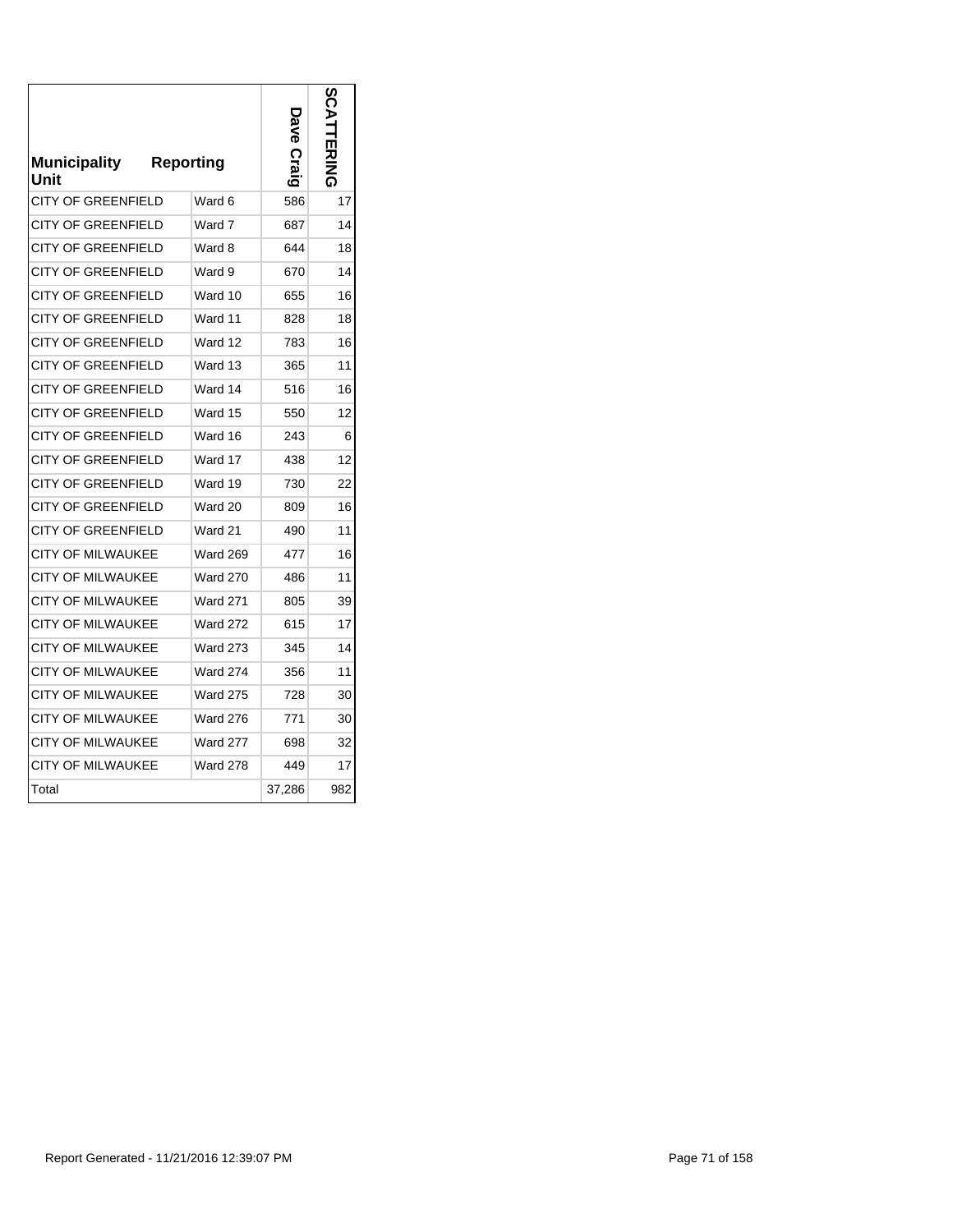| <b>Municipality</b><br>Unit | <b>Reporting</b> | ନ<br>ବ<br>Craig | u<br>四之之 |
|-----------------------------|------------------|-----------------|----------|
| <b>CITY OF GREENFIELD</b>   | Ward 6           | 586             | 17       |
| CITY OF GREENFIELD          | Ward 7           | 687             | 14       |
| CITY OF GREENFIELD          | Ward 8           | 644             | 18       |
| CITY OF GREENFIELD          | Ward 9           | 670             | 14       |
| CITY OF GREENFIELD          | Ward 10          | 655             | 16       |
| CITY OF GREENFIELD          | Ward 11          | 828             | 18       |
| CITY OF GREENFIELD          | Ward 12          | 783             | 16       |
| <b>CITY OF GREENFIELD</b>   | Ward 13          | 365             | 11       |
| <b>CITY OF GREENFIELD</b>   | Ward 14          | 516             | 16       |
| <b>CITY OF GREENFIELD</b>   | Ward 15          | 550             | 12       |
| <b>CITY OF GREENFIELD</b>   | Ward 16          | 243             | 6        |
| <b>CITY OF GREENFIELD</b>   | Ward 17          | 438             | 12       |
| <b>CITY OF GREENFIELD</b>   | Ward 19          | 730             | 22       |
| <b>CITY OF GREENFIELD</b>   | Ward 20          | 809             | 16       |
| <b>CITY OF GREENFIELD</b>   | Ward 21          | 490             | 11       |
| CITY OF MILWAUKEE           | <b>Ward 269</b>  | 477             | 16       |
| <b>CITY OF MILWAUKEE</b>    | <b>Ward 270</b>  | 486             | 11       |
| <b>CITY OF MILWAUKEE</b>    | <b>Ward 271</b>  | 805             | 39       |
| <b>CITY OF MILWAUKEE</b>    | <b>Ward 272</b>  | 615             | 17       |
| CITY OF MILWAUKEE           | <b>Ward 273</b>  | 345             | 14       |
| CITY OF MILWAUKEE           | <b>Ward 274</b>  | 356             | 11       |
| <b>CITY OF MILWAUKEE</b>    | <b>Ward 275</b>  | 728             | 30       |
| <b>CITY OF MILWAUKEE</b>    | <b>Ward 276</b>  | 771             | 30       |
| CITY OF MILWAUKEE           | <b>Ward 277</b>  | 698             | 32       |
| CITY OF MILWAUKEE           | <b>Ward 278</b>  | 449             | 17       |
| Total                       |                  | 37,286          | 982      |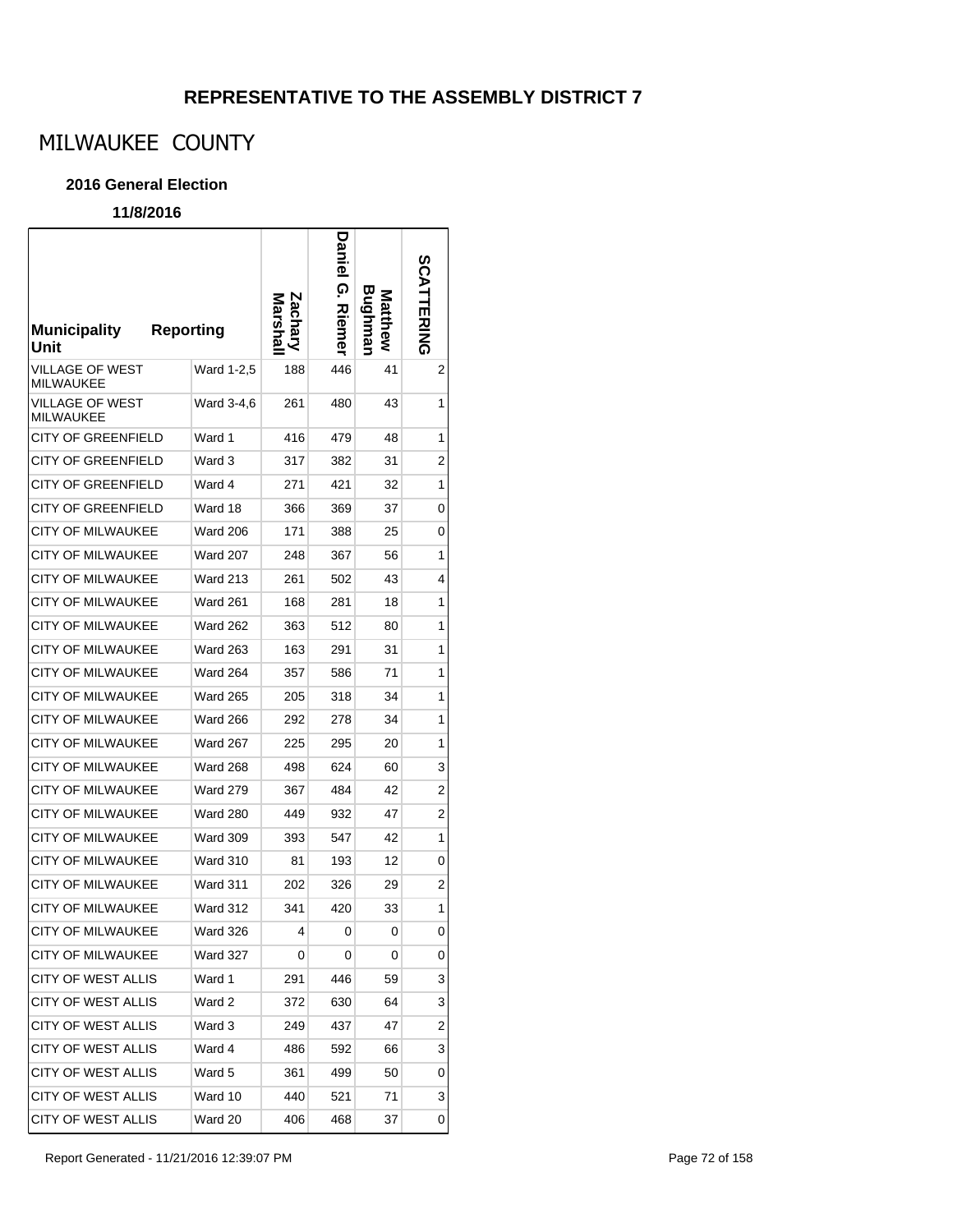# **REPRESENTATIVE TO THE ASSEMBLY DISTRICT 7**

# MILWAUKEE COUNTY

### **2016 General Election**

| <b>Municipality</b><br>Unit         | <b>Reporting</b> | <b>Lach</b> | Daniel<br>ၐ<br><b>Riemer</b> | Bughmar<br>Matthew | SCATTERING |
|-------------------------------------|------------------|-------------|------------------------------|--------------------|------------|
| VILLAGE OF WEST<br><b>MILWAUKEE</b> | Ward 1-2,5       | 188         | 446                          | 41                 | 2          |
| VILLAGE OF WEST<br><b>MILWAUKEE</b> | Ward 3-4,6       | 261         | 480                          | 43                 | 1          |
| <b>CITY OF GREENFIELD</b>           | Ward 1           | 416         | 479                          | 48                 | 1          |
| <b>CITY OF GREENFIELD</b>           | Ward 3           | 317         | 382                          | 31                 | 2          |
| <b>CITY OF GREENFIELD</b>           | Ward 4           | 271         | 421                          | 32                 | 1          |
| <b>CITY OF GREENFIELD</b>           | Ward 18          | 366         | 369                          | 37                 | 0          |
| <b>CITY OF MILWAUKEE</b>            | <b>Ward 206</b>  | 171         | 388                          | 25                 | 0          |
| <b>CITY OF MILWAUKEE</b>            | <b>Ward 207</b>  | 248         | 367                          | 56                 | 1          |
| <b>CITY OF MILWAUKEE</b>            | <b>Ward 213</b>  | 261         | 502                          | 43                 | 4          |
| <b>CITY OF MILWAUKEE</b>            | <b>Ward 261</b>  | 168         | 281                          | 18                 | 1          |
| <b>CITY OF MILWAUKEE</b>            | <b>Ward 262</b>  | 363         | 512                          | 80                 | 1          |
| <b>CITY OF MILWAUKEE</b>            | <b>Ward 263</b>  | 163         | 291                          | 31                 | 1          |
| <b>CITY OF MILWAUKEE</b>            | Ward 264         | 357         | 586                          | 71                 | 1          |
| <b>CITY OF MILWAUKEE</b>            | <b>Ward 265</b>  | 205         | 318                          | 34                 | 1          |
| <b>CITY OF MILWAUKEE</b>            | Ward 266         | 292         | 278                          | 34                 | 1          |
| <b>CITY OF MILWAUKEE</b>            | Ward 267         | 225         | 295                          | 20                 | 1          |
| <b>CITY OF MILWAUKEE</b>            | Ward 268         | 498         | 624                          | 60                 | 3          |
| <b>CITY OF MILWAUKEE</b>            | <b>Ward 279</b>  | 367         | 484                          | 42                 | 2          |
| <b>CITY OF MILWAUKEE</b>            | Ward 280         | 449         | 932                          | 47                 | 2          |
| <b>CITY OF MILWAUKEE</b>            | Ward 309         | 393         | 547                          | 42                 | 1          |
| <b>CITY OF MILWAUKEE</b>            | Ward 310         | 81          | 193                          | 12                 | 0          |
| <b>CITY OF MILWAUKEE</b>            | <b>Ward 311</b>  | 202         | 326                          | 29                 | 2          |
| <b>CITY OF MILWAUKEE</b>            | Ward 312         | 341         | 420                          | 33                 | 1          |
| CITY OF MILWAUKEE                   | Ward 326         | 4           | 0                            | 0                  | 0          |
| <b>CITY OF MILWAUKEE</b>            | Ward 327         | 0           | 0                            | 0                  | 0          |
| <b>CITY OF WEST ALLIS</b>           | Ward 1           | 291         | 446                          | 59                 | 3          |
| <b>CITY OF WEST ALLIS</b>           | Ward 2           | 372         | 630                          | 64                 | 3          |
| CITY OF WEST ALLIS                  | Ward 3           | 249         | 437                          | 47                 | 2          |
| CITY OF WEST ALLIS                  | Ward 4           | 486         | 592                          | 66                 | 3          |
| <b>CITY OF WEST ALLIS</b>           | Ward 5           | 361         | 499                          | 50                 | 0          |
| CITY OF WEST ALLIS                  | Ward 10          | 440         | 521                          | 71                 | 3          |
| CITY OF WEST ALLIS                  | Ward 20          | 406         | 468                          | 37                 | 0          |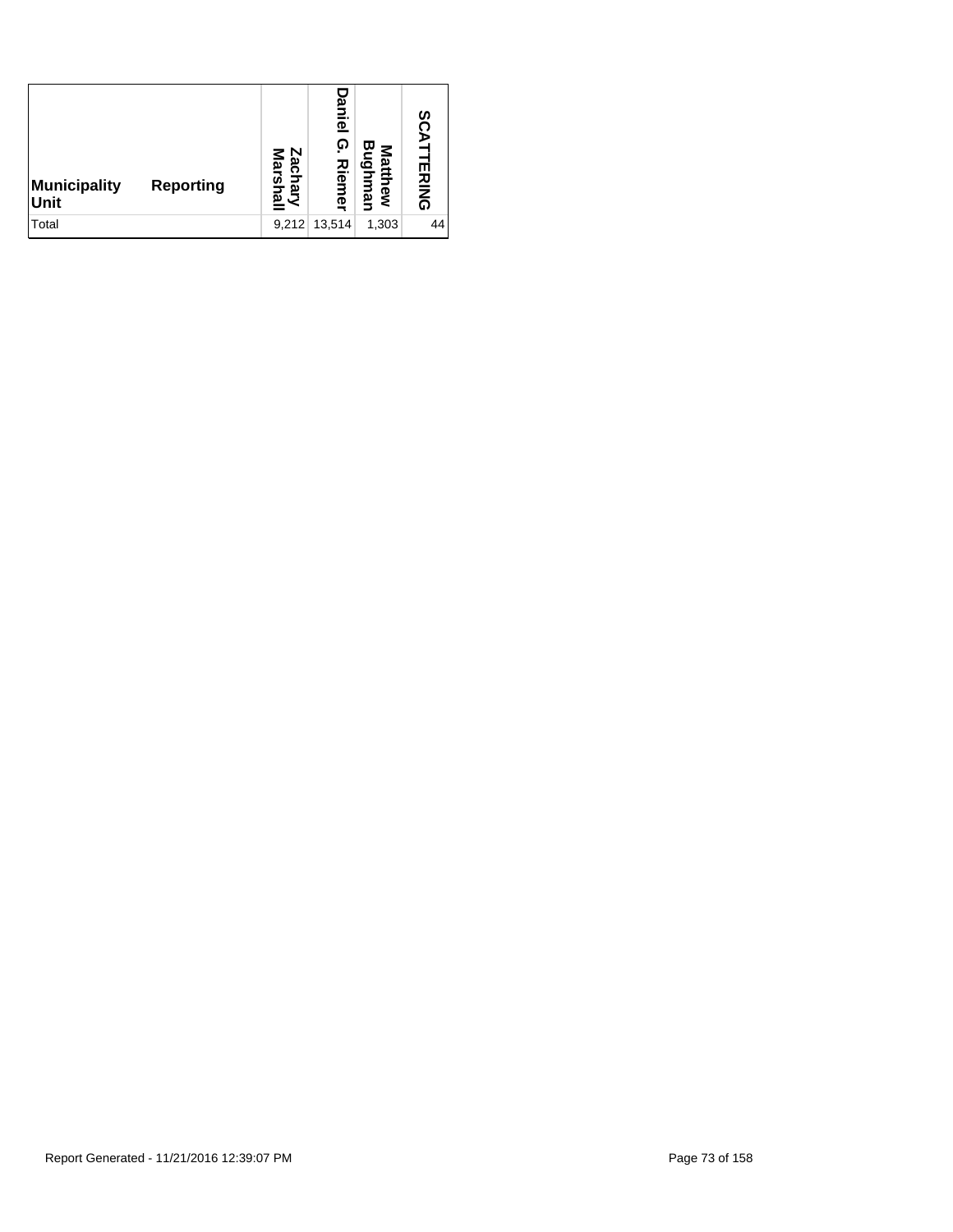| Municipality<br><b>Reporting</b><br>Unit | Zacl<br>Zachary<br>Marshal | ani<br>$\bar{\mathbf{e}}$<br><u>ှ</u><br>Riem<br>₫ | ω<br>Mattl<br>ه<br>hew<br><u>ה</u> | 8C<br><b>TERING</b> |
|------------------------------------------|----------------------------|----------------------------------------------------|------------------------------------|---------------------|
| Total                                    |                            | 9,212 13,514                                       | 1,303                              | 44                  |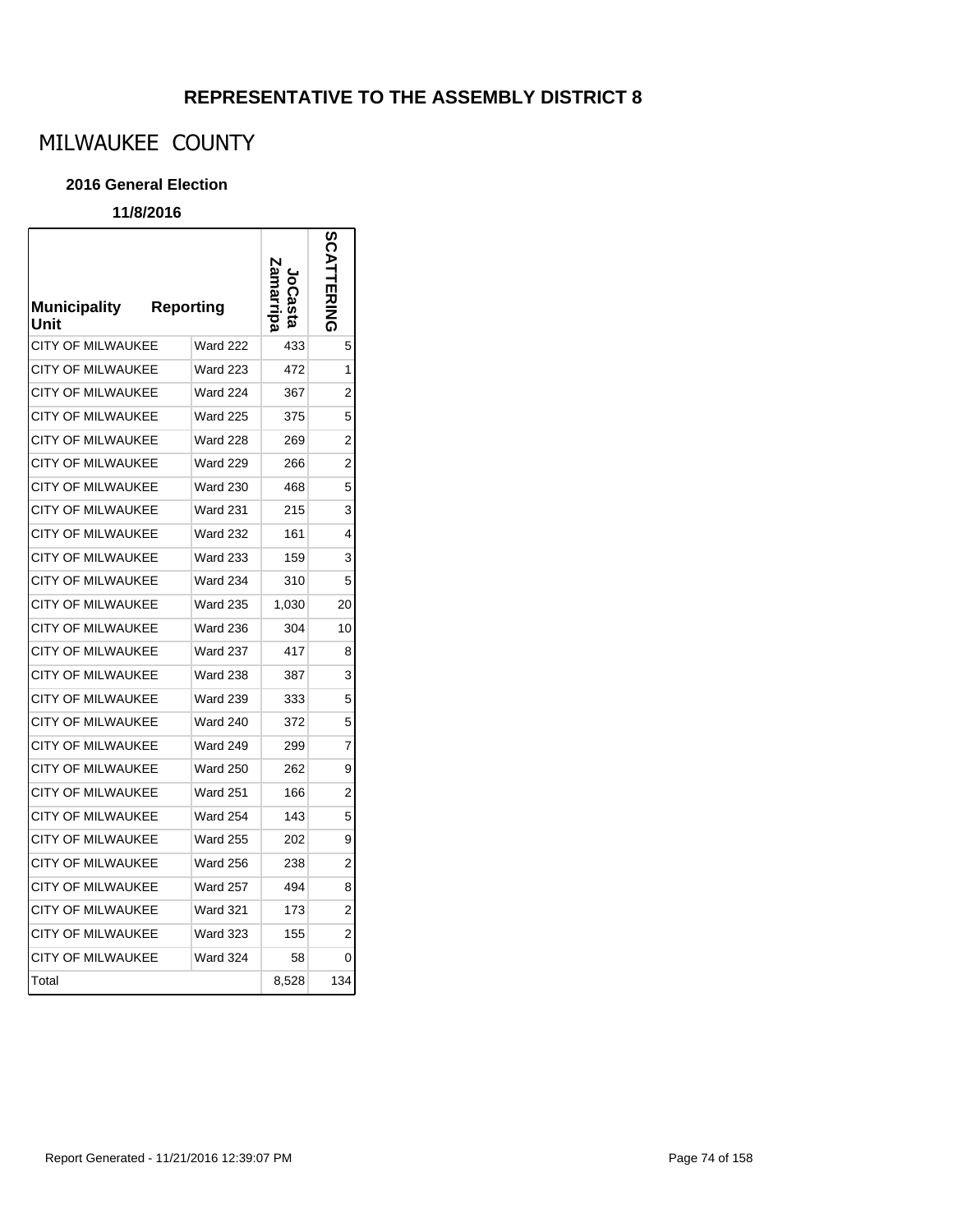# MILWAUKEE COUNTY

#### **2016 General Election**

| <b>Municipality</b><br>Unit | Reporting       |       |                |
|-----------------------------|-----------------|-------|----------------|
| <b>CITY OF MILWAUKEE</b>    | <b>Ward 222</b> | 433   | 5              |
| <b>CITY OF MILWAUKEE</b>    | <b>Ward 223</b> | 472   | 1              |
| <b>CITY OF MILWAUKEE</b>    | Ward 224        | 367   | 2              |
| <b>CITY OF MILWAUKEE</b>    | <b>Ward 225</b> | 375   | 5              |
| CITY OF MILWAUKEE           | <b>Ward 228</b> | 269   | 2              |
| <b>CITY OF MILWAUKEE</b>    | <b>Ward 229</b> | 266   | $\overline{2}$ |
| <b>CITY OF MILWAUKEE</b>    | <b>Ward 230</b> | 468   | 5              |
| <b>CITY OF MILWAUKEE</b>    | <b>Ward 231</b> | 215   | 3              |
| <b>CITY OF MILWAUKEE</b>    | <b>Ward 232</b> | 161   | 4              |
| CITY OF MILWAUKEE           | <b>Ward 233</b> | 159   | 3              |
| <b>CITY OF MILWAUKEE</b>    | <b>Ward 234</b> | 310   | 5              |
| <b>CITY OF MILWAUKEE</b>    | <b>Ward 235</b> | 1,030 | 20             |
| CITY OF MILWAUKEE           | Ward 236        | 304   | 10             |
| <b>CITY OF MILWAUKEE</b>    | <b>Ward 237</b> | 417   | 8              |
| <b>CITY OF MILWAUKEE</b>    | <b>Ward 238</b> | 387   | 3              |
| <b>CITY OF MILWAUKEE</b>    | <b>Ward 239</b> | 333   | 5              |
| <b>CITY OF MILWAUKEE</b>    | Ward 240        | 372   | 5              |
| <b>CITY OF MILWAUKEE</b>    | <b>Ward 249</b> | 299   | 7              |
| CITY OF MILWAUKEE           | <b>Ward 250</b> | 262   | 9              |
| <b>CITY OF MILWAUKEE</b>    | <b>Ward 251</b> | 166   | 2              |
| <b>CITY OF MILWAUKEE</b>    | <b>Ward 254</b> | 143   | 5              |
| <b>CITY OF MILWAUKEE</b>    | <b>Ward 255</b> | 202   | 9              |
| <b>CITY OF MILWAUKEE</b>    | <b>Ward 256</b> | 238   | 2              |
| <b>CITY OF MILWAUKEE</b>    | Ward 257        | 494   | 8              |
| <b>CITY OF MILWAUKEE</b>    | <b>Ward 321</b> | 173   | $\overline{2}$ |
| <b>CITY OF MILWAUKEE</b>    | <b>Ward 323</b> | 155   | 2              |
| <b>CITY OF MILWAUKEE</b>    | <b>Ward 324</b> | 58    | 0              |
| Total                       |                 | 8,528 | 134            |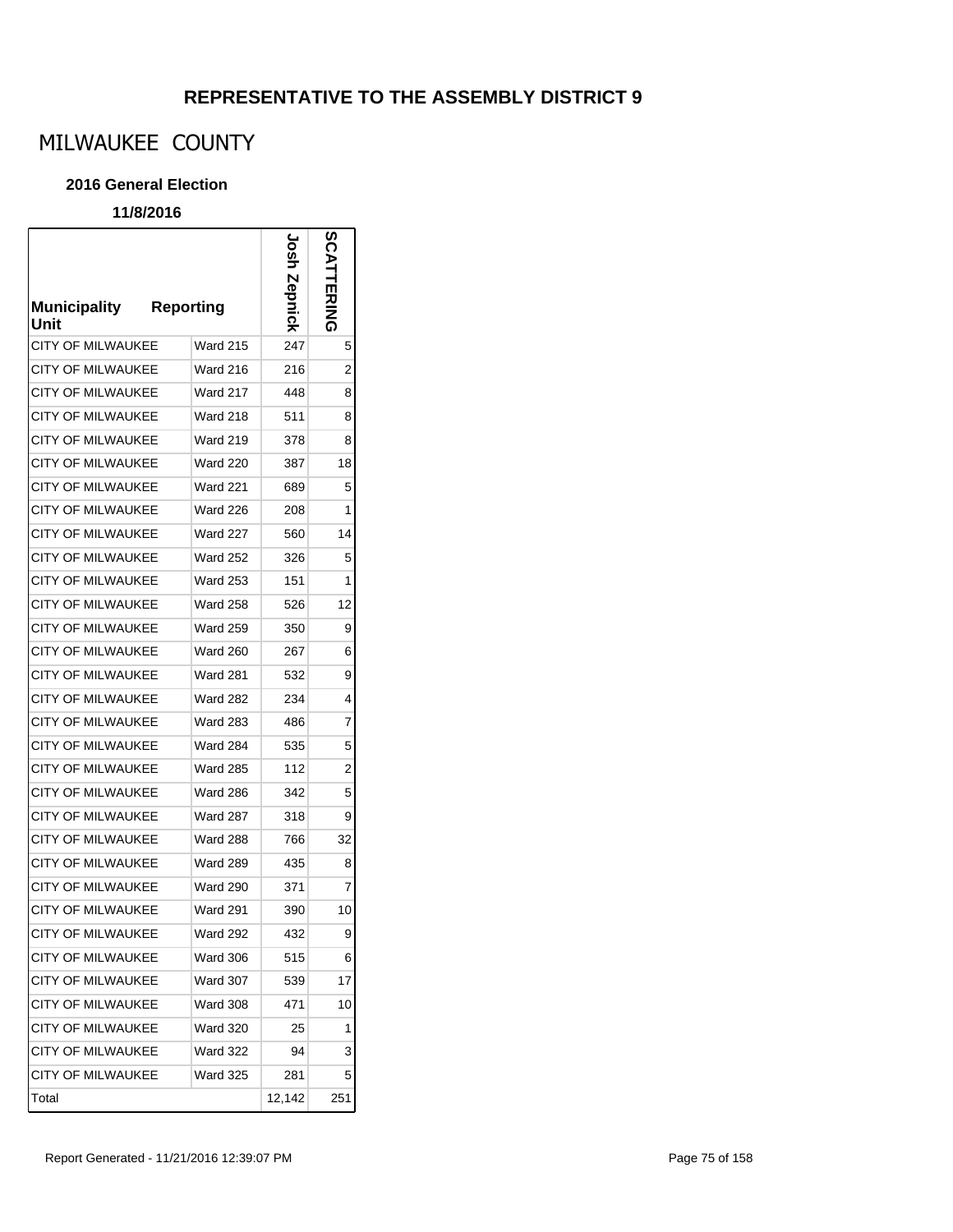# MILWAUKEE COUNTY

#### **2016 General Election**

### **11/8/2016**

г

| <b>Municipality</b><br>Unit | <b>Reporting</b> | usor   | <b>SCATTERING</b> |
|-----------------------------|------------------|--------|-------------------|
| CITY OF MILWAUKEE           | <b>Ward 215</b>  | 247    | 5                 |
| CITY OF MILWAUKEE           | Ward 216         | 216    | 2                 |
| <b>CITY OF MILWAUKEE</b>    | Ward 217         | 448    | 8                 |
| <b>CITY OF MILWAUKEE</b>    | Ward 218         | 511    | 8                 |
| <b>CITY OF MILWAUKEE</b>    | <b>Ward 219</b>  | 378    | 8                 |
| <b>CITY OF MILWAUKEE</b>    | <b>Ward 220</b>  | 387    | 18                |
| <b>CITY OF MILWAUKEE</b>    | <b>Ward 221</b>  | 689    | 5                 |
| <b>CITY OF MILWAUKEE</b>    | <b>Ward 226</b>  | 208    | 1                 |
| <b>CITY OF MILWAUKEE</b>    | <b>Ward 227</b>  | 560    | 14                |
| CITY OF MILWAUKEE           | <b>Ward 252</b>  | 326    | 5                 |
| <b>CITY OF MILWAUKEE</b>    | <b>Ward 253</b>  | 151    | 1                 |
| <b>CITY OF MILWAUKEE</b>    | <b>Ward 258</b>  | 526    | 12                |
| CITY OF MILWAUKEE           | <b>Ward 259</b>  | 350    | 9                 |
| <b>CITY OF MILWAUKEE</b>    | <b>Ward 260</b>  | 267    | 6                 |
| <b>CITY OF MILWAUKEE</b>    | <b>Ward 281</b>  | 532    | 9                 |
| <b>CITY OF MILWAUKEE</b>    | <b>Ward 282</b>  | 234    | 4                 |
| <b>CITY OF MILWAUKEE</b>    | <b>Ward 283</b>  | 486    | 7                 |
| <b>CITY OF MILWAUKEE</b>    | <b>Ward 284</b>  | 535    | 5                 |
| CITY OF MILWAUKEE           | Ward 285         | 112    | 2                 |
| CITY OF MILWAUKEE           | <b>Ward 286</b>  | 342    | 5                 |
| CITY OF MILWAUKEE           | Ward 287         | 318    | 9                 |
| CITY OF MILWAUKEE           | <b>Ward 288</b>  | 766    | 32                |
| <b>CITY OF MILWAUKEE</b>    | <b>Ward 289</b>  | 435    | 8                 |
| CITY OF MILWAUKEE           | <b>Ward 290</b>  | 371    | 7                 |
| CITY OF MILWAUKEE           | <b>Ward 291</b>  | 390    | 10                |
| <b>CITY OF MILWAUKEE</b>    | <b>Ward 292</b>  | 432    | 9                 |
| CITY OF MILWAUKEE           | <b>Ward 306</b>  | 515    | 6                 |
| <b>CITY OF MILWAUKEE</b>    | <b>Ward 307</b>  | 539    | 17                |
| CITY OF MILWAUKEE           | <b>Ward 308</b>  | 471    | 10                |
| <b>CITY OF MILWAUKEE</b>    | <b>Ward 320</b>  | 25     | 1                 |
| CITY OF MILWAUKEE           | <b>Ward 322</b>  | 94     | 3                 |
| CITY OF MILWAUKEE           | <b>Ward 325</b>  | 281    | 5                 |
| Total                       |                  | 12,142 | 251               |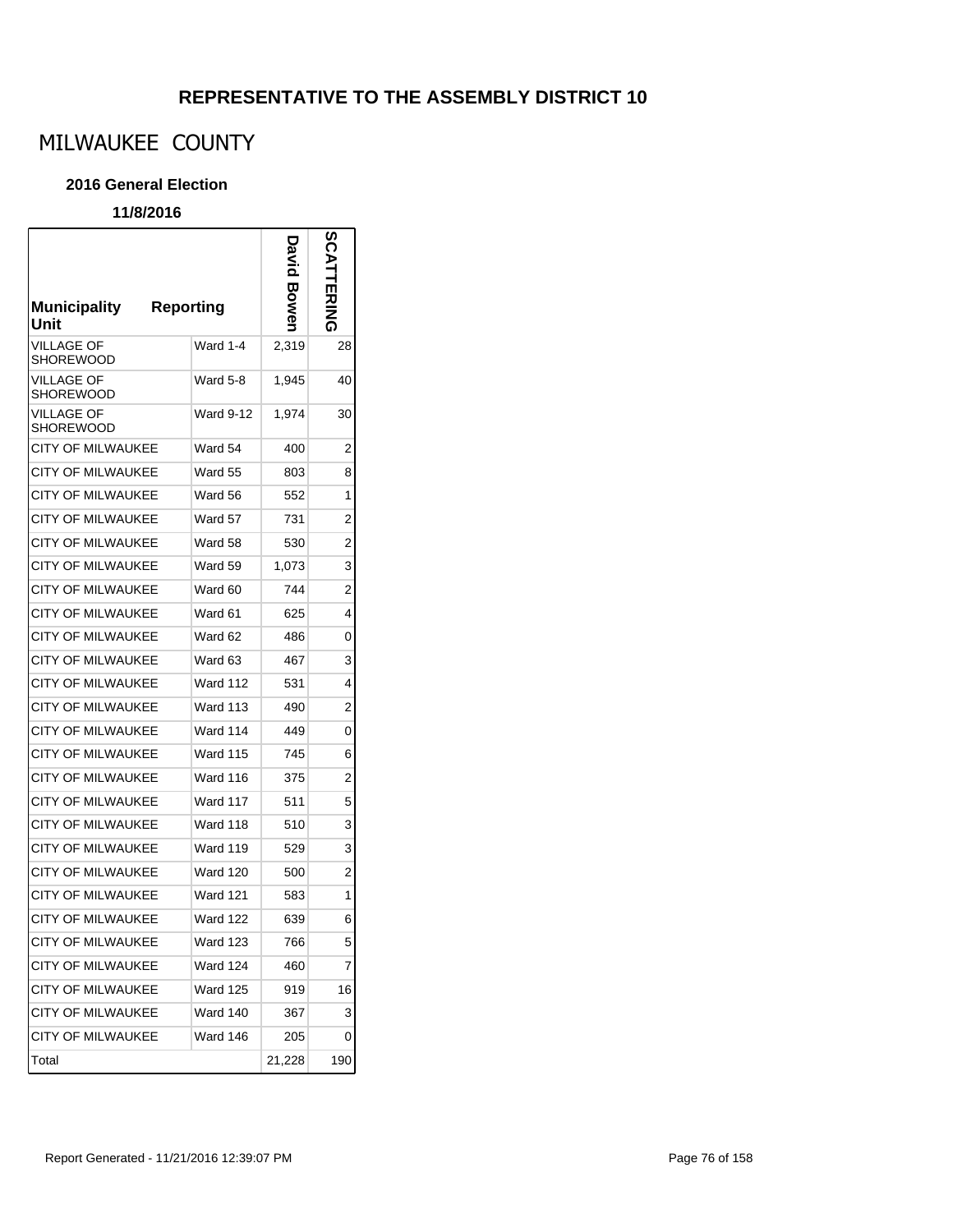# MILWAUKEE COUNTY

#### **2016 General Election**

| <b>Municipality</b><br>Unit    | <b>Reporting</b> | տ<br>Տ<br>Φ | ERING |
|--------------------------------|------------------|-------------|-------|
| <b>VILLAGE OF</b><br>SHOREWOOD | Ward 1-4         | 2,319       | 28    |
| VILLAGE OF<br>SHOREWOOD        | Ward 5-8         | 1,945       | 40    |
| <b>VILLAGE OF</b><br>SHOREWOOD | <b>Ward 9-12</b> | 1,974       | 30    |
| CITY OF MILWAUKEE              | Ward 54          | 400         | 2     |
| CITY OF MILWAUKEE              | Ward 55          | 803         | 8     |
| <b>CITY OF MILWAUKEE</b>       | Ward 56          | 552         | 1     |
| CITY OF MILWAUKEE              | Ward 57          | 731         | 2     |
| <b>CITY OF MILWAUKEE</b>       | Ward 58          | 530         | 2     |
| CITY OF MILWAUKEE              | Ward 59          | 1,073       | 3     |
| <b>CITY OF MILWAUKEE</b>       | Ward 60          | 744         | 2     |
| CITY OF MILWAUKEE              | Ward 61          | 625         | 4     |
| CITY OF MILWAUKEE              | Ward 62          | 486         | 0     |
| CITY OF MILWAUKEE              | Ward 63          | 467         | 3     |
| CITY OF MILWAUKEE              | <b>Ward 112</b>  | 531         | 4     |
| CITY OF MILWAUKEE              | Ward 113         | 490         | 2     |
| CITY OF MILWAUKEE              | Ward 114         | 449         | 0     |
| CITY OF MILWAUKEE              | <b>Ward 115</b>  | 745         | 6     |
| <b>CITY OF MILWAUKEE</b>       | Ward 116         | 375         | 2     |
| CITY OF MILWAUKEE              | Ward 117         | 511         | 5     |
| CITY OF MILWAUKEE              | Ward 118         | 510         | 3     |
| <b>CITY OF MILWAUKEE</b>       | <b>Ward 119</b>  | 529         | 3     |
| <b>CITY OF MILWAUKEE</b>       | Ward 120         | 500         | 2     |
| CITY OF MILWAUKEE              | Ward 121         | 583         | 1     |
| <b>CITY OF MILWAUKEE</b>       | Ward 122         | 639         | 6     |
| <b>CITY OF MILWAUKEE</b>       | Ward 123         | 766         | 5     |
| CITY OF MILWAUKEE              | <b>Ward 124</b>  | 460         | 7     |
| <b>CITY OF MILWAUKEE</b>       | <b>Ward 125</b>  | 919         | 16    |
| <b>CITY OF MILWAUKEE</b>       | <b>Ward 140</b>  | 367         | 3     |
| <b>CITY OF MILWAUKEE</b>       | Ward 146         | 205         | 0     |
| Total                          |                  | 21,228      | 190   |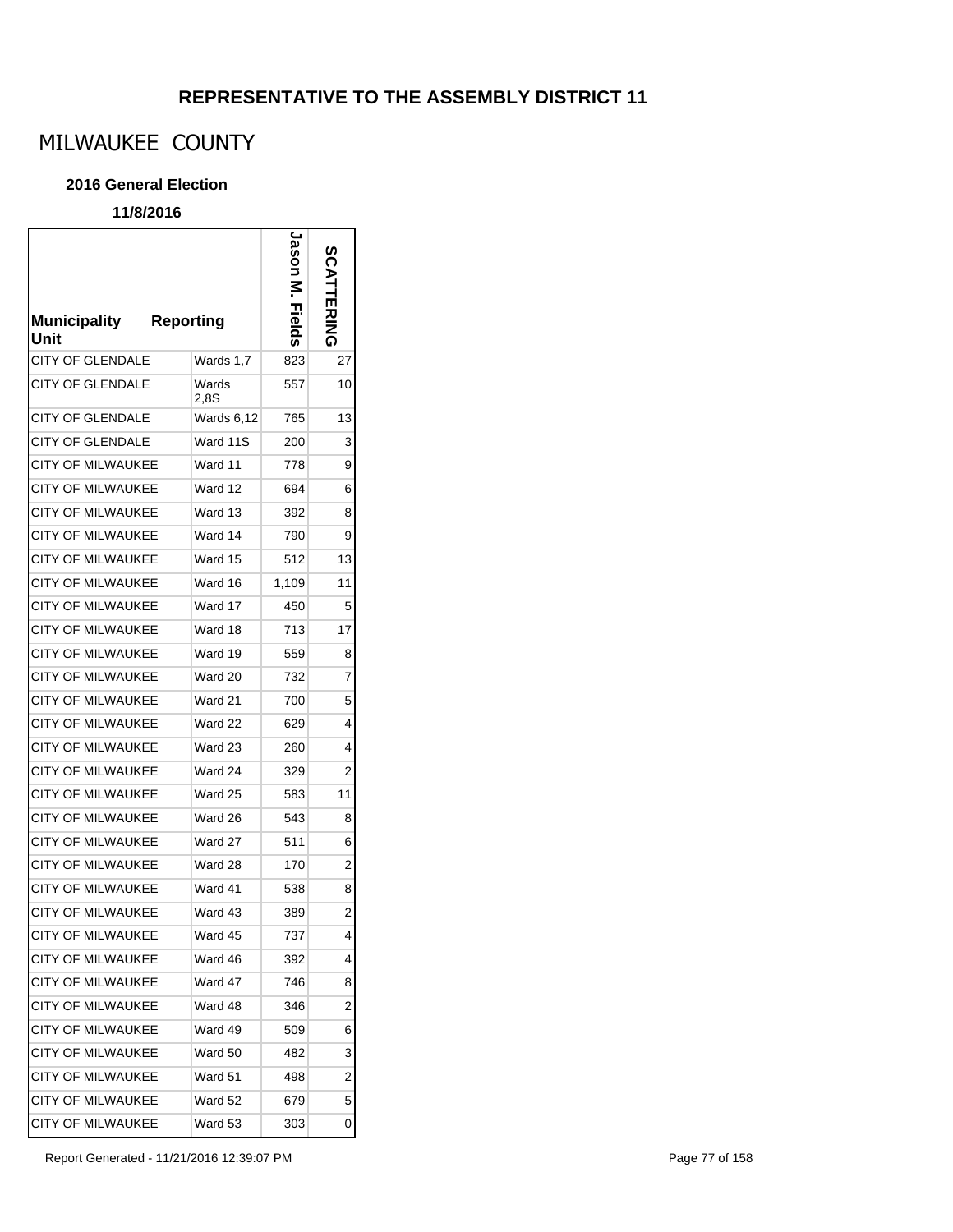# MILWAUKEE COUNTY

#### **2016 General Election**

### **11/8/2016**

г

| <b>Municipality</b><br>Unit | <b>Reporting</b> |               | Jason<br>Fields | <b>CATTERING</b> |
|-----------------------------|------------------|---------------|-----------------|------------------|
| <b>CITY OF GLENDALE</b>     |                  | Wards 1,7     | 823             | 27               |
| <b>CITY OF GLENDALE</b>     |                  | Wards<br>2,8S | 557             | 10               |
| CITY OF GLENDALE            |                  | Wards 6,12    | 765             | 13               |
| <b>CITY OF GLENDALE</b>     |                  | Ward 11S      | 200             | 3                |
| CITY OF MILWAUKEE           |                  | Ward 11       | 778             | 9                |
| <b>CITY OF MILWAUKEE</b>    |                  | Ward 12       | 694             | 6                |
| CITY OF MILWAUKEE           |                  | Ward 13       | 392             | 8                |
| <b>CITY OF MILWAUKEE</b>    |                  | Ward 14       | 790             | 9                |
| <b>CITY OF MILWAUKEE</b>    |                  | Ward 15       | 512             | 13               |
| <b>CITY OF MILWAUKEE</b>    |                  | Ward 16       | 1,109           | 11               |
| <b>CITY OF MILWAUKEE</b>    |                  | Ward 17       | 450             | 5                |
| <b>CITY OF MILWAUKEE</b>    |                  | Ward 18       | 713             | 17               |
| <b>CITY OF MILWAUKEE</b>    |                  | Ward 19       | 559             | 8                |
| <b>CITY OF MILWAUKEE</b>    |                  | Ward 20       | 732             | 7                |
| <b>CITY OF MILWAUKEE</b>    |                  | Ward 21       | 700             | 5                |
| CITY OF MILWAUKEE           |                  | Ward 22       | 629             | 4                |
| <b>CITY OF MILWAUKEE</b>    |                  | Ward 23       | 260             | 4                |
| <b>CITY OF MILWAUKEE</b>    |                  | Ward 24       | 329             | 2                |
| CITY OF MILWAUKEE           |                  | Ward 25       | 583             | 11               |
| CITY OF MILWAUKEE           |                  | Ward 26       | 543             | 8                |
| <b>CITY OF MILWAUKEE</b>    |                  | Ward 27       | 511             | 6                |
| <b>CITY OF MILWAUKEE</b>    |                  | Ward 28       | 170             | 2                |
| CITY OF MILWAUKEE           |                  | Ward 41       | 538             | 8                |
| <b>CITY OF MILWAUKEE</b>    |                  | Ward 43       | 389             | $\overline{2}$   |
| <b>CITY OF MILWAUKEE</b>    |                  | Ward 45       | 737             | 4                |
| <b>CITY OF MILWAUKEE</b>    |                  | Ward 46       | 392             | 4                |
| CITY OF MILWAUKEE           |                  | Ward 47       | 746             | 8                |
| <b>CITY OF MILWAUKEE</b>    |                  | Ward 48       | 346             | 2                |
| <b>CITY OF MILWAUKEE</b>    |                  | Ward 49       | 509             | 6                |
| <b>CITY OF MILWAUKEE</b>    |                  | Ward 50       | 482             | 3                |
| <b>CITY OF MILWAUKEE</b>    |                  | Ward 51       | 498             | 2                |
| <b>CITY OF MILWAUKEE</b>    |                  | Ward 52       | 679             | 5                |
| CITY OF MILWAUKEE           |                  | Ward 53       | 303             | 0                |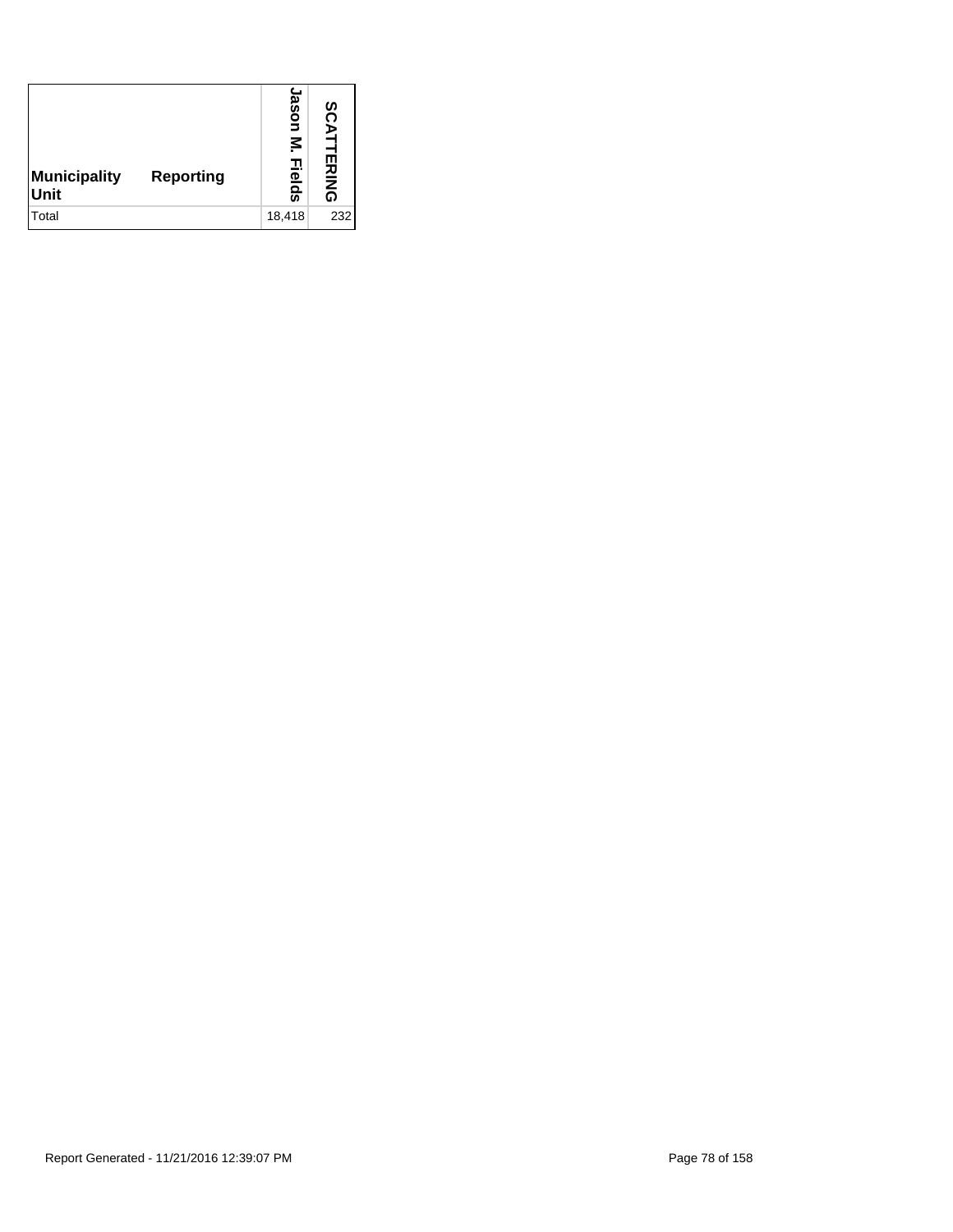| Municipality<br>Reporting<br>Unit | ason<br>ķ.<br>고<br>$\mathbf{D}$<br><u>ရ</u> | <b>SCATTERING</b> |
|-----------------------------------|---------------------------------------------|-------------------|
| Total                             | 18,418                                      | 232               |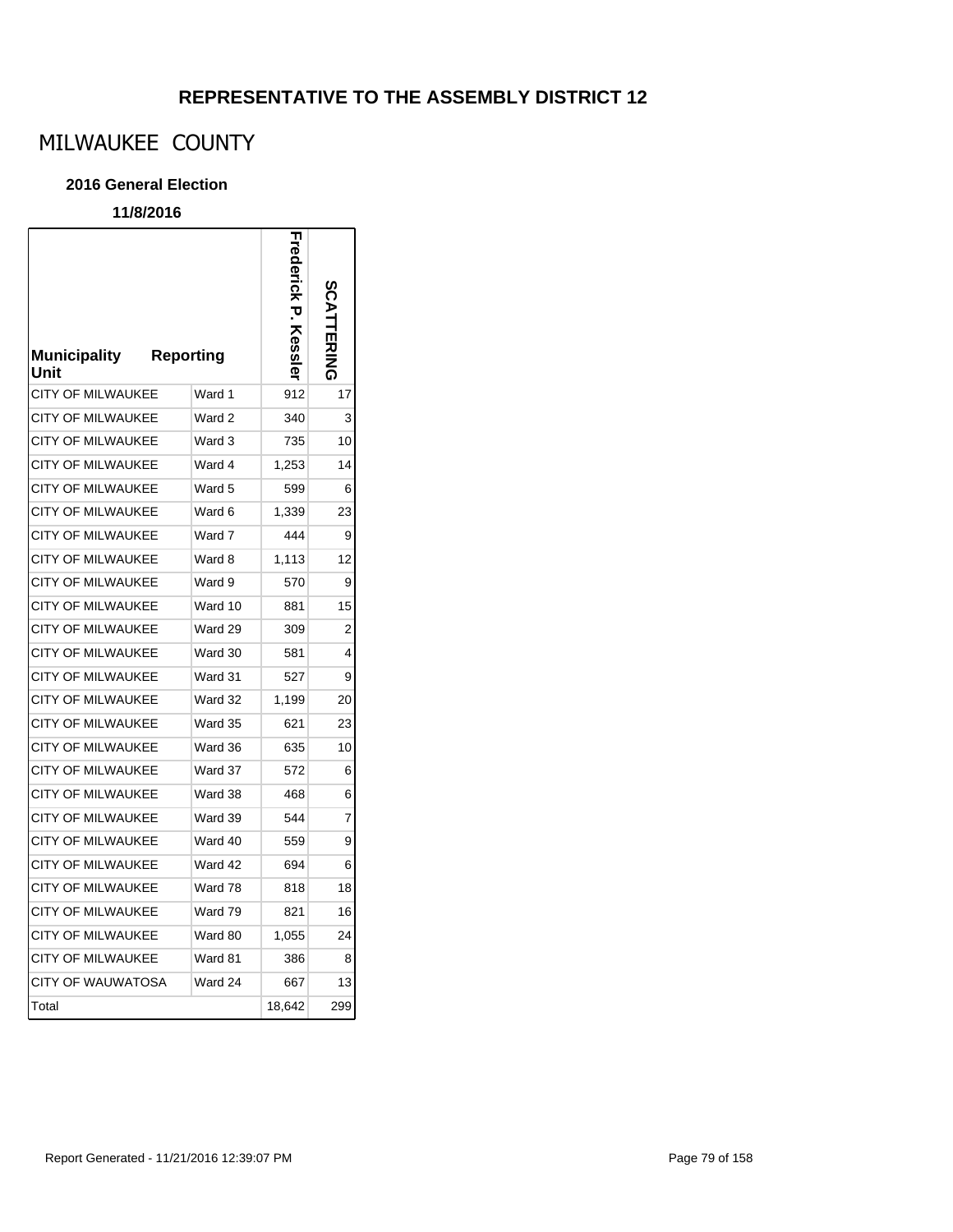# MILWAUKEE COUNTY

#### **2016 General Election**

| <b>Municipality</b><br>Unit | <b>Reporting</b> |         | <b>Ness</b> | コスコスロ |
|-----------------------------|------------------|---------|-------------|-------|
| <b>CITY OF MILWAUKEE</b>    |                  | Ward 1  | 912         | 17    |
| CITY OF MILWAUKEE           |                  | Ward 2  | 340         | 3     |
| CITY OF MILWAUKEE           |                  | Ward 3  | 735         | 10    |
| <b>CITY OF MILWAUKEE</b>    |                  | Ward 4  | 1,253       | 14    |
| <b>CITY OF MILWAUKEE</b>    |                  | Ward 5  | 599         | 6     |
| <b>CITY OF MILWAUKEE</b>    |                  | Ward 6  | 1,339       | 23    |
| <b>CITY OF MILWAUKEE</b>    |                  | Ward 7  | 444         | 9     |
| <b>CITY OF MILWAUKEE</b>    |                  | Ward 8  | 1,113       | 12    |
| <b>CITY OF MILWAUKEE</b>    |                  | Ward 9  | 570         | 9     |
| <b>CITY OF MILWAUKEE</b>    |                  | Ward 10 | 881         | 15    |
| <b>CITY OF MILWAUKEE</b>    |                  | Ward 29 | 309         | 2     |
| CITY OF MILWAUKEE           |                  | Ward 30 | 581         | 4     |
| <b>CITY OF MILWAUKEE</b>    |                  | Ward 31 | 527         | 9     |
| CITY OF MILWAUKEE           |                  | Ward 32 | 1,199       | 20    |
| <b>CITY OF MILWAUKEE</b>    |                  | Ward 35 | 621         | 23    |
| <b>CITY OF MILWAUKEE</b>    |                  | Ward 36 | 635         | 10    |
| <b>CITY OF MILWAUKEE</b>    |                  | Ward 37 | 572         | 6     |
| <b>CITY OF MILWAUKEE</b>    |                  | Ward 38 | 468         | 6     |
| <b>CITY OF MILWAUKEE</b>    |                  | Ward 39 | 544         | 7     |
| <b>CITY OF MILWAUKEE</b>    |                  | Ward 40 | 559         | 9     |
| <b>CITY OF MILWAUKEE</b>    |                  | Ward 42 | 694         | 6     |
| <b>CITY OF MILWAUKEE</b>    |                  | Ward 78 | 818         | 18    |
| <b>CITY OF MILWAUKEE</b>    |                  | Ward 79 | 821         | 16    |
| <b>CITY OF MILWAUKEE</b>    |                  | Ward 80 | 1,055       | 24    |
| <b>CITY OF MILWAUKEE</b>    |                  | Ward 81 | 386         | 8     |
| <b>CITY OF WAUWATOSA</b>    |                  | Ward 24 | 667         | 13    |
| Total                       |                  |         | 18,642      | 299   |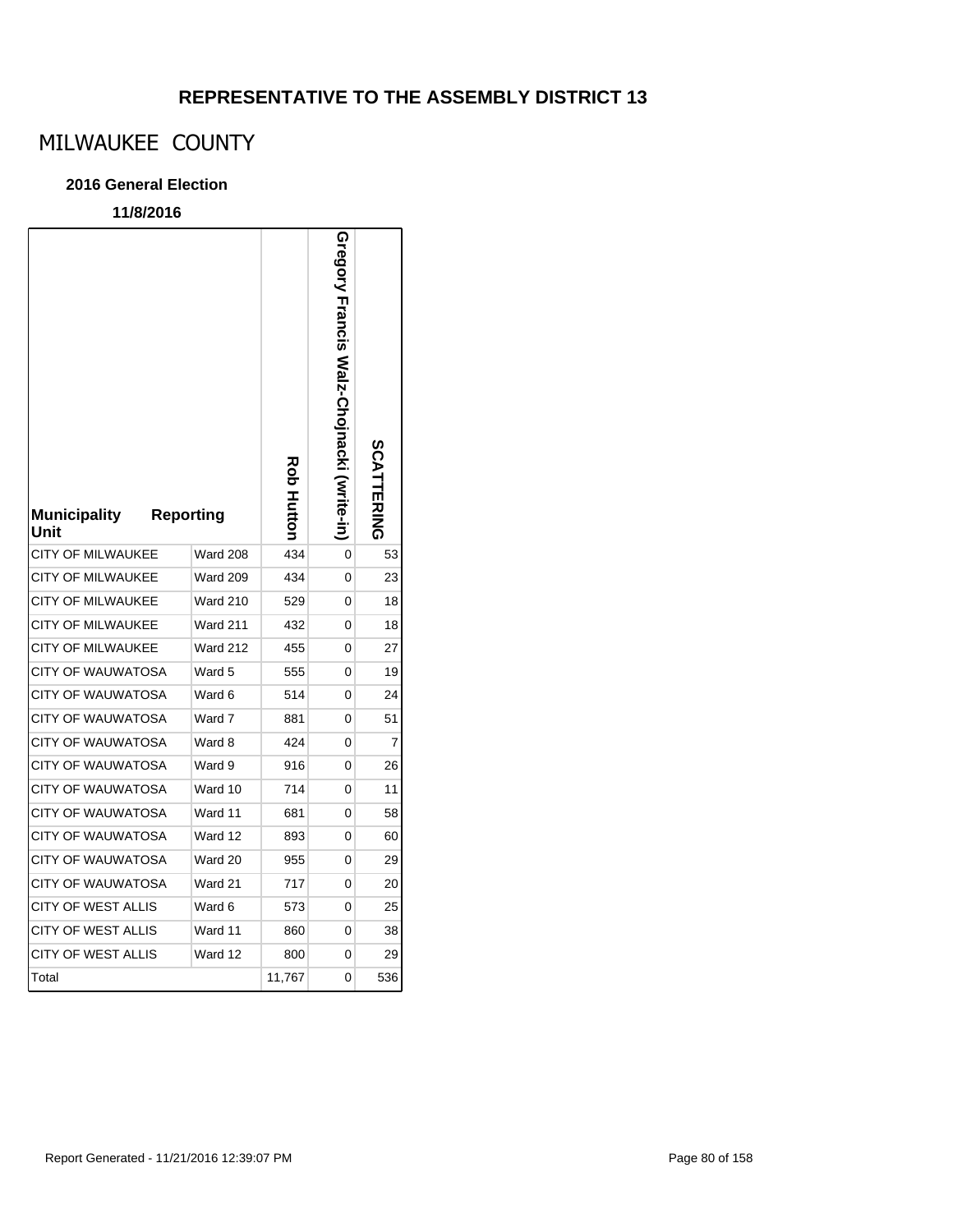# MILWAUKEE COUNTY

### **2016 General Election**

| <b>Municipality</b><br>Unit | <b>Reporting</b> | Rob Huttor | Gregory Francis Walz-Chojnacki (write-in | SCATTERING |
|-----------------------------|------------------|------------|------------------------------------------|------------|
| <b>CITY OF MILWAUKEE</b>    | <b>Ward 208</b>  | 434        | 0                                        | 53         |
| <b>CITY OF MILWAUKEE</b>    | Ward 209         | 434        | 0                                        | 23         |
| CITY OF MILWAUKEE           | <b>Ward 210</b>  | 529        | 0                                        | 18         |
| <b>CITY OF MILWAUKEE</b>    | <b>Ward 211</b>  | 432        | 0                                        | 18         |
| <b>CITY OF MILWAUKEE</b>    | <b>Ward 212</b>  | 455        | 0                                        | 27         |
| <b>CITY OF WAUWATOSA</b>    | Ward 5           | 555        | 0                                        | 19         |
| <b>CITY OF WAUWATOSA</b>    | Ward 6           | 514        | 0                                        | 24         |
| <b>CITY OF WAUWATOSA</b>    | Ward 7           | 881        | 0                                        | 51         |
| <b>CITY OF WAUWATOSA</b>    | Ward 8           | 424        | 0                                        | 7          |
| CITY OF WAUWATOSA           | Ward 9           | 916        | 0                                        | 26         |
| <b>CITY OF WAUWATOSA</b>    | Ward 10          | 714        | 0                                        | 11         |
| <b>CITY OF WAUWATOSA</b>    | Ward 11          | 681        | 0                                        | 58         |
| <b>CITY OF WAUWATOSA</b>    | Ward 12          | 893        | 0                                        | 60         |
| <b>CITY OF WAUWATOSA</b>    | Ward 20          | 955        | 0                                        | 29         |
| <b>CITY OF WAUWATOSA</b>    | Ward 21          | 717        | 0                                        | 20         |
| <b>CITY OF WEST ALLIS</b>   | Ward 6           | 573        | 0                                        | 25         |
| <b>CITY OF WEST ALLIS</b>   | Ward 11          | 860        | 0                                        | 38         |
| CITY OF WEST ALLIS          | Ward 12          | 800        | 0                                        | 29         |
| Total                       |                  | 11,767     | 0                                        | 536        |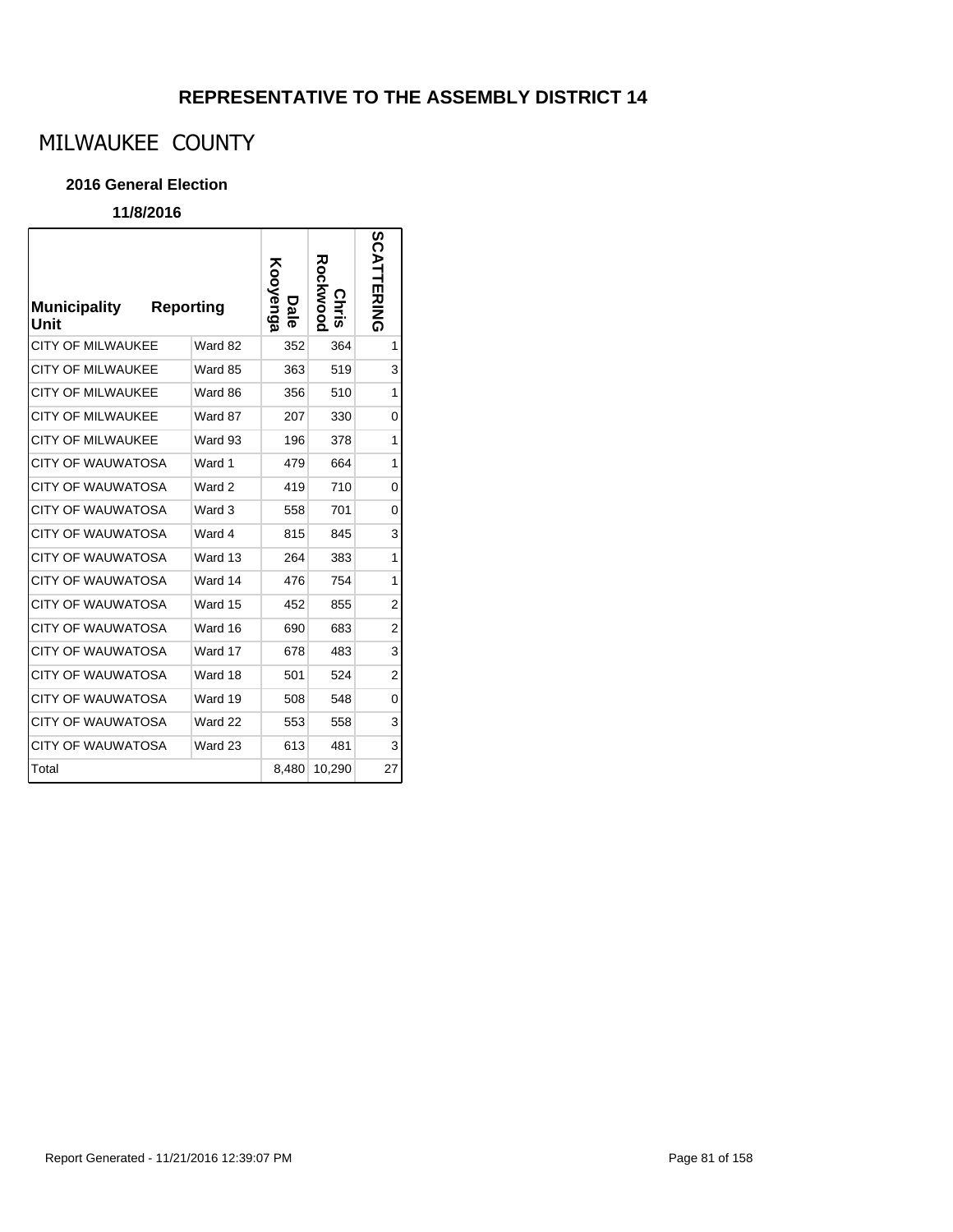# MILWAUKEE COUNTY

#### **2016 General Election**

| <b>Municipality</b><br>Unit | <b>Reporting</b> | Kooyenga<br>U<br><u>ة</u> | Rockwood<br><b>Chris</b> | SCATTERING     |
|-----------------------------|------------------|---------------------------|--------------------------|----------------|
| <b>CITY OF MILWAUKEE</b>    | Ward 82          | 352                       | 364                      | 1              |
| <b>CITY OF MILWAUKEE</b>    | Ward 85          | 363                       | 519                      | 3              |
| <b>CITY OF MILWAUKEE</b>    | Ward 86          | 356                       | 510                      | 1              |
| <b>CITY OF MILWAUKEE</b>    | Ward 87          | 207                       | 330                      | $\Omega$       |
| <b>CITY OF MILWAUKEE</b>    | Ward 93          | 196                       | 378                      | 1              |
| CITY OF WAUWATOSA           | Ward 1           | 479                       | 664                      | 1              |
| <b>CITY OF WAUWATOSA</b>    | Ward 2           | 419                       | 710                      | 0              |
| <b>CITY OF WAUWATOSA</b>    | Ward 3           | 558                       | 701                      | 0              |
| <b>CITY OF WAUWATOSA</b>    | Ward 4           | 815                       | 845                      | 3              |
| <b>CITY OF WAUWATOSA</b>    | Ward 13          | 264                       | 383                      | 1              |
| <b>CITY OF WAUWATOSA</b>    | Ward 14          | 476                       | 754                      | 1              |
| CITY OF WAUWATOSA           | Ward 15          | 452                       | 855                      | $\overline{2}$ |
| CITY OF WAUWATOSA           | Ward 16          | 690                       | 683                      | $\overline{2}$ |
| <b>CITY OF WAUWATOSA</b>    | Ward 17          | 678                       | 483                      | 3              |
| <b>CITY OF WAUWATOSA</b>    | Ward 18          | 501                       | 524                      | $\overline{2}$ |
| <b>CITY OF WAUWATOSA</b>    | Ward 19          | 508                       | 548                      | 0              |
| <b>CITY OF WAUWATOSA</b>    | Ward 22          | 553                       | 558                      | 3              |
| <b>CITY OF WAUWATOSA</b>    | Ward 23          | 613                       | 481                      | 3              |
| Total                       |                  | 8,480                     | 10,290                   | 27             |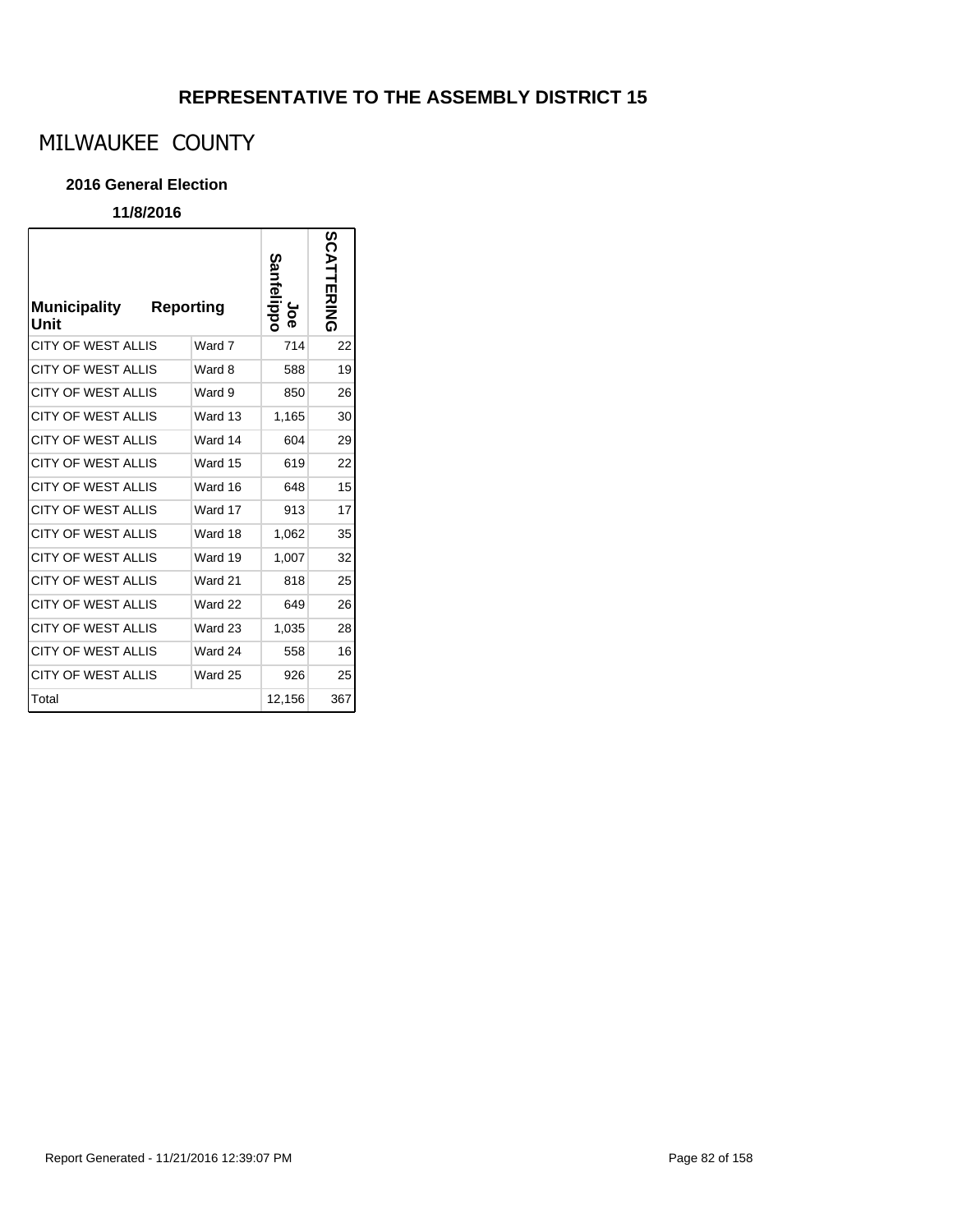# MILWAUKEE COUNTY

#### **2016 General Election**

| <b>Municipality</b><br>Unit | <b>Reporting</b> | ianfelippo<br>န္စ | SCATTERING |
|-----------------------------|------------------|-------------------|------------|
| <b>CITY OF WEST ALLIS</b>   | Ward 7           | 714               | 22         |
| <b>CITY OF WEST ALLIS</b>   | Ward 8           | 588               | 19         |
| <b>CITY OF WEST ALLIS</b>   | Ward 9           | 850               | 26         |
| <b>CITY OF WEST ALLIS</b>   | Ward 13          | 1,165             | 30         |
| <b>CITY OF WEST ALLIS</b>   | Ward 14          | 604               | 29         |
| <b>CITY OF WEST ALLIS</b>   | Ward 15          | 619               | 22         |
| <b>CITY OF WEST ALLIS</b>   | Ward 16          | 648               | 15         |
| <b>CITY OF WEST ALLIS</b>   | Ward 17          | 913               | 17         |
| <b>CITY OF WEST ALLIS</b>   | Ward 18          | 1,062             | 35         |
| <b>CITY OF WEST ALLIS</b>   | Ward 19          | 1,007             | 32         |
| <b>CITY OF WEST ALLIS</b>   | Ward 21          | 818               | 25         |
| <b>CITY OF WEST ALLIS</b>   | Ward 22          | 649               | 26         |
| <b>CITY OF WEST ALLIS</b>   | Ward 23          | 1,035             | 28         |
| CITY OF WEST ALLIS          | Ward 24          | 558               | 16         |
| CITY OF WEST ALLIS          | Ward 25          | 926               | 25         |
| Total                       |                  | 12,156            | 367        |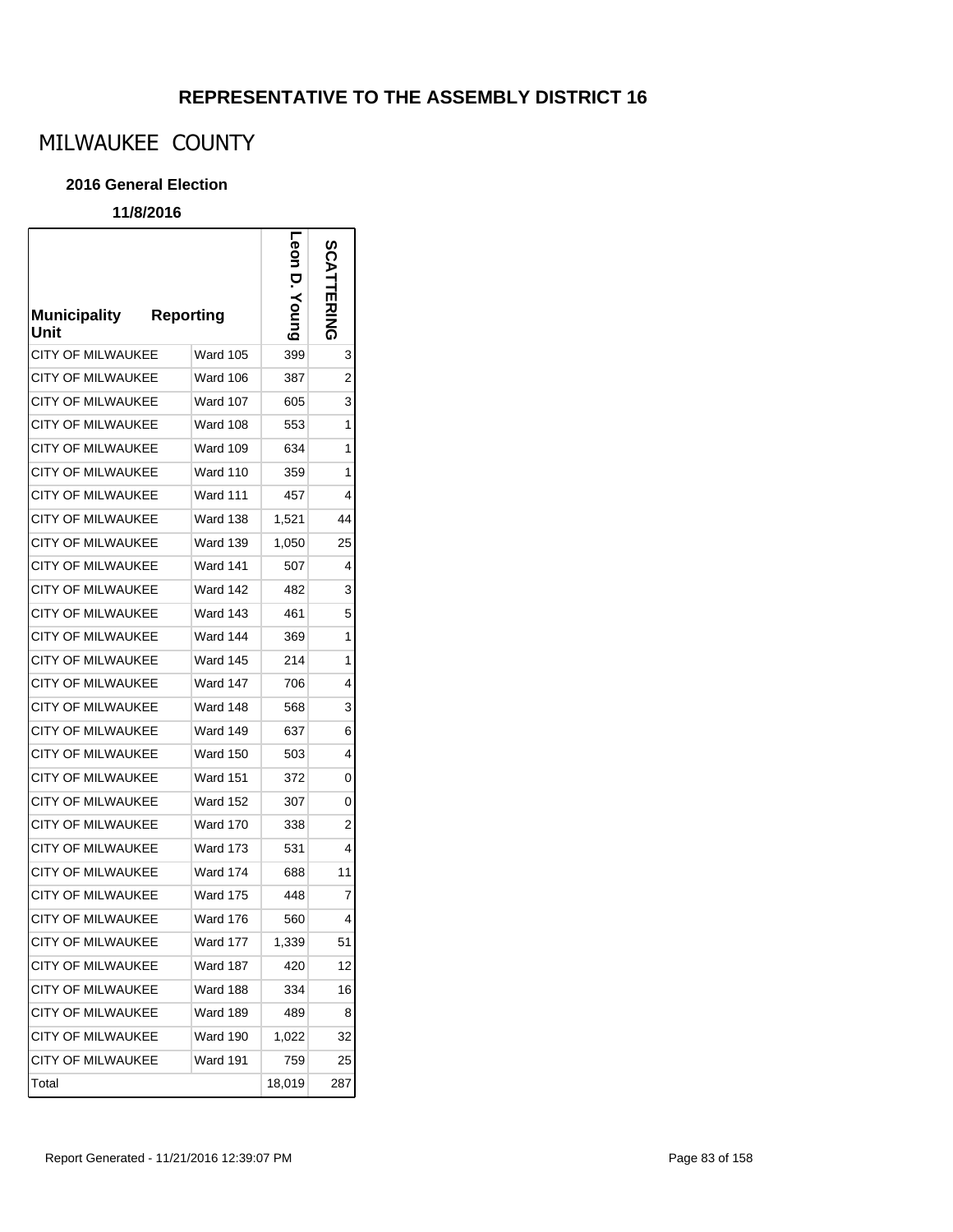٦

# MILWAUKEE COUNTY

#### **2016 General Election**

### **11/8/2016**

 $\sqrt{ }$ 

| <b>Municipality</b><br>Unit | <b>Reporting</b> | Leon D. Young | SCA<br><b>TTERING</b> |
|-----------------------------|------------------|---------------|-----------------------|
| <b>CITY OF MILWAUKEE</b>    | <b>Ward 105</b>  | 399           | 3                     |
| <b>CITY OF MILWAUKEE</b>    | <b>Ward 106</b>  | 387           | 2                     |
| <b>CITY OF MILWAUKEE</b>    | <b>Ward 107</b>  | 605           | 3                     |
| CITY OF MILWAUKEE           | Ward 108         | 553           | 1                     |
| <b>CITY OF MILWAUKEE</b>    | <b>Ward 109</b>  | 634           | 1                     |
| <b>CITY OF MILWAUKEE</b>    | <b>Ward 110</b>  | 359           | 1                     |
| <b>CITY OF MILWAUKEE</b>    | <b>Ward 111</b>  | 457           | 4                     |
| <b>CITY OF MILWAUKEE</b>    | <b>Ward 138</b>  | 1,521         | 44                    |
| <b>CITY OF MILWAUKEE</b>    | <b>Ward 139</b>  | 1,050         | 25                    |
| <b>CITY OF MILWAUKEE</b>    | <b>Ward 141</b>  | 507           | 4                     |
| <b>CITY OF MILWAUKEE</b>    | <b>Ward 142</b>  | 482           | 3                     |
| <b>CITY OF MILWAUKEE</b>    | <b>Ward 143</b>  | 461           | 5                     |
| <b>CITY OF MILWAUKEE</b>    | Ward 144         | 369           | 1                     |
| <b>CITY OF MILWAUKEE</b>    | <b>Ward 145</b>  | 214           | 1                     |
| <b>CITY OF MILWAUKEE</b>    | Ward 147         | 706           | 4                     |
| <b>CITY OF MILWAUKEE</b>    | <b>Ward 148</b>  | 568           | 3                     |
| <b>CITY OF MILWAUKEE</b>    | Ward 149         | 637           | 6                     |
| <b>CITY OF MILWAUKEE</b>    | <b>Ward 150</b>  | 503           | 4                     |
| <b>CITY OF MILWAUKEE</b>    | <b>Ward 151</b>  | 372           | 0                     |
| CITY OF MILWAUKEE           | <b>Ward 152</b>  | 307           | 0                     |
| CITY OF MILWAUKEE           | <b>Ward 170</b>  | 338           | 2                     |
| <b>CITY OF MILWAUKEE</b>    | <b>Ward 173</b>  | 531           | 4                     |
| <b>CITY OF MILWAUKEE</b>    | <b>Ward 174</b>  | 688           | 11                    |
| <b>CITY OF MILWAUKEE</b>    | <b>Ward 175</b>  | 448           | 7                     |
| <b>CITY OF MILWAUKEE</b>    | <b>Ward 176</b>  | 560           | 4                     |
| CITY OF MILWAUKEE           | Ward 177         | 1,339         | 51                    |
| <b>CITY OF MILWAUKEE</b>    | Ward 187         | 420           | 12                    |
| CITY OF MILWAUKEE           | Ward 188         | 334           | 16                    |
| CITY OF MILWAUKEE           | Ward 189         | 489           | 8                     |
| <b>CITY OF MILWAUKEE</b>    | Ward 190         | 1,022         | 32                    |
| <b>CITY OF MILWAUKEE</b>    | Ward 191         | 759           | 25                    |
| Total                       |                  | 18,019        | 287                   |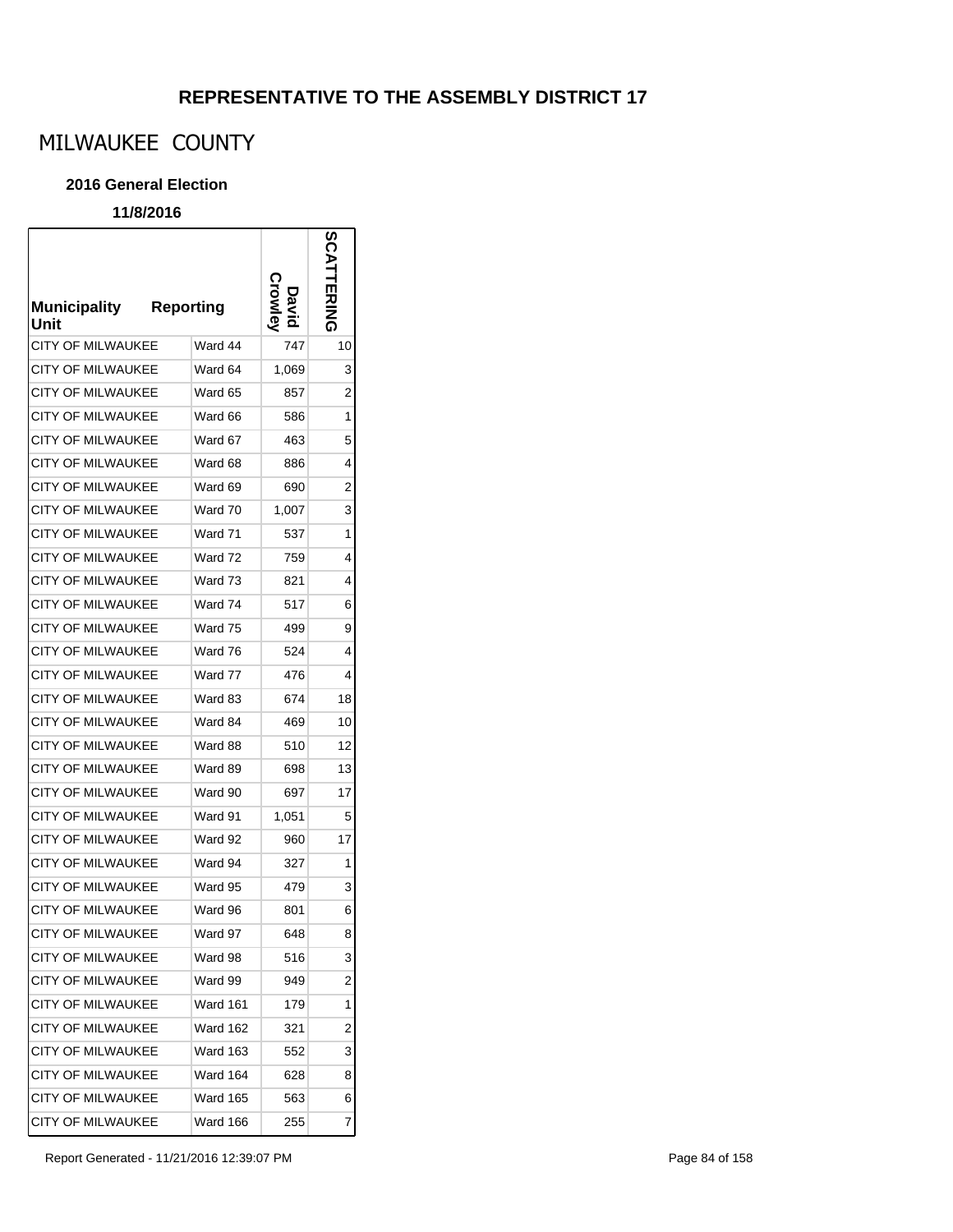# MILWAUKEE COUNTY

#### **2016 General Election**

### **11/8/2016**

r

| <b>Municipality</b><br>Unit | <b>Reporting</b> |       | SCAT<br>市空气 |
|-----------------------------|------------------|-------|-------------|
| CITY OF MILWAUKEE           | Ward 44          | 747   | 10          |
| CITY OF MILWAUKEE           | Ward 64          | 1,069 | 3           |
| <b>CITY OF MILWAUKEE</b>    | Ward 65          | 857   | 2           |
| <b>CITY OF MILWAUKEE</b>    | Ward 66          | 586   | 1           |
| <b>CITY OF MILWAUKEE</b>    | Ward 67          | 463   | 5           |
| <b>CITY OF MILWAUKEE</b>    | Ward 68          | 886   | 4           |
| <b>CITY OF MILWAUKEE</b>    | Ward 69          | 690   | 2           |
| <b>CITY OF MILWAUKEE</b>    | Ward 70          | 1,007 | 3           |
| CITY OF MILWAUKEE           | Ward 71          | 537   | 1           |
| <b>CITY OF MILWAUKEE</b>    | Ward 72          | 759   | 4           |
| <b>CITY OF MILWAUKEE</b>    | Ward 73          | 821   | 4           |
| <b>CITY OF MILWAUKEE</b>    | Ward 74          | 517   | 6           |
| CITY OF MILWAUKEE           | Ward 75          | 499   | 9           |
| <b>CITY OF MILWAUKEE</b>    | Ward 76          | 524   | 4           |
| <b>CITY OF MILWAUKEE</b>    | Ward 77          | 476   | 4           |
| <b>CITY OF MILWAUKEE</b>    | Ward 83          | 674   | 18          |
| <b>CITY OF MILWAUKEE</b>    | Ward 84          | 469   | 10          |
| <b>CITY OF MILWAUKEE</b>    | Ward 88          | 510   | 12          |
| <b>CITY OF MILWAUKEE</b>    | Ward 89          | 698   | 13          |
| CITY OF MILWAUKEE           | Ward 90          | 697   | 17          |
| CITY OF MILWAUKEE           | Ward 91          | 1,051 | 5           |
| CITY OF MILWAUKEE           | Ward 92          | 960   | 17          |
| <b>CITY OF MILWAUKEE</b>    | Ward 94          | 327   | 1           |
| <b>CITY OF MILWAUKEE</b>    | Ward 95          | 479   | 3           |
| CITY OF MILWAUKEE           | Ward 96          | 801   | 6           |
| CITY OF MILWAUKEE           | Ward 97          | 648   | 8           |
| <b>CITY OF MILWAUKEE</b>    | Ward 98          | 516   | 3           |
| CITY OF MILWAUKEE           | Ward 99          | 949   | 2           |
| <b>CITY OF MILWAUKEE</b>    | Ward 161         | 179   | 1           |
| <b>CITY OF MILWAUKEE</b>    | <b>Ward 162</b>  | 321   | 2           |
| <b>CITY OF MILWAUKEE</b>    | Ward 163         | 552   | 3           |
| <b>CITY OF MILWAUKEE</b>    | <b>Ward 164</b>  | 628   | 8           |
| <b>CITY OF MILWAUKEE</b>    | Ward 165         | 563   | 6           |
| <b>CITY OF MILWAUKEE</b>    | Ward 166         | 255   | 7           |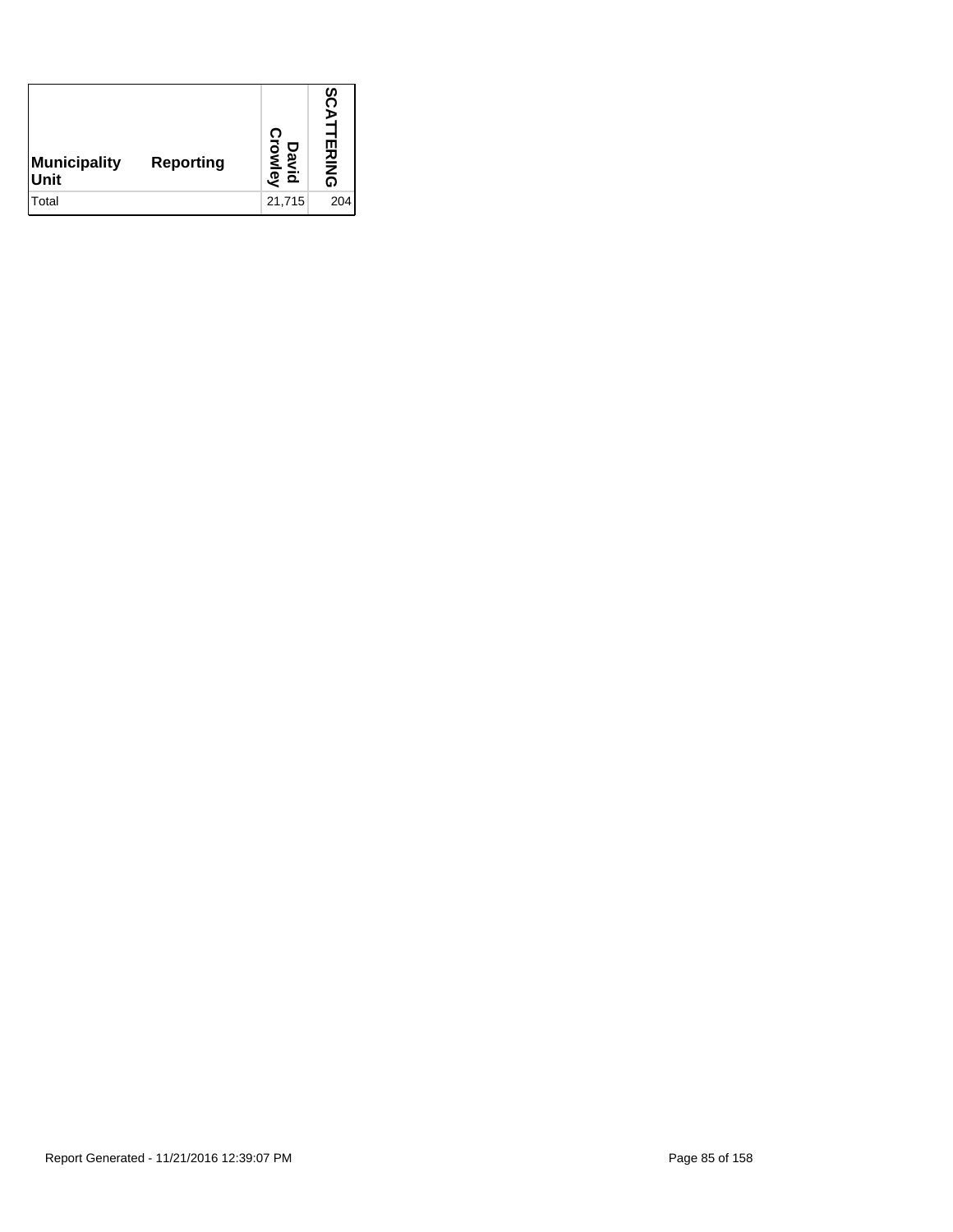| Municipality<br>Unit | <b>Reporting</b> | David<br>Crowley | n<br>n<br>⋗<br><b>TERING</b> |
|----------------------|------------------|------------------|------------------------------|
| Total                |                  | 21,715           | 204                          |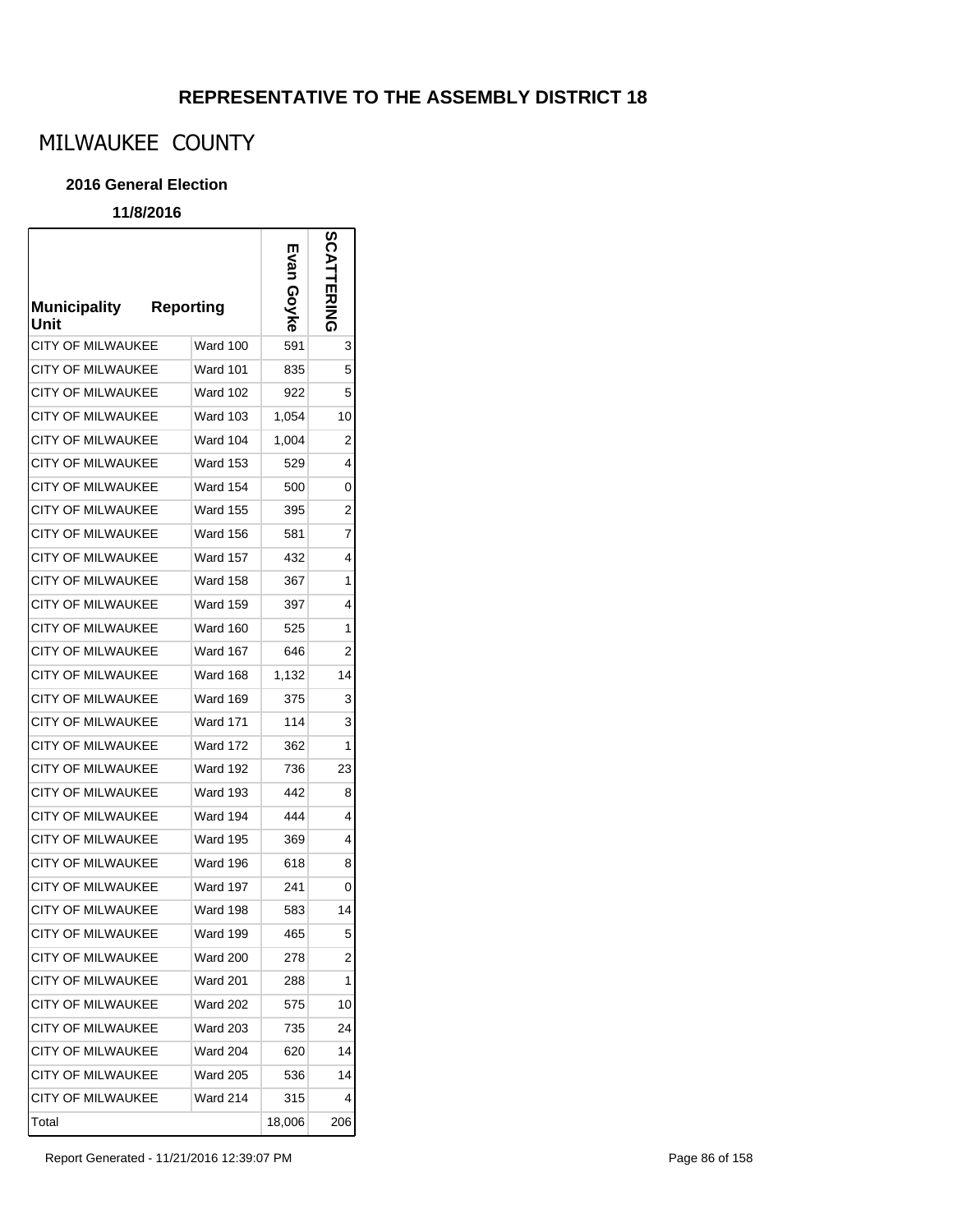# MILWAUKEE COUNTY

#### **2016 General Election**

### **11/8/2016**

 $\mathsf{r}$ 

| <b>Municipality</b><br>Unit | <b>Reporting</b> | ш<br>uex<br>вуке | <b>SCATTERING</b> |
|-----------------------------|------------------|------------------|-------------------|
| CITY OF MILWAUKEE           | Ward 100         | 591              | 3                 |
| CITY OF MILWAUKEE           | <b>Ward 101</b>  | 835              | 5                 |
| <b>CITY OF MILWAUKEE</b>    | <b>Ward 102</b>  | 922              | 5                 |
| <b>CITY OF MILWAUKEE</b>    | <b>Ward 103</b>  | 1,054            | 10                |
| <b>CITY OF MILWAUKEE</b>    | Ward 104         | 1,004            | $\overline{2}$    |
| <b>CITY OF MILWAUKEE</b>    | <b>Ward 153</b>  | 529              | 4                 |
| <b>CITY OF MILWAUKEE</b>    | Ward 154         | 500              | 0                 |
| <b>CITY OF MILWAUKEE</b>    | <b>Ward 155</b>  | 395              | 2                 |
| CITY OF MILWAUKEE           | <b>Ward 156</b>  | 581              | 7                 |
| CITY OF MILWAUKEE           | <b>Ward 157</b>  | 432              | 4                 |
| <b>CITY OF MILWAUKEE</b>    | <b>Ward 158</b>  | 367              | 1                 |
| <b>CITY OF MILWAUKEE</b>    | <b>Ward 159</b>  | 397              | 4                 |
| CITY OF MILWAUKEE           | Ward 160         | 525              | 1                 |
| <b>CITY OF MILWAUKEE</b>    | Ward 167         | 646              | 2                 |
| <b>CITY OF MILWAUKEE</b>    | <b>Ward 168</b>  | 1,132            | 14                |
| <b>CITY OF MILWAUKEE</b>    | <b>Ward 169</b>  | 375              | 3                 |
| <b>CITY OF MILWAUKEE</b>    | <b>Ward 171</b>  | 114              | 3                 |
| <b>CITY OF MILWAUKEE</b>    | <b>Ward 172</b>  | 362              | 1                 |
| <b>CITY OF MILWAUKEE</b>    | Ward 192         | 736              | 23                |
| CITY OF MILWAUKEE           | Ward 193         | 442              | 8                 |
| CITY OF MILWAUKEE           | Ward 194         | 444              | 4                 |
| CITY OF MILWAUKEE           | <b>Ward 195</b>  | 369              | 4                 |
| <b>CITY OF MILWAUKEE</b>    | Ward 196         | 618              | 8                 |
| <b>CITY OF MILWAUKEE</b>    | Ward 197         | 241              | 0                 |
| <b>CITY OF MILWAUKEE</b>    | Ward 198         | 583              | 14                |
| <b>CITY OF MILWAUKEE</b>    | <b>Ward 199</b>  | 465              | 5                 |
| <b>CITY OF MILWAUKEE</b>    | <b>Ward 200</b>  | 278              | 2                 |
| <b>CITY OF MILWAUKEE</b>    | <b>Ward 201</b>  | 288              | 1                 |
| CITY OF MILWAUKEE           | <b>Ward 202</b>  | 575              | 10                |
| <b>CITY OF MILWAUKEE</b>    | <b>Ward 203</b>  | 735              | 24                |
| <b>CITY OF MILWAUKEE</b>    | <b>Ward 204</b>  | 620              | 14                |
| <b>CITY OF MILWAUKEE</b>    | <b>Ward 205</b>  | 536              | 14                |
| <b>CITY OF MILWAUKEE</b>    | <b>Ward 214</b>  | 315              | 4                 |
| Total                       |                  | 18,006           | 206               |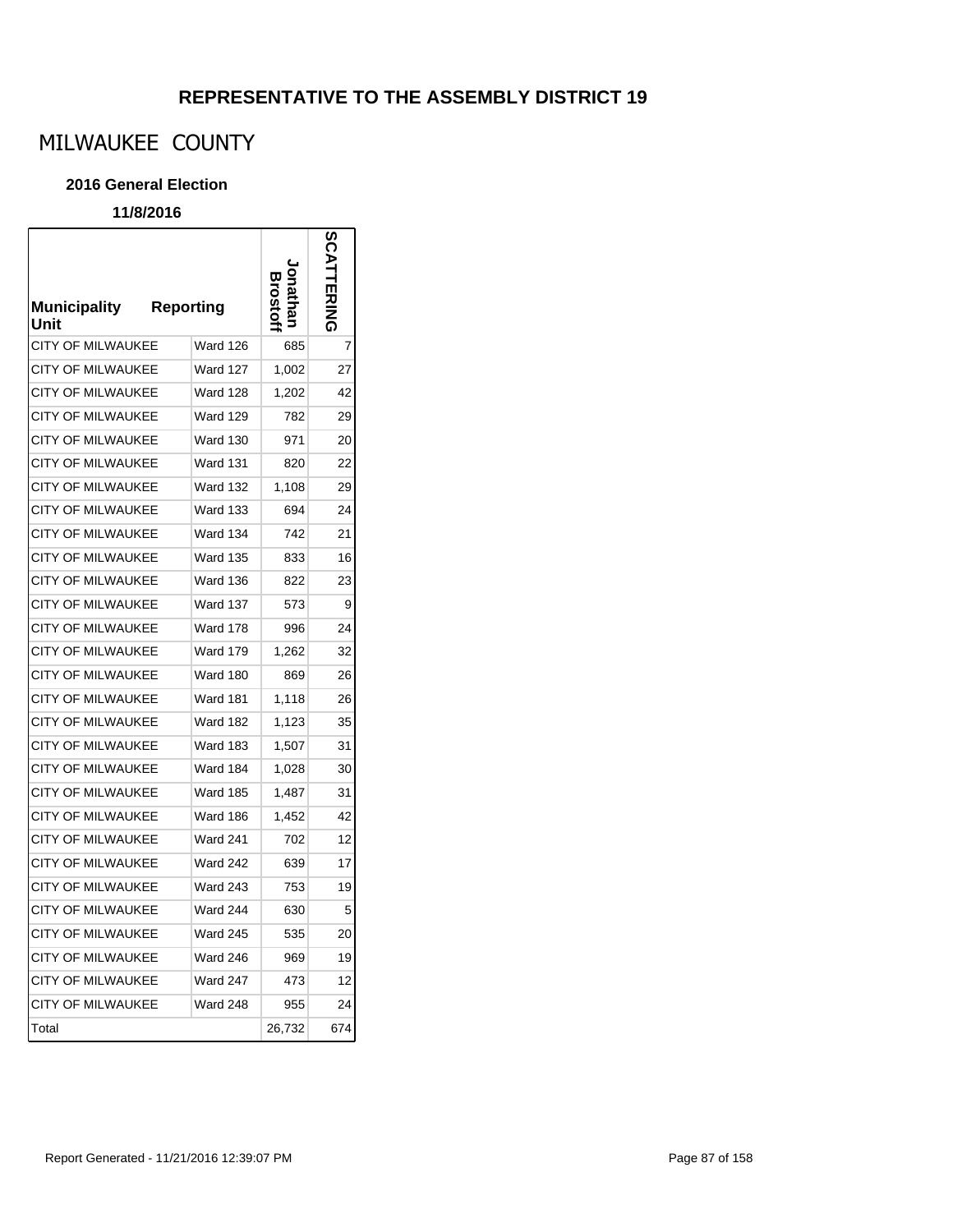# MILWAUKEE COUNTY

#### **2016 General Election**

### **11/8/2016**

r

| <b>Municipality</b><br>Unit | Reporting       |        | ဌ   |
|-----------------------------|-----------------|--------|-----|
| <b>CITY OF MILWAUKEE</b>    | <b>Ward 126</b> | 685    | 7   |
| CITY OF MILWAUKEE           | <b>Ward 127</b> | 1,002  | 27  |
| <b>CITY OF MILWAUKEE</b>    | <b>Ward 128</b> | 1,202  | 42  |
| <b>CITY OF MILWAUKEE</b>    | <b>Ward 129</b> | 782    | 29  |
| <b>CITY OF MILWAUKEE</b>    | <b>Ward 130</b> | 971    | 20  |
| CITY OF MILWAUKEE           | <b>Ward 131</b> | 820    | 22  |
| <b>CITY OF MILWAUKEE</b>    | <b>Ward 132</b> | 1,108  | 29  |
| <b>CITY OF MILWAUKEE</b>    | <b>Ward 133</b> | 694    | 24  |
| CITY OF MILWAUKEE           | Ward 134        | 742    | 21  |
| <b>CITY OF MILWAUKEE</b>    | <b>Ward 135</b> | 833    | 16  |
| <b>CITY OF MILWAUKEE</b>    | Ward 136        | 822    | 23  |
| <b>CITY OF MILWAUKEE</b>    | Ward 137        | 573    | 9   |
| <b>CITY OF MILWAUKEE</b>    | Ward 178        | 996    | 24  |
| <b>CITY OF MILWAUKEE</b>    | Ward 179        | 1,262  | 32  |
| CITY OF MILWAUKEE           | Ward 180        | 869    | 26  |
| CITY OF MILWAUKEE           | <b>Ward 181</b> | 1,118  | 26  |
| CITY OF MILWAUKEE           | Ward 182        | 1,123  | 35  |
| <b>CITY OF MILWAUKEE</b>    | Ward 183        | 1,507  | 31  |
| <b>CITY OF MILWAUKEE</b>    | Ward 184        | 1,028  | 30  |
| CITY OF MILWAUKEE           | Ward 185        | 1,487  | 31  |
| <b>CITY OF MILWAUKEE</b>    | Ward 186        | 1,452  | 42  |
| <b>CITY OF MILWAUKEE</b>    | <b>Ward 241</b> | 702    | 12  |
| <b>CITY OF MILWAUKEE</b>    | <b>Ward 242</b> | 639    | 17  |
| <b>CITY OF MILWAUKEE</b>    | Ward 243        | 753    | 19  |
| <b>CITY OF MILWAUKEE</b>    | Ward 244        | 630    | 5   |
| CITY OF MILWAUKEE           | <b>Ward 245</b> | 535    | 20  |
| <b>CITY OF MILWAUKEE</b>    | Ward 246        | 969    | 19  |
| <b>CITY OF MILWAUKEE</b>    | Ward 247        | 473    | 12  |
| <b>CITY OF MILWAUKEE</b>    | <b>Ward 248</b> | 955    | 24  |
| Total                       |                 | 26,732 | 674 |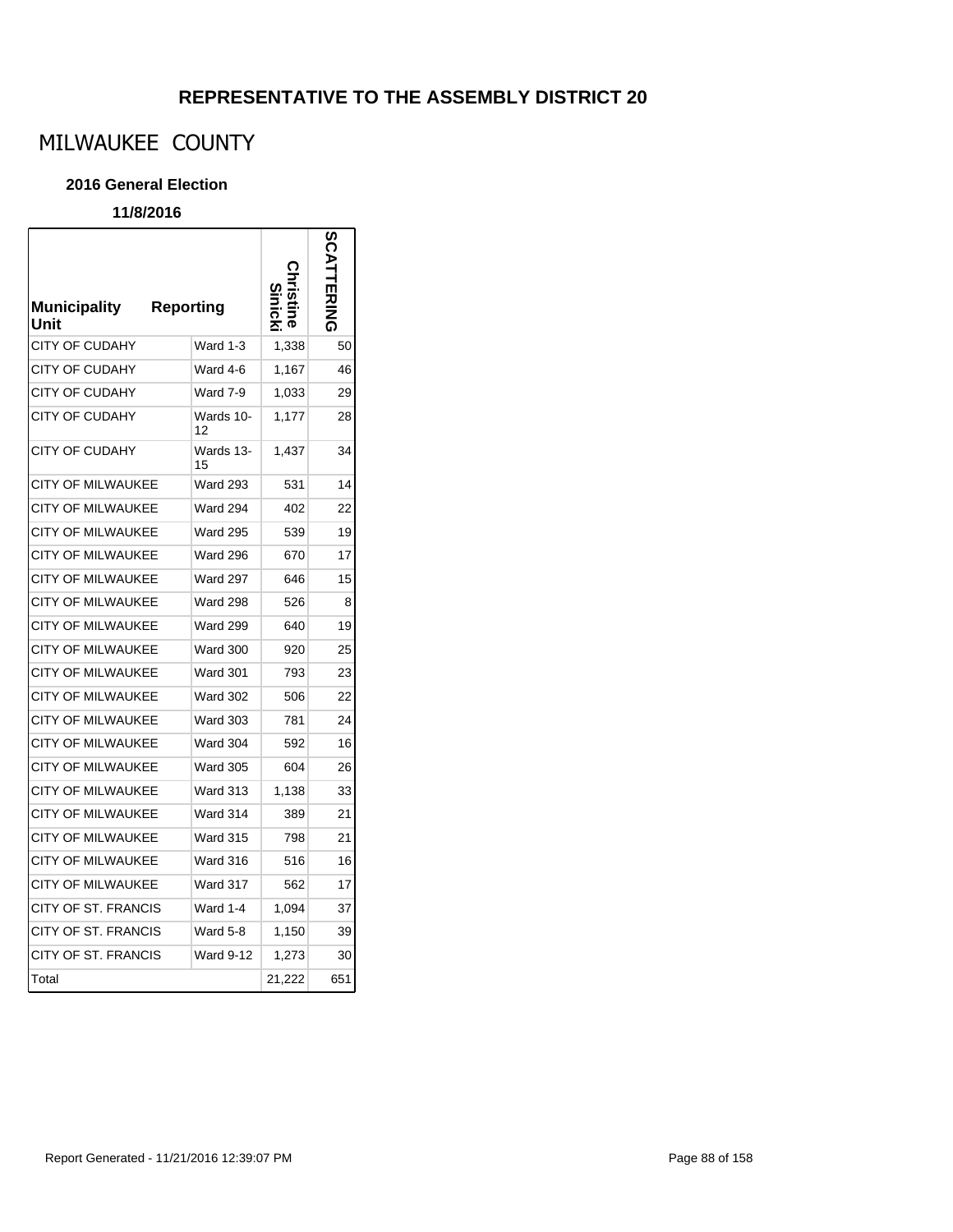# MILWAUKEE COUNTY

#### **2016 General Election**

| <b>Municipality</b><br>Unit | <b>Reporting</b> |        |     |
|-----------------------------|------------------|--------|-----|
| <b>CITY OF CUDAHY</b>       | Ward 1-3         | 1,338  | 50  |
| <b>CITY OF CUDAHY</b>       | Ward 4-6         | 1,167  | 46  |
| <b>CITY OF CUDAHY</b>       | Ward 7-9         | 1,033  | 29  |
| <b>CITY OF CUDAHY</b>       | Wards 10-<br>12  | 1,177  | 28  |
| <b>CITY OF CUDAHY</b>       | Wards 13-<br>15  | 1,437  | 34  |
| <b>CITY OF MILWAUKEE</b>    | <b>Ward 293</b>  | 531    | 14  |
| CITY OF MILWAUKEE           | <b>Ward 294</b>  | 402    | 22  |
| <b>CITY OF MILWAUKEE</b>    | <b>Ward 295</b>  | 539    | 19  |
| CITY OF MILWAUKEE           | Ward 296         | 670    | 17  |
| <b>CITY OF MILWAUKEE</b>    | <b>Ward 297</b>  | 646    | 15  |
| <b>CITY OF MILWAUKEE</b>    | <b>Ward 298</b>  | 526    | 8   |
| <b>CITY OF MILWAUKEE</b>    | <b>Ward 299</b>  | 640    | 19  |
| <b>CITY OF MILWAUKEE</b>    | <b>Ward 300</b>  | 920    | 25  |
| <b>CITY OF MILWAUKEE</b>    | <b>Ward 301</b>  | 793    | 23  |
| <b>CITY OF MILWAUKEE</b>    | <b>Ward 302</b>  | 506    | 22  |
| <b>CITY OF MILWAUKEE</b>    | <b>Ward 303</b>  | 781    | 24  |
| CITY OF MILWAUKEE           | <b>Ward 304</b>  | 592    | 16  |
| <b>CITY OF MILWAUKEE</b>    | <b>Ward 305</b>  | 604    | 26  |
| CITY OF MILWAUKEE           | <b>Ward 313</b>  | 1,138  | 33  |
| <b>CITY OF MILWAUKEE</b>    | Ward 314         | 389    | 21  |
| <b>CITY OF MILWAUKEE</b>    | <b>Ward 315</b>  | 798    | 21  |
| <b>CITY OF MILWAUKEE</b>    | Ward 316         | 516    | 16  |
| <b>CITY OF MILWAUKEE</b>    | Ward 317         | 562    | 17  |
| CITY OF ST. FRANCIS         | Ward 1-4         | 1,094  | 37  |
| CITY OF ST. FRANCIS         | Ward 5-8         | 1,150  | 39  |
| <b>CITY OF ST. FRANCIS</b>  | <b>Ward 9-12</b> | 1,273  | 30  |
| Total                       |                  | 21,222 | 651 |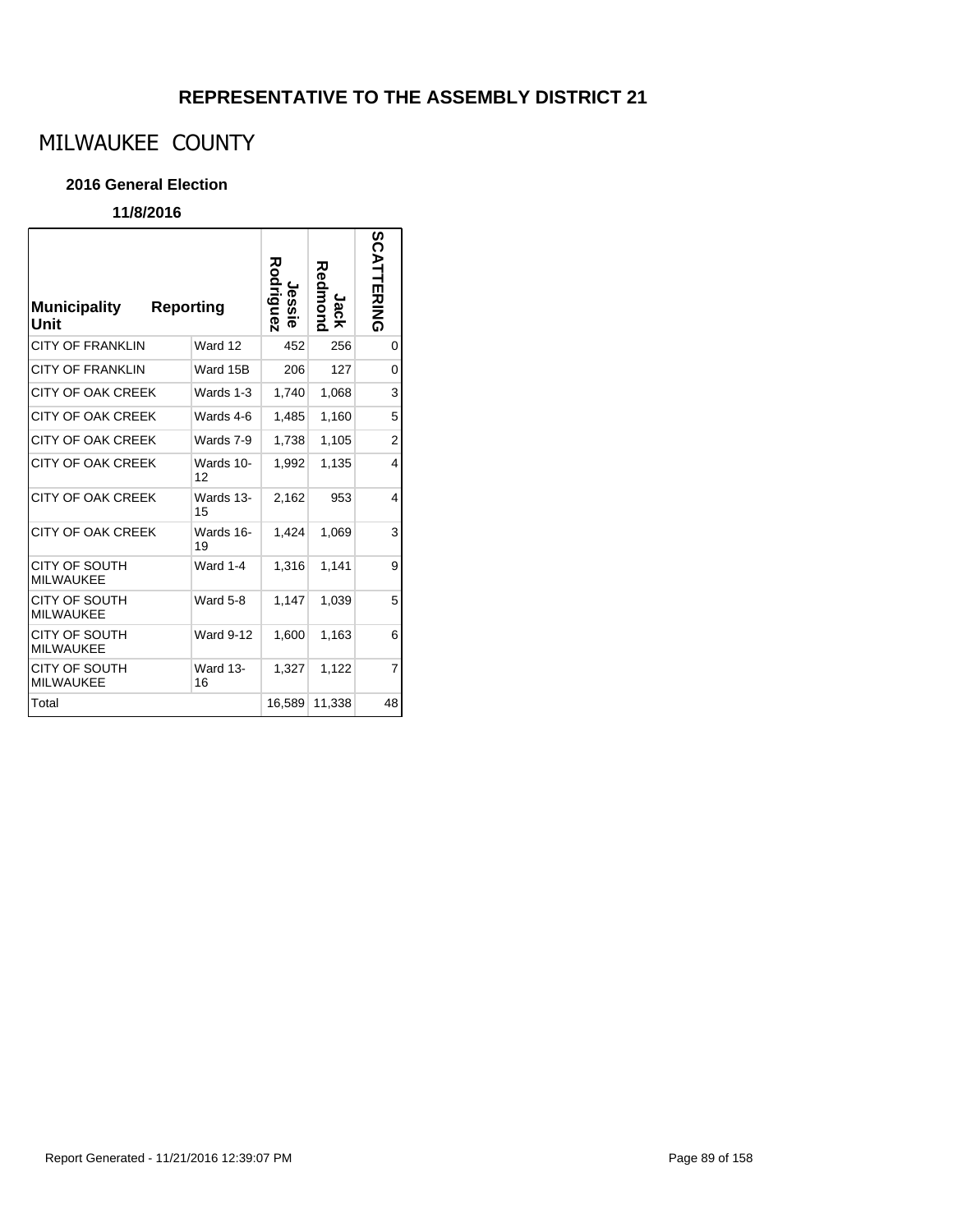# MILWAUKEE COUNTY

#### **2016 General Election**

| <b>Municipality</b><br>Unit              | Reporting |                  | Rodriguez<br>Jes<br>ë. | Redinona<br>Jack | SCATTERING     |
|------------------------------------------|-----------|------------------|------------------------|------------------|----------------|
| <b>CITY OF FRANKLIN</b>                  |           | Ward 12          | 452                    | 256              | 0              |
| <b>CITY OF FRANKLIN</b>                  |           | Ward 15B         | 206                    | 127              | 0              |
| CITY OF OAK CREEK                        |           | Wards 1-3        | 1,740                  | 1,068            | 3              |
| CITY OF OAK CREEK                        |           | Wards 4-6        | 1,485                  | 1,160            | 5              |
| CITY OF OAK CREEK                        |           | Wards 7-9        | 1,738                  | 1,105            | $\overline{2}$ |
| CITY OF OAK CREEK                        |           | Wards 10-<br>12  | 1,992                  | 1,135            | 4              |
| CITY OF OAK CREEK                        |           | Wards 13-<br>15  | 2.162                  | 953              | 4              |
| <b>CITY OF OAK CREEK</b>                 |           | Wards 16-<br>19  | 1,424                  | 1,069            | 3              |
| <b>CITY OF SOUTH</b><br>MILWAUKEE        |           | <b>Ward 1-4</b>  | 1,316                  | 1,141            | 9              |
| CITY OF SOUTH<br><b>MILWAUKEE</b>        |           | Ward 5-8         | 1.147                  | 1,039            | 5              |
| CITY OF SOUTH<br><b>MILWAUKEE</b>        |           | <b>Ward 9-12</b> | 1,600                  | 1,163            | 6              |
| <b>CITY OF SOUTH</b><br><b>MILWAUKEE</b> |           | Ward 13-<br>16   | 1,327                  | 1,122            | 7              |
| Total                                    |           |                  | 16,589                 | 11,338           | 48             |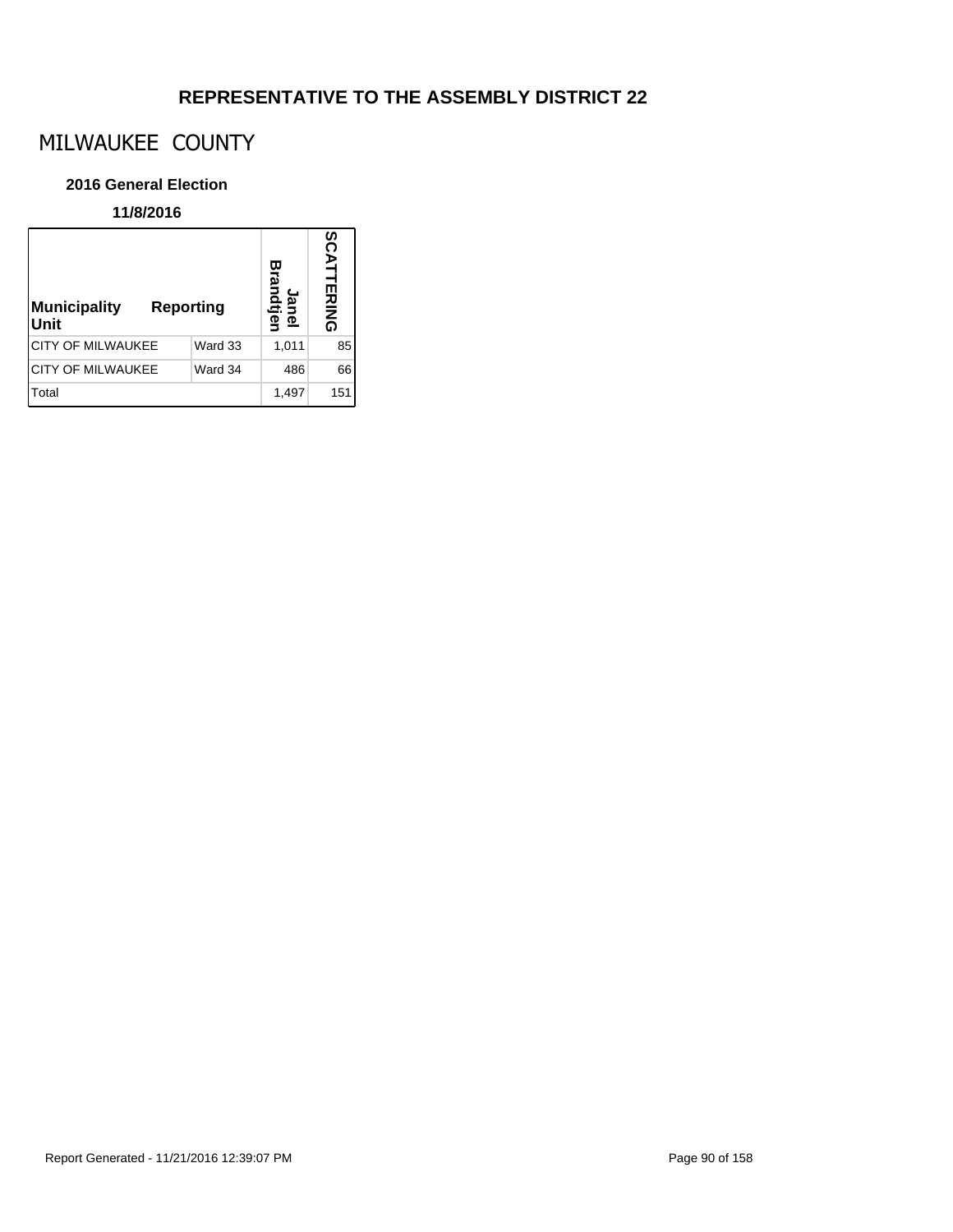# MILWAUKEE COUNTY

#### **2016 General Election**

| <b>Municipality</b><br><b>Reporting</b><br>Unit |         | 罒<br><u>يو</u><br>ane<br>dtjel | SCATTERING |
|-------------------------------------------------|---------|--------------------------------|------------|
| CITY OF MILWAUKEE                               | Ward 33 | 1,011                          | 85         |
| CITY OF MILWAUKEE                               | Ward 34 | 486                            | 66         |
| Total                                           |         | 1,497                          | 151        |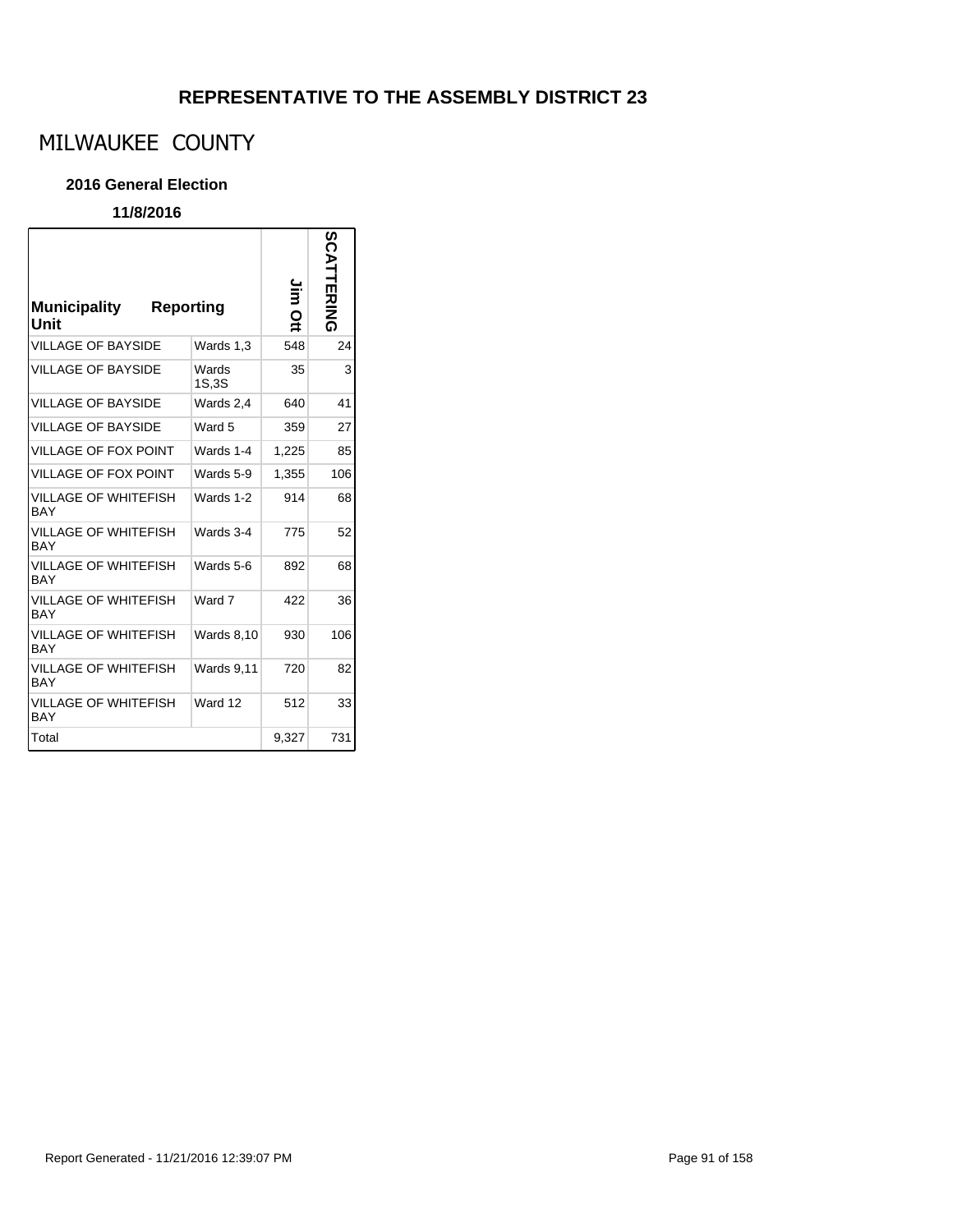# MILWAUKEE COUNTY

#### **2016 General Election**

### **11/8/2016**

r

| Municipality<br>Unit               | Reporting         | Ĕ<br>o | SCATT<br><b>ERING</b> |
|------------------------------------|-------------------|--------|-----------------------|
| <b>VILLAGE OF BAYSIDE</b>          | Wards 1.3         | 548    | 24                    |
| <b>VILLAGE OF BAYSIDE</b>          | Wards<br>1S,3S    | 35     | 3                     |
| <b>VILLAGE OF BAYSIDE</b>          | Wards 2,4         | 640    | 41                    |
| <b>VILLAGE OF BAYSIDE</b>          | Ward 5            | 359    | 27                    |
| <b>VILLAGE OF FOX POINT</b>        | Wards 1-4         | 1,225  | 85                    |
| <b>VILLAGE OF FOX POINT</b>        | Wards 5-9         | 1,355  | 106                   |
| VILLAGE OF WHITEFISH<br><b>BAY</b> | Wards 1-2         | 914    | 68                    |
| VILLAGE OF WHITEFISH<br>BAY        | Wards 3-4         | 775    | 52                    |
| VILLAGE OF WHITEFISH<br>BAY        | Wards 5-6         | 892    | 68                    |
| VILLAGE OF WHITEFISH<br><b>BAY</b> | Ward 7            | 422    | 36                    |
| VILLAGE OF WHITEFISH<br><b>BAY</b> | <b>Wards 8,10</b> | 930    | 106                   |
| VILLAGE OF WHITEFISH<br>BAY        | <b>Wards 9,11</b> | 720    | 82                    |
| VILLAGE OF WHITEFISH<br><b>BAY</b> | Ward 12           | 512    | 33                    |
| Total                              |                   | 9,327  | 731                   |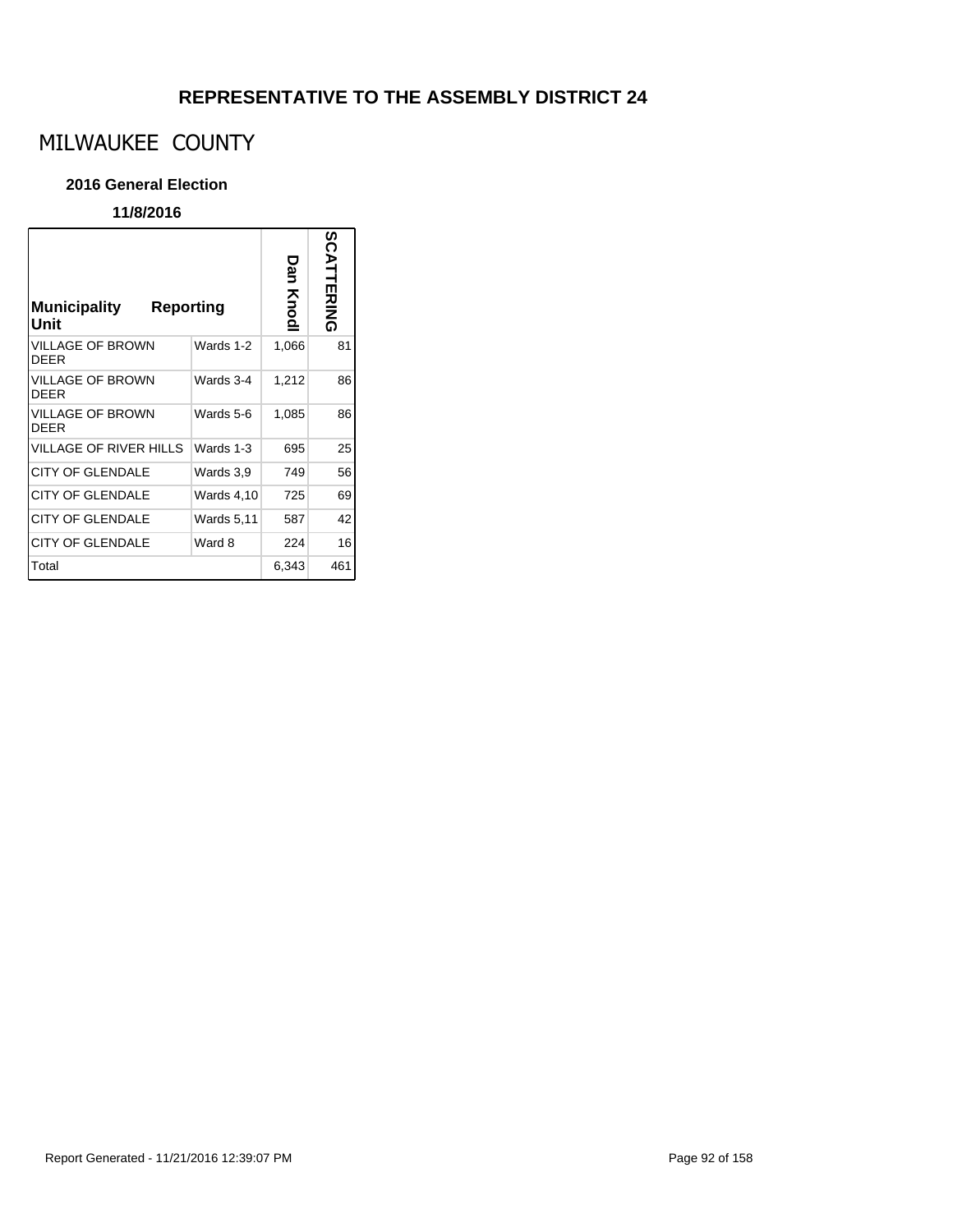# MILWAUKEE COUNTY

#### **2016 General Election**

| <b>Municipality</b><br>Reporting<br>Unit |                   | Dar<br>Knodl | SCATTERING |
|------------------------------------------|-------------------|--------------|------------|
| <b>VILLAGE OF BROWN</b><br><b>DEER</b>   | Wards 1-2         | 1,066        | 81         |
| <b>VILLAGE OF BROWN</b><br><b>DEER</b>   | Wards 3-4         | 1,212        | 86         |
| <b>VILLAGE OF BROWN</b><br><b>DEER</b>   | Wards 5-6         | 1,085        | 86         |
| <b>VILLAGE OF RIVER HILLS</b>            | Wards 1-3         | 695          | 25         |
| <b>CITY OF GLENDALE</b>                  | Wards 3,9         | 749          | 56         |
| <b>CITY OF GLENDALE</b>                  | <b>Wards 4,10</b> | 725          | 69         |
| <b>CITY OF GLENDALE</b>                  | <b>Wards 5,11</b> | 587          | 42         |
| <b>CITY OF GLENDALE</b>                  | Ward 8            | 224          | 16         |
| Total                                    |                   | 6,343        | 461        |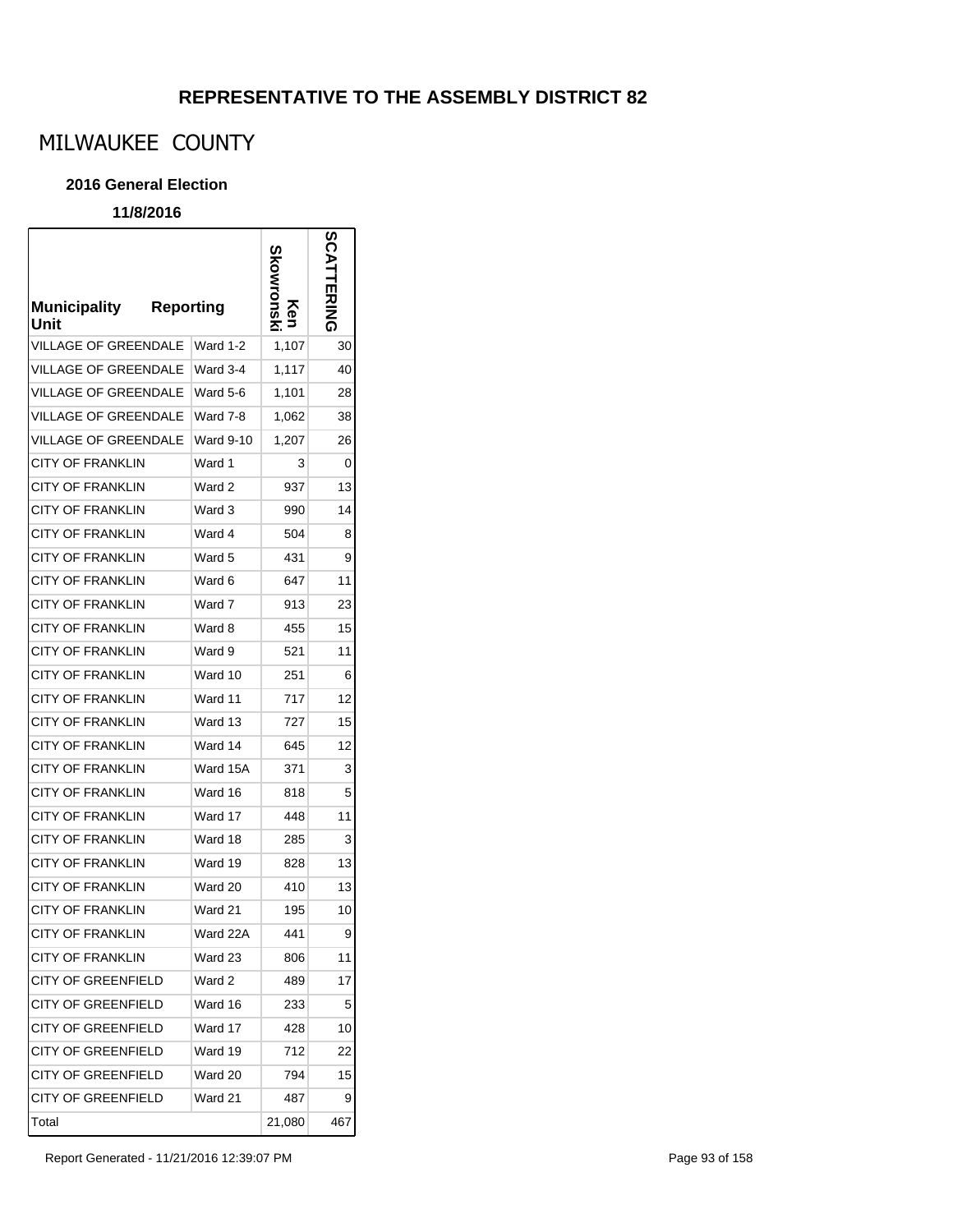# MILWAUKEE COUNTY

#### **2016 General Election**

### **11/8/2016**

r

| <b>Municipality</b><br>Unit | <b>Reporting</b> | kowronsk<br>Κen | <b>SCATTERING</b> |
|-----------------------------|------------------|-----------------|-------------------|
| VILLAGE OF GREENDALE        | Ward 1-2         | 1,107           | 30                |
| VILLAGE OF GREENDALE        | Ward 3-4         | 1,117           | 40                |
| <b>VILLAGE OF GREENDALE</b> | Ward 5-6         | 1,101           | 28                |
| VILLAGE OF GREENDALE        | Ward 7-8         | 1,062           | 38                |
| <b>VILLAGE OF GREENDALE</b> | <b>Ward 9-10</b> | 1,207           | 26                |
| CITY OF FRANKLIN            | Ward 1           | 3               | 0                 |
| CITY OF FRANKLIN            | Ward 2           | 937             | 13                |
| CITY OF FRANKLIN            | Ward 3           | 990             | 14                |
| <b>CITY OF FRANKLIN</b>     | Ward 4           | 504             | 8                 |
| <b>CITY OF FRANKLIN</b>     | Ward 5           | 431             | 9                 |
| <b>CITY OF FRANKLIN</b>     | Ward 6           | 647             | 11                |
| CITY OF FRANKLIN            | Ward 7           | 913             | 23                |
| CITY OF FRANKLIN            | Ward 8           | 455             | 15                |
| CITY OF FRANKLIN            | Ward 9           | 521             | 11                |
| CITY OF FRANKLIN            | Ward 10          | 251             | 6                 |
| CITY OF FRANKLIN            | Ward 11          | 717             | 12                |
| CITY OF FRANKLIN            | Ward 13          | 727             | 15                |
| CITY OF FRANKLIN            | Ward 14          | 645             | 12                |
| CITY OF FRANKLIN            | Ward 15A         | 371             | 3                 |
| CITY OF FRANKLIN            | Ward 16          | 818             | 5                 |
| CITY OF FRANKLIN            | Ward 17          | 448             | 11                |
| <b>CITY OF FRANKLIN</b>     | Ward 18          | 285             | 3                 |
| <b>CITY OF FRANKLIN</b>     | Ward 19          | 828             | 13                |
| <b>CITY OF FRANKLIN</b>     | Ward 20          | 410             | 13                |
| <b>CITY OF FRANKLIN</b>     | Ward 21          | 195             | 10                |
| <b>CITY OF FRANKLIN</b>     | Ward 22A         | 441             | 9                 |
| <b>CITY OF FRANKLIN</b>     | Ward 23          | 806             | 11                |
| <b>CITY OF GREENFIELD</b>   | Ward 2           | 489             | 17                |
| <b>CITY OF GREENFIELD</b>   | Ward 16          | 233             | 5                 |
| <b>CITY OF GREENFIELD</b>   | Ward 17          | 428             | 10                |
| <b>CITY OF GREENFIELD</b>   | Ward 19          | 712             | 22                |
| <b>CITY OF GREENFIELD</b>   | Ward 20          | 794             | 15                |
| <b>CITY OF GREENFIELD</b>   | Ward 21          | 487             | 9                 |
| Total                       |                  | 21,080          | 467               |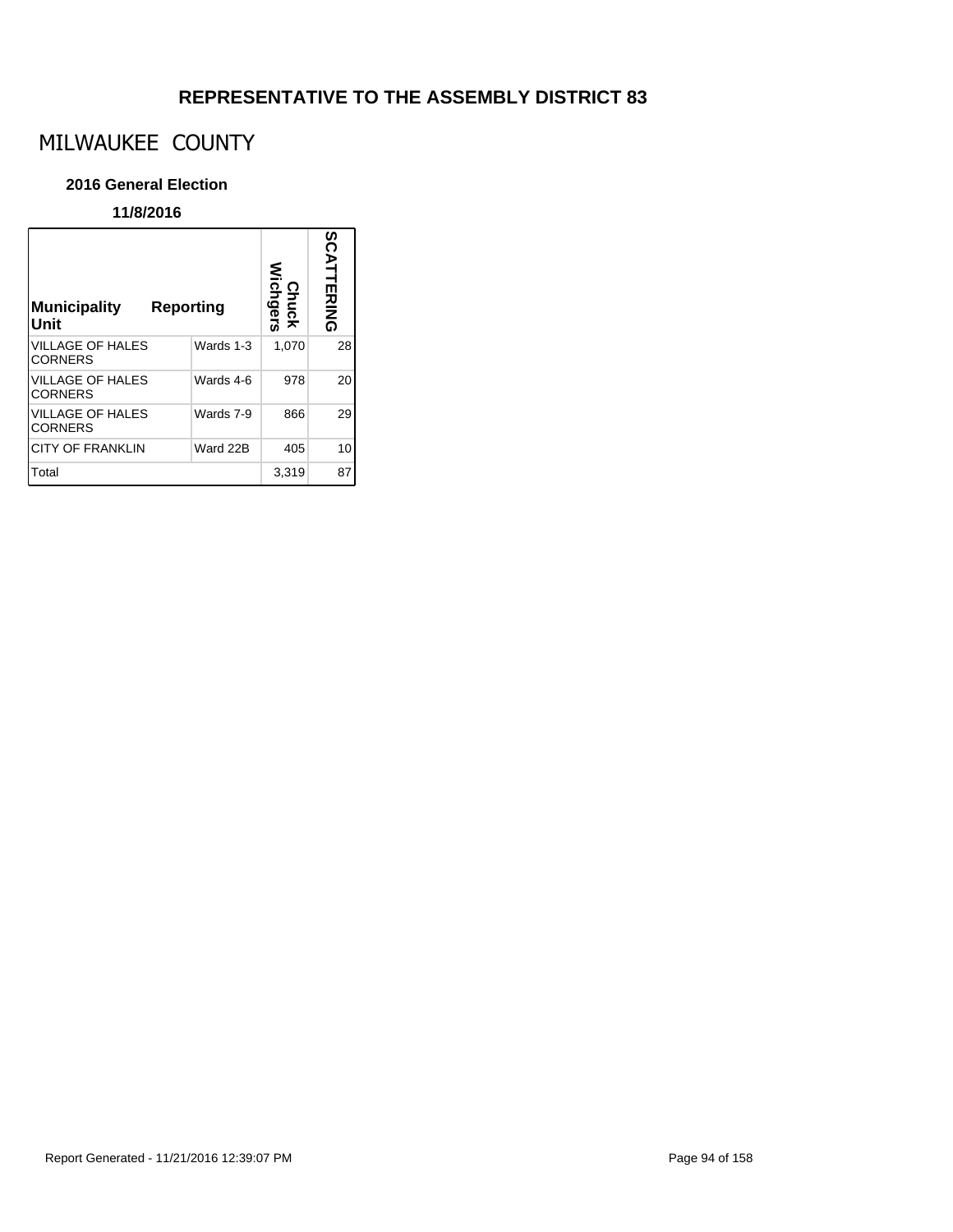# MILWAUKEE COUNTY

#### **2016 General Election**

| <b>Municipality</b><br>Unit               | Reporting | Chuck<br>Wichgers | SCATTERING |
|-------------------------------------------|-----------|-------------------|------------|
| <b>VILLAGE OF HALES</b><br><b>CORNERS</b> | Wards 1-3 | 1,070             | 28         |
| <b>VILLAGE OF HALES</b><br><b>CORNERS</b> | Wards 4-6 | 978               | 20         |
| <b>VILLAGE OF HALES</b><br><b>CORNERS</b> | Wards 7-9 | 866               | 29         |
| <b>CITY OF FRANKLIN</b>                   | Ward 22B  | 405               | 10         |
| Total                                     |           | 3,319             | 87         |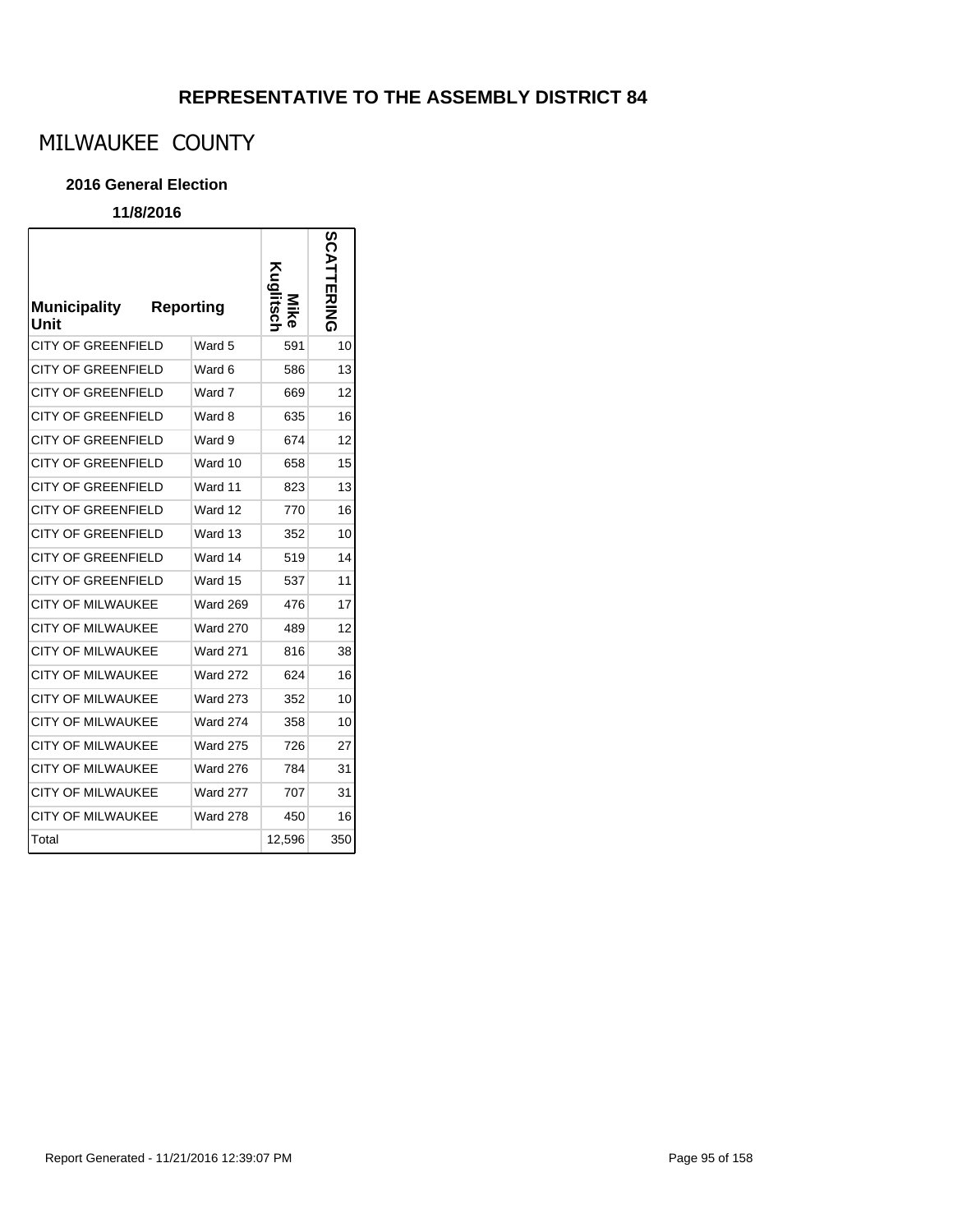# MILWAUKEE COUNTY

#### **2016 General Election**

| <b>Municipality</b><br>Unit | Reporting       | Kuglitsch | <b>SCATTERING</b> |
|-----------------------------|-----------------|-----------|-------------------|
| <b>CITY OF GREENFIELD</b>   | Ward 5          | 591       | 10                |
| <b>CITY OF GREENFIELD</b>   | Ward 6          | 586       | 13                |
| <b>CITY OF GREENFIELD</b>   | Ward 7          | 669       | 12                |
| <b>CITY OF GREENFIELD</b>   | Ward 8          | 635       | 16                |
| <b>CITY OF GREENFIELD</b>   | Ward 9          | 674       | 12                |
| <b>CITY OF GREENFIELD</b>   | Ward 10         | 658       | 15                |
| CITY OF GREENFIELD          | Ward 11         | 823       | 13                |
| <b>CITY OF GREENFIELD</b>   | Ward 12         | 770       | 16                |
| CITY OF GREENFIELD          | Ward 13         | 352       | 10                |
| CITY OF GREENFIELD          | Ward 14         | 519       | 14                |
| <b>CITY OF GREENFIELD</b>   | Ward 15         | 537       | 11                |
| <b>CITY OF MILWAUKEE</b>    | <b>Ward 269</b> | 476       | 17                |
| <b>CITY OF MILWAUKEE</b>    | <b>Ward 270</b> | 489       | 12                |
| <b>CITY OF MILWAUKEE</b>    | <b>Ward 271</b> | 816       | 38                |
| <b>CITY OF MILWAUKEE</b>    | <b>Ward 272</b> | 624       | 16                |
| <b>CITY OF MILWAUKEE</b>    | <b>Ward 273</b> | 352       | 10                |
| <b>CITY OF MILWAUKEE</b>    | <b>Ward 274</b> | 358       | 10                |
| <b>CITY OF MILWAUKEE</b>    | <b>Ward 275</b> | 726       | 27                |
| <b>CITY OF MILWAUKEE</b>    | <b>Ward 276</b> | 784       | 31                |
| CITY OF MILWAUKEE           | <b>Ward 277</b> | 707       | 31                |
| <b>CITY OF MILWAUKEE</b>    | <b>Ward 278</b> | 450       | 16                |
| Total                       |                 | 12,596    | 350               |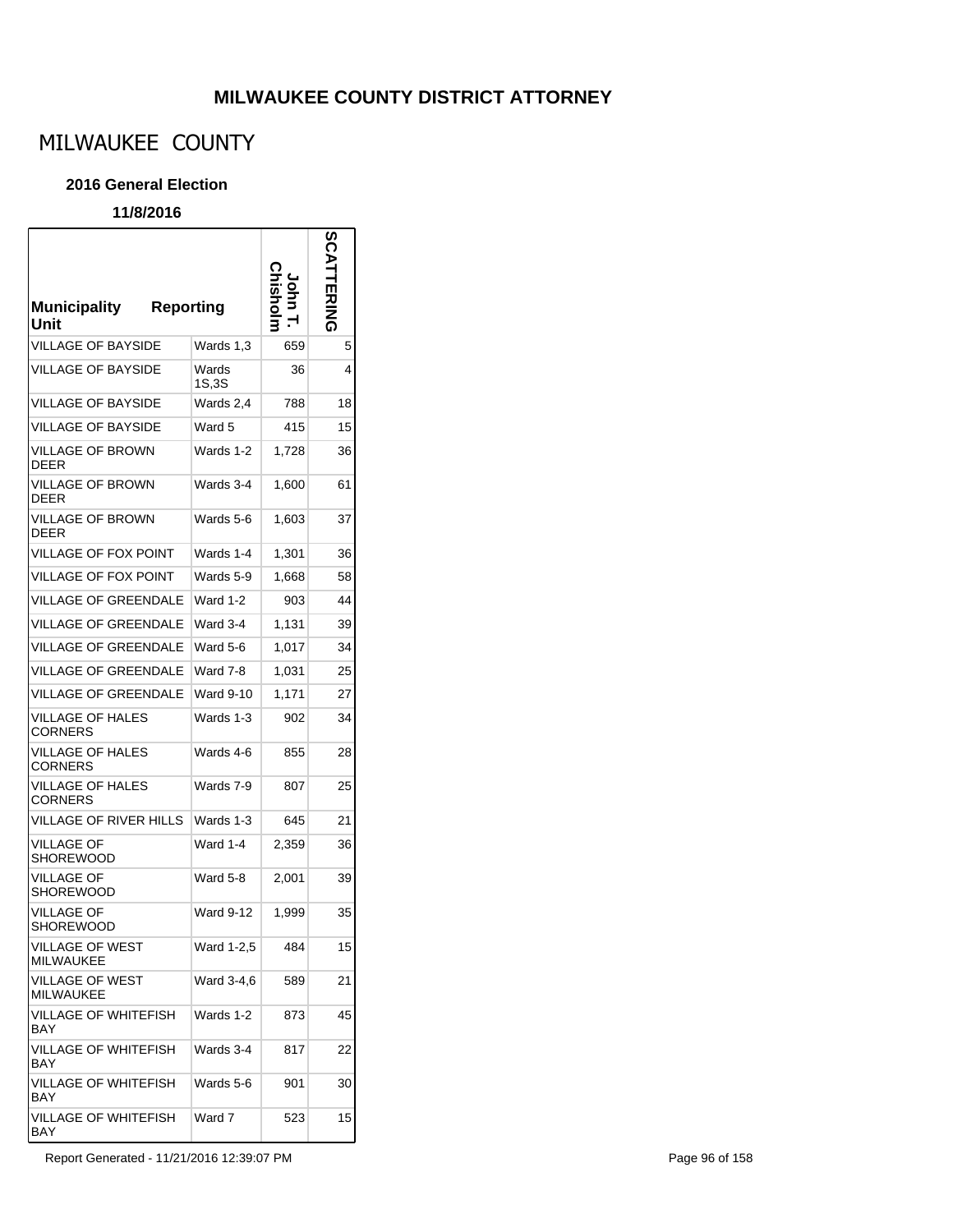## **MILWAUKEE COUNTY DISTRICT ATTORNEY**

# MILWAUKEE COUNTY

#### **2016 General Election**

### **11/8/2016**

r

| <b>Municipality</b><br><b>Reporting</b><br>Unit |                  |       | SC)<br><b>ERING</b> |
|-------------------------------------------------|------------------|-------|---------------------|
| <b>VILLAGE OF BAYSIDE</b>                       | Wards 1,3        | 659   | 5                   |
| <b>VILLAGE OF BAYSIDE</b>                       | Wards<br>1S,3S   | 36    | 4                   |
| <b>VILLAGE OF BAYSIDE</b>                       | Wards 2,4        | 788   | 18                  |
| <b>VILLAGE OF BAYSIDE</b>                       | Ward 5           | 415   | 15                  |
| VILLAGE OF BROWN<br><b>DEER</b>                 | Wards 1-2        | 1,728 | 36                  |
| VILLAGE OF BROWN<br><b>DEER</b>                 | Wards 3-4        | 1,600 | 61                  |
| <b>VILLAGE OF BROWN</b><br>DEER                 | Wards 5-6        | 1,603 | 37                  |
| VILLAGE OF FOX POINT                            | Wards 1-4        | 1,301 | 36                  |
| VILLAGE OF FOX POINT                            | Wards 5-9        | 1,668 | 58                  |
| <b>VILLAGE OF GREENDALE</b>                     | Ward 1-2         | 903   | 44                  |
| VILLAGE OF GREENDALE                            | Ward 3-4         | 1,131 | 39                  |
| VILLAGE OF GREENDALE                            | Ward 5-6         | 1,017 | 34                  |
| <b>VILLAGE OF GREENDALE</b>                     | Ward 7-8         | 1,031 | 25                  |
| <b>VILLAGE OF GREENDALE</b>                     | <b>Ward 9-10</b> | 1,171 | 27                  |
| VILLAGE OF HALES<br><b>CORNERS</b>              | Wards 1-3        | 902   | 34                  |
| VILLAGE OF HALES<br><b>CORNERS</b>              | Wards 4-6        | 855   | 28                  |
| <b>VILLAGE OF HALES</b><br><b>CORNERS</b>       | Wards 7-9        | 807   | 25                  |
| VILLAGE OF RIVER HILLS                          | Wards 1-3        | 645   | 21                  |
| <b>VILLAGE OF</b><br><b>SHOREWOOD</b>           | Ward 1-4         | 2,359 | 36                  |
| VILLAGE OF<br>SHOREWOOD                         | Ward 5-8         | 2,001 | 39                  |
| <b>VILLAGE OF</b><br>SHOREWOOD                  | <b>Ward 9-12</b> | 1,999 | 35                  |
| VILLAGE OF WEST<br><b>MILWAUKEE</b>             | Ward 1-2,5       | 484   | 15                  |
| <b>VILLAGE OF WEST</b><br><b>MILWAUKEE</b>      | Ward 3-4,6       | 589   | 21                  |
| <b>VILLAGE OF WHITEFISH</b><br><b>BAY</b>       | Wards 1-2        | 873   | 45                  |
| VILLAGE OF WHITEFISH<br>BAY                     | Wards 3-4        | 817   | 22                  |
| <b>VILLAGE OF WHITEFISH</b><br>BAY              | Wards 5-6        | 901   | 30                  |
| VILLAGE OF WHITEFISH<br>BAY                     | Ward 7           | 523   | 15                  |

Report Generated - 11/21/2016 12:39:07 PM Page 96 of 158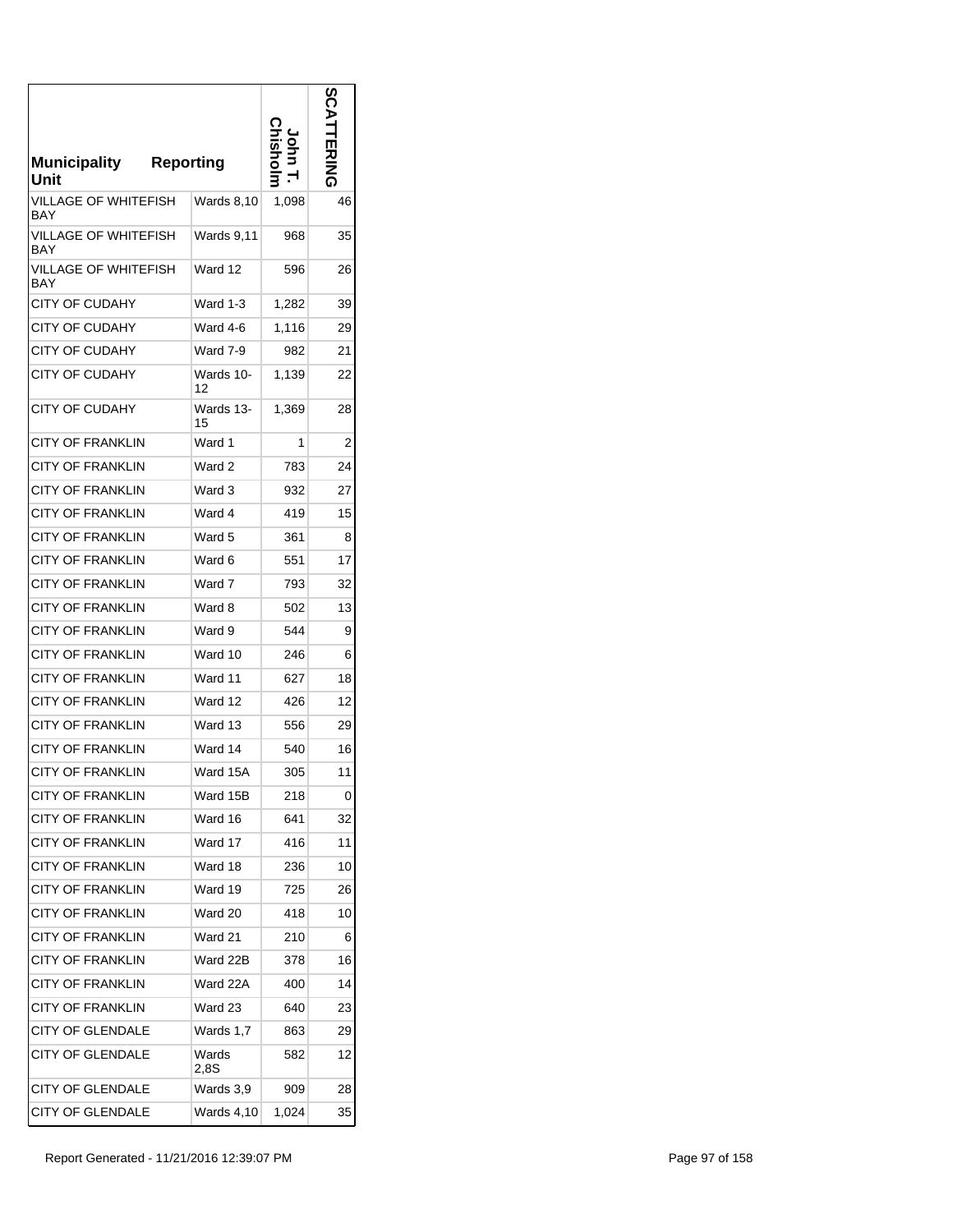| <b>Municipality</b><br>Unit | <b>Reporting</b> |       | ပ္က |
|-----------------------------|------------------|-------|-----|
| VILLAGE OF WHITEFISH<br>BAY | Wards 8,10       | 1,098 | 46  |
| VILLAGE OF WHITEFISH<br>BAY | Wards 9,11       | 968   | 35  |
| VILLAGE OF WHITEFISH<br>BAY | Ward 12          | 596   | 26  |
| <b>CITY OF CUDAHY</b>       | Ward 1-3         | 1,282 | 39  |
| CITY OF CUDAHY              | Ward 4-6         | 1,116 | 29  |
| CITY OF CUDAHY              | Ward 7-9         | 982   | 21  |
| CITY OF CUDAHY              | Wards 10-<br>12  | 1,139 | 22  |
| CITY OF CUDAHY              | Wards 13-<br>15  | 1,369 | 28  |
| <b>CITY OF FRANKLIN</b>     | Ward 1           | 1     | 2   |
| <b>CITY OF FRANKLIN</b>     | Ward 2           | 783   | 24  |
| <b>CITY OF FRANKLIN</b>     | Ward 3           | 932   | 27  |
| <b>CITY OF FRANKLIN</b>     | Ward 4           | 419   | 15  |
| CITY OF FRANKLIN            | Ward 5           | 361   | 8   |
| CITY OF FRANKLIN            | Ward 6           | 551   | 17  |
| <b>CITY OF FRANKLIN</b>     | Ward 7           | 793   | 32  |
| CITY OF FRANKLIN            | Ward 8           | 502   | 13  |
| <b>CITY OF FRANKLIN</b>     | Ward 9           | 544   | 9   |
| <b>CITY OF FRANKLIN</b>     | Ward 10          | 246   | 6   |
| <b>CITY OF FRANKLIN</b>     | Ward 11          | 627   | 18  |
| <b>CITY OF FRANKLIN</b>     | Ward 12          | 426   | 12  |
| <b>CITY OF FRANKLIN</b>     | Ward 13          | 556   | 29  |
| <b>CITY OF FRANKLIN</b>     | Ward 14          | 540   | 16  |
| <b>CITY OF FRANKLIN</b>     | Ward 15A         | 305   | 11  |
| <b>CITY OF FRANKLIN</b>     | Ward 15B         | 218   | 0   |
| <b>CITY OF FRANKLIN</b>     | Ward 16          | 641   | 32  |
| <b>CITY OF FRANKLIN</b>     | Ward 17          | 416   | 11  |
| <b>CITY OF FRANKLIN</b>     | Ward 18          | 236   | 10  |
| <b>CITY OF FRANKLIN</b>     | Ward 19          | 725   | 26  |
| CITY OF FRANKLIN            | Ward 20          | 418   | 10  |
| <b>CITY OF FRANKLIN</b>     | Ward 21          | 210   | 6   |
| <b>CITY OF FRANKLIN</b>     | Ward 22B         | 378   | 16  |
| CITY OF FRANKLIN            | Ward 22A         | 400   | 14  |
| <b>CITY OF FRANKLIN</b>     | Ward 23          | 640   | 23  |
| <b>CITY OF GLENDALE</b>     | Wards 1,7        | 863   | 29  |
| <b>CITY OF GLENDALE</b>     | Wards<br>2.8S    | 582   | 12  |
| <b>CITY OF GLENDALE</b>     | Wards 3,9        | 909   | 28  |
| <b>CITY OF GLENDALE</b>     | Wards 4,10       | 1,024 | 35  |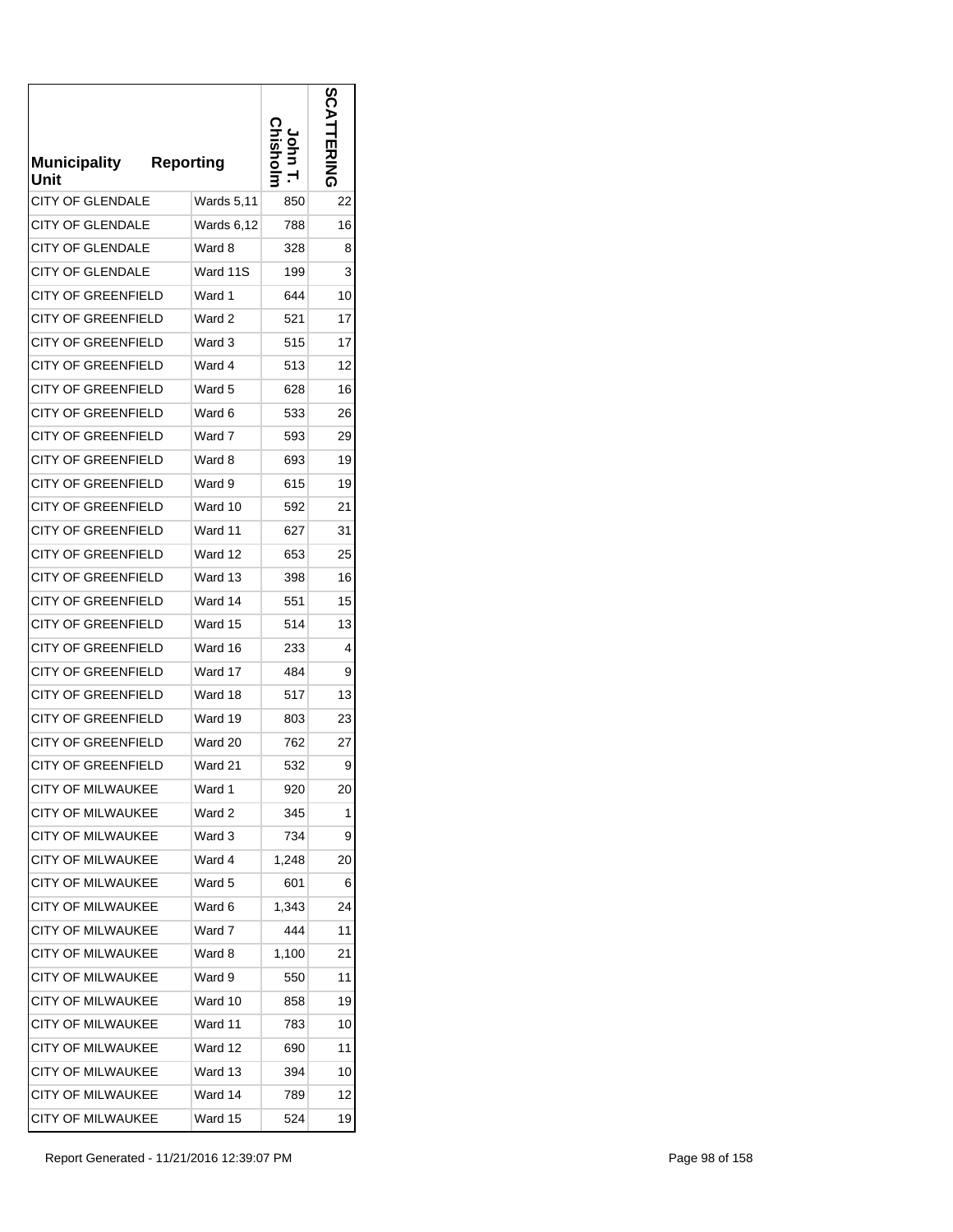| <b>Municipality</b><br>Unit | <b>Reporting</b> |       |    |
|-----------------------------|------------------|-------|----|
| <b>CITY OF GLENDALE</b>     | Wards 5,11       | 850   | 22 |
| CITY OF GLENDALE            | Wards 6,12       | 788   | 16 |
| <b>CITY OF GLENDALE</b>     | Ward 8           | 328   | 8  |
| <b>CITY OF GLENDALE</b>     | Ward 11S         | 199   | 3  |
| CITY OF GREENFIELD          | Ward 1           | 644   | 10 |
| CITY OF GREENFIELD          | Ward 2           | 521   | 17 |
| <b>CITY OF GREENFIELD</b>   | Ward 3           | 515   | 17 |
| <b>CITY OF GREENFIELD</b>   | Ward 4           | 513   | 12 |
| <b>CITY OF GREENFIELD</b>   | Ward 5           | 628   | 16 |
| <b>CITY OF GREENFIELD</b>   | Ward 6           | 533   | 26 |
| <b>CITY OF GREENFIELD</b>   | Ward 7           | 593   | 29 |
| <b>CITY OF GREENFIELD</b>   | Ward 8           | 693   | 19 |
| <b>CITY OF GREENFIELD</b>   | Ward 9           | 615   | 19 |
| <b>CITY OF GREENFIELD</b>   | Ward 10          | 592   | 21 |
| <b>CITY OF GREENFIELD</b>   | Ward 11          | 627   | 31 |
| <b>CITY OF GREENFIELD</b>   | Ward 12          | 653   | 25 |
| CITY OF GREENFIELD          | Ward 13          | 398   | 16 |
| <b>CITY OF GREENFIELD</b>   | Ward 14          | 551   | 15 |
| <b>CITY OF GREENFIELD</b>   | Ward 15          | 514   | 13 |
| CITY OF GREENFIELD          | Ward 16          | 233   | 4  |
| CITY OF GREENFIELD          | Ward 17          | 484   | 9  |
| <b>CITY OF GREENFIELD</b>   | Ward 18          | 517   | 13 |
| CITY OF GREENFIELD          | Ward 19          | 803   | 23 |
| <b>CITY OF GREENFIELD</b>   | Ward 20          | 762   | 27 |
| <b>CITY OF GREENFIELD</b>   | Ward 21          | 532   | 9  |
| CITY OF MILWAUKEE           | Ward 1           | 920   | 20 |
| <b>CITY OF MILWAUKEE</b>    | Ward 2           | 345   | 1  |
| <b>CITY OF MILWAUKEE</b>    | Ward 3           | 734   | 9  |
| <b>CITY OF MILWAUKEE</b>    | Ward 4           | 1,248 | 20 |
| CITY OF MILWAUKEE           | Ward 5           | 601   | 6  |
| <b>CITY OF MILWAUKEE</b>    | Ward 6           | 1,343 | 24 |
| <b>CITY OF MILWAUKEE</b>    | Ward 7           | 444   | 11 |
| <b>CITY OF MILWAUKEE</b>    | Ward 8           | 1,100 | 21 |
| <b>CITY OF MILWAUKEE</b>    | Ward 9           | 550   | 11 |
| <b>CITY OF MILWAUKEE</b>    | Ward 10          | 858   | 19 |
| <b>CITY OF MILWAUKEE</b>    | Ward 11          | 783   | 10 |
| <b>CITY OF MILWAUKEE</b>    | Ward 12          | 690   | 11 |
| <b>CITY OF MILWAUKEE</b>    | Ward 13          | 394   | 10 |
| <b>CITY OF MILWAUKEE</b>    | Ward 14          | 789   | 12 |
| <b>CITY OF MILWAUKEE</b>    | Ward 15          | 524   | 19 |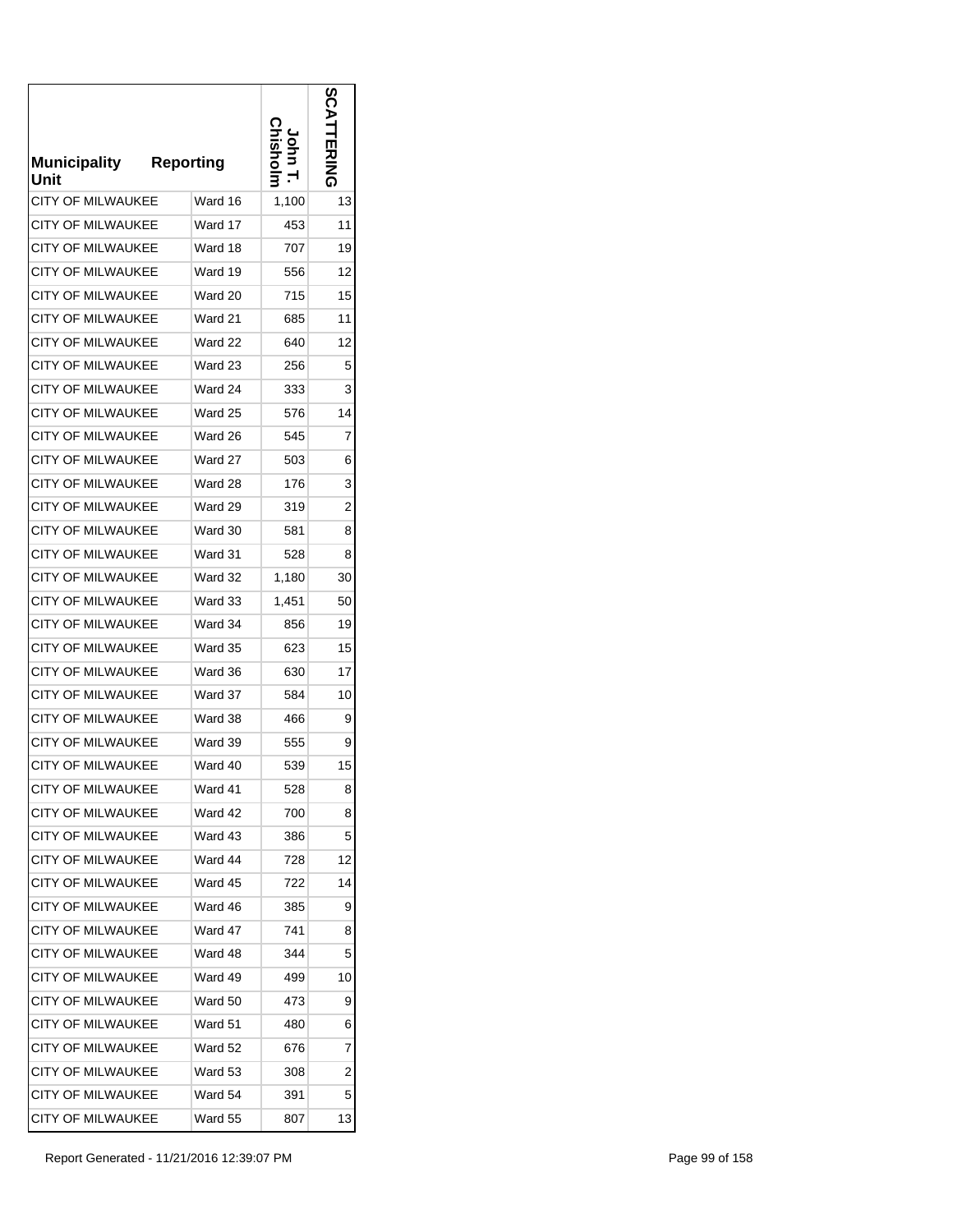| <b>Municipality</b><br>Unit | <b>Reporting</b> |       |                |
|-----------------------------|------------------|-------|----------------|
| <b>CITY OF MILWAUKEE</b>    | Ward 16          | 1,100 | 13             |
| CITY OF MILWAUKEE           | Ward 17          | 453   | 11             |
| <b>CITY OF MILWAUKEE</b>    | Ward 18          | 707   | 19             |
| <b>CITY OF MILWAUKEE</b>    | Ward 19          | 556   | 12             |
| <b>CITY OF MILWAUKEE</b>    | Ward 20          | 715   | 15             |
| CITY OF MILWAUKEE           | Ward 21          | 685   | 11             |
| <b>CITY OF MILWAUKEE</b>    | Ward 22          | 640   | 12             |
| <b>CITY OF MILWAUKEE</b>    | Ward 23          | 256   | 5              |
| <b>CITY OF MILWAUKEE</b>    | Ward 24          | 333   | 3              |
| <b>CITY OF MILWAUKEE</b>    | Ward 25          | 576   | 14             |
| <b>CITY OF MILWAUKEE</b>    | Ward 26          | 545   | 7              |
| <b>CITY OF MILWAUKEE</b>    | Ward 27          | 503   | 6              |
| <b>CITY OF MILWAUKEE</b>    | Ward 28          | 176   | 3              |
| <b>CITY OF MILWAUKEE</b>    | Ward 29          | 319   | 2              |
| <b>CITY OF MILWAUKEE</b>    | Ward 30          | 581   | 8              |
| <b>CITY OF MILWAUKEE</b>    | Ward 31          | 528   | 8              |
| <b>CITY OF MILWAUKEE</b>    | Ward 32          | 1,180 | 30             |
| <b>CITY OF MILWAUKEE</b>    | Ward 33          | 1,451 | 50             |
| <b>CITY OF MILWAUKEE</b>    | Ward 34          | 856   | 19             |
| <b>CITY OF MILWAUKEE</b>    | Ward 35          | 623   | 15             |
| CITY OF MILWAUKEE           | Ward 36          | 630   | 17             |
| <b>CITY OF MILWAUKEE</b>    | Ward 37          | 584   | 10             |
| <b>CITY OF MILWAUKEE</b>    | Ward 38          | 466   | 9              |
| <b>CITY OF MILWAUKEE</b>    | Ward 39          | 555   | 9              |
| <b>CITY OF MILWAUKEE</b>    | Ward 40          | 539   | 15             |
| <b>CITY OF MILWAUKEE</b>    | Ward 41          | 528   | 8              |
| <b>CITY OF MILWAUKEE</b>    | Ward 42          | 700   | 8              |
| <b>CITY OF MILWAUKEE</b>    | Ward 43          | 386   | 5              |
| <b>CITY OF MILWAUKEE</b>    | Ward 44          | 728   | 12             |
| <b>CITY OF MILWAUKEE</b>    | Ward 45          | 722   | 14             |
| <b>CITY OF MILWAUKEE</b>    | Ward 46          | 385   | 9              |
| <b>CITY OF MILWAUKEE</b>    | Ward 47          | 741   | 8              |
| CITY OF MILWAUKEE           | Ward 48          | 344   | 5              |
| <b>CITY OF MILWAUKEE</b>    | Ward 49          | 499   | 10             |
| <b>CITY OF MILWAUKEE</b>    | Ward 50          | 473   | 9              |
| CITY OF MILWAUKEE           | Ward 51          | 480   | 6              |
| CITY OF MILWAUKEE           | Ward 52          | 676   | 7              |
| <b>CITY OF MILWAUKEE</b>    | Ward 53          | 308   | $\overline{c}$ |
| <b>CITY OF MILWAUKEE</b>    | Ward 54          | 391   | 5              |
| CITY OF MILWAUKEE           | Ward 55          | 807   | 13             |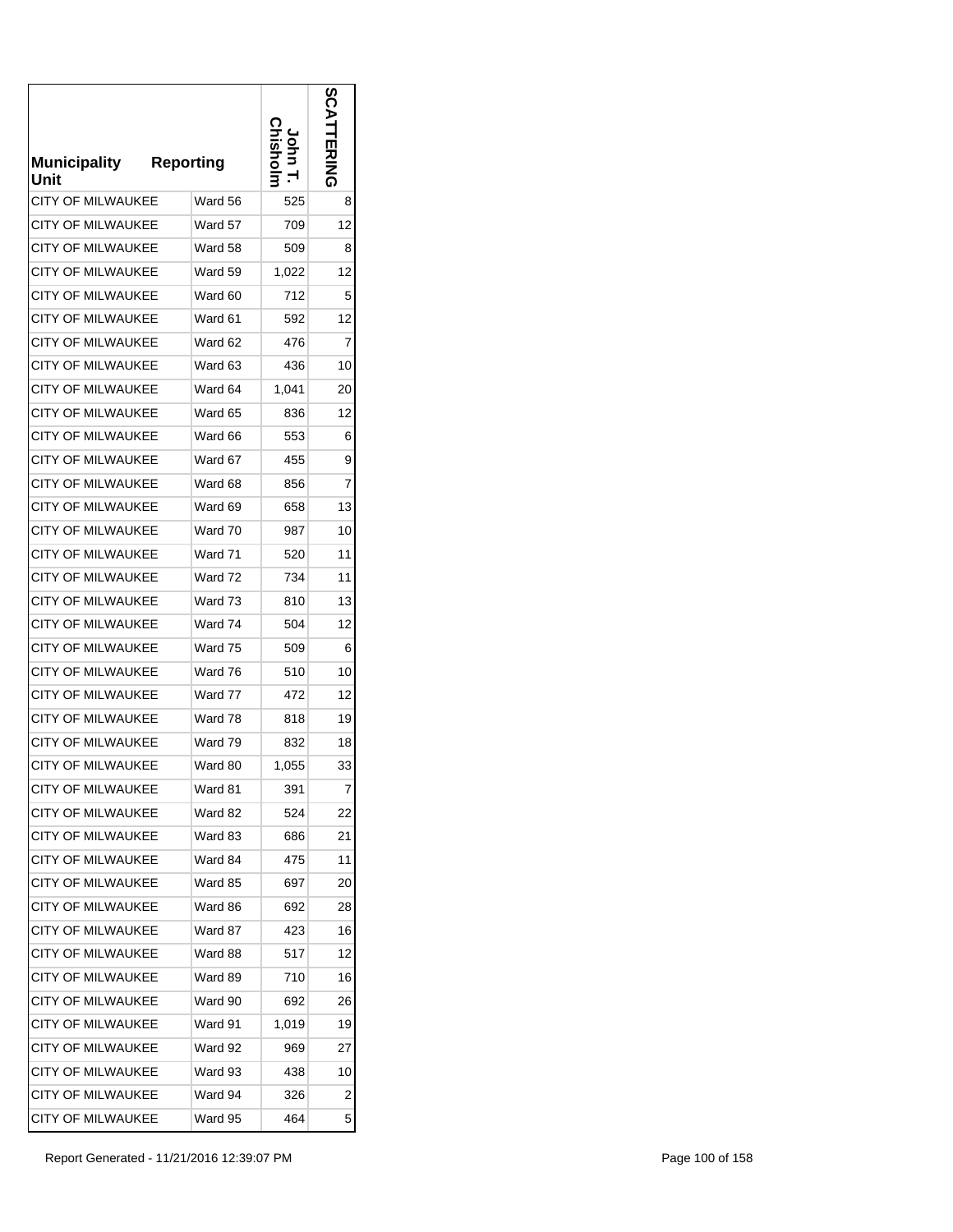| <b>Municipality</b><br>Unit | <b>Reporting</b> |       | ທ<br>吗乙 |
|-----------------------------|------------------|-------|---------|
| <b>CITY OF MILWAUKEE</b>    | Ward 56          | 525   | 8       |
| <b>CITY OF MILWAUKEE</b>    | Ward 57          | 709   | 12      |
| <b>CITY OF MILWAUKEE</b>    | Ward 58          | 509   | 8       |
| <b>CITY OF MILWAUKEE</b>    | Ward 59          | 1,022 | 12      |
| <b>CITY OF MILWAUKEE</b>    | Ward 60          | 712   | 5       |
| CITY OF MILWAUKEE           | Ward 61          | 592   | 12      |
| <b>CITY OF MILWAUKEE</b>    | Ward 62          | 476   | 7       |
| <b>CITY OF MILWAUKEE</b>    | Ward 63          | 436   | 10      |
| CITY OF MILWAUKEE           | Ward 64          | 1,041 | 20      |
| <b>CITY OF MILWAUKEE</b>    | Ward 65          | 836   | 12      |
| <b>CITY OF MILWAUKEE</b>    | Ward 66          | 553   | 6       |
| <b>CITY OF MILWAUKEE</b>    | Ward 67          | 455   | 9       |
| <b>CITY OF MILWAUKEE</b>    | Ward 68          | 856   | 7       |
| <b>CITY OF MILWAUKEE</b>    | Ward 69          | 658   | 13      |
| <b>CITY OF MILWAUKEE</b>    | Ward 70          | 987   | 10      |
| <b>CITY OF MILWAUKEE</b>    | Ward 71          | 520   | 11      |
| CITY OF MILWAUKEE           | Ward 72          | 734   | 11      |
| <b>CITY OF MILWAUKEE</b>    | Ward 73          | 810   | 13      |
| <b>CITY OF MILWAUKEE</b>    | Ward 74          | 504   | 12      |
| <b>CITY OF MILWAUKEE</b>    | Ward 75          | 509   | 6       |
| <b>CITY OF MILWAUKEE</b>    | Ward 76          | 510   | 10      |
| <b>CITY OF MILWAUKEE</b>    | Ward 77          | 472   | 12      |
| <b>CITY OF MILWAUKEE</b>    | Ward 78          | 818   | 19      |
| <b>CITY OF MILWAUKEE</b>    | Ward 79          | 832   | 18      |
| <b>CITY OF MILWAUKEE</b>    | Ward 80          | 1,055 | 33      |
| <b>CITY OF MILWAUKEE</b>    | Ward 81          | 391   | 7       |
| <b>CITY OF MILWAUKEE</b>    | Ward 82          | 524   | 22      |
| <b>CITY OF MILWAUKEE</b>    | Ward 83          | 686   | 21      |
| <b>CITY OF MILWAUKEE</b>    | Ward 84          | 475   | 11      |
| CITY OF MILWAUKEE           | Ward 85          | 697   | 20      |
| <b>CITY OF MILWAUKEE</b>    | Ward 86          | 692   | 28      |
| <b>CITY OF MILWAUKEE</b>    | Ward 87          | 423   | 16      |
| <b>CITY OF MILWAUKEE</b>    | Ward 88          | 517   | 12      |
| <b>CITY OF MILWAUKEE</b>    | Ward 89          | 710   | 16      |
| <b>CITY OF MILWAUKEE</b>    | Ward 90          | 692   | 26      |
| <b>CITY OF MILWAUKEE</b>    | Ward 91          | 1,019 | 19      |
| <b>CITY OF MILWAUKEE</b>    | Ward 92          | 969   | 27      |
| <b>CITY OF MILWAUKEE</b>    | Ward 93          | 438   | 10      |
| <b>CITY OF MILWAUKEE</b>    | Ward 94          | 326   | 2       |
| <b>CITY OF MILWAUKEE</b>    | Ward 95          | 464   | 5       |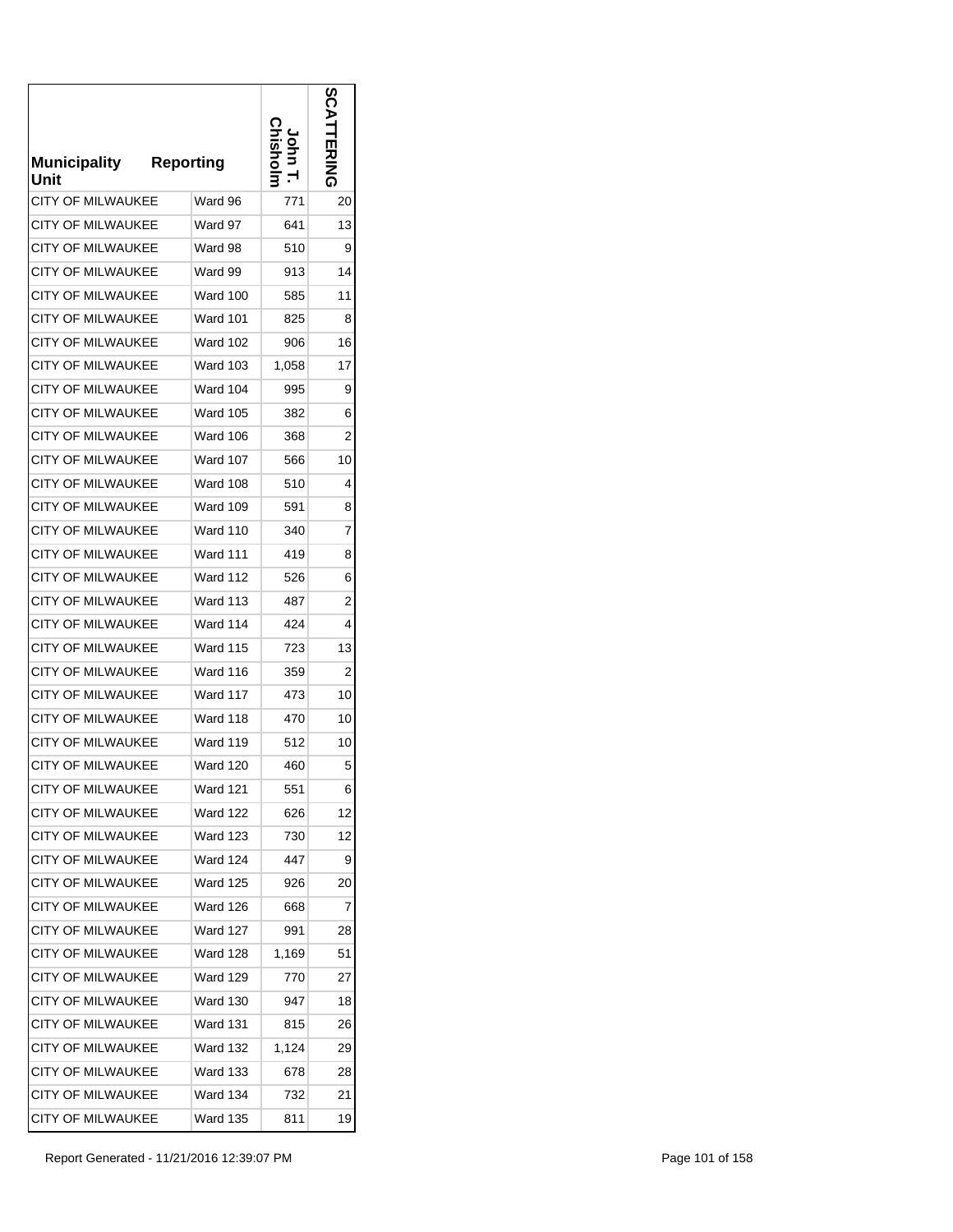| <b>Municipality</b><br>Unit | <b>Reporting</b> |       | ທ<br>그러지 |
|-----------------------------|------------------|-------|----------|
| <b>CITY OF MILWAUKEE</b>    | Ward 96          | 771   | 20       |
| <b>CITY OF MILWAUKEE</b>    | Ward 97          | 641   | 13       |
| <b>CITY OF MILWAUKEE</b>    | Ward 98          | 510   | 9        |
| <b>CITY OF MILWAUKEE</b>    | Ward 99          | 913   | 14       |
| <b>CITY OF MILWAUKEE</b>    | Ward 100         | 585   | 11       |
| CITY OF MILWAUKEE           | Ward 101         | 825   | 8        |
| <b>CITY OF MILWAUKEE</b>    | Ward 102         | 906   | 16       |
| <b>CITY OF MILWAUKEE</b>    | Ward 103         | 1,058 | 17       |
| CITY OF MILWAUKEE           | <b>Ward 104</b>  | 995   | 9        |
| <b>CITY OF MILWAUKEE</b>    | Ward 105         | 382   | 6        |
| <b>CITY OF MILWAUKEE</b>    | Ward 106         | 368   | 2        |
| <b>CITY OF MILWAUKEE</b>    | Ward 107         | 566   | 10       |
| <b>CITY OF MILWAUKEE</b>    | Ward 108         | 510   | 4        |
| <b>CITY OF MILWAUKEE</b>    | Ward 109         | 591   | 8        |
| <b>CITY OF MILWAUKEE</b>    | Ward 110         | 340   | 7        |
| <b>CITY OF MILWAUKEE</b>    | <b>Ward 111</b>  | 419   | 8        |
| CITY OF MILWAUKEE           | Ward 112         | 526   | 6        |
| <b>CITY OF MILWAUKEE</b>    | Ward 113         | 487   | 2        |
| <b>CITY OF MILWAUKEE</b>    | Ward 114         | 424   | 4        |
| <b>CITY OF MILWAUKEE</b>    | <b>Ward 115</b>  | 723   | 13       |
| <b>CITY OF MILWAUKEE</b>    | Ward 116         | 359   | 2        |
| <b>CITY OF MILWAUKEE</b>    | Ward 117         | 473   | 10       |
| <b>CITY OF MILWAUKEE</b>    | Ward 118         | 470   | 10       |
| <b>CITY OF MILWAUKEE</b>    | Ward 119         | 512   | 10       |
| <b>CITY OF MILWAUKEE</b>    | <b>Ward 120</b>  | 460   | 5        |
| <b>CITY OF MILWAUKEE</b>    | Ward 121         | 551   | 6        |
| <b>CITY OF MILWAUKEE</b>    | Ward 122         | 626   | 12       |
| <b>CITY OF MILWAUKEE</b>    | Ward 123         | 730   | 12       |
| <b>CITY OF MILWAUKEE</b>    | <b>Ward 124</b>  | 447   | 9        |
| <b>CITY OF MILWAUKEE</b>    | Ward 125         | 926   | 20       |
| <b>CITY OF MILWAUKEE</b>    | Ward 126         | 668   | 7        |
| <b>CITY OF MILWAUKEE</b>    | <b>Ward 127</b>  | 991   | 28       |
| <b>CITY OF MILWAUKEE</b>    | Ward 128         | 1,169 | 51       |
| <b>CITY OF MILWAUKEE</b>    | Ward 129         | 770   | 27       |
| <b>CITY OF MILWAUKEE</b>    | Ward 130         | 947   | 18       |
| <b>CITY OF MILWAUKEE</b>    | Ward 131         | 815   | 26       |
| <b>CITY OF MILWAUKEE</b>    | Ward 132         | 1,124 | 29       |
| <b>CITY OF MILWAUKEE</b>    | Ward 133         | 678   | 28       |
| <b>CITY OF MILWAUKEE</b>    | Ward 134         | 732   | 21       |
| <b>CITY OF MILWAUKEE</b>    | Ward 135         | 811   | 19       |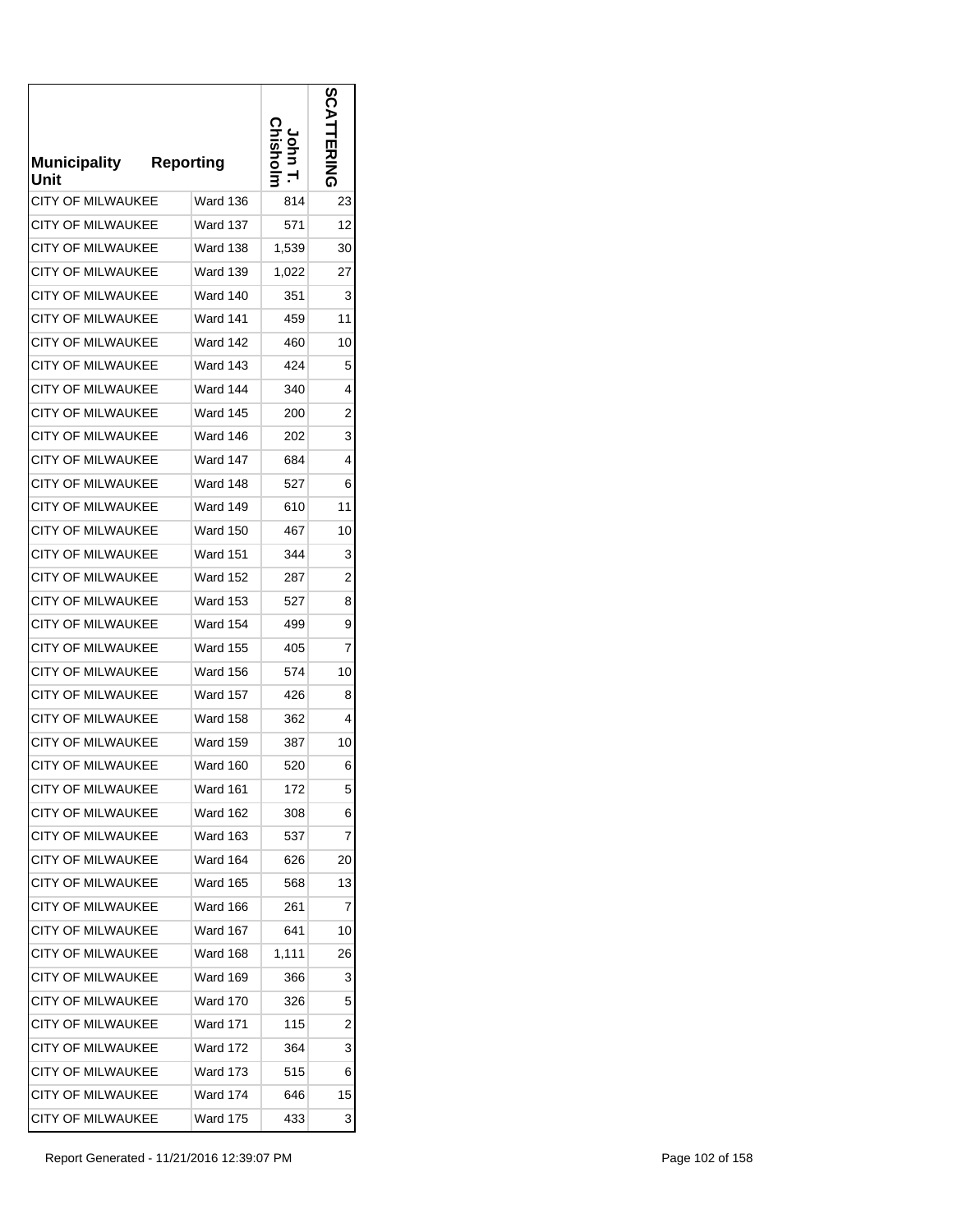| <b>Municipality</b><br>Unit | <b>Reporting</b> |       | ທ<br>コカニス |
|-----------------------------|------------------|-------|-----------|
| <b>CITY OF MILWAUKEE</b>    | Ward 136         | 814   | 23        |
| CITY OF MILWAUKEE           | Ward 137         | 571   | 12        |
| <b>CITY OF MILWAUKEE</b>    | Ward 138         | 1,539 | 30        |
| <b>CITY OF MILWAUKEE</b>    | <b>Ward 139</b>  | 1,022 | 27        |
| <b>CITY OF MILWAUKEE</b>    | Ward 140         | 351   | 3         |
| CITY OF MILWAUKEE           | Ward 141         | 459   | 11        |
| <b>CITY OF MILWAUKEE</b>    | Ward 142         | 460   | 10        |
| <b>CITY OF MILWAUKEE</b>    | Ward 143         | 424   | 5         |
| CITY OF MILWAUKEE           | Ward 144         | 340   | 4         |
| <b>CITY OF MILWAUKEE</b>    | Ward 145         | 200   | 2         |
| <b>CITY OF MILWAUKEE</b>    | Ward 146         | 202   | 3         |
| <b>CITY OF MILWAUKEE</b>    | Ward 147         | 684   | 4         |
| <b>CITY OF MILWAUKEE</b>    | Ward 148         | 527   | 6         |
| <b>CITY OF MILWAUKEE</b>    | Ward 149         | 610   | 11        |
| <b>CITY OF MILWAUKEE</b>    | <b>Ward 150</b>  | 467   | 10        |
| <b>CITY OF MILWAUKEE</b>    | <b>Ward 151</b>  | 344   | 3         |
| <b>CITY OF MILWAUKEE</b>    | <b>Ward 152</b>  | 287   | 2         |
| <b>CITY OF MILWAUKEE</b>    | <b>Ward 153</b>  | 527   | 8         |
| <b>CITY OF MILWAUKEE</b>    | <b>Ward 154</b>  | 499   | 9         |
| <b>CITY OF MILWAUKEE</b>    | <b>Ward 155</b>  | 405   | 7         |
| <b>CITY OF MILWAUKEE</b>    | <b>Ward 156</b>  | 574   | 10        |
| <b>CITY OF MILWAUKEE</b>    | Ward 157         | 426   | 8         |
| <b>CITY OF MILWAUKEE</b>    | <b>Ward 158</b>  | 362   | 4         |
| <b>CITY OF MILWAUKEE</b>    | Ward 159         | 387   | 10        |
| <b>CITY OF MILWAUKEE</b>    | Ward 160         | 520   | 6         |
| <b>CITY OF MILWAUKEE</b>    | Ward 161         | 172   | 5         |
| <b>CITY OF MILWAUKEE</b>    | <b>Ward 162</b>  | 308   | 6         |
| <b>CITY OF MILWAUKEE</b>    | Ward 163         | 537   | 7         |
| <b>CITY OF MILWAUKEE</b>    | Ward 164         | 626   | 20        |
| <b>CITY OF MILWAUKEE</b>    | Ward 165         | 568   | 13        |
| <b>CITY OF MILWAUKEE</b>    | Ward 166         | 261   | 7         |
| <b>CITY OF MILWAUKEE</b>    | Ward 167         | 641   | 10        |
| <b>CITY OF MILWAUKEE</b>    | Ward 168         | 1,111 | 26        |
| <b>CITY OF MILWAUKEE</b>    | Ward 169         | 366   | 3         |
| <b>CITY OF MILWAUKEE</b>    | Ward 170         | 326   | 5         |
| CITY OF MILWAUKEE           | Ward 171         | 115   | 2         |
| CITY OF MILWAUKEE           | Ward 172         | 364   | 3         |
| <b>CITY OF MILWAUKEE</b>    | Ward 173         | 515   | 6         |
| <b>CITY OF MILWAUKEE</b>    | Ward 174         | 646   | 15        |
| CITY OF MILWAUKEE           | Ward 175         | 433   | 3         |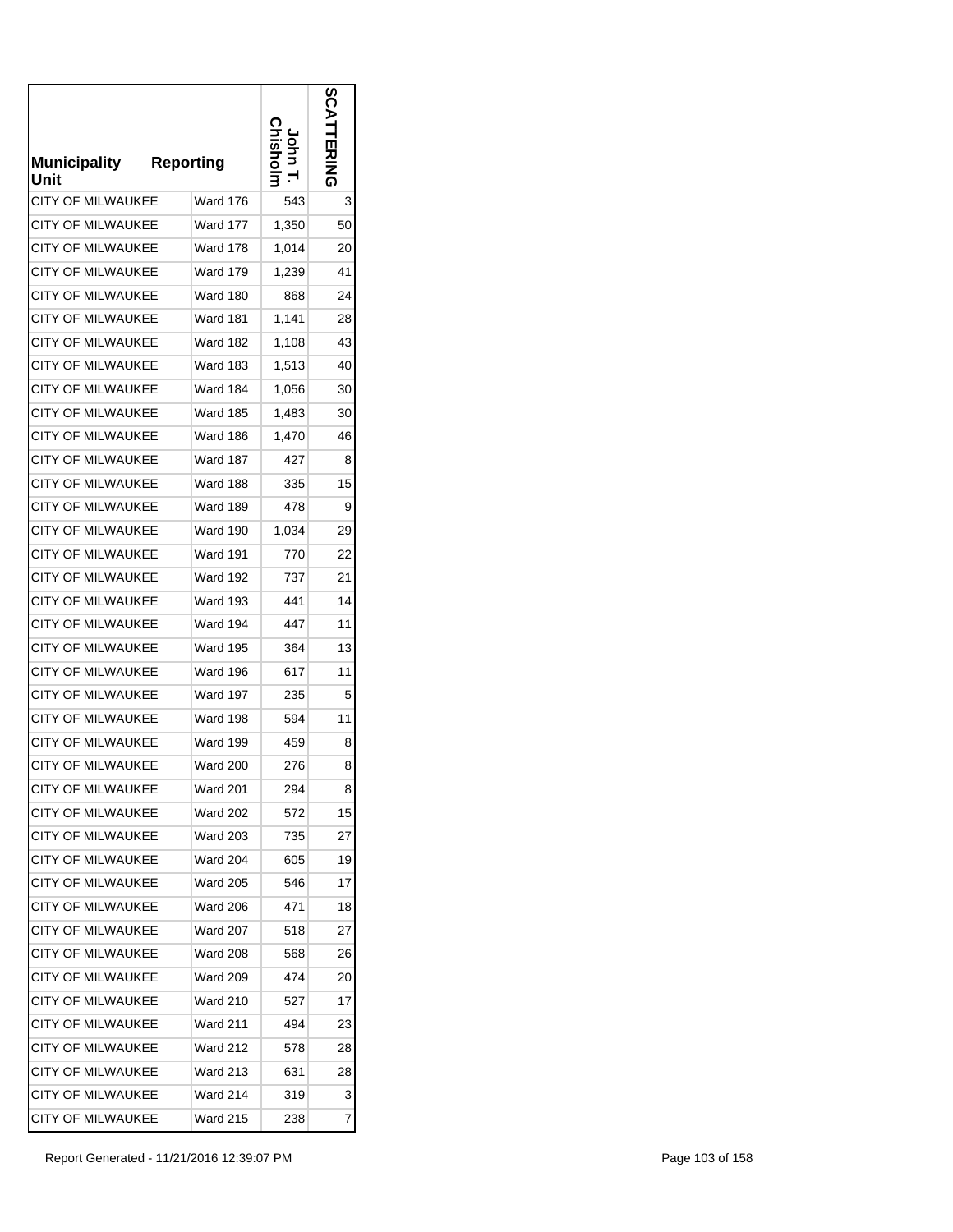| <b>Municipality</b><br>Unit | <b>Reporting</b> |       |    |
|-----------------------------|------------------|-------|----|
| <b>CITY OF MILWAUKEE</b>    | Ward 176         | 543   | 3  |
| <b>CITY OF MILWAUKEE</b>    | Ward 177         | 1,350 | 50 |
| <b>CITY OF MILWAUKEE</b>    | Ward 178         | 1,014 | 20 |
| <b>CITY OF MILWAUKEE</b>    | <b>Ward 179</b>  | 1,239 | 41 |
| <b>CITY OF MILWAUKEE</b>    | Ward 180         | 868   | 24 |
| CITY OF MILWAUKEE           | Ward 181         | 1,141 | 28 |
| <b>CITY OF MILWAUKEE</b>    | Ward 182         | 1,108 | 43 |
| <b>CITY OF MILWAUKEE</b>    | Ward 183         | 1,513 | 40 |
| <b>CITY OF MILWAUKEE</b>    | Ward 184         | 1,056 | 30 |
| CITY OF MILWAUKEE           | Ward 185         | 1,483 | 30 |
| <b>CITY OF MILWAUKEE</b>    | Ward 186         | 1,470 | 46 |
| <b>CITY OF MILWAUKEE</b>    | Ward 187         | 427   | 8  |
| <b>CITY OF MILWAUKEE</b>    | Ward 188         | 335   | 15 |
| <b>CITY OF MILWAUKEE</b>    | Ward 189         | 478   | 9  |
| <b>CITY OF MILWAUKEE</b>    | <b>Ward 190</b>  | 1,034 | 29 |
| <b>CITY OF MILWAUKEE</b>    | <b>Ward 191</b>  | 770   | 22 |
| CITY OF MILWAUKEE           | Ward 192         | 737   | 21 |
| <b>CITY OF MILWAUKEE</b>    | Ward 193         | 441   | 14 |
| <b>CITY OF MILWAUKEE</b>    | Ward 194         | 447   | 11 |
| <b>CITY OF MILWAUKEE</b>    | <b>Ward 195</b>  | 364   | 13 |
| CITY OF MILWAUKEE           | Ward 196         | 617   | 11 |
| <b>CITY OF MILWAUKEE</b>    | Ward 197         | 235   | 5  |
| <b>CITY OF MILWAUKEE</b>    | Ward 198         | 594   | 11 |
| <b>CITY OF MILWAUKEE</b>    | Ward 199         | 459   | 8  |
| <b>CITY OF MILWAUKEE</b>    | Ward 200         | 276   | 8  |
| <b>CITY OF MILWAUKEE</b>    | Ward 201         | 294   | 8  |
| <b>CITY OF MILWAUKEE</b>    | Ward 202         | 572   | 15 |
| <b>CITY OF MILWAUKEE</b>    | Ward 203         | 735   | 27 |
| <b>CITY OF MILWAUKEE</b>    | Ward 204         | 605   | 19 |
| <b>CITY OF MILWAUKEE</b>    | <b>Ward 205</b>  | 546   | 17 |
| <b>CITY OF MILWAUKEE</b>    | Ward 206         | 471   | 18 |
| <b>CITY OF MILWAUKEE</b>    | Ward 207         | 518   | 27 |
| <b>CITY OF MILWAUKEE</b>    | Ward 208         | 568   | 26 |
| <b>CITY OF MILWAUKEE</b>    | Ward 209         | 474   | 20 |
| <b>CITY OF MILWAUKEE</b>    | Ward 210         | 527   | 17 |
| <b>CITY OF MILWAUKEE</b>    | <b>Ward 211</b>  | 494   | 23 |
| CITY OF MILWAUKEE           | Ward 212         | 578   | 28 |
| <b>CITY OF MILWAUKEE</b>    | Ward 213         | 631   | 28 |
| <b>CITY OF MILWAUKEE</b>    | Ward 214         | 319   | 3  |
| <b>CITY OF MILWAUKEE</b>    | Ward 215         | 238   | 7  |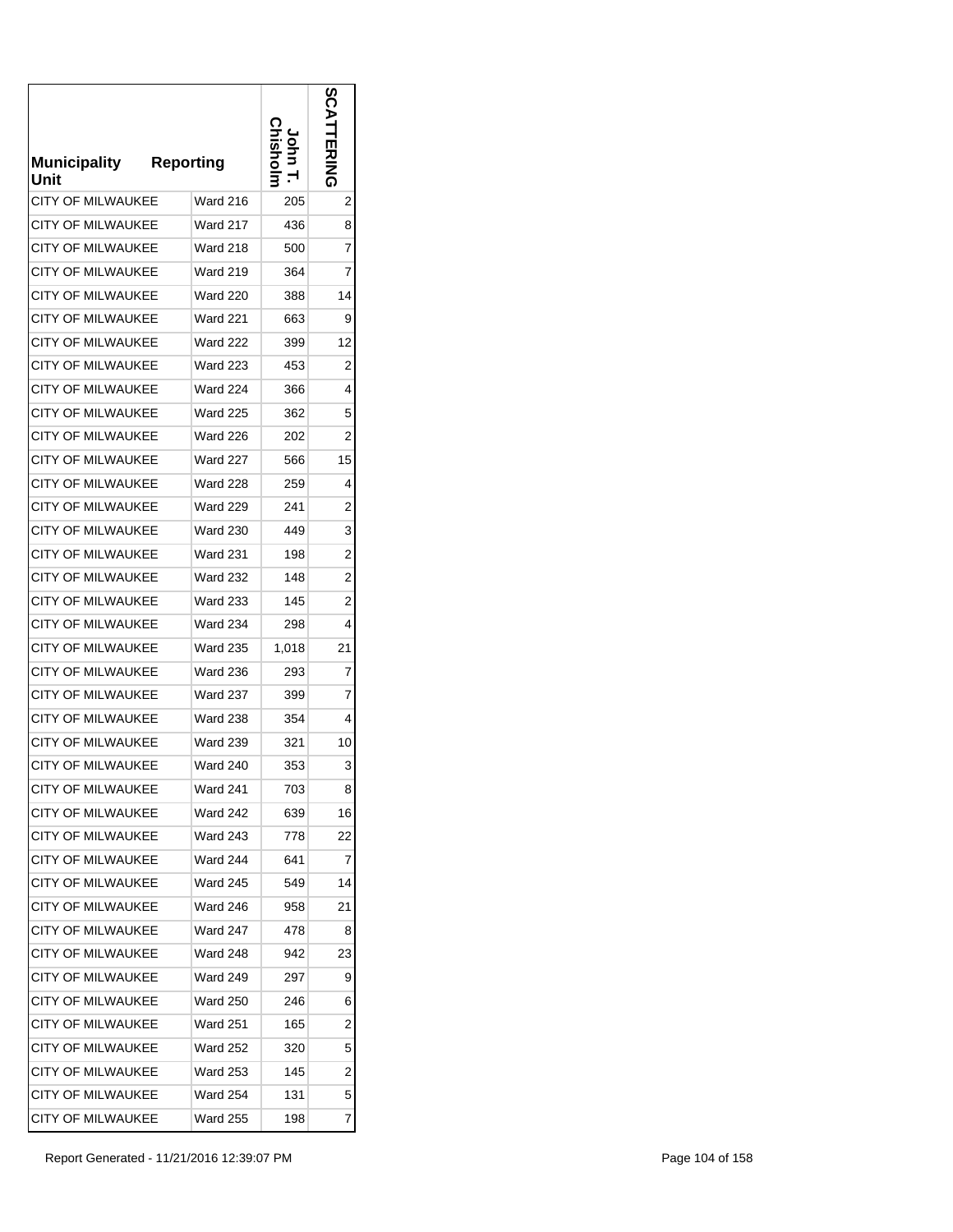| <b>Municipality</b><br>Unit | <b>Reporting</b> |       | コカニス           |
|-----------------------------|------------------|-------|----------------|
| <b>CITY OF MILWAUKEE</b>    | Ward 216         | 205   | 2              |
| CITY OF MILWAUKEE           | <b>Ward 217</b>  | 436   | 8              |
| <b>CITY OF MILWAUKEE</b>    | <b>Ward 218</b>  | 500   | 7              |
| <b>CITY OF MILWAUKEE</b>    | <b>Ward 219</b>  | 364   | 7              |
| <b>CITY OF MILWAUKEE</b>    | <b>Ward 220</b>  | 388   | 14             |
| CITY OF MILWAUKEE           | <b>Ward 221</b>  | 663   | 9              |
| <b>CITY OF MILWAUKEE</b>    | <b>Ward 222</b>  | 399   | 12             |
| <b>CITY OF MILWAUKEE</b>    | Ward 223         | 453   | 2              |
| CITY OF MILWAUKEE           | <b>Ward 224</b>  | 366   | 4              |
| <b>CITY OF MILWAUKEE</b>    | <b>Ward 225</b>  | 362   | 5              |
| <b>CITY OF MILWAUKEE</b>    | <b>Ward 226</b>  | 202   | 2              |
| <b>CITY OF MILWAUKEE</b>    | Ward 227         | 566   | 15             |
| <b>CITY OF MILWAUKEE</b>    | <b>Ward 228</b>  | 259   | 4              |
| <b>CITY OF MILWAUKEE</b>    | <b>Ward 229</b>  | 241   | 2              |
| <b>CITY OF MILWAUKEE</b>    | <b>Ward 230</b>  | 449   | 3              |
| <b>CITY OF MILWAUKEE</b>    | <b>Ward 231</b>  | 198   | 2              |
| CITY OF MILWAUKEE           | <b>Ward 232</b>  | 148   | $\overline{2}$ |
| <b>CITY OF MILWAUKEE</b>    | <b>Ward 233</b>  | 145   | 2              |
| <b>CITY OF MILWAUKEE</b>    | <b>Ward 234</b>  | 298   | 4              |
| CITY OF MILWAUKEE           | <b>Ward 235</b>  | 1,018 | 21             |
| <b>CITY OF MILWAUKEE</b>    | <b>Ward 236</b>  | 293   | 7              |
| <b>CITY OF MILWAUKEE</b>    | <b>Ward 237</b>  | 399   | 7              |
| <b>CITY OF MILWAUKEE</b>    | <b>Ward 238</b>  | 354   | 4              |
| <b>CITY OF MILWAUKEE</b>    | <b>Ward 239</b>  | 321   | 10             |
| <b>CITY OF MILWAUKEE</b>    | <b>Ward 240</b>  | 353   | 3              |
| CITY OF MILWAUKEE           | Ward 241         | 703   | 8              |
| <b>CITY OF MILWAUKEE</b>    | Ward 242         | 639   | 16             |
| <b>CITY OF MILWAUKEE</b>    | Ward 243         | 778   | 22             |
| <b>CITY OF MILWAUKEE</b>    | <b>Ward 244</b>  | 641   | 7              |
| <b>CITY OF MILWAUKEE</b>    | <b>Ward 245</b>  | 549   | 14             |
| <b>CITY OF MILWAUKEE</b>    | Ward 246         | 958   | 21             |
| <b>CITY OF MILWAUKEE</b>    | Ward 247         | 478   | 8              |
| CITY OF MILWAUKEE           | Ward 248         | 942   | 23             |
| <b>CITY OF MILWAUKEE</b>    | Ward 249         | 297   | 9              |
| <b>CITY OF MILWAUKEE</b>    | Ward 250         | 246   | 6              |
| CITY OF MILWAUKEE           | Ward 251         | 165   | 2              |
| CITY OF MILWAUKEE           | Ward 252         | 320   | 5              |
| <b>CITY OF MILWAUKEE</b>    | Ward 253         | 145   | 2              |
| <b>CITY OF MILWAUKEE</b>    | Ward 254         | 131   | 5              |
| CITY OF MILWAUKEE           | Ward 255         | 198   | 7              |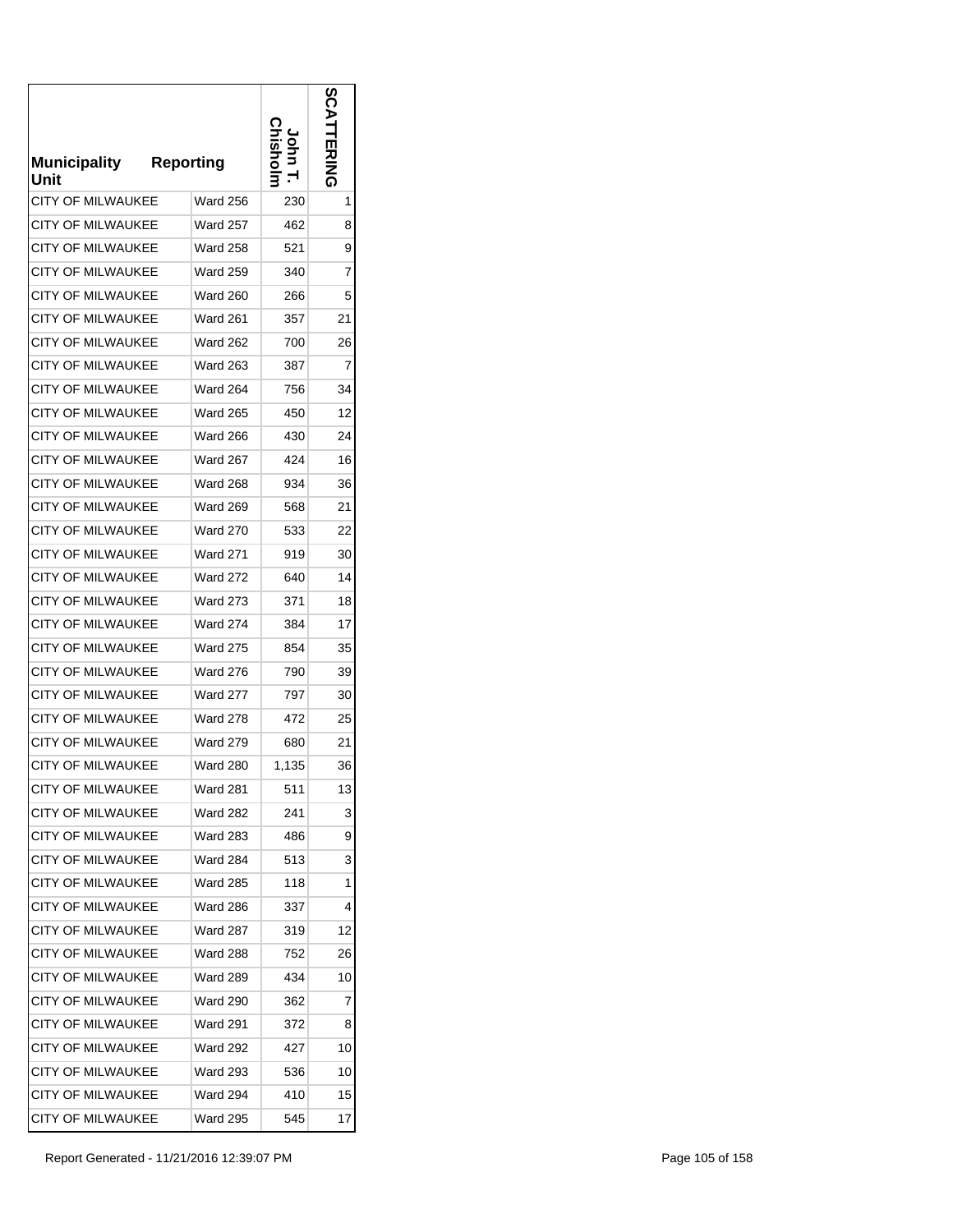| <b>Municipality</b><br>Unit | <b>Reporting</b> |       |    |
|-----------------------------|------------------|-------|----|
| <b>CITY OF MILWAUKEE</b>    | <b>Ward 256</b>  | 230   | 1  |
| CITY OF MILWAUKEE           | Ward 257         | 462   | 8  |
| <b>CITY OF MILWAUKEE</b>    | <b>Ward 258</b>  | 521   | 9  |
| <b>CITY OF MILWAUKEE</b>    | <b>Ward 259</b>  | 340   | 7  |
| <b>CITY OF MILWAUKEE</b>    | <b>Ward 260</b>  | 266   | 5  |
| CITY OF MILWAUKEE           | Ward 261         | 357   | 21 |
| <b>CITY OF MILWAUKEE</b>    | <b>Ward 262</b>  | 700   | 26 |
| CITY OF MILWAUKEE           | Ward 263         | 387   | 7  |
| CITY OF MILWAUKEE           | Ward 264         | 756   | 34 |
| <b>CITY OF MILWAUKEE</b>    | Ward 265         | 450   | 12 |
| <b>CITY OF MILWAUKEE</b>    | <b>Ward 266</b>  | 430   | 24 |
| <b>CITY OF MILWAUKEE</b>    | Ward 267         | 424   | 16 |
| <b>CITY OF MILWAUKEE</b>    | <b>Ward 268</b>  | 934   | 36 |
| <b>CITY OF MILWAUKEE</b>    | <b>Ward 269</b>  | 568   | 21 |
| <b>CITY OF MILWAUKEE</b>    | <b>Ward 270</b>  | 533   | 22 |
| <b>CITY OF MILWAUKEE</b>    | <b>Ward 271</b>  | 919   | 30 |
| CITY OF MILWAUKEE           | <b>Ward 272</b>  | 640   | 14 |
| <b>CITY OF MILWAUKEE</b>    | <b>Ward 273</b>  | 371   | 18 |
| <b>CITY OF MILWAUKEE</b>    | <b>Ward 274</b>  | 384   | 17 |
| <b>CITY OF MILWAUKEE</b>    | <b>Ward 275</b>  | 854   | 35 |
| <b>CITY OF MILWAUKEE</b>    | <b>Ward 276</b>  | 790   | 39 |
| <b>CITY OF MILWAUKEE</b>    | <b>Ward 277</b>  | 797   | 30 |
| <b>CITY OF MILWAUKEE</b>    | <b>Ward 278</b>  | 472   | 25 |
| <b>CITY OF MILWAUKEE</b>    | <b>Ward 279</b>  | 680   | 21 |
| <b>CITY OF MILWAUKEE</b>    | <b>Ward 280</b>  | 1,135 | 36 |
| <b>CITY OF MILWAUKEE</b>    | Ward 281         | 511   | 13 |
| CITY OF MILWAUKEE           | Ward 282         | 241   | 3  |
| <b>CITY OF MILWAUKEE</b>    | Ward 283         | 486   | 9  |
| <b>CITY OF MILWAUKEE</b>    | Ward 284         | 513   | 3  |
| <b>CITY OF MILWAUKEE</b>    | Ward 285         | 118   | 1  |
| <b>CITY OF MILWAUKEE</b>    | Ward 286         | 337   | 4  |
| <b>CITY OF MILWAUKEE</b>    | Ward 287         | 319   | 12 |
| <b>CITY OF MILWAUKEE</b>    | Ward 288         | 752   | 26 |
| <b>CITY OF MILWAUKEE</b>    | Ward 289         | 434   | 10 |
| <b>CITY OF MILWAUKEE</b>    | Ward 290         | 362   | 7  |
| CITY OF MILWAUKEE           | Ward 291         | 372   | 8  |
| CITY OF MILWAUKEE           | Ward 292         | 427   | 10 |
| <b>CITY OF MILWAUKEE</b>    | Ward 293         | 536   | 10 |
| <b>CITY OF MILWAUKEE</b>    | Ward 294         | 410   | 15 |
| <b>CITY OF MILWAUKEE</b>    | Ward 295         | 545   | 17 |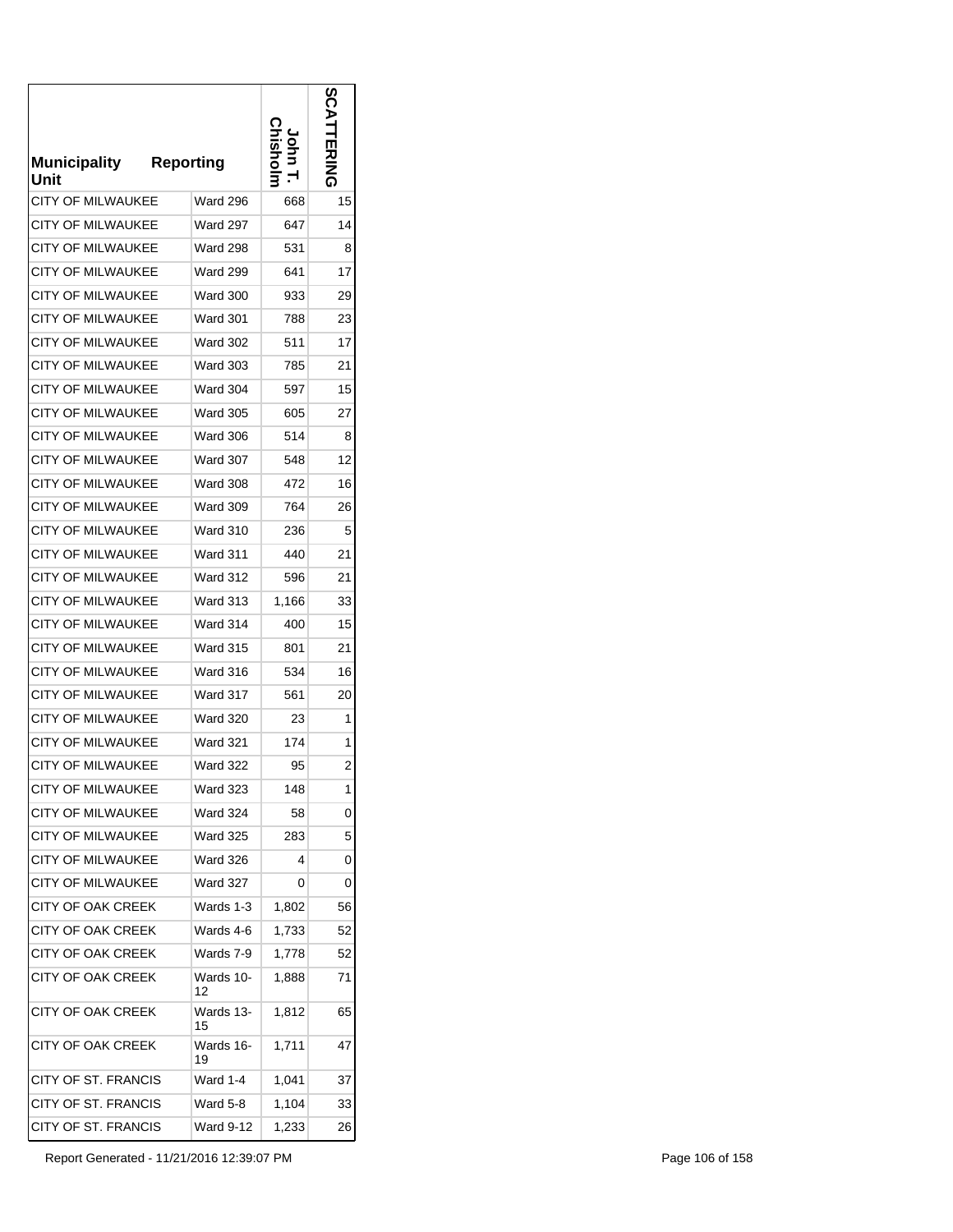| <b>Municipality</b><br>Unit | <b>Reporting</b> |       | 띴  |
|-----------------------------|------------------|-------|----|
| <b>CITY OF MILWAUKEE</b>    | <b>Ward 296</b>  | 668   | 15 |
| CITY OF MILWAUKEE           | <b>Ward 297</b>  | 647   | 14 |
| <b>CITY OF MILWAUKEE</b>    | <b>Ward 298</b>  | 531   | 8  |
| <b>CITY OF MILWAUKEE</b>    | <b>Ward 299</b>  | 641   | 17 |
| <b>CITY OF MILWAUKEE</b>    | <b>Ward 300</b>  | 933   | 29 |
| CITY OF MILWAUKEE           | Ward 301         | 788   | 23 |
| <b>CITY OF MILWAUKEE</b>    | <b>Ward 302</b>  | 511   | 17 |
| <b>CITY OF MILWAUKEE</b>    | <b>Ward 303</b>  | 785   | 21 |
| CITY OF MILWAUKEE           | <b>Ward 304</b>  | 597   | 15 |
| <b>CITY OF MILWAUKEE</b>    | Ward 305         | 605   | 27 |
| <b>CITY OF MILWAUKEE</b>    | <b>Ward 306</b>  | 514   | 8  |
| <b>CITY OF MILWAUKEE</b>    | Ward 307         | 548   | 12 |
| <b>CITY OF MILWAUKEE</b>    | <b>Ward 308</b>  | 472   | 16 |
| <b>CITY OF MILWAUKEE</b>    | <b>Ward 309</b>  | 764   | 26 |
| <b>CITY OF MILWAUKEE</b>    | <b>Ward 310</b>  | 236   | 5  |
| <b>CITY OF MILWAUKEE</b>    | <b>Ward 311</b>  | 440   | 21 |
| CITY OF MILWAUKEE           | <b>Ward 312</b>  | 596   | 21 |
| <b>CITY OF MILWAUKEE</b>    | <b>Ward 313</b>  | 1,166 | 33 |
| <b>CITY OF MILWAUKEE</b>    | Ward 314         | 400   | 15 |
| <b>CITY OF MILWAUKEE</b>    | <b>Ward 315</b>  | 801   | 21 |
| <b>CITY OF MILWAUKEE</b>    | Ward 316         | 534   | 16 |
| <b>CITY OF MILWAUKEE</b>    | Ward 317         | 561   | 20 |
| <b>CITY OF MILWAUKEE</b>    | <b>Ward 320</b>  | 23    | 1  |
| <b>CITY OF MILWAUKEE</b>    | <b>Ward 321</b>  | 174   | 1  |
| <b>CITY OF MILWAUKEE</b>    | <b>Ward 322</b>  | 95    | 2  |
| CITY OF MILWAUKEE           | Ward 323         | 148   | 1  |
| <b>CITY OF MILWAUKEE</b>    | <b>Ward 324</b>  | 58    | 0  |
| <b>CITY OF MILWAUKEE</b>    | <b>Ward 325</b>  | 283   | 5  |
| <b>CITY OF MILWAUKEE</b>    | <b>Ward 326</b>  | 4     | 0  |
| <b>CITY OF MILWAUKEE</b>    | <b>Ward 327</b>  | 0     | 0  |
| CITY OF OAK CREEK           | Wards 1-3        | 1,802 | 56 |
| <b>CITY OF OAK CREEK</b>    | Wards 4-6        | 1,733 | 52 |
| CITY OF OAK CREEK           | Wards 7-9        | 1,778 | 52 |
| <b>CITY OF OAK CREEK</b>    | Wards 10-<br>12  | 1,888 | 71 |
| CITY OF OAK CREEK           | Wards 13-<br>15  | 1,812 | 65 |
| <b>CITY OF OAK CREEK</b>    | Wards 16-<br>19  | 1,711 | 47 |
| CITY OF ST. FRANCIS         | <b>Ward 1-4</b>  | 1,041 | 37 |
| CITY OF ST. FRANCIS         | <b>Ward 5-8</b>  | 1,104 | 33 |
| CITY OF ST. FRANCIS         | Ward 9-12        | 1,233 | 26 |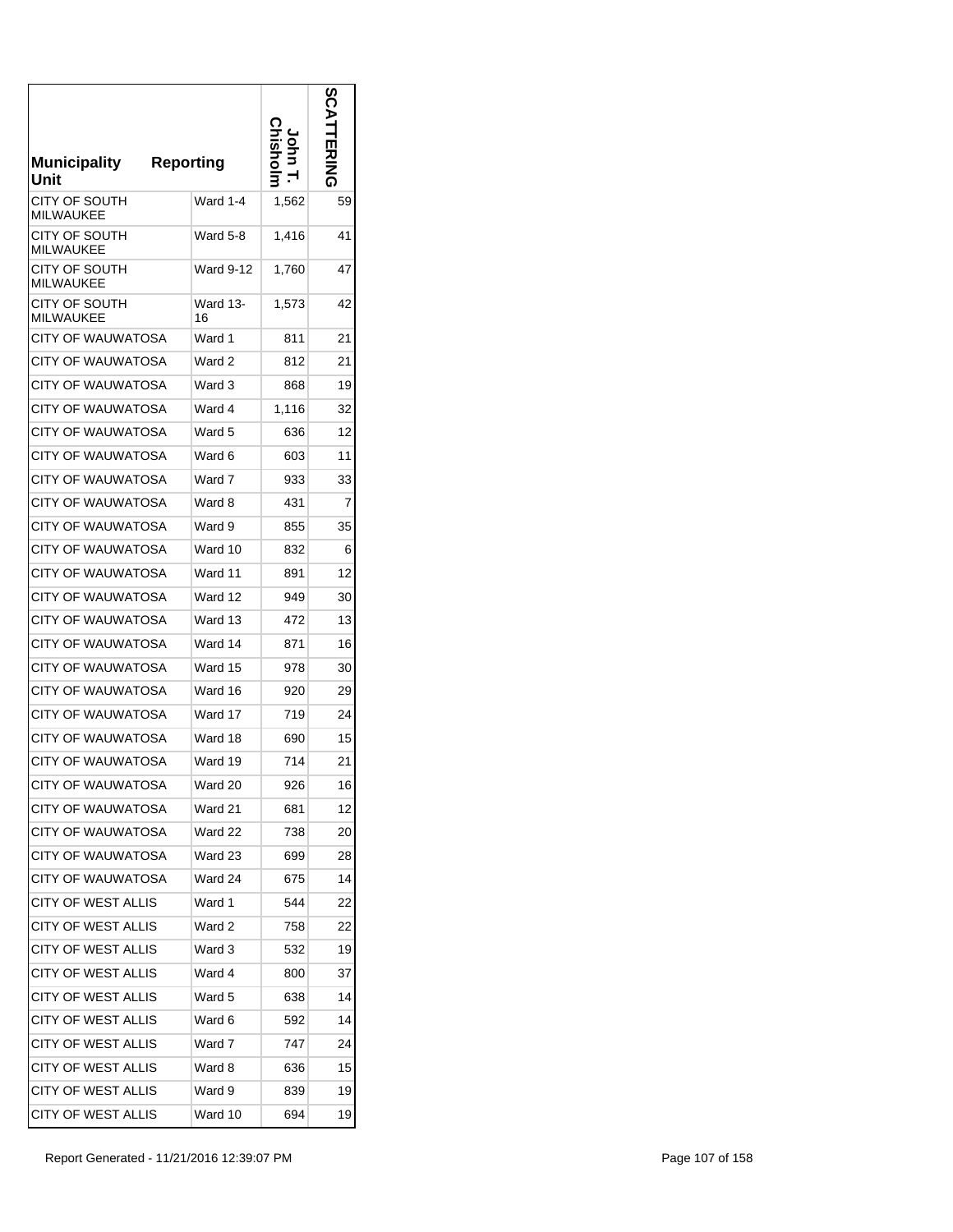| Municipality<br>Unit              | <b>Reporting</b> |       | n<br>п |
|-----------------------------------|------------------|-------|--------|
| CITY OF SOUTH<br><b>MILWAUKEE</b> | Ward 1-4         | 1,562 | 59     |
| CITY OF SOUTH<br><b>MILWAUKEE</b> | Ward 5-8         | 1,416 | 41     |
| CITY OF SOUTH<br><b>MILWAUKEE</b> | Ward 9-12        | 1,760 | 47     |
| CITY OF SOUTH<br><b>MILWAUKEE</b> | Ward 13-<br>16   | 1,573 | 42     |
| <b>CITY OF WAUWATOSA</b>          | Ward 1           | 811   | 21     |
| <b>CITY OF WAUWATOSA</b>          | Ward 2           | 812   | 21     |
| <b>CITY OF WAUWATOSA</b>          | Ward 3           | 868   | 19     |
| <b>CITY OF WAUWATOSA</b>          | Ward 4           | 1,116 | 32     |
| CITY OF WAUWATOSA                 | Ward 5           | 636   | 12     |
| <b>CITY OF WAUWATOSA</b>          | Ward 6           | 603   | 11     |
| CITY OF WAUWATOSA                 | Ward 7           | 933   | 33     |
| CITY OF WAUWATOSA                 | Ward 8           | 431   | 7      |
| CITY OF WAUWATOSA                 | Ward 9           | 855   | 35     |
| <b>CITY OF WAUWATOSA</b>          | Ward 10          | 832   | 6      |
| CITY OF WAUWATOSA                 | Ward 11          | 891   | 12     |
| CITY OF WAUWATOSA                 | Ward 12          | 949   | 30     |
| CITY OF WAUWATOSA                 | Ward 13          | 472   | 13     |
| <b>CITY OF WAUWATOSA</b>          | Ward 14          | 871   | 16     |
| CITY OF WAUWATOSA                 | Ward 15          | 978   | 30     |
| CITY OF WAUWATOSA                 | Ward 16          | 920   | 29     |
| CITY OF WAUWATOSA                 | Ward 17          | 719   | 24     |
| CITY OF WAUWATOSA                 | Ward 18          | 690   | 15     |
| <b>CITY OF WAUWATOSA</b>          | Ward 19          | 714   | 21     |
| <b>CITY OF WAUWATOSA</b>          | Ward 20          | 926   | 16     |
| CITY OF WAUWATOSA                 | Ward 21          | 681   | 12     |
| <b>CITY OF WAUWATOSA</b>          | Ward 22          | 738   | 20     |
| <b>CITY OF WAUWATOSA</b>          | Ward 23          | 699   | 28     |
| <b>CITY OF WAUWATOSA</b>          | Ward 24          | 675   | 14     |
| CITY OF WEST ALLIS                | Ward 1           | 544   | 22     |
| CITY OF WEST ALLIS                | Ward 2           | 758   | 22     |
| <b>CITY OF WEST ALLIS</b>         | Ward 3           | 532   | 19     |
| <b>CITY OF WEST ALLIS</b>         | Ward 4           | 800   | 37     |
| <b>CITY OF WEST ALLIS</b>         | Ward 5           | 638   | 14     |
| CITY OF WEST ALLIS                | Ward 6           | 592   | 14     |
| CITY OF WEST ALLIS                | Ward 7           | 747   | 24     |
| CITY OF WEST ALLIS                | Ward 8           | 636   | 15     |
| <b>CITY OF WEST ALLIS</b>         | Ward 9           | 839   | 19     |
| <b>CITY OF WEST ALLIS</b>         | Ward 10          | 694   | 19     |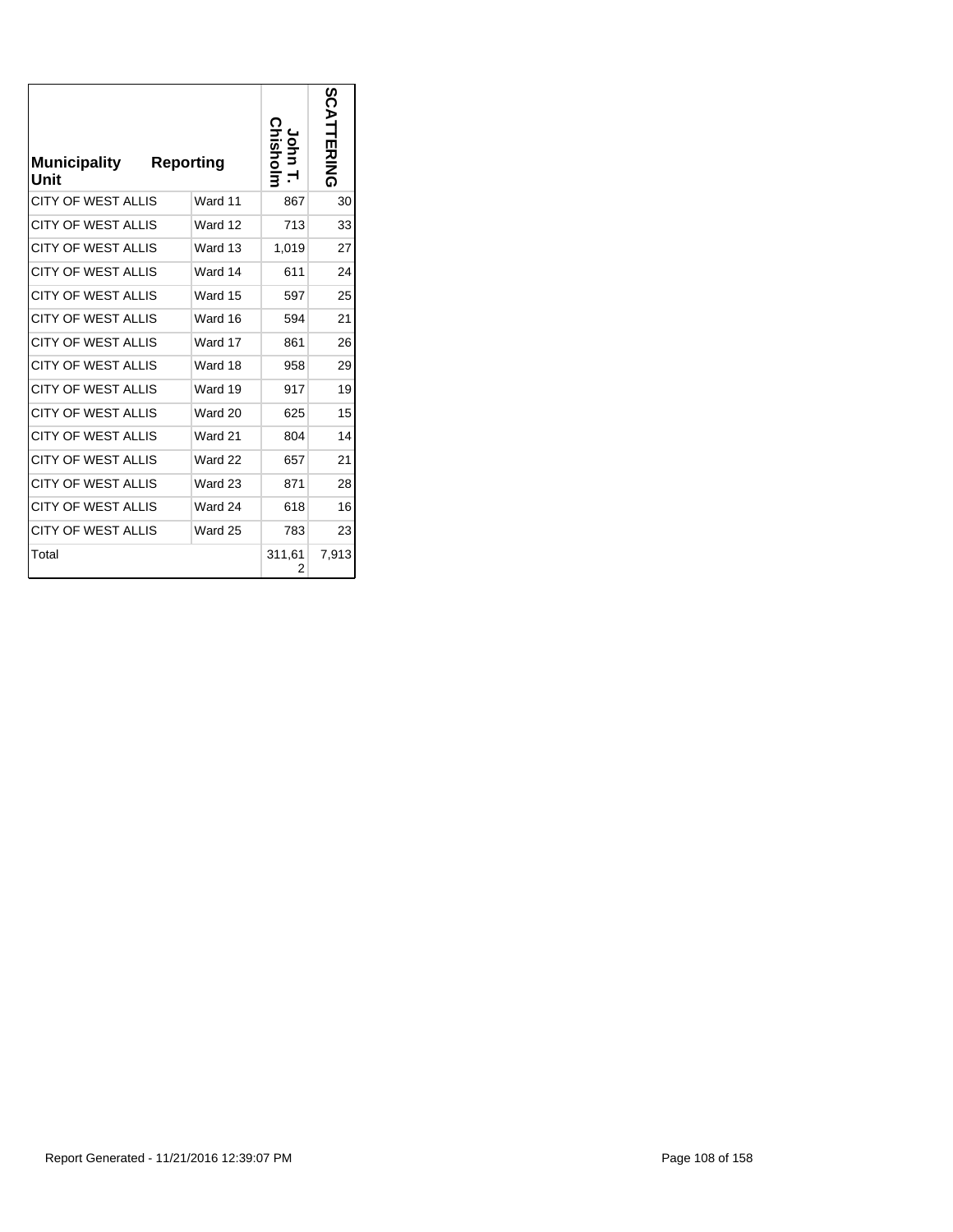| <b>Municipality</b><br>Unit | <b>Reporting</b> |         | <b>Tisholi</b> | SCATTERING |
|-----------------------------|------------------|---------|----------------|------------|
| <b>CITY OF WEST ALLIS</b>   |                  | Ward 11 | 867            | 30         |
| <b>CITY OF WEST ALLIS</b>   |                  | Ward 12 | 713            | 33         |
| CITY OF WEST ALLIS          |                  | Ward 13 | 1,019          | 27         |
| <b>CITY OF WEST ALLIS</b>   |                  | Ward 14 | 611            | 24         |
| <b>CITY OF WEST ALLIS</b>   |                  | Ward 15 | 597            | 25         |
| <b>CITY OF WEST ALLIS</b>   |                  | Ward 16 | 594            | 21         |
| <b>CITY OF WEST ALLIS</b>   |                  | Ward 17 | 861            | 26         |
| <b>CITY OF WEST ALLIS</b>   |                  | Ward 18 | 958            | 29         |
| <b>CITY OF WEST ALLIS</b>   |                  | Ward 19 | 917            | 19         |
| <b>CITY OF WEST ALLIS</b>   |                  | Ward 20 | 625            | 15         |
| <b>CITY OF WEST ALLIS</b>   |                  | Ward 21 | 804            | 14         |
| <b>CITY OF WEST ALLIS</b>   |                  | Ward 22 | 657            | 21         |
| <b>CITY OF WEST ALLIS</b>   |                  | Ward 23 | 871            | 28         |
| <b>CITY OF WEST ALLIS</b>   |                  | Ward 24 | 618            | 16         |
| <b>CITY OF WEST ALLIS</b>   |                  | Ward 25 | 783            | 23         |
| Total                       |                  |         | 311,61<br>2    | 7,913      |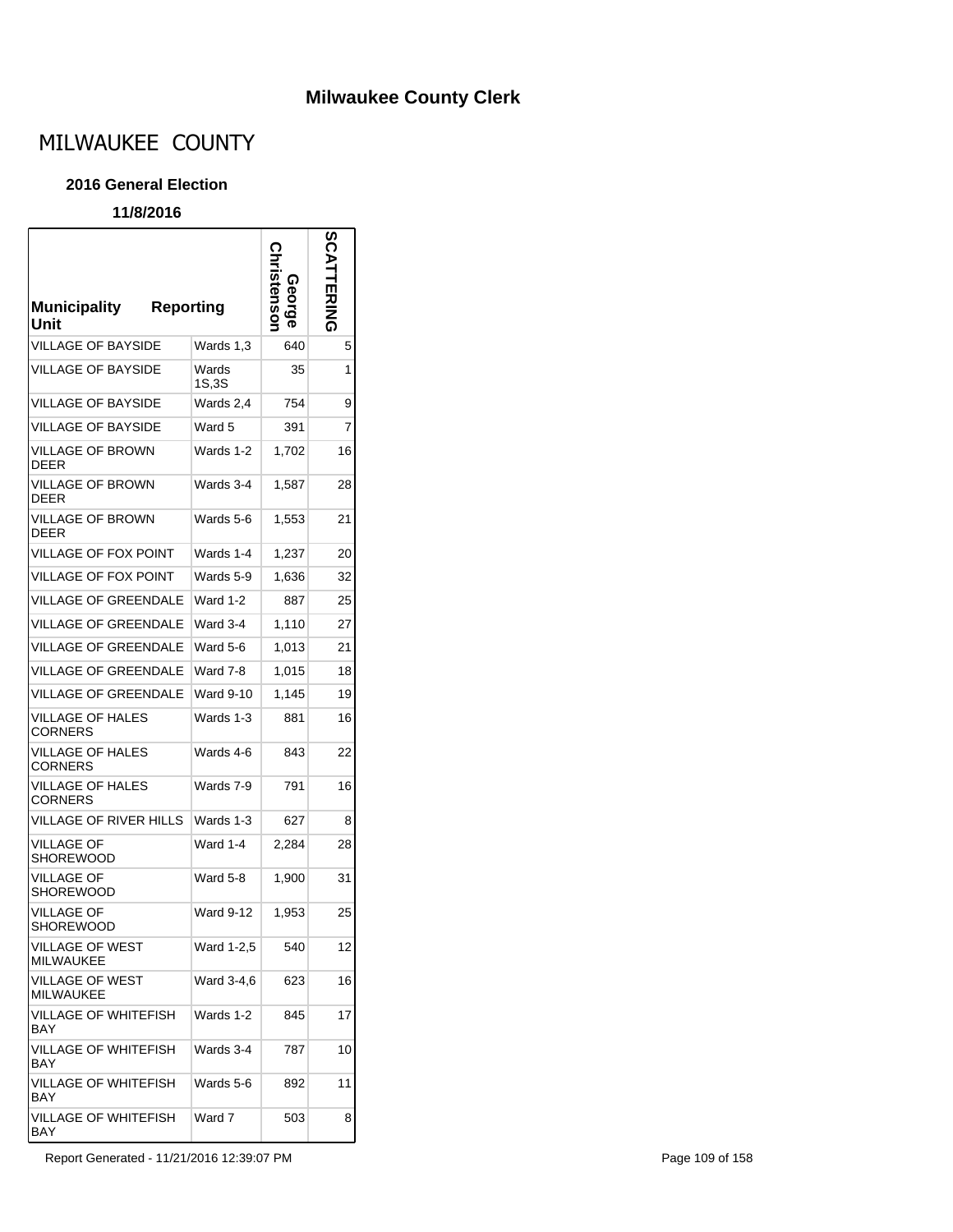### **Milwaukee County Clerk**

# MILWAUKEE COUNTY

#### **2016 General Election**

#### **11/8/2016**

| <b>Municipality</b><br>Unit                | <b>Reporting</b> | Stensol<br>ဂ္ဂ<br>၁ | <b>TERING</b> |
|--------------------------------------------|------------------|---------------------|---------------|
| <b>VILLAGE OF BAYSIDE</b>                  | Wards 1,3        | 640                 | 5             |
| <b>VILLAGE OF BAYSIDE</b>                  | Wards<br>1S,3S   | 35                  | 1             |
| <b>VILLAGE OF BAYSIDE</b>                  | Wards 2,4        | 754                 | 9             |
| <b>VILLAGE OF BAYSIDE</b>                  | Ward 5           | 391                 | 7             |
| <b>VILLAGE OF BROWN</b><br><b>DEER</b>     | Wards 1-2        | 1,702               | 16            |
| VILLAGE OF BROWN<br><b>DEER</b>            | Wards 3-4        | 1,587               | 28            |
| <b>VILLAGE OF BROWN</b><br><b>DEER</b>     | Wards 5-6        | 1,553               | 21            |
| VILLAGE OF FOX POINT                       | Wards 1-4        | 1,237               | 20            |
| <b>VILLAGE OF FOX POINT</b>                | Wards 5-9        | 1,636               | 32            |
| <b>VILLAGE OF GREENDALE</b>                | Ward 1-2         | 887                 | 25            |
| <b>VILLAGE OF GREENDALE</b>                | Ward 3-4         | 1,110               | 27            |
| <b>VILLAGE OF GREENDALE</b>                | Ward 5-6         | 1,013               | 21            |
| <b>VILLAGE OF GREENDALE</b>                | Ward 7-8         | 1,015               | 18            |
| <b>VILLAGE OF GREENDALE</b>                | Ward 9-10        | 1,145               | 19            |
| <b>VILLAGE OF HALES</b><br><b>CORNERS</b>  | Wards 1-3        | 881                 | 16            |
| VILLAGE OF HALES<br>CORNERS                | Wards 4-6        | 843                 | 22            |
| VILLAGE OF HALES<br>CORNERS                | Wards 7-9        | 791                 | 16            |
| VILLAGE OF RIVER HILLS                     | Wards 1-3        | 627                 | 8             |
| <b>VILLAGE OF</b><br>SHOREWOOD             | Ward 1-4         | 2,284               | 28            |
| VILLAGE OF<br>SHOREWOOD                    | Ward 5-8         | 1,900               | 31            |
| <b>VILLAGE OF</b><br>SHOREWOOD             | Ward 9-12        | 1,953               | 25            |
| <b>VILLAGE OF WEST</b><br>MILWAUKEE        | Ward 1-2,5       | 540                 | 12            |
| <b>VILLAGE OF WEST</b><br><b>MILWAUKEE</b> | Ward 3-4,6       | 623                 | 16            |
| <b>VILLAGE OF WHITEFISH</b><br><b>BAY</b>  | Wards 1-2        | 845                 | 17            |
| VILLAGE OF WHITEFISH<br>BAY                | Wards 3-4        | 787                 | 10            |
| <b>VILLAGE OF WHITEFISH</b><br>BAY         | Wards 5-6        | 892                 | 11            |
| <b>VILLAGE OF WHITEFISH</b><br>BAY         | Ward 7           | 503                 | 8             |

Report Generated - 11/21/2016 12:39:07 PM **Page 109 of 158**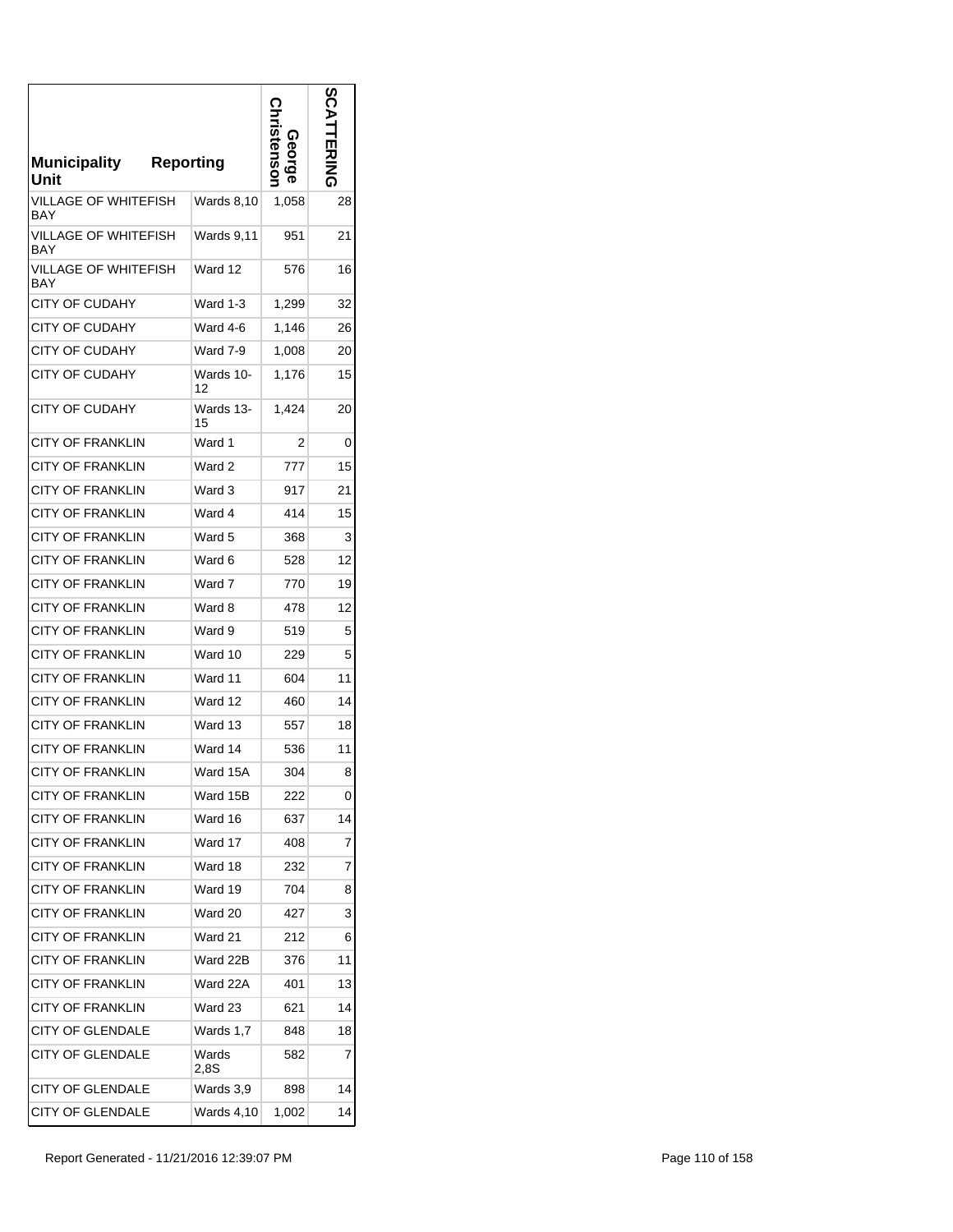| <b>Municipality</b><br>Unit | <b>Reporting</b>  | stensol<br><u>ი</u><br>მ | ဌ<br><b>HAING</b> |
|-----------------------------|-------------------|--------------------------|-------------------|
| VILLAGE OF WHITEFISH<br>BAY | Wards 8,10        | 1,058                    | 28                |
| VILLAGE OF WHITEFISH<br>BAY | <b>Wards 9,11</b> | 951                      | 21                |
| VILLAGE OF WHITEFISH<br>BAY | Ward 12           | 576                      | 16                |
| CITY OF CUDAHY              | Ward 1-3          | 1,299                    | 32                |
| CITY OF CUDAHY              | Ward 4-6          | 1,146                    | 26                |
| <b>CITY OF CUDAHY</b>       | Ward 7-9          | 1,008                    | 20                |
| CITY OF CUDAHY              | Wards 10-<br>12   | 1,176                    | 15                |
| <b>CITY OF CUDAHY</b>       | Wards 13-<br>15   | 1,424                    | 20                |
| <b>CITY OF FRANKLIN</b>     | Ward 1            | 2                        | 0                 |
| <b>CITY OF FRANKLIN</b>     | Ward 2            | 777                      | 15                |
| <b>CITY OF FRANKLIN</b>     | Ward 3            | 917                      | 21                |
| <b>CITY OF FRANKLIN</b>     | Ward 4            | 414                      | 15                |
| <b>CITY OF FRANKLIN</b>     | Ward 5            | 368                      | 3                 |
| CITY OF FRANKLIN            | Ward 6            | 528                      | 12                |
| <b>CITY OF FRANKLIN</b>     | Ward 7            | 770                      | 19                |
| CITY OF FRANKLIN            | Ward 8            | 478                      | 12                |
| CITY OF FRANKLIN            | Ward 9            | 519                      | 5                 |
| CITY OF FRANKLIN            | Ward 10           | 229                      | 5                 |
| <b>CITY OF FRANKLIN</b>     | Ward 11           | 604                      | 11                |
| <b>CITY OF FRANKLIN</b>     | Ward 12           | 460                      | 14                |
| <b>CITY OF FRANKLIN</b>     | Ward 13           | 557                      | 18                |
| <b>CITY OF FRANKLIN</b>     | Ward 14           | 536                      | 11                |
| <b>CITY OF FRANKLIN</b>     | Ward 15A          | 304                      | 8                 |
| <b>CITY OF FRANKLIN</b>     | Ward 15B          | 222                      | 0                 |
| <b>CITY OF FRANKLIN</b>     | Ward 16           | 637                      | 14                |
| <b>CITY OF FRANKLIN</b>     | Ward 17           | 408                      | 7                 |
| <b>CITY OF FRANKLIN</b>     | Ward 18           | 232                      | 7                 |
| <b>CITY OF FRANKLIN</b>     | Ward 19           | 704                      | 8                 |
| <b>CITY OF FRANKLIN</b>     | Ward 20           | 427                      | 3                 |
| <b>CITY OF FRANKLIN</b>     | Ward 21           | 212                      | 6                 |
| <b>CITY OF FRANKLIN</b>     | Ward 22B          | 376                      | 11                |
| <b>CITY OF FRANKLIN</b>     | Ward 22A          | 401                      | 13                |
| <b>CITY OF FRANKLIN</b>     | Ward 23           | 621                      | 14                |
| <b>CITY OF GLENDALE</b>     | Wards 1,7         | 848                      | 18                |
| <b>CITY OF GLENDALE</b>     | Wards<br>2.8S     | 582                      | 7                 |
| <b>CITY OF GLENDALE</b>     | Wards 3,9         | 898                      | 14                |
| <b>CITY OF GLENDALE</b>     | Wards 4,10        | 1,002                    | 14                |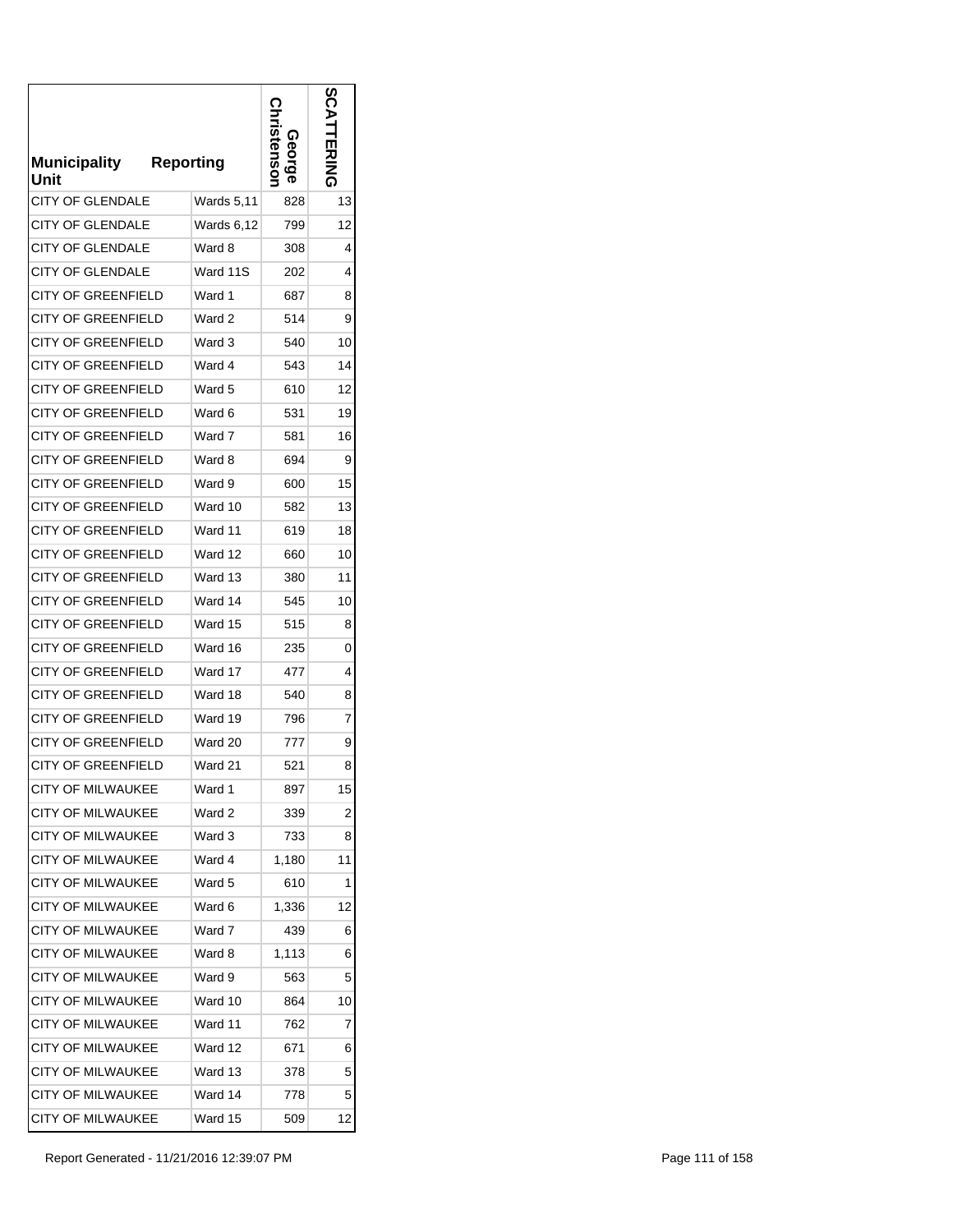| <b>Municipality</b><br>Unit | <b>Reporting</b> | <b>GOLG</b><br>tensor | <b>S</b><br>コカミ |
|-----------------------------|------------------|-----------------------|-----------------|
| CITY OF GLENDALE            | Wards 5,11       | 828                   | 13              |
| CITY OF GLENDALE            | Wards 6,12       | 799                   | 12              |
| <b>CITY OF GLENDALE</b>     | Ward 8           | 308                   | 4               |
| <b>CITY OF GLENDALE</b>     | Ward 11S         | 202                   | 4               |
| CITY OF GREENFIELD          | Ward 1           | 687                   | 8               |
| CITY OF GREENFIELD          | Ward 2           | 514                   | 9               |
| CITY OF GREENFIELD          | Ward 3           | 540                   | 10              |
| CITY OF GREENFIELD          | Ward 4           | 543                   | 14              |
| CITY OF GREENFIELD          | Ward 5           | 610                   | 12              |
| <b>CITY OF GREENFIELD</b>   | Ward 6           | 531                   | 19              |
| <b>CITY OF GREENFIELD</b>   | Ward 7           | 581                   | 16              |
| <b>CITY OF GREENFIELD</b>   | Ward 8           | 694                   | 9               |
| <b>CITY OF GREENFIELD</b>   | Ward 9           | 600                   | 15              |
| <b>CITY OF GREENFIELD</b>   | Ward 10          | 582                   | 13              |
| <b>CITY OF GREENFIELD</b>   | Ward 11          | 619                   | 18              |
| <b>CITY OF GREENFIELD</b>   | Ward 12          | 660                   | 10              |
| <b>CITY OF GREENFIELD</b>   | Ward 13          | 380                   | 11              |
| <b>CITY OF GREENFIELD</b>   | Ward 14          | 545                   | 10              |
| <b>CITY OF GREENFIELD</b>   | Ward 15          | 515                   | 8               |
| <b>CITY OF GREENFIELD</b>   | Ward 16          | 235                   | 0               |
| CITY OF GREENFIELD          | Ward 17          | 477                   | 4               |
| <b>CITY OF GREENFIELD</b>   | Ward 18          | 540                   | 8               |
| <b>CITY OF GREENFIELD</b>   | Ward 19          | 796                   | 7               |
| <b>CITY OF GREENFIELD</b>   | Ward 20          | 777                   | 9               |
| <b>CITY OF GREENFIELD</b>   | Ward 21          | 521                   | 8               |
| <b>CITY OF MILWAUKEE</b>    | Ward 1           | 897                   | 15              |
| <b>CITY OF MILWAUKEE</b>    | Ward 2           | 339                   | 2               |
| <b>CITY OF MILWAUKEE</b>    | Ward 3           | 733                   | 8               |
| CITY OF MILWAUKEE           | Ward 4           | 1,180                 | 11              |
| <b>CITY OF MILWAUKEE</b>    | Ward 5           | 610                   | 1               |
| <b>CITY OF MILWAUKEE</b>    | Ward 6           | 1,336                 | 12              |
| <b>CITY OF MILWAUKEE</b>    | Ward 7           | 439                   | 6               |
| <b>CITY OF MILWAUKEE</b>    | Ward 8           | 1,113                 | 6               |
| <b>CITY OF MILWAUKEE</b>    | Ward 9           | 563                   | 5               |
| <b>CITY OF MILWAUKEE</b>    | Ward 10          | 864                   | 10              |
| <b>CITY OF MILWAUKEE</b>    | Ward 11          | 762                   | 7               |
| <b>CITY OF MILWAUKEE</b>    | Ward 12          | 671                   | 6               |
| <b>CITY OF MILWAUKEE</b>    | Ward 13          | 378                   | 5               |
| <b>CITY OF MILWAUKEE</b>    | Ward 14          | 778                   | 5               |
| CITY OF MILWAUKEE           | Ward 15          | 509                   | 12              |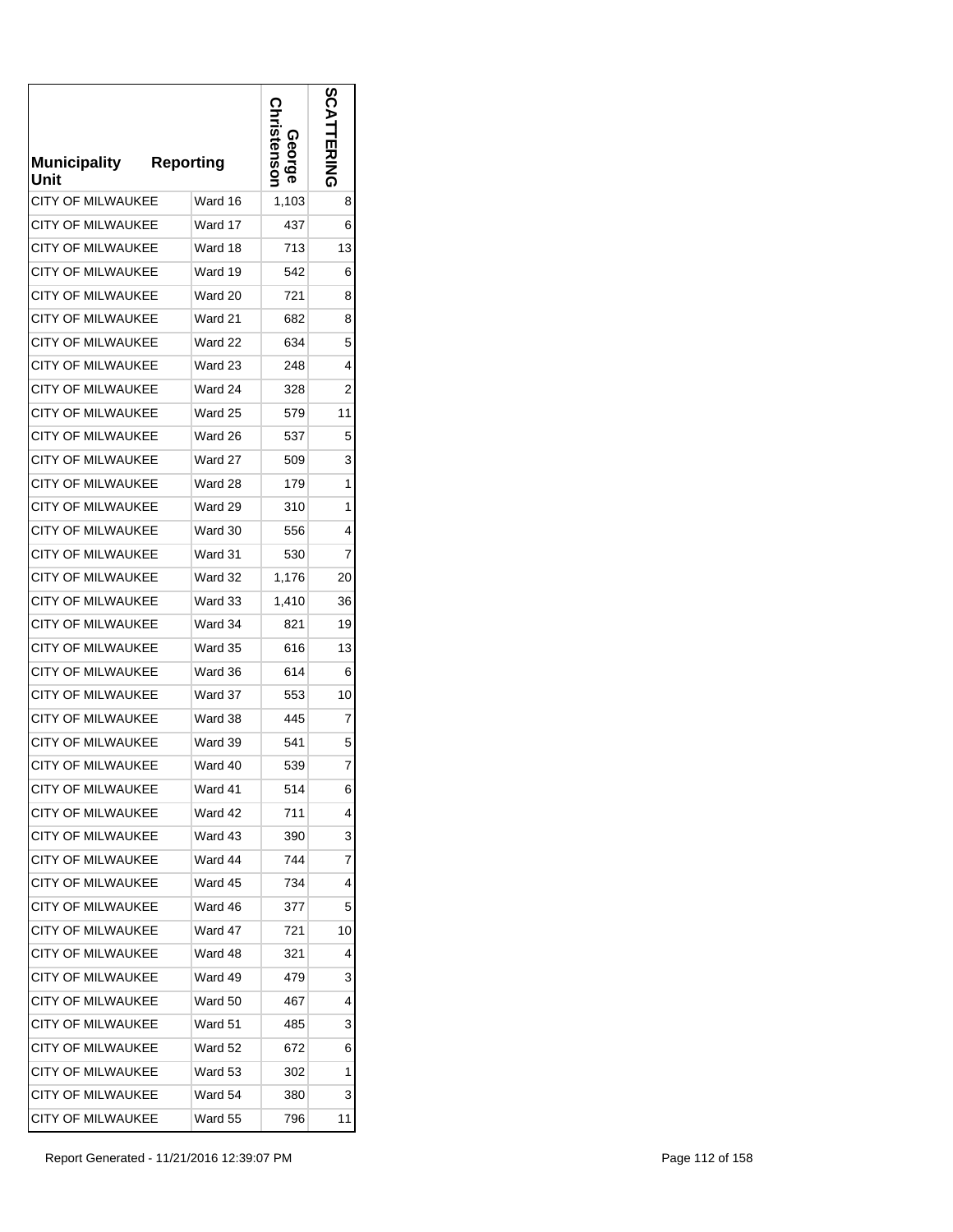| <b>Municipality</b><br>Unit | <b>Reporting</b> | stensor<br>Georg | n<br>ERING |
|-----------------------------|------------------|------------------|------------|
| <b>CITY OF MILWAUKEE</b>    | Ward 16          | 1,103            | 8          |
| <b>CITY OF MILWAUKEE</b>    | Ward 17          | 437              | 6          |
| <b>CITY OF MILWAUKEE</b>    | Ward 18          | 713              | 13         |
| <b>CITY OF MILWAUKEE</b>    | Ward 19          | 542              | 6          |
| <b>CITY OF MILWAUKEE</b>    | Ward 20          | 721              | 8          |
| CITY OF MILWAUKEE           | Ward 21          | 682              | 8          |
| <b>CITY OF MILWAUKEE</b>    | Ward 22          | 634              | 5          |
| <b>CITY OF MILWAUKEE</b>    | Ward 23          | 248              | 4          |
| CITY OF MILWAUKEE           | Ward 24          | 328              | 2          |
| <b>CITY OF MILWAUKEE</b>    | Ward 25          | 579              | 11         |
| <b>CITY OF MILWAUKEE</b>    | Ward 26          | 537              | 5          |
| <b>CITY OF MILWAUKEE</b>    | Ward 27          | 509              | 3          |
| <b>CITY OF MILWAUKEE</b>    | Ward 28          | 179              | 1          |
| <b>CITY OF MILWAUKEE</b>    | Ward 29          | 310              | 1          |
| <b>CITY OF MILWAUKEE</b>    | Ward 30          | 556              | 4          |
| <b>CITY OF MILWAUKEE</b>    | Ward 31          | 530              | 7          |
| <b>CITY OF MILWAUKEE</b>    | Ward 32          | 1,176            | 20         |
| <b>CITY OF MILWAUKEE</b>    | Ward 33          | 1,410            | 36         |
| <b>CITY OF MILWAUKEE</b>    | Ward 34          | 821              | 19         |
| <b>CITY OF MILWAUKEE</b>    | Ward 35          | 616              | 13         |
| <b>CITY OF MILWAUKEE</b>    | Ward 36          | 614              | 6          |
| <b>CITY OF MILWAUKEE</b>    | Ward 37          | 553              | 10         |
| <b>CITY OF MILWAUKEE</b>    | Ward 38          | 445              | 7          |
| <b>CITY OF MILWAUKEE</b>    | Ward 39          | 541              | 5          |
| <b>CITY OF MILWAUKEE</b>    | Ward 40          | 539              | 7          |
| <b>CITY OF MILWAUKEE</b>    | Ward 41          | 514              | 6          |
| <b>CITY OF MILWAUKEE</b>    | Ward 42          | 711              | 4          |
| <b>CITY OF MILWAUKEE</b>    | Ward 43          | 390              | 3          |
| <b>CITY OF MILWAUKEE</b>    | Ward 44          | 744              | 7          |
| <b>CITY OF MILWAUKEE</b>    | Ward 45          | 734              | 4          |
| <b>CITY OF MILWAUKEE</b>    | Ward 46          | 377              | 5          |
| <b>CITY OF MILWAUKEE</b>    | Ward 47          | 721              | 10         |
| CITY OF MILWAUKEE           | Ward 48          | 321              | 4          |
| <b>CITY OF MILWAUKEE</b>    | Ward 49          | 479              | 3          |
| <b>CITY OF MILWAUKEE</b>    | Ward 50          | 467              | 4          |
| CITY OF MILWAUKEE           | Ward 51          | 485              | 3          |
| CITY OF MILWAUKEE           | Ward 52          | 672              | 6          |
| CITY OF MILWAUKEE           | Ward 53          | 302              | 1          |
| CITY OF MILWAUKEE           | Ward 54          | 380              | 3          |
| CITY OF MILWAUKEE           | Ward 55          | 796              | 11         |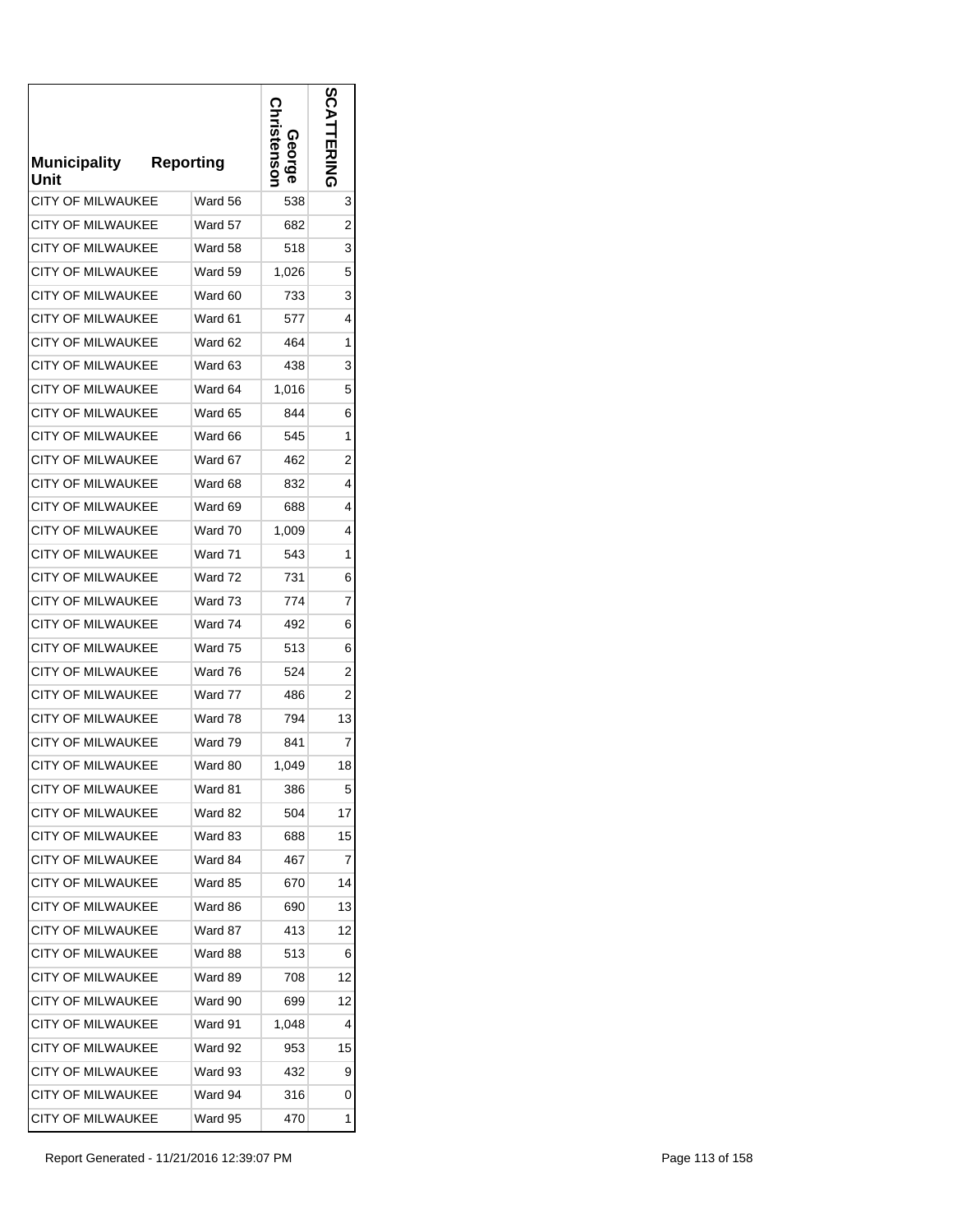| <b>Municipality</b><br>Unit | <b>Reporting</b> | stensor<br>George | m<br><b>TERING</b> |
|-----------------------------|------------------|-------------------|--------------------|
| <b>CITY OF MILWAUKEE</b>    | Ward 56          | 538               | 3                  |
| <b>CITY OF MILWAUKEE</b>    | Ward 57          | 682               | 2                  |
| <b>CITY OF MILWAUKEE</b>    | Ward 58          | 518               | 3                  |
| <b>CITY OF MILWAUKEE</b>    | Ward 59          | 1,026             | 5                  |
| <b>CITY OF MILWAUKEE</b>    | Ward 60          | 733               | 3                  |
| CITY OF MILWAUKEE           | Ward 61          | 577               | 4                  |
| <b>CITY OF MILWAUKEE</b>    | Ward 62          | 464               | 1                  |
| <b>CITY OF MILWAUKEE</b>    | Ward 63          | 438               | 3                  |
| <b>CITY OF MILWAUKEE</b>    | Ward 64          | 1,016             | 5                  |
| <b>CITY OF MILWAUKEE</b>    | Ward 65          | 844               | 6                  |
| <b>CITY OF MILWAUKEE</b>    | Ward 66          | 545               | 1                  |
| <b>CITY OF MILWAUKEE</b>    | Ward 67          | 462               | 2                  |
| <b>CITY OF MILWAUKEE</b>    | Ward 68          | 832               | 4                  |
| <b>CITY OF MILWAUKEE</b>    | Ward 69          | 688               | 4                  |
| <b>CITY OF MILWAUKEE</b>    | Ward 70          | 1,009             | 4                  |
| <b>CITY OF MILWAUKEE</b>    | Ward 71          | 543               | 1                  |
| CITY OF MILWAUKEE           | Ward 72          | 731               | 6                  |
| <b>CITY OF MILWAUKEE</b>    | Ward 73          | 774               | 7                  |
| <b>CITY OF MILWAUKEE</b>    | Ward 74          | 492               | 6                  |
| <b>CITY OF MILWAUKEE</b>    | Ward 75          | 513               | 6                  |
| <b>CITY OF MILWAUKEE</b>    | Ward 76          | 524               | $\overline{2}$     |
| <b>CITY OF MILWAUKEE</b>    | Ward 77          | 486               | 2                  |
| <b>CITY OF MILWAUKEE</b>    | Ward 78          | 794               | 13                 |
| <b>CITY OF MILWAUKEE</b>    | Ward 79          | 841               | 7                  |
| <b>CITY OF MILWAUKEE</b>    | Ward 80          | 1,049             | 18                 |
| <b>CITY OF MILWAUKEE</b>    | Ward 81          | 386               | 5                  |
| <b>CITY OF MILWAUKEE</b>    | Ward 82          | 504               | 17                 |
| <b>CITY OF MILWAUKEE</b>    | Ward 83          | 688               | 15                 |
| CITY OF MILWAUKEE           | Ward 84          | 467               | 7                  |
| CITY OF MILWAUKEE           | Ward 85          | 670               | 14                 |
| <b>CITY OF MILWAUKEE</b>    | Ward 86          | 690               | 13                 |
| <b>CITY OF MILWAUKEE</b>    | Ward 87          | 413               | 12                 |
| <b>CITY OF MILWAUKEE</b>    | Ward 88          | 513               | 6                  |
| <b>CITY OF MILWAUKEE</b>    | Ward 89          | 708               | 12                 |
| <b>CITY OF MILWAUKEE</b>    | Ward 90          | 699               | 12                 |
| <b>CITY OF MILWAUKEE</b>    | Ward 91          | 1,048             | 4                  |
| <b>CITY OF MILWAUKEE</b>    | Ward 92          | 953               | 15                 |
| <b>CITY OF MILWAUKEE</b>    | Ward 93          | 432               | 9                  |
| <b>CITY OF MILWAUKEE</b>    | Ward 94          | 316               | 0                  |
| <b>CITY OF MILWAUKEE</b>    | Ward 95          | 470               | 1                  |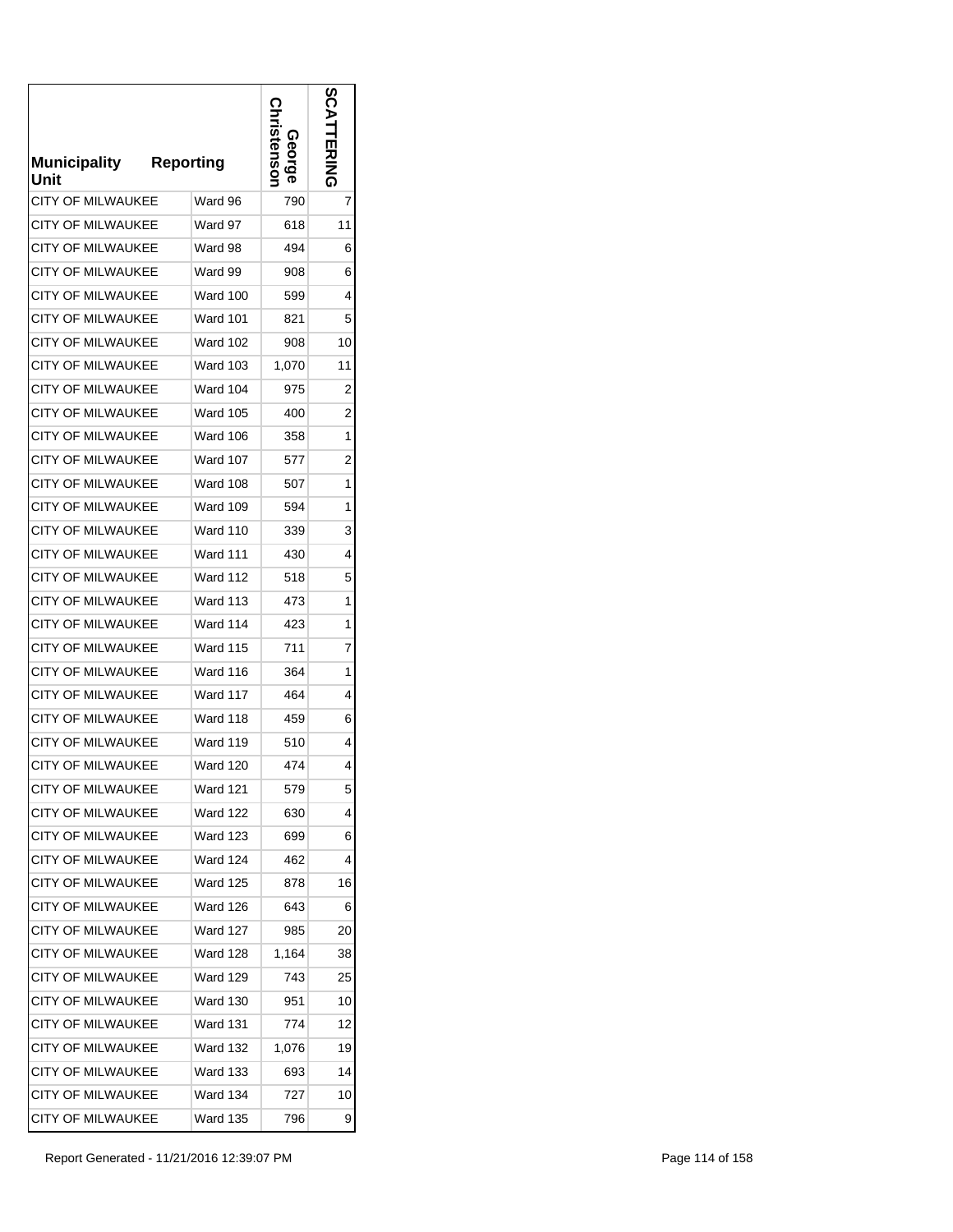| <b>Municipality</b><br>Unit | <b>Reporting</b> | stensor<br>George | n<br>はころ       |
|-----------------------------|------------------|-------------------|----------------|
| <b>CITY OF MILWAUKEE</b>    | Ward 96          | 790               | 7              |
| <b>CITY OF MILWAUKEE</b>    | Ward 97          | 618               | 11             |
| <b>CITY OF MILWAUKEE</b>    | Ward 98          | 494               | 6              |
| <b>CITY OF MILWAUKEE</b>    | Ward 99          | 908               | 6              |
| <b>CITY OF MILWAUKEE</b>    | Ward 100         | 599               | 4              |
| <b>CITY OF MILWAUKEE</b>    | <b>Ward 101</b>  | 821               | 5              |
| <b>CITY OF MILWAUKEE</b>    | <b>Ward 102</b>  | 908               | 10             |
| <b>CITY OF MILWAUKEE</b>    | <b>Ward 103</b>  | 1,070             | 11             |
| <b>CITY OF MILWAUKEE</b>    | Ward 104         | 975               | 2              |
| <b>CITY OF MILWAUKEE</b>    | Ward 105         | 400               | $\overline{c}$ |
| <b>CITY OF MILWAUKEE</b>    | Ward 106         | 358               | 1              |
| <b>CITY OF MILWAUKEE</b>    | <b>Ward 107</b>  | 577               | $\overline{c}$ |
| <b>CITY OF MILWAUKEE</b>    | <b>Ward 108</b>  | 507               | 1              |
| <b>CITY OF MILWAUKEE</b>    | Ward 109         | 594               | 1              |
| <b>CITY OF MILWAUKEE</b>    | <b>Ward 110</b>  | 339               | 3              |
| <b>CITY OF MILWAUKEE</b>    | <b>Ward 111</b>  | 430               | 4              |
| <b>CITY OF MILWAUKEE</b>    | Ward 112         | 518               | 5              |
| <b>CITY OF MILWAUKEE</b>    | Ward 113         | 473               | 1              |
| <b>CITY OF MILWAUKEE</b>    | Ward 114         | 423               | 1              |
| <b>CITY OF MILWAUKEE</b>    | <b>Ward 115</b>  | 711               | 7              |
| CITY OF MILWAUKEE           | Ward 116         | 364               | 1              |
| <b>CITY OF MILWAUKEE</b>    | Ward 117         | 464               | 4              |
| <b>CITY OF MILWAUKEE</b>    | Ward 118         | 459               | 6              |
| <b>CITY OF MILWAUKEE</b>    | <b>Ward 119</b>  | 510               | 4              |
| <b>CITY OF MILWAUKEE</b>    | <b>Ward 120</b>  | 474               | 4              |
| <b>CITY OF MILWAUKEE</b>    | Ward 121         | 579               | 5              |
| <b>CITY OF MILWAUKEE</b>    | Ward 122         | 630               | 4              |
| <b>CITY OF MILWAUKEE</b>    | Ward 123         | 699               | 6              |
| <b>CITY OF MILWAUKEE</b>    | <b>Ward 124</b>  | 462               | 4              |
| CITY OF MILWAUKEE           | <b>Ward 125</b>  | 878               | 16             |
| <b>CITY OF MILWAUKEE</b>    | Ward 126         | 643               | 6              |
| CITY OF MILWAUKEE           | <b>Ward 127</b>  | 985               | 20             |
| <b>CITY OF MILWAUKEE</b>    | Ward 128         | 1,164             | 38             |
| CITY OF MILWAUKEE           | Ward 129         | 743               | 25             |
| <b>CITY OF MILWAUKEE</b>    | Ward 130         | 951               | 10             |
| <b>CITY OF MILWAUKEE</b>    | Ward 131         | 774               | 12             |
| <b>CITY OF MILWAUKEE</b>    | Ward 132         | 1,076             | 19             |
| <b>CITY OF MILWAUKEE</b>    | Ward 133         | 693               | 14             |
| <b>CITY OF MILWAUKEE</b>    | Ward 134         | 727               | 10             |
| CITY OF MILWAUKEE           | Ward 135         | 796               | 9              |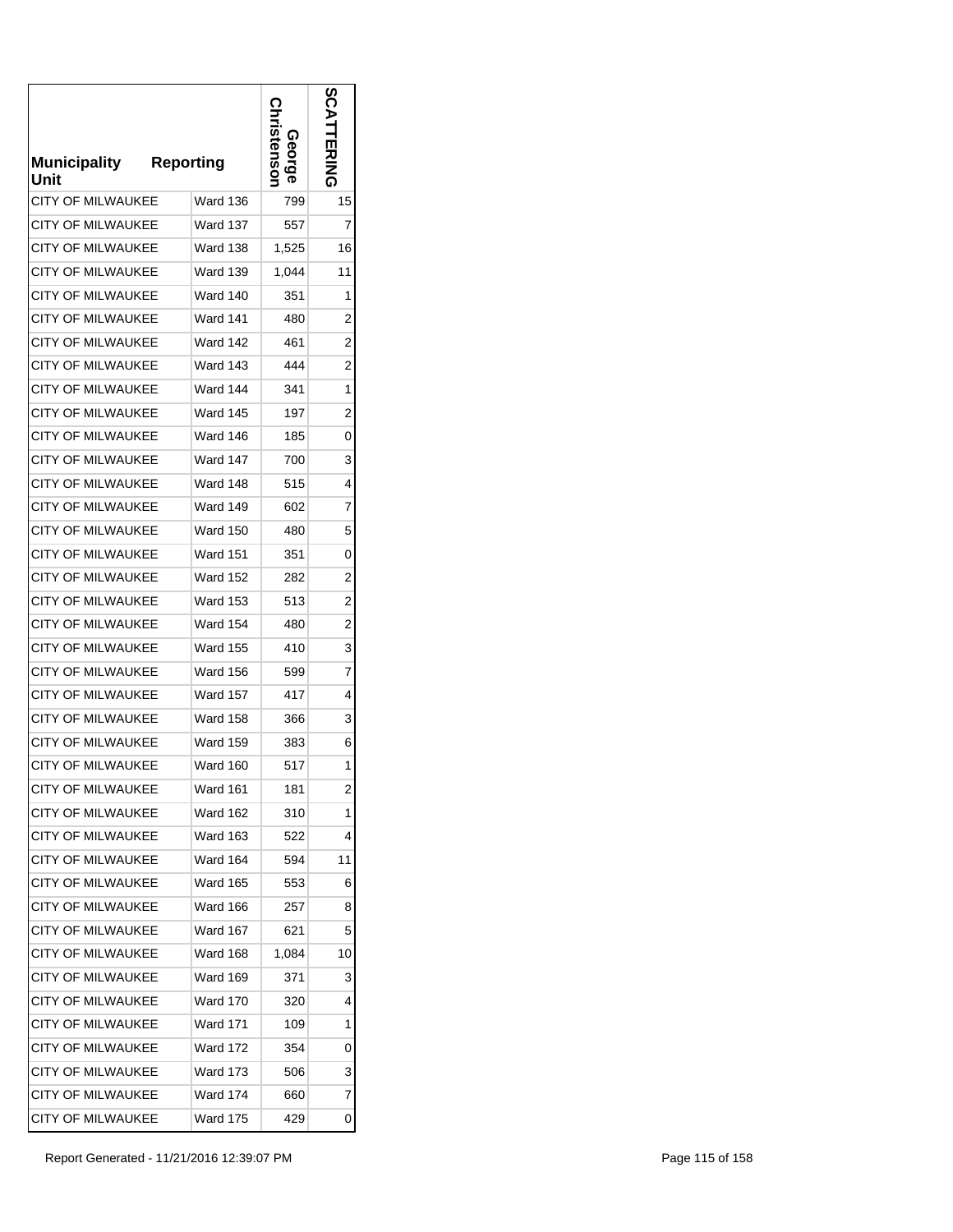| <b>Municipality</b><br>Unit | <b>Reporting</b> | stensor<br>eorge | ທ<br><b>EXIMA</b> |
|-----------------------------|------------------|------------------|-------------------|
| <b>CITY OF MILWAUKEE</b>    | Ward 136         | 799              | 15                |
| CITY OF MILWAUKEE           | Ward 137         | 557              | 7                 |
| <b>CITY OF MILWAUKEE</b>    | <b>Ward 138</b>  | 1,525            | 16                |
| <b>CITY OF MILWAUKEE</b>    | <b>Ward 139</b>  | 1,044            | 11                |
| <b>CITY OF MILWAUKEE</b>    | <b>Ward 140</b>  | 351              | 1                 |
| <b>CITY OF MILWAUKEE</b>    | <b>Ward 141</b>  | 480              | 2                 |
| <b>CITY OF MILWAUKEE</b>    | Ward 142         | 461              | $\overline{c}$    |
| <b>CITY OF MILWAUKEE</b>    | <b>Ward 143</b>  | 444              | $\overline{2}$    |
| <b>CITY OF MILWAUKEE</b>    | Ward 144         | 341              | 1                 |
| <b>CITY OF MILWAUKEE</b>    | Ward 145         | 197              | $\overline{c}$    |
| <b>CITY OF MILWAUKEE</b>    | Ward 146         | 185              | 0                 |
| <b>CITY OF MILWAUKEE</b>    | Ward 147         | 700              | 3                 |
| <b>CITY OF MILWAUKEE</b>    | Ward 148         | 515              | 4                 |
| <b>CITY OF MILWAUKEE</b>    | Ward 149         | 602              | 7                 |
| <b>CITY OF MILWAUKEE</b>    | Ward 150         | 480              | 5                 |
| <b>CITY OF MILWAUKEE</b>    | <b>Ward 151</b>  | 351              | 0                 |
| <b>CITY OF MILWAUKEE</b>    | Ward 152         | 282              | 2                 |
| <b>CITY OF MILWAUKEE</b>    | Ward 153         | 513              | $\overline{c}$    |
| CITY OF MILWAUKEE           | <b>Ward 154</b>  | 480              | $\overline{c}$    |
| <b>CITY OF MILWAUKEE</b>    | <b>Ward 155</b>  | 410              | 3                 |
| CITY OF MILWAUKEE           | <b>Ward 156</b>  | 599              | 7                 |
| <b>CITY OF MILWAUKEE</b>    | <b>Ward 157</b>  | 417              | 4                 |
| <b>CITY OF MILWAUKEE</b>    | <b>Ward 158</b>  | 366              | 3                 |
| <b>CITY OF MILWAUKEE</b>    | <b>Ward 159</b>  | 383              | 6                 |
| <b>CITY OF MILWAUKEE</b>    | Ward 160         | 517              | 1                 |
| CITY OF MILWAUKEE           | Ward 161         | 181              | 2                 |
| <b>CITY OF MILWAUKEE</b>    | Ward 162         | 310              | 1                 |
| <b>CITY OF MILWAUKEE</b>    | Ward 163         | 522              | 4                 |
| CITY OF MILWAUKEE           | Ward 164         | 594              | 11                |
| CITY OF MILWAUKEE           | <b>Ward 165</b>  | 553              | 6                 |
| <b>CITY OF MILWAUKEE</b>    | Ward 166         | 257              | 8                 |
| CITY OF MILWAUKEE           | <b>Ward 167</b>  | 621              | 5                 |
| <b>CITY OF MILWAUKEE</b>    | Ward 168         | 1,084            | 10                |
| <b>CITY OF MILWAUKEE</b>    | Ward 169         | 371              | 3                 |
| <b>CITY OF MILWAUKEE</b>    | Ward 170         | 320              | 4                 |
| <b>CITY OF MILWAUKEE</b>    | <b>Ward 171</b>  | 109              | 1                 |
| <b>CITY OF MILWAUKEE</b>    | <b>Ward 172</b>  | 354              | 0                 |
| <b>CITY OF MILWAUKEE</b>    | <b>Ward 173</b>  | 506              | 3                 |
| CITY OF MILWAUKEE           | Ward 174         | 660              | 7                 |
| CITY OF MILWAUKEE           | Ward 175         | 429              | 0                 |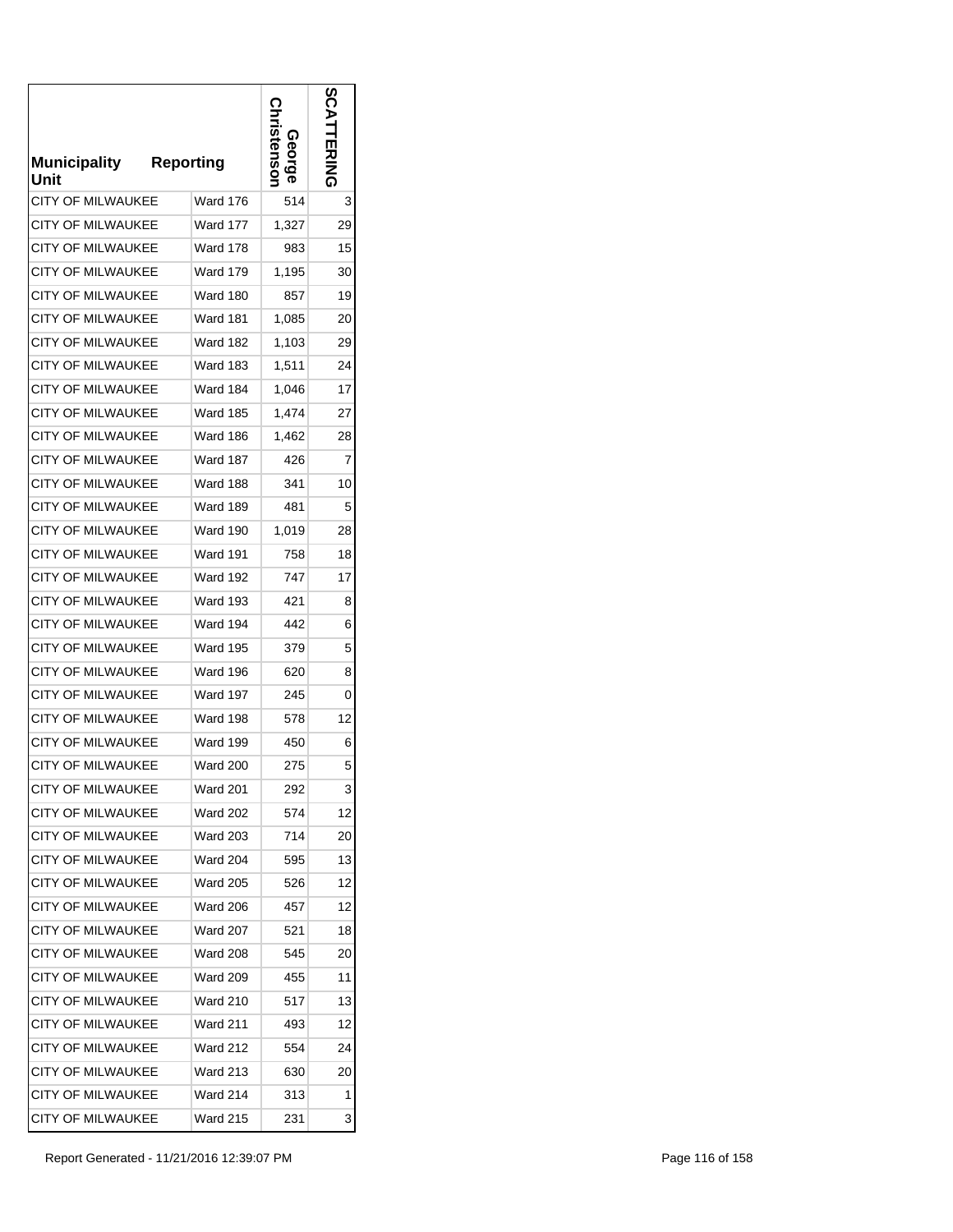| <b>Municipality</b><br>Unit | <b>Reporting</b> | stensor<br><u>შე</u> | ທ<br>ERING |
|-----------------------------|------------------|----------------------|------------|
| <b>CITY OF MILWAUKEE</b>    | <b>Ward 176</b>  | 514                  | 3          |
| <b>CITY OF MILWAUKEE</b>    | Ward 177         | 1,327                | 29         |
| CITY OF MILWAUKEE           | <b>Ward 178</b>  | 983                  | 15         |
| <b>CITY OF MILWAUKEE</b>    | <b>Ward 179</b>  | 1,195                | 30         |
| <b>CITY OF MILWAUKEE</b>    | Ward 180         | 857                  | 19         |
| CITY OF MILWAUKEE           | Ward 181         | 1,085                | 20         |
| <b>CITY OF MILWAUKEE</b>    | Ward 182         | 1,103                | 29         |
| CITY OF MILWAUKEE           | Ward 183         | 1,511                | 24         |
| <b>CITY OF MILWAUKEE</b>    | Ward 184         | 1,046                | 17         |
| CITY OF MILWAUKEE           | Ward 185         | 1,474                | 27         |
| <b>CITY OF MILWAUKEE</b>    | <b>Ward 186</b>  | 1,462                | 28         |
| <b>CITY OF MILWAUKEE</b>    | <b>Ward 187</b>  | 426                  | 7          |
| <b>CITY OF MILWAUKEE</b>    | Ward 188         | 341                  | 10         |
| <b>CITY OF MILWAUKEE</b>    | <b>Ward 189</b>  | 481                  | 5          |
| <b>CITY OF MILWAUKEE</b>    | Ward 190         | 1,019                | 28         |
| <b>CITY OF MILWAUKEE</b>    | <b>Ward 191</b>  | 758                  | 18         |
| CITY OF MILWAUKEE           | <b>Ward 192</b>  | 747                  | 17         |
| <b>CITY OF MILWAUKEE</b>    | <b>Ward 193</b>  | 421                  | 8          |
| <b>CITY OF MILWAUKEE</b>    | Ward 194         | 442                  | 6          |
| <b>CITY OF MILWAUKEE</b>    | <b>Ward 195</b>  | 379                  | 5          |
| <b>CITY OF MILWAUKEE</b>    | Ward 196         | 620                  | 8          |
| <b>CITY OF MILWAUKEE</b>    | Ward 197         | 245                  | 0          |
| <b>CITY OF MILWAUKEE</b>    | Ward 198         | 578                  | 12         |
| <b>CITY OF MILWAUKEE</b>    | Ward 199         | 450                  | 6          |
| <b>CITY OF MILWAUKEE</b>    | <b>Ward 200</b>  | 275                  | 5          |
| <b>CITY OF MILWAUKEE</b>    | Ward 201         | 292                  | 3          |
| <b>CITY OF MILWAUKEE</b>    | <b>Ward 202</b>  | 574                  | 12         |
| <b>CITY OF MILWAUKEE</b>    | Ward 203         | 714                  | 20         |
| <b>CITY OF MILWAUKEE</b>    | Ward 204         | 595                  | 13         |
| <b>CITY OF MILWAUKEE</b>    | <b>Ward 205</b>  | 526                  | 12         |
| <b>CITY OF MILWAUKEE</b>    | Ward 206         | 457                  | 12         |
| <b>CITY OF MILWAUKEE</b>    | Ward 207         | 521                  | 18         |
| <b>CITY OF MILWAUKEE</b>    | Ward 208         | 545                  | 20         |
| <b>CITY OF MILWAUKEE</b>    | Ward 209         | 455                  | 11         |
| <b>CITY OF MILWAUKEE</b>    | Ward 210         | 517                  | 13         |
| CITY OF MILWAUKEE           | Ward 211         | 493                  | 12         |
| CITY OF MILWAUKEE           | Ward 212         | 554                  | 24         |
| <b>CITY OF MILWAUKEE</b>    | Ward 213         | 630                  | 20         |
| <b>CITY OF MILWAUKEE</b>    | Ward 214         | 313                  | 1          |
| CITY OF MILWAUKEE           | Ward 215         | 231                  | 3          |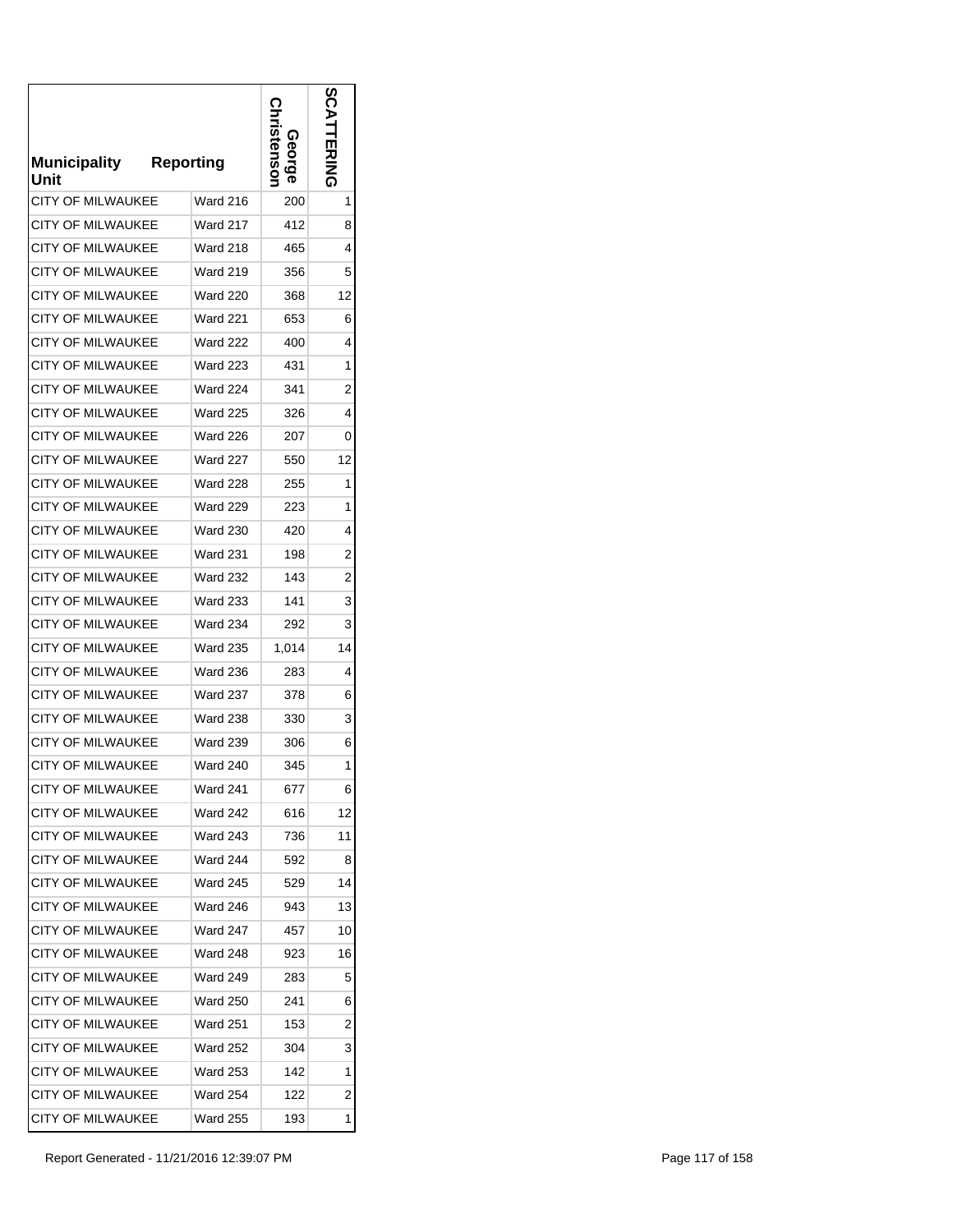| <b>Municipality</b><br>Unit | <b>Reporting</b> | stensor<br>Georg | m<br><b>ERING</b> |
|-----------------------------|------------------|------------------|-------------------|
| <b>CITY OF MILWAUKEE</b>    | Ward 216         | 200              | 1                 |
| <b>CITY OF MILWAUKEE</b>    | <b>Ward 217</b>  | 412              | 8                 |
| <b>CITY OF MILWAUKEE</b>    | <b>Ward 218</b>  | 465              | 4                 |
| <b>CITY OF MILWAUKEE</b>    | <b>Ward 219</b>  | 356              | 5                 |
| <b>CITY OF MILWAUKEE</b>    | <b>Ward 220</b>  | 368              | 12                |
| CITY OF MILWAUKEE           | <b>Ward 221</b>  | 653              | 6                 |
| <b>CITY OF MILWAUKEE</b>    | <b>Ward 222</b>  | 400              | 4                 |
| <b>CITY OF MILWAUKEE</b>    | Ward 223         | 431              | 1                 |
| CITY OF MILWAUKEE           | <b>Ward 224</b>  | 341              | 2                 |
| <b>CITY OF MILWAUKEE</b>    | <b>Ward 225</b>  | 326              | 4                 |
| <b>CITY OF MILWAUKEE</b>    | <b>Ward 226</b>  | 207              | 0                 |
| <b>CITY OF MILWAUKEE</b>    | Ward 227         | 550              | 12                |
| <b>CITY OF MILWAUKEE</b>    | <b>Ward 228</b>  | 255              | 1                 |
| <b>CITY OF MILWAUKEE</b>    | <b>Ward 229</b>  | 223              | 1                 |
| <b>CITY OF MILWAUKEE</b>    | <b>Ward 230</b>  | 420              | 4                 |
| <b>CITY OF MILWAUKEE</b>    | <b>Ward 231</b>  | 198              | 2                 |
| CITY OF MILWAUKEE           | <b>Ward 232</b>  | 143              | $\overline{2}$    |
| <b>CITY OF MILWAUKEE</b>    | <b>Ward 233</b>  | 141              | 3                 |
| <b>CITY OF MILWAUKEE</b>    | <b>Ward 234</b>  | 292              | 3                 |
| <b>CITY OF MILWAUKEE</b>    | <b>Ward 235</b>  | 1,014            | 14                |
| <b>CITY OF MILWAUKEE</b>    | <b>Ward 236</b>  | 283              | 4                 |
| <b>CITY OF MILWAUKEE</b>    | <b>Ward 237</b>  | 378              | 6                 |
| <b>CITY OF MILWAUKEE</b>    | <b>Ward 238</b>  | 330              | 3                 |
| <b>CITY OF MILWAUKEE</b>    | <b>Ward 239</b>  | 306              | 6                 |
| <b>CITY OF MILWAUKEE</b>    | <b>Ward 240</b>  | 345              | 1                 |
| <b>CITY OF MILWAUKEE</b>    | Ward 241         | 677              | 6                 |
| <b>CITY OF MILWAUKEE</b>    | Ward 242         | 616              | 12                |
| <b>CITY OF MILWAUKEE</b>    | Ward 243         | 736              | 11                |
| <b>CITY OF MILWAUKEE</b>    | Ward 244         | 592              | 8                 |
| <b>CITY OF MILWAUKEE</b>    | <b>Ward 245</b>  | 529              | 14                |
| <b>CITY OF MILWAUKEE</b>    | Ward 246         | 943              | 13                |
| <b>CITY OF MILWAUKEE</b>    | Ward 247         | 457              | 10                |
| CITY OF MILWAUKEE           | Ward 248         | 923              | 16                |
| <b>CITY OF MILWAUKEE</b>    | Ward 249         | 283              | 5                 |
| <b>CITY OF MILWAUKEE</b>    | Ward 250         | 241              | 6                 |
| CITY OF MILWAUKEE           | Ward 251         | 153              | 2                 |
| CITY OF MILWAUKEE           | Ward 252         | 304              | 3                 |
| <b>CITY OF MILWAUKEE</b>    | Ward 253         | 142              | 1                 |
| <b>CITY OF MILWAUKEE</b>    | Ward 254         | 122              | 2                 |
| CITY OF MILWAUKEE           | Ward 255         | 193              | 1                 |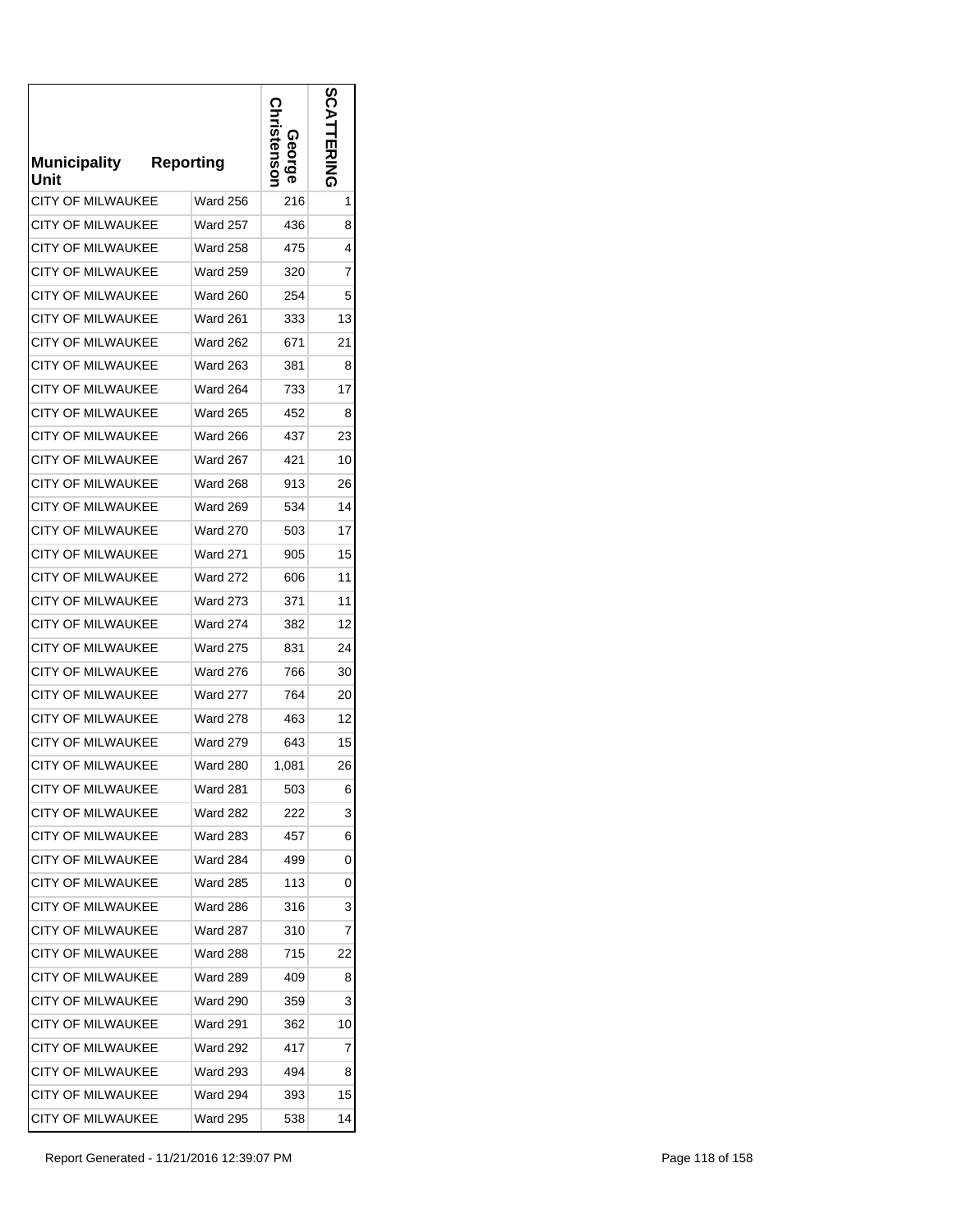| <b>Municipality</b><br>Unit | <b>Reporting</b> | <b>tensor</b><br>eorg. | m<br><b>ERING</b> |
|-----------------------------|------------------|------------------------|-------------------|
| <b>CITY OF MILWAUKEE</b>    | <b>Ward 256</b>  | 216                    | 1                 |
| CITY OF MILWAUKEE           | Ward 257         | 436                    | 8                 |
| <b>CITY OF MILWAUKEE</b>    | <b>Ward 258</b>  | 475                    | 4                 |
| <b>CITY OF MILWAUKEE</b>    | <b>Ward 259</b>  | 320                    | 7                 |
| <b>CITY OF MILWAUKEE</b>    | <b>Ward 260</b>  | 254                    | 5                 |
| CITY OF MILWAUKEE           | <b>Ward 261</b>  | 333                    | 13                |
| <b>CITY OF MILWAUKEE</b>    | <b>Ward 262</b>  | 671                    | 21                |
| CITY OF MILWAUKEE           | Ward 263         | 381                    | 8                 |
| CITY OF MILWAUKEE           | Ward 264         | 733                    | 17                |
| <b>CITY OF MILWAUKEE</b>    | Ward 265         | 452                    | 8                 |
| <b>CITY OF MILWAUKEE</b>    | <b>Ward 266</b>  | 437                    | 23                |
| <b>CITY OF MILWAUKEE</b>    | <b>Ward 267</b>  | 421                    | 10                |
| <b>CITY OF MILWAUKEE</b>    | <b>Ward 268</b>  | 913                    | 26                |
| <b>CITY OF MILWAUKEE</b>    | <b>Ward 269</b>  | 534                    | 14                |
| <b>CITY OF MILWAUKEE</b>    | <b>Ward 270</b>  | 503                    | 17                |
| <b>CITY OF MILWAUKEE</b>    | <b>Ward 271</b>  | 905                    | 15                |
| CITY OF MILWAUKEE           | <b>Ward 272</b>  | 606                    | 11                |
| <b>CITY OF MILWAUKEE</b>    | <b>Ward 273</b>  | 371                    | 11                |
| <b>CITY OF MILWAUKEE</b>    | <b>Ward 274</b>  | 382                    | 12                |
| <b>CITY OF MILWAUKEE</b>    | <b>Ward 275</b>  | 831                    | 24                |
| <b>CITY OF MILWAUKEE</b>    | <b>Ward 276</b>  | 766                    | 30                |
| <b>CITY OF MILWAUKEE</b>    | <b>Ward 277</b>  | 764                    | 20                |
| <b>CITY OF MILWAUKEE</b>    | <b>Ward 278</b>  | 463                    | 12                |
| <b>CITY OF MILWAUKEE</b>    | Ward 279         | 643                    | 15                |
| <b>CITY OF MILWAUKEE</b>    | <b>Ward 280</b>  | 1,081                  | 26                |
| CITY OF MILWAUKEE           | Ward 281         | 503                    | 6                 |
| <b>CITY OF MILWAUKEE</b>    | Ward 282         | 222                    | 3                 |
| <b>CITY OF MILWAUKEE</b>    | Ward 283         | 457                    | 6                 |
| <b>CITY OF MILWAUKEE</b>    | Ward 284         | 499                    | 0                 |
| <b>CITY OF MILWAUKEE</b>    | Ward 285         | 113                    | 0                 |
| <b>CITY OF MILWAUKEE</b>    | Ward 286         | 316                    | 3                 |
| <b>CITY OF MILWAUKEE</b>    | Ward 287         | 310                    | 7                 |
| CITY OF MILWAUKEE           | Ward 288         | 715                    | 22                |
| <b>CITY OF MILWAUKEE</b>    | Ward 289         | 409                    | 8                 |
| <b>CITY OF MILWAUKEE</b>    | Ward 290         | 359                    | 3                 |
| CITY OF MILWAUKEE           | Ward 291         | 362                    | 10                |
| CITY OF MILWAUKEE           | Ward 292         | 417                    | 7                 |
| <b>CITY OF MILWAUKEE</b>    | <b>Ward 293</b>  | 494                    | 8                 |
| <b>CITY OF MILWAUKEE</b>    | Ward 294         | 393                    | 15                |
| CITY OF MILWAUKEE           | Ward 295         | 538                    | 14                |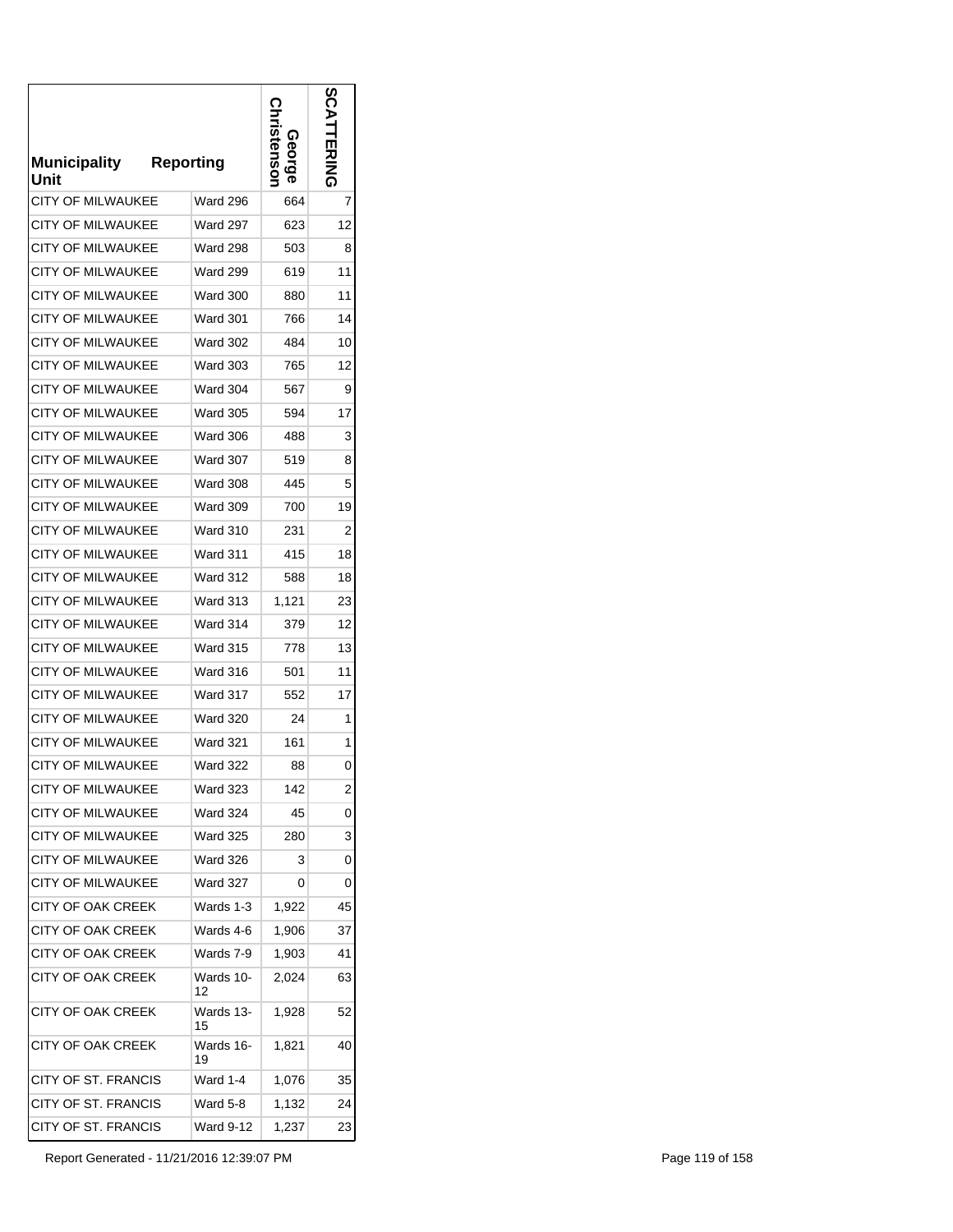| <b>Municipality</b><br>Unit | <b>Reporting</b> | stensor<br>G)<br>eorge | ທ<br><b>ERING</b> |
|-----------------------------|------------------|------------------------|-------------------|
| CITY OF MILWAUKEE           | <b>Ward 296</b>  | 664                    | 7                 |
| CITY OF MILWAUKEE           | <b>Ward 297</b>  | 623                    | 12                |
| CITY OF MILWAUKEE           | <b>Ward 298</b>  | 503                    | 8                 |
| <b>CITY OF MILWAUKEE</b>    | <b>Ward 299</b>  | 619                    | 11                |
| <b>CITY OF MILWAUKEE</b>    | <b>Ward 300</b>  | 880                    | 11                |
| CITY OF MILWAUKEE           | <b>Ward 301</b>  | 766                    | 14                |
| <b>CITY OF MILWAUKEE</b>    | <b>Ward 302</b>  | 484                    | 10                |
| <b>CITY OF MILWAUKEE</b>    | <b>Ward 303</b>  | 765                    | 12                |
| <b>CITY OF MILWAUKEE</b>    | Ward 304         | 567                    | 9                 |
| <b>CITY OF MILWAUKEE</b>    | <b>Ward 305</b>  | 594                    | 17                |
| <b>CITY OF MILWAUKEE</b>    | <b>Ward 306</b>  | 488                    | 3                 |
| <b>CITY OF MILWAUKEE</b>    | Ward 307         | 519                    | 8                 |
| CITY OF MILWAUKEE           | <b>Ward 308</b>  | 445                    | 5                 |
| <b>CITY OF MILWAUKEE</b>    | <b>Ward 309</b>  | 700                    | 19                |
| CITY OF MILWAUKEE           | <b>Ward 310</b>  | 231                    | 2                 |
| <b>CITY OF MILWAUKEE</b>    | <b>Ward 311</b>  | 415                    | 18                |
| CITY OF MILWAUKEE           | <b>Ward 312</b>  | 588                    | 18                |
| CITY OF MILWAUKEE           | Ward 313         | 1,121                  | 23                |
| CITY OF MILWAUKEE           | Ward 314         | 379                    | 12                |
| <b>CITY OF MILWAUKEE</b>    | <b>Ward 315</b>  | 778                    | 13                |
| CITY OF MILWAUKEE           | Ward 316         | 501                    | 11                |
| <b>CITY OF MILWAUKEE</b>    | Ward 317         | 552                    | 17                |
| <b>CITY OF MILWAUKEE</b>    | <b>Ward 320</b>  | 24                     | 1                 |
| <b>CITY OF MILWAUKEE</b>    | <b>Ward 321</b>  | 161                    | 1                 |
| <b>CITY OF MILWAUKEE</b>    | <b>Ward 322</b>  | 88                     | 0                 |
| <b>CITY OF MILWAUKEE</b>    | Ward 323         | 142                    | 2                 |
| CITY OF MILWAUKEE           | <b>Ward 324</b>  | 45                     | 0                 |
| <b>CITY OF MILWAUKEE</b>    | <b>Ward 325</b>  | 280                    | 3                 |
| CITY OF MILWAUKEE           | <b>Ward 326</b>  | 3                      | 0                 |
| CITY OF MILWAUKEE           | <b>Ward 327</b>  | 0                      | 0                 |
| CITY OF OAK CREEK           | Wards 1-3        | 1,922                  | 45                |
| CITY OF OAK CREEK           | Wards 4-6        | 1,906                  | 37                |
| CITY OF OAK CREEK           | Wards 7-9        | 1,903                  | 41                |
| CITY OF OAK CREEK           | Wards 10-<br>12  | 2,024                  | 63                |
| CITY OF OAK CREEK           | Wards 13-<br>15  | 1,928                  | 52                |
| CITY OF OAK CREEK           | Wards 16-<br>19  | 1,821                  | 40                |
| CITY OF ST. FRANCIS         | Ward 1-4         | 1,076                  | 35                |
| CITY OF ST. FRANCIS         | <b>Ward 5-8</b>  | 1,132                  | 24                |
| CITY OF ST. FRANCIS         | Ward 9-12        | 1,237                  | 23                |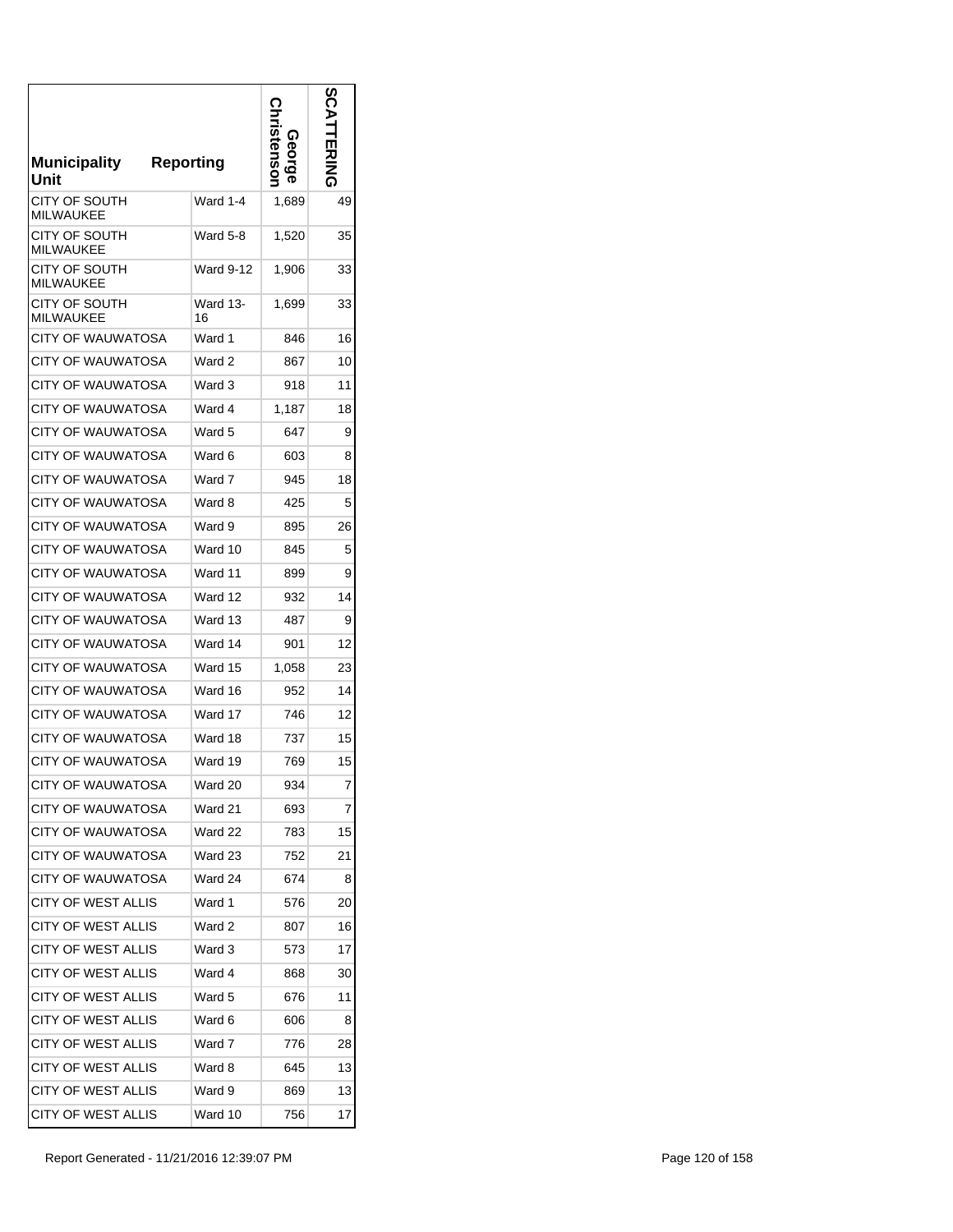| <b>Municipality</b><br>Unit       | <b>Reporting</b> | Stensol<br>ດ<br><u>ဝီ</u> | $\boldsymbol{\omega}$<br>はころ |
|-----------------------------------|------------------|---------------------------|------------------------------|
| CITY OF SOUTH<br>MILWAUKEE        | Ward 1-4         | 1,689                     | 49                           |
| CITY OF SOUTH<br><b>MILWAUKEE</b> | Ward 5-8         | 1,520                     | 35                           |
| CITY OF SOUTH<br><b>MILWAUKEE</b> | Ward 9-12        | 1,906                     | 33                           |
| CITY OF SOUTH<br><b>MILWAUKEE</b> | Ward 13-<br>16   | 1,699                     | 33                           |
| CITY OF WAUWATOSA                 | Ward 1           | 846                       | 16                           |
| <b>CITY OF WAUWATOSA</b>          | Ward 2           | 867                       | 10                           |
| CITY OF WAUWATOSA                 | Ward 3           | 918                       | 11                           |
| <b>CITY OF WAUWATOSA</b>          | Ward 4           | 1,187                     | 18                           |
| CITY OF WAUWATOSA                 | Ward 5           | 647                       | 9                            |
| <b>CITY OF WAUWATOSA</b>          | Ward 6           | 603                       | 8                            |
| <b>CITY OF WAUWATOSA</b>          | Ward 7           | 945                       | 18                           |
| CITY OF WAUWATOSA                 | Ward 8           | 425                       | 5                            |
| CITY OF WAUWATOSA                 | Ward 9           | 895                       | 26                           |
| <b>CITY OF WAUWATOSA</b>          | Ward 10          | 845                       | 5                            |
| CITY OF WAUWATOSA                 | Ward 11          | 899                       | 9                            |
| <b>CITY OF WAUWATOSA</b>          | Ward 12          | 932                       | 14                           |
| <b>CITY OF WAUWATOSA</b>          | Ward 13          | 487                       | 9                            |
| CITY OF WAUWATOSA                 | Ward 14          | 901                       | 12                           |
| <b>CITY OF WAUWATOSA</b>          | Ward 15          | 1,058                     | 23                           |
| <b>CITY OF WAUWATOSA</b>          | Ward 16          | 952                       | 14                           |
| CITY OF WAUWATOSA                 | Ward 17          | 746                       | 12                           |
| CITY OF WAUWATOSA                 | Ward 18          | 737                       | 15                           |
| <b>CITY OF WAUWATOSA</b>          | Ward 19          | 769                       | 15                           |
| <b>CITY OF WAUWATOSA</b>          | Ward 20          | 934                       | 7                            |
| <b>CITY OF WAUWATOSA</b>          | Ward 21          | 693                       | 7                            |
| CITY OF WAUWATOSA                 | Ward 22          | 783                       | 15                           |
| CITY OF WAUWATOSA                 | Ward 23          | 752                       | 21                           |
| CITY OF WAUWATOSA                 | Ward 24          | 674                       | 8                            |
| CITY OF WEST ALLIS                | Ward 1           | 576                       | 20                           |
| CITY OF WEST ALLIS                | Ward 2           | 807                       | 16                           |
| <b>CITY OF WEST ALLIS</b>         | Ward 3           | 573                       | 17                           |
| <b>CITY OF WEST ALLIS</b>         | Ward 4           | 868                       | 30                           |
| CITY OF WEST ALLIS                | Ward 5           | 676                       | 11                           |
| CITY OF WEST ALLIS                | Ward 6           | 606                       | 8                            |
| CITY OF WEST ALLIS                | Ward 7           | 776                       | 28                           |
| CITY OF WEST ALLIS                | Ward 8           | 645                       | 13                           |
| <b>CITY OF WEST ALLIS</b>         | Ward 9           | 869                       | 13                           |
| <b>CITY OF WEST ALLIS</b>         | Ward 10          | 756                       | 17                           |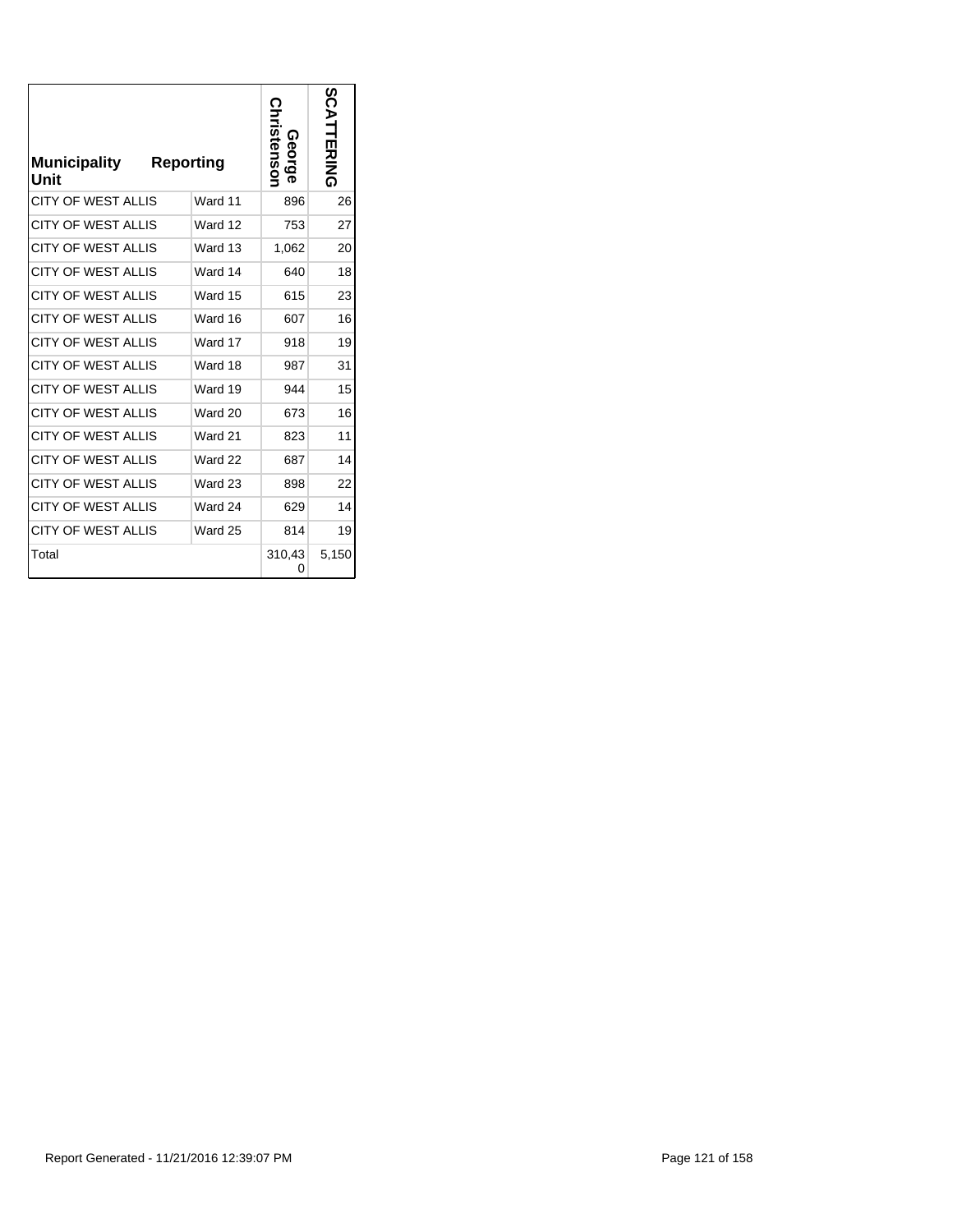| <b>Municipality</b><br>Unit | <b>Reporting</b> |         | hristensor<br>George | SCATTERING |
|-----------------------------|------------------|---------|----------------------|------------|
| <b>CITY OF WEST ALLIS</b>   |                  | Ward 11 | 896                  | 26         |
| <b>CITY OF WEST ALLIS</b>   |                  | Ward 12 | 753                  | 27         |
| CITY OF WEST ALLIS          |                  | Ward 13 | 1,062                | 20         |
| <b>CITY OF WEST ALLIS</b>   |                  | Ward 14 | 640                  | 18         |
| <b>CITY OF WEST ALLIS</b>   |                  | Ward 15 | 615                  | 23         |
| <b>CITY OF WEST ALLIS</b>   |                  | Ward 16 | 607                  | 16         |
| <b>CITY OF WEST ALLIS</b>   |                  | Ward 17 | 918                  | 19         |
| <b>CITY OF WEST ALLIS</b>   |                  | Ward 18 | 987                  | 31         |
| <b>CITY OF WEST ALLIS</b>   |                  | Ward 19 | 944                  | 15         |
| <b>CITY OF WEST ALLIS</b>   |                  | Ward 20 | 673                  | 16         |
| <b>CITY OF WEST ALLIS</b>   |                  | Ward 21 | 823                  | 11         |
| <b>CITY OF WEST ALLIS</b>   |                  | Ward 22 | 687                  | 14         |
| <b>CITY OF WEST ALLIS</b>   |                  | Ward 23 | 898                  | 22         |
| <b>CITY OF WEST ALLIS</b>   |                  | Ward 24 | 629                  | 14         |
| <b>CITY OF WEST ALLIS</b>   |                  | Ward 25 | 814                  | 19         |
| Total                       |                  |         | 310,43<br>0          | 5,150      |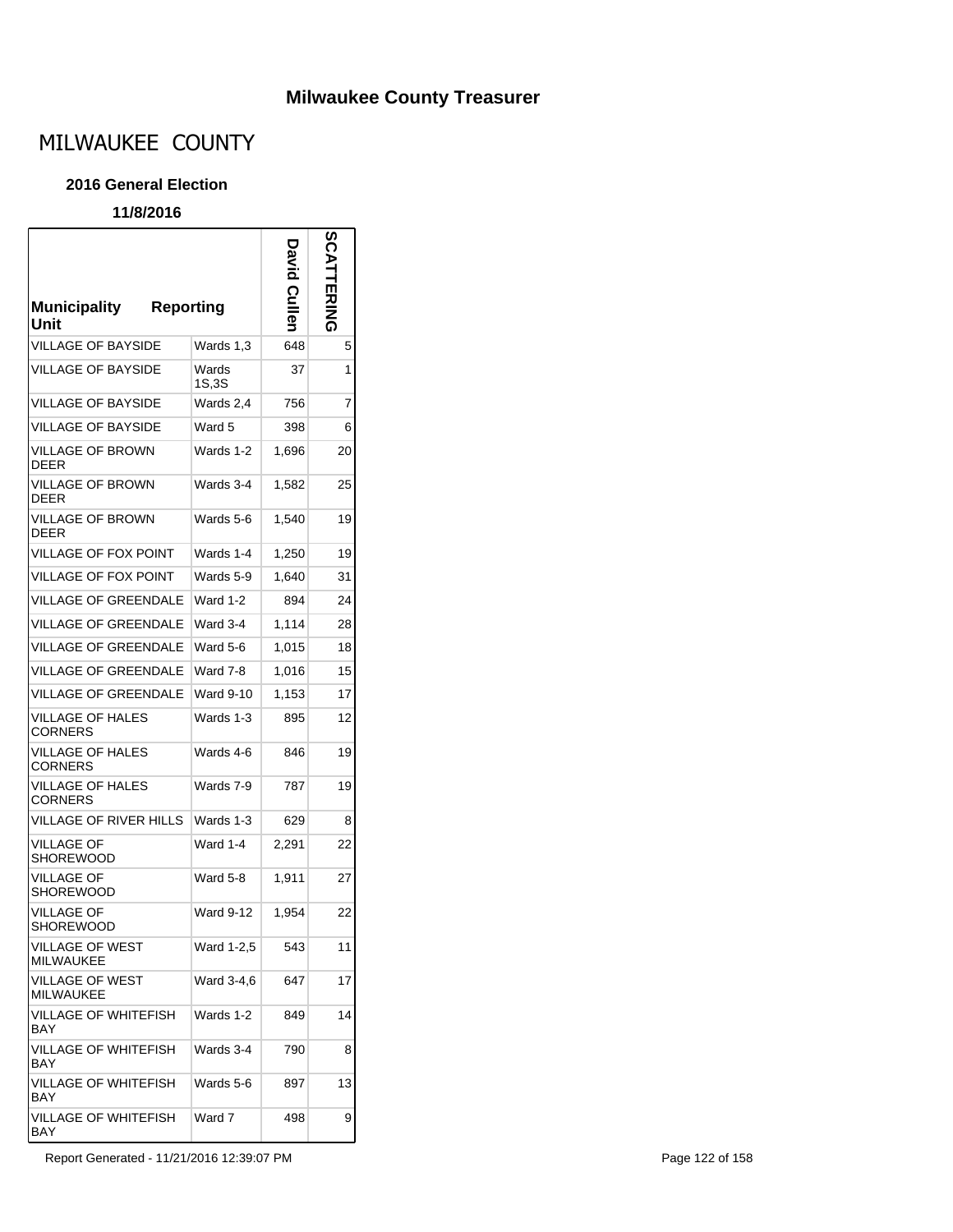### **Milwaukee County Treasurer**

# MILWAUKEE COUNTY

#### **2016 General Election**

#### **11/8/2016**

r

| <b>Municipality</b><br><b>Reporting</b><br>Unit |                  | <b>David Culler</b> | <b>SCA</b><br><b>ERING</b> |
|-------------------------------------------------|------------------|---------------------|----------------------------|
| VILLAGE OF BAYSIDE                              | Wards 1,3        | 648                 | 5                          |
| <b>VILLAGE OF BAYSIDE</b>                       | Wards<br>1S,3S   | 37                  | 1                          |
| <b>VILLAGE OF BAYSIDE</b>                       | Wards 2,4        | 756                 | 7                          |
| <b>VILLAGE OF BAYSIDE</b>                       | Ward 5           | 398                 | 6                          |
| <b>VILLAGE OF BROWN</b><br><b>DEER</b>          | Wards 1-2        | 1,696               | 20                         |
| VILLAGE OF BROWN<br><b>DEER</b>                 | Wards 3-4        | 1,582               | 25                         |
| <b>VILLAGE OF BROWN</b><br>DEER                 | Wards 5-6        | 1,540               | 19                         |
| VILLAGE OF FOX POINT                            | Wards 1-4        | 1,250               | 19                         |
| VILLAGE OF FOX POINT                            | Wards 5-9        | 1,640               | 31                         |
| <b>VILLAGE OF GREENDALE</b>                     | <b>Ward 1-2</b>  | 894                 | 24                         |
| VILLAGE OF GREENDALE                            | Ward 3-4         | 1,114               | 28                         |
| VILLAGE OF GREENDALE                            | Ward 5-6         | 1,015               | 18                         |
| <b>VILLAGE OF GREENDALE</b>                     | Ward 7-8         | 1,016               | 15                         |
| <b>VILLAGE OF GREENDALE</b>                     | <b>Ward 9-10</b> | 1,153               | 17                         |
| VILLAGE OF HALES<br><b>CORNERS</b>              | Wards 1-3        | 895                 | 12                         |
| VILLAGE OF HALES<br><b>CORNERS</b>              | Wards 4-6        | 846                 | 19                         |
| <b>VILLAGE OF HALES</b><br><b>CORNERS</b>       | Wards 7-9        | 787                 | 19                         |
| VILLAGE OF RIVER HILLS                          | Wards 1-3        | 629                 | 8                          |
| <b>VILLAGE OF</b><br><b>SHOREWOOD</b>           | Ward 1-4         | 2,291               | 22                         |
| VILLAGE OF<br><b>SHOREWOOD</b>                  | Ward 5-8         | 1.911               | 27                         |
| <b>VILLAGE OF</b><br>SHOREWOOD                  | <b>Ward 9-12</b> | 1,954               | 22                         |
| VILLAGE OF WEST<br><b>MILWAUKEE</b>             | Ward 1-2,5       | 543                 | 11                         |
| <b>VILLAGE OF WEST</b><br><b>MILWAUKEE</b>      | Ward 3-4,6       | 647                 | 17                         |
| VILLAGE OF WHITEFISH<br><b>BAY</b>              | Wards 1-2        | 849                 | 14                         |
| VILLAGE OF WHITEFISH<br>BAY                     | Wards 3-4        | 790                 | 8                          |
| VILLAGE OF WHITEFISH<br>BAY                     | Wards 5-6        | 897                 | 13                         |
| VILLAGE OF WHITEFISH<br>BAY                     | Ward 7           | 498                 | 9                          |

Report Generated - 11/21/2016 12:39:07 PM **Page 122 of 158**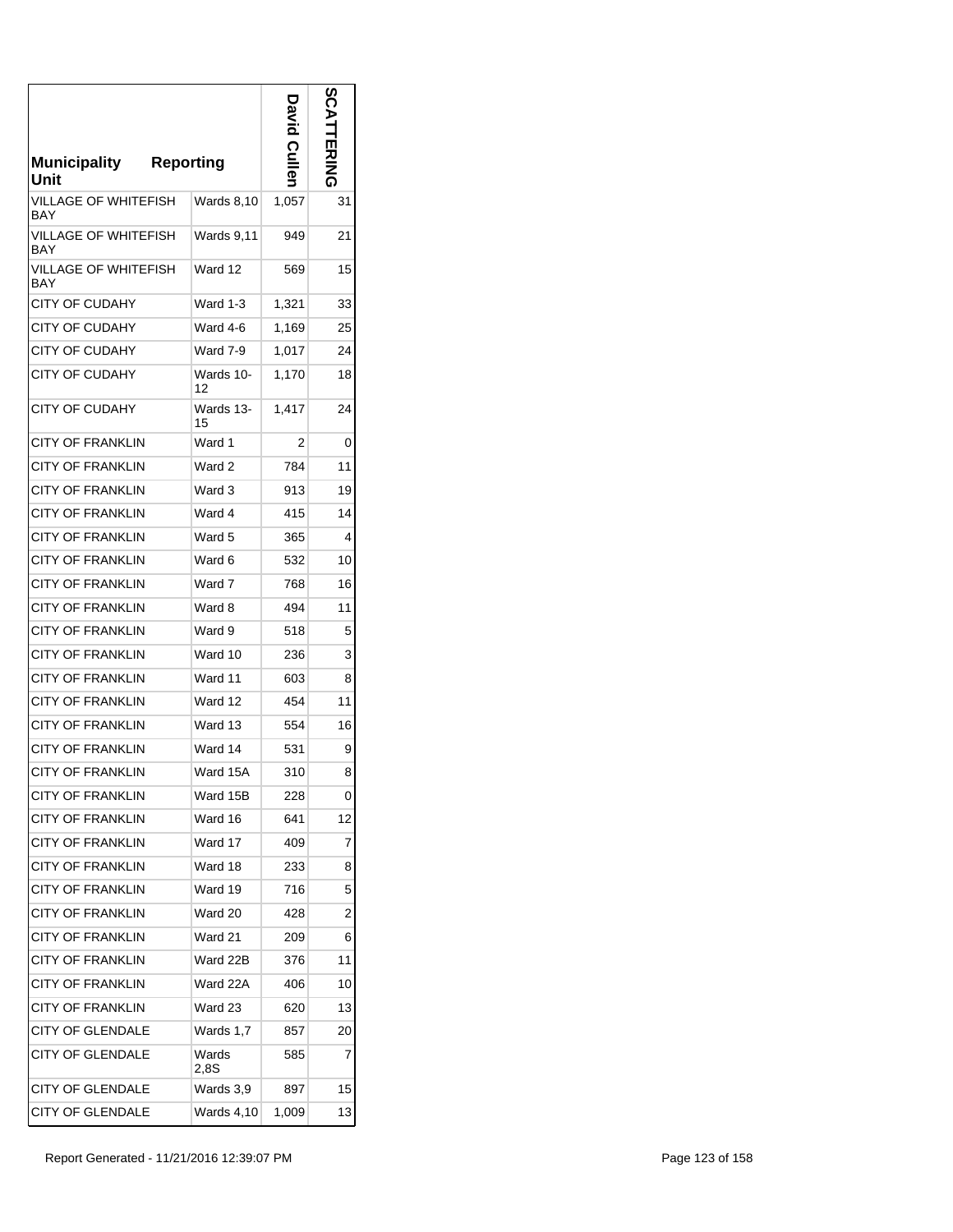| <b>Municipality</b><br>Unit        | <b>Reporting</b> | <b>Culler</b> | တိ<br>교지지의     |
|------------------------------------|------------------|---------------|----------------|
| VILLAGE OF WHITEFISH<br>BAY        | Wards 8,10       | 1,057         | 31             |
| VILLAGE OF WHITEFISH<br>BAY        | Wards 9,11       | 949           | 21             |
| VILLAGE OF WHITEFISH<br><b>BAY</b> | Ward 12          | 569           | 15             |
| CITY OF CUDAHY                     | <b>Ward 1-3</b>  | 1,321         | 33             |
| CITY OF CUDAHY                     | Ward 4-6         | 1,169         | 25             |
| <b>CITY OF CUDAHY</b>              | Ward 7-9         | 1,017         | 24             |
| CITY OF CUDAHY                     | Wards 10-<br>12  | 1,170         | 18             |
| <b>CITY OF CUDAHY</b>              | Wards 13-<br>15  | 1,417         | 24             |
| <b>CITY OF FRANKLIN</b>            | Ward 1           | 2             | 0              |
| CITY OF FRANKLIN                   | Ward 2           | 784           | 11             |
| <b>CITY OF FRANKLIN</b>            | Ward 3           | 913           | 19             |
| <b>CITY OF FRANKLIN</b>            | Ward 4           | 415           | 14             |
| <b>CITY OF FRANKLIN</b>            | Ward 5           | 365           | 4              |
| CITY OF FRANKLIN                   | Ward 6           | 532           | 10             |
| <b>CITY OF FRANKLIN</b>            | Ward 7           | 768           | 16             |
| CITY OF FRANKLIN                   | Ward 8           | 494           | 11             |
| CITY OF FRANKLIN                   | Ward 9           | 518           | 5              |
| CITY OF FRANKLIN                   | Ward 10          | 236           | 3              |
| <b>CITY OF FRANKLIN</b>            | Ward 11          | 603           | 8              |
| <b>CITY OF FRANKLIN</b>            | Ward 12          | 454           | 11             |
| <b>CITY OF FRANKLIN</b>            | Ward 13          | 554           | 16             |
| <b>CITY OF FRANKLIN</b>            | Ward 14          | 531           | 9              |
| <b>CITY OF FRANKLIN</b>            | Ward 15A         | 310           | 8              |
| <b>CITY OF FRANKLIN</b>            | Ward 15B         | 228           | 0              |
| <b>CITY OF FRANKLIN</b>            | Ward 16          | 641           | 12             |
| <b>CITY OF FRANKLIN</b>            | Ward 17          | 409           | 7              |
| <b>CITY OF FRANKLIN</b>            | Ward 18          | 233           | 8              |
| <b>CITY OF FRANKLIN</b>            | Ward 19          | 716           | 5              |
| <b>CITY OF FRANKLIN</b>            | Ward 20          | 428           | $\overline{2}$ |
| <b>CITY OF FRANKLIN</b>            | Ward 21          | 209           | 6              |
| <b>CITY OF FRANKLIN</b>            | Ward 22B         | 376           | 11             |
| <b>CITY OF FRANKLIN</b>            | Ward 22A         | 406           | 10             |
| <b>CITY OF FRANKLIN</b>            | Ward 23          | 620           | 13             |
| <b>CITY OF GLENDALE</b>            | Wards 1,7        | 857           | 20             |
| <b>CITY OF GLENDALE</b>            | Wards<br>2.8S    | 585           | 7              |
| <b>CITY OF GLENDALE</b>            | Wards 3,9        | 897           | 15             |
| <b>CITY OF GLENDALE</b>            | Wards 4,10       | 1,009         | 13             |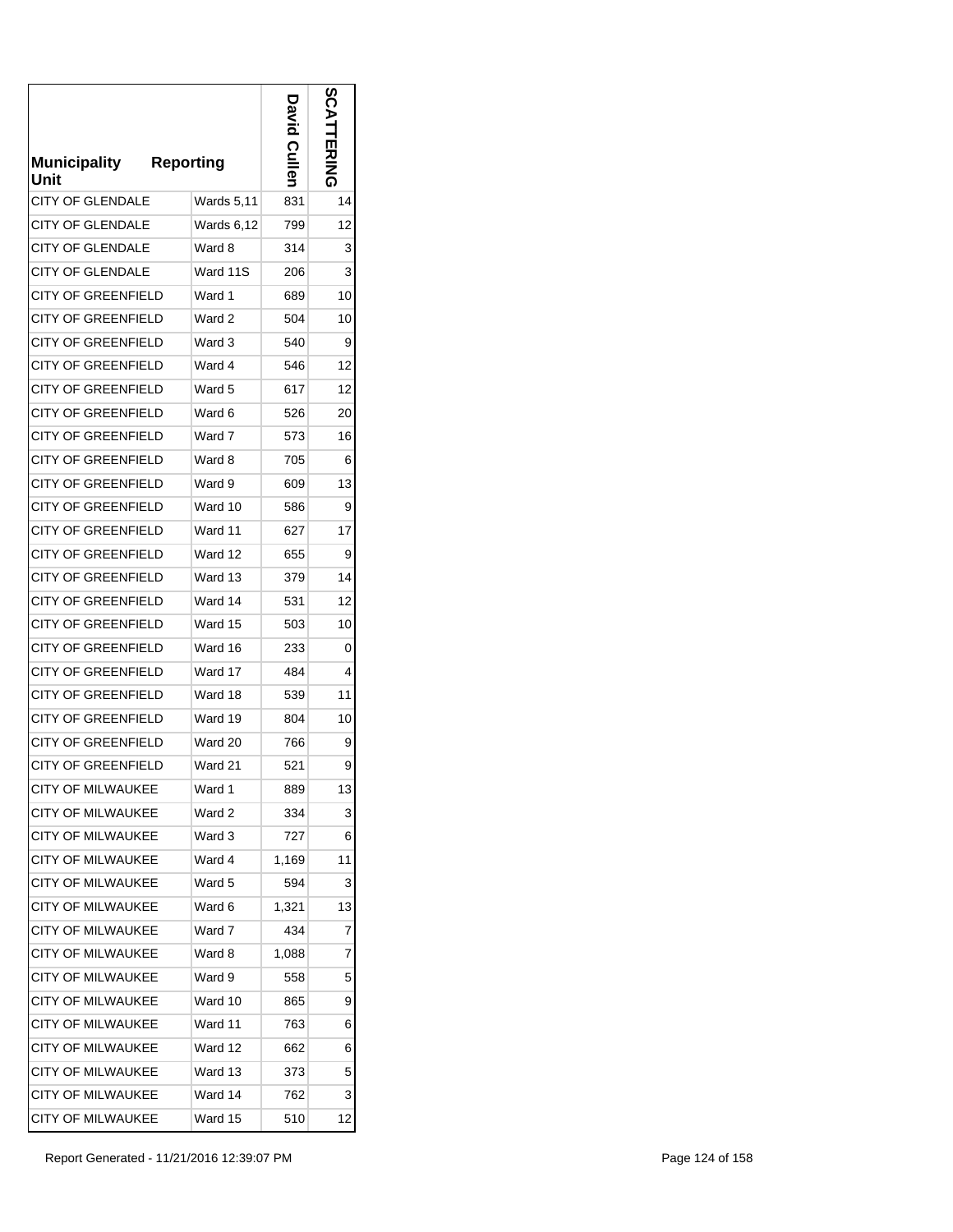| <b>Municipality</b><br>Unit | <b>Reporting</b> | <b>Culler</b> | ပ္ပ |
|-----------------------------|------------------|---------------|-----|
| <b>CITY OF GLENDALE</b>     | Wards 5,11       | 831           | 14  |
| CITY OF GLENDALE            | Wards 6,12       | 799           | 12  |
| <b>CITY OF GLENDALE</b>     | Ward 8           | 314           | 3   |
| <b>CITY OF GLENDALE</b>     | Ward 11S         | 206           | 3   |
| CITY OF GREENFIELD          | Ward 1           | 689           | 10  |
| CITY OF GREENFIELD          | Ward 2           | 504           | 10  |
| <b>CITY OF GREENFIELD</b>   | Ward 3           | 540           | 9   |
| <b>CITY OF GREENFIELD</b>   | Ward 4           | 546           | 12  |
| <b>CITY OF GREENFIELD</b>   | Ward 5           | 617           | 12  |
| <b>CITY OF GREENFIELD</b>   | Ward 6           | 526           | 20  |
| <b>CITY OF GREENFIELD</b>   | Ward 7           | 573           | 16  |
| <b>CITY OF GREENFIELD</b>   | Ward 8           | 705           | 6   |
| <b>CITY OF GREENFIELD</b>   | Ward 9           | 609           | 13  |
| <b>CITY OF GREENFIELD</b>   | Ward 10          | 586           | 9   |
| <b>CITY OF GREENFIELD</b>   | Ward 11          | 627           | 17  |
| <b>CITY OF GREENFIELD</b>   | Ward 12          | 655           | 9   |
| CITY OF GREENFIELD          | Ward 13          | 379           | 14  |
| <b>CITY OF GREENFIELD</b>   | Ward 14          | 531           | 12  |
| <b>CITY OF GREENFIELD</b>   | Ward 15          | 503           | 10  |
| CITY OF GREENFIELD          | Ward 16          | 233           | 0   |
| CITY OF GREENFIELD          | Ward 17          | 484           | 4   |
| <b>CITY OF GREENFIELD</b>   | Ward 18          | 539           | 11  |
| <b>CITY OF GREENFIELD</b>   | Ward 19          | 804           | 10  |
| <b>CITY OF GREENFIELD</b>   | Ward 20          | 766           | 9   |
| <b>CITY OF GREENFIELD</b>   | Ward 21          | 521           | 9   |
| CITY OF MILWAUKEE           | Ward 1           | 889           | 13  |
| <b>CITY OF MILWAUKEE</b>    | Ward 2           | 334           | 3   |
| <b>CITY OF MILWAUKEE</b>    | Ward 3           | 727           | 6   |
| <b>CITY OF MILWAUKEE</b>    | Ward 4           | 1,169         | 11  |
| CITY OF MILWAUKEE           | Ward 5           | 594           | 3   |
| <b>CITY OF MILWAUKEE</b>    | Ward 6           | 1,321         | 13  |
| <b>CITY OF MILWAUKEE</b>    | Ward 7           | 434           | 7   |
| <b>CITY OF MILWAUKEE</b>    | Ward 8           | 1,088         | 7   |
| <b>CITY OF MILWAUKEE</b>    | Ward 9           | 558           | 5   |
| <b>CITY OF MILWAUKEE</b>    | Ward 10          | 865           | 9   |
| <b>CITY OF MILWAUKEE</b>    | Ward 11          | 763           | 6   |
| <b>CITY OF MILWAUKEE</b>    | Ward 12          | 662           | 6   |
| <b>CITY OF MILWAUKEE</b>    | Ward 13          | 373           | 5   |
| <b>CITY OF MILWAUKEE</b>    | Ward 14          | 762           | 3   |
| CITY OF MILWAUKEE           | Ward 15          | 510           | 12  |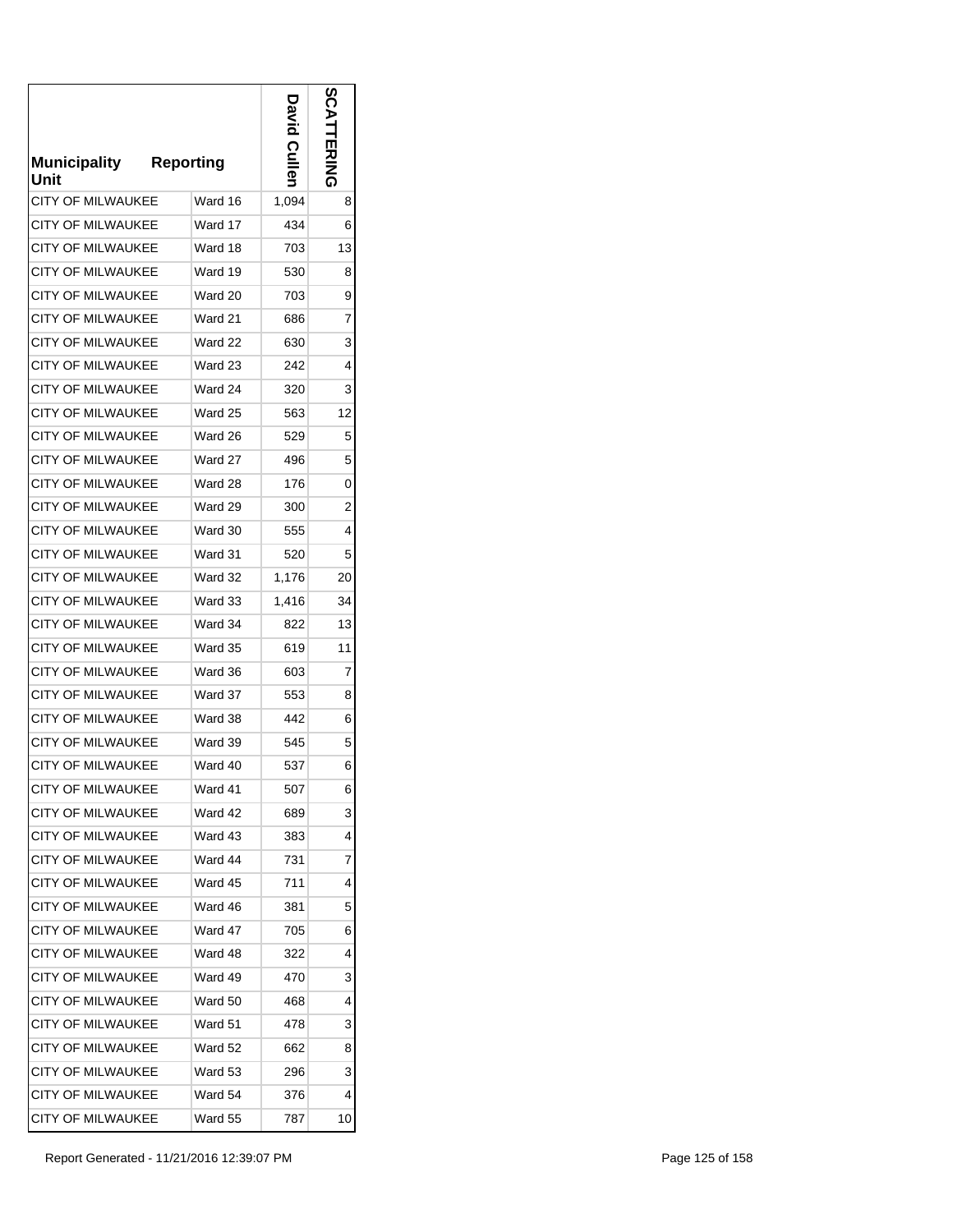| <b>Municipality</b><br>Unit | <b>Reporting</b> | Culler | n  |
|-----------------------------|------------------|--------|----|
| <b>CITY OF MILWAUKEE</b>    | Ward 16          | 1,094  | 8  |
| CITY OF MILWAUKEE           | Ward 17          | 434    | 6  |
| <b>CITY OF MILWAUKEE</b>    | Ward 18          | 703    | 13 |
| <b>CITY OF MILWAUKEE</b>    | Ward 19          | 530    | 8  |
| <b>CITY OF MILWAUKEE</b>    | Ward 20          | 703    | 9  |
| CITY OF MILWAUKEE           | Ward 21          | 686    | 7  |
| <b>CITY OF MILWAUKEE</b>    | Ward 22          | 630    | 3  |
| <b>CITY OF MILWAUKEE</b>    | Ward 23          | 242    | 4  |
| <b>CITY OF MILWAUKEE</b>    | Ward 24          | 320    | 3  |
| <b>CITY OF MILWAUKEE</b>    | Ward 25          | 563    | 12 |
| <b>CITY OF MILWAUKEE</b>    | Ward 26          | 529    | 5  |
| <b>CITY OF MILWAUKEE</b>    | Ward 27          | 496    | 5  |
| <b>CITY OF MILWAUKEE</b>    | Ward 28          | 176    | 0  |
| <b>CITY OF MILWAUKEE</b>    | Ward 29          | 300    | 2  |
| <b>CITY OF MILWAUKEE</b>    | Ward 30          | 555    | 4  |
| <b>CITY OF MILWAUKEE</b>    | Ward 31          | 520    | 5  |
| <b>CITY OF MILWAUKEE</b>    | Ward 32          | 1,176  | 20 |
| <b>CITY OF MILWAUKEE</b>    | Ward 33          | 1,416  | 34 |
| <b>CITY OF MILWAUKEE</b>    | Ward 34          | 822    | 13 |
| <b>CITY OF MILWAUKEE</b>    | Ward 35          | 619    | 11 |
| <b>CITY OF MILWAUKEE</b>    | Ward 36          | 603    | 7  |
| <b>CITY OF MILWAUKEE</b>    | Ward 37          | 553    | 8  |
| <b>CITY OF MILWAUKEE</b>    | Ward 38          | 442    | 6  |
| <b>CITY OF MILWAUKEE</b>    | Ward 39          | 545    | 5  |
| <b>CITY OF MILWAUKEE</b>    | Ward 40          | 537    | 6  |
| <b>CITY OF MILWAUKEE</b>    | Ward 41          | 507    | 6  |
| <b>CITY OF MILWAUKEE</b>    | Ward 42          | 689    | 3  |
| <b>CITY OF MILWAUKEE</b>    | Ward 43          | 383    | 4  |
| <b>CITY OF MILWAUKEE</b>    | Ward 44          | 731    | 7  |
| <b>CITY OF MILWAUKEE</b>    | Ward 45          | 711    | 4  |
| <b>CITY OF MILWAUKEE</b>    | Ward 46          | 381    | 5  |
| CITY OF MILWAUKEE           | Ward 47          | 705    | 6  |
| <b>CITY OF MILWAUKEE</b>    | Ward 48          | 322    | 4  |
| CITY OF MILWAUKEE           | Ward 49          | 470    | 3  |
| <b>CITY OF MILWAUKEE</b>    | Ward 50          | 468    | 4  |
| CITY OF MILWAUKEE           | Ward 51          | 478    | 3  |
| <b>CITY OF MILWAUKEE</b>    | Ward 52          | 662    | 8  |
| <b>CITY OF MILWAUKEE</b>    | Ward 53          | 296    | 3  |
| <b>CITY OF MILWAUKEE</b>    | Ward 54          | 376    | 4  |
| <b>CITY OF MILWAUKEE</b>    | Ward 55          | 787    | 10 |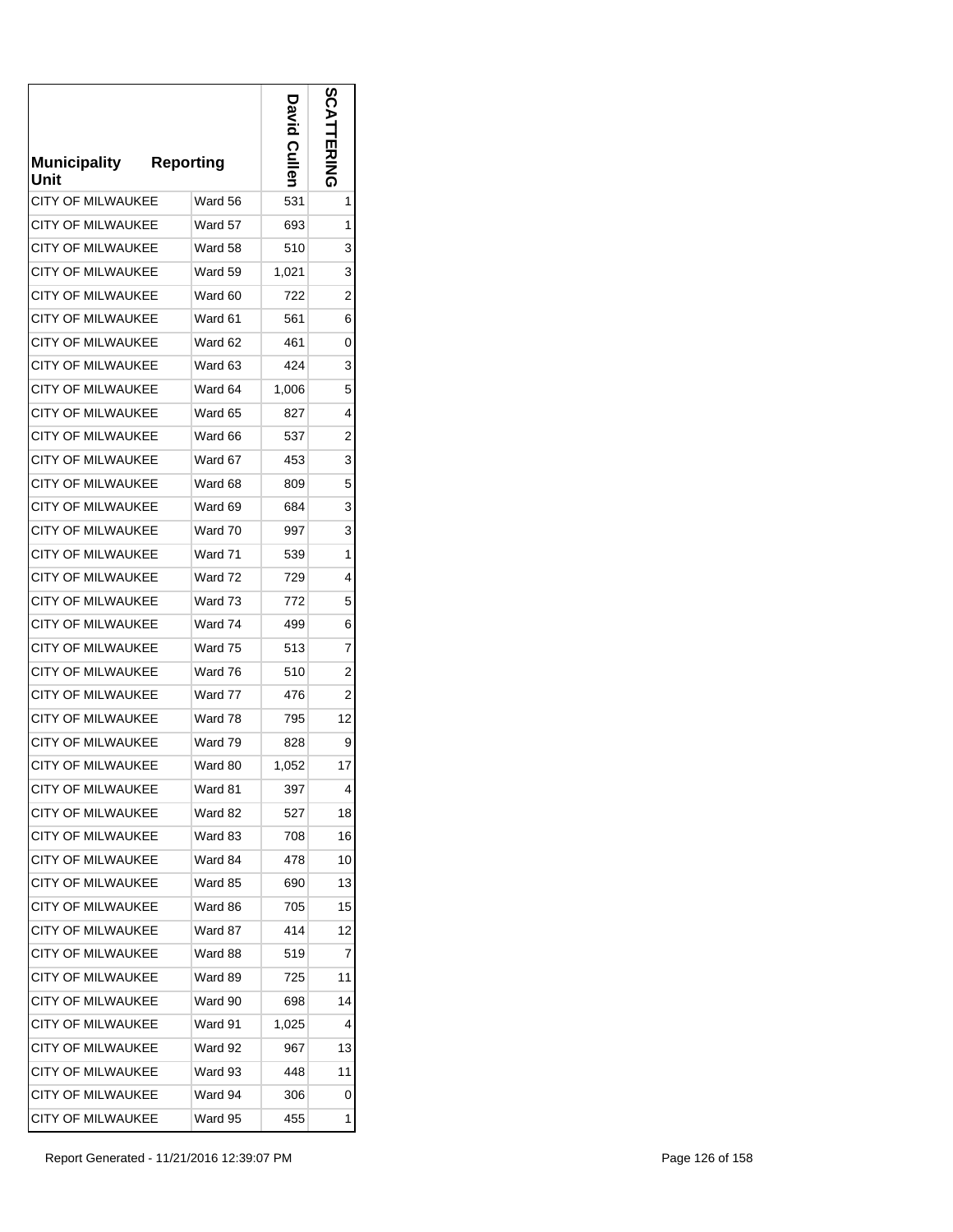| <b>Municipality</b><br>Unit | <b>Reporting</b> | Cullen | တိ<br>EN<br>NHN<br>Q |
|-----------------------------|------------------|--------|----------------------|
| <b>CITY OF MILWAUKEE</b>    | Ward 56          | 531    | 1                    |
| CITY OF MILWAUKEE           | Ward 57          | 693    | 1                    |
| <b>CITY OF MILWAUKEE</b>    | Ward 58          | 510    | 3                    |
| <b>CITY OF MILWAUKEE</b>    | Ward 59          | 1,021  | 3                    |
| <b>CITY OF MILWAUKEE</b>    | Ward 60          | 722    | 2                    |
| CITY OF MILWAUKEE           | Ward 61          | 561    | 6                    |
| <b>CITY OF MILWAUKEE</b>    | Ward 62          | 461    | 0                    |
| <b>CITY OF MILWAUKEE</b>    | Ward 63          | 424    | 3                    |
| <b>CITY OF MILWAUKEE</b>    | Ward 64          | 1,006  | 5                    |
| <b>CITY OF MILWAUKEE</b>    | Ward 65          | 827    | 4                    |
| <b>CITY OF MILWAUKEE</b>    | Ward 66          | 537    | 2                    |
| <b>CITY OF MILWAUKEE</b>    | Ward 67          | 453    | 3                    |
| <b>CITY OF MILWAUKEE</b>    | Ward 68          | 809    | 5                    |
| <b>CITY OF MILWAUKEE</b>    | Ward 69          | 684    | 3                    |
| <b>CITY OF MILWAUKEE</b>    | Ward 70          | 997    | 3                    |
| <b>CITY OF MILWAUKEE</b>    | Ward 71          | 539    | 1                    |
| <b>CITY OF MILWAUKEE</b>    | Ward 72          | 729    | 4                    |
| <b>CITY OF MILWAUKEE</b>    | Ward 73          | 772    | 5                    |
| <b>CITY OF MILWAUKEE</b>    | Ward 74          | 499    | 6                    |
| <b>CITY OF MILWAUKEE</b>    | Ward 75          | 513    | 7                    |
| CITY OF MILWAUKEE           | Ward 76          | 510    | 2                    |
| <b>CITY OF MILWAUKEE</b>    | Ward 77          | 476    | 2                    |
| <b>CITY OF MILWAUKEE</b>    | Ward 78          | 795    | 12                   |
| <b>CITY OF MILWAUKEE</b>    | Ward 79          | 828    | 9                    |
| <b>CITY OF MILWAUKEE</b>    | Ward 80          | 1,052  | 17                   |
| <b>CITY OF MILWAUKEE</b>    | Ward 81          | 397    | 4                    |
| <b>CITY OF MILWAUKEE</b>    | Ward 82          | 527    | 18                   |
| <b>CITY OF MILWAUKEE</b>    | Ward 83          | 708    | 16                   |
| <b>CITY OF MILWAUKEE</b>    | Ward 84          | 478    | 10                   |
| <b>CITY OF MILWAUKEE</b>    | Ward 85          | 690    | 13                   |
| <b>CITY OF MILWAUKEE</b>    | Ward 86          | 705    | 15                   |
| <b>CITY OF MILWAUKEE</b>    | Ward 87          | 414    | 12                   |
| <b>CITY OF MILWAUKEE</b>    | Ward 88          | 519    | 7                    |
| <b>CITY OF MILWAUKEE</b>    | Ward 89          | 725    | 11                   |
| <b>CITY OF MILWAUKEE</b>    | Ward 90          | 698    | 14                   |
| <b>CITY OF MILWAUKEE</b>    | Ward 91          | 1,025  | 4                    |
| <b>CITY OF MILWAUKEE</b>    | Ward 92          | 967    | 13                   |
| <b>CITY OF MILWAUKEE</b>    | Ward 93          | 448    | 11                   |
| <b>CITY OF MILWAUKEE</b>    | Ward 94          | 306    | 0                    |
| <b>CITY OF MILWAUKEE</b>    | Ward 95          | 455    | 1                    |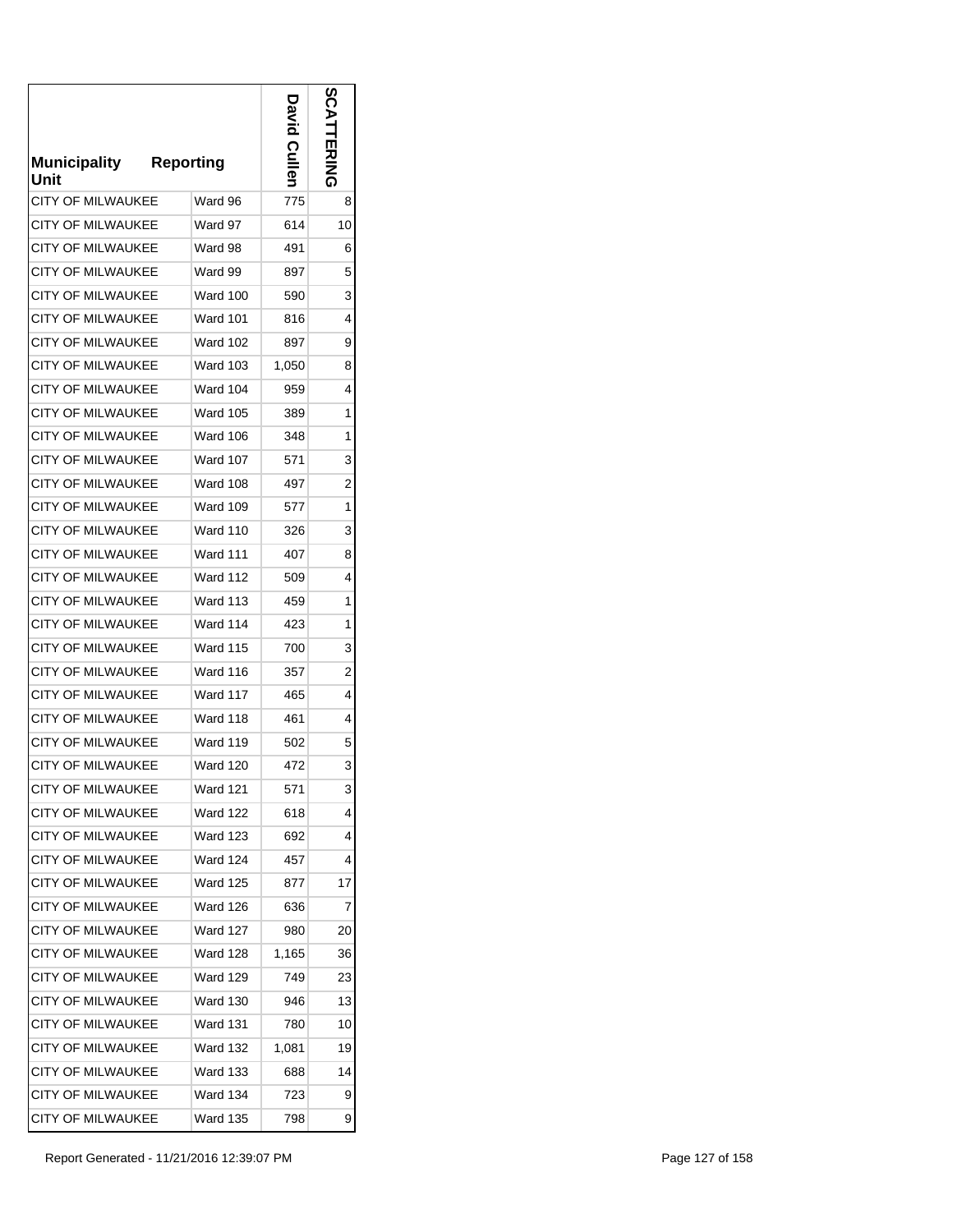| <b>Municipality</b><br>Unit | <b>Reporting</b> | <b>Cullen</b> | n<br>ERING |
|-----------------------------|------------------|---------------|------------|
| <b>CITY OF MILWAUKEE</b>    | Ward 96          | 775           | 8          |
| CITY OF MILWAUKEE           | Ward 97          | 614           | 10         |
| <b>CITY OF MILWAUKEE</b>    | Ward 98          | 491           | 6          |
| <b>CITY OF MILWAUKEE</b>    | Ward 99          | 897           | 5          |
| <b>CITY OF MILWAUKEE</b>    | <b>Ward 100</b>  | 590           | 3          |
| CITY OF MILWAUKEE           | Ward 101         | 816           | 4          |
| <b>CITY OF MILWAUKEE</b>    | Ward 102         | 897           | 9          |
| <b>CITY OF MILWAUKEE</b>    | Ward 103         | 1,050         | 8          |
| CITY OF MILWAUKEE           | Ward 104         | 959           | 4          |
| <b>CITY OF MILWAUKEE</b>    | <b>Ward 105</b>  | 389           | 1          |
| <b>CITY OF MILWAUKEE</b>    | Ward 106         | 348           | 1          |
| <b>CITY OF MILWAUKEE</b>    | <b>Ward 107</b>  | 571           | 3          |
| <b>CITY OF MILWAUKEE</b>    | Ward 108         | 497           | 2          |
| <b>CITY OF MILWAUKEE</b>    | Ward 109         | 577           | 1          |
| <b>CITY OF MILWAUKEE</b>    | <b>Ward 110</b>  | 326           | 3          |
| <b>CITY OF MILWAUKEE</b>    | <b>Ward 111</b>  | 407           | 8          |
| <b>CITY OF MILWAUKEE</b>    | <b>Ward 112</b>  | 509           | 4          |
| <b>CITY OF MILWAUKEE</b>    | Ward 113         | 459           | 1          |
| <b>CITY OF MILWAUKEE</b>    | Ward 114         | 423           | 1          |
| <b>CITY OF MILWAUKEE</b>    | <b>Ward 115</b>  | 700           | 3          |
| <b>CITY OF MILWAUKEE</b>    | Ward 116         | 357           | 2          |
| <b>CITY OF MILWAUKEE</b>    | Ward 117         | 465           | 4          |
| <b>CITY OF MILWAUKEE</b>    | <b>Ward 118</b>  | 461           | 4          |
| <b>CITY OF MILWAUKEE</b>    | Ward 119         | 502           | 5          |
| <b>CITY OF MILWAUKEE</b>    | <b>Ward 120</b>  | 472           | 3          |
| <b>CITY OF MILWAUKEE</b>    | Ward 121         | 571           | 3          |
| <b>CITY OF MILWAUKEE</b>    | Ward 122         | 618           | 4          |
| <b>CITY OF MILWAUKEE</b>    | Ward 123         | 692           | 4          |
| <b>CITY OF MILWAUKEE</b>    | <b>Ward 124</b>  | 457           | 4          |
| <b>CITY OF MILWAUKEE</b>    | Ward 125         | 877           | 17         |
| <b>CITY OF MILWAUKEE</b>    | Ward 126         | 636           | 7          |
| <b>CITY OF MILWAUKEE</b>    | Ward 127         | 980           | 20         |
| <b>CITY OF MILWAUKEE</b>    | Ward 128         | 1,165         | 36         |
| <b>CITY OF MILWAUKEE</b>    | Ward 129         | 749           | 23         |
| <b>CITY OF MILWAUKEE</b>    | Ward 130         | 946           | 13         |
| <b>CITY OF MILWAUKEE</b>    | Ward 131         | 780           | 10         |
| <b>CITY OF MILWAUKEE</b>    | Ward 132         | 1,081         | 19         |
| <b>CITY OF MILWAUKEE</b>    | Ward 133         | 688           | 14         |
| <b>CITY OF MILWAUKEE</b>    | Ward 134         | 723           | 9          |
| <b>CITY OF MILWAUKEE</b>    | Ward 135         | 798           | 9          |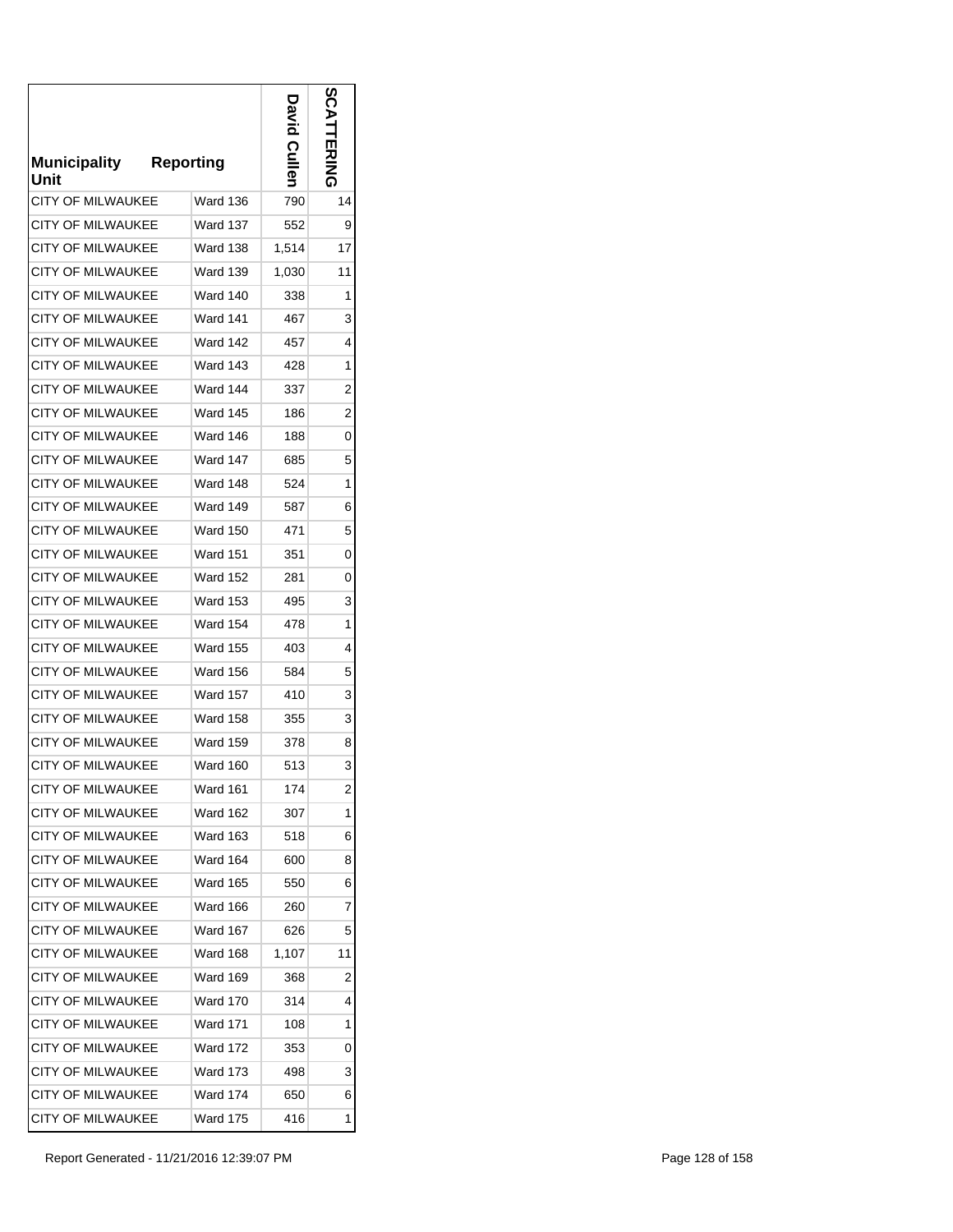| <b>Municipality</b><br>Unit | <b>Reporting</b> | Cullen | <b>S</b><br>ことにゅう |
|-----------------------------|------------------|--------|-------------------|
| <b>CITY OF MILWAUKEE</b>    | Ward 136         | 790    | 14                |
| <b>CITY OF MILWAUKEE</b>    | Ward 137         | 552    | 9                 |
| <b>CITY OF MILWAUKEE</b>    | Ward 138         | 1,514  | 17                |
| <b>CITY OF MILWAUKEE</b>    | Ward 139         | 1,030  | 11                |
| <b>CITY OF MILWAUKEE</b>    | <b>Ward 140</b>  | 338    | 1                 |
| <b>CITY OF MILWAUKEE</b>    | Ward 141         | 467    | 3                 |
| <b>CITY OF MILWAUKEE</b>    | Ward 142         | 457    | 4                 |
| <b>CITY OF MILWAUKEE</b>    | Ward 143         | 428    | 1                 |
| <b>CITY OF MILWAUKEE</b>    | Ward 144         | 337    | 2                 |
| <b>CITY OF MILWAUKEE</b>    | <b>Ward 145</b>  | 186    | 2                 |
| <b>CITY OF MILWAUKEE</b>    | Ward 146         | 188    | 0                 |
| <b>CITY OF MILWAUKEE</b>    | Ward 147         | 685    | 5                 |
| <b>CITY OF MILWAUKEE</b>    | Ward 148         | 524    | 1                 |
| <b>CITY OF MILWAUKEE</b>    | Ward 149         | 587    | 6                 |
| <b>CITY OF MILWAUKEE</b>    | <b>Ward 150</b>  | 471    | 5                 |
| <b>CITY OF MILWAUKEE</b>    | <b>Ward 151</b>  | 351    | 0                 |
| <b>CITY OF MILWAUKEE</b>    | <b>Ward 152</b>  | 281    | 0                 |
| <b>CITY OF MILWAUKEE</b>    | Ward 153         | 495    | 3                 |
| <b>CITY OF MILWAUKEE</b>    | <b>Ward 154</b>  | 478    | 1                 |
| <b>CITY OF MILWAUKEE</b>    | Ward 155         | 403    | 4                 |
| <b>CITY OF MILWAUKEE</b>    | Ward 156         | 584    | 5                 |
| <b>CITY OF MILWAUKEE</b>    | Ward 157         | 410    | 3                 |
| <b>CITY OF MILWAUKEE</b>    | <b>Ward 158</b>  | 355    | 3                 |
| <b>CITY OF MILWAUKEE</b>    | <b>Ward 159</b>  | 378    | 8                 |
| <b>CITY OF MILWAUKEE</b>    | <b>Ward 160</b>  | 513    | 3                 |
| <b>CITY OF MILWAUKEE</b>    | Ward 161         | 174    | 2                 |
| <b>CITY OF MILWAUKEE</b>    | Ward 162         | 307    | 1                 |
| <b>CITY OF MILWAUKEE</b>    | Ward 163         | 518    | 6                 |
| <b>CITY OF MILWAUKEE</b>    | <b>Ward 164</b>  | 600    | 8                 |
| <b>CITY OF MILWAUKEE</b>    | Ward 165         | 550    | 6                 |
| <b>CITY OF MILWAUKEE</b>    | Ward 166         | 260    | 7                 |
| <b>CITY OF MILWAUKEE</b>    | Ward 167         | 626    | 5                 |
| <b>CITY OF MILWAUKEE</b>    | Ward 168         | 1,107  | 11                |
| <b>CITY OF MILWAUKEE</b>    | Ward 169         | 368    | 2                 |
| <b>CITY OF MILWAUKEE</b>    | <b>Ward 170</b>  | 314    | 4                 |
| <b>CITY OF MILWAUKEE</b>    | Ward 171         | 108    | 1                 |
| <b>CITY OF MILWAUKEE</b>    | Ward 172         | 353    | 0                 |
| <b>CITY OF MILWAUKEE</b>    | Ward 173         | 498    | 3                 |
| <b>CITY OF MILWAUKEE</b>    | Ward 174         | 650    | 6                 |
| CITY OF MILWAUKEE           | Ward 175         | 416    | 1                 |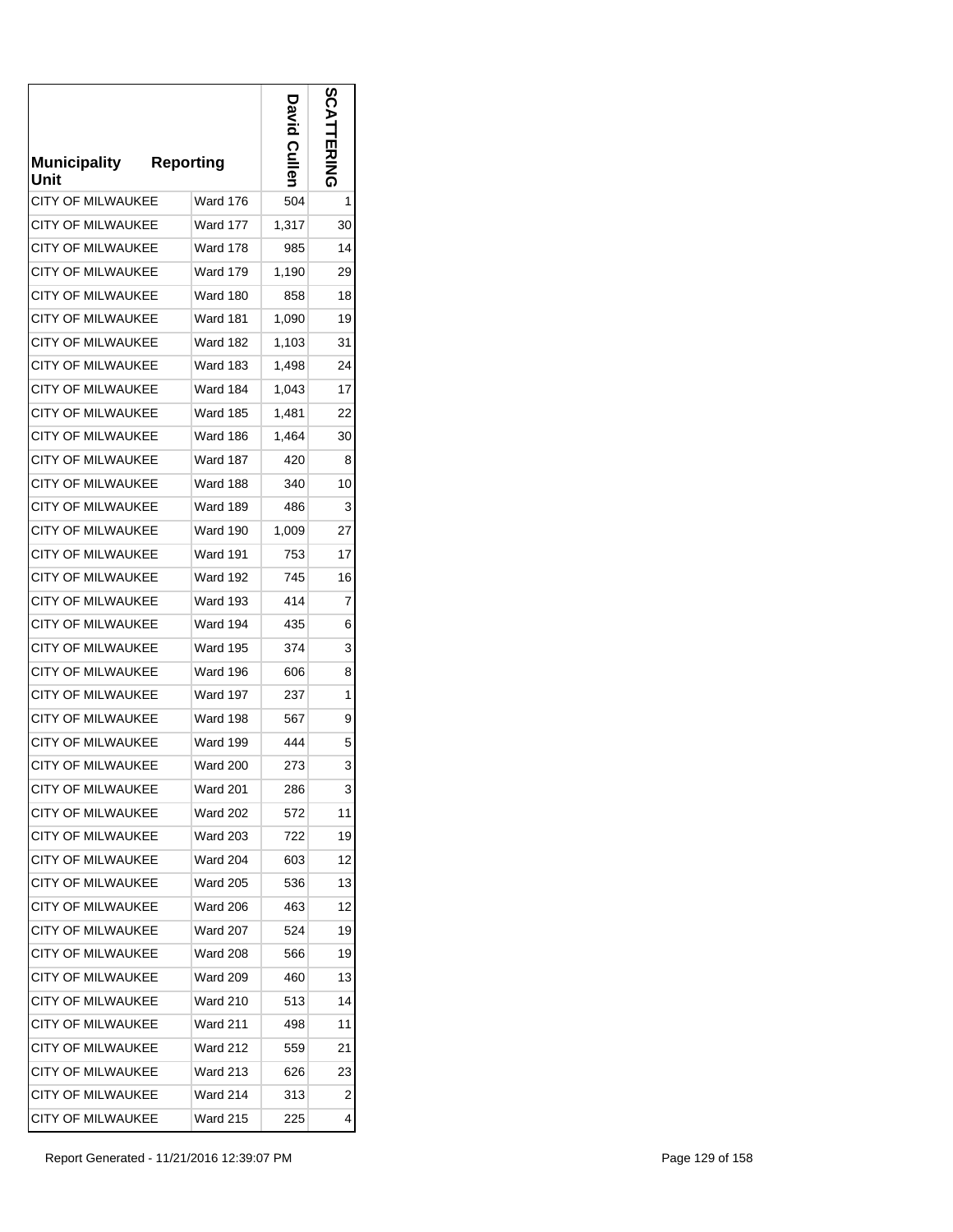| <b>Municipality</b><br>Unit | <b>Reporting</b> | Culler | m<br>四カミ |
|-----------------------------|------------------|--------|----------|
| <b>CITY OF MILWAUKEE</b>    | Ward 176         | 504    | 1        |
| <b>CITY OF MILWAUKEE</b>    | Ward 177         | 1,317  | 30       |
| <b>CITY OF MILWAUKEE</b>    | <b>Ward 178</b>  | 985    | 14       |
| <b>CITY OF MILWAUKEE</b>    | <b>Ward 179</b>  | 1,190  | 29       |
| <b>CITY OF MILWAUKEE</b>    | Ward 180         | 858    | 18       |
| CITY OF MILWAUKEE           | Ward 181         | 1,090  | 19       |
| <b>CITY OF MILWAUKEE</b>    | Ward 182         | 1,103  | 31       |
| <b>CITY OF MILWAUKEE</b>    | Ward 183         | 1,498  | 24       |
| <b>CITY OF MILWAUKEE</b>    | Ward 184         | 1,043  | 17       |
| CITY OF MILWAUKEE           | Ward 185         | 1,481  | 22       |
| <b>CITY OF MILWAUKEE</b>    | Ward 186         | 1,464  | 30       |
| <b>CITY OF MILWAUKEE</b>    | Ward 187         | 420    | 8        |
| <b>CITY OF MILWAUKEE</b>    | Ward 188         | 340    | 10       |
| <b>CITY OF MILWAUKEE</b>    | <b>Ward 189</b>  | 486    | 3        |
| <b>CITY OF MILWAUKEE</b>    | Ward 190         | 1,009  | 27       |
| <b>CITY OF MILWAUKEE</b>    | <b>Ward 191</b>  | 753    | 17       |
| CITY OF MILWAUKEE           | <b>Ward 192</b>  | 745    | 16       |
| <b>CITY OF MILWAUKEE</b>    | Ward 193         | 414    | 7        |
| <b>CITY OF MILWAUKEE</b>    | Ward 194         | 435    | 6        |
| <b>CITY OF MILWAUKEE</b>    | <b>Ward 195</b>  | 374    | 3        |
| CITY OF MILWAUKEE           | Ward 196         | 606    | 8        |
| <b>CITY OF MILWAUKEE</b>    | Ward 197         | 237    | 1        |
| <b>CITY OF MILWAUKEE</b>    | Ward 198         | 567    | 9        |
| <b>CITY OF MILWAUKEE</b>    | Ward 199         | 444    | 5        |
| <b>CITY OF MILWAUKEE</b>    | <b>Ward 200</b>  | 273    | 3        |
| <b>CITY OF MILWAUKEE</b>    | Ward 201         | 286    | 3        |
| <b>CITY OF MILWAUKEE</b>    | <b>Ward 202</b>  | 572    | 11       |
| <b>CITY OF MILWAUKEE</b>    | Ward 203         | 722    | 19       |
| <b>CITY OF MILWAUKEE</b>    | <b>Ward 204</b>  | 603    | 12       |
| <b>CITY OF MILWAUKEE</b>    | <b>Ward 205</b>  | 536    | 13       |
| <b>CITY OF MILWAUKEE</b>    | Ward 206         | 463    | 12       |
| <b>CITY OF MILWAUKEE</b>    | Ward 207         | 524    | 19       |
| <b>CITY OF MILWAUKEE</b>    | <b>Ward 208</b>  | 566    | 19       |
| <b>CITY OF MILWAUKEE</b>    | Ward 209         | 460    | 13       |
| <b>CITY OF MILWAUKEE</b>    | Ward 210         | 513    | 14       |
| <b>CITY OF MILWAUKEE</b>    | Ward 211         | 498    | 11       |
| <b>CITY OF MILWAUKEE</b>    | Ward 212         | 559    | 21       |
| <b>CITY OF MILWAUKEE</b>    | Ward 213         | 626    | 23       |
| <b>CITY OF MILWAUKEE</b>    | Ward 214         | 313    | 2        |
| CITY OF MILWAUKEE           | Ward 215         | 225    | 4        |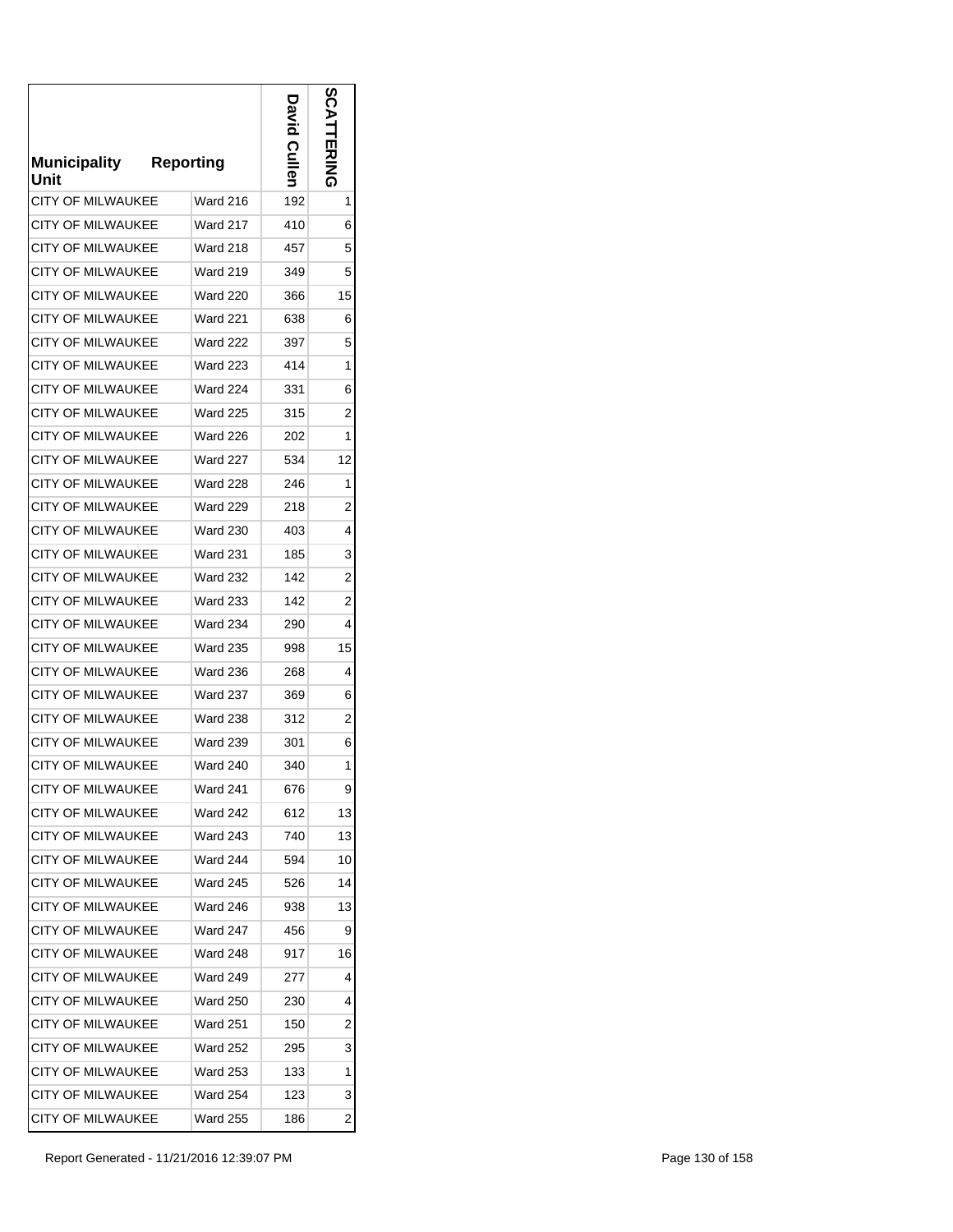| <b>Municipality</b><br>Unit | <b>Reporting</b> | Cullen | တိ<br>ロスコスロック  |
|-----------------------------|------------------|--------|----------------|
| <b>CITY OF MILWAUKEE</b>    | <b>Ward 216</b>  | 192    | 1              |
| CITY OF MILWAUKEE           | Ward 217         | 410    | 6              |
| <b>CITY OF MILWAUKEE</b>    | <b>Ward 218</b>  | 457    | 5              |
| <b>CITY OF MILWAUKEE</b>    | Ward 219         | 349    | 5              |
| <b>CITY OF MILWAUKEE</b>    | Ward 220         | 366    | 15             |
| CITY OF MILWAUKEE           | Ward 221         | 638    | 6              |
| <b>CITY OF MILWAUKEE</b>    | <b>Ward 222</b>  | 397    | 5              |
| <b>CITY OF MILWAUKEE</b>    | Ward 223         | 414    | 1              |
| <b>CITY OF MILWAUKEE</b>    | Ward 224         | 331    | 6              |
| <b>CITY OF MILWAUKEE</b>    | <b>Ward 225</b>  | 315    | 2              |
| <b>CITY OF MILWAUKEE</b>    | <b>Ward 226</b>  | 202    | 1              |
| <b>CITY OF MILWAUKEE</b>    | <b>Ward 227</b>  | 534    | 12             |
| <b>CITY OF MILWAUKEE</b>    | <b>Ward 228</b>  | 246    | 1              |
| <b>CITY OF MILWAUKEE</b>    | <b>Ward 229</b>  | 218    | 2              |
| <b>CITY OF MILWAUKEE</b>    | <b>Ward 230</b>  | 403    | 4              |
| <b>CITY OF MILWAUKEE</b>    | <b>Ward 231</b>  | 185    | 3              |
| <b>CITY OF MILWAUKEE</b>    | <b>Ward 232</b>  | 142    | $\overline{2}$ |
| <b>CITY OF MILWAUKEE</b>    | <b>Ward 233</b>  | 142    | 2              |
| <b>CITY OF MILWAUKEE</b>    | <b>Ward 234</b>  | 290    | 4              |
| <b>CITY OF MILWAUKEE</b>    | <b>Ward 235</b>  | 998    | 15             |
| CITY OF MILWAUKEE           | <b>Ward 236</b>  | 268    | 4              |
| <b>CITY OF MILWAUKEE</b>    | <b>Ward 237</b>  | 369    | 6              |
| <b>CITY OF MILWAUKEE</b>    | <b>Ward 238</b>  | 312    | 2              |
| <b>CITY OF MILWAUKEE</b>    | <b>Ward 239</b>  | 301    | 6              |
| <b>CITY OF MILWAUKEE</b>    | <b>Ward 240</b>  | 340    | 1              |
| <b>CITY OF MILWAUKEE</b>    | Ward 241         | 676    | 9              |
| <b>CITY OF MILWAUKEE</b>    | Ward 242         | 612    | 13             |
| <b>CITY OF MILWAUKEE</b>    | <b>Ward 243</b>  | 740    | 13             |
| <b>CITY OF MILWAUKEE</b>    | Ward 244         | 594    | 10             |
| <b>CITY OF MILWAUKEE</b>    | Ward 245         | 526    | 14             |
| <b>CITY OF MILWAUKEE</b>    | Ward 246         | 938    | 13             |
| <b>CITY OF MILWAUKEE</b>    | <b>Ward 247</b>  | 456    | 9              |
| <b>CITY OF MILWAUKEE</b>    | Ward 248         | 917    | 16             |
| <b>CITY OF MILWAUKEE</b>    | <b>Ward 249</b>  | 277    | 4              |
| <b>CITY OF MILWAUKEE</b>    | Ward 250         | 230    | 4              |
| <b>CITY OF MILWAUKEE</b>    | Ward 251         | 150    | 2              |
| <b>CITY OF MILWAUKEE</b>    | Ward 252         | 295    | 3              |
| <b>CITY OF MILWAUKEE</b>    | <b>Ward 253</b>  | 133    | 1              |
| <b>CITY OF MILWAUKEE</b>    | Ward 254         | 123    | 3              |
| CITY OF MILWAUKEE           | <b>Ward 255</b>  | 186    | $\overline{2}$ |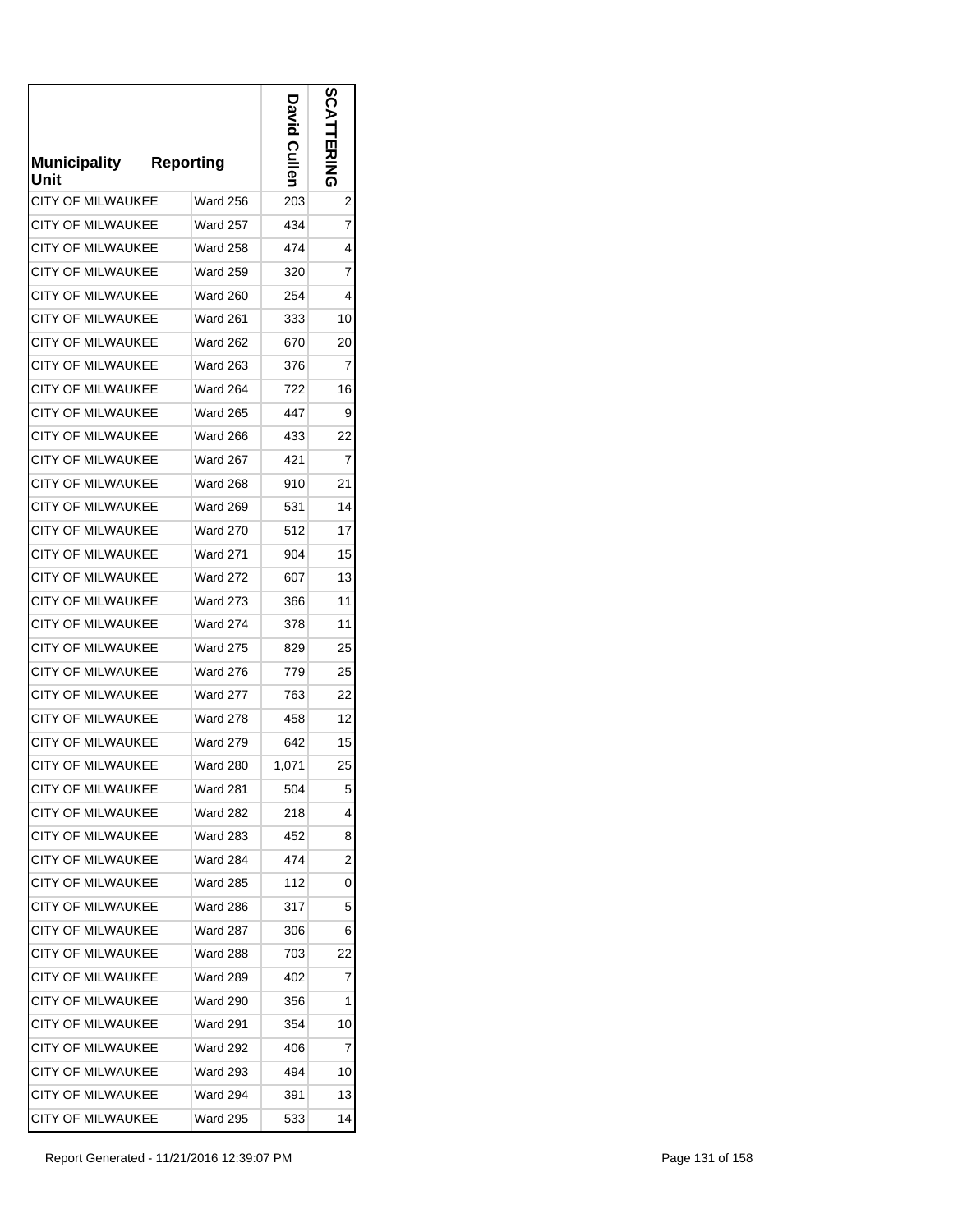| <b>Municipality</b><br>Unit | <b>Reporting</b> | <b>Culler</b> | ဂ္ဂ<br>교지지 |
|-----------------------------|------------------|---------------|------------|
| <b>CITY OF MILWAUKEE</b>    | <b>Ward 256</b>  | 203           | 2          |
| CITY OF MILWAUKEE           | Ward 257         | 434           | 7          |
| <b>CITY OF MILWAUKEE</b>    | <b>Ward 258</b>  | 474           | 4          |
| <b>CITY OF MILWAUKEE</b>    | <b>Ward 259</b>  | 320           | 7          |
| <b>CITY OF MILWAUKEE</b>    | <b>Ward 260</b>  | 254           | 4          |
| CITY OF MILWAUKEE           | <b>Ward 261</b>  | 333           | 10         |
| <b>CITY OF MILWAUKEE</b>    | <b>Ward 262</b>  | 670           | 20         |
| CITY OF MILWAUKEE           | Ward 263         | 376           | 7          |
| CITY OF MILWAUKEE           | Ward 264         | 722           | 16         |
| <b>CITY OF MILWAUKEE</b>    | Ward 265         | 447           | 9          |
| <b>CITY OF MILWAUKEE</b>    | <b>Ward 266</b>  | 433           | 22         |
| <b>CITY OF MILWAUKEE</b>    | Ward 267         | 421           | 7          |
| <b>CITY OF MILWAUKEE</b>    | <b>Ward 268</b>  | 910           | 21         |
| <b>CITY OF MILWAUKEE</b>    | <b>Ward 269</b>  | 531           | 14         |
| <b>CITY OF MILWAUKEE</b>    | <b>Ward 270</b>  | 512           | 17         |
| <b>CITY OF MILWAUKEE</b>    | <b>Ward 271</b>  | 904           | 15         |
| CITY OF MILWAUKEE           | <b>Ward 272</b>  | 607           | 13         |
| <b>CITY OF MILWAUKEE</b>    | <b>Ward 273</b>  | 366           | 11         |
| <b>CITY OF MILWAUKEE</b>    | <b>Ward 274</b>  | 378           | 11         |
| <b>CITY OF MILWAUKEE</b>    | <b>Ward 275</b>  | 829           | 25         |
| <b>CITY OF MILWAUKEE</b>    | <b>Ward 276</b>  | 779           | 25         |
| <b>CITY OF MILWAUKEE</b>    | <b>Ward 277</b>  | 763           | 22         |
| <b>CITY OF MILWAUKEE</b>    | <b>Ward 278</b>  | 458           | 12         |
| <b>CITY OF MILWAUKEE</b>    | Ward 279         | 642           | 15         |
| <b>CITY OF MILWAUKEE</b>    | <b>Ward 280</b>  | 1,071         | 25         |
| <b>CITY OF MILWAUKEE</b>    | Ward 281         | 504           | 5          |
| <b>CITY OF MILWAUKEE</b>    | Ward 282         | 218           | 4          |
| <b>CITY OF MILWAUKEE</b>    | Ward 283         | 452           | 8          |
| <b>CITY OF MILWAUKEE</b>    | Ward 284         | 474           | 2          |
| <b>CITY OF MILWAUKEE</b>    | <b>Ward 285</b>  | 112           | 0          |
| <b>CITY OF MILWAUKEE</b>    | Ward 286         | 317           | 5          |
| <b>CITY OF MILWAUKEE</b>    | Ward 287         | 306           | 6          |
| CITY OF MILWAUKEE           | Ward 288         | 703           | 22         |
| <b>CITY OF MILWAUKEE</b>    | Ward 289         | 402           | 7          |
| <b>CITY OF MILWAUKEE</b>    | Ward 290         | 356           | 1          |
| <b>CITY OF MILWAUKEE</b>    | Ward 291         | 354           | 10         |
| <b>CITY OF MILWAUKEE</b>    | Ward 292         | 406           | 7          |
| <b>CITY OF MILWAUKEE</b>    | <b>Ward 293</b>  | 494           | 10         |
| <b>CITY OF MILWAUKEE</b>    | Ward 294         | 391           | 13         |
| <b>CITY OF MILWAUKEE</b>    | Ward 295         | 533           | 14         |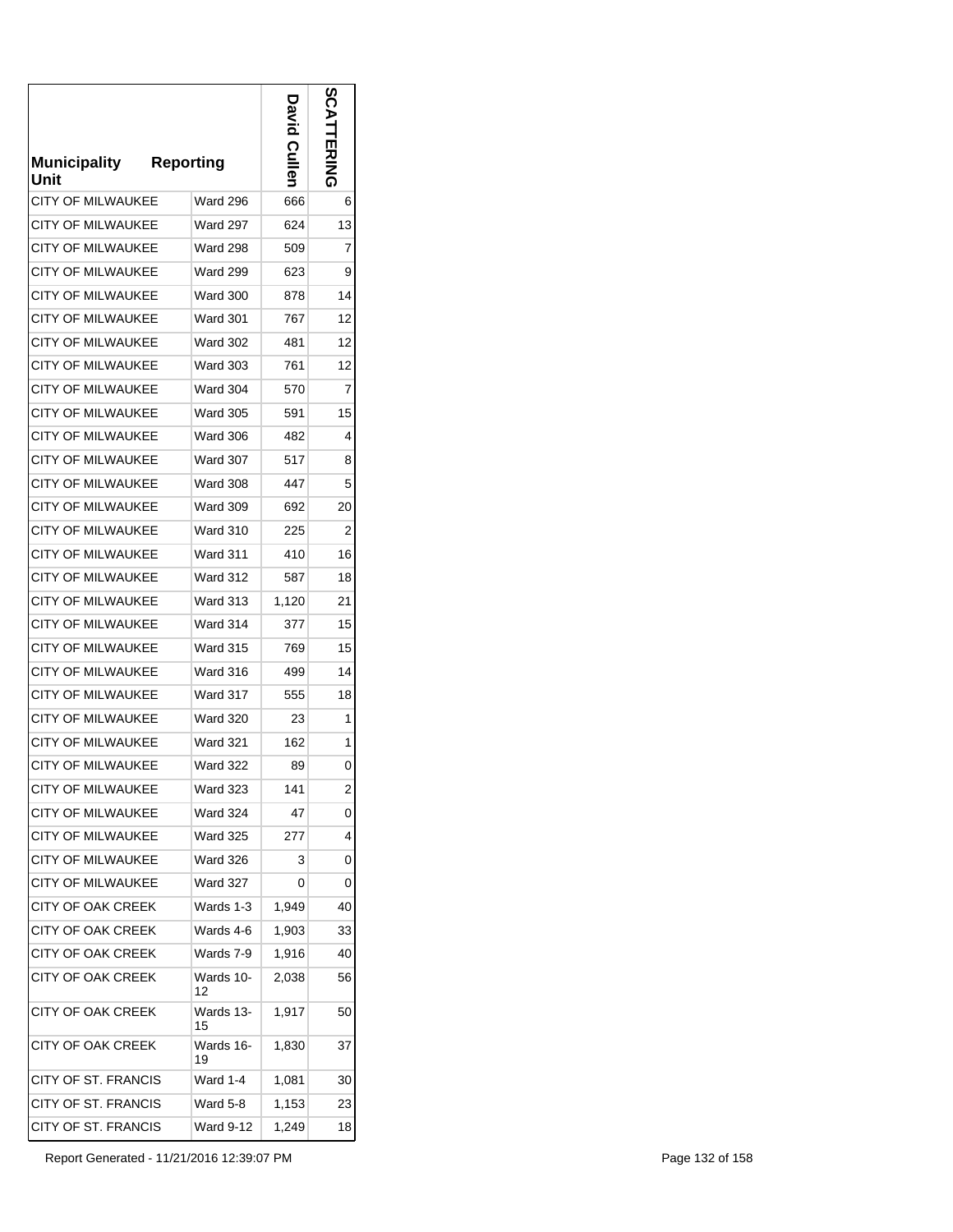| <b>Municipality</b><br>Unit | <b>Reporting</b> | <b>Cullen</b> | ທ<br><b>ENSIDE</b> |
|-----------------------------|------------------|---------------|--------------------|
| <b>CITY OF MILWAUKEE</b>    | <b>Ward 296</b>  | 666           | 6                  |
| CITY OF MILWAUKEE           | Ward 297         | 624           | 13                 |
| <b>CITY OF MILWAUKEE</b>    | <b>Ward 298</b>  | 509           | 7                  |
| <b>CITY OF MILWAUKEE</b>    | <b>Ward 299</b>  | 623           | 9                  |
| <b>CITY OF MILWAUKEE</b>    | <b>Ward 300</b>  | 878           | 14                 |
| CITY OF MILWAUKEE           | Ward 301         | 767           | 12                 |
| <b>CITY OF MILWAUKEE</b>    | <b>Ward 302</b>  | 481           | 12                 |
| <b>CITY OF MILWAUKEE</b>    | Ward 303         | 761           | 12                 |
| CITY OF MILWAUKEE           | <b>Ward 304</b>  | 570           | 7                  |
| <b>CITY OF MILWAUKEE</b>    | <b>Ward 305</b>  | 591           | 15                 |
| <b>CITY OF MILWAUKEE</b>    | <b>Ward 306</b>  | 482           | 4                  |
| <b>CITY OF MILWAUKEE</b>    | Ward 307         | 517           | 8                  |
| <b>CITY OF MILWAUKEE</b>    | <b>Ward 308</b>  | 447           | 5                  |
| <b>CITY OF MILWAUKEE</b>    | <b>Ward 309</b>  | 692           | 20                 |
| <b>CITY OF MILWAUKEE</b>    | <b>Ward 310</b>  | 225           | 2                  |
| <b>CITY OF MILWAUKEE</b>    | <b>Ward 311</b>  | 410           | 16                 |
| CITY OF MILWAUKEE           | <b>Ward 312</b>  | 587           | 18                 |
| <b>CITY OF MILWAUKEE</b>    | <b>Ward 313</b>  | 1,120         | 21                 |
| <b>CITY OF MILWAUKEE</b>    | Ward 314         | 377           | 15                 |
| CITY OF MILWAUKEE           | <b>Ward 315</b>  | 769           | 15                 |
| <b>CITY OF MILWAUKEE</b>    | Ward 316         | 499           | 14                 |
| <b>CITY OF MILWAUKEE</b>    | Ward 317         | 555           | 18                 |
| <b>CITY OF MILWAUKEE</b>    | <b>Ward 320</b>  | 23            | 1                  |
| <b>CITY OF MILWAUKEE</b>    | <b>Ward 321</b>  | 162           | 1                  |
| <b>CITY OF MILWAUKEE</b>    | <b>Ward 322</b>  | 89            | 0                  |
| <b>CITY OF MILWAUKEE</b>    | <b>Ward 323</b>  | 141           | 2                  |
| <b>CITY OF MILWAUKEE</b>    | <b>Ward 324</b>  | 47            | 0                  |
| <b>CITY OF MILWAUKEE</b>    | <b>Ward 325</b>  | 277           | 4                  |
| CITY OF MILWAUKEE           | <b>Ward 326</b>  | 3             | 0                  |
| <b>CITY OF MILWAUKEE</b>    | <b>Ward 327</b>  | 0             | 0                  |
| CITY OF OAK CREEK           | Wards 1-3        | 1,949         | 40                 |
| <b>CITY OF OAK CREEK</b>    | Wards 4-6        | 1,903         | 33                 |
| CITY OF OAK CREEK           | Wards 7-9        | 1,916         | 40                 |
| <b>CITY OF OAK CREEK</b>    | Wards 10-<br>12  | 2,038         | 56                 |
| CITY OF OAK CREEK           | Wards 13-<br>15  | 1,917         | 50                 |
| CITY OF OAK CREEK           | Wards 16-<br>19  | 1,830         | 37                 |
| CITY OF ST. FRANCIS         | Ward 1-4         | 1,081         | 30                 |
| CITY OF ST. FRANCIS         | Ward 5-8         | 1,153         | 23                 |
| <b>CITY OF ST. FRANCIS</b>  | Ward 9-12        | 1,249         | 18                 |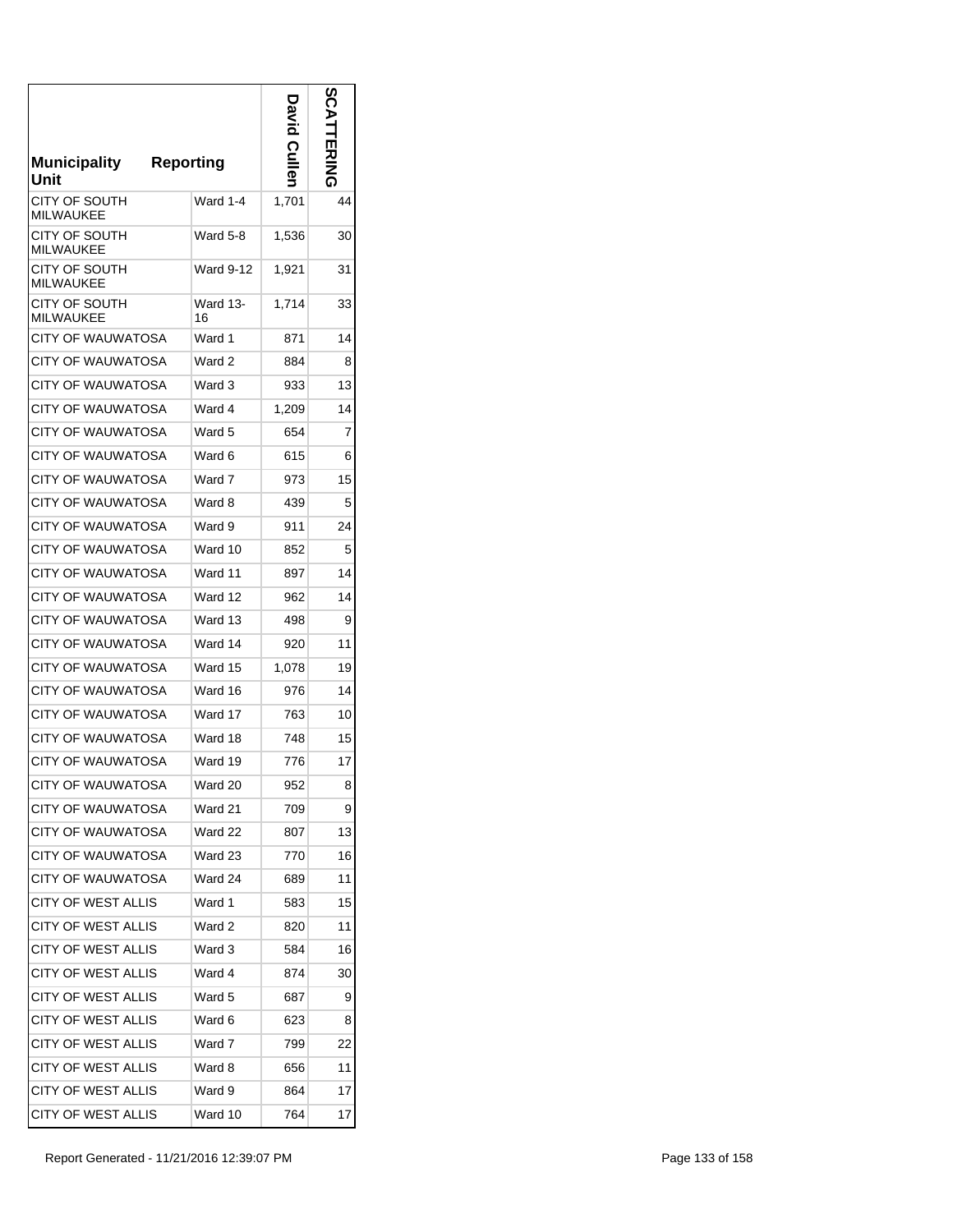| <b>Municipality</b><br>Unit       | <b>Reporting</b> | <b>David Culler</b> | n<br>[IZN<br>기<br>기 |
|-----------------------------------|------------------|---------------------|---------------------|
| CITY OF SOUTH<br><b>MILWAUKEE</b> | Ward 1-4         | 1,701               | 44                  |
| CITY OF SOUTH<br><b>MILWAUKEE</b> | Ward 5-8         | 1,536               | 30                  |
| CITY OF SOUTH<br><b>MILWAUKEE</b> | <b>Ward 9-12</b> | 1,921               | 31                  |
| CITY OF SOUTH<br><b>MILWAUKEE</b> | Ward 13-<br>16   | 1,714               | 33                  |
| CITY OF WAUWATOSA                 | Ward 1           | 871                 | 14                  |
| <b>CITY OF WAUWATOSA</b>          | Ward 2           | 884                 | 8                   |
| CITY OF WAUWATOSA                 | Ward 3           | 933                 | 13                  |
| CITY OF WAUWATOSA                 | Ward 4           | 1,209               | 14                  |
| CITY OF WAUWATOSA                 | Ward 5           | 654                 | 7                   |
| <b>CITY OF WAUWATOSA</b>          | Ward 6           | 615                 | 6                   |
| CITY OF WAUWATOSA                 | Ward 7           | 973                 | 15                  |
| CITY OF WAUWATOSA                 | Ward 8           | 439                 | 5                   |
| <b>CITY OF WAUWATOSA</b>          | Ward 9           | 911                 | 24                  |
| CITY OF WAUWATOSA                 | Ward 10          | 852                 | 5                   |
| <b>CITY OF WAUWATOSA</b>          | Ward 11          | 897                 | 14                  |
| CITY OF WAUWATOSA                 | Ward 12          | 962                 | 14                  |
| CITY OF WAUWATOSA                 | Ward 13          | 498                 | 9                   |
| CITY OF WAUWATOSA                 | Ward 14          | 920                 | 11                  |
| CITY OF WAUWATOSA                 | Ward 15          | 1,078               | 19                  |
| CITY OF WAUWATOSA                 | Ward 16          | 976                 | 14                  |
| CITY OF WAUWATOSA                 | Ward 17          | 763                 | 10                  |
| <b>CITY OF WAUWATOSA</b>          | Ward 18          | 748                 | 15                  |
| <b>CITY OF WAUWATOSA</b>          | Ward 19          | 776                 | 17                  |
| CITY OF WAUWATOSA                 | Ward 20          | 952                 | 8                   |
| CITY OF WAUWATOSA                 | Ward 21          | 709                 | 9                   |
| <b>CITY OF WAUWATOSA</b>          | Ward 22          | 807                 | 13                  |
| <b>CITY OF WAUWATOSA</b>          | Ward 23          | 770                 | 16                  |
| <b>CITY OF WAUWATOSA</b>          | Ward 24          | 689                 | 11                  |
| <b>CITY OF WEST ALLIS</b>         | Ward 1           | 583                 | 15                  |
| CITY OF WEST ALLIS                | Ward 2           | 820                 | 11                  |
| CITY OF WEST ALLIS                | Ward 3           | 584                 | 16                  |
| CITY OF WEST ALLIS                | Ward 4           | 874                 | 30                  |
| CITY OF WEST ALLIS                | Ward 5           | 687                 | 9                   |
| CITY OF WEST ALLIS                | Ward 6           | 623                 | 8                   |
| <b>CITY OF WEST ALLIS</b>         | Ward 7           | 799                 | 22                  |
| CITY OF WEST ALLIS                | Ward 8           | 656                 | 11                  |
| CITY OF WEST ALLIS                | Ward 9           | 864                 | 17                  |
| <b>CITY OF WEST ALLIS</b>         | Ward 10          | 764                 | 17                  |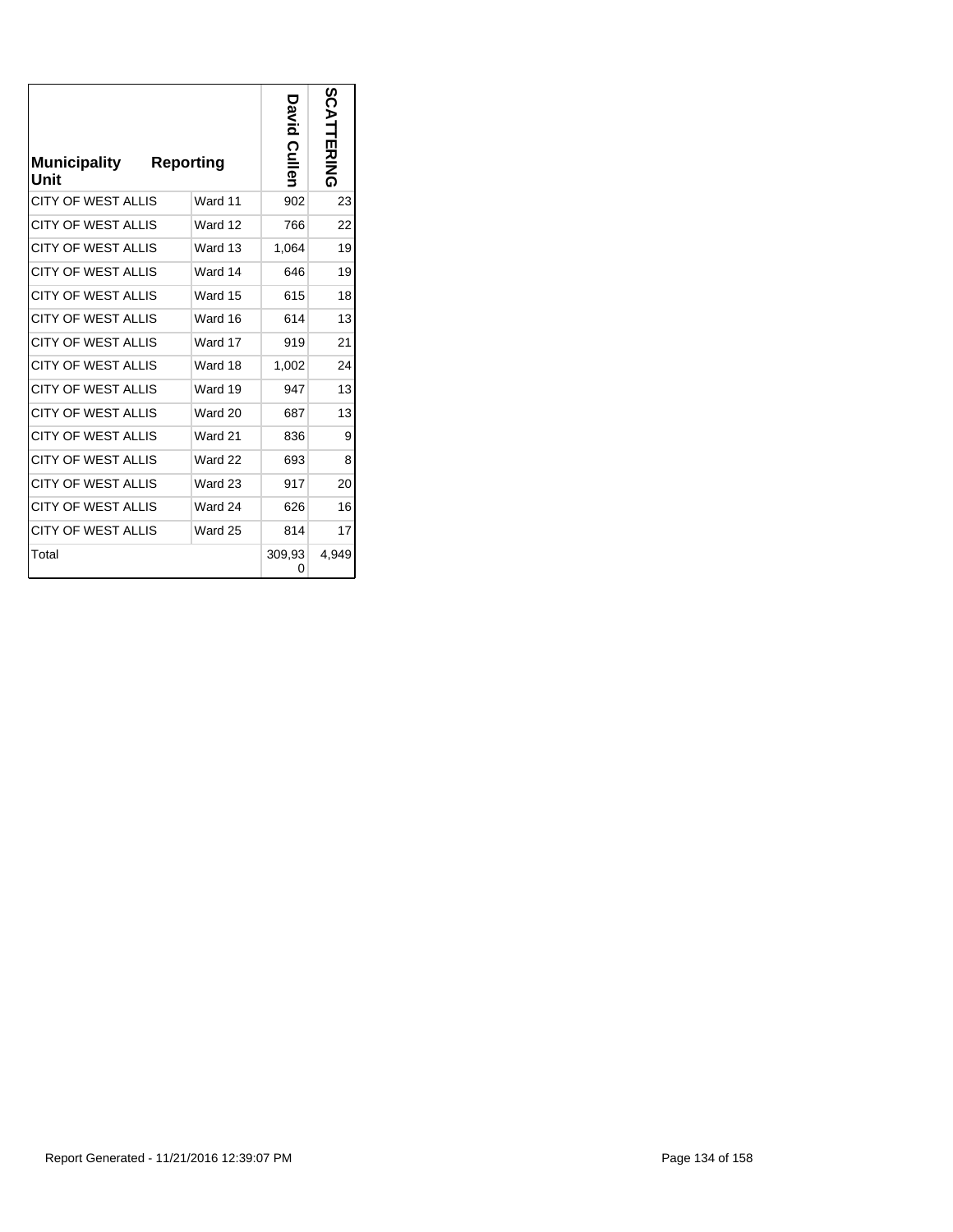| <b>Municipality</b><br>Unit | <b>Reporting</b> | avid Culler | SCATTERING |
|-----------------------------|------------------|-------------|------------|
| <b>CITY OF WEST ALLIS</b>   | Ward 11          | 902         | 23         |
| <b>CITY OF WEST ALLIS</b>   | Ward 12          | 766         | 22         |
| <b>CITY OF WEST ALLIS</b>   | Ward 13          | 1,064       | 19         |
| <b>CITY OF WEST ALLIS</b>   | Ward 14          | 646         | 19         |
| <b>CITY OF WEST ALLIS</b>   | Ward 15          | 615         | 18         |
| <b>CITY OF WEST ALLIS</b>   | Ward 16          | 614         | 13         |
| <b>CITY OF WEST ALLIS</b>   | Ward 17          | 919         | 21         |
| <b>CITY OF WEST ALLIS</b>   | Ward 18          | 1,002       | 24         |
| <b>CITY OF WEST ALLIS</b>   | Ward 19          | 947         | 13         |
| <b>CITY OF WEST ALLIS</b>   | Ward 20          | 687         | 13         |
| <b>CITY OF WEST ALLIS</b>   | Ward 21          | 836         | 9          |
| <b>CITY OF WEST ALLIS</b>   | Ward 22          | 693         | 8          |
| <b>CITY OF WEST ALLIS</b>   | Ward 23          | 917         | 20         |
| <b>CITY OF WEST ALLIS</b>   | Ward 24          | 626         | 16         |
| <b>CITY OF WEST ALLIS</b>   | Ward 25          | 814         | 17         |
| Total                       |                  | 309,93<br>0 | 4,949      |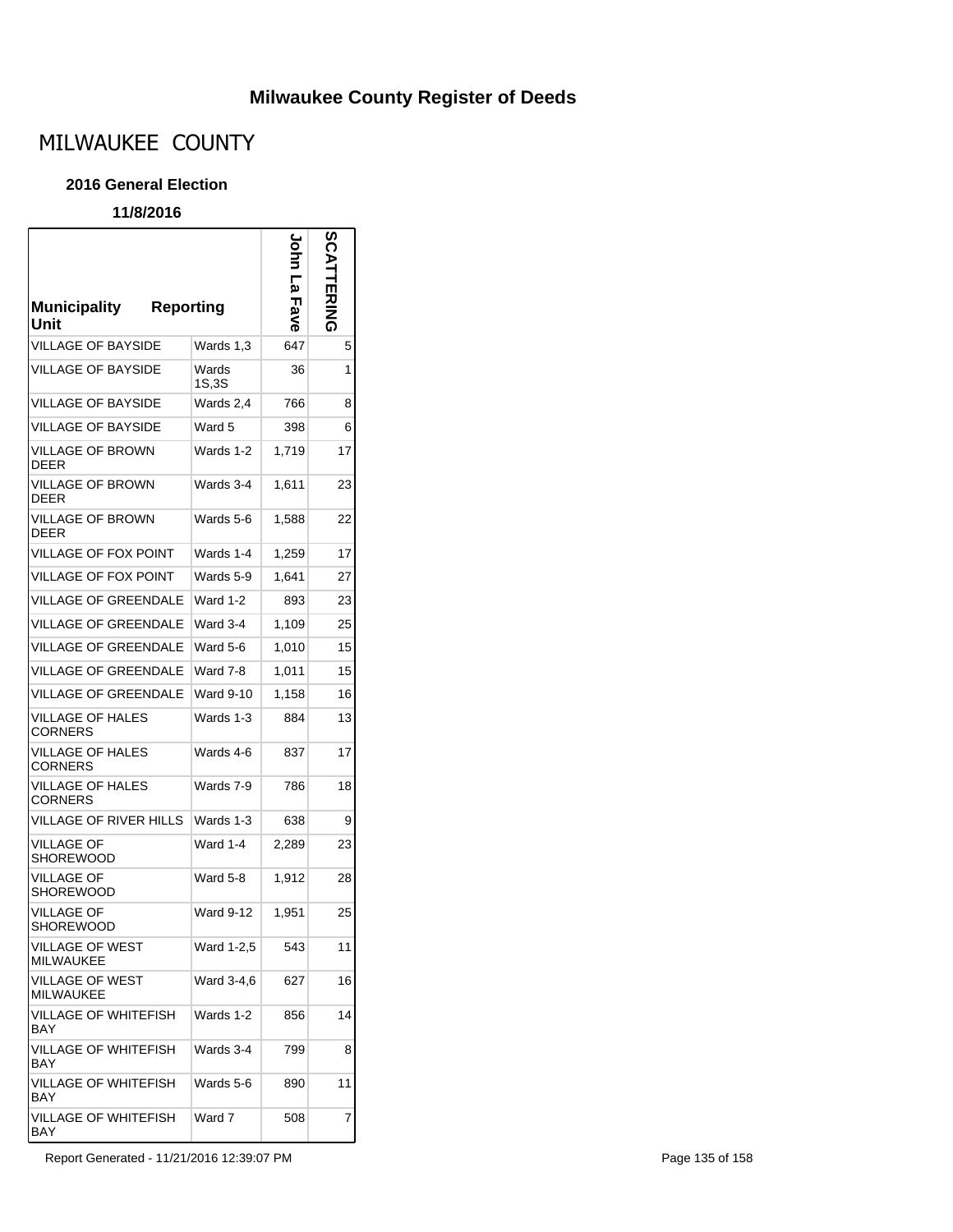### **Milwaukee County Register of Deeds**

# MILWAUKEE COUNTY

#### **2016 General Election**

#### **11/8/2016**

 $\mathsf{r}$ 

| <b>Municipality</b><br>Unit               | Reporting        | ခ်<br>5<br>Fave | SCATTERING |
|-------------------------------------------|------------------|-----------------|------------|
| <b>VILLAGE OF BAYSIDE</b>                 | Wards 1,3        | 647             | 5          |
| <b>VILLAGE OF BAYSIDE</b>                 | Wards<br>1S,3S   | 36              | 1          |
| <b>VILLAGE OF BAYSIDE</b>                 | Wards 2,4        | 766             | 8          |
| <b>VILLAGE OF BAYSIDE</b>                 | Ward 5           | 398             | 6          |
| <b>VILLAGE OF BROWN</b><br><b>DEER</b>    | Wards 1-2        | 1.719           | 17         |
| VILLAGE OF BROWN<br><b>DEER</b>           | Wards 3-4        | 1,611           | 23         |
| <b>VILLAGE OF BROWN</b><br><b>DEER</b>    | Wards 5-6        | 1,588           | 22         |
| VILLAGE OF FOX POINT                      | Wards 1-4        | 1,259           | 17         |
| <b>VILLAGE OF FOX POINT</b>               | Wards 5-9        | 1,641           | 27         |
| <b>VILLAGE OF GREENDALE</b>               | Ward 1-2         | 893             | 23         |
| <b>VILLAGE OF GREENDALE</b>               | Ward 3-4         | 1,109           | 25         |
| <b>VILLAGE OF GREENDALE</b>               | Ward 5-6         | 1.010           | 15         |
| <b>VILLAGE OF GREENDALE</b>               | Ward 7-8         | 1,011           | 15         |
| <b>VILLAGE OF GREENDALE</b>               | Ward 9-10        | 1,158           | 16         |
| VILLAGE OF HALES<br><b>CORNERS</b>        | Wards 1-3        | 884             | 13         |
| VILLAGE OF HALES<br><b>CORNERS</b>        | Wards 4-6        | 837             | 17         |
| <b>VILLAGE OF HALES</b><br><b>CORNERS</b> | Wards 7-9        | 786             | 18         |
| VILLAGE OF RIVER HILLS                    | Wards 1-3        | 638             | 9          |
| <b>VILLAGE OF</b><br>SHOREWOOD            | Ward 1-4         | 2,289           | 23         |
| <b>VILLAGE OF</b><br>SHOREWOOD            | Ward 5-8         | 1.912           | 28         |
| <b>VILLAGE OF</b><br>SHOREWOOD            | <b>Ward 9-12</b> | 1,951           | 25         |
| VILLAGE OF WEST<br><b>MILWAUKEE</b>       | Ward 1-2,5       | 543             | 11         |
| VILLAGE OF WEST<br><b>MILWAUKEE</b>       | Ward 3-4,6       | 627             | 16         |
| <b>VILLAGE OF WHITEFISH</b><br><b>BAY</b> | Wards 1-2        | 856             | 14         |
| VILLAGE OF WHITEFISH<br>BAY               | Wards 3-4        | 799             | 8          |
| VILLAGE OF WHITEFISH<br>BAY               | Wards 5-6        | 890             | 11         |
| VILLAGE OF WHITEFISH<br>BAY               | Ward 7           | 508             | 7          |

Report Generated - 11/21/2016 12:39:07 PM **Page 135 of 158**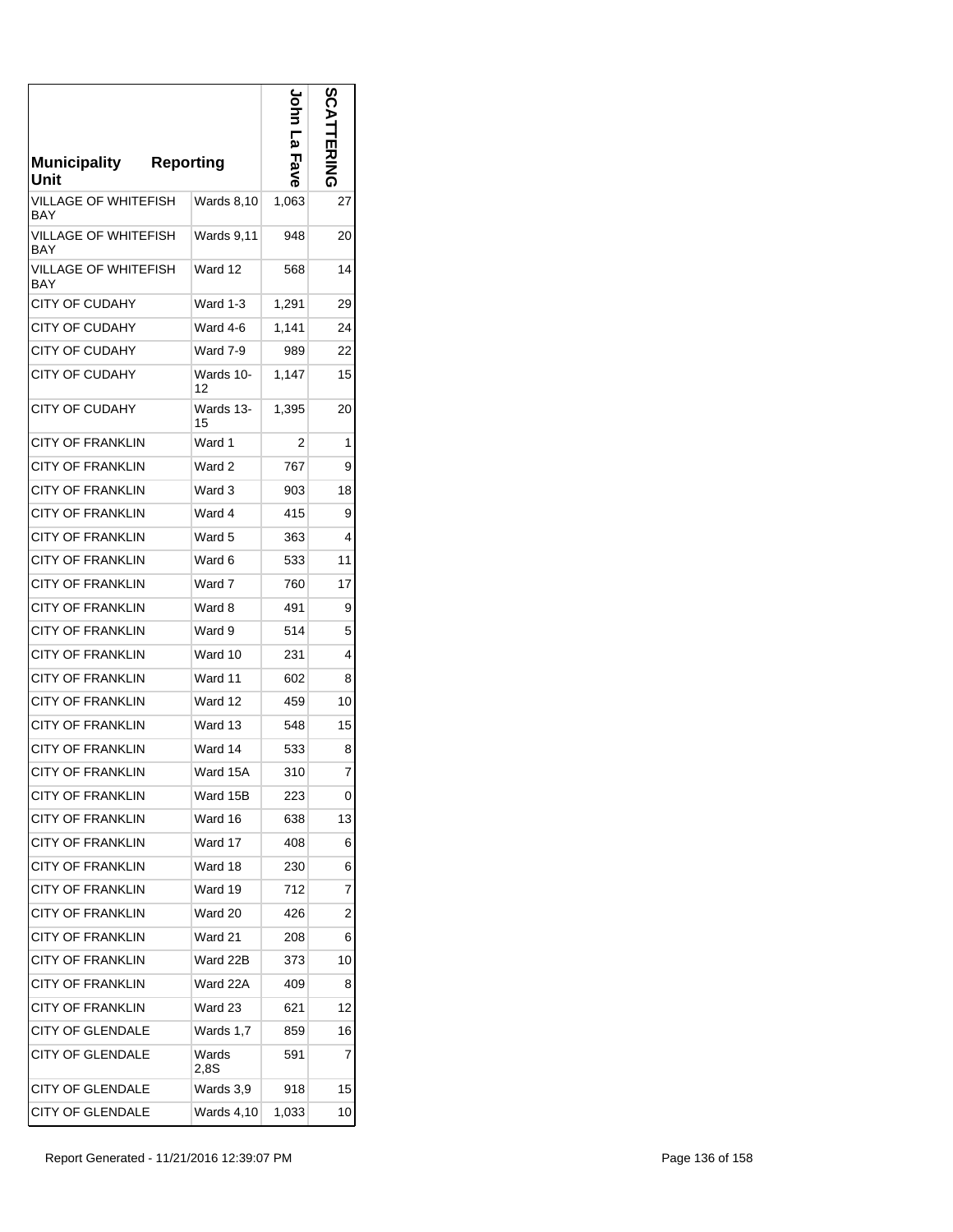| Municipality<br>Unit        | <b>Reporting</b> | Ρ<br><b>Fave</b> | တ္လ            |
|-----------------------------|------------------|------------------|----------------|
| VILLAGE OF WHITEFISH<br>BAY | Wards 8,10       | 1,063            | 27             |
| VILLAGE OF WHITEFISH<br>BAY | Wards 9,11       | 948              | 20             |
| VILLAGE OF WHITEFISH<br>BAY | Ward 12          | 568              | 14             |
| <b>CITY OF CUDAHY</b>       | Ward 1-3         | 1,291            | 29             |
| CITY OF CUDAHY              | Ward 4-6         | 1,141            | 24             |
| <b>CITY OF CUDAHY</b>       | Ward 7-9         | 989              | 22             |
| <b>CITY OF CUDAHY</b>       | Wards 10-<br>12  | 1,147            | 15             |
| <b>CITY OF CUDAHY</b>       | Wards 13-<br>15  | 1,395            | 20             |
| <b>CITY OF FRANKLIN</b>     | Ward 1           | 2                | 1              |
| <b>CITY OF FRANKLIN</b>     | Ward 2           | 767              | 9              |
| <b>CITY OF FRANKLIN</b>     | Ward 3           | 903              | 18             |
| <b>CITY OF FRANKLIN</b>     | Ward 4           | 415              | 9              |
| CITY OF FRANKLIN            | Ward 5           | 363              | 4              |
| CITY OF FRANKLIN            | Ward 6           | 533              | 11             |
| <b>CITY OF FRANKLIN</b>     | Ward 7           | 760              | 17             |
| CITY OF FRANKLIN            | Ward 8           | 491              | 9              |
| <b>CITY OF FRANKLIN</b>     | Ward 9           | 514              | 5              |
| <b>CITY OF FRANKLIN</b>     | Ward 10          | 231              | 4              |
| <b>CITY OF FRANKLIN</b>     | Ward 11          | 602              | 8              |
| <b>CITY OF FRANKLIN</b>     | Ward 12          | 459              | 10             |
| CITY OF FRANKLIN            | Ward 13          | 548              | 15             |
| <b>CITY OF FRANKLIN</b>     | Ward 14          | 533              | 8              |
| <b>CITY OF FRANKLIN</b>     | Ward 15A         | 310              | 7              |
| <b>CITY OF FRANKLIN</b>     | Ward 15B         | 223              | 0              |
| <b>CITY OF FRANKLIN</b>     | Ward 16          | 638              | 13             |
| <b>CITY OF FRANKLIN</b>     | Ward 17          | 408              | 6              |
| <b>CITY OF FRANKLIN</b>     | Ward 18          | 230              | 6              |
| <b>CITY OF FRANKLIN</b>     | Ward 19          | 712              | 7              |
| CITY OF FRANKLIN            | Ward 20          | 426              | $\overline{c}$ |
| <b>CITY OF FRANKLIN</b>     | Ward 21          | 208              | 6              |
| <b>CITY OF FRANKLIN</b>     | Ward 22B         | 373              | 10             |
| CITY OF FRANKLIN            | Ward 22A         | 409              | 8              |
| <b>CITY OF FRANKLIN</b>     | Ward 23          | 621              | 12             |
| <b>CITY OF GLENDALE</b>     | Wards 1,7        | 859              | 16             |
| <b>CITY OF GLENDALE</b>     | Wards<br>2.8S    | 591              | 7              |
| <b>CITY OF GLENDALE</b>     | Wards 3,9        | 918              | 15             |
| <b>CITY OF GLENDALE</b>     | Wards 4,10       | 1,033            | 10             |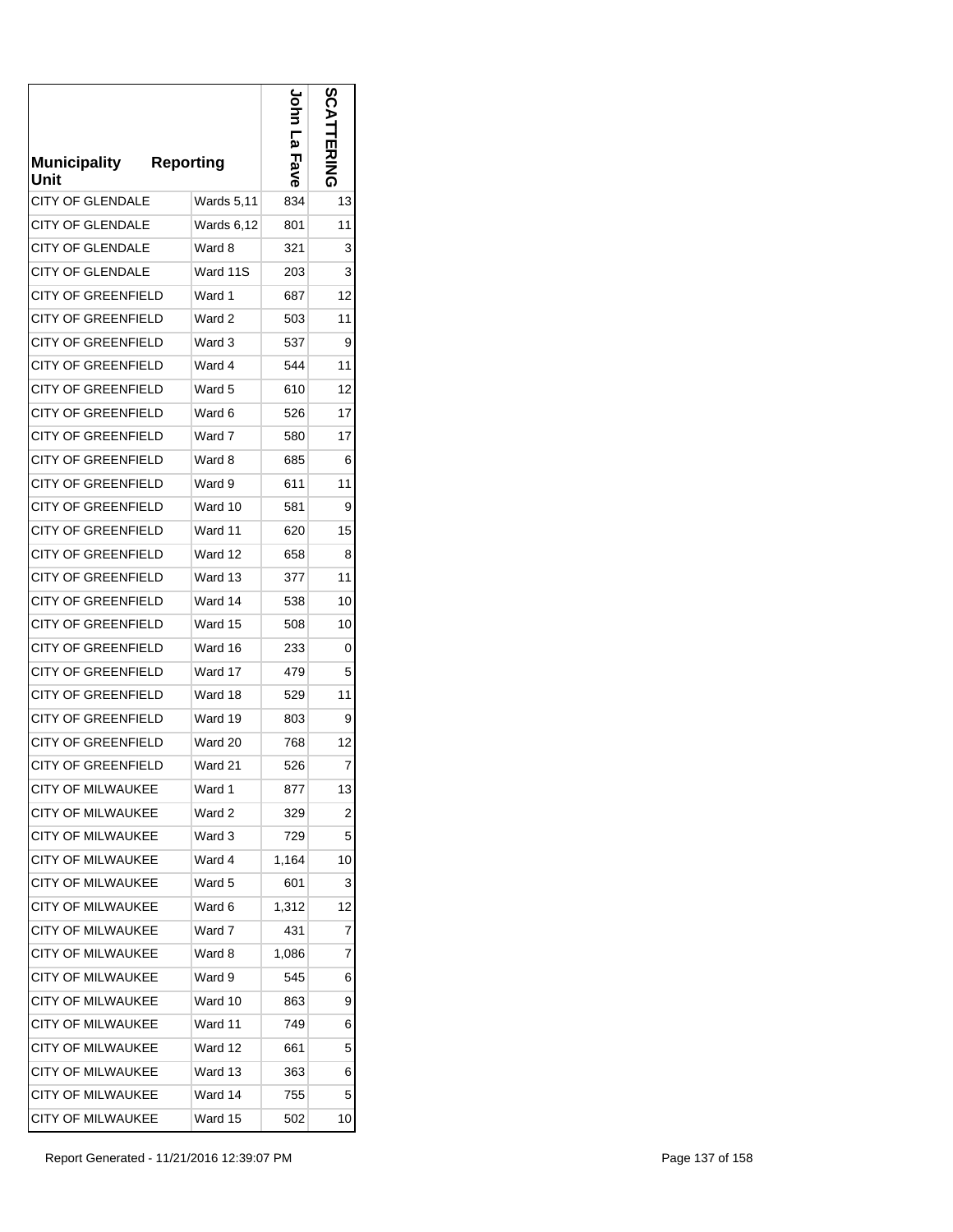| Municipality<br>Unit      | <b>Reporting</b> | <u>ی</u><br><b>Fave</b> | ဌ<br>닛 |
|---------------------------|------------------|-------------------------|--------|
| <b>CITY OF GLENDALE</b>   | Wards 5,11       | 834                     | 13     |
| CITY OF GLENDALE          | Wards 6,12       | 801                     | 11     |
| <b>CITY OF GLENDALE</b>   | Ward 8           | 321                     | 3      |
| <b>CITY OF GLENDALE</b>   | Ward 11S         | 203                     | 3      |
| <b>CITY OF GREENFIELD</b> | Ward 1           | 687                     | 12     |
| <b>CITY OF GREENFIELD</b> | Ward 2           | 503                     | 11     |
| <b>CITY OF GREENFIELD</b> | Ward 3           | 537                     | 9      |
| <b>CITY OF GREENFIELD</b> | Ward 4           | 544                     | 11     |
| <b>CITY OF GREENFIELD</b> | Ward 5           | 610                     | 12     |
| <b>CITY OF GREENFIELD</b> | Ward 6           | 526                     | 17     |
| <b>CITY OF GREENFIELD</b> | Ward 7           | 580                     | 17     |
| <b>CITY OF GREENFIELD</b> | Ward 8           | 685                     | 6      |
| CITY OF GREENFIELD        | Ward 9           | 611                     | 11     |
| <b>CITY OF GREENFIELD</b> | Ward 10          | 581                     | 9      |
| <b>CITY OF GREENFIELD</b> | Ward 11          | 620                     | 15     |
| <b>CITY OF GREENFIELD</b> | Ward 12          | 658                     | 8      |
| CITY OF GREENFIELD        | Ward 13          | 377                     | 11     |
| <b>CITY OF GREENFIELD</b> | Ward 14          | 538                     | 10     |
| CITY OF GREENFIELD        | Ward 15          | 508                     | 10     |
| CITY OF GREENFIELD        | Ward 16          | 233                     | 0      |
| CITY OF GREENFIELD        | Ward 17          | 479                     | 5      |
| <b>CITY OF GREENFIELD</b> | Ward 18          | 529                     | 11     |
| <b>CITY OF GREENFIELD</b> | Ward 19          | 803                     | 9      |
| CITY OF GREENFIELD        | Ward 20          | 768                     | 12     |
| <b>CITY OF GREENFIELD</b> | Ward 21          | 526                     | 7      |
| <b>CITY OF MILWAUKEE</b>  | Ward 1           | 877                     | 13     |
| <b>CITY OF MILWAUKEE</b>  | Ward 2           | 329                     | 2      |
| <b>CITY OF MILWAUKEE</b>  | Ward 3           | 729                     | 5      |
| <b>CITY OF MILWAUKEE</b>  | Ward 4           | 1,164                   | 10     |
| <b>CITY OF MILWAUKEE</b>  | Ward 5           | 601                     | 3      |
| <b>CITY OF MILWAUKEE</b>  | Ward 6           | 1,312                   | 12     |
| <b>CITY OF MILWAUKEE</b>  | Ward 7           | 431                     | 7      |
| <b>CITY OF MILWAUKEE</b>  | Ward 8           | 1,086                   | 7      |
| <b>CITY OF MILWAUKEE</b>  | Ward 9           | 545                     | 6      |
| <b>CITY OF MILWAUKEE</b>  | Ward 10          | 863                     | 9      |
| <b>CITY OF MILWAUKEE</b>  | Ward 11          | 749                     | 6      |
| <b>CITY OF MILWAUKEE</b>  | Ward 12          | 661                     | 5      |
| <b>CITY OF MILWAUKEE</b>  | Ward 13          | 363                     | 6      |
| <b>CITY OF MILWAUKEE</b>  | Ward 14          | 755                     | 5      |
| <b>CITY OF MILWAUKEE</b>  | Ward 15          | 502                     | 10     |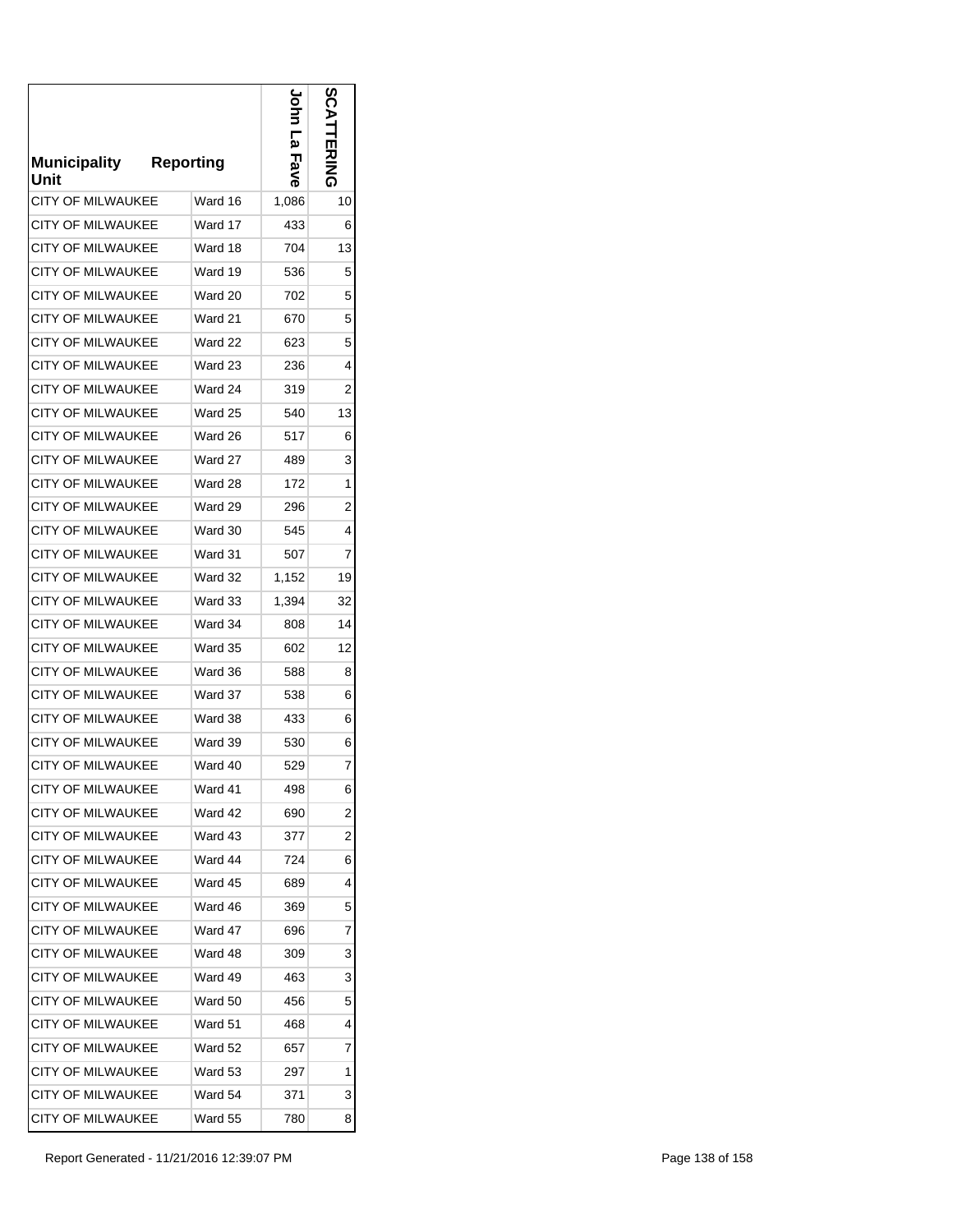| <b>Municipality</b><br>Unit | <b>Reporting</b> | لو<br>سا<br>Fave | n<br><b>EXIMA</b> |
|-----------------------------|------------------|------------------|-------------------|
| <b>CITY OF MILWAUKEE</b>    | Ward 16          | 1,086            | 10                |
| CITY OF MILWAUKEE           | Ward 17          | 433              | 6                 |
| <b>CITY OF MILWAUKEE</b>    | Ward 18          | 704              | 13                |
| <b>CITY OF MILWAUKEE</b>    | Ward 19          | 536              | 5                 |
| <b>CITY OF MILWAUKEE</b>    | Ward 20          | 702              | 5                 |
| CITY OF MILWAUKEE           | Ward 21          | 670              | 5                 |
| <b>CITY OF MILWAUKEE</b>    | Ward 22          | 623              | 5                 |
| <b>CITY OF MILWAUKEE</b>    | Ward 23          | 236              | 4                 |
| <b>CITY OF MILWAUKEE</b>    | Ward 24          | 319              | 2                 |
| <b>CITY OF MILWAUKEE</b>    | Ward 25          | 540              | 13                |
| <b>CITY OF MILWAUKEE</b>    | Ward 26          | 517              | 6                 |
| <b>CITY OF MILWAUKEE</b>    | Ward 27          | 489              | 3                 |
| <b>CITY OF MILWAUKEE</b>    | Ward 28          | 172              | 1                 |
| <b>CITY OF MILWAUKEE</b>    | Ward 29          | 296              | 2                 |
| <b>CITY OF MILWAUKEE</b>    | Ward 30          | 545              | 4                 |
| <b>CITY OF MILWAUKEE</b>    | Ward 31          | 507              | 7                 |
| <b>CITY OF MILWAUKEE</b>    | Ward 32          | 1,152            | 19                |
| <b>CITY OF MILWAUKEE</b>    | Ward 33          | 1,394            | 32                |
| <b>CITY OF MILWAUKEE</b>    | Ward 34          | 808              | 14                |
| <b>CITY OF MILWAUKEE</b>    | Ward 35          | 602              | 12                |
| CITY OF MILWAUKEE           | Ward 36          | 588              | 8                 |
| <b>CITY OF MILWAUKEE</b>    | Ward 37          | 538              | 6                 |
| <b>CITY OF MILWAUKEE</b>    | Ward 38          | 433              | 6                 |
| <b>CITY OF MILWAUKEE</b>    | Ward 39          | 530              | 6                 |
| <b>CITY OF MILWAUKEE</b>    | Ward 40          | 529              | 7                 |
| <b>CITY OF MILWAUKEE</b>    | Ward 41          | 498              | 6                 |
| <b>CITY OF MILWAUKEE</b>    | Ward 42          | 690              | 2                 |
| <b>CITY OF MILWAUKEE</b>    | Ward 43          | 377              | $\overline{c}$    |
| <b>CITY OF MILWAUKEE</b>    | Ward 44          | 724              | 6                 |
| <b>CITY OF MILWAUKEE</b>    | Ward 45          | 689              | 4                 |
| <b>CITY OF MILWAUKEE</b>    | Ward 46          | 369              | 5                 |
| CITY OF MILWAUKEE           | Ward 47          | 696              | 7                 |
| <b>CITY OF MILWAUKEE</b>    | Ward 48          | 309              | 3                 |
| CITY OF MILWAUKEE           | Ward 49          | 463              | 3                 |
| <b>CITY OF MILWAUKEE</b>    | Ward 50          | 456              | 5                 |
| CITY OF MILWAUKEE           | Ward 51          | 468              | 4                 |
| CITY OF MILWAUKEE           | Ward 52          | 657              | 7                 |
| <b>CITY OF MILWAUKEE</b>    | Ward 53          | 297              | 1                 |
| CITY OF MILWAUKEE           | Ward 54          | 371              | 3                 |
| CITY OF MILWAUKEE           | Ward 55          | 780              | 8                 |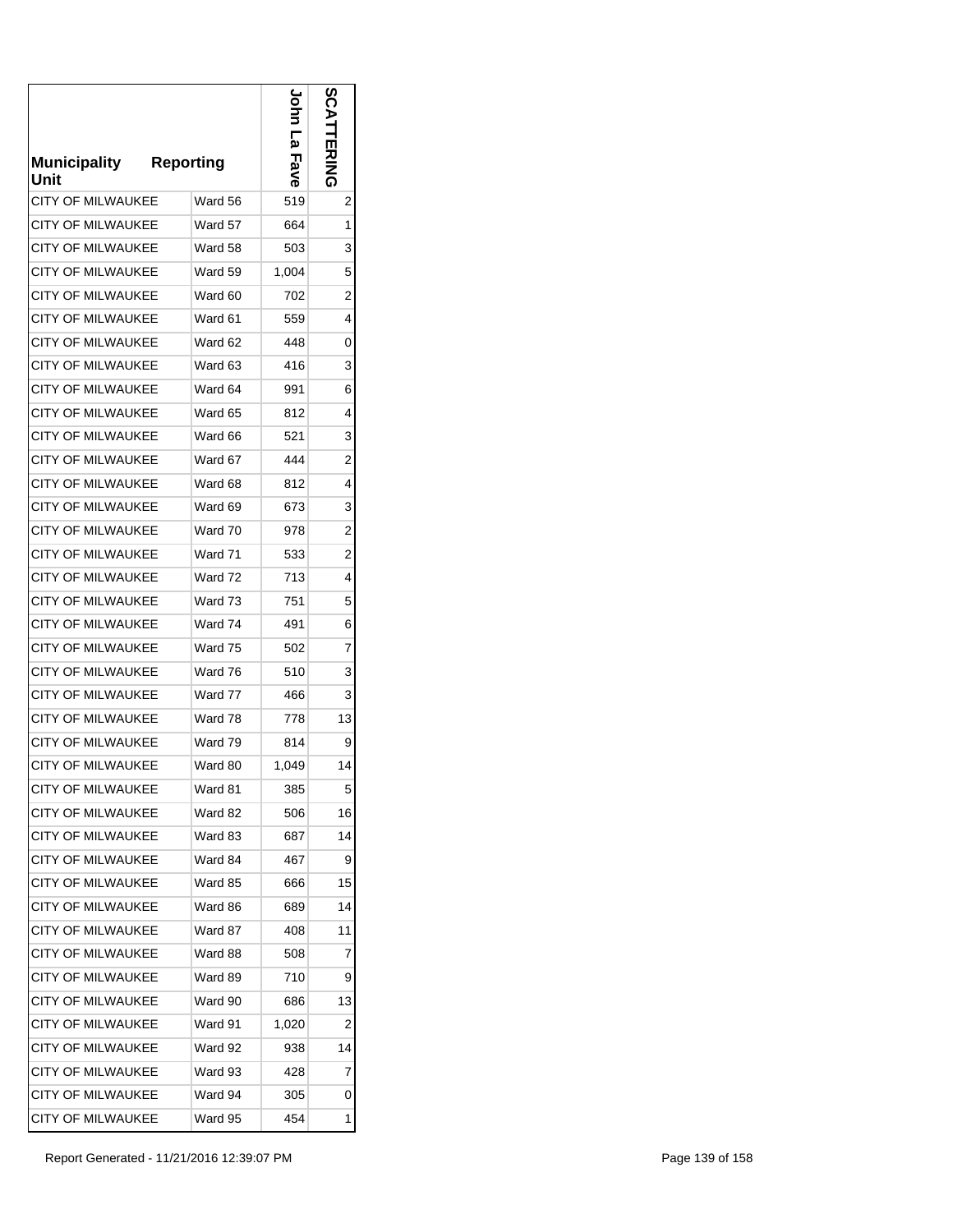| <b>Municipality</b><br>Unit | <b>Reporting</b> | <u>م</u><br>Fave | တ္တ<br>ERING   |
|-----------------------------|------------------|------------------|----------------|
| <b>CITY OF MILWAUKEE</b>    | Ward 56          | 519              | 2              |
| CITY OF MILWAUKEE           | Ward 57          | 664              | 1              |
| <b>CITY OF MILWAUKEE</b>    | Ward 58          | 503              | 3              |
| <b>CITY OF MILWAUKEE</b>    | Ward 59          | 1,004            | 5              |
| <b>CITY OF MILWAUKEE</b>    | Ward 60          | 702              | 2              |
| CITY OF MILWAUKEE           | Ward 61          | 559              | 4              |
| <b>CITY OF MILWAUKEE</b>    | Ward 62          | 448              | 0              |
| <b>CITY OF MILWAUKEE</b>    | Ward 63          | 416              | 3              |
| <b>CITY OF MILWAUKEE</b>    | Ward 64          | 991              | 6              |
| <b>CITY OF MILWAUKEE</b>    | Ward 65          | 812              | 4              |
| <b>CITY OF MILWAUKEE</b>    | Ward 66          | 521              | 3              |
| <b>CITY OF MILWAUKEE</b>    | Ward 67          | 444              | 2              |
| <b>CITY OF MILWAUKEE</b>    | Ward 68          | 812              | 4              |
| <b>CITY OF MILWAUKEE</b>    | Ward 69          | 673              | 3              |
| <b>CITY OF MILWAUKEE</b>    | Ward 70          | 978              | $\overline{2}$ |
| <b>CITY OF MILWAUKEE</b>    | Ward 71          | 533              | $\overline{2}$ |
| <b>CITY OF MILWAUKEE</b>    | Ward 72          | 713              | 4              |
| <b>CITY OF MILWAUKEE</b>    | Ward 73          | 751              | 5              |
| <b>CITY OF MILWAUKEE</b>    | Ward 74          | 491              | 6              |
| <b>CITY OF MILWAUKEE</b>    | Ward 75          | 502              | 7              |
| <b>CITY OF MILWAUKEE</b>    | Ward 76          | 510              | 3              |
| <b>CITY OF MILWAUKEE</b>    | Ward 77          | 466              | 3              |
| <b>CITY OF MILWAUKEE</b>    | Ward 78          | 778              | 13             |
| <b>CITY OF MILWAUKEE</b>    | Ward 79          | 814              | 9              |
| <b>CITY OF MILWAUKEE</b>    | Ward 80          | 1,049            | 14             |
| <b>CITY OF MILWAUKEE</b>    | Ward 81          | 385              | 5              |
| <b>CITY OF MILWAUKEE</b>    | Ward 82          | 506              | 16             |
| <b>CITY OF MILWAUKEE</b>    | Ward 83          | 687              | 14             |
| <b>CITY OF MILWAUKEE</b>    | Ward 84          | 467              | 9              |
| CITY OF MILWAUKEE           | Ward 85          | 666              | 15             |
| <b>CITY OF MILWAUKEE</b>    | Ward 86          | 689              | 14             |
| <b>CITY OF MILWAUKEE</b>    | Ward 87          | 408              | 11             |
| <b>CITY OF MILWAUKEE</b>    | Ward 88          | 508              | 7              |
| <b>CITY OF MILWAUKEE</b>    | Ward 89          | 710              | 9              |
| <b>CITY OF MILWAUKEE</b>    | Ward 90          | 686              | 13             |
| <b>CITY OF MILWAUKEE</b>    | Ward 91          | 1,020            | 2              |
| <b>CITY OF MILWAUKEE</b>    | Ward 92          | 938              | 14             |
| <b>CITY OF MILWAUKEE</b>    | Ward 93          | 428              | 7              |
| CITY OF MILWAUKEE           | Ward 94          | 305              | 0              |
| CITY OF MILWAUKEE           | Ward 95          | 454              | 1              |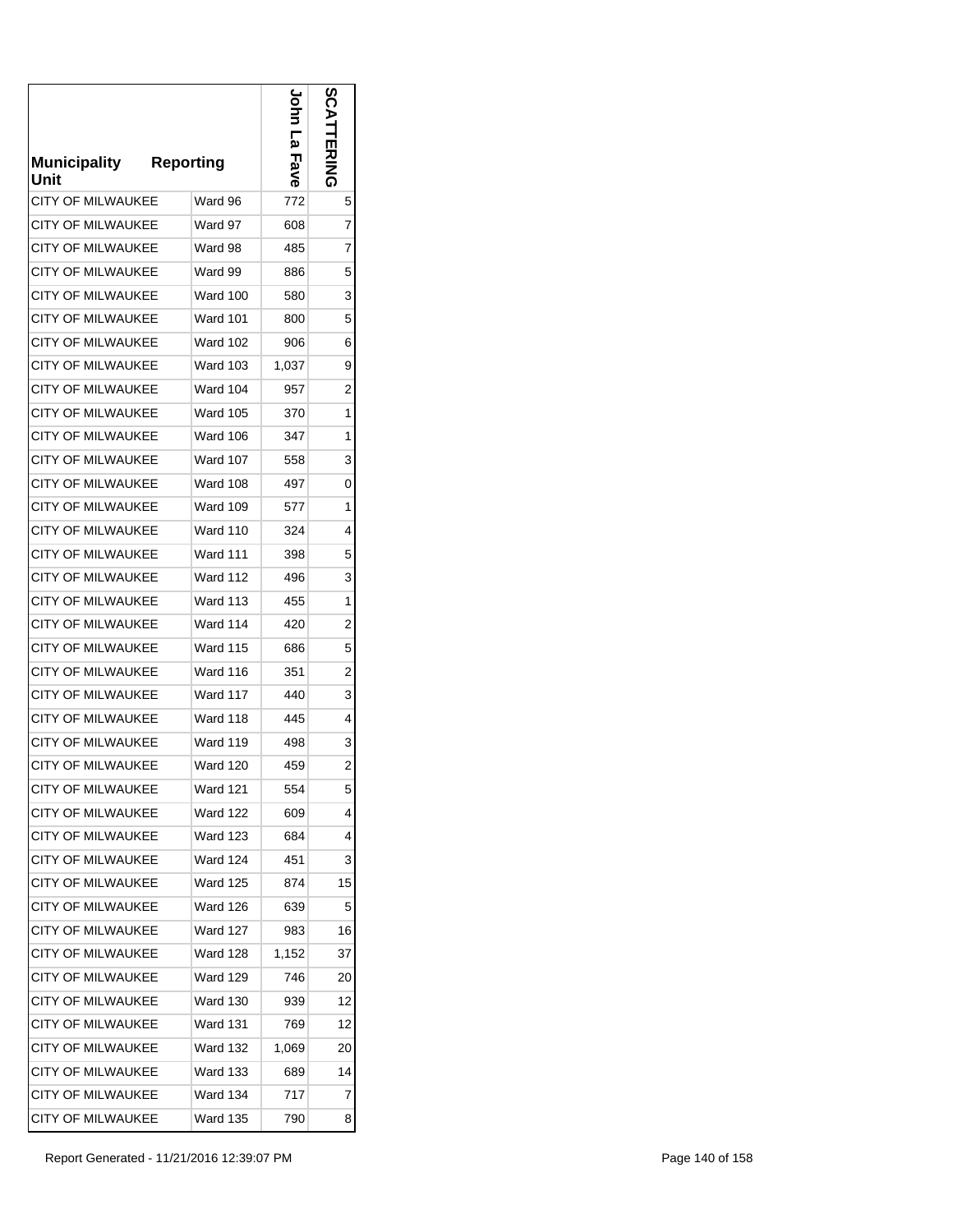| <b>Municipality</b><br>Unit | <b>Reporting</b> | لو<br>س<br>Fave | တ္လ<br><b>EXIND</b> |
|-----------------------------|------------------|-----------------|---------------------|
| <b>CITY OF MILWAUKEE</b>    | Ward 96          | 772             | 5                   |
| CITY OF MILWAUKEE           | Ward 97          | 608             | 7                   |
| <b>CITY OF MILWAUKEE</b>    | Ward 98          | 485             | 7                   |
| <b>CITY OF MILWAUKEE</b>    | Ward 99          | 886             | 5                   |
| <b>CITY OF MILWAUKEE</b>    | Ward 100         | 580             | 3                   |
| CITY OF MILWAUKEE           | Ward 101         | 800             | 5                   |
| <b>CITY OF MILWAUKEE</b>    | Ward 102         | 906             | 6                   |
| <b>CITY OF MILWAUKEE</b>    | Ward 103         | 1,037           | 9                   |
| <b>CITY OF MILWAUKEE</b>    | Ward 104         | 957             | 2                   |
| <b>CITY OF MILWAUKEE</b>    | <b>Ward 105</b>  | 370             | 1                   |
| <b>CITY OF MILWAUKEE</b>    | <b>Ward 106</b>  | 347             | 1                   |
| <b>CITY OF MILWAUKEE</b>    | Ward 107         | 558             | 3                   |
| <b>CITY OF MILWAUKEE</b>    | Ward 108         | 497             | 0                   |
| <b>CITY OF MILWAUKEE</b>    | Ward 109         | 577             | 1                   |
| <b>CITY OF MILWAUKEE</b>    | <b>Ward 110</b>  | 324             | 4                   |
| <b>CITY OF MILWAUKEE</b>    | <b>Ward 111</b>  | 398             | 5                   |
| <b>CITY OF MILWAUKEE</b>    | Ward 112         | 496             | 3                   |
| <b>CITY OF MILWAUKEE</b>    | Ward 113         | 455             | 1                   |
| <b>CITY OF MILWAUKEE</b>    | Ward 114         | 420             | $\overline{2}$      |
| <b>CITY OF MILWAUKEE</b>    | <b>Ward 115</b>  | 686             | 5                   |
| <b>CITY OF MILWAUKEE</b>    | Ward 116         | 351             | 2                   |
| <b>CITY OF MILWAUKEE</b>    | Ward 117         | 440             | 3                   |
| <b>CITY OF MILWAUKEE</b>    | Ward 118         | 445             | 4                   |
| <b>CITY OF MILWAUKEE</b>    | Ward 119         | 498             | 3                   |
| <b>CITY OF MILWAUKEE</b>    | <b>Ward 120</b>  | 459             | 2                   |
| <b>CITY OF MILWAUKEE</b>    | Ward 121         | 554             | 5                   |
| <b>CITY OF MILWAUKEE</b>    | <b>Ward 122</b>  | 609             | 4                   |
| <b>CITY OF MILWAUKEE</b>    | Ward 123         | 684             | 4                   |
| <b>CITY OF MILWAUKEE</b>    | <b>Ward 124</b>  | 451             | 3                   |
| CITY OF MILWAUKEE           | Ward 125         | 874             | 15                  |
| <b>CITY OF MILWAUKEE</b>    | Ward 126         | 639             | 5                   |
| <b>CITY OF MILWAUKEE</b>    | <b>Ward 127</b>  | 983             | 16                  |
| <b>CITY OF MILWAUKEE</b>    | Ward 128         | 1,152           | 37                  |
| <b>CITY OF MILWAUKEE</b>    | Ward 129         | 746             | 20                  |
| <b>CITY OF MILWAUKEE</b>    | <b>Ward 130</b>  | 939             | 12                  |
| CITY OF MILWAUKEE           | Ward 131         | 769             | 12                  |
| <b>CITY OF MILWAUKEE</b>    | Ward 132         | 1,069           | 20                  |
| <b>CITY OF MILWAUKEE</b>    | Ward 133         | 689             | 14                  |
| <b>CITY OF MILWAUKEE</b>    | <b>Ward 134</b>  | 717             | 7                   |
| <b>CITY OF MILWAUKEE</b>    | <b>Ward 135</b>  | 790             | 8                   |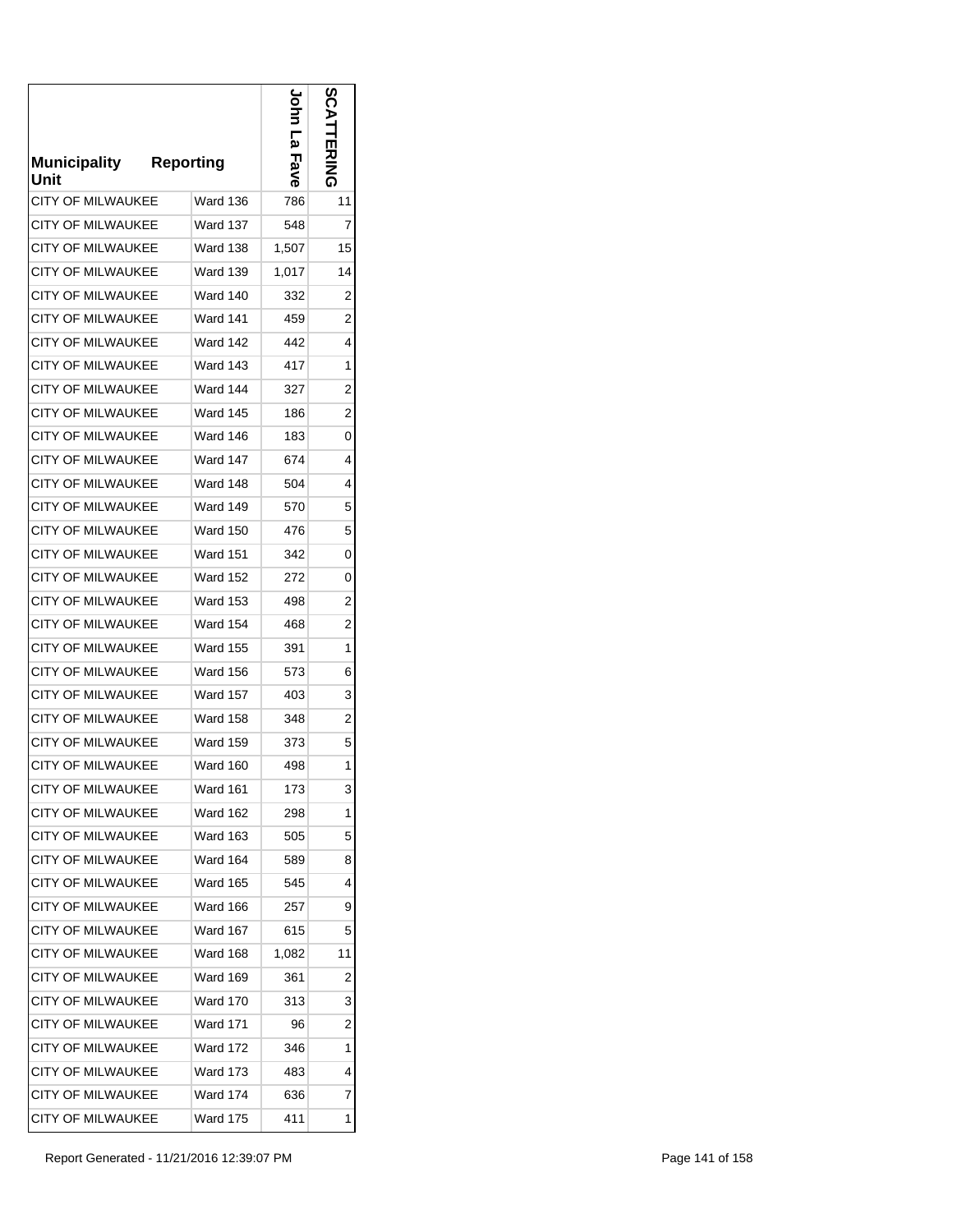| <b>Municipality</b><br>Unit | <b>Reporting</b> | <u>م</u><br>Fave | <b>S</b><br>こと ある |
|-----------------------------|------------------|------------------|-------------------|
| <b>CITY OF MILWAUKEE</b>    | Ward 136         | 786              | 11                |
| CITY OF MILWAUKEE           | Ward 137         | 548              | 7                 |
| <b>CITY OF MILWAUKEE</b>    | <b>Ward 138</b>  | 1,507            | 15                |
| <b>CITY OF MILWAUKEE</b>    | <b>Ward 139</b>  | 1,017            | 14                |
| <b>CITY OF MILWAUKEE</b>    | Ward 140         | 332              | 2                 |
| CITY OF MILWAUKEE           | Ward 141         | 459              | 2                 |
| <b>CITY OF MILWAUKEE</b>    | Ward 142         | 442              | 4                 |
| <b>CITY OF MILWAUKEE</b>    | Ward 143         | 417              | 1                 |
| <b>CITY OF MILWAUKEE</b>    | <b>Ward 144</b>  | 327              | 2                 |
| <b>CITY OF MILWAUKEE</b>    | Ward 145         | 186              | $\overline{c}$    |
| <b>CITY OF MILWAUKEE</b>    | <b>Ward 146</b>  | 183              | 0                 |
| <b>CITY OF MILWAUKEE</b>    | Ward 147         | 674              | 4                 |
| <b>CITY OF MILWAUKEE</b>    | Ward 148         | 504              | 4                 |
| <b>CITY OF MILWAUKEE</b>    | Ward 149         | 570              | 5                 |
| <b>CITY OF MILWAUKEE</b>    | <b>Ward 150</b>  | 476              | 5                 |
| <b>CITY OF MILWAUKEE</b>    | <b>Ward 151</b>  | 342              | 0                 |
| <b>CITY OF MILWAUKEE</b>    | <b>Ward 152</b>  | 272              | 0                 |
| <b>CITY OF MILWAUKEE</b>    | <b>Ward 153</b>  | 498              | 2                 |
| <b>CITY OF MILWAUKEE</b>    | <b>Ward 154</b>  | 468              | $\overline{c}$    |
| <b>CITY OF MILWAUKEE</b>    | <b>Ward 155</b>  | 391              | 1                 |
| <b>CITY OF MILWAUKEE</b>    | Ward 156         | 573              | 6                 |
| <b>CITY OF MILWAUKEE</b>    | <b>Ward 157</b>  | 403              | 3                 |
| <b>CITY OF MILWAUKEE</b>    | <b>Ward 158</b>  | 348              | 2                 |
| <b>CITY OF MILWAUKEE</b>    | <b>Ward 159</b>  | 373              | 5                 |
| <b>CITY OF MILWAUKEE</b>    | <b>Ward 160</b>  | 498              | 1                 |
| <b>CITY OF MILWAUKEE</b>    | Ward 161         | 173              | 3                 |
| <b>CITY OF MILWAUKEE</b>    | <b>Ward 162</b>  | 298              | 1                 |
| <b>CITY OF MILWAUKEE</b>    | Ward 163         | 505              | 5                 |
| <b>CITY OF MILWAUKEE</b>    | <b>Ward 164</b>  | 589              | 8                 |
| CITY OF MILWAUKEE           | Ward 165         | 545              | 4                 |
| <b>CITY OF MILWAUKEE</b>    | Ward 166         | 257              | 9                 |
| CITY OF MILWAUKEE           | Ward 167         | 615              | 5                 |
| <b>CITY OF MILWAUKEE</b>    | Ward 168         | 1,082            | 11                |
| <b>CITY OF MILWAUKEE</b>    | Ward 169         | 361              | 2                 |
| <b>CITY OF MILWAUKEE</b>    | <b>Ward 170</b>  | 313              | 3                 |
| CITY OF MILWAUKEE           | <b>Ward 171</b>  | 96               | 2                 |
| <b>CITY OF MILWAUKEE</b>    | Ward 172         | 346              | 1                 |
| <b>CITY OF MILWAUKEE</b>    | <b>Ward 173</b>  | 483              | 4                 |
| <b>CITY OF MILWAUKEE</b>    | <b>Ward 174</b>  | 636              | 7                 |
| CITY OF MILWAUKEE           | Ward 175         | 411              | 1                 |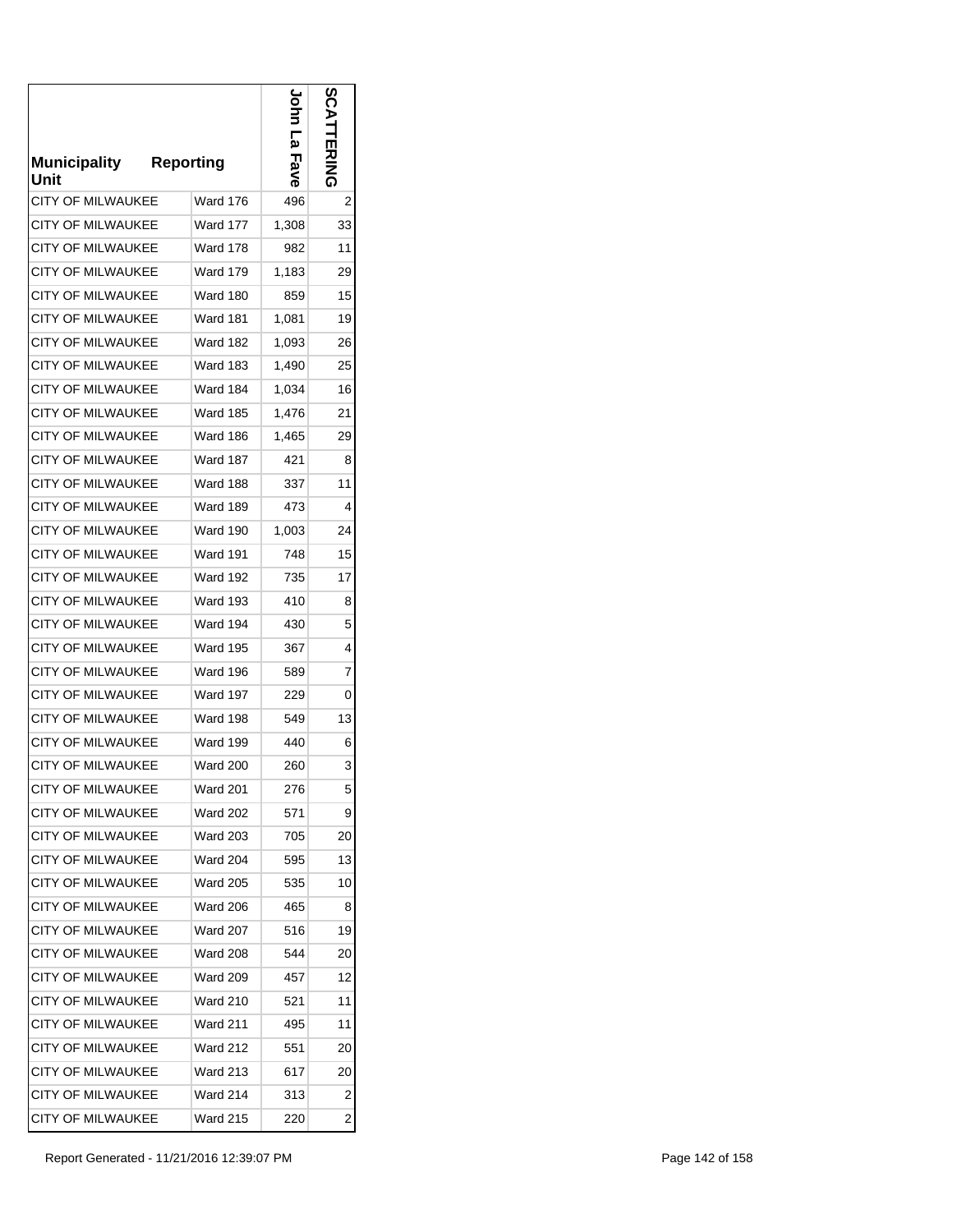| <b>Municipality</b><br>Unit | <b>Reporting</b> | <u>م</u><br>Fave | ທ  |
|-----------------------------|------------------|------------------|----|
| <b>CITY OF MILWAUKEE</b>    | <b>Ward 176</b>  | 496              | 2  |
| CITY OF MILWAUKEE           | Ward 177         | 1,308            | 33 |
| <b>CITY OF MILWAUKEE</b>    | <b>Ward 178</b>  | 982              | 11 |
| <b>CITY OF MILWAUKEE</b>    | Ward 179         | 1,183            | 29 |
| <b>CITY OF MILWAUKEE</b>    | <b>Ward 180</b>  | 859              | 15 |
| <b>CITY OF MILWAUKEE</b>    | Ward 181         | 1,081            | 19 |
| <b>CITY OF MILWAUKEE</b>    | Ward 182         | 1,093            | 26 |
| <b>CITY OF MILWAUKEE</b>    | Ward 183         | 1,490            | 25 |
| <b>CITY OF MILWAUKEE</b>    | Ward 184         | 1,034            | 16 |
| <b>CITY OF MILWAUKEE</b>    | Ward 185         | 1,476            | 21 |
| <b>CITY OF MILWAUKEE</b>    | Ward 186         | 1,465            | 29 |
| <b>CITY OF MILWAUKEE</b>    | <b>Ward 187</b>  | 421              | 8  |
| <b>CITY OF MILWAUKEE</b>    | Ward 188         | 337              | 11 |
| <b>CITY OF MILWAUKEE</b>    | <b>Ward 189</b>  | 473              | 4  |
| <b>CITY OF MILWAUKEE</b>    | Ward 190         | 1,003            | 24 |
| <b>CITY OF MILWAUKEE</b>    | <b>Ward 191</b>  | 748              | 15 |
| CITY OF MILWAUKEE           | Ward 192         | 735              | 17 |
| <b>CITY OF MILWAUKEE</b>    | Ward 193         | 410              | 8  |
| <b>CITY OF MILWAUKEE</b>    | Ward 194         | 430              | 5  |
| <b>CITY OF MILWAUKEE</b>    | Ward 195         | 367              | 4  |
| <b>CITY OF MILWAUKEE</b>    | Ward 196         | 589              | 7  |
| <b>CITY OF MILWAUKEE</b>    | Ward 197         | 229              | 0  |
| <b>CITY OF MILWAUKEE</b>    | Ward 198         | 549              | 13 |
| <b>CITY OF MILWAUKEE</b>    | <b>Ward 199</b>  | 440              | 6  |
| <b>CITY OF MILWAUKEE</b>    | <b>Ward 200</b>  | 260              | 3  |
| <b>CITY OF MILWAUKEE</b>    | Ward 201         | 276              | 5  |
| <b>CITY OF MILWAUKEE</b>    | <b>Ward 202</b>  | 571              | 9  |
| <b>CITY OF MILWAUKEE</b>    | <b>Ward 203</b>  | 705              | 20 |
| <b>CITY OF MILWAUKEE</b>    | Ward 204         | 595              | 13 |
| <b>CITY OF MILWAUKEE</b>    | <b>Ward 205</b>  | 535              | 10 |
| <b>CITY OF MILWAUKEE</b>    | Ward 206         | 465              | 8  |
| <b>CITY OF MILWAUKEE</b>    | <b>Ward 207</b>  | 516              | 19 |
| <b>CITY OF MILWAUKEE</b>    | <b>Ward 208</b>  | 544              | 20 |
| <b>CITY OF MILWAUKEE</b>    | Ward 209         | 457              | 12 |
| <b>CITY OF MILWAUKEE</b>    | Ward 210         | 521              | 11 |
| <b>CITY OF MILWAUKEE</b>    | Ward 211         | 495              | 11 |
| <b>CITY OF MILWAUKEE</b>    | Ward 212         | 551              | 20 |
| <b>CITY OF MILWAUKEE</b>    | Ward 213         | 617              | 20 |
| <b>CITY OF MILWAUKEE</b>    | <b>Ward 214</b>  | 313              | 2  |
| <b>CITY OF MILWAUKEE</b>    | <b>Ward 215</b>  | 220              | 2  |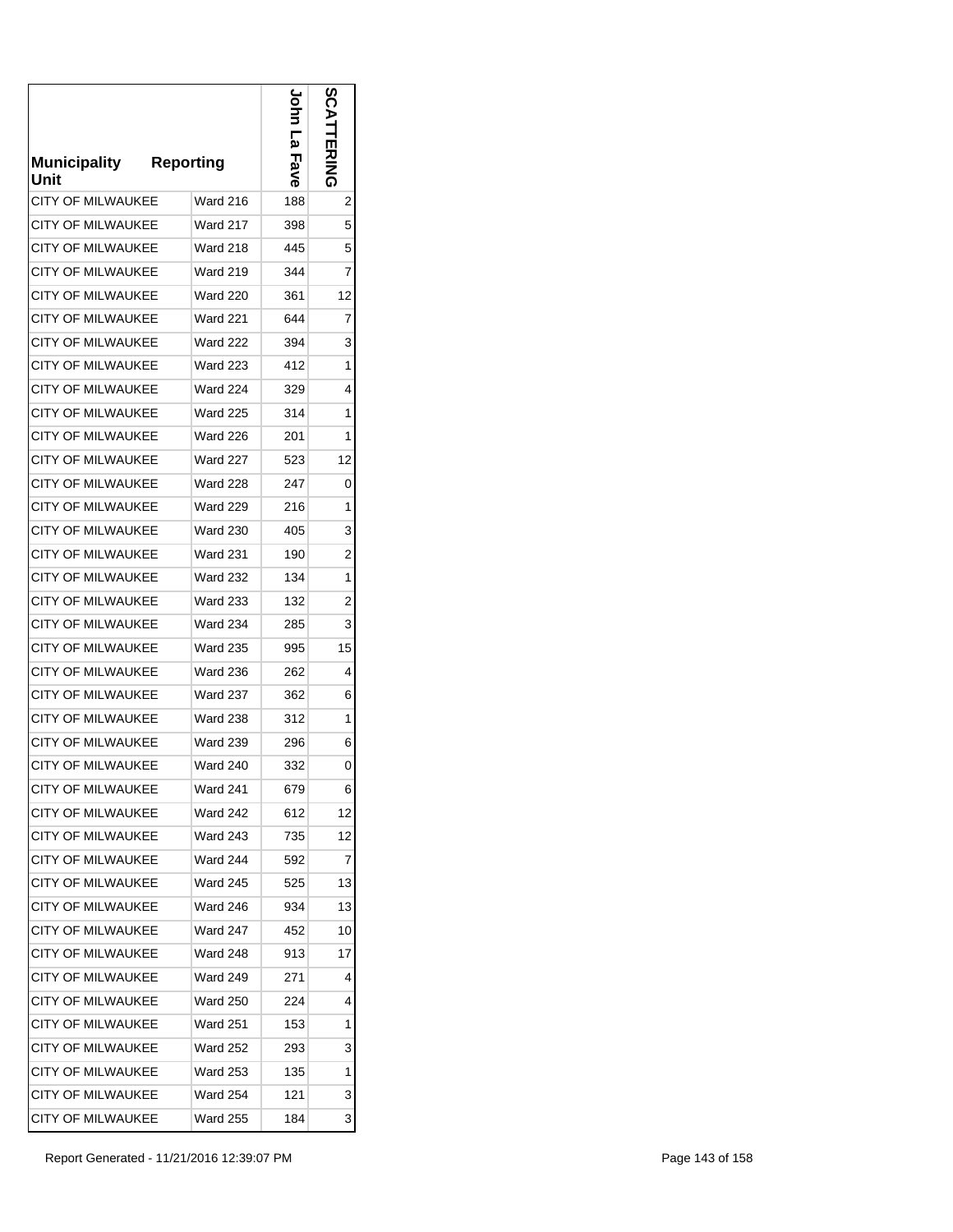| <b>Municipality</b><br>Unit | <b>Reporting</b> | р<br>Ω<br>Fave | တ္လ<br>ことにゅう |
|-----------------------------|------------------|----------------|--------------|
| <b>CITY OF MILWAUKEE</b>    | <b>Ward 216</b>  | 188            | 2            |
| CITY OF MILWAUKEE           | Ward 217         | 398            | 5            |
| <b>CITY OF MILWAUKEE</b>    | <b>Ward 218</b>  | 445            | 5            |
| <b>CITY OF MILWAUKEE</b>    | <b>Ward 219</b>  | 344            | 7            |
| <b>CITY OF MILWAUKEE</b>    | <b>Ward 220</b>  | 361            | 12           |
| CITY OF MILWAUKEE           | Ward 221         | 644            | 7            |
| <b>CITY OF MILWAUKEE</b>    | <b>Ward 222</b>  | 394            | 3            |
| <b>CITY OF MILWAUKEE</b>    | Ward 223         | 412            | 1            |
| <b>CITY OF MILWAUKEE</b>    | Ward 224         | 329            | 4            |
| <b>CITY OF MILWAUKEE</b>    | <b>Ward 225</b>  | 314            | 1            |
| <b>CITY OF MILWAUKEE</b>    | <b>Ward 226</b>  | 201            | 1            |
| <b>CITY OF MILWAUKEE</b>    | <b>Ward 227</b>  | 523            | 12           |
| <b>CITY OF MILWAUKEE</b>    | <b>Ward 228</b>  | 247            | 0            |
| <b>CITY OF MILWAUKEE</b>    | <b>Ward 229</b>  | 216            | 1            |
| <b>CITY OF MILWAUKEE</b>    | <b>Ward 230</b>  | 405            | 3            |
| CITY OF MILWAUKEE           | <b>Ward 231</b>  | 190            | 2            |
| <b>CITY OF MILWAUKEE</b>    | <b>Ward 232</b>  | 134            | 1            |
| <b>CITY OF MILWAUKEE</b>    | <b>Ward 233</b>  | 132            | 2            |
| <b>CITY OF MILWAUKEE</b>    | <b>Ward 234</b>  | 285            | 3            |
| <b>CITY OF MILWAUKEE</b>    | <b>Ward 235</b>  | 995            | 15           |
| CITY OF MILWAUKEE           | <b>Ward 236</b>  | 262            | 4            |
| <b>CITY OF MILWAUKEE</b>    | <b>Ward 237</b>  | 362            | 6            |
| <b>CITY OF MILWAUKEE</b>    | <b>Ward 238</b>  | 312            | 1            |
| <b>CITY OF MILWAUKEE</b>    | <b>Ward 239</b>  | 296            | 6            |
| <b>CITY OF MILWAUKEE</b>    | <b>Ward 240</b>  | 332            | 0            |
| <b>CITY OF MILWAUKEE</b>    | Ward 241         | 679            | 6            |
| <b>CITY OF MILWAUKEE</b>    | Ward 242         | 612            | 12           |
| <b>CITY OF MILWAUKEE</b>    | <b>Ward 243</b>  | 735            | 12           |
| <b>CITY OF MILWAUKEE</b>    | Ward 244         | 592            | 7            |
| <b>CITY OF MILWAUKEE</b>    | <b>Ward 245</b>  | 525            | 13           |
| <b>CITY OF MILWAUKEE</b>    | Ward 246         | 934            | 13           |
| CITY OF MILWAUKEE           | <b>Ward 247</b>  | 452            | 10           |
| <b>CITY OF MILWAUKEE</b>    | Ward 248         | 913            | 17           |
| <b>CITY OF MILWAUKEE</b>    | Ward 249         | 271            | 4            |
| <b>CITY OF MILWAUKEE</b>    | Ward 250         | 224            | 4            |
| CITY OF MILWAUKEE           | <b>Ward 251</b>  | 153            | 1            |
| CITY OF MILWAUKEE           | Ward 252         | 293            | 3            |
| <b>CITY OF MILWAUKEE</b>    | <b>Ward 253</b>  | 135            | 1            |
| <b>CITY OF MILWAUKEE</b>    | Ward 254         | 121            | 3            |
| CITY OF MILWAUKEE           | <b>Ward 255</b>  | 184            | 3            |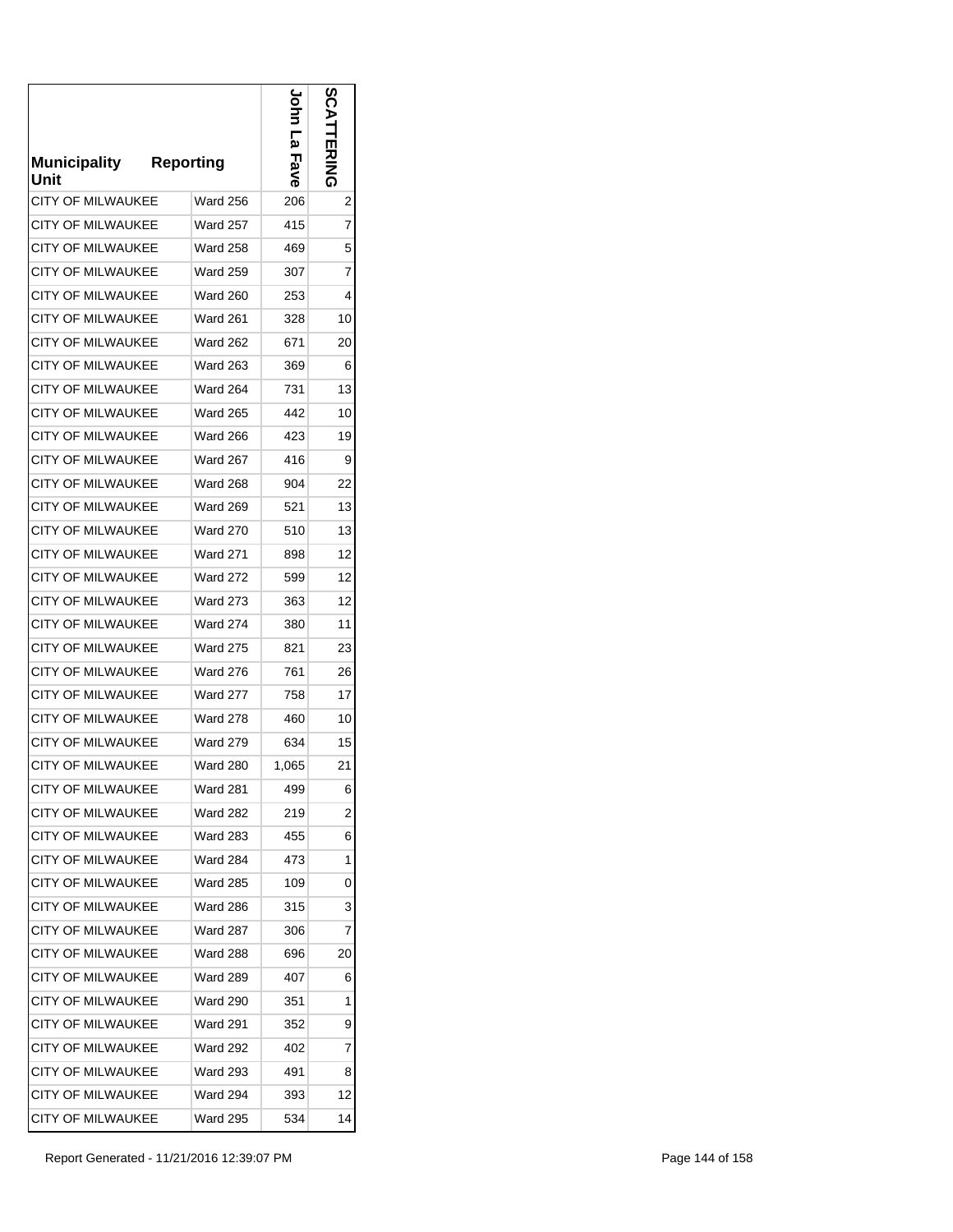| <b>Municipality</b><br>Unit | <b>Reporting</b> | <u>م</u><br>Fave | ပ္ပ |
|-----------------------------|------------------|------------------|-----|
| <b>CITY OF MILWAUKEE</b>    | <b>Ward 256</b>  | 206              | 2   |
| CITY OF MILWAUKEE           | Ward 257         | 415              | 7   |
| <b>CITY OF MILWAUKEE</b>    | <b>Ward 258</b>  | 469              | 5   |
| <b>CITY OF MILWAUKEE</b>    | Ward 259         | 307              | 7   |
| CITY OF MILWAUKEE           | <b>Ward 260</b>  | 253              | 4   |
| CITY OF MILWAUKEE           | Ward 261         | 328              | 10  |
| <b>CITY OF MILWAUKEE</b>    | <b>Ward 262</b>  | 671              | 20  |
| <b>CITY OF MILWAUKEE</b>    | Ward 263         | 369              | 6   |
| <b>CITY OF MILWAUKEE</b>    | Ward 264         | 731              | 13  |
| <b>CITY OF MILWAUKEE</b>    | <b>Ward 265</b>  | 442              | 10  |
| <b>CITY OF MILWAUKEE</b>    | <b>Ward 266</b>  | 423              | 19  |
| <b>CITY OF MILWAUKEE</b>    | <b>Ward 267</b>  | 416              | 9   |
| CITY OF MILWAUKEE           | <b>Ward 268</b>  | 904              | 22  |
| <b>CITY OF MILWAUKEE</b>    | <b>Ward 269</b>  | 521              | 13  |
| <b>CITY OF MILWAUKEE</b>    | <b>Ward 270</b>  | 510              | 13  |
| <b>CITY OF MILWAUKEE</b>    | <b>Ward 271</b>  | 898              | 12  |
| <b>CITY OF MILWAUKEE</b>    | <b>Ward 272</b>  | 599              | 12  |
| <b>CITY OF MILWAUKEE</b>    | <b>Ward 273</b>  | 363              | 12  |
| <b>CITY OF MILWAUKEE</b>    | <b>Ward 274</b>  | 380              | 11  |
| <b>CITY OF MILWAUKEE</b>    | <b>Ward 275</b>  | 821              | 23  |
| CITY OF MILWAUKEE           | <b>Ward 276</b>  | 761              | 26  |
| <b>CITY OF MILWAUKEE</b>    | Ward 277         | 758              | 17  |
| <b>CITY OF MILWAUKEE</b>    | <b>Ward 278</b>  | 460              | 10  |
| <b>CITY OF MILWAUKEE</b>    | <b>Ward 279</b>  | 634              | 15  |
| <b>CITY OF MILWAUKEE</b>    | <b>Ward 280</b>  | 1,065            | 21  |
| CITY OF MILWAUKEE           | Ward 281         | 499              | 6   |
| <b>CITY OF MILWAUKEE</b>    | Ward 282         | 219              | 2   |
| <b>CITY OF MILWAUKEE</b>    | <b>Ward 283</b>  | 455              | 6   |
| <b>CITY OF MILWAUKEE</b>    | Ward 284         | 473              | 1   |
| <b>CITY OF MILWAUKEE</b>    | Ward 285         | 109              | 0   |
| <b>CITY OF MILWAUKEE</b>    | Ward 286         | 315              | 3   |
| <b>CITY OF MILWAUKEE</b>    | Ward 287         | 306              | 7   |
| <b>CITY OF MILWAUKEE</b>    | Ward 288         | 696              | 20  |
| <b>CITY OF MILWAUKEE</b>    | Ward 289         | 407              | 6   |
| <b>CITY OF MILWAUKEE</b>    | Ward 290         | 351              | 1   |
| <b>CITY OF MILWAUKEE</b>    | Ward 291         | 352              | 9   |
| <b>CITY OF MILWAUKEE</b>    | Ward 292         | 402              | 7   |
| <b>CITY OF MILWAUKEE</b>    | <b>Ward 293</b>  | 491              | 8   |
| <b>CITY OF MILWAUKEE</b>    | <b>Ward 294</b>  | 393              | 12  |
| CITY OF MILWAUKEE           | <b>Ward 295</b>  | 534              | 14  |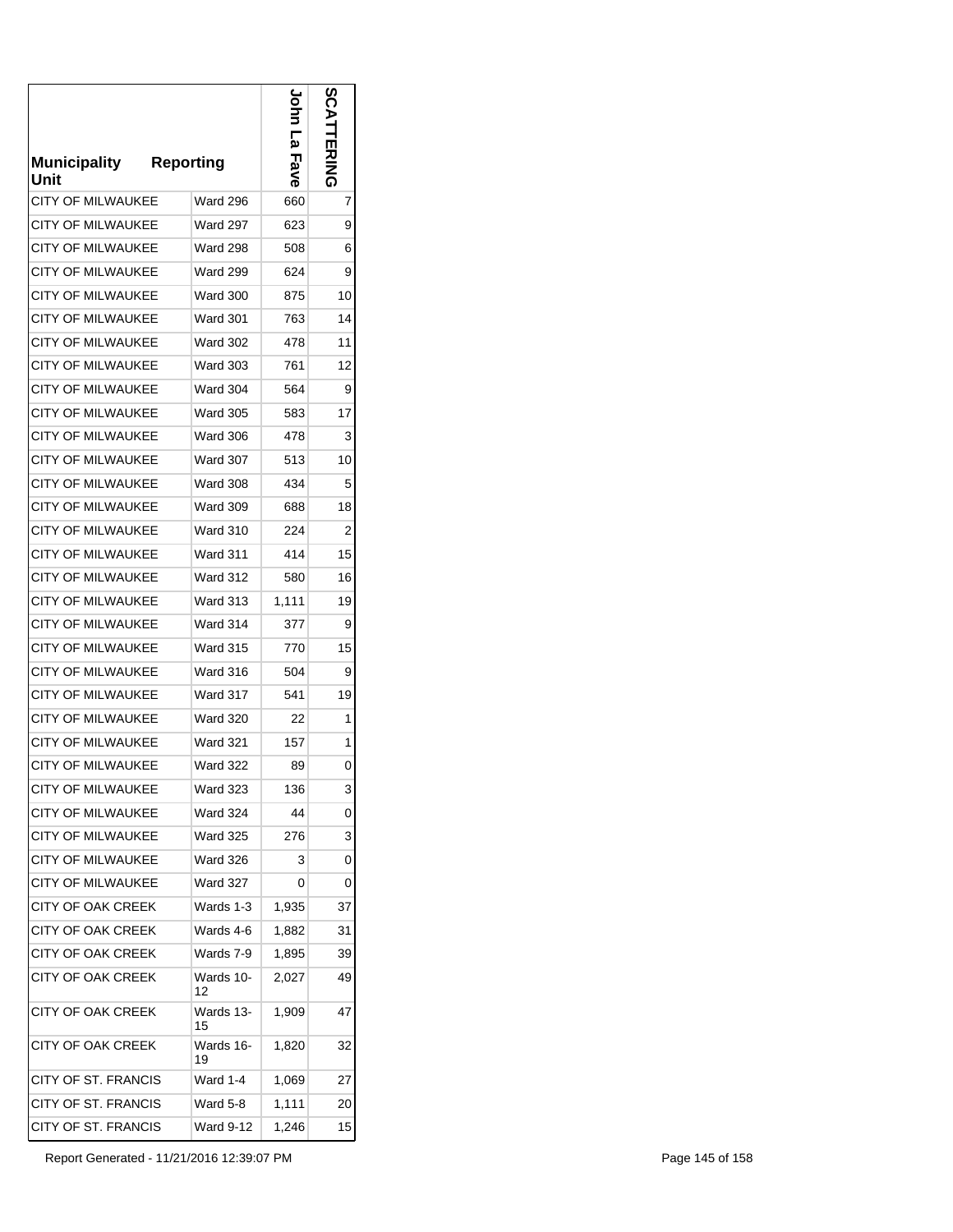| <b>Municipality</b><br>Unit | <b>Reporting</b> | <u>م</u><br>Fave | <b>S</b><br>ことにゅう |
|-----------------------------|------------------|------------------|-------------------|
| <b>CITY OF MILWAUKEE</b>    | <b>Ward 296</b>  | 660              | 7                 |
| CITY OF MILWAUKEE           | Ward 297         | 623              | 9                 |
| <b>CITY OF MILWAUKEE</b>    | <b>Ward 298</b>  | 508              | 6                 |
| <b>CITY OF MILWAUKEE</b>    | <b>Ward 299</b>  | 624              | 9                 |
| <b>CITY OF MILWAUKEE</b>    | <b>Ward 300</b>  | 875              | 10                |
| CITY OF MILWAUKEE           | Ward 301         | 763              | 14                |
| <b>CITY OF MILWAUKEE</b>    | Ward 302         | 478              | 11                |
| <b>CITY OF MILWAUKEE</b>    | Ward 303         | 761              | 12                |
| <b>CITY OF MILWAUKEE</b>    | Ward 304         | 564              | 9                 |
| <b>CITY OF MILWAUKEE</b>    | <b>Ward 305</b>  | 583              | 17                |
| <b>CITY OF MILWAUKEE</b>    | <b>Ward 306</b>  | 478              | 3                 |
| <b>CITY OF MILWAUKEE</b>    | <b>Ward 307</b>  | 513              | 10                |
| <b>CITY OF MILWAUKEE</b>    | <b>Ward 308</b>  | 434              | 5                 |
| <b>CITY OF MILWAUKEE</b>    | <b>Ward 309</b>  | 688              | 18                |
| <b>CITY OF MILWAUKEE</b>    | <b>Ward 310</b>  | 224              | 2                 |
| <b>CITY OF MILWAUKEE</b>    | <b>Ward 311</b>  | 414              | 15                |
| <b>CITY OF MILWAUKEE</b>    | <b>Ward 312</b>  | 580              | 16                |
| <b>CITY OF MILWAUKEE</b>    | <b>Ward 313</b>  | 1,111            | 19                |
| <b>CITY OF MILWAUKEE</b>    | Ward 314         | 377              | 9                 |
| <b>CITY OF MILWAUKEE</b>    | <b>Ward 315</b>  | 770              | 15                |
| CITY OF MILWAUKEE           | Ward 316         | 504              | 9                 |
| <b>CITY OF MILWAUKEE</b>    | Ward 317         | 541              | 19                |
| <b>CITY OF MILWAUKEE</b>    | <b>Ward 320</b>  | 22               | 1                 |
| <b>CITY OF MILWAUKEE</b>    | <b>Ward 321</b>  | 157              | 1                 |
| <b>CITY OF MILWAUKEE</b>    | <b>Ward 322</b>  | 89               | 0                 |
| CITY OF MILWAUKEE           | Ward 323         | 136              | 3                 |
| CITY OF MILWAUKEE           | <b>Ward 324</b>  | 44               | 0                 |
| <b>CITY OF MILWAUKEE</b>    | <b>Ward 325</b>  | 276              | 3                 |
| CITY OF MILWAUKEE           | Ward 326         | 3                | 0                 |
| CITY OF MILWAUKEE           | <b>Ward 327</b>  | 0                | 0                 |
| CITY OF OAK CREEK           | Wards 1-3        | 1,935            | 37                |
| CITY OF OAK CREEK           | Wards 4-6        | 1.882            | 31                |
| <b>CITY OF OAK CREEK</b>    | Wards 7-9        | 1,895            | 39                |
| <b>CITY OF OAK CREEK</b>    | Wards 10-<br>12  | 2,027            | 49                |
| <b>CITY OF OAK CREEK</b>    | Wards 13-<br>15  | 1,909            | 47                |
| CITY OF OAK CREEK           | Wards 16-<br>19  | 1,820            | 32                |
| CITY OF ST. FRANCIS         | Ward 1-4         | 1,069            | 27                |
| CITY OF ST. FRANCIS         | Ward 5-8         | 1,111            | 20                |
| CITY OF ST. FRANCIS         | Ward 9-12        | 1,246            | 15                |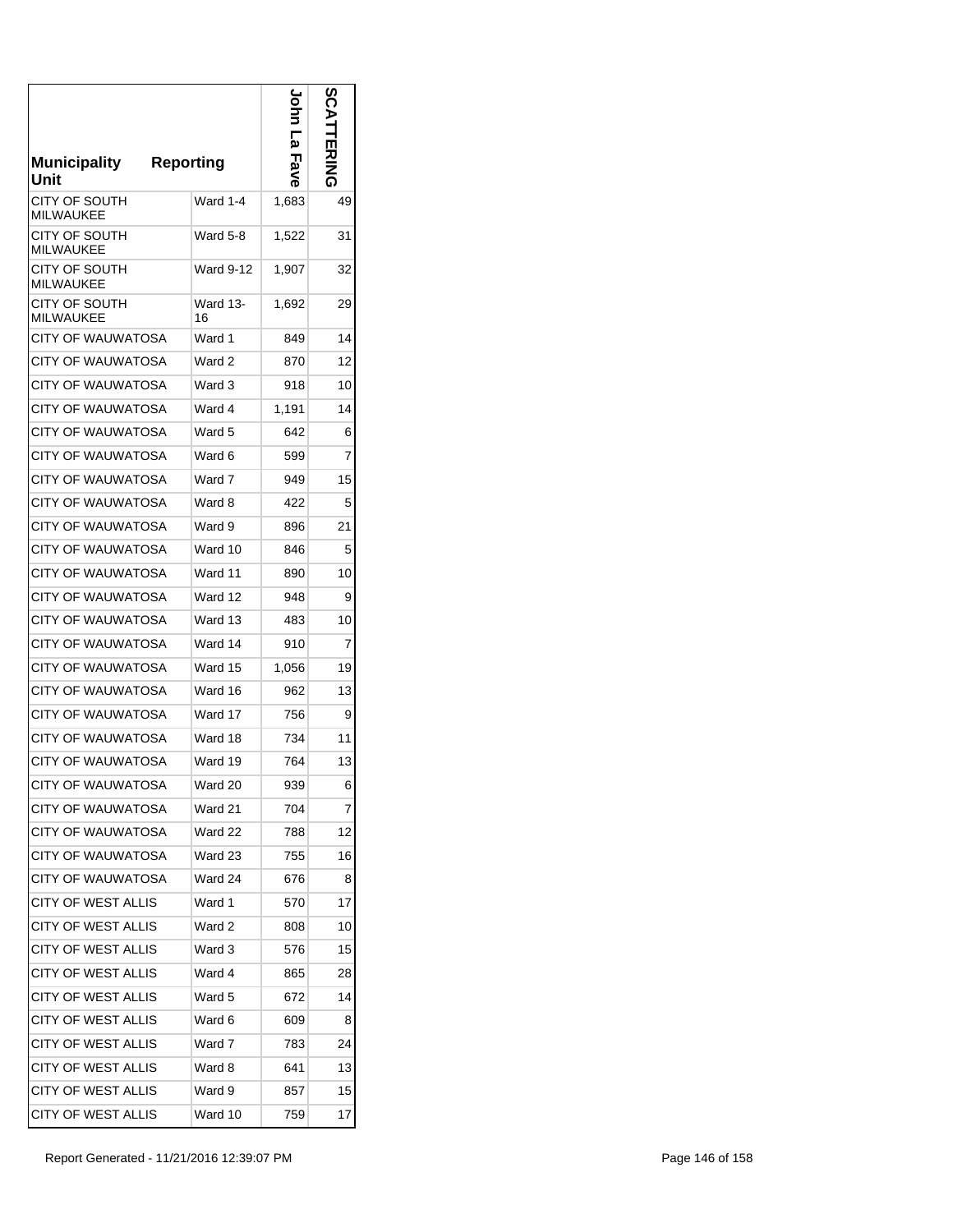| <b>Municipality</b><br>Unit       | <b>Reporting</b> | ا<br>ھ<br>Fave | n<br><b>EXIMA</b> |
|-----------------------------------|------------------|----------------|-------------------|
| CITY OF SOUTH<br><b>MILWAUKEE</b> | Ward 1-4         | 1,683          | 49                |
| CITY OF SOUTH<br><b>MILWAUKEE</b> | Ward 5-8         | 1,522          | 31                |
| CITY OF SOUTH<br><b>MILWAUKEE</b> | <b>Ward 9-12</b> | 1,907          | 32                |
| CITY OF SOUTH<br><b>MILWAUKEE</b> | Ward 13-<br>16   | 1,692          | 29                |
| CITY OF WAUWATOSA                 | Ward 1           | 849            | 14                |
| <b>CITY OF WAUWATOSA</b>          | Ward 2           | 870            | 12                |
| CITY OF WAUWATOSA                 | Ward 3           | 918            | 10                |
| CITY OF WAUWATOSA                 | Ward 4           | 1,191          | 14                |
| CITY OF WAUWATOSA                 | Ward 5           | 642            | 6                 |
| CITY OF WAUWATOSA                 | Ward 6           | 599            | 7                 |
| <b>CITY OF WAUWATOSA</b>          | Ward 7           | 949            | 15                |
| CITY OF WAUWATOSA                 | Ward 8           | 422            | 5                 |
| <b>CITY OF WAUWATOSA</b>          | Ward 9           | 896            | 21                |
| CITY OF WAUWATOSA                 | Ward 10          | 846            | 5                 |
| <b>CITY OF WAUWATOSA</b>          | Ward 11          | 890            | 10                |
| CITY OF WAUWATOSA                 | Ward 12          | 948            | 9                 |
| CITY OF WAUWATOSA                 | Ward 13          | 483            | 10                |
| CITY OF WAUWATOSA                 | Ward 14          | 910            | 7                 |
| CITY OF WAUWATOSA                 | Ward 15          | 1,056          | 19                |
| CITY OF WAUWATOSA                 | Ward 16          | 962            | 13                |
| CITY OF WAUWATOSA                 | Ward 17          | 756            | 9                 |
| CITY OF WAUWATOSA                 | Ward 18          | 734            | 11                |
| <b>CITY OF WAUWATOSA</b>          | Ward 19          | 764            | 13                |
| CITY OF WAUWATOSA                 | Ward 20          | 939            | 6                 |
| CITY OF WAUWATOSA                 | Ward 21          | 704            | 7                 |
| <b>CITY OF WAUWATOSA</b>          | Ward 22          | 788            | 12                |
| <b>CITY OF WAUWATOSA</b>          | Ward 23          | 755            | 16                |
| <b>CITY OF WAUWATOSA</b>          | Ward 24          | 676            | 8                 |
| CITY OF WEST ALLIS                | Ward 1           | 570            | 17                |
| CITY OF WEST ALLIS                | Ward 2           | 808            | 10                |
| CITY OF WEST ALLIS                | Ward 3           | 576            | 15                |
| <b>CITY OF WEST ALLIS</b>         | Ward 4           | 865            | 28                |
| CITY OF WEST ALLIS                | Ward 5           | 672            | 14                |
| <b>CITY OF WEST ALLIS</b>         | Ward 6           | 609            | 8                 |
| <b>CITY OF WEST ALLIS</b>         | Ward 7           | 783            | 24                |
| <b>CITY OF WEST ALLIS</b>         | Ward 8           | 641            | 13                |
| CITY OF WEST ALLIS                | Ward 9           | 857            | 15                |
| <b>CITY OF WEST ALLIS</b>         | Ward 10          | 759            | 17                |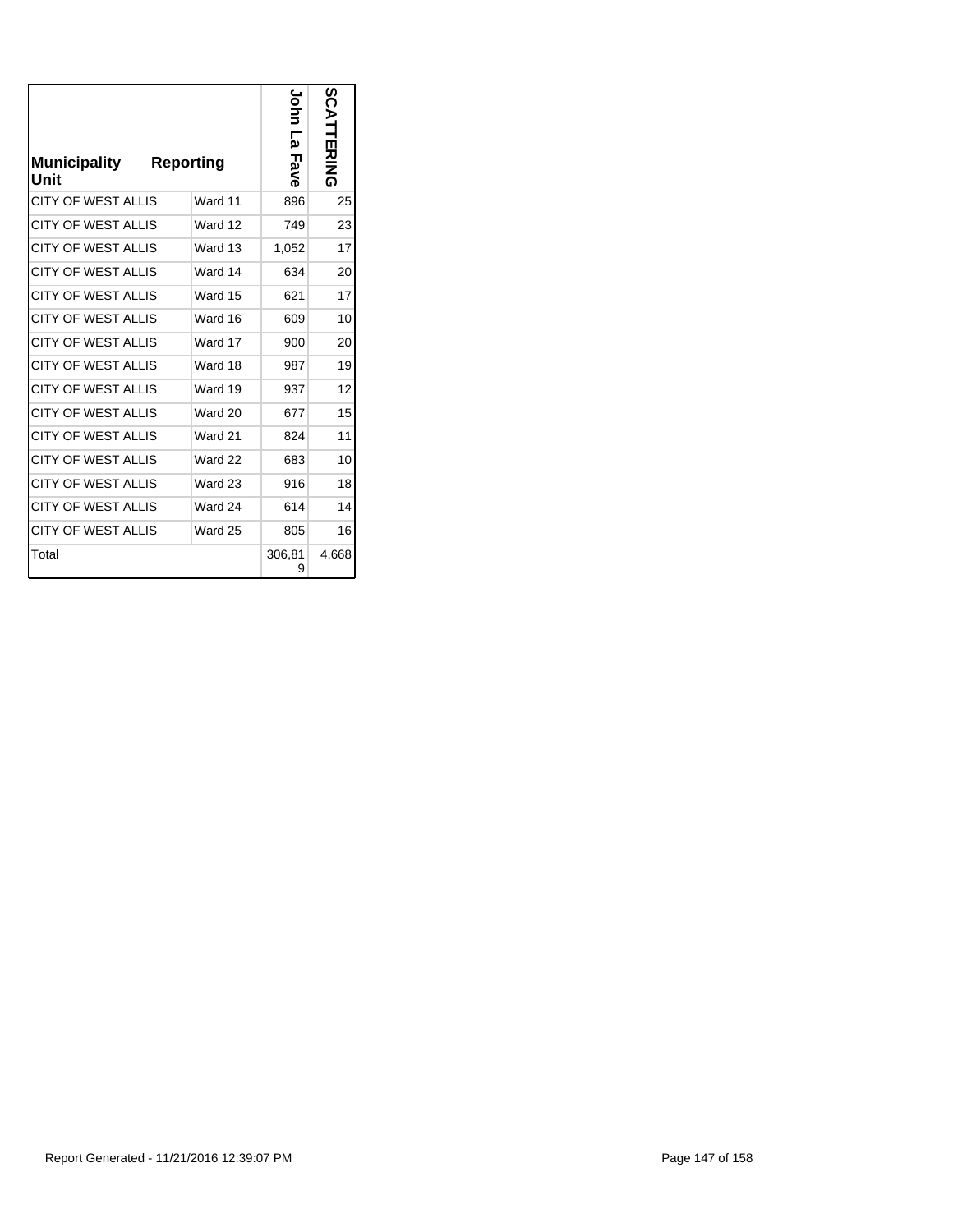| <b>Municipality</b><br>Unit | <b>Reporting</b> |         | John<br>Σ<br>Fave | n<br>Ö<br>D<br><b>ボスラム</b> |
|-----------------------------|------------------|---------|-------------------|----------------------------|
| <b>CITY OF WEST ALLIS</b>   |                  | Ward 11 | 896               | 25                         |
| <b>CITY OF WEST ALLIS</b>   |                  | Ward 12 | 749               | 23                         |
| <b>CITY OF WEST ALLIS</b>   |                  | Ward 13 | 1,052             | 17                         |
| <b>CITY OF WEST ALLIS</b>   |                  | Ward 14 | 634               | 20                         |
| <b>CITY OF WEST ALLIS</b>   |                  | Ward 15 | 621               | 17                         |
| <b>CITY OF WEST ALLIS</b>   |                  | Ward 16 | 609               | 10                         |
| <b>CITY OF WEST ALLIS</b>   |                  | Ward 17 | 900               | 20                         |
| <b>CITY OF WEST ALLIS</b>   |                  | Ward 18 | 987               | 19                         |
| <b>CITY OF WEST ALLIS</b>   |                  | Ward 19 | 937               | 12                         |
| <b>CITY OF WEST ALLIS</b>   |                  | Ward 20 | 677               | 15                         |
| <b>CITY OF WEST ALLIS</b>   |                  | Ward 21 | 824               | 11                         |
| <b>CITY OF WEST ALLIS</b>   |                  | Ward 22 | 683               | 10                         |
| <b>CITY OF WEST ALLIS</b>   |                  | Ward 23 | 916               | 18                         |
| <b>CITY OF WEST ALLIS</b>   |                  | Ward 24 | 614               | 14                         |
| <b>CITY OF WEST ALLIS</b>   |                  | Ward 25 | 805               | 16                         |
| Total                       |                  |         | 306,81<br>9       | 4,668                      |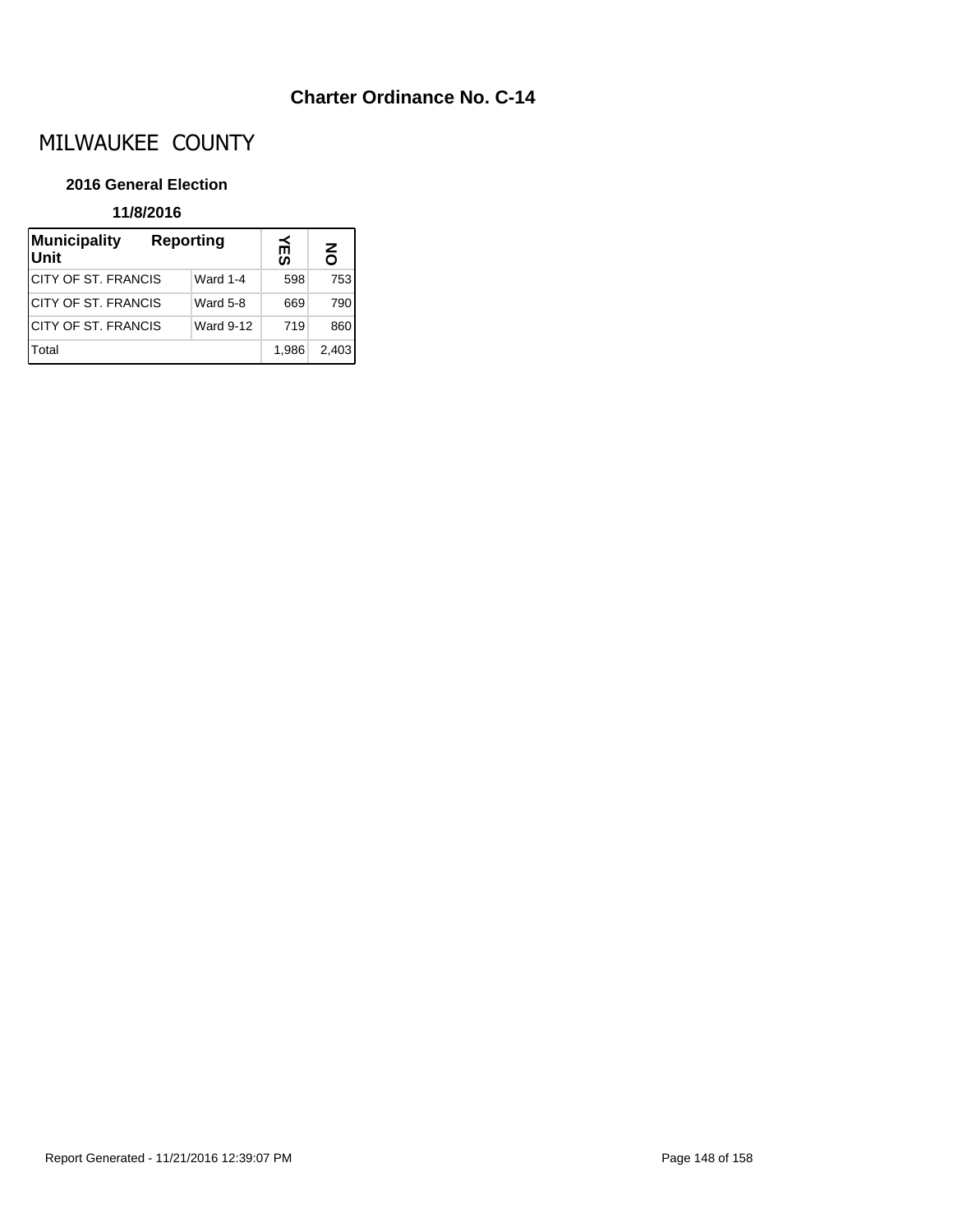## **Charter Ordinance No. C-14**

# MILWAUKEE COUNTY

## **2016 General Election**

## **11/8/2016**

| Municipality<br>Reporting<br><b>Unit</b> |                  | ⊯ິ    | $\overline{6}$ |
|------------------------------------------|------------------|-------|----------------|
| <b>ICITY OF ST. FRANCIS</b>              | <b>Ward 1-4</b>  | 598   | 753            |
| <b>ICITY OF ST. FRANCIS</b>              | <b>Ward 5-8</b>  | 669   | 790            |
| <b>ICITY OF ST. FRANCIS</b>              | <b>Ward 9-12</b> | 719   | 860            |
| Total                                    |                  | 1.986 | 2.403          |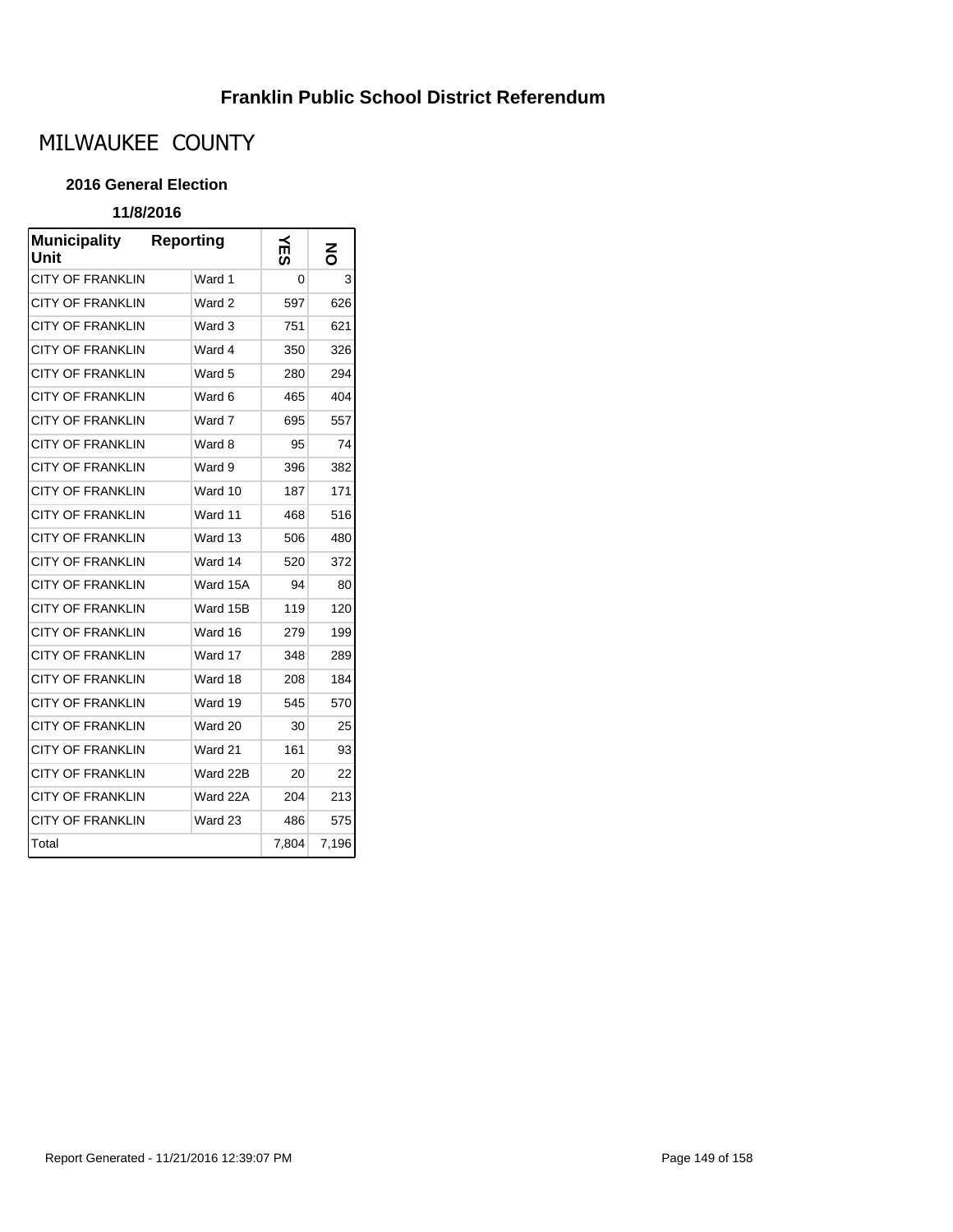## **Franklin Public School District Referendum**

# MILWAUKEE COUNTY

## **2016 General Election**

## **11/8/2016**

| <b>Municipality</b><br>Unit | <b>Reporting</b> | たの    | 중     |
|-----------------------------|------------------|-------|-------|
| CITY OF FRANKLIN            | Ward 1           | 0     | 3     |
| <b>CITY OF FRANKLIN</b>     | Ward 2           | 597   | 626   |
| <b>CITY OF FRANKLIN</b>     | Ward 3           | 751   | 621   |
| <b>CITY OF FRANKLIN</b>     | Ward 4           | 350   | 326   |
| CITY OF FRANKLIN            | Ward 5           | 280   | 294   |
| CITY OF FRANKLIN            | Ward 6           | 465   | 404   |
| CITY OF FRANKLIN            | Ward 7           | 695   | 557   |
| CITY OF FRANKLIN            | Ward 8           | 95    | 74    |
| <b>CITY OF FRANKLIN</b>     | Ward 9           | 396   | 382   |
| CITY OF FRANKLIN            | Ward 10          | 187   | 171   |
| CITY OF FRANKLIN            | Ward 11          | 468   | 516   |
| CITY OF FRANKLIN            | Ward 13          | 506   | 480   |
| CITY OF FRANKLIN            | Ward 14          | 520   | 372   |
| CITY OF FRANKLIN            | Ward 15A         | 94    | 80    |
| CITY OF FRANKLIN            | Ward 15B         | 119   | 120   |
| CITY OF FRANKLIN            | Ward 16          | 279   | 199   |
| <b>CITY OF FRANKLIN</b>     | Ward 17          | 348   | 289   |
| <b>CITY OF FRANKLIN</b>     | Ward 18          | 208   | 184   |
| <b>CITY OF FRANKLIN</b>     | Ward 19          | 545   | 570   |
| CITY OF FRANKLIN            | Ward 20          | 30    | 25    |
| CITY OF FRANKLIN            | Ward 21          | 161   | 93    |
| CITY OF FRANKLIN            | Ward 22B         | 20    | 22    |
| <b>CITY OF FRANKLIN</b>     | Ward 22A         | 204   | 213   |
| <b>CITY OF FRANKLIN</b>     | Ward 23          | 486   | 575   |
| Total                       |                  | 7,804 | 7,196 |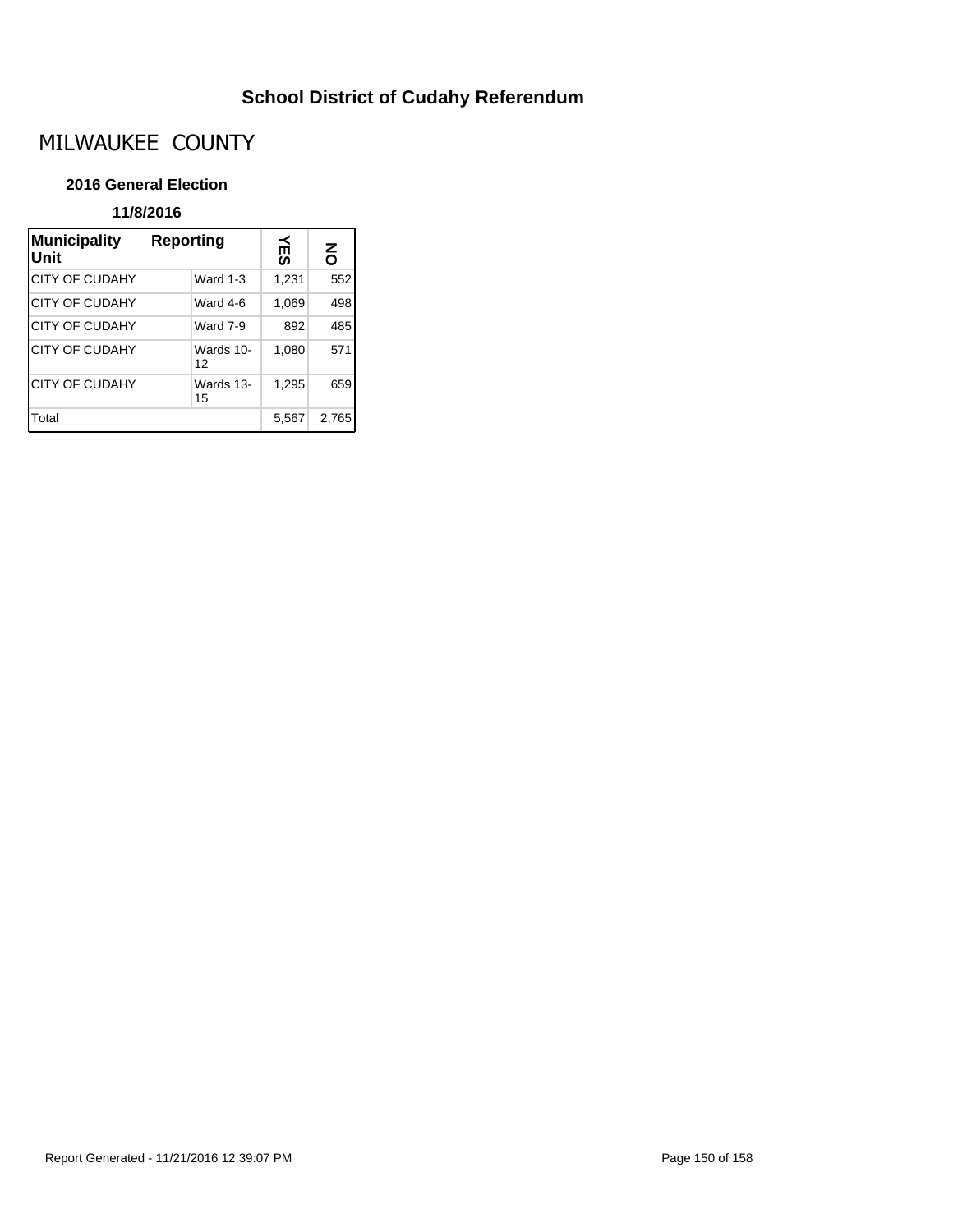# **School District of Cudahy Referendum**

# MILWAUKEE COUNTY

## **2016 General Election**

## **11/8/2016**

| <b>Municipality</b><br>Unit | Reporting       | ≚     | š     |
|-----------------------------|-----------------|-------|-------|
| <b>CITY OF CUDAHY</b>       | <b>Ward 1-3</b> | 1,231 | 552   |
| <b>CITY OF CUDAHY</b>       | Ward 4-6        | 1,069 | 498   |
| <b>CITY OF CUDAHY</b>       | <b>Ward 7-9</b> | 892   | 485   |
| CITY OF CUDAHY              | Wards 10-<br>12 | 1,080 | 571   |
| <b>CITY OF CUDAHY</b>       | Wards 13-<br>15 | 1,295 | 659   |
| Total                       |                 | 5,567 | 2,765 |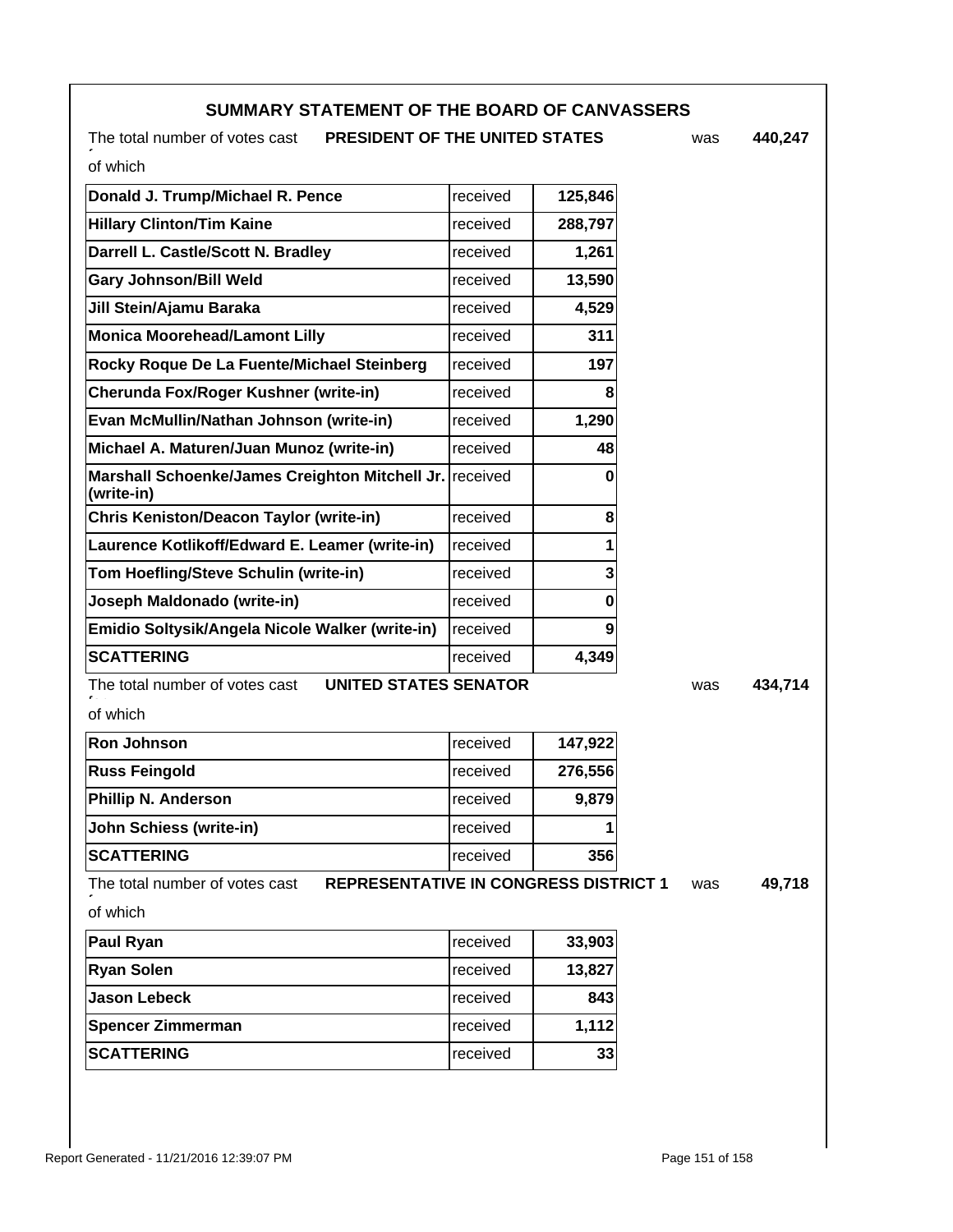## **SUMMARY STATEMENT OF THE BOARD OF CANVASSERS**

The total number of votes cast **PRESIDENT OF THE UNITED STATES** was

**440,247**

*.*<br>of which

| Donald J. Trump/Michael R. Pence                                      | received | 125,846 |
|-----------------------------------------------------------------------|----------|---------|
| <b>Hillary Clinton/Tim Kaine</b>                                      | received | 288,797 |
| Darrell L. Castle/Scott N. Bradley                                    | received | 1,261   |
| <b>Gary Johnson/Bill Weld</b>                                         | received | 13,590  |
| Jill Stein/Ajamu Baraka                                               | received | 4,529   |
| <b>Monica Moorehead/Lamont Lilly</b>                                  | received | 311     |
| Rocky Roque De La Fuente/Michael Steinberg                            | received | 197     |
| Cherunda Fox/Roger Kushner (write-in)                                 | received | 8       |
| Evan McMullin/Nathan Johnson (write-in)                               | received | 1,290   |
| Michael A. Maturen/Juan Munoz (write-in)                              | received | 48      |
| Marshall Schoenke/James Creighton Mitchell Jr. received<br>(write-in) |          | 0       |
| <b>Chris Keniston/Deacon Taylor (write-in)</b>                        | received | 8       |
| Laurence Kotlikoff/Edward E. Leamer (write-in)                        | received | 1       |
| Tom Hoefling/Steve Schulin (write-in)                                 | received | 3       |
| Joseph Maldonado (write-in)                                           | received | 0       |
| Emidio Soltysik/Angela Nicole Walker (write-in)                       | received | 9       |
| <b>SCATTERING</b>                                                     | received | 4,349   |
|                                                                       |          |         |

The total number of votes cast **UNITED STATES SENATOR** was

**434,714**

*.*<br>of which

| <b>Ron Johnson</b>         | Ireceived       | 147,922 |
|----------------------------|-----------------|---------|
| <b>Russ Feingold</b>       | Ireceived       | 276,556 |
| <b>Phillip N. Anderson</b> | Ireceived       | 9.879   |
| John Schiess (write-in)    | received        |         |
| <b>SCATTERING</b>          | <b>received</b> | 356     |

The total number of votes cast **REPRESENTATIVE IN CONGRESS DISTRICT 1** was

**49,718**

*.*<br>of which

| Paul Ryan                | received  | 33,903 |
|--------------------------|-----------|--------|
| <b>Ryan Solen</b>        | Ireceived | 13,827 |
| ∣Jason Lebeck            | Ireceived | 843    |
| <b>Spencer Zimmerman</b> | Ireceived | 1,112  |
| <b>SCATTERING</b>        | Ireceived | 33     |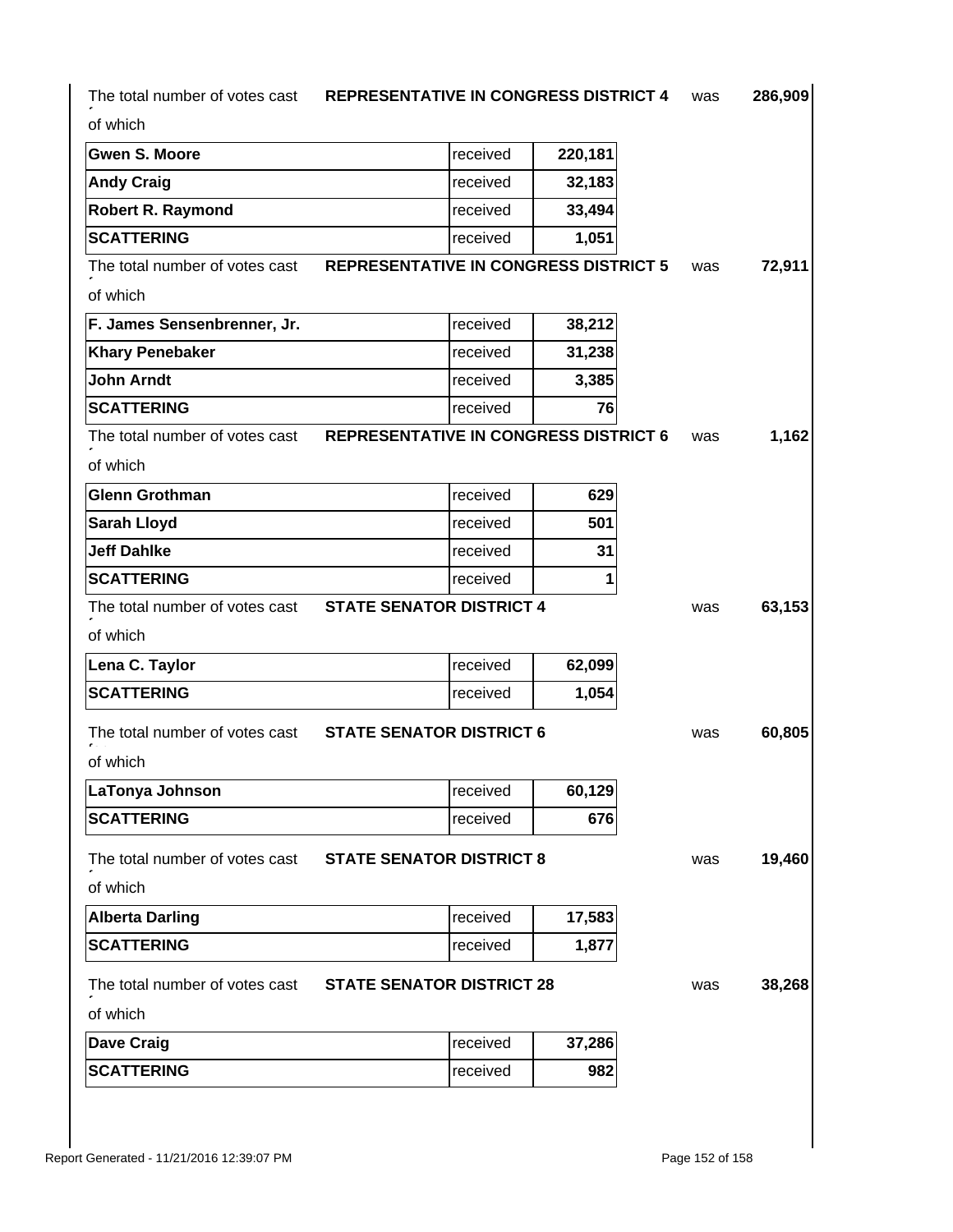| The total number of votes cast | <b>REPRESENTATIVE IN CONGRESS DISTRICT 4</b> |         | was | 286,909 |
|--------------------------------|----------------------------------------------|---------|-----|---------|
| of which                       |                                              |         |     |         |
| <b>Gwen S. Moore</b>           | received                                     | 220,181 |     |         |
| <b>Andy Craig</b>              | received                                     | 32,183  |     |         |
| <b>Robert R. Raymond</b>       | received                                     | 33,494  |     |         |
| <b>SCATTERING</b>              | received                                     | 1,051   |     |         |
| The total number of votes cast | <b>REPRESENTATIVE IN CONGRESS DISTRICT 5</b> |         | was | 72,911  |
| of which                       |                                              |         |     |         |
| F. James Sensenbrenner, Jr.    | received                                     | 38,212  |     |         |
| <b>Khary Penebaker</b>         | received                                     | 31,238  |     |         |
| <b>John Arndt</b>              | received                                     | 3,385   |     |         |
| <b>SCATTERING</b>              | received                                     | 76      |     |         |
| The total number of votes cast | <b>REPRESENTATIVE IN CONGRESS DISTRICT 6</b> |         | was | 1,162   |
| of which                       |                                              |         |     |         |
| <b>Glenn Grothman</b>          | received                                     | 629     |     |         |
| <b>Sarah Lloyd</b>             | received                                     | 501     |     |         |
| <b>Jeff Dahlke</b>             | received                                     | 31      |     |         |
| <b>SCATTERING</b>              | received                                     | 1       |     |         |
| The total number of votes cast | <b>STATE SENATOR DISTRICT 4</b>              |         | was | 63,153  |
| of which                       |                                              |         |     |         |
| Lena C. Taylor                 | received                                     | 62,099  |     |         |
| <b>SCATTERING</b>              | received                                     | 1,054   |     |         |
| The total number of votes cast | <b>STATE SENATOR DISTRICT 6</b>              |         | was | 60,805  |
| of which                       |                                              |         |     |         |
| LaTonya Johnson                | received                                     | 60,129  |     |         |
| <b>SCATTERING</b>              | received                                     | 676     |     |         |
| The total number of votes cast | <b>STATE SENATOR DISTRICT 8</b>              |         | was | 19,460  |
| of which                       |                                              |         |     |         |
| <b>Alberta Darling</b>         | received                                     | 17,583  |     |         |
| <b>SCATTERING</b>              | received                                     | 1,877   |     |         |
| The total number of votes cast | <b>STATE SENATOR DISTRICT 28</b>             |         | was | 38,268  |
| of which                       |                                              |         |     |         |
| <b>Dave Craig</b>              | received                                     | 37,286  |     |         |
| <b>SCATTERING</b>              | received                                     | 982     |     |         |
|                                |                                              |         |     |         |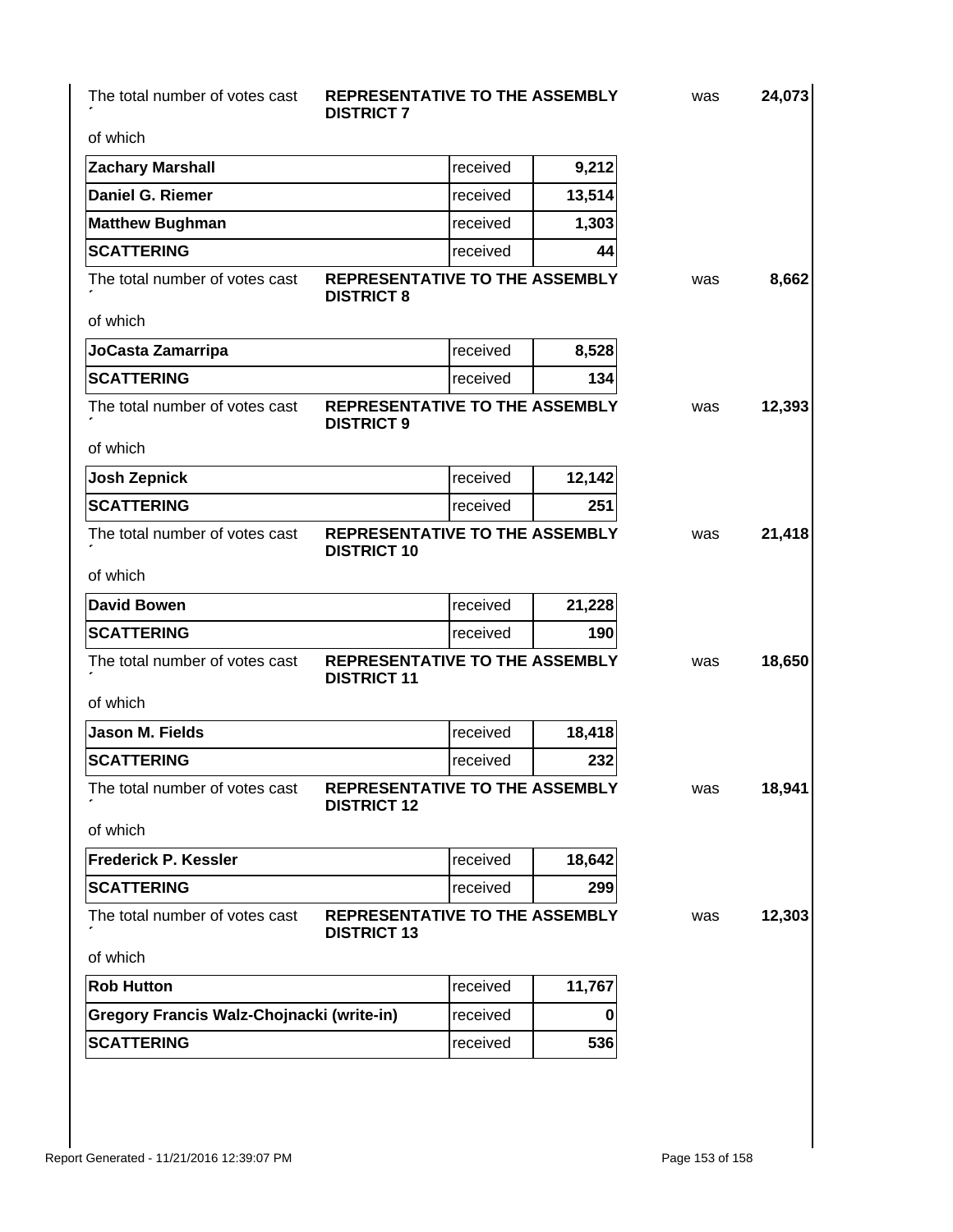The total number of votes cast for

#### **REPRESENTATIVE TO THE ASSEMBLY** was **DISTRICT 7**

**24,073**

| of which                                  |                                                             |          |          |     |        |
|-------------------------------------------|-------------------------------------------------------------|----------|----------|-----|--------|
| <b>Zachary Marshall</b>                   |                                                             | received | 9,212    |     |        |
| Daniel G. Riemer                          |                                                             | received | 13,514   |     |        |
| <b>Matthew Bughman</b>                    |                                                             | received | 1,303    |     |        |
| <b>SCATTERING</b>                         |                                                             | received | 44       |     |        |
| The total number of votes cast            | REPRESENTATIVE TO THE ASSEMBLY<br><b>DISTRICT 8</b>         |          |          | was | 8,662  |
| of which                                  |                                                             |          |          |     |        |
| JoCasta Zamarripa                         |                                                             | received | 8,528    |     |        |
| <b>SCATTERING</b>                         |                                                             | received | 134      |     |        |
| The total number of votes cast            | REPRESENTATIVE TO THE ASSEMBLY<br><b>DISTRICT 9</b>         |          |          | was | 12,393 |
| of which                                  |                                                             |          |          |     |        |
| <b>Josh Zepnick</b>                       |                                                             | received | 12,142   |     |        |
| <b>SCATTERING</b>                         |                                                             | received | 251      |     |        |
| The total number of votes cast            | <b>REPRESENTATIVE TO THE ASSEMBLY</b><br><b>DISTRICT 10</b> |          |          | was | 21,418 |
| of which                                  |                                                             |          |          |     |        |
| <b>David Bowen</b>                        |                                                             | received | 21,228   |     |        |
| <b>SCATTERING</b>                         |                                                             | received | 190      |     |        |
| The total number of votes cast            | REPRESENTATIVE TO THE ASSEMBLY<br><b>DISTRICT 11</b>        |          |          | was | 18,650 |
| of which                                  |                                                             |          |          |     |        |
| Jason M. Fields                           |                                                             | received | 18,418   |     |        |
| <b>SCATTERING</b>                         |                                                             | received | 232      |     |        |
| The total number of votes cast            | <b>REPRESENTATIVE TO THE ASSEMBLY</b><br><b>DISTRICT 12</b> |          |          | was | 18,941 |
| of which                                  |                                                             |          |          |     |        |
| <b>Frederick P. Kessler</b>               |                                                             | received | 18,642   |     |        |
| <b>SCATTERING</b>                         |                                                             | received | 299      |     |        |
| The total number of votes cast            | <b>REPRESENTATIVE TO THE ASSEMBLY</b><br><b>DISTRICT 13</b> |          |          | was | 12,303 |
| of which                                  |                                                             |          |          |     |        |
| <b>Rob Hutton</b>                         |                                                             | received | 11,767   |     |        |
|                                           |                                                             | received | $\bf{0}$ |     |        |
| Gregory Francis Walz-Chojnacki (write-in) |                                                             |          |          |     |        |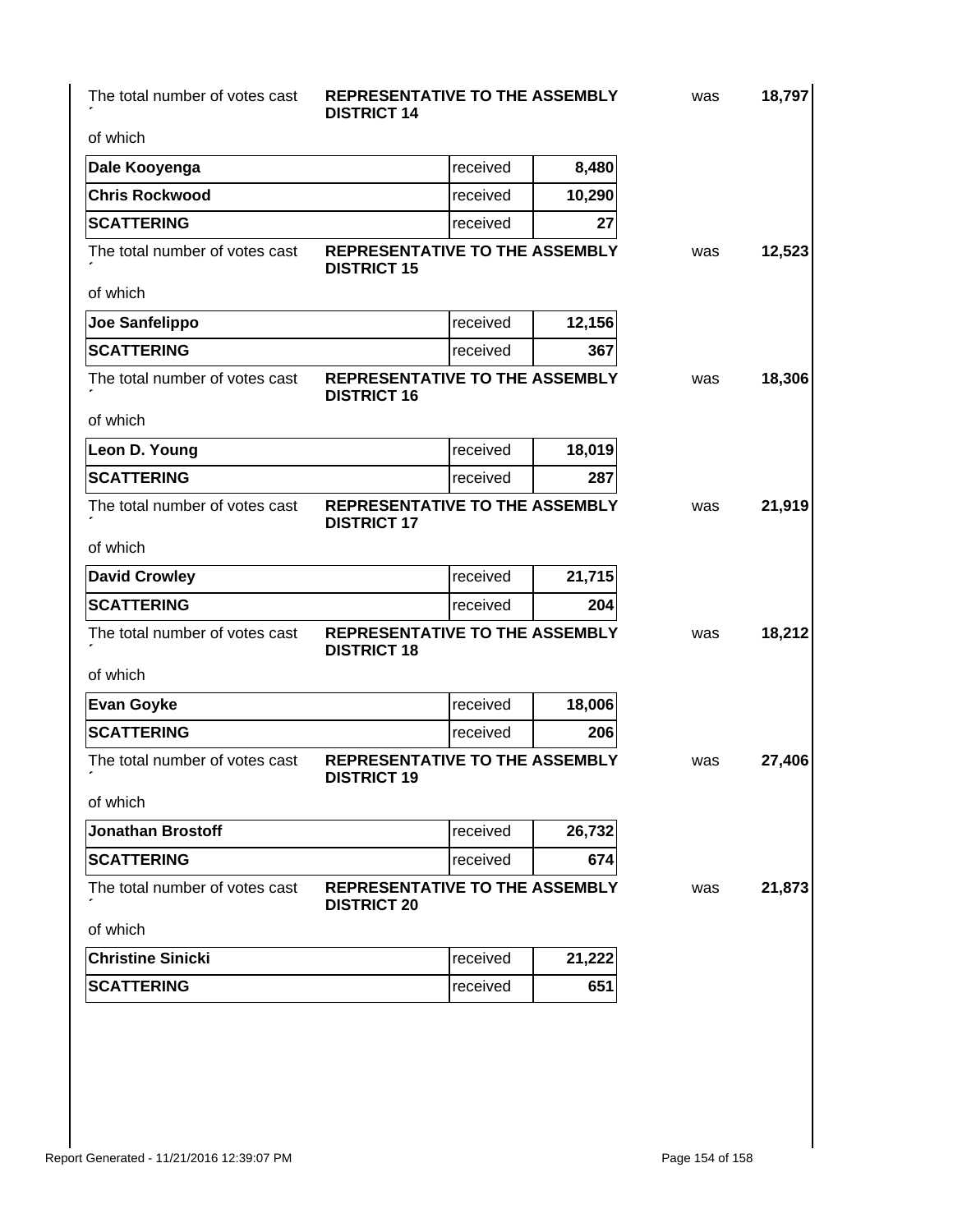for

#### The total number of votes cast **REPRESENTATIVE TO THE ASSEMBLY** was **DISTRICT 14**

**18,797**

of which

| Dale Kooyenga                  | received                                                    | 8,480  |
|--------------------------------|-------------------------------------------------------------|--------|
| <b>Chris Rockwood</b>          | received                                                    | 10,290 |
| <b>SCATTERING</b>              | received                                                    | 27     |
| The total number of votes cast | <b>REPRESENTATIVE TO THE ASSEMBLY</b><br><b>DISTRICT 15</b> |        |
| of which                       |                                                             |        |
| Joe Sanfelippo                 | received                                                    | 12,156 |
| <b>SCATTERING</b>              | received                                                    | 367    |
| The total number of votes cast | REPRESENTATIVE TO THE ASSEMBLY<br><b>DISTRICT 16</b>        |        |
| of which                       |                                                             |        |
| Leon D. Young                  | received                                                    | 18,019 |
| <b>SCATTERING</b>              | received                                                    | 287    |
| The total number of votes cast | <b>REPRESENTATIVE TO THE ASSEMBLY</b><br><b>DISTRICT 17</b> |        |
| of which                       |                                                             |        |
| <b>David Crowley</b>           | received                                                    | 21,715 |
| <b>SCATTERING</b>              | received                                                    | 204    |
|                                |                                                             |        |
| The total number of votes cast | REPRESENTATIVE TO THE ASSEMBLY<br><b>DISTRICT 18</b>        |        |
| of which                       |                                                             |        |
| <b>Evan Goyke</b>              | received                                                    | 18,006 |
| <b>SCATTERING</b>              | received                                                    | 206    |
| The total number of votes cast | <b>REPRESENTATIVE TO THE ASSEMBLY</b><br><b>DISTRICT 19</b> |        |
| of which                       |                                                             |        |
| <b>Jonathan Brostoff</b>       | Ireceived                                                   | 26,732 |
| <b>SCATTERING</b>              | received                                                    | 674    |
| The total number of votes cast | REPRESENTATIVE TO THE ASSEMBLY<br><b>DISTRICT 20</b>        |        |
| of which                       |                                                             |        |
| <b>Christine Sinicki</b>       | received                                                    | 21,222 |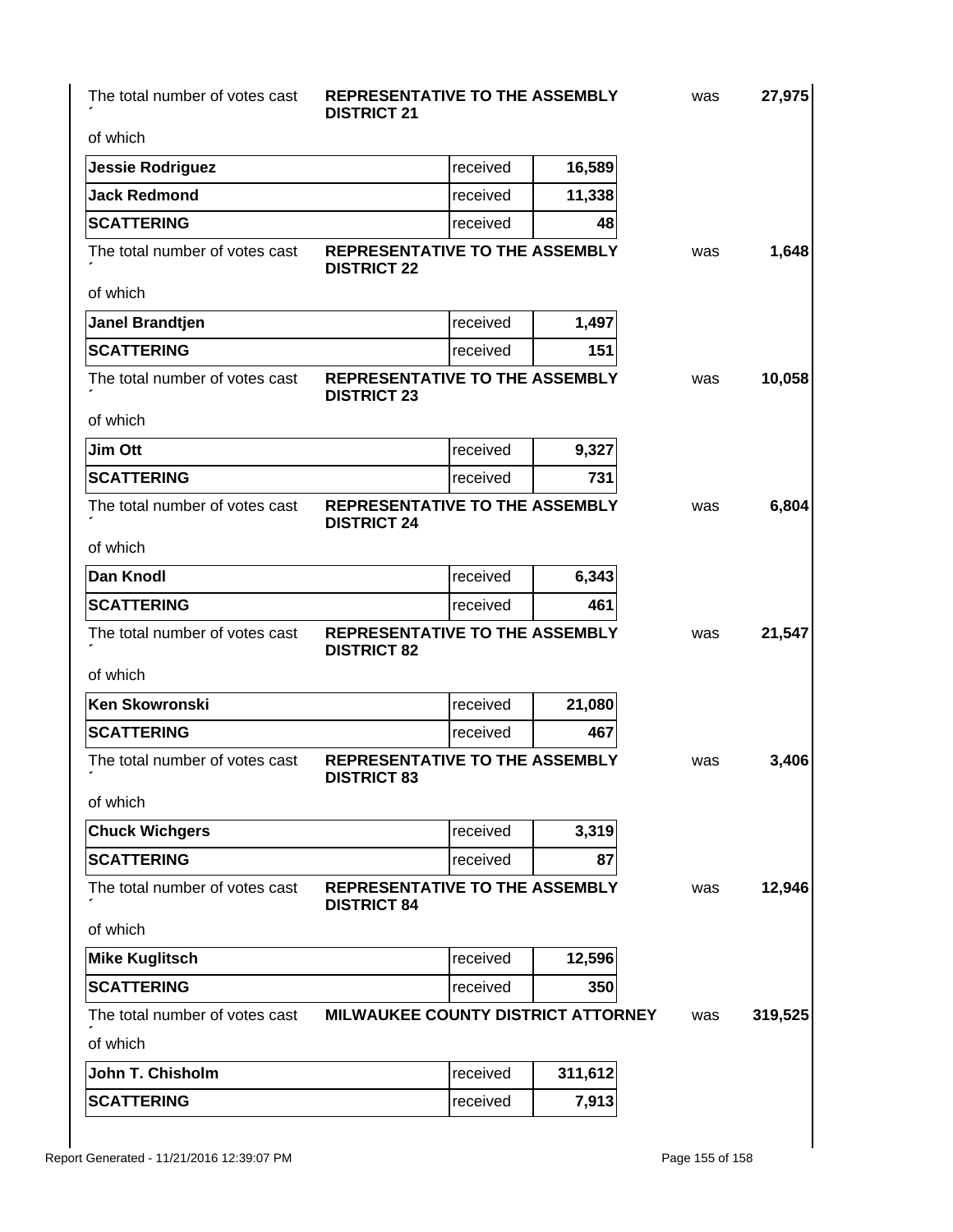The total number of votes cast for

#### **REPRESENTATIVE TO THE ASSEMBLY** was **DISTRICT 21**

**27,975**

**1,648**

**10,058**

**6,804**

**21,547**

| of which                       |                                                             |                   |        |  |
|--------------------------------|-------------------------------------------------------------|-------------------|--------|--|
| Jessie Rodriguez               |                                                             | Ireceived         | 16,589 |  |
| <b>Jack Redmond</b>            |                                                             | received          | 11,338 |  |
| <b>SCATTERING</b>              |                                                             | <b>I</b> received | 48     |  |
| The total number of votes cast | <b>REPRESENTATIVE TO THE ASSEMBLY</b><br><b>DISTRICT 22</b> |                   |        |  |
| of which                       |                                                             |                   |        |  |

| Janel Brandtjen   | <b>I</b> received | 1.497 |
|-------------------|-------------------|-------|
| <b>SCATTERING</b> | <b>I</b> received | 151   |

The total number of votes cast **REPRESENTATIVE TO THE ASSEMBLY** was for of which **DISTRICT 23**

| <b>Jim Ott</b>                 |                                               | <i><u><b>Ireceived</b></u></i>  | 9,327 |     |
|--------------------------------|-----------------------------------------------|---------------------------------|-------|-----|
| <b>SCATTERING</b>              |                                               | <i><u><b>I</b></u></i> received | 731.  |     |
| The total number of votes cast | REPRESENTATIVE TO THE ASSEMBLY<br>DISTRICT 24 |                                 |       | was |

| of which |  |
|----------|--|

| <b>Dan Knodl</b>               |                                                             | <b>I</b> received | 6,343 |     |
|--------------------------------|-------------------------------------------------------------|-------------------|-------|-----|
| <b>SCATTERING</b>              |                                                             | Ireceived         | 461   |     |
| The total number of votes cast | <b>REPRESENTATIVE TO THE ASSEMBLY</b><br><b>DISTRICT 82</b> |                   |       | was |

**DISTRICT 24**

of which

| <b>Ken Skowronski</b>          |                                                             | received | 21,080  |     |         |
|--------------------------------|-------------------------------------------------------------|----------|---------|-----|---------|
| <b>SCATTERING</b>              |                                                             | received | 467     |     |         |
| The total number of votes cast | <b>REPRESENTATIVE TO THE ASSEMBLY</b><br><b>DISTRICT 83</b> |          |         | was | 3,406   |
| of which                       |                                                             |          |         |     |         |
| <b>Chuck Wichgers</b>          |                                                             | received | 3,319   |     |         |
| <b>SCATTERING</b>              |                                                             | received | 87      |     |         |
| The total number of votes cast | <b>REPRESENTATIVE TO THE ASSEMBLY</b><br><b>DISTRICT 84</b> |          |         | was | 12,946  |
| of which                       |                                                             |          |         |     |         |
| <b>Mike Kuglitsch</b>          |                                                             | received | 12,596  |     |         |
| <b>SCATTERING</b>              |                                                             | received | 350     |     |         |
| The total number of votes cast | <b>MILWAUKEE COUNTY DISTRICT ATTORNEY</b>                   |          |         | was | 319,525 |
| of which                       |                                                             |          |         |     |         |
| John T. Chisholm               |                                                             | received | 311,612 |     |         |
| <b>SCATTERING</b>              |                                                             | received | 7,913   |     |         |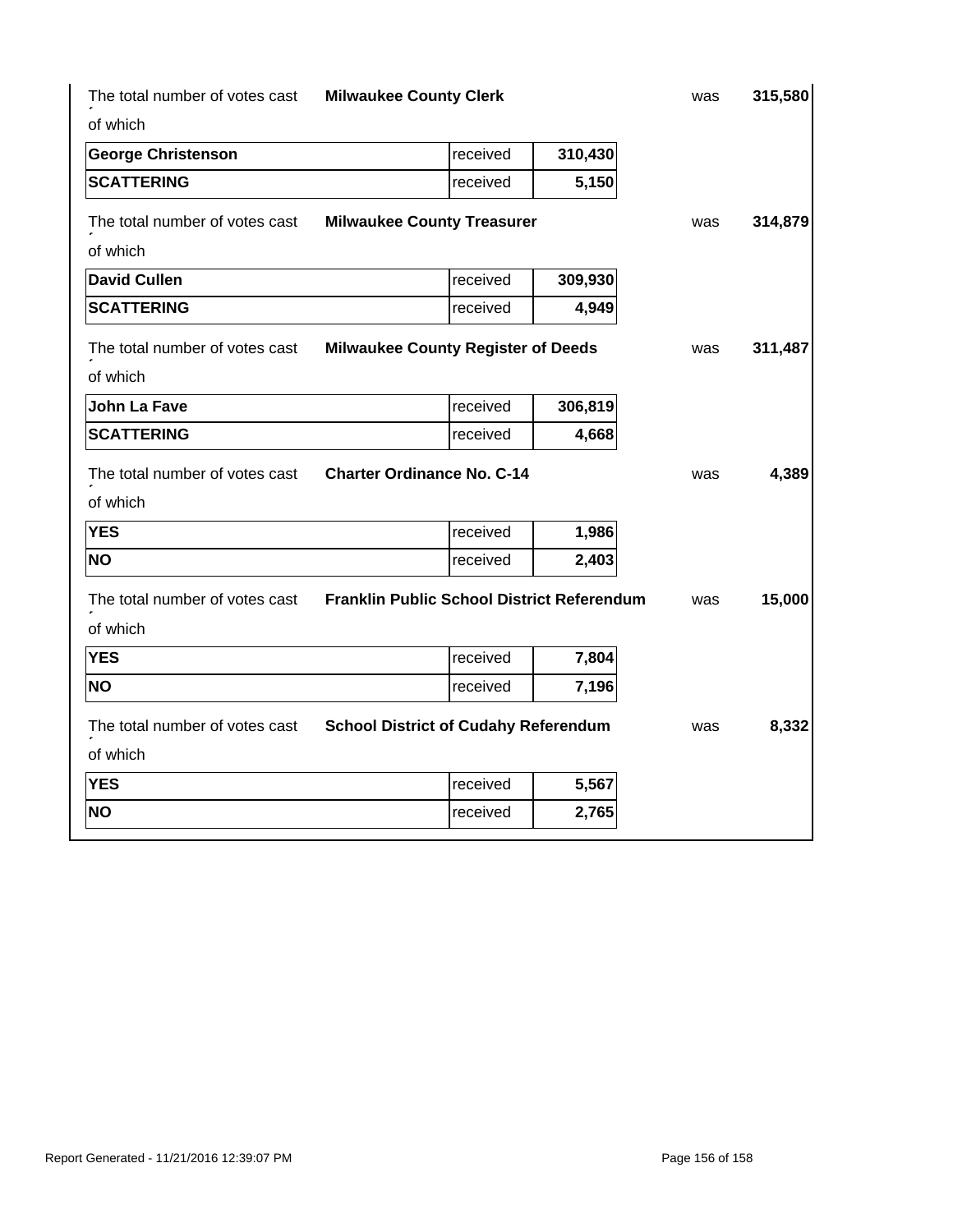| The total number of votes cast | <b>Milwaukee County Clerk</b>               |         | was | 315,580 |
|--------------------------------|---------------------------------------------|---------|-----|---------|
| of which                       |                                             |         |     |         |
| <b>George Christenson</b>      | received                                    | 310,430 |     |         |
| <b>SCATTERING</b>              | received                                    | 5,150   |     |         |
| The total number of votes cast | <b>Milwaukee County Treasurer</b>           |         | was | 314,879 |
| of which                       |                                             |         |     |         |
| <b>David Cullen</b>            | received                                    | 309,930 |     |         |
| <b>SCATTERING</b>              | received                                    | 4,949   |     |         |
| The total number of votes cast | <b>Milwaukee County Register of Deeds</b>   |         | was | 311,487 |
| of which                       |                                             |         |     |         |
| <b>John La Fave</b>            | received                                    | 306,819 |     |         |
| <b>SCATTERING</b>              | received                                    | 4,668   |     |         |
| The total number of votes cast | <b>Charter Ordinance No. C-14</b>           |         | was | 4,389   |
| of which                       |                                             |         |     |         |
| <b>YES</b>                     | received                                    | 1,986   |     |         |
| <b>NO</b>                      | received                                    | 2,403   |     |         |
| The total number of votes cast | Franklin Public School District Referendum  |         | was | 15,000  |
| of which                       |                                             |         |     |         |
| <b>YES</b>                     | received                                    | 7,804   |     |         |
| <b>NO</b>                      | received                                    | 7,196   |     |         |
| The total number of votes cast | <b>School District of Cudahy Referendum</b> |         | was | 8,332   |
| of which                       |                                             |         |     |         |
| <b>YES</b>                     | received                                    | 5,567   |     |         |
| <b>NO</b>                      | received                                    | 2,765   |     |         |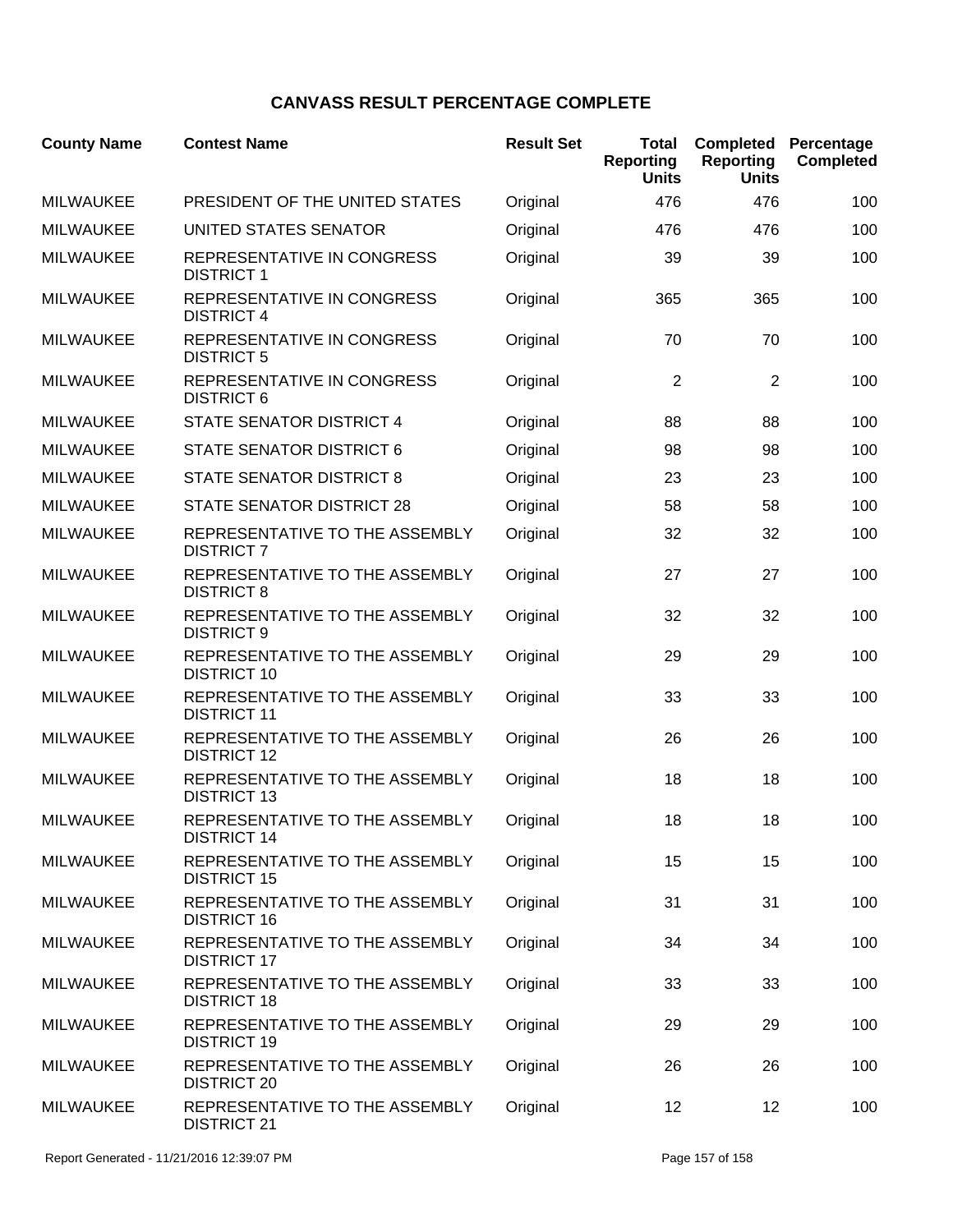## **CANVASS RESULT PERCENTAGE COMPLETE**

| <b>County Name</b> | <b>Contest Name</b>                                    | <b>Result Set</b> | <b>Total</b><br><b>Reporting</b><br><b>Units</b> | <b>Completed</b><br><b>Reporting</b><br><b>Units</b> | Percentage<br><b>Completed</b> |
|--------------------|--------------------------------------------------------|-------------------|--------------------------------------------------|------------------------------------------------------|--------------------------------|
| <b>MILWAUKEE</b>   | PRESIDENT OF THE UNITED STATES                         | Original          | 476                                              | 476                                                  | 100                            |
| <b>MILWAUKEE</b>   | UNITED STATES SENATOR                                  | Original          | 476                                              | 476                                                  | 100                            |
| <b>MILWAUKEE</b>   | REPRESENTATIVE IN CONGRESS<br><b>DISTRICT 1</b>        | Original          | 39                                               | 39                                                   | 100                            |
| <b>MILWAUKEE</b>   | <b>REPRESENTATIVE IN CONGRESS</b><br><b>DISTRICT 4</b> | Original          | 365                                              | 365                                                  | 100                            |
| <b>MILWAUKEE</b>   | REPRESENTATIVE IN CONGRESS<br><b>DISTRICT 5</b>        | Original          | 70                                               | 70                                                   | 100                            |
| <b>MILWAUKEE</b>   | REPRESENTATIVE IN CONGRESS<br><b>DISTRICT 6</b>        | Original          | $\overline{2}$                                   | $\overline{2}$                                       | 100                            |
| <b>MILWAUKEE</b>   | <b>STATE SENATOR DISTRICT 4</b>                        | Original          | 88                                               | 88                                                   | 100                            |
| <b>MILWAUKEE</b>   | <b>STATE SENATOR DISTRICT 6</b>                        | Original          | 98                                               | 98                                                   | 100                            |
| <b>MILWAUKEE</b>   | <b>STATE SENATOR DISTRICT 8</b>                        | Original          | 23                                               | 23                                                   | 100                            |
| <b>MILWAUKEE</b>   | <b>STATE SENATOR DISTRICT 28</b>                       | Original          | 58                                               | 58                                                   | 100                            |
| <b>MILWAUKEE</b>   | REPRESENTATIVE TO THE ASSEMBLY<br><b>DISTRICT 7</b>    | Original          | 32                                               | 32                                                   | 100                            |
| <b>MILWAUKEE</b>   | REPRESENTATIVE TO THE ASSEMBLY<br><b>DISTRICT 8</b>    | Original          | 27                                               | 27                                                   | 100                            |
| <b>MILWAUKEE</b>   | REPRESENTATIVE TO THE ASSEMBLY<br><b>DISTRICT 9</b>    | Original          | 32                                               | 32                                                   | 100                            |
| <b>MILWAUKEE</b>   | REPRESENTATIVE TO THE ASSEMBLY<br><b>DISTRICT 10</b>   | Original          | 29                                               | 29                                                   | 100                            |
| <b>MILWAUKEE</b>   | REPRESENTATIVE TO THE ASSEMBLY<br><b>DISTRICT 11</b>   | Original          | 33                                               | 33                                                   | 100                            |
| <b>MILWAUKEE</b>   | REPRESENTATIVE TO THE ASSEMBLY<br><b>DISTRICT 12</b>   | Original          | 26                                               | 26                                                   | 100                            |
| <b>MILWAUKEE</b>   | REPRESENTATIVE TO THE ASSEMBLY<br><b>DISTRICT 13</b>   | Original          | 18                                               | 18                                                   | 100                            |
| <b>MILWAUKEE</b>   | REPRESENTATIVE TO THE ASSEMBLY<br><b>DISTRICT 14</b>   | Original          | 18                                               | 18                                                   | 100                            |
| <b>MILWAUKEE</b>   | REPRESENTATIVE TO THE ASSEMBLY<br><b>DISTRICT 15</b>   | Original          | 15                                               | 15                                                   | 100                            |
| <b>MILWAUKEE</b>   | REPRESENTATIVE TO THE ASSEMBLY<br><b>DISTRICT 16</b>   | Original          | 31                                               | 31                                                   | 100                            |
| <b>MILWAUKEE</b>   | REPRESENTATIVE TO THE ASSEMBLY<br><b>DISTRICT 17</b>   | Original          | 34                                               | 34                                                   | 100                            |
| <b>MILWAUKEE</b>   | REPRESENTATIVE TO THE ASSEMBLY<br><b>DISTRICT 18</b>   | Original          | 33                                               | 33                                                   | 100                            |
| <b>MILWAUKEE</b>   | REPRESENTATIVE TO THE ASSEMBLY<br><b>DISTRICT 19</b>   | Original          | 29                                               | 29                                                   | 100                            |
| <b>MILWAUKEE</b>   | REPRESENTATIVE TO THE ASSEMBLY<br><b>DISTRICT 20</b>   | Original          | 26                                               | 26                                                   | 100                            |
| <b>MILWAUKEE</b>   | REPRESENTATIVE TO THE ASSEMBLY<br><b>DISTRICT 21</b>   | Original          | 12                                               | 12                                                   | 100                            |